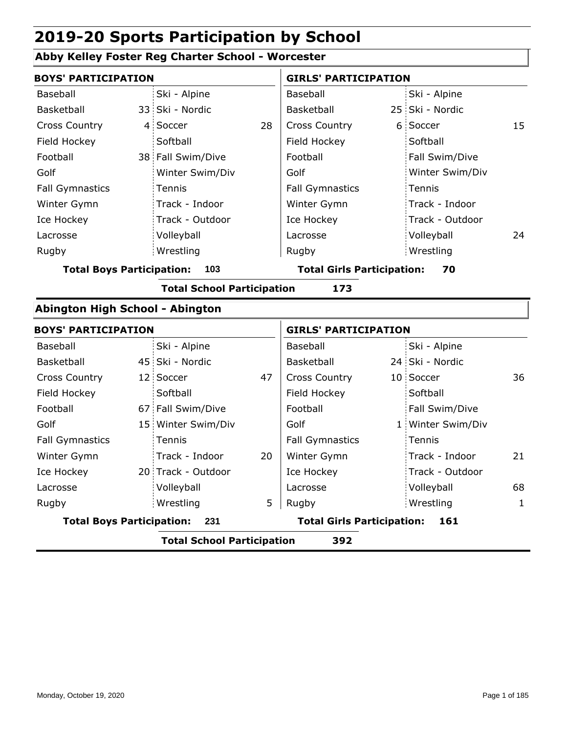### **Abby Kelley Foster Reg Charter School - Worcester**

| <b>BOYS' PARTICIPATION</b>       |                                          |                    |    | <b>GIRLS' PARTICIPATION</b>       |  |                   |              |  |  |  |
|----------------------------------|------------------------------------------|--------------------|----|-----------------------------------|--|-------------------|--------------|--|--|--|
| <b>Baseball</b>                  |                                          | Ski - Alpine       |    | Baseball                          |  | Ski - Alpine      |              |  |  |  |
| Basketball                       |                                          | 33 Ski - Nordic    |    | Basketball                        |  | 25 Ski - Nordic   |              |  |  |  |
| <b>Cross Country</b>             |                                          | 4 Soccer           | 28 | <b>Cross Country</b>              |  | 6 Soccer          | 15           |  |  |  |
| Field Hockey                     |                                          | Softball           |    | Field Hockey                      |  | Softball          |              |  |  |  |
| Football                         |                                          | 38 Fall Swim/Dive  |    | Football                          |  | Fall Swim/Dive    |              |  |  |  |
| Golf                             |                                          | Winter Swim/Div    |    | Golf                              |  | Winter Swim/Div   |              |  |  |  |
| <b>Fall Gymnastics</b>           |                                          | Tennis             |    | <b>Fall Gymnastics</b>            |  | Tennis            |              |  |  |  |
| Winter Gymn                      |                                          | Track - Indoor     |    | Winter Gymn                       |  | Track - Indoor    |              |  |  |  |
| Ice Hockey                       |                                          | Track - Outdoor    |    | Ice Hockey                        |  | Track - Outdoor   |              |  |  |  |
| Lacrosse                         |                                          | Volleyball         |    | Lacrosse                          |  | Volleyball        | 24           |  |  |  |
| Rugby                            |                                          | Wrestling          |    | Rugby                             |  | Wrestling         |              |  |  |  |
| <b>Total Boys Participation:</b> |                                          | 103                |    | <b>Total Girls Participation:</b> |  | 70                |              |  |  |  |
|                                  | <b>Total School Participation</b><br>173 |                    |    |                                   |  |                   |              |  |  |  |
| Abington High School - Abington  |                                          |                    |    |                                   |  |                   |              |  |  |  |
| <b>BOYS' PARTICIPATION</b>       |                                          |                    |    | <b>GIRLS' PARTICIPATION</b>       |  |                   |              |  |  |  |
| Baseball                         |                                          | Ski - Alpine       |    | Baseball                          |  | Ski - Alpine      |              |  |  |  |
| Basketball                       |                                          | 45 Ski - Nordic    |    | Basketball                        |  | 24 Ski - Nordic   |              |  |  |  |
| <b>Cross Country</b>             |                                          | 12 Soccer          | 47 | <b>Cross Country</b>              |  | 10 Soccer         | 36           |  |  |  |
| Field Hockey                     |                                          | Softball           |    | Field Hockey                      |  | Softball          |              |  |  |  |
| Football                         |                                          | 67 Fall Swim/Dive  |    | Football                          |  | Fall Swim/Dive    |              |  |  |  |
| Golf                             |                                          | 15 Winter Swim/Div |    | Golf                              |  | 1 Winter Swim/Div |              |  |  |  |
| <b>Fall Gymnastics</b>           |                                          | Tennis             |    | <b>Fall Gymnastics</b>            |  | Tennis            |              |  |  |  |
| Winter Gymn                      |                                          | Track - Indoor     | 20 | Winter Gymn                       |  | Track - Indoor    | 21           |  |  |  |
| Ice Hockey                       |                                          | 20 Track - Outdoor |    | Ice Hockey                        |  | Track - Outdoor   |              |  |  |  |
| Lacrosse                         |                                          | Volleyball         |    | Lacrosse                          |  | Volleyball        | 68           |  |  |  |
| Rugby                            |                                          | Wrestling          | 5  | Rugby                             |  | Wrestling         | $\mathbf{1}$ |  |  |  |
| <b>Total Boys Participation:</b> |                                          | 231                |    | <b>Total Girls Participation:</b> |  | 161               |              |  |  |  |
|                                  | <b>Total School Participation</b><br>392 |                    |    |                                   |  |                   |              |  |  |  |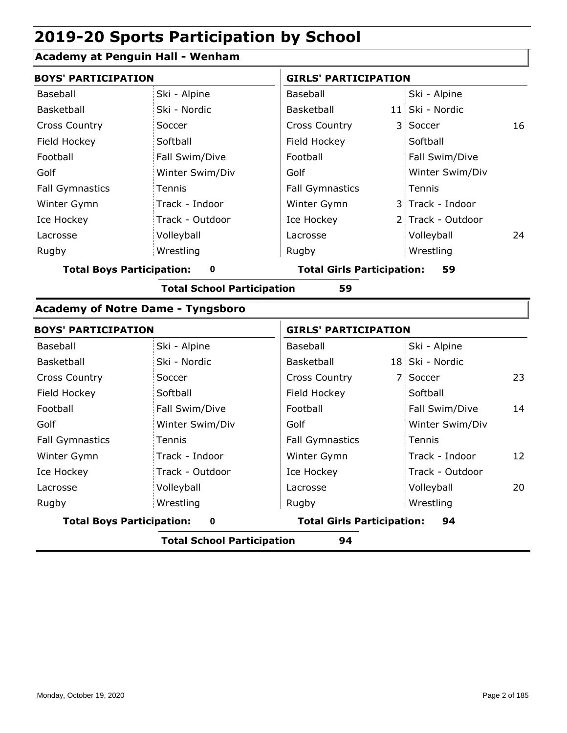### **Academy at Penguin Hall - Wenham**

| <b>BOYS' PARTICIPATION</b> |                 |                            | <b>GIRLS' PARTICIPATION</b> |                   |    |  |
|----------------------------|-----------------|----------------------------|-----------------------------|-------------------|----|--|
| Baseball                   | Ski - Alpine    | Baseball                   |                             | Ski - Alpine      |    |  |
| Basketball                 | Ski - Nordic    | Basketball                 |                             | 11 Ski - Nordic   |    |  |
| <b>Cross Country</b>       | Soccer          | <b>Cross Country</b>       |                             | 3 Soccer          | 16 |  |
| Field Hockey               | Softball        | Field Hockey               |                             | Softball          |    |  |
| Football                   | Fall Swim/Dive  | Football                   |                             | Fall Swim/Dive    |    |  |
| Golf                       | Winter Swim/Div | Golf                       |                             | Winter Swim/Div   |    |  |
| <b>Fall Gymnastics</b>     | Tennis          | <b>Fall Gymnastics</b>     |                             | Tennis            |    |  |
| Winter Gymn                | Track - Indoor  | Winter Gymn                |                             | 3 Track - Indoor  |    |  |
| Ice Hockey                 | Track - Outdoor | Ice Hockey                 |                             | 2 Track - Outdoor |    |  |
| Lacrosse                   | Volleyball      | Lacrosse                   |                             | Volleyball        | 24 |  |
| Rugby                      | Wrestling       | Rugby                      |                             | Wrestling         |    |  |
| Tatal Davis Davisination:  |                 | Tatal Cirle Dartisination: |                             | ЕΩ                |    |  |

**Total Boys Participation: 0 Total Girls Participation: 59**

**Total School Participation 59**

#### **Academy of Notre Dame - Tyngsboro**

| <b>BOYS' PARTICIPATION</b>       |                 |                                   | <b>GIRLS' PARTICIPATION</b> |
|----------------------------------|-----------------|-----------------------------------|-----------------------------|
| Baseball                         | Ski - Alpine    | Baseball                          | Ski - Alpine                |
| Basketball                       | Ski - Nordic    | Basketball                        | 18 Ski - Nordic             |
| <b>Cross Country</b>             | Soccer          | <b>Cross Country</b>              | 23<br>7 Soccer              |
| Field Hockey                     | Softball        | Field Hockey                      | Softball                    |
| Football                         | Fall Swim/Dive  | Football                          | 14<br>Fall Swim/Dive        |
| Golf                             | Winter Swim/Div | Golf                              | Winter Swim/Div             |
| <b>Fall Gymnastics</b>           | Tennis          | <b>Fall Gymnastics</b>            | Tennis                      |
| Winter Gymn                      | Track - Indoor  | Winter Gymn                       | Track - Indoor<br>12        |
| Ice Hockey                       | Track - Outdoor | Ice Hockey                        | Track - Outdoor             |
| Lacrosse                         | Volleyball      | Lacrosse                          | 20<br>Volleyball            |
| Rugby                            | Wrestling       | Rugby                             | Wrestling                   |
| <b>Total Boys Participation:</b> | $\bf{0}$        | <b>Total Girls Participation:</b> | 94                          |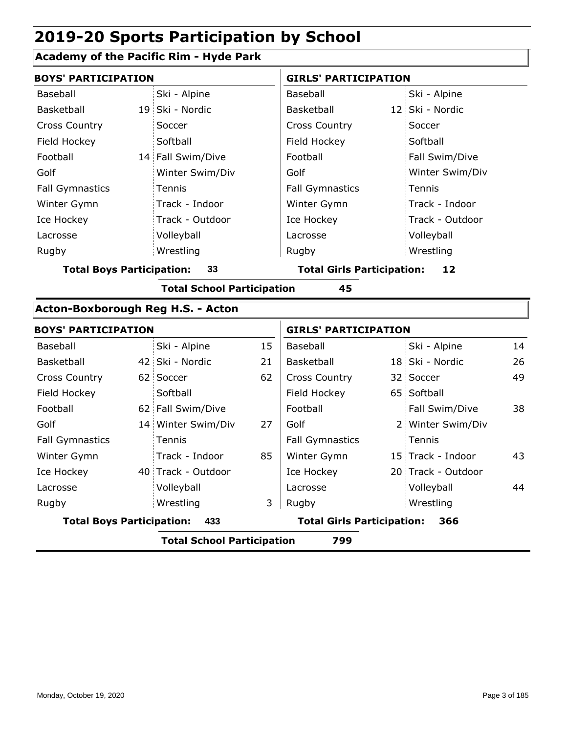### **Academy of the Pacific Rim - Hyde Park**

| <b>BOYS' PARTICIPATION</b>        |                                          |                                   |    | <b>GIRLS' PARTICIPATION</b>       |  |                    |    |  |
|-----------------------------------|------------------------------------------|-----------------------------------|----|-----------------------------------|--|--------------------|----|--|
| Baseball                          |                                          | Ski - Alpine                      |    | Baseball                          |  | Ski - Alpine       |    |  |
| Basketball                        |                                          | 19 Ski - Nordic                   |    | Basketball                        |  | 12 Ski - Nordic    |    |  |
| <b>Cross Country</b>              |                                          | Soccer                            |    | <b>Cross Country</b>              |  | Soccer             |    |  |
| Field Hockey                      |                                          | Softball                          |    | Field Hockey                      |  | Softball           |    |  |
| Football                          |                                          | 14 Fall Swim/Dive                 |    | Football                          |  | Fall Swim/Dive     |    |  |
| Golf                              |                                          | Winter Swim/Div                   |    | Golf                              |  | Winter Swim/Div    |    |  |
| <b>Fall Gymnastics</b>            |                                          | Tennis                            |    | <b>Fall Gymnastics</b>            |  | Tennis             |    |  |
| Winter Gymn                       |                                          | Track - Indoor                    |    | Winter Gymn                       |  | Track - Indoor     |    |  |
| Ice Hockey                        |                                          | Track - Outdoor                   |    | Ice Hockey                        |  | Track - Outdoor    |    |  |
| Lacrosse                          |                                          | Volleyball                        |    | Lacrosse                          |  | Volleyball         |    |  |
| Rugby                             |                                          | Wrestling                         |    | Rugby                             |  | Wrestling          |    |  |
| <b>Total Boys Participation:</b>  |                                          | 33                                |    | <b>Total Girls Participation:</b> |  | 12                 |    |  |
|                                   |                                          | <b>Total School Participation</b> |    | 45                                |  |                    |    |  |
| Acton-Boxborough Reg H.S. - Acton |                                          |                                   |    |                                   |  |                    |    |  |
| <b>BOYS' PARTICIPATION</b>        |                                          |                                   |    | <b>GIRLS' PARTICIPATION</b>       |  |                    |    |  |
| Baseball                          |                                          | Ski - Alpine                      | 15 | Baseball                          |  | Ski - Alpine       | 14 |  |
| Basketball                        |                                          | 42 Ski - Nordic                   | 21 | Basketball                        |  | 18 Ski - Nordic    | 26 |  |
| <b>Cross Country</b>              |                                          | 62 Soccer                         | 62 | <b>Cross Country</b>              |  | 32 Soccer          | 49 |  |
| Field Hockey                      |                                          | Softball                          |    | Field Hockey                      |  | 65 Softball        |    |  |
| Football                          |                                          | 62 Fall Swim/Dive                 |    | Football                          |  | Fall Swim/Dive     | 38 |  |
| Golf                              |                                          | 14 Winter Swim/Div                | 27 | Golf                              |  | 2 Winter Swim/Div  |    |  |
| <b>Fall Gymnastics</b>            |                                          | Tennis                            |    | <b>Fall Gymnastics</b>            |  | Tennis             |    |  |
| Winter Gymn                       |                                          | Track - Indoor                    | 85 | Winter Gymn                       |  | 15 Track - Indoor  | 43 |  |
| Ice Hockey                        |                                          | 40 Track - Outdoor                |    | Ice Hockey                        |  | 20 Track - Outdoor |    |  |
| Lacrosse                          |                                          | Volleyball                        |    | Lacrosse                          |  | Volleyball         | 44 |  |
| Rugby                             |                                          | Wrestling                         | 3  | Rugby                             |  | Wrestling          |    |  |
| <b>Total Boys Participation:</b>  |                                          | 433                               |    | <b>Total Girls Participation:</b> |  | 366                |    |  |
|                                   | <b>Total School Participation</b><br>799 |                                   |    |                                   |  |                    |    |  |
|                                   |                                          |                                   |    |                                   |  |                    |    |  |

ı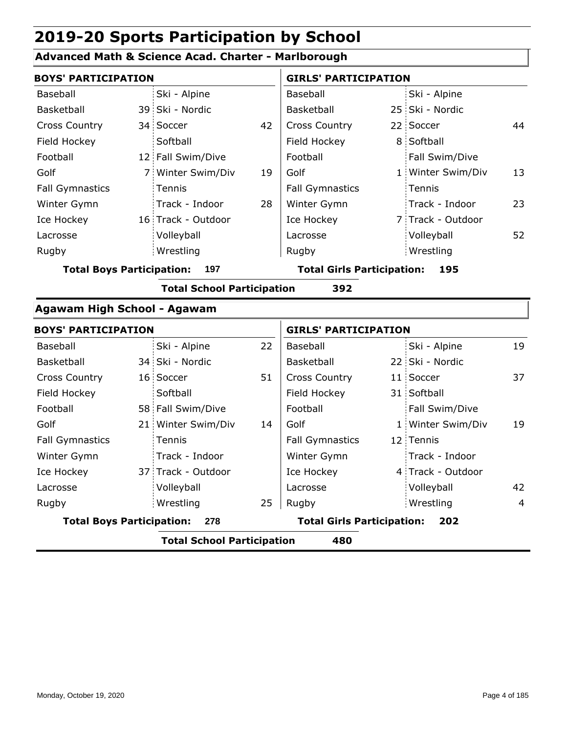### **Advanced Math & Science Acad. Charter - Marlborough**

| <b>BOYS' PARTICIPATION</b>       |                                   |    | <b>GIRLS' PARTICIPATION</b>       |  |                   |    |
|----------------------------------|-----------------------------------|----|-----------------------------------|--|-------------------|----|
| Baseball                         | Ski - Alpine                      |    | Baseball                          |  | Ski - Alpine      |    |
| Basketball                       | 39 Ski - Nordic                   |    | Basketball                        |  | 25 Ski - Nordic   |    |
| <b>Cross Country</b>             | 34 Soccer                         | 42 | <b>Cross Country</b>              |  | 22 Soccer         | 44 |
| Field Hockey                     | Softball                          |    | Field Hockey                      |  | 8 Softball        |    |
| Football                         | 12 Fall Swim/Dive                 |    | Football                          |  | Fall Swim/Dive    |    |
| Golf                             | 7 Winter Swim/Div                 | 19 | Golf                              |  | 1 Winter Swim/Div | 13 |
| <b>Fall Gymnastics</b>           | Tennis                            |    | <b>Fall Gymnastics</b>            |  | Tennis            |    |
| Winter Gymn                      | Track - Indoor                    | 28 | Winter Gymn                       |  | Track - Indoor    | 23 |
| Ice Hockey                       | 16 Track - Outdoor                |    | Ice Hockey                        |  | 7 Track - Outdoor |    |
| Lacrosse                         | Volleyball                        |    | Lacrosse                          |  | Volleyball        | 52 |
| Rugby                            | Wrestling                         |    | Rugby                             |  | Wrestling         |    |
| <b>Total Boys Participation:</b> | 197                               |    | <b>Total Girls Participation:</b> |  | 195               |    |
|                                  | <b>Total School Participation</b> |    | 392                               |  |                   |    |
| Agawam High School - Agawam      |                                   |    |                                   |  |                   |    |
| <b>BOYS' PARTICIPATION</b>       |                                   |    | <b>GIRLS' PARTICIPATION</b>       |  |                   |    |
| Baseball                         | Ski - Alpine                      | 22 | Baseball                          |  | Ski - Alpine      | 19 |
| Basketball                       | 34 Ski - Nordic                   |    | Basketball                        |  | 22 Ski - Nordic   |    |
| <b>Cross Country</b>             | 16 Soccer                         | 51 | Cross Country                     |  | 11 Soccer         | 37 |
| Field Hockey                     | Softball                          |    | Field Hockey                      |  | 31 Softball       |    |
| Football                         | 58 Fall Swim/Dive                 |    | Football                          |  | Fall Swim/Dive    |    |
| Golf                             | 21 Winter Swim/Div                | 14 | Golf                              |  | 1 Winter Swim/Div | 19 |
| <b>Fall Gymnastics</b>           | Tennis                            |    | <b>Fall Gymnastics</b>            |  | 12 Tennis         |    |
| Winter Gymn                      | Track - Indoor                    |    | Winter Gymn                       |  | Track - Indoor    |    |
| Ice Hockey                       | 37 Track - Outdoor                |    | Ice Hockey                        |  | 4 Track - Outdoor |    |
| Lacrosse                         | Volleyball                        |    | Lacrosse                          |  | Volleyball        | 42 |
| Rugby                            | Wrestling                         | 25 | Rugby                             |  | Wrestling         | 4  |
|                                  |                                   |    | .                                 |  |                   |    |

**Total Boys Participation: 278 Total Girls Participation: 202**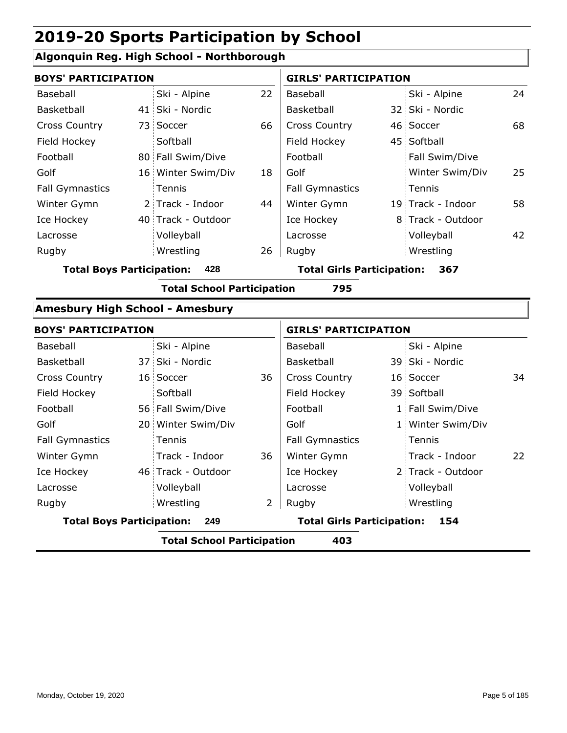### **Algonquin Reg. High School - Northborough**

| <b>BOYS' PARTICIPATION</b>                                                          |                            |                                                                                                                                                             |                        | <b>GIRLS' PARTICIPATION</b>       |                   |                                                                                       |  |
|-------------------------------------------------------------------------------------|----------------------------|-------------------------------------------------------------------------------------------------------------------------------------------------------------|------------------------|-----------------------------------|-------------------|---------------------------------------------------------------------------------------|--|
|                                                                                     | Ski - Alpine               | 22                                                                                                                                                          | Baseball               |                                   | Ski - Alpine      | 24                                                                                    |  |
|                                                                                     |                            |                                                                                                                                                             | Basketball             |                                   |                   |                                                                                       |  |
|                                                                                     |                            | 66                                                                                                                                                          | Cross Country          |                                   |                   | 68                                                                                    |  |
|                                                                                     | Softball                   |                                                                                                                                                             | Field Hockey           |                                   |                   |                                                                                       |  |
|                                                                                     |                            |                                                                                                                                                             | Football               |                                   | Fall Swim/Dive    |                                                                                       |  |
|                                                                                     |                            | 18                                                                                                                                                          | Golf                   |                                   | Winter Swim/Div   | 25                                                                                    |  |
|                                                                                     | Tennis                     |                                                                                                                                                             | <b>Fall Gymnastics</b> |                                   | Tennis            |                                                                                       |  |
|                                                                                     |                            | 44                                                                                                                                                          | Winter Gymn            |                                   |                   | 58                                                                                    |  |
|                                                                                     |                            |                                                                                                                                                             | Ice Hockey             |                                   |                   |                                                                                       |  |
|                                                                                     | Volleyball                 |                                                                                                                                                             | Lacrosse               |                                   | Volleyball        | 42                                                                                    |  |
|                                                                                     | Wrestling                  | 26                                                                                                                                                          | Rugby                  |                                   | Wrestling         |                                                                                       |  |
| <b>Total Boys Participation:</b><br>428<br><b>Total Girls Participation:</b><br>367 |                            |                                                                                                                                                             |                        |                                   |                   |                                                                                       |  |
|                                                                                     |                            |                                                                                                                                                             | 795                    |                                   |                   |                                                                                       |  |
|                                                                                     |                            |                                                                                                                                                             |                        |                                   |                   |                                                                                       |  |
|                                                                                     | <b>BOYS' PARTICIPATION</b> |                                                                                                                                                             |                        | <b>GIRLS' PARTICIPATION</b>       |                   |                                                                                       |  |
|                                                                                     |                            |                                                                                                                                                             |                        |                                   |                   |                                                                                       |  |
|                                                                                     | Ski - Alpine               |                                                                                                                                                             | Baseball               |                                   | Ski - Alpine      |                                                                                       |  |
|                                                                                     | 37 Ski - Nordic            |                                                                                                                                                             | Basketball             |                                   | 39 Ski - Nordic   |                                                                                       |  |
|                                                                                     | 16 Soccer                  | 36                                                                                                                                                          | <b>Cross Country</b>   |                                   | 16 Soccer         | 34                                                                                    |  |
|                                                                                     | Softball                   |                                                                                                                                                             | Field Hockey           |                                   | 39 Softball       |                                                                                       |  |
|                                                                                     | 56 Fall Swim/Dive          |                                                                                                                                                             | Football               |                                   | 1 Fall Swim/Dive  |                                                                                       |  |
|                                                                                     | 20 Winter Swim/Div         |                                                                                                                                                             | Golf                   |                                   | 1 Winter Swim/Div |                                                                                       |  |
|                                                                                     | Tennis                     |                                                                                                                                                             | <b>Fall Gymnastics</b> |                                   | Tennis            |                                                                                       |  |
|                                                                                     | Track - Indoor             | 36                                                                                                                                                          | Winter Gymn            |                                   | Track - Indoor    | 22                                                                                    |  |
|                                                                                     | 46 Track - Outdoor         |                                                                                                                                                             | Ice Hockey             |                                   | 2 Track - Outdoor |                                                                                       |  |
|                                                                                     | Volleyball                 |                                                                                                                                                             | Lacrosse               |                                   | Volleyball        |                                                                                       |  |
|                                                                                     | Wrestling                  | $\overline{2}$                                                                                                                                              | Rugby                  |                                   | Wrestling         |                                                                                       |  |
|                                                                                     |                            | 41 Ski - Nordic<br>73 Soccer<br>80 Fall Swim/Dive<br>16 Winter Swim/Div<br>2 Track - Indoor<br>40 Track - Outdoor<br><b>Amesbury High School - Amesbury</b> |                        | <b>Total School Participation</b> |                   | 32 Ski - Nordic<br>46 Soccer<br>45 Softball<br>19 Track - Indoor<br>8 Track - Outdoor |  |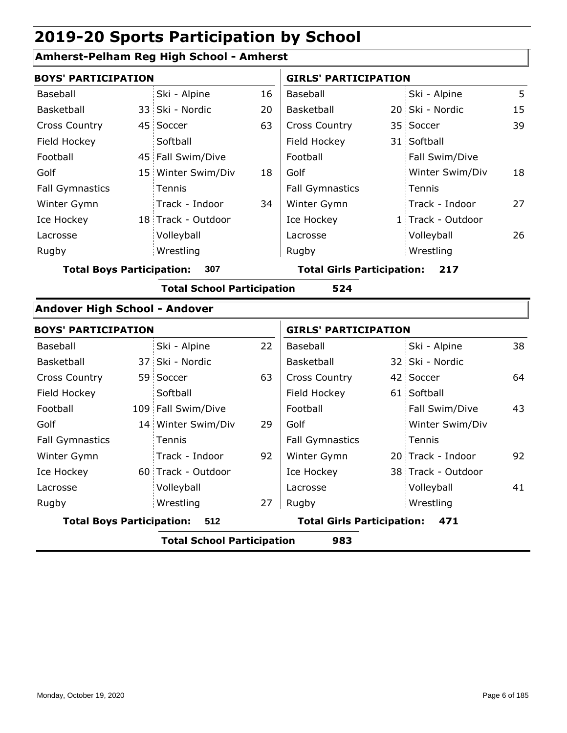### **Amherst-Pelham Reg High School - Amherst**

| <b>BOYS' PARTICIPATION</b>       |                                   |    | <b>GIRLS' PARTICIPATION</b>       |                    |    |
|----------------------------------|-----------------------------------|----|-----------------------------------|--------------------|----|
| <b>Baseball</b>                  | Ski - Alpine                      | 16 | <b>Baseball</b>                   | Ski - Alpine       | 5  |
| Basketball                       | 33 Ski - Nordic                   | 20 | Basketball                        | 20 Ski - Nordic    | 15 |
| <b>Cross Country</b>             | 45 Soccer                         | 63 | <b>Cross Country</b>              | 35 Soccer          | 39 |
| Field Hockey                     | Softball                          |    | Field Hockey                      | 31 Softball        |    |
| Football                         | 45 Fall Swim/Dive                 |    | Football                          | Fall Swim/Dive     |    |
| Golf                             | 15 Winter Swim/Div                | 18 | Golf                              | Winter Swim/Div    | 18 |
| <b>Fall Gymnastics</b>           | Tennis                            |    | <b>Fall Gymnastics</b>            | Tennis             |    |
| Winter Gymn                      | Track - Indoor                    | 34 | Winter Gymn                       | Track - Indoor     | 27 |
| Ice Hockey                       | 18 Track - Outdoor                |    | Ice Hockey                        | 1 Track - Outdoor  |    |
| Lacrosse                         | Volleyball                        |    | Lacrosse                          | Volleyball         | 26 |
| Rugby                            | Wrestling                         |    | Rugby                             | Wrestling          |    |
| <b>Total Boys Participation:</b> | 307                               |    | <b>Total Girls Participation:</b> | 217                |    |
|                                  | <b>Total School Participation</b> |    | 524                               |                    |    |
| Andover High School - Andover    |                                   |    |                                   |                    |    |
| <b>BOYS' PARTICIPATION</b>       |                                   |    | <b>GIRLS' PARTICIPATION</b>       |                    |    |
| Baseball                         | Ski - Alpine                      | 22 | Baseball                          | Ski - Alpine       | 38 |
| Basketball                       | 37 Ski - Nordic                   |    | Basketball                        | 32 Ski - Nordic    |    |
| <b>Cross Country</b>             | 59 Soccer                         | 63 | <b>Cross Country</b>              | 42 Soccer          | 64 |
| Field Hockey                     | Softball                          |    | Field Hockey                      | 61 Softball        |    |
| Football                         | 109 Fall Swim/Dive                |    | Football                          | Fall Swim/Dive     | 43 |
| Golf                             | 14 Winter Swim/Div                | 29 | Golf                              | Winter Swim/Div    |    |
| <b>Fall Gymnastics</b>           | Tennis                            |    | <b>Fall Gymnastics</b>            | Tennis             |    |
| Winter Gymn                      | Track - Indoor                    | 92 | Winter Gymn                       | 20 Track - Indoor  | 92 |
| Ice Hockey                       | 60 Track - Outdoor                |    | Ice Hockey                        | 38 Track - Outdoor |    |
| Lacrosse                         | Volleyball                        |    | Lacrosse                          | Volleyball         | 41 |
| Rugby                            | Wrestling                         | 27 | Rugby                             | Wrestling          |    |
| <b>Total Boys Participation:</b> | 512                               |    | <b>Total Girls Participation:</b> | 471                |    |
|                                  | <b>Total School Participation</b> |    | 983                               |                    |    |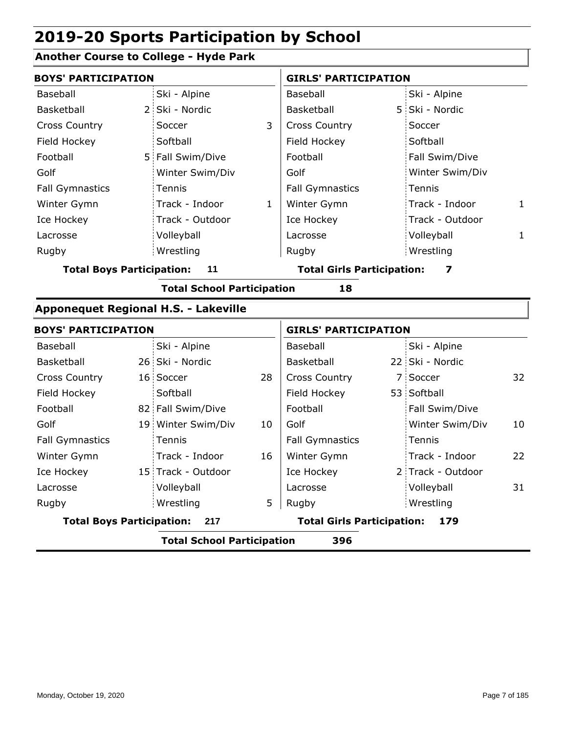### **Another Course to College - Hyde Park**

| <b>BOYS' PARTICIPATION</b>       |             |                                             |              | <b>GIRLS' PARTICIPATION</b>       |  |                   |              |
|----------------------------------|-------------|---------------------------------------------|--------------|-----------------------------------|--|-------------------|--------------|
| Baseball                         |             | Ski - Alpine                                |              | Baseball                          |  | Ski - Alpine      |              |
| Basketball                       | $2^{\circ}$ | Ski - Nordic                                |              | Basketball                        |  | 5 Ski - Nordic    |              |
| <b>Cross Country</b>             |             | Soccer                                      | 3            | <b>Cross Country</b>              |  | Soccer            |              |
| Field Hockey                     |             | Softball                                    |              | Field Hockey                      |  | Softball          |              |
| Football                         |             | 5 Fall Swim/Dive                            |              | Football                          |  | Fall Swim/Dive    |              |
| Golf                             |             | Winter Swim/Div                             |              | Golf                              |  | Winter Swim/Div   |              |
| <b>Fall Gymnastics</b>           |             | Tennis                                      |              | <b>Fall Gymnastics</b>            |  | Tennis            |              |
| Winter Gymn                      |             | Track - Indoor                              | $\mathbf{1}$ | Winter Gymn                       |  | Track - Indoor    | $\mathbf{1}$ |
| Ice Hockey                       |             | Track - Outdoor                             |              | Ice Hockey                        |  | Track - Outdoor   |              |
| Lacrosse                         |             | Volleyball                                  |              | Lacrosse                          |  | Volleyball        | 1            |
| Rugby                            |             | Wrestling                                   |              | Rugby                             |  | Wrestling         |              |
| <b>Total Boys Participation:</b> |             | 11                                          |              | <b>Total Girls Participation:</b> |  | 7                 |              |
|                                  |             | <b>Total School Participation</b>           |              | 18                                |  |                   |              |
|                                  |             | <b>Apponequet Regional H.S. - Lakeville</b> |              |                                   |  |                   |              |
| <b>BOYS' PARTICIPATION</b>       |             |                                             |              | <b>GIRLS' PARTICIPATION</b>       |  |                   |              |
| Baseball                         |             | Ski - Alpine                                |              | Baseball                          |  | Ski - Alpine      |              |
| Basketball                       |             | 26 Ski - Nordic                             |              | Basketball                        |  | 22 Ski - Nordic   |              |
| <b>Cross Country</b>             |             | 16 Soccer                                   | 28           | <b>Cross Country</b>              |  | 7 Soccer          | 32           |
| Field Hockey                     |             | Softball                                    |              | Field Hockey                      |  | 53 Softball       |              |
| Football                         |             | 82 Fall Swim/Dive                           |              | Football                          |  | Fall Swim/Dive    |              |
| Golf                             |             | 19 Winter Swim/Div                          | 10           | Golf                              |  | Winter Swim/Div   | 10           |
| <b>Fall Gymnastics</b>           |             | Tennis                                      |              | <b>Fall Gymnastics</b>            |  | Tennis            |              |
| Winter Gymn                      |             | Track - Indoor                              | 16           | Winter Gymn                       |  | Track - Indoor    | 22           |
| Ice Hockey                       |             | 15 Track - Outdoor                          |              | Ice Hockey                        |  | 2 Track - Outdoor |              |
| Lacrosse                         |             | Volleyball                                  |              | Lacrosse                          |  | Volleyball        | 31           |
| Rugby                            |             | Wrestling                                   | 5            | Rugby                             |  | Wrestling         |              |
| <b>Total Boys Participation:</b> |             | 217                                         |              | <b>Total Girls Participation:</b> |  | 179               |              |
|                                  |             | Tatal Cabaal Dautisination                  |              | 50C                               |  |                   |              |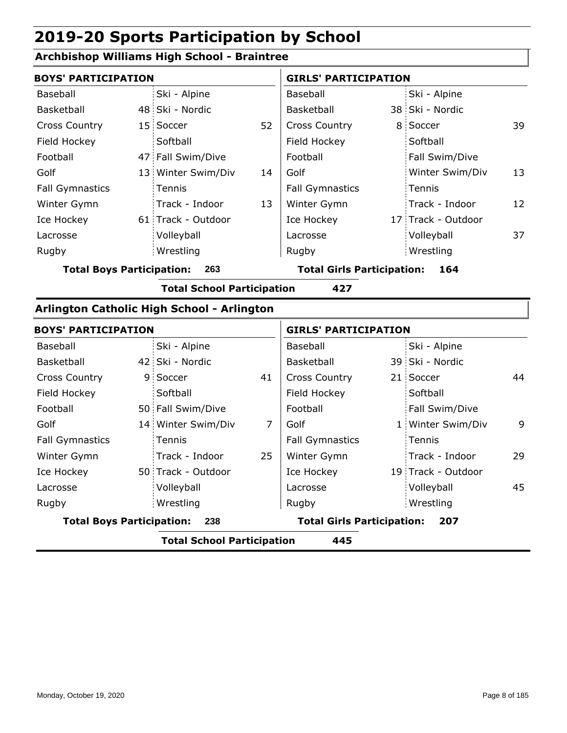### **Archbishop Williams High School - Braintree**

| <b>BOYS' PARTICIPATION</b>                 |  |                                          |    | <b>GIRLS' PARTICIPATION</b> |  |                    |    |
|--------------------------------------------|--|------------------------------------------|----|-----------------------------|--|--------------------|----|
| Baseball                                   |  | Ski - Alpine                             |    | Baseball                    |  | Ski - Alpine       |    |
| Basketball                                 |  | 48 Ski - Nordic                          |    | Basketball                  |  | 38 Ski - Nordic    |    |
| <b>Cross Country</b>                       |  | 15 Soccer                                | 52 | <b>Cross Country</b>        |  | 8 Soccer           | 39 |
| Field Hockey                               |  | Softball                                 |    | Field Hockey                |  | Softball           |    |
| Football                                   |  | 47 Fall Swim/Dive                        |    | Football                    |  | Fall Swim/Dive     |    |
| Golf                                       |  | 13 Winter Swim/Div                       | 14 | Golf                        |  | Winter Swim/Div    | 13 |
| <b>Fall Gymnastics</b>                     |  | Tennis                                   |    | <b>Fall Gymnastics</b>      |  | Tennis             |    |
| Winter Gymn                                |  | Track - Indoor                           | 13 | Winter Gymn                 |  | Track - Indoor     | 12 |
| Ice Hockey                                 |  | 61 Track - Outdoor                       |    | Ice Hockey                  |  | 17 Track - Outdoor |    |
| Lacrosse                                   |  | Volleyball                               |    | Lacrosse                    |  | Volleyball         | 37 |
| Rugby                                      |  | Wrestling                                |    | Rugby                       |  | Wrestling          |    |
| <b>Total Boys Participation:</b><br>263    |  | <b>Total Girls Participation:</b><br>164 |    |                             |  |                    |    |
|                                            |  | <b>Total School Participation</b>        |    | 427                         |  |                    |    |
| Arlington Catholic High School - Arlington |  |                                          |    |                             |  |                    |    |

| <b>BOYS' PARTICIPATION</b>              |                                          |                                          |    | <b>GIRLS' PARTICIPATION</b> |  |                    |    |  |
|-----------------------------------------|------------------------------------------|------------------------------------------|----|-----------------------------|--|--------------------|----|--|
| Baseball                                |                                          | Ski - Alpine                             |    | Baseball                    |  | Ski - Alpine       |    |  |
| Basketball                              |                                          | 42 Ski - Nordic                          |    | Basketball                  |  | 39 Ski - Nordic    |    |  |
| <b>Cross Country</b>                    |                                          | 9 Soccer                                 | 41 | <b>Cross Country</b>        |  | 21 Soccer          | 44 |  |
| Field Hockey                            |                                          | Softball                                 |    | Field Hockey                |  | Softball           |    |  |
| Football                                |                                          | 50 Fall Swim/Dive                        |    | Football                    |  | Fall Swim/Dive     |    |  |
| Golf                                    |                                          | 14 Winter Swim/Div                       | 7  | Golf                        |  | 1 Winter Swim/Div  | 9  |  |
| <b>Fall Gymnastics</b>                  |                                          | Tennis                                   |    | <b>Fall Gymnastics</b>      |  | Tennis             |    |  |
| Winter Gymn                             |                                          | Track - Indoor                           | 25 | Winter Gymn                 |  | Track - Indoor     | 29 |  |
| Ice Hockey                              |                                          | 50 Track - Outdoor                       |    | Ice Hockey                  |  | 19 Track - Outdoor |    |  |
| Lacrosse                                |                                          | Volleyball                               |    | Lacrosse                    |  | Volleyball         | 45 |  |
| Rugby                                   |                                          | Wrestling                                |    | Rugby                       |  | Wrestling          |    |  |
| <b>Total Boys Participation:</b><br>238 |                                          | <b>Total Girls Participation:</b><br>207 |    |                             |  |                    |    |  |
|                                         | <b>Total School Participation</b><br>445 |                                          |    |                             |  |                    |    |  |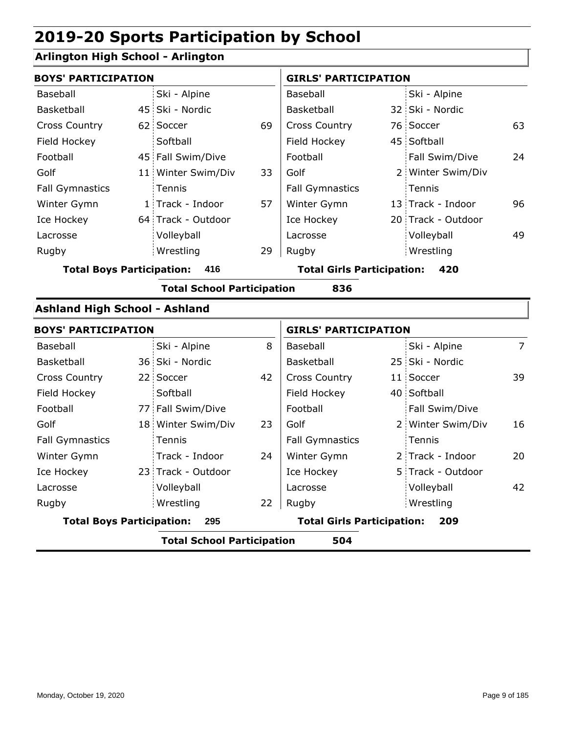### **Arlington High School - Arlington**

| <b>BOYS' PARTICIPATION</b>           |                 |                                   |    | <b>GIRLS' PARTICIPATION</b>              |  |                    |                |
|--------------------------------------|-----------------|-----------------------------------|----|------------------------------------------|--|--------------------|----------------|
| Baseball                             |                 | Ski - Alpine                      |    | Baseball                                 |  | Ski - Alpine       |                |
| Basketball                           |                 | 45 Ski - Nordic                   |    | <b>Basketball</b>                        |  | 32 Ski - Nordic    |                |
| <b>Cross Country</b>                 |                 | 62 Soccer                         | 69 | <b>Cross Country</b>                     |  | 76 Soccer          | 63             |
| Field Hockey                         |                 | Softball                          |    | Field Hockey                             |  | 45 Softball        |                |
| Football                             |                 | 45 Fall Swim/Dive                 |    | Football                                 |  | Fall Swim/Dive     | 24             |
| Golf                                 | 11 <sup>1</sup> | Winter Swim/Div                   | 33 | Golf                                     |  | 2 Winter Swim/Div  |                |
| <b>Fall Gymnastics</b>               |                 | <b>Tennis</b>                     |    | <b>Fall Gymnastics</b>                   |  | Tennis             |                |
| Winter Gymn                          |                 | 1 Track - Indoor                  | 57 | Winter Gymn                              |  | 13 Track - Indoor  | 96             |
| Ice Hockey                           |                 | 64 Track - Outdoor                |    | Ice Hockey                               |  | 20 Track - Outdoor |                |
| Lacrosse                             |                 | Volleyball                        |    | Lacrosse                                 |  | Volleyball         | 49             |
| Rugby                                |                 | Wrestling                         | 29 | Rugby                                    |  | Wrestling          |                |
| <b>Total Boys Participation:</b>     |                 | 416                               |    | <b>Total Girls Participation:</b><br>420 |  |                    |                |
|                                      |                 | <b>Total School Participation</b> |    | 836                                      |  |                    |                |
| <b>Ashland High School - Ashland</b> |                 |                                   |    |                                          |  |                    |                |
| <b>BOYS' PARTICIPATION</b>           |                 |                                   |    | <b>GIRLS' PARTICIPATION</b>              |  |                    |                |
| Baseball                             |                 | Ski - Alpine                      | 8  | Baseball                                 |  | Ski - Alpine       | $\overline{7}$ |
| <b>Basketball</b>                    |                 | 36 Ski - Nordic                   |    | Basketball                               |  | 25 Ski - Nordic    |                |

|                                         |  | <b>Total School Participation</b> |    | 504                                      |  |                   |    |
|-----------------------------------------|--|-----------------------------------|----|------------------------------------------|--|-------------------|----|
| <b>Total Boys Participation:</b><br>295 |  |                                   |    | <b>Total Girls Participation:</b><br>209 |  |                   |    |
| Rugby                                   |  | Wrestling                         | 22 | Rugby                                    |  | Wrestling         |    |
| Lacrosse                                |  | Volleyball                        |    | Lacrosse                                 |  | Volleyball        | 42 |
| Ice Hockey                              |  | 23 Track - Outdoor                |    | Ice Hockey                               |  | 5 Track - Outdoor |    |
| Winter Gymn                             |  | Track - Indoor                    | 24 | Winter Gymn                              |  | 2 Track - Indoor  | 20 |
| <b>Fall Gymnastics</b>                  |  | <b>Tennis</b>                     |    | <b>Fall Gymnastics</b>                   |  | Tennis            |    |
| Golf                                    |  | 18 Winter Swim/Div                | 23 | Golf                                     |  | 2 Winter Swim/Div | 16 |
| Football                                |  | 77 Fall Swim/Dive                 |    | Football                                 |  | Fall Swim/Dive    |    |
| Field Hockey                            |  | Softball                          |    | Field Hockey                             |  | 40 Softball       |    |
| <b>Cross Country</b>                    |  | 22 Soccer                         | 42 | <b>Cross Country</b>                     |  | 11 Soccer         | 39 |
| Basketball                              |  | 36 SKI - NOrdic                   |    | Basketball                               |  | 25 SKI - NOrdic   |    |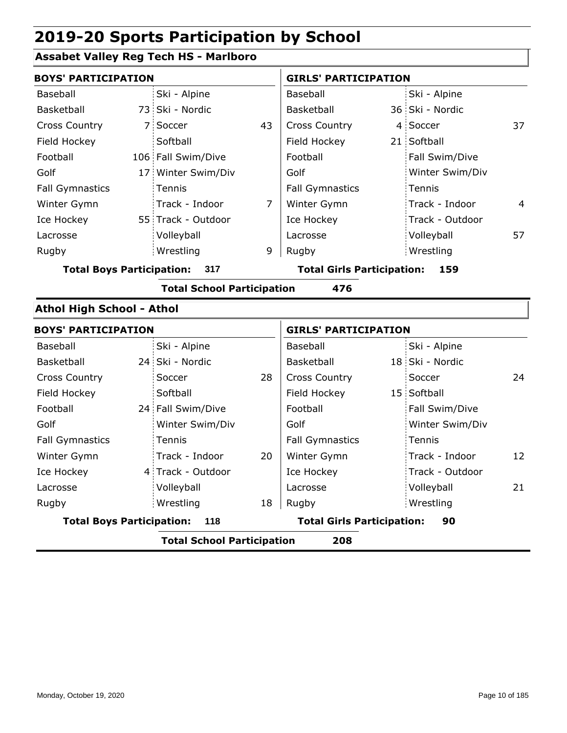### **Assabet Valley Reg Tech HS - Marlboro**

| <b>BOYS' PARTICIPATION</b>              |  |                                   |                                   | <b>GIRLS' PARTICIPATION</b> |     |                 |    |
|-----------------------------------------|--|-----------------------------------|-----------------------------------|-----------------------------|-----|-----------------|----|
| Baseball                                |  | Ski - Alpine                      |                                   | Baseball                    |     | Ski - Alpine    |    |
| Basketball                              |  | 73 Ski - Nordic                   |                                   | Basketball                  |     | 36 Ski - Nordic |    |
| <b>Cross Country</b>                    |  | 7 Soccer                          | 43                                | <b>Cross Country</b>        |     | 4 Soccer        | 37 |
| Field Hockey                            |  | Softball                          |                                   | Field Hockey                |     | 21 Softball     |    |
| Football                                |  | 106 Fall Swim/Dive                |                                   | Football                    |     | Fall Swim/Dive  |    |
| Golf                                    |  | 17 Winter Swim/Div                |                                   | Golf                        |     | Winter Swim/Div |    |
| <b>Fall Gymnastics</b>                  |  | Tennis                            |                                   | <b>Fall Gymnastics</b>      |     | Tennis          |    |
| Winter Gymn                             |  | Track - Indoor                    | $\overline{7}$                    | Winter Gymn                 |     | Track - Indoor  | 4  |
| Ice Hockey                              |  | 55 Track - Outdoor                |                                   | Ice Hockey                  |     | Track - Outdoor |    |
| Lacrosse                                |  | Volleyball                        |                                   | Lacrosse                    |     | Volleyball      | 57 |
| Rugby                                   |  | Wrestling                         | 9                                 | Rugby                       |     | Wrestling       |    |
| <b>Total Boys Participation:</b><br>317 |  |                                   | <b>Total Girls Participation:</b> |                             | 159 |                 |    |
|                                         |  | <b>Total School Participation</b> |                                   | 476                         |     |                 |    |
| <b>Athol High School - Athol</b>        |  |                                   |                                   |                             |     |                 |    |
| <b>BOYS' PARTICIPATION</b>              |  |                                   |                                   | <b>GIRLS' PARTICIPATION</b> |     |                 |    |
| Baseball                                |  | Ski - Alpine                      |                                   | Baseball                    |     | Ski - Alpine    |    |
| Basketball                              |  | 24 Ski - Nordic                   |                                   | Basketball                  |     | 18 Ski - Nordic |    |
| <b>Cross Country</b>                    |  | Soccer                            | 28                                | <b>Cross Country</b>        |     | Soccer          | 24 |
| Field Hockey                            |  | Softball                          |                                   | Field Hockey                |     | 15 Softball     |    |
| Football                                |  | 24 Fall Swim/Dive                 |                                   | Football                    |     | Fall Swim/Dive  |    |
| Golf                                    |  | Winter Swim/Div                   |                                   | Golf                        |     | Winter Swim/Div |    |
| <b>Fall Gymnastics</b>                  |  | Tennis                            |                                   | <b>Fall Gymnastics</b>      |     | Tennis          |    |
| Winter Gymn                             |  | Track - Indoor                    | 20                                | Winter Gymn                 |     | Track - Indoor  | 12 |
| Ice Hockey                              |  | 4 Track - Outdoor                 |                                   | Ice Hockey                  |     | Track - Outdoor |    |

Lacrosse

| Rugby                            | Wrestling                         | Rugby<br>18 | Wrestling                         |    |
|----------------------------------|-----------------------------------|-------------|-----------------------------------|----|
| <b>Total Boys Participation:</b> | 118                               |             | <b>Total Girls Participation:</b> | 90 |
|                                  | <b>Total School Participation</b> |             | 208                               |    |
|                                  |                                   |             |                                   |    |
|                                  |                                   |             |                                   |    |

Volleyball

Lacrosse

Volleyball 21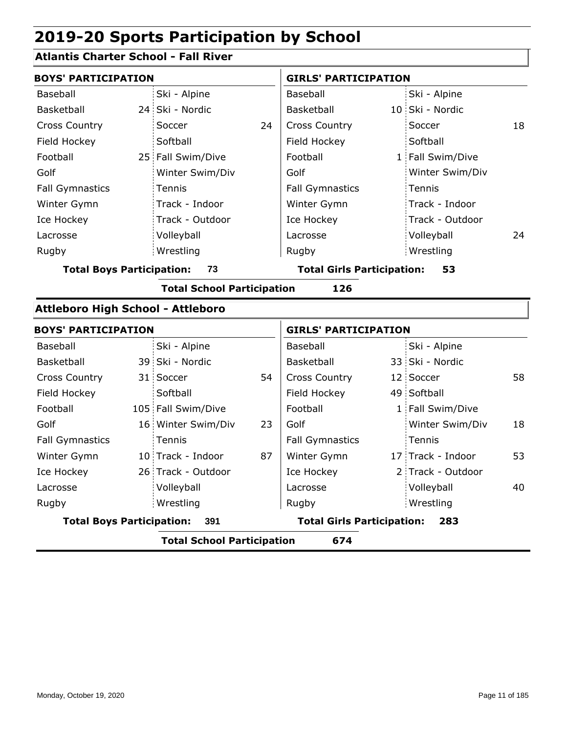### **Atlantis Charter School - Fall River**

| <b>BOYS' PARTICIPATION</b>        |                                   |    | <b>GIRLS' PARTICIPATION</b>       |  |                   |    |  |
|-----------------------------------|-----------------------------------|----|-----------------------------------|--|-------------------|----|--|
| Baseball                          | Ski - Alpine                      |    | Baseball                          |  | Ski - Alpine      |    |  |
| Basketball                        | 24 Ski - Nordic                   |    | Basketball                        |  | 10 Ski - Nordic   |    |  |
| <b>Cross Country</b>              | Soccer                            | 24 | <b>Cross Country</b>              |  | Soccer            | 18 |  |
| Field Hockey                      | Softball                          |    | Field Hockey                      |  | Softball          |    |  |
| Football                          | 25 Fall Swim/Dive                 |    | Football                          |  | 1 Fall Swim/Dive  |    |  |
| Golf                              | Winter Swim/Div                   |    | Golf                              |  | Winter Swim/Div   |    |  |
| <b>Fall Gymnastics</b>            | Tennis                            |    | <b>Fall Gymnastics</b>            |  | Tennis            |    |  |
| Winter Gymn                       | Track - Indoor                    |    | Winter Gymn                       |  | Track - Indoor    |    |  |
| Ice Hockey                        | Track - Outdoor                   |    | Ice Hockey                        |  | Track - Outdoor   |    |  |
| Lacrosse                          | Volleyball                        |    | Lacrosse                          |  | Volleyball        | 24 |  |
| Rugby                             | Wrestling                         |    | Rugby                             |  | Wrestling         |    |  |
| <b>Total Boys Participation:</b>  | 73                                |    | <b>Total Girls Participation:</b> |  | 53                |    |  |
|                                   | <b>Total School Participation</b> |    | 126                               |  |                   |    |  |
| Attleboro High School - Attleboro |                                   |    |                                   |  |                   |    |  |
| <b>BOYS' PARTICIPATION</b>        |                                   |    | <b>GIRLS' PARTICIPATION</b>       |  |                   |    |  |
| Baseball                          | Ski - Alpine                      |    | Baseball                          |  | Ski - Alpine      |    |  |
| Basketball                        | 39 Ski - Nordic                   |    | Basketball                        |  | 33 Ski - Nordic   |    |  |
| <b>Cross Country</b>              | 31 Soccer                         | 54 | <b>Cross Country</b>              |  | 12 Soccer         | 58 |  |
| Field Hockey                      | Softball                          |    | Field Hockey                      |  | 49 Softball       |    |  |
| Football                          | 105 Fall Swim/Dive                |    | Football                          |  | 1 Fall Swim/Dive  |    |  |
| Golf                              | 16 Winter Swim/Div                | 23 | Golf                              |  | Winter Swim/Div   | 18 |  |
| <b>Fall Gymnastics</b>            | Tennis                            |    | <b>Fall Gymnastics</b>            |  | Tennis            |    |  |
| Winter Gymn                       | 10 Track - Indoor                 | 87 | Winter Gymn                       |  | 17 Track - Indoor | 53 |  |
| Ice Hockey                        | 26 Track - Outdoor                |    | Ice Hockey                        |  | 2 Track - Outdoor |    |  |
| Lacrosse                          | Volleyball                        |    | Lacrosse                          |  | Volleyball        | 40 |  |
| Rugby                             | Wrestling                         |    | Rugby                             |  | Wrestling         |    |  |
| <b>Total Boys Participation:</b>  | 391                               |    | <b>Total Girls Participation:</b> |  | 283               |    |  |
|                                   | <b>Total School Participation</b> |    | 674                               |  |                   |    |  |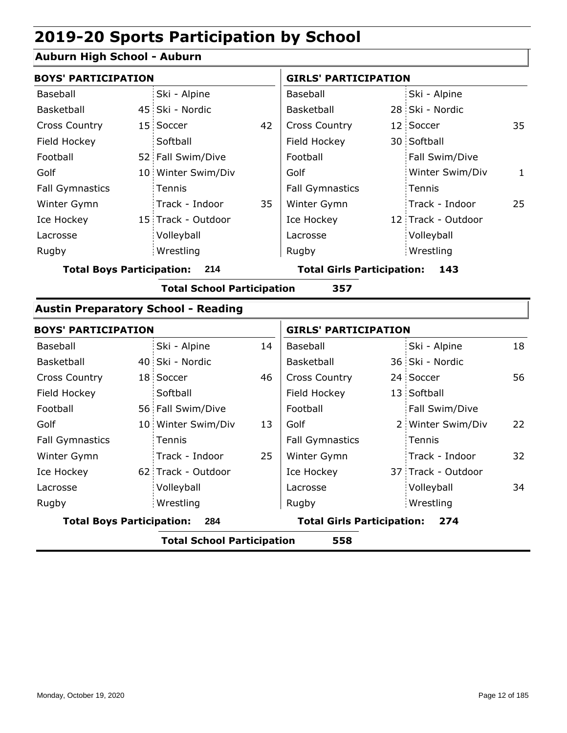#### **Auburn High School - Auburn**

| <b>BOYS' PARTICIPATION</b>              |  |                    |                                   | <b>GIRLS' PARTICIPATION</b> |     |                    |    |
|-----------------------------------------|--|--------------------|-----------------------------------|-----------------------------|-----|--------------------|----|
| Baseball                                |  | Ski - Alpine       |                                   | Baseball                    |     | Ski - Alpine       |    |
| Basketball                              |  | 45 Ski - Nordic    |                                   | Basketball                  |     | 28 Ski - Nordic    |    |
| <b>Cross Country</b>                    |  | 15 Soccer          | 42                                | <b>Cross Country</b>        |     | 12 Soccer          | 35 |
| Field Hockey                            |  | Softball           |                                   | Field Hockey                |     | 30 Softball        |    |
| Football                                |  | 52 Fall Swim/Dive  |                                   | Football                    |     | Fall Swim/Dive     |    |
| Golf                                    |  | 10 Winter Swim/Div |                                   | Golf                        |     | Winter Swim/Div    | 1  |
| <b>Fall Gymnastics</b>                  |  | Tennis             |                                   | <b>Fall Gymnastics</b>      |     | Tennis             |    |
| Winter Gymn                             |  | Track - Indoor     | 35                                | Winter Gymn                 |     | Track - Indoor     | 25 |
| Ice Hockey                              |  | 15 Track - Outdoor |                                   | Ice Hockey                  |     | 12 Track - Outdoor |    |
| Lacrosse                                |  | Volleyball         |                                   | Lacrosse                    |     | Volleyball         |    |
| Rugby                                   |  | Wrestling          |                                   | Rugby                       |     | Wrestling          |    |
| <b>Total Boys Participation:</b><br>214 |  |                    | <b>Total Girls Participation:</b> |                             | 143 |                    |    |

**Total School Participation 357**

#### **Austin Preparatory School - Reading**

| <b>BOYS' PARTICIPATION</b>               |  |                    |    | <b>GIRLS' PARTICIPATION</b>       |  |                    |    |
|------------------------------------------|--|--------------------|----|-----------------------------------|--|--------------------|----|
| Baseball                                 |  | Ski - Alpine       | 14 | Baseball                          |  | Ski - Alpine       | 18 |
| <b>Basketball</b>                        |  | 40 Ski - Nordic    |    | Basketball                        |  | 36 Ski - Nordic    |    |
| <b>Cross Country</b>                     |  | 18 Soccer          | 46 | <b>Cross Country</b>              |  | 24 Soccer          | 56 |
| Field Hockey                             |  | Softball           |    | Field Hockey                      |  | 13 Softball        |    |
| Football                                 |  | 56 Fall Swim/Dive  |    | Football                          |  | Fall Swim/Dive     |    |
| Golf                                     |  | 10 Winter Swim/Div | 13 | Golf                              |  | 2 Winter Swim/Div  | 22 |
| <b>Fall Gymnastics</b>                   |  | Tennis             |    | <b>Fall Gymnastics</b>            |  | Tennis             |    |
| Winter Gymn                              |  | Track - Indoor     | 25 | Winter Gymn                       |  | Track - Indoor     | 32 |
| Ice Hockey                               |  | 62 Track - Outdoor |    | Ice Hockey                        |  | 37 Track - Outdoor |    |
| Lacrosse                                 |  | Volleyball         |    | Lacrosse                          |  | Volleyball         | 34 |
| Rugby                                    |  | Wrestling          |    | Rugby                             |  | Wrestling          |    |
| <b>Total Boys Participation:</b>         |  | 284                |    | <b>Total Girls Participation:</b> |  | 274                |    |
| 558<br><b>Total School Participation</b> |  |                    |    |                                   |  |                    |    |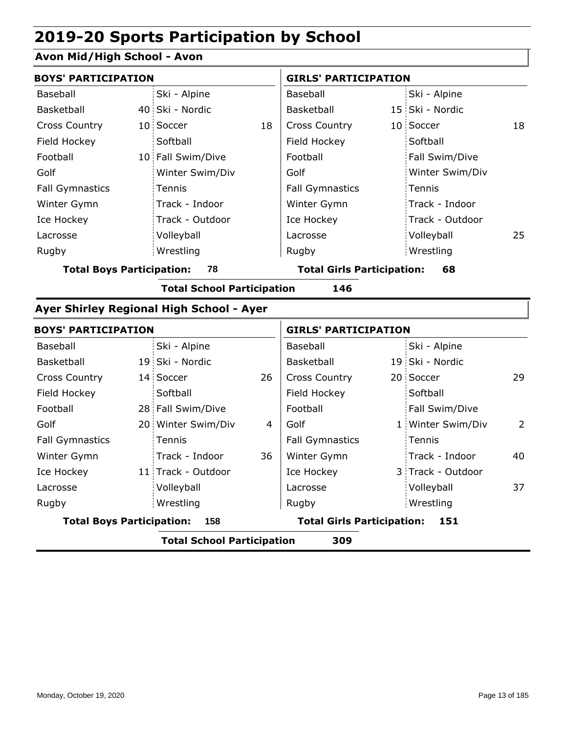### **Avon Mid/High School - Avon**

| <b>BOYS' PARTICIPATION</b>       |                                                 |                | <b>GIRLS' PARTICIPATION</b>       |  |                   |    |
|----------------------------------|-------------------------------------------------|----------------|-----------------------------------|--|-------------------|----|
| Baseball                         | Ski - Alpine                                    |                | Baseball                          |  | Ski - Alpine      |    |
| Basketball                       | 40 Ski - Nordic                                 |                | Basketball                        |  | 15 Ski - Nordic   |    |
| <b>Cross Country</b>             | 10 Soccer                                       | 18             | <b>Cross Country</b>              |  | 10 Soccer         | 18 |
| Field Hockey                     | Softball                                        |                | Field Hockey                      |  | Softball          |    |
| Football                         | 10 Fall Swim/Dive                               |                | Football                          |  | Fall Swim/Dive    |    |
| Golf                             | Winter Swim/Div                                 |                | Golf                              |  | Winter Swim/Div   |    |
| <b>Fall Gymnastics</b>           | Tennis                                          |                | <b>Fall Gymnastics</b>            |  | Tennis            |    |
| Winter Gymn                      | Track - Indoor                                  |                | Winter Gymn                       |  | Track - Indoor    |    |
| Ice Hockey                       | Track - Outdoor                                 |                | Ice Hockey                        |  | Track - Outdoor   |    |
| Lacrosse                         | Volleyball                                      |                | Lacrosse                          |  | Volleyball        | 25 |
| Rugby                            | Wrestling                                       |                | Rugby                             |  | Wrestling         |    |
| <b>Total Boys Participation:</b> | 78                                              |                | <b>Total Girls Participation:</b> |  | 68                |    |
|                                  | <b>Total School Participation</b>               |                | 146                               |  |                   |    |
|                                  | <b>Ayer Shirley Regional High School - Ayer</b> |                |                                   |  |                   |    |
| <b>BOYS' PARTICIPATION</b>       |                                                 |                | <b>GIRLS' PARTICIPATION</b>       |  |                   |    |
| Baseball                         | Ski - Alpine                                    |                | Baseball                          |  | Ski - Alpine      |    |
| Basketball                       | 19 Ski - Nordic                                 |                | Basketball                        |  | 19 Ski - Nordic   |    |
| <b>Cross Country</b>             | 14 Soccer                                       | 26             | <b>Cross Country</b>              |  | 20 Soccer         | 29 |
| Field Hockey                     | Softball                                        |                | Field Hockey                      |  | Softball          |    |
| Football                         | 28 Fall Swim/Dive                               |                | Football                          |  | Fall Swim/Dive    |    |
| Golf                             | 20 Winter Swim/Div                              | $\overline{4}$ | Golf                              |  | 1 Winter Swim/Div | 2  |
| <b>Fall Gymnastics</b>           | Tennis                                          |                | <b>Fall Gymnastics</b>            |  | Tennis            |    |
| Winter Gymn                      | Track - Indoor                                  | 36             | Winter Gymn                       |  | Track - Indoor    | 40 |
| Ice Hockey                       | 11 Track - Outdoor                              |                | Ice Hockey                        |  | 3 Track - Outdoor |    |
| Lacrosse                         | Volleyball                                      |                | Lacrosse                          |  | Volleyball        | 37 |
| Rugby                            | Wrestling                                       |                | Rugby                             |  | Wrestling         |    |

**Total Boys Participation: 158 Total Girls Participation: 151**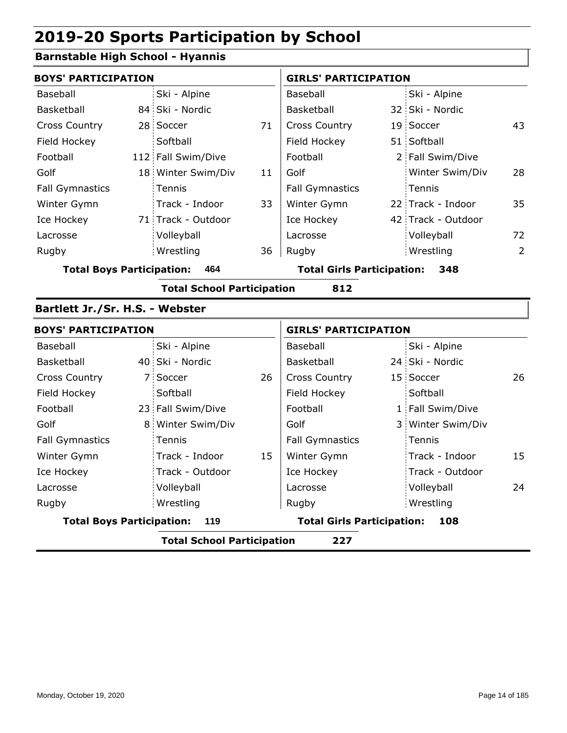### **Barnstable High School - Hyannis**

| <b>BOYS' PARTICIPATION</b>       |                                   |    | <b>GIRLS' PARTICIPATION</b>              |  |                    |                |  |
|----------------------------------|-----------------------------------|----|------------------------------------------|--|--------------------|----------------|--|
| Baseball                         | Ski - Alpine                      |    | Baseball                                 |  | Ski - Alpine       |                |  |
| Basketball                       | 84 Ski - Nordic                   |    | Basketball                               |  | 32 Ski - Nordic    |                |  |
| <b>Cross Country</b>             | 28 Soccer                         | 71 | <b>Cross Country</b>                     |  | 19 Soccer          | 43             |  |
| Field Hockey                     | Softball                          |    | Field Hockey                             |  | 51 Softball        |                |  |
| Football                         | 112 Fall Swim/Dive                |    | Football                                 |  | 2 Fall Swim/Dive   |                |  |
| Golf                             | 18 Winter Swim/Div                | 11 | Golf                                     |  | Winter Swim/Div    | 28             |  |
| <b>Fall Gymnastics</b>           | Tennis                            |    | <b>Fall Gymnastics</b>                   |  | Tennis             |                |  |
| Winter Gymn                      | Track - Indoor                    | 33 | Winter Gymn                              |  | 22 Track - Indoor  | 35             |  |
| Ice Hockey                       | 71 Track - Outdoor                |    | Ice Hockey                               |  | 42 Track - Outdoor |                |  |
| Lacrosse                         | Volleyball                        |    | Lacrosse                                 |  | Volleyball         | 72             |  |
| Rugby                            | Wrestling                         | 36 | Rugby                                    |  | Wrestling          | $\overline{2}$ |  |
| <b>Total Boys Participation:</b> | 464                               |    | <b>Total Girls Participation:</b><br>348 |  |                    |                |  |
|                                  | <b>Total School Participation</b> |    | 812                                      |  |                    |                |  |
| Bartlett Jr./Sr. H.S. - Webster  |                                   |    |                                          |  |                    |                |  |
| <b>BOYS' PARTICIPATION</b>       |                                   |    | <b>GIRLS' PARTICIPATION</b>              |  |                    |                |  |
| Baseball                         | Ski - Alpine                      |    | <b>Baseball</b>                          |  | Ski - Alpine       |                |  |
| Rackothall                       | AN Chi - Nordic                   |    | Backothall I                             |  | 24 Chi - Nordic    |                |  |

| Baseball               |                                         | SKI - Alpine      |    | Baseball                                 |  | SKI - Alpine      |    |
|------------------------|-----------------------------------------|-------------------|----|------------------------------------------|--|-------------------|----|
| Basketball             |                                         | 40 Ski - Nordic   |    | Basketball                               |  | 24 Ski - Nordic   |    |
| <b>Cross Country</b>   |                                         | 7 Soccer          | 26 | <b>Cross Country</b>                     |  | 15 Soccer         | 26 |
| Field Hockey           |                                         | Softball          |    | Field Hockey                             |  | Softball          |    |
| Football               |                                         | 23 Fall Swim/Dive |    | Football                                 |  | 1 Fall Swim/Dive  |    |
| Golf                   |                                         | 8 Winter Swim/Div |    | Golf                                     |  | 3 Winter Swim/Div |    |
| <b>Fall Gymnastics</b> |                                         | <b>Tennis</b>     |    | <b>Fall Gymnastics</b>                   |  | Tennis            |    |
| Winter Gymn            |                                         | Track - Indoor    | 15 | Winter Gymn                              |  | Track - Indoor    | 15 |
| Ice Hockey             |                                         | Track - Outdoor   |    | Ice Hockey                               |  | Track - Outdoor   |    |
| Lacrosse               |                                         | Volleyball        |    | Lacrosse                                 |  | Volleyball        | 24 |
| Rugby                  |                                         | Wrestling         |    | Rugby                                    |  | Wrestling         |    |
|                        | <b>Total Boys Participation:</b><br>119 |                   |    | <b>Total Girls Participation:</b><br>108 |  |                   |    |
|                        |                                         |                   |    |                                          |  |                   |    |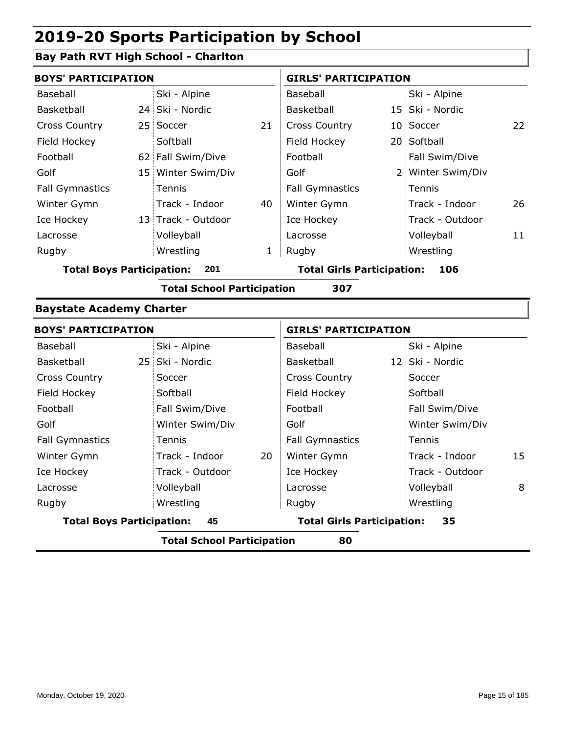### **Bay Path RVT High School - Charlton**

| <b>BOYS' PARTICIPATION</b> |                    |    | <b>GIRLS' PARTICIPATION</b>  |  |                   |    |
|----------------------------|--------------------|----|------------------------------|--|-------------------|----|
| Baseball                   | Ski - Alpine       |    | Baseball                     |  | Ski - Alpine      |    |
| Basketball                 | 24 Ski - Nordic    |    | <b>Basketball</b>            |  | 15 Ski - Nordic   |    |
| <b>Cross Country</b>       | 25 Soccer          | 21 | <b>Cross Country</b>         |  | 10 Soccer         | 22 |
| Field Hockey               | Softball           |    | Field Hockey                 |  | 20 Softball       |    |
| Football                   | 62 Fall Swim/Dive  |    | Football                     |  | Fall Swim/Dive    |    |
| Golf                       | 15 Winter Swim/Div |    | Golf                         |  | 2 Winter Swim/Div |    |
| <b>Fall Gymnastics</b>     | Tennis             |    | <b>Fall Gymnastics</b>       |  | : Tennis          |    |
| Winter Gymn                | Track - Indoor     | 40 | Winter Gymn                  |  | Track - Indoor    | 26 |
| Ice Hockey                 | 13 Track - Outdoor |    | Ice Hockey                   |  | Track - Outdoor   |    |
| Lacrosse                   | Volleyball         |    | Lacrosse                     |  | Volleyball        | 11 |
| Rugby                      | Wrestling          | 1  | Rugby                        |  | Wrestling         |    |
| Tatal Dave Davtisination:  | 201                |    | Tatal Civia Bayticination: I |  | 10C               |    |

**Total Boys Participation: 201 Total Girls Participation: 106**

**Total School Participation 307**

#### **Baystate Academy Charter**

| <b>BOYS' PARTICIPATION</b>       |                      | <b>GIRLS' PARTICIPATION</b>             |                      |  |  |
|----------------------------------|----------------------|-----------------------------------------|----------------------|--|--|
| Baseball                         | Ski - Alpine         | Baseball                                | Ski - Alpine         |  |  |
| Basketball                       | 25 Ski - Nordic      | Basketball                              | 12 Ski - Nordic      |  |  |
| <b>Cross Country</b>             | Soccer               | <b>Cross Country</b>                    | Soccer               |  |  |
| Field Hockey                     | Softball             | Field Hockey                            | Softball             |  |  |
| Football                         | Fall Swim/Dive       | Football                                | Fall Swim/Dive       |  |  |
| Golf                             | Winter Swim/Div      | Golf                                    | Winter Swim/Div      |  |  |
| <b>Fall Gymnastics</b>           | Tennis               | <b>Fall Gymnastics</b>                  | Tennis               |  |  |
| Winter Gymn                      | Track - Indoor<br>20 | Winter Gymn                             | 15<br>Track - Indoor |  |  |
| Ice Hockey                       | Track - Outdoor      | Ice Hockey                              | Track - Outdoor      |  |  |
| Lacrosse                         | Volleyball           | Lacrosse                                | Volleyball<br>8      |  |  |
| Rugby                            | Wrestling            | Rugby                                   | Wrestling            |  |  |
| <b>Total Boys Participation:</b> | 45                   | <b>Total Girls Participation:</b><br>35 |                      |  |  |
|                                  | .                    |                                         |                      |  |  |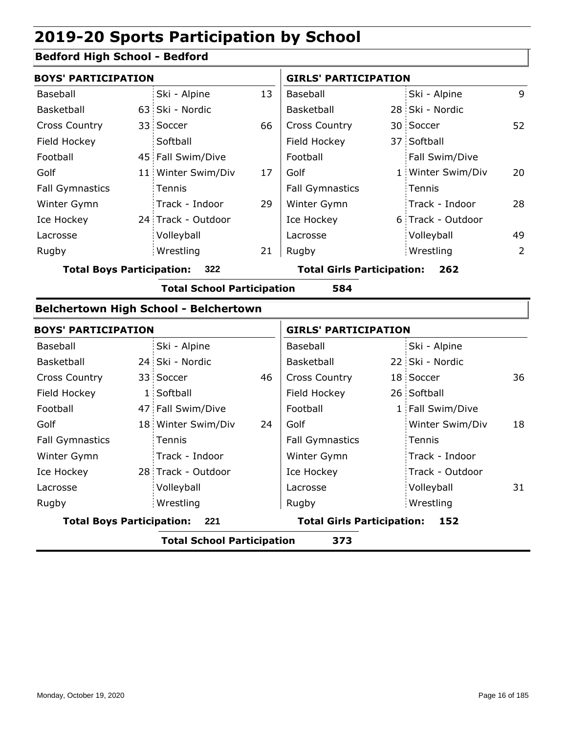#### **Bedford High School - Bedford**

| <b>BOYS' PARTICIPATION</b>              |  |                    |                                   | <b>GIRLS' PARTICIPATION</b> |     |                   |    |
|-----------------------------------------|--|--------------------|-----------------------------------|-----------------------------|-----|-------------------|----|
| Baseball                                |  | Ski - Alpine       | 13                                | Baseball                    |     | Ski - Alpine      | 9  |
| Basketball                              |  | 63 Ski - Nordic    |                                   | Basketball                  |     | 28 Ski - Nordic   |    |
| <b>Cross Country</b>                    |  | 33 Soccer          | 66                                | <b>Cross Country</b>        |     | 30 Soccer         | 52 |
| Field Hockey                            |  | Softball           |                                   | Field Hockey                |     | 37 Softball       |    |
| Football                                |  | 45 Fall Swim/Dive  |                                   | Football                    |     | Fall Swim/Dive    |    |
| Golf                                    |  | 11 Winter Swim/Div | 17                                | Golf                        |     | 1 Winter Swim/Div | 20 |
| <b>Fall Gymnastics</b>                  |  | Tennis             |                                   | <b>Fall Gymnastics</b>      |     | : Tennis          |    |
| Winter Gymn                             |  | Track - Indoor     | 29                                | Winter Gymn                 |     | Track - Indoor    | 28 |
| Ice Hockey                              |  | 24 Track - Outdoor |                                   | Ice Hockey                  |     | 6 Track - Outdoor |    |
| Lacrosse                                |  | Volleyball         |                                   | Lacrosse                    |     | Volleyball        | 49 |
| Rugby                                   |  | Wrestling          | 21                                | Rugby                       |     | Wrestling         | 2  |
| 322<br><b>Total Boys Participation:</b> |  |                    | <b>Total Girls Participation:</b> |                             | 262 |                   |    |

**Total School Participation 584**

### **Belchertown High School - Belchertown**

| <b>BOYS' PARTICIPATION</b>                |  |                    |                                          | <b>GIRLS' PARTICIPATION</b> |  |                  |    |
|-------------------------------------------|--|--------------------|------------------------------------------|-----------------------------|--|------------------|----|
| Baseball                                  |  | Ski - Alpine       |                                          | Baseball                    |  | Ski - Alpine     |    |
| Basketball                                |  | 24 Ski - Nordic    |                                          | Basketball                  |  | 22 Ski - Nordic  |    |
| <b>Cross Country</b>                      |  | 33 Soccer          | 46                                       | <b>Cross Country</b>        |  | 18 Soccer        | 36 |
| Field Hockey                              |  | 1 Softball         |                                          | Field Hockey                |  | 26 Softball      |    |
| Football                                  |  | 47 Fall Swim/Dive  |                                          | Football                    |  | 1 Fall Swim/Dive |    |
| Golf                                      |  | 18 Winter Swim/Div | 24                                       | Golf                        |  | Winter Swim/Div  | 18 |
| <b>Fall Gymnastics</b>                    |  | <b>Tennis</b>      |                                          | <b>Fall Gymnastics</b>      |  | Tennis           |    |
| Winter Gymn                               |  | Track - Indoor     |                                          | Winter Gymn                 |  | Track - Indoor   |    |
| Ice Hockey                                |  | 28 Track - Outdoor |                                          | Ice Hockey                  |  | Track - Outdoor  |    |
| Lacrosse                                  |  | Volleyball         |                                          | Lacrosse                    |  | Volleyball       | 31 |
| Rugby                                     |  | Wrestling          |                                          | Rugby                       |  | Wrestling        |    |
| <b>Total Boys Participation:</b><br>- 221 |  |                    | <b>Total Girls Participation:</b><br>152 |                             |  |                  |    |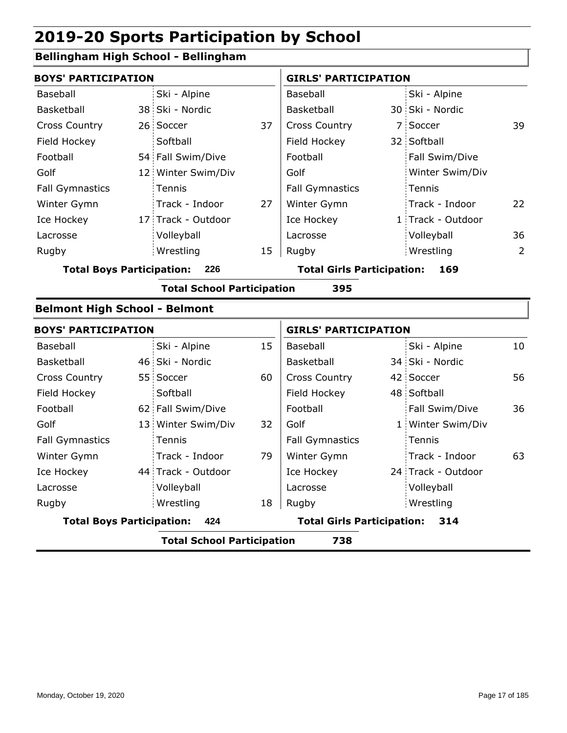### **Bellingham High School - Bellingham**

| <b>BOYS' PARTICIPATION</b>           |                                   |    | <b>GIRLS' PARTICIPATION</b>       |                    |    |
|--------------------------------------|-----------------------------------|----|-----------------------------------|--------------------|----|
| <b>Baseball</b>                      | Ski - Alpine                      |    | Baseball                          | Ski - Alpine       |    |
| Basketball                           | 38 Ski - Nordic                   |    | Basketball                        | 30 Ski - Nordic    |    |
| <b>Cross Country</b>                 | 26 Soccer                         | 37 | <b>Cross Country</b>              | 7 Soccer           | 39 |
| Field Hockey                         | Softball                          |    | Field Hockey                      | 32 Softball        |    |
| Football                             | 54 Fall Swim/Dive                 |    | Football                          | Fall Swim/Dive     |    |
| Golf                                 | 12 Winter Swim/Div                |    | Golf                              | Winter Swim/Div    |    |
| <b>Fall Gymnastics</b>               | Tennis                            |    | <b>Fall Gymnastics</b>            | Tennis             |    |
| Winter Gymn                          | Track - Indoor                    | 27 | Winter Gymn                       | Track - Indoor     | 22 |
| Ice Hockey                           | 17 Track - Outdoor                |    | Ice Hockey                        | 1 Track - Outdoor  |    |
| Lacrosse                             | Volleyball                        |    | Lacrosse                          | Volleyball         | 36 |
| Rugby                                | Wrestling                         | 15 | Rugby                             | Wrestling          | 2  |
| <b>Total Boys Participation:</b>     | 226                               |    | <b>Total Girls Participation:</b> | 169                |    |
|                                      | <b>Total School Participation</b> |    | 395                               |                    |    |
| <b>Belmont High School - Belmont</b> |                                   |    |                                   |                    |    |
| <b>BOYS' PARTICIPATION</b>           |                                   |    | <b>GIRLS' PARTICIPATION</b>       |                    |    |
| Baseball                             | Ski - Alpine                      | 15 | Baseball                          | Ski - Alpine       | 10 |
| Basketball                           | 46 Ski - Nordic                   |    | Basketball                        | 34 Ski - Nordic    |    |
| <b>Cross Country</b>                 | 55 Soccer                         | 60 | <b>Cross Country</b>              | 42 Soccer          | 56 |
| Field Hockey                         | Softball                          |    | Field Hockey                      | 48 Softball        |    |
| Football                             | 62 Fall Swim/Dive                 |    | Football                          | Fall Swim/Dive     | 36 |
| Golf                                 | 13 Winter Swim/Div                | 32 | Golf                              | 1 Winter Swim/Div  |    |
| <b>Fall Gymnastics</b>               | Tennis                            |    | <b>Fall Gymnastics</b>            | Tennis             |    |
| Winter Gymn                          | Track - Indoor                    | 79 | Winter Gymn                       | Track - Indoor     | 63 |
| Ice Hockey                           | 44 Track - Outdoor                |    | Ice Hockey                        | 24 Track - Outdoor |    |
| Lacrosse                             | Volleyball                        |    | Lacrosse                          | Volleyball         |    |
| Rugby                                | Wrestling                         | 18 | Rugby                             | Wrestling          |    |
| <b>Total Boys Participation:</b>     | 424                               |    | <b>Total Girls Participation:</b> | 314                |    |
|                                      | <b>Total School Participation</b> |    | 738                               |                    |    |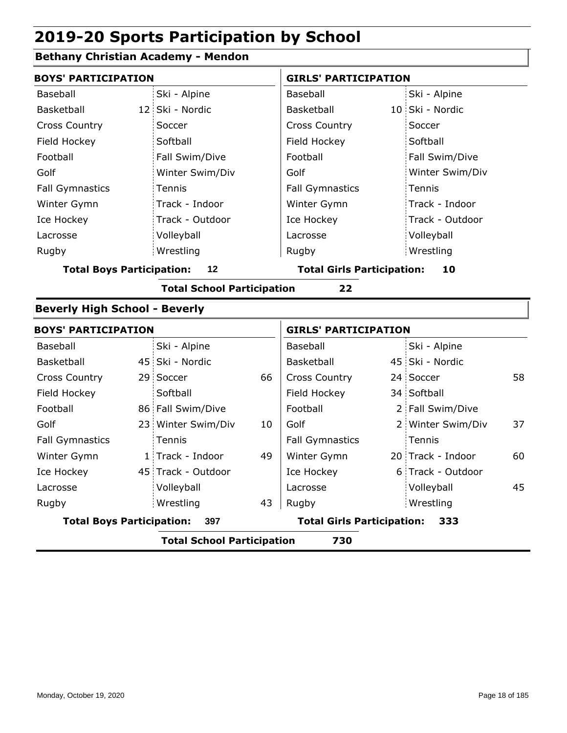### **Bethany Christian Academy - Mendon**

| <b>BOYS' PARTICIPATION</b>               |            |                                   |    | <b>GIRLS' PARTICIPATION</b>             |  |                   |    |  |
|------------------------------------------|------------|-----------------------------------|----|-----------------------------------------|--|-------------------|----|--|
| Baseball                                 |            | Ski - Alpine                      |    | Baseball                                |  | Ski - Alpine      |    |  |
| Basketball                               |            | 12 Ski - Nordic                   |    | Basketball                              |  | 10 Ski - Nordic   |    |  |
| <b>Cross Country</b>                     | Soccer     |                                   |    | <b>Cross Country</b>                    |  | Soccer            |    |  |
| Field Hockey                             | Softball   |                                   |    | Field Hockey                            |  | Softball          |    |  |
| Football                                 |            | Fall Swim/Dive                    |    | Football                                |  | Fall Swim/Dive    |    |  |
| Golf                                     |            | Winter Swim/Div                   |    | Golf                                    |  | Winter Swim/Div   |    |  |
| <b>Fall Gymnastics</b>                   | Tennis     |                                   |    | <b>Fall Gymnastics</b>                  |  | Tennis            |    |  |
| Winter Gymn                              |            | Track - Indoor                    |    | Winter Gymn                             |  | Track - Indoor    |    |  |
| Ice Hockey                               |            | Track - Outdoor                   |    | Ice Hockey                              |  | Track - Outdoor   |    |  |
| Lacrosse                                 |            | Volleyball                        |    | Lacrosse                                |  | Volleyball        |    |  |
| Rugby                                    | Wrestling  |                                   |    | Rugby                                   |  | Wrestling         |    |  |
| <b>Total Boys Participation:</b><br>12   |            |                                   |    | <b>Total Girls Participation:</b><br>10 |  |                   |    |  |
|                                          |            | <b>Total School Participation</b> |    | 22                                      |  |                   |    |  |
| <b>Beverly High School - Beverly</b>     |            |                                   |    |                                         |  |                   |    |  |
| <b>BOYS' PARTICIPATION</b>               |            |                                   |    | <b>GIRLS' PARTICIPATION</b>             |  |                   |    |  |
| Baseball                                 |            | Ski - Alpine                      |    | Baseball                                |  | Ski - Alpine      |    |  |
| Basketball                               |            | 45 Ski - Nordic                   |    | Basketball                              |  | 45 Ski - Nordic   |    |  |
| <b>Cross Country</b>                     | 29 Soccer  |                                   | 66 | Cross Country                           |  | 24 Soccer         | 58 |  |
| Field Hockey                             | Softball   |                                   |    | Field Hockey                            |  | 34 Softball       |    |  |
| Football                                 |            | 86 Fall Swim/Dive                 |    | Football                                |  | 2 Fall Swim/Dive  |    |  |
| Golf                                     |            | 23 Winter Swim/Div                | 10 | Golf                                    |  | 2 Winter Swim/Div | 37 |  |
| <b>Fall Gymnastics</b>                   | Tennis     |                                   |    | <b>Fall Gymnastics</b>                  |  | Tennis            |    |  |
| Winter Gymn                              |            | 1 Track - Indoor                  | 49 | Winter Gymn                             |  | 20 Track - Indoor | 60 |  |
| Ice Hockey                               |            | 45 Track - Outdoor                |    | Ice Hockey                              |  | 6 Track - Outdoor |    |  |
| Lacrosse                                 | Volleyball |                                   |    | Lacrosse                                |  | Volleyball        | 45 |  |
| Rugby                                    | Wrestling  |                                   | 43 | Rugby                                   |  | Wrestling         |    |  |
| <b>Total Boys Participation:</b>         |            | 397                               |    | <b>Total Girls Participation:</b>       |  | 333               |    |  |
| <b>Total School Participation</b><br>730 |            |                                   |    |                                         |  |                   |    |  |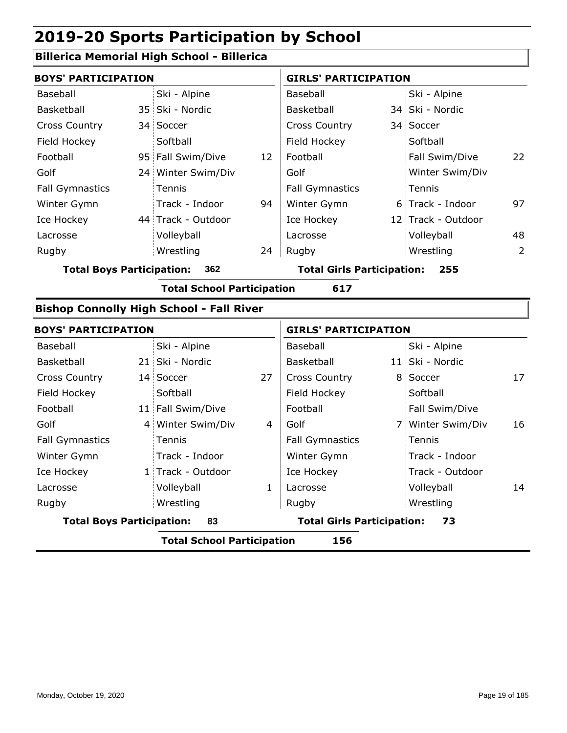#### **Billerica Memorial High School - Billerica**

| <b>BOYS' PARTICIPATION</b>              |  |                    | <b>GIRLS' PARTICIPATION</b>              |                        |  |                    |    |
|-----------------------------------------|--|--------------------|------------------------------------------|------------------------|--|--------------------|----|
| Baseball                                |  | Ski - Alpine       |                                          | Baseball               |  | Ski - Alpine       |    |
| Basketball                              |  | 35 Ski - Nordic    |                                          | Basketball             |  | 34 Ski - Nordic    |    |
| <b>Cross Country</b>                    |  | 34 Soccer          |                                          | <b>Cross Country</b>   |  | 34 Soccer          |    |
| Field Hockey                            |  | Softball           |                                          | Field Hockey           |  | Softball           |    |
| Football                                |  | 95 Fall Swim/Dive  | 12                                       | Football               |  | Fall Swim/Dive     | 22 |
| Golf                                    |  | 24 Winter Swim/Div |                                          | Golf                   |  | Winter Swim/Div    |    |
| <b>Fall Gymnastics</b>                  |  | Tennis             |                                          | <b>Fall Gymnastics</b> |  | Tennis             |    |
| Winter Gymn                             |  | Track - Indoor     | 94                                       | Winter Gymn            |  | 6 Track - Indoor   | 97 |
| Ice Hockey                              |  | 44 Track - Outdoor |                                          | Ice Hockey             |  | 12 Track - Outdoor |    |
| Lacrosse                                |  | Volleyball         |                                          | Lacrosse               |  | Volleyball         | 48 |
| Rugby                                   |  | Wrestling          | 24                                       | Rugby                  |  | Wrestling          | 2  |
| <b>Total Boys Participation:</b><br>362 |  |                    | <b>Total Girls Participation:</b><br>255 |                        |  |                    |    |

**Total School Participation 617**

### **Bishop Connolly High School - Fall River**

| <b>BOYS' PARTICIPATION</b>       |                                          |                   | <b>GIRLS' PARTICIPATION</b> |                                   |  |                   |    |  |
|----------------------------------|------------------------------------------|-------------------|-----------------------------|-----------------------------------|--|-------------------|----|--|
| Baseball                         |                                          | Ski - Alpine      |                             | Baseball                          |  | Ski - Alpine      |    |  |
| <b>Basketball</b>                |                                          | 21 Ski - Nordic   |                             | Basketball                        |  | 11 Ski - Nordic   |    |  |
| <b>Cross Country</b>             |                                          | 14 Soccer         | 27                          | <b>Cross Country</b>              |  | 8 Soccer          | 17 |  |
| Field Hockey                     |                                          | Softball          |                             | Field Hockey                      |  | Softball          |    |  |
| Football                         |                                          | 11 Fall Swim/Dive |                             | Football                          |  | Fall Swim/Dive    |    |  |
| Golf                             |                                          | 4 Winter Swim/Div | 4                           | Golf                              |  | 7 Winter Swim/Div | 16 |  |
| <b>Fall Gymnastics</b>           |                                          | <b>Tennis</b>     |                             | <b>Fall Gymnastics</b>            |  | Tennis            |    |  |
| Winter Gymn                      |                                          | Track - Indoor    |                             | Winter Gymn                       |  | Track - Indoor    |    |  |
| Ice Hockey                       |                                          | 1 Track - Outdoor |                             | Ice Hockey                        |  | Track - Outdoor   |    |  |
| Lacrosse                         |                                          | Volleyball        | 1                           | Lacrosse                          |  | Volleyball        | 14 |  |
| Rugby                            |                                          | Wrestling         |                             | Rugby                             |  | Wrestling         |    |  |
| <b>Total Boys Participation:</b> |                                          | 83                |                             | <b>Total Girls Participation:</b> |  | 73                |    |  |
|                                  | 156<br><b>Total School Participation</b> |                   |                             |                                   |  |                   |    |  |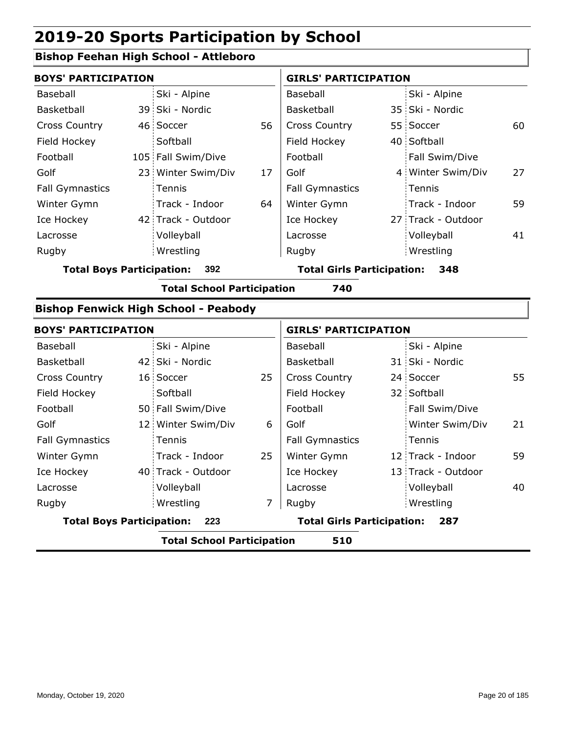### **Bishop Feehan High School - Attleboro**

| <b>BOYS' PARTICIPATION</b>            |                                             |    | <b>GIRLS' PARTICIPATION</b>              |  |                    |    |  |
|---------------------------------------|---------------------------------------------|----|------------------------------------------|--|--------------------|----|--|
| Baseball                              | Ski - Alpine                                |    | Baseball                                 |  | Ski - Alpine       |    |  |
| Basketball                            | 39 Ski - Nordic                             |    | Basketball                               |  | 35 Ski - Nordic    |    |  |
| <b>Cross Country</b>                  | 46 Soccer                                   | 56 | <b>Cross Country</b>                     |  | 55 Soccer          | 60 |  |
| Field Hockey                          | Softball                                    |    | Field Hockey                             |  | 40 Softball        |    |  |
| Football                              | 105 Fall Swim/Dive                          |    | Football                                 |  | Fall Swim/Dive     |    |  |
| Golf                                  | 23 Winter Swim/Div                          | 17 | Golf                                     |  | 4 Winter Swim/Div  | 27 |  |
| <b>Fall Gymnastics</b>                | Tennis                                      |    | <b>Fall Gymnastics</b>                   |  | Tennis             |    |  |
| Winter Gymn                           | Track - Indoor                              | 64 | Winter Gymn                              |  | Track - Indoor     | 59 |  |
| Ice Hockey                            | 42 Track - Outdoor                          |    | Ice Hockey                               |  | 27 Track - Outdoor |    |  |
| Lacrosse                              | Volleyball                                  |    | Lacrosse                                 |  | Volleyball         | 41 |  |
| Rugby                                 | Wrestling                                   |    | Rugby                                    |  | Wrestling          |    |  |
| <b>Total Boys Participation:</b>      | 392                                         |    | <b>Total Girls Participation:</b><br>348 |  |                    |    |  |
|                                       | <b>Total School Participation</b>           |    | 740                                      |  |                    |    |  |
|                                       | <b>Bishop Fenwick High School - Peabody</b> |    |                                          |  |                    |    |  |
| <b>BOYS' PARTICIPATION</b>            |                                             |    | <b>GIRLS' PARTICIPATION</b>              |  |                    |    |  |
| Baseball                              | Ski - Alpine                                |    | Baseball                                 |  | Ski - Alpine       |    |  |
| $D \sim cI$ <sub>r</sub> $+$ $h \sim$ | 12 Chi Nordia                               |    | $D \sim cI / c + h \sim II$              |  | 21 Chi Nordio      |    |  |

|                                         |  | <b>Total School Participation</b> |    | 510                               |                    |    |
|-----------------------------------------|--|-----------------------------------|----|-----------------------------------|--------------------|----|
| <b>Total Boys Participation:</b><br>223 |  |                                   |    | <b>Total Girls Participation:</b> | 287                |    |
| Rugby                                   |  | Wrestling                         | 7  | Rugby                             | Wrestling          |    |
| Lacrosse                                |  | Volleyball                        |    | Lacrosse                          | Volleyball         | 40 |
| Ice Hockey                              |  | 40 Track - Outdoor                |    | Ice Hockey                        | 13 Track - Outdoor |    |
| Winter Gymn                             |  | Track - Indoor                    | 25 | Winter Gymn                       | 12 Track - Indoor  | 59 |
| <b>Fall Gymnastics</b>                  |  | Tennis                            |    | <b>Fall Gymnastics</b>            | Tennis             |    |
| Golf                                    |  | 12 Winter Swim/Div                | 6  | Golf                              | Winter Swim/Div    | 21 |
| Football                                |  | 50 Fall Swim/Dive                 |    | Football                          | Fall Swim/Dive     |    |
| Field Hockey                            |  | Softball                          |    | Field Hockey                      | 32 Softball        |    |
| <b>Cross Country</b>                    |  | 16 Soccer                         | 25 | <b>Cross Country</b>              | 24 Soccer          | 55 |
| Basketball                              |  | 42 Ski - Nordic                   |    | Basketball                        | 31 Ski - Nordic    |    |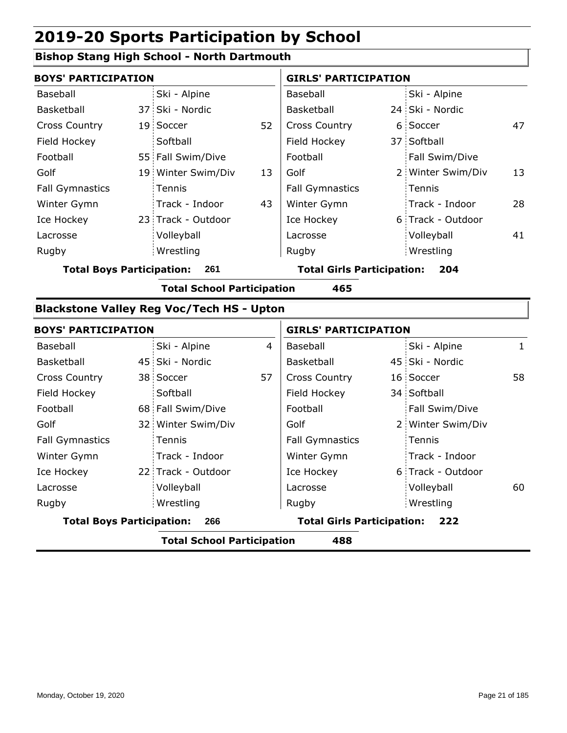#### **Bishop Stang High School - North Dartmouth**

|                        | <b>BOYS' PARTICIPATION</b> |                    |    | <b>GIRLS' PARTICIPATION</b> |  |                   |    |
|------------------------|----------------------------|--------------------|----|-----------------------------|--|-------------------|----|
| Baseball               |                            | Ski - Alpine       |    | Baseball                    |  | Ski - Alpine      |    |
| Basketball             |                            | 37 Ski - Nordic    |    | Basketball                  |  | 24 Ski - Nordic   |    |
| <b>Cross Country</b>   |                            | 19 Soccer          | 52 | <b>Cross Country</b>        |  | 6 Soccer          | 47 |
| Field Hockey           |                            | Softball           |    | Field Hockey                |  | 37 Softball       |    |
| Football               |                            | 55 Fall Swim/Dive  |    | Football                    |  | Fall Swim/Dive    |    |
| Golf                   |                            | 19 Winter Swim/Div | 13 | Golf                        |  | 2 Winter Swim/Div | 13 |
| <b>Fall Gymnastics</b> |                            | Tennis             |    | <b>Fall Gymnastics</b>      |  | Tennis            |    |
| Winter Gymn            |                            | Track - Indoor     | 43 | Winter Gymn                 |  | Track - Indoor    | 28 |
| Ice Hockey             |                            | 23 Track - Outdoor |    | Ice Hockey                  |  | 6 Track - Outdoor |    |
| Lacrosse               |                            | Volleyball         |    | Lacrosse                    |  | Volleyball        | 41 |
| Rugby                  |                            | Wrestling          |    | Rugby                       |  | Wrestling         |    |

**Total Boys Participation: 261 Total Girls Participation: 204**

**Total School Participation 465**

#### **Blackstone Valley Reg Voc/Tech HS - Upton**

| <b>BOYS' PARTICIPATION</b>              |  |                                          | <b>GIRLS' PARTICIPATION</b> |                        |  |                   |     |
|-----------------------------------------|--|------------------------------------------|-----------------------------|------------------------|--|-------------------|-----|
| Baseball                                |  | Ski - Alpine                             | 4                           | Baseball               |  | Ski - Alpine      | 1   |
| Basketball                              |  | 45 Ski - Nordic                          |                             | Basketball             |  | 45 Ski - Nordic   |     |
| <b>Cross Country</b>                    |  | 38 Soccer                                | 57                          | <b>Cross Country</b>   |  | 16 Soccer         | 58  |
| Field Hockey                            |  | Softball                                 |                             | Field Hockey           |  | 34 Softball       |     |
| Football                                |  | 68 Fall Swim/Dive                        |                             | Football               |  | Fall Swim/Dive    |     |
| Golf                                    |  | 32 Winter Swim/Div                       |                             | Golf                   |  | 2 Winter Swim/Div |     |
| <b>Fall Gymnastics</b>                  |  | Tennis                                   |                             | <b>Fall Gymnastics</b> |  | Tennis            |     |
| Winter Gymn                             |  | Track - Indoor                           |                             | Winter Gymn            |  | Track - Indoor    |     |
| Ice Hockey                              |  | 22 Track - Outdoor                       |                             | Ice Hockey             |  | 6 Track - Outdoor |     |
| Lacrosse                                |  | Volleyball                               |                             | Lacrosse               |  | Volleyball        | 60. |
| Rugby                                   |  | Wrestling                                |                             | Rugby                  |  | Wrestling         |     |
| <b>Total Boys Participation:</b><br>266 |  | <b>Total Girls Participation:</b><br>222 |                             |                        |  |                   |     |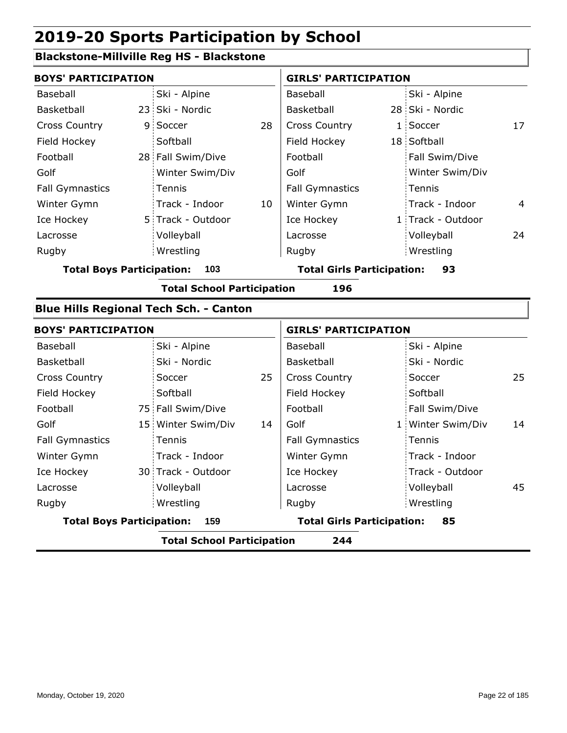Volleyball Wrestling Rugby Rugby

#### **Blackstone-Millville Reg HS - Blackstone**

| <b>BOYS' PARTICIPATION</b>              |  |                                               |                                   | <b>GIRLS' PARTICIPATION</b> |    |                   |    |
|-----------------------------------------|--|-----------------------------------------------|-----------------------------------|-----------------------------|----|-------------------|----|
| Baseball                                |  | Ski - Alpine                                  |                                   | Baseball                    |    | Ski - Alpine      |    |
| Basketball                              |  | 23 Ski - Nordic                               |                                   | Basketball                  |    | 28 Ski - Nordic   |    |
| <b>Cross Country</b>                    |  | 9 Soccer                                      | 28                                | <b>Cross Country</b>        |    | 1 Soccer          | 17 |
| Field Hockey                            |  | Softball                                      |                                   | Field Hockey                |    | 18 Softball       |    |
| Football                                |  | 28 Fall Swim/Dive                             |                                   | Football                    |    | Fall Swim/Dive    |    |
| Golf                                    |  | Winter Swim/Div                               |                                   | Golf                        |    | Winter Swim/Div   |    |
| <b>Fall Gymnastics</b>                  |  | Tennis                                        |                                   | <b>Fall Gymnastics</b>      |    | Tennis            |    |
| Winter Gymn                             |  | Track - Indoor                                | 10                                | Winter Gymn                 |    | Track - Indoor    | 4  |
| Ice Hockey                              |  | 5 Track - Outdoor                             |                                   | Ice Hockey                  |    | 1 Track - Outdoor |    |
| Lacrosse                                |  | Volleyball                                    |                                   | Lacrosse                    |    | Volleyball        | 24 |
| Rugby                                   |  | Wrestling                                     |                                   | Rugby                       |    | Wrestling         |    |
| <b>Total Boys Participation:</b><br>103 |  |                                               | <b>Total Girls Participation:</b> |                             | 93 |                   |    |
|                                         |  | <b>Total School Participation</b>             |                                   | 196                         |    |                   |    |
|                                         |  | <b>Blue Hills Regional Tech Sch. - Canton</b> |                                   |                             |    |                   |    |
| <b>BOYS' PARTICIPATION</b>              |  |                                               |                                   | <b>GIRLS' PARTICIPATION</b> |    |                   |    |
| Baseball                                |  | Ski - Alpine                                  |                                   | Baseball                    |    | Ski - Alpine      |    |
| Basketball                              |  | Ski - Nordic                                  |                                   | Basketball                  |    | Ski - Nordic      |    |
| <b>Cross Country</b>                    |  | Soccer                                        | 25                                | <b>Cross Country</b>        |    | Soccer            | 25 |
| Field Hockey                            |  | Softball                                      |                                   | Field Hockey                |    | Softball          |    |
| Football                                |  | 75 Fall Swim/Dive                             |                                   | Football                    |    | Fall Swim/Dive    |    |
| Golf                                    |  | 15 Winter Swim/Div                            | 14                                | Golf                        |    | 1 Winter Swim/Div | 14 |
| <b>Fall Gymnastics</b>                  |  | Tennis                                        |                                   | <b>Fall Gymnastics</b>      |    | Tennis            |    |
| Winter Gymn                             |  | Track - Indoor                                |                                   | Winter Gymn                 |    | Track - Indoor    |    |
| Ice Hockey                              |  | 30 Track - Outdoor                            |                                   | Ice Hockey                  |    | Track - Outdoor   |    |

Lacrosse

**Total Boys Participation: 159 Total Girls Participation: 85**

**Total School Participation 244**

Lacrosse

Volleyball 45

Wrestling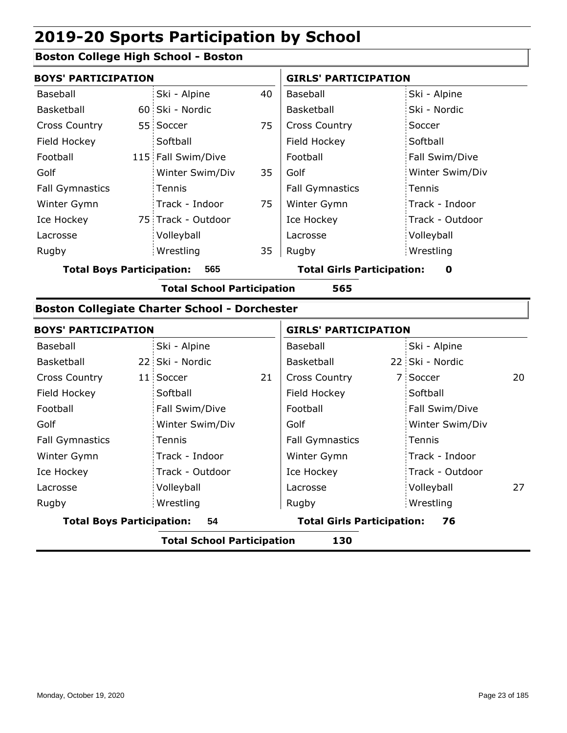#### **Boston College High School - Boston**

|                        | <b>BOYS' PARTICIPATION</b> |                    |    |                        | <b>GIRLS' PARTICIPATION</b> |  |  |
|------------------------|----------------------------|--------------------|----|------------------------|-----------------------------|--|--|
| Baseball               |                            | Ski - Alpine       | 40 | Baseball               | Ski - Alpine                |  |  |
| Basketball             |                            | 60 Ski - Nordic    |    | Basketball             | Ski - Nordic                |  |  |
| <b>Cross Country</b>   |                            | 55 Soccer          | 75 | <b>Cross Country</b>   | Soccer                      |  |  |
| Field Hockey           |                            | Softball           |    | Field Hockey           | Softball                    |  |  |
| Football               |                            | 115 Fall Swim/Dive |    | Football               | Fall Swim/Dive              |  |  |
| Golf                   |                            | Winter Swim/Div    | 35 | Golf                   | Winter Swim/Div             |  |  |
| <b>Fall Gymnastics</b> |                            | Tennis             |    | <b>Fall Gymnastics</b> | Tennis                      |  |  |
| Winter Gymn            |                            | Track - Indoor     | 75 | Winter Gymn            | Track - Indoor              |  |  |
| Ice Hockey             |                            | 75 Track - Outdoor |    | Ice Hockey             | Track - Outdoor             |  |  |
| Lacrosse               |                            | Volleyball         |    | Lacrosse               | Volleyball                  |  |  |
| Rugby                  |                            | Wrestling          | 35 | Rugby                  | Wrestling                   |  |  |

**Total Boys Participation: 565 Total Girls Participation: 0**

**Total School Participation 565**

#### **Boston Collegiate Charter School - Dorchester**

| <b>BOYS' PARTICIPATION</b>             |    |                                         | <b>GIRLS' PARTICIPATION</b> |                 |                                                      |  |
|----------------------------------------|----|-----------------------------------------|-----------------------------|-----------------|------------------------------------------------------|--|
| Ski - Alpine                           |    | Baseball                                |                             | Ski - Alpine    |                                                      |  |
| 22 Ski - Nordic                        |    | Basketball                              |                             |                 |                                                      |  |
| 11 Soccer                              | 21 | <b>Cross Country</b>                    |                             |                 | 20                                                   |  |
| Softball                               |    | Field Hockey                            |                             | Softball        |                                                      |  |
| Fall Swim/Dive                         |    | Football                                |                             | Fall Swim/Dive  |                                                      |  |
| Winter Swim/Div                        |    | Golf                                    |                             | Winter Swim/Div |                                                      |  |
| Tennis                                 |    | <b>Fall Gymnastics</b>                  |                             |                 |                                                      |  |
| Track - Indoor                         |    | Winter Gymn                             |                             | Track - Indoor  |                                                      |  |
| Track - Outdoor                        |    | Ice Hockey                              |                             | Track - Outdoor |                                                      |  |
| Volleyball                             |    | Lacrosse                                |                             | Volleyball      | 27                                                   |  |
| Wrestling                              |    | Rugby                                   |                             |                 |                                                      |  |
| <b>Total Boys Participation:</b><br>54 |    | <b>Total Girls Participation:</b><br>76 |                             |                 |                                                      |  |
|                                        |    | . <b>.</b>                              |                             |                 | 22 Ski - Nordic<br>7 Soccer<br>: Tennis<br>Wrestling |  |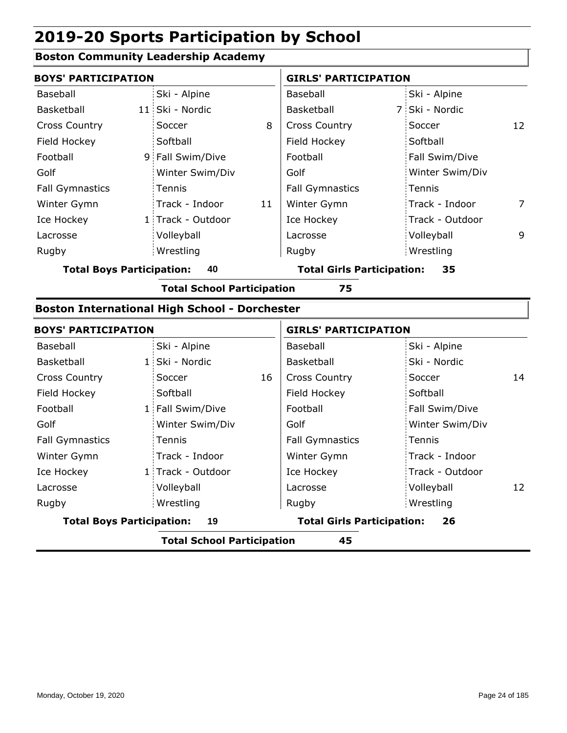#### **Boston Community Leadership Academy**

|                        | <b>BOYS' PARTICIPATION</b> |                   |    | <b>GIRLS' PARTICIPATION</b> |  |                 |    |
|------------------------|----------------------------|-------------------|----|-----------------------------|--|-----------------|----|
| Baseball               |                            | Ski - Alpine      |    | Baseball                    |  | Ski - Alpine    |    |
| Basketball             |                            | 11 Ski - Nordic   |    | <b>Basketball</b>           |  | 7 Ski - Nordic  |    |
| <b>Cross Country</b>   |                            | Soccer            | 8  | <b>Cross Country</b>        |  | Soccer          | 12 |
| Field Hockey           |                            | Softball          |    | Field Hockey                |  | Softball        |    |
| Football               |                            | 9 Fall Swim/Dive  |    | Football                    |  | Fall Swim/Dive  |    |
| Golf                   |                            | Winter Swim/Div   |    | Golf                        |  | Winter Swim/Div |    |
| <b>Fall Gymnastics</b> |                            | Tennis            |    | <b>Fall Gymnastics</b>      |  | Tennis          |    |
| Winter Gymn            |                            | Track - Indoor    | 11 | Winter Gymn                 |  | Track - Indoor  | 7  |
| Ice Hockey             |                            | 1 Track - Outdoor |    | Ice Hockey                  |  | Track - Outdoor |    |
| Lacrosse               |                            | Volleyball        |    | Lacrosse                    |  | Volleyball      | 9  |
| Rugby                  |                            | Wrestling         |    | Rugby                       |  | Wrestling       |    |
|                        |                            |                   |    |                             |  |                 |    |

**Total Boys Participation: 40 Total Girls Participation: 35**

**Total School Participation 75**

#### **Boston International High School - Dorchester**

| <b>BOYS' PARTICIPATION</b>       |                   |    | <b>GIRLS' PARTICIPATION</b>       |                   |    |  |
|----------------------------------|-------------------|----|-----------------------------------|-------------------|----|--|
| Baseball                         | Ski - Alpine      |    | Baseball                          | Ski - Alpine      |    |  |
| Basketball                       | 1 Ski - Nordic    |    | Basketball                        | Ski - Nordic      |    |  |
| <b>Cross Country</b>             | Soccer            | 16 | <b>Cross Country</b>              | Soccer            | 14 |  |
| Field Hockey                     | Softball          |    | Field Hockey                      | Softball          |    |  |
| Football                         | 1 Fall Swim/Dive  |    | Football                          | Fall Swim/Dive    |    |  |
| Golf                             | Winter Swim/Div   |    | Golf                              | Winter Swim/Div   |    |  |
| <b>Fall Gymnastics</b>           | Tennis            |    | <b>Fall Gymnastics</b>            | Tennis            |    |  |
| Winter Gymn                      | Track - Indoor    |    | Winter Gymn                       | Track - Indoor    |    |  |
| Ice Hockey                       | 1 Track - Outdoor |    | Ice Hockey                        | : Track - Outdoor |    |  |
| Lacrosse                         | Volleyball        |    | Lacrosse                          | Volleyball        | 12 |  |
| Rugby                            | Wrestling         |    | Rugby                             | Wrestling         |    |  |
| <b>Total Boys Participation:</b> | 19                |    | <b>Total Girls Participation:</b> | 26                |    |  |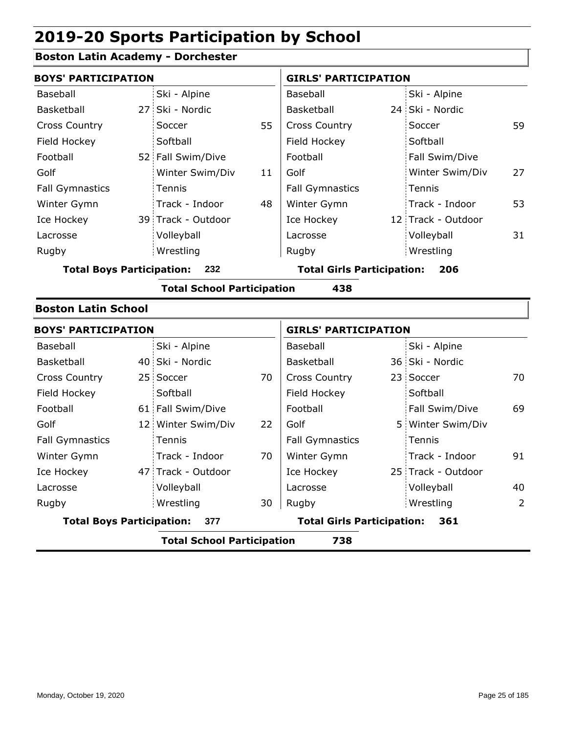### **Boston Latin Academy - Dorchester**

| <b>BOYS' PARTICIPATION</b>       |                                   |    | <b>GIRLS' PARTICIPATION</b>       |  |                    |    |
|----------------------------------|-----------------------------------|----|-----------------------------------|--|--------------------|----|
| <b>Boston Latin School</b>       |                                   |    |                                   |  |                    |    |
|                                  | <b>Total School Participation</b> |    | 438                               |  |                    |    |
| <b>Total Boys Participation:</b> | 232                               |    | <b>Total Girls Participation:</b> |  | 206                |    |
| Rugby                            | Wrestling                         |    | Rugby                             |  | Wrestling          |    |
| Lacrosse                         | Volleyball                        |    | Lacrosse                          |  | Volleyball         | 31 |
| Ice Hockey                       | 39 Track - Outdoor                |    | Ice Hockey                        |  | 12 Track - Outdoor |    |
| Winter Gymn                      | Track - Indoor                    | 48 | Winter Gymn                       |  | Track - Indoor     | 53 |
| <b>Fall Gymnastics</b>           | Tennis                            |    | <b>Fall Gymnastics</b>            |  | Tennis             |    |
| Golf                             | Winter Swim/Div                   | 11 | Golf                              |  | Winter Swim/Div    | 27 |
| Football                         | 52 Fall Swim/Dive                 |    | Football                          |  | Fall Swim/Dive     |    |
| Field Hockey                     | Softball                          |    | Field Hockey                      |  | Softball           |    |
| <b>Cross Country</b>             | Soccer                            | 55 | <b>Cross Country</b>              |  | Soccer             | 59 |
| Basketball                       | 27 Ski - Nordic                   |    | Basketball                        |  | 24 Ski - Nordic    |    |
| Baseball                         | Ski - Alpine                      |    | Baseball                          |  | Ski - Alpine       |    |
| <b>BOYS' PARTICIPATION</b>       |                                   |    | <b>GIRLS' PARTICIPATION</b>       |  |                    |    |

| <b>BUYS PARTICIPATION</b>        |                                   |    | GIRLS PARTICIPATION               |  |                    |    |
|----------------------------------|-----------------------------------|----|-----------------------------------|--|--------------------|----|
| Baseball                         | Ski - Alpine                      |    | Baseball                          |  | Ski - Alpine       |    |
| <b>Basketball</b>                | 40 Ski - Nordic                   |    | Basketball                        |  | 36 Ski - Nordic    |    |
| <b>Cross Country</b>             | 25 Soccer                         | 70 | <b>Cross Country</b>              |  | 23 Soccer          | 70 |
| Field Hockey                     | Softball                          |    | Field Hockey                      |  | Softball           |    |
| Football                         | 61 Fall Swim/Dive                 |    | Football                          |  | Fall Swim/Dive     | 69 |
| Golf                             | 12 Winter Swim/Div                | 22 | Golf                              |  | 5 Winter Swim/Div  |    |
| <b>Fall Gymnastics</b>           | Tennis                            |    | <b>Fall Gymnastics</b>            |  | Tennis             |    |
| Winter Gymn                      | Track - Indoor                    | 70 | Winter Gymn                       |  | Track - Indoor     | 91 |
| Ice Hockey                       | 47 Track - Outdoor                |    | Ice Hockey                        |  | 25 Track - Outdoor |    |
| Lacrosse                         | Volleyball                        |    | Lacrosse                          |  | Volleyball         | 40 |
| Rugby                            | Wrestling                         | 30 | Rugby                             |  | Wrestling          | 2  |
| <b>Total Boys Participation:</b> | 377                               |    | <b>Total Girls Participation:</b> |  | 361                |    |
|                                  | <b>Total School Participation</b> |    | 738                               |  |                    |    |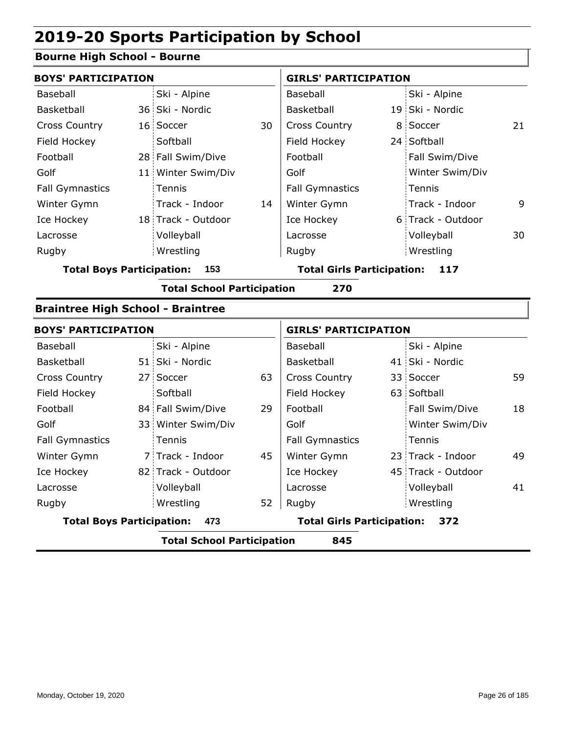### **Bourne High School - Bourne**

| <b>BOYS' PARTICIPATION</b>               |                                   |    | <b>GIRLS' PARTICIPATION</b>       |  |                    |    |  |
|------------------------------------------|-----------------------------------|----|-----------------------------------|--|--------------------|----|--|
| Baseball                                 | Ski - Alpine                      |    | Baseball                          |  | Ski - Alpine       |    |  |
| Basketball                               | 36 Ski - Nordic                   |    | Basketball                        |  | 19 Ski - Nordic    |    |  |
| <b>Cross Country</b>                     | 16 Soccer                         | 30 | <b>Cross Country</b>              |  | 8 Soccer           | 21 |  |
| Field Hockey                             | Softball                          |    | Field Hockey                      |  | 24 Softball        |    |  |
| Football                                 | 28 Fall Swim/Dive                 |    | Football                          |  | Fall Swim/Dive     |    |  |
| Golf                                     | 11 Winter Swim/Div                |    | Golf                              |  | Winter Swim/Div    |    |  |
| <b>Fall Gymnastics</b>                   | Tennis                            |    | <b>Fall Gymnastics</b>            |  | Tennis             |    |  |
| Winter Gymn                              | Track - Indoor                    | 14 | Winter Gymn                       |  | Track - Indoor     | 9  |  |
| Ice Hockey                               | 18 Track - Outdoor                |    | Ice Hockey                        |  | 6 Track - Outdoor  |    |  |
| Lacrosse                                 | Volleyball                        |    | Lacrosse                          |  | Volleyball         | 30 |  |
| Rugby                                    | Wrestling                         |    | Rugby                             |  | Wrestling          |    |  |
| <b>Total Boys Participation:</b>         | 153                               |    | <b>Total Girls Participation:</b> |  | 117                |    |  |
|                                          | <b>Total School Participation</b> |    | 270                               |  |                    |    |  |
| <b>Braintree High School - Braintree</b> |                                   |    |                                   |  |                    |    |  |
| <b>BOYS' PARTICIPATION</b>               |                                   |    | <b>GIRLS' PARTICIPATION</b>       |  |                    |    |  |
| Baseball                                 | Ski - Alpine                      |    | Baseball                          |  | Ski - Alpine       |    |  |
| Basketball                               | 51 Ski - Nordic                   |    | Basketball                        |  | 41 Ski - Nordic    |    |  |
| <b>Cross Country</b>                     | 27 Soccer                         | 63 | <b>Cross Country</b>              |  | 33 Soccer          | 59 |  |
| Field Hockey                             | Softball                          |    | Field Hockey                      |  | 63 Softball        |    |  |
| Football                                 | 84 Fall Swim/Dive                 | 29 | Football                          |  | Fall Swim/Dive     | 18 |  |
| Golf                                     | 33 Winter Swim/Div                |    | Golf                              |  | Winter Swim/Div    |    |  |
| <b>Fall Gymnastics</b>                   | Tennis                            |    | <b>Fall Gymnastics</b>            |  | Tennis             |    |  |
| Winter Gymn                              | 7 Track - Indoor                  | 45 | Winter Gymn                       |  | 23 Track - Indoor  | 49 |  |
| Ice Hockey                               | 82 Track - Outdoor                |    | Ice Hockey                        |  | 45 Track - Outdoor |    |  |
| Lacrosse                                 | Volleyball                        |    | Lacrosse                          |  | Volleyball         | 41 |  |
| Rugby                                    | Wrestling                         | 52 | Rugby                             |  | Wrestling          |    |  |

**Total Boys Participation: 473 Total Girls Participation: 372**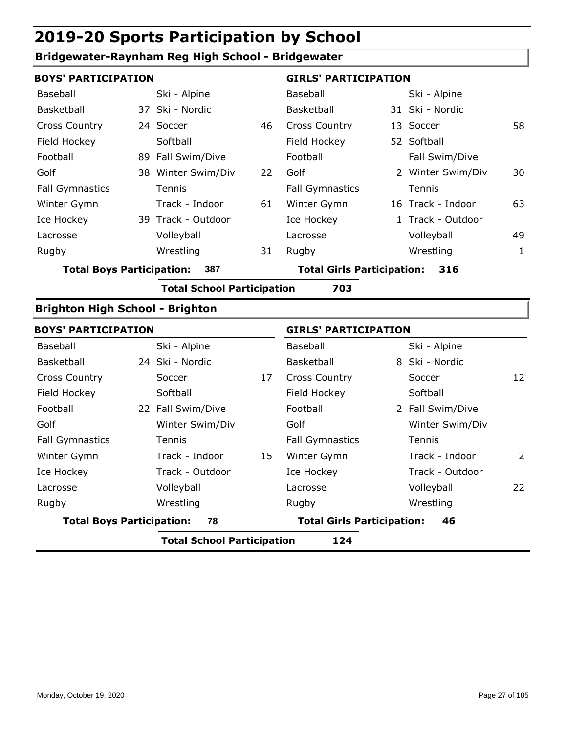### **Bridgewater-Raynham Reg High School - Bridgewater**

| <b>BOYS' PARTICIPATION</b>       |                                   |    | <b>GIRLS' PARTICIPATION</b>       |  |                   |    |
|----------------------------------|-----------------------------------|----|-----------------------------------|--|-------------------|----|
| <b>Baseball</b>                  | Ski - Alpine                      |    | Baseball                          |  | Ski - Alpine      |    |
| Basketball                       | 37 Ski - Nordic                   |    | Basketball                        |  | 31 Ski - Nordic   |    |
| <b>Cross Country</b>             | 24 Soccer                         | 46 | <b>Cross Country</b>              |  | 13 Soccer         | 58 |
| Field Hockey                     | Softball                          |    | Field Hockey                      |  | 52 Softball       |    |
| Football                         | 89 Fall Swim/Dive                 |    | Football                          |  | Fall Swim/Dive    |    |
| Golf                             | 38 Winter Swim/Div                | 22 | Golf                              |  | 2 Winter Swim/Div | 30 |
| <b>Fall Gymnastics</b>           | Tennis                            |    | <b>Fall Gymnastics</b>            |  | Tennis            |    |
| Winter Gymn                      | Track - Indoor                    | 61 | Winter Gymn                       |  | 16 Track - Indoor | 63 |
| Ice Hockey                       | 39 Track - Outdoor                |    | Ice Hockey                        |  | 1 Track - Outdoor |    |
| Lacrosse                         | Volleyball                        |    | Lacrosse                          |  | Volleyball        | 49 |
| Rugby                            | Wrestling                         | 31 | Rugby                             |  | Wrestling         | 1  |
| <b>Total Boys Participation:</b> | 387                               |    | <b>Total Girls Participation:</b> |  | 316               |    |
|                                  | <b>Total School Participation</b> |    | 703                               |  |                   |    |

#### **Brighton High School - Brighton**

| <b>BOYS' PARTICIPATION</b>       |                                   |    | <b>GIRLS' PARTICIPATION</b>       |  |                  |    |
|----------------------------------|-----------------------------------|----|-----------------------------------|--|------------------|----|
| Baseball                         | Ski - Alpine                      |    | Baseball                          |  | Ski - Alpine     |    |
| Basketball                       | 24 Ski - Nordic                   |    | Basketball                        |  | 8 Ski - Nordic   |    |
| <b>Cross Country</b>             | Soccer                            | 17 | <b>Cross Country</b>              |  | Soccer           | 12 |
| Field Hockey                     | Softball                          |    | Field Hockey                      |  | Softball         |    |
| Football                         | 22 Fall Swim/Dive                 |    | Football                          |  | 2 Fall Swim/Dive |    |
| Golf                             | Winter Swim/Div                   |    | Golf                              |  | Winter Swim/Div  |    |
| <b>Fall Gymnastics</b>           | <b>Tennis</b>                     |    | <b>Fall Gymnastics</b>            |  | Tennis           |    |
| Winter Gymn                      | Track - Indoor                    | 15 | Winter Gymn                       |  | Track - Indoor   | 2  |
| Ice Hockey                       | Track - Outdoor                   |    | Ice Hockey                        |  | Track - Outdoor  |    |
| Lacrosse                         | Volleyball                        |    | Lacrosse                          |  | Volleyball       | 22 |
| Rugby                            | Wrestling                         |    | Rugby                             |  | Wrestling        |    |
| <b>Total Boys Participation:</b> | 78                                |    | <b>Total Girls Participation:</b> |  | 46               |    |
|                                  | <b>Total School Participation</b> |    | 124                               |  |                  |    |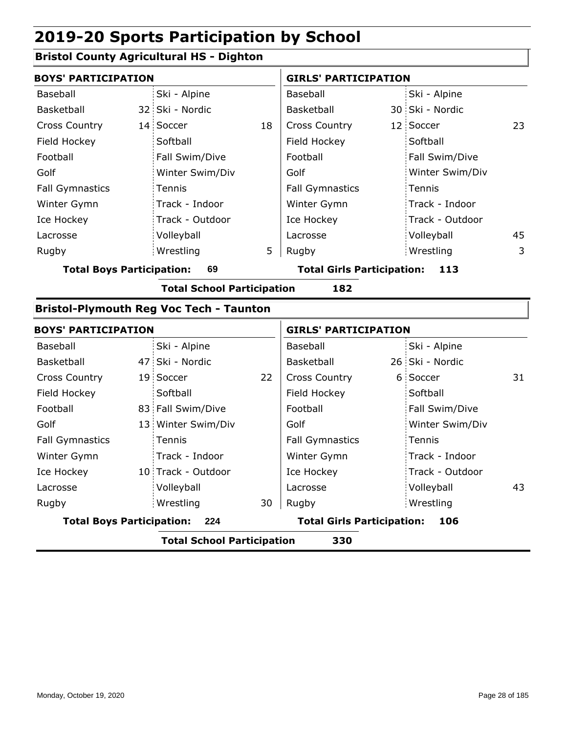### **Bristol County Agricultural HS - Dighton**

| <b>BOYS' PARTICIPATION</b>       |                 |                                                |    | <b>GIRLS' PARTICIPATION</b>       |  |                 |    |  |
|----------------------------------|-----------------|------------------------------------------------|----|-----------------------------------|--|-----------------|----|--|
| Baseball                         |                 | Ski - Alpine                                   |    | Baseball                          |  | Ski - Alpine    |    |  |
| Basketball                       |                 | 32 Ski - Nordic                                |    | Basketball                        |  | 30 Ski - Nordic |    |  |
| <b>Cross Country</b>             | 14 <sup>1</sup> | Soccer                                         | 18 | <b>Cross Country</b>              |  | 12 Soccer       | 23 |  |
| Field Hockey                     |                 | Softball                                       |    | Field Hockey                      |  | Softball        |    |  |
| Football                         |                 | Fall Swim/Dive                                 |    | Football                          |  | Fall Swim/Dive  |    |  |
| Golf                             |                 | Winter Swim/Div                                |    | Golf                              |  | Winter Swim/Div |    |  |
| <b>Fall Gymnastics</b>           |                 | Tennis                                         |    | <b>Fall Gymnastics</b>            |  | Tennis          |    |  |
| Winter Gymn                      |                 | Track - Indoor                                 |    | Winter Gymn                       |  | Track - Indoor  |    |  |
| Ice Hockey                       |                 | Track - Outdoor                                |    | Ice Hockey                        |  | Track - Outdoor |    |  |
| Lacrosse                         |                 | Volleyball                                     |    | Lacrosse                          |  | Volleyball      | 45 |  |
| Rugby                            |                 | Wrestling                                      | 5  | Rugby                             |  | Wrestling       | 3  |  |
| <b>Total Boys Participation:</b> |                 | 69                                             |    | <b>Total Girls Participation:</b> |  | 113             |    |  |
|                                  |                 | <b>Total School Participation</b>              |    | 182                               |  |                 |    |  |
|                                  |                 | <b>Bristol-Plymouth Reg Voc Tech - Taunton</b> |    |                                   |  |                 |    |  |
| <b>BOYS' PARTICIPATION</b>       |                 |                                                |    | <b>GIRLS' PARTICIPATION</b>       |  |                 |    |  |
| Baseball                         |                 | Ski - Alpine                                   |    | Baseball                          |  | Ski - Alpine    |    |  |
| Basketball                       |                 | 47 Ski - Nordic                                |    | Basketball                        |  | 26 Ski - Nordic |    |  |
| <b>Cross Country</b>             |                 | 19 Soccer                                      | 22 | <b>Cross Country</b>              |  | 6 Soccer        | 31 |  |
| Field Hockey                     |                 | Softball                                       |    | Field Hockey                      |  | Softball        |    |  |
| Football                         |                 | 83 Fall Swim/Dive                              |    | Football                          |  | Fall Swim/Dive  |    |  |
| Golf                             |                 | 13 Winter Swim/Div                             |    | Golf                              |  | Winter Swim/Div |    |  |
| <b>Fall Gymnastics</b>           |                 | Tennis                                         |    | <b>Fall Gymnastics</b>            |  | Tennis          |    |  |
| Winter Gymn                      |                 | Track - Indoor                                 |    | Winter Gymn                       |  | Track - Indoor  |    |  |
| Ice Hockey                       |                 | 10 Track - Outdoor                             |    | Ice Hockey                        |  | Track - Outdoor |    |  |
| Lacrosse                         |                 | Volleyball                                     |    | Lacrosse                          |  | Volleyball      | 43 |  |

**Total Boys Participation: 224 Total Girls Participation: 106**

Wrestling Rugby Rugby

Wrestling

**Total School Participation 330**

30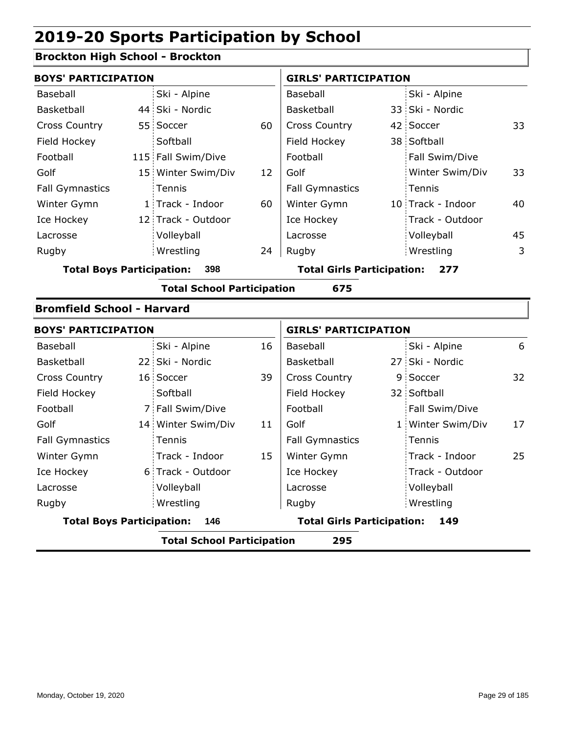### **Brockton High School - Brockton**

| <b>BOYS' PARTICIPATION</b>       |                                   |    | <b>GIRLS' PARTICIPATION</b>       |                   |    |
|----------------------------------|-----------------------------------|----|-----------------------------------|-------------------|----|
| Baseball                         | Ski - Alpine                      |    | Baseball                          | Ski - Alpine      |    |
| Basketball                       | 44 Ski - Nordic                   |    | Basketball                        | 33 Ski - Nordic   |    |
| <b>Cross Country</b>             | 55 Soccer                         | 60 | <b>Cross Country</b>              | 42 Soccer         | 33 |
| Field Hockey                     | Softball                          |    | Field Hockey                      | 38 Softball       |    |
| Football                         | 115 Fall Swim/Dive                |    | Football                          | Fall Swim/Dive    |    |
| Golf                             | 15 Winter Swim/Div                | 12 | Golf                              | Winter Swim/Div   | 33 |
| <b>Fall Gymnastics</b>           | Tennis                            |    | <b>Fall Gymnastics</b>            | Tennis            |    |
| Winter Gymn                      | 1 Track - Indoor                  | 60 | Winter Gymn                       | 10 Track - Indoor | 40 |
| Ice Hockey                       | 12 Track - Outdoor                |    | Ice Hockey                        | Track - Outdoor   |    |
| Lacrosse                         | Volleyball                        |    | Lacrosse                          | Volleyball        | 45 |
| Rugby                            | Wrestling                         | 24 | Rugby                             | Wrestling         | 3  |
| <b>Total Boys Participation:</b> | 398                               |    | <b>Total Girls Participation:</b> | 277               |    |
|                                  | <b>Total School Participation</b> |    | 675                               |                   |    |

#### **Bromfield School - Harvard**

| <b>BOYS' PARTICIPATION</b>       |                                   |    | <b>GIRLS' PARTICIPATION</b>       |  |                   |    |
|----------------------------------|-----------------------------------|----|-----------------------------------|--|-------------------|----|
| Baseball                         | Ski - Alpine                      | 16 | Baseball                          |  | Ski - Alpine      | 6  |
| Basketball                       | 22 Ski - Nordic                   |    | Basketball                        |  | 27 Ski - Nordic   |    |
| <b>Cross Country</b>             | 16 Soccer                         | 39 | <b>Cross Country</b>              |  | 9 Soccer          | 32 |
| Field Hockey                     | Softball                          |    | Field Hockey                      |  | 32 Softball       |    |
| Football                         | 7 Fall Swim/Dive                  |    | Football                          |  | Fall Swim/Dive    |    |
| Golf                             | 14 Winter Swim/Div                | 11 | Golf                              |  | 1 Winter Swim/Div | 17 |
| <b>Fall Gymnastics</b>           | Tennis                            |    | <b>Fall Gymnastics</b>            |  | Tennis            |    |
| Winter Gymn                      | Track - Indoor                    | 15 | Winter Gymn                       |  | Track - Indoor    | 25 |
| Ice Hockey                       | 6 Track - Outdoor                 |    | Ice Hockey                        |  | Track - Outdoor   |    |
| Lacrosse                         | Volleyball                        |    | Lacrosse                          |  | Volleyball        |    |
| Rugby                            | Wrestling                         |    | Rugby                             |  | Wrestling         |    |
| <b>Total Boys Participation:</b> | 146                               |    | <b>Total Girls Participation:</b> |  | 149               |    |
|                                  | <b>Total School Participation</b> |    | 295                               |  |                   |    |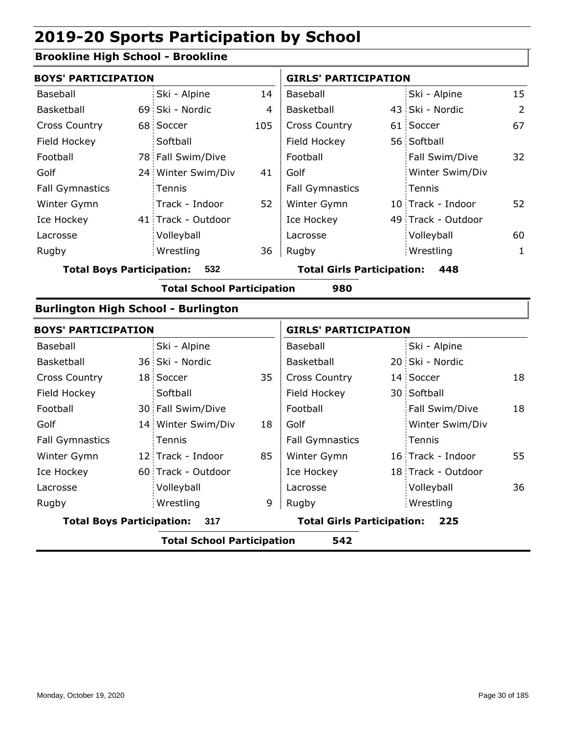### **Brookline High School - Brookline**

| <b>BOYS' PARTICIPATION</b>                 |                                   |     | <b>GIRLS' PARTICIPATION</b>       |                    |    |
|--------------------------------------------|-----------------------------------|-----|-----------------------------------|--------------------|----|
| Baseball                                   | Ski - Alpine                      | 14  | Baseball                          | Ski - Alpine       | 15 |
| <b>Basketball</b>                          | 69 Ski - Nordic                   | 4   | <b>Basketball</b>                 | 43 Ski - Nordic    | 2  |
| <b>Cross Country</b>                       | 68 Soccer                         | 105 | <b>Cross Country</b>              | 61 Soccer          | 67 |
| Field Hockey                               | Softball                          |     | Field Hockey                      | 56 Softball        |    |
| Football                                   | 78 Fall Swim/Dive                 |     | Football                          | Fall Swim/Dive     | 32 |
| Golf                                       | 24 Winter Swim/Div                | 41  | Golf                              | Winter Swim/Div    |    |
| <b>Fall Gymnastics</b>                     | Tennis                            |     | <b>Fall Gymnastics</b>            | Tennis             |    |
| Winter Gymn                                | Track - Indoor                    | 52  | Winter Gymn                       | 10 Track - Indoor  | 52 |
| Ice Hockey                                 | 41 Track - Outdoor                |     | Ice Hockey                        | 49 Track - Outdoor |    |
| Lacrosse                                   | Volleyball                        |     | Lacrosse                          | Volleyball         | 60 |
| Rugby                                      | Wrestling                         | 36  | Rugby                             | Wrestling          | 1  |
| <b>Total Boys Participation:</b>           | 532                               |     | <b>Total Girls Participation:</b> | 448                |    |
|                                            | <b>Total School Participation</b> |     | 980                               |                    |    |
| <b>Burlington High School - Burlington</b> |                                   |     |                                   |                    |    |

| <b>BOYS' PARTICIPATION</b>       |                                   |    | <b>GIRLS' PARTICIPATION</b>       |  |                    |    |
|----------------------------------|-----------------------------------|----|-----------------------------------|--|--------------------|----|
| Baseball                         | Ski - Alpine                      |    | Baseball                          |  | Ski - Alpine       |    |
| Basketball                       | 36 Ski - Nordic                   |    | Basketball                        |  | 20 Ski - Nordic    |    |
| <b>Cross Country</b>             | 18 Soccer                         | 35 | <b>Cross Country</b>              |  | 14 Soccer          | 18 |
| Field Hockey                     | Softball                          |    | Field Hockey                      |  | 30 Softball        |    |
| Football                         | 30 Fall Swim/Dive                 |    | Football                          |  | Fall Swim/Dive     | 18 |
| Golf                             | 14 Winter Swim/Div                | 18 | Golf                              |  | Winter Swim/Div    |    |
| <b>Fall Gymnastics</b>           | Tennis                            |    | <b>Fall Gymnastics</b>            |  | Tennis             |    |
| Winter Gymn                      | 12 Track - Indoor                 | 85 | Winter Gymn                       |  | 16 Track - Indoor  | 55 |
| Ice Hockey                       | 60 Track - Outdoor                |    | Ice Hockey                        |  | 18 Track - Outdoor |    |
| Lacrosse                         | Volleyball                        |    | Lacrosse                          |  | Volleyball         | 36 |
| Rugby                            | Wrestling                         | 9  | Rugby                             |  | Wrestling          |    |
| <b>Total Boys Participation:</b> | 317                               |    | <b>Total Girls Participation:</b> |  | 225                |    |
|                                  | <b>Total School Participation</b> |    | 542                               |  |                    |    |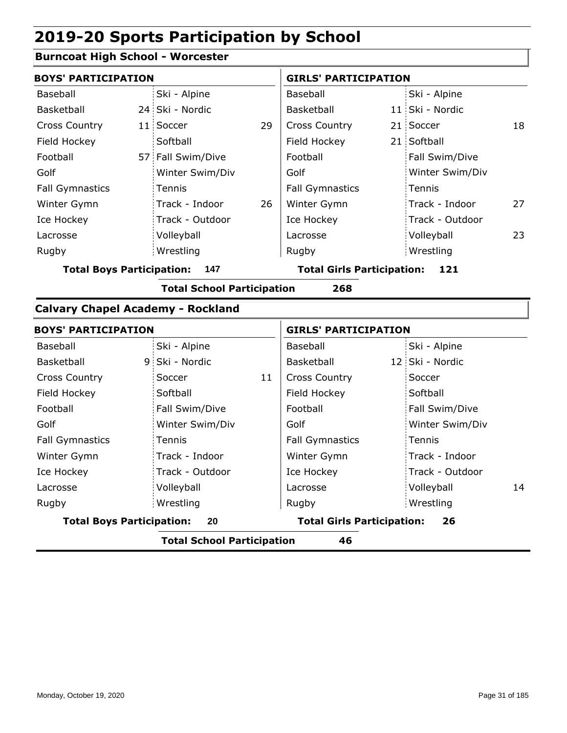#### **Burncoat High School - Worcester**

| <b>BOYS' PARTICIPATION</b> |                   |    | <b>GIRLS' PARTICIPATION</b> |  |                 |    |
|----------------------------|-------------------|----|-----------------------------|--|-----------------|----|
| Baseball                   | Ski - Alpine      |    | Baseball                    |  | Ski - Alpine    |    |
| Basketball                 | 24 Ski - Nordic   |    | Basketball                  |  | 11 Ski - Nordic |    |
| <b>Cross Country</b>       | 11 Soccer         | 29 | <b>Cross Country</b>        |  | 21 Soccer       | 18 |
| Field Hockey               | Softball          |    | Field Hockey                |  | 21 Softball     |    |
| Football                   | 57 Fall Swim/Dive |    | Football                    |  | Fall Swim/Dive  |    |
| Golf                       | Winter Swim/Div   |    | Golf                        |  | Winter Swim/Div |    |
| <b>Fall Gymnastics</b>     | Tennis            |    | <b>Fall Gymnastics</b>      |  | : Tennis        |    |
| Winter Gymn                | Track - Indoor    | 26 | Winter Gymn                 |  | Track - Indoor  | 27 |
| Ice Hockey                 | Track - Outdoor   |    | Ice Hockey                  |  | Track - Outdoor |    |
| Lacrosse                   | Volleyball        |    | Lacrosse                    |  | Volleyball      | 23 |
| Rugby                      | Wrestling         |    | Rugby                       |  | Wrestling       |    |
|                            |                   |    |                             |  |                 |    |

**Total Boys Participation: 147 Total Girls Participation: 121**

**Total School Participation 268**

#### **Calvary Chapel Academy - Rockland**

| <b>BOYS' PARTICIPATION</b>                                                        |                 |    | <b>GIRLS' PARTICIPATION</b> |  |                 |    |
|-----------------------------------------------------------------------------------|-----------------|----|-----------------------------|--|-----------------|----|
| Baseball                                                                          | Ski - Alpine    |    | Baseball                    |  | Ski - Alpine    |    |
| Basketball                                                                        | 9 Ski - Nordic  |    | Basketball                  |  | 12 Ski - Nordic |    |
| <b>Cross Country</b>                                                              | Soccer          | 11 | <b>Cross Country</b>        |  | Soccer          |    |
| Field Hockey                                                                      | Softball        |    | Field Hockey                |  | Softball        |    |
| Football                                                                          | Fall Swim/Dive  |    | Football                    |  | Fall Swim/Dive  |    |
| Golf                                                                              | Winter Swim/Div |    | Golf                        |  | Winter Swim/Div |    |
| <b>Fall Gymnastics</b>                                                            | Tennis          |    | <b>Fall Gymnastics</b>      |  | <b>Tennis</b>   |    |
| Winter Gymn                                                                       | Track - Indoor  |    | Winter Gymn                 |  | Track - Indoor  |    |
| Ice Hockey                                                                        | Track - Outdoor |    | Ice Hockey                  |  | Track - Outdoor |    |
| Lacrosse                                                                          | Volleyball      |    | Lacrosse                    |  | Volleyball      | 14 |
| Rugby                                                                             | Wrestling       |    | Rugby                       |  | Wrestling       |    |
| <b>Total Boys Participation:</b><br><b>Total Girls Participation:</b><br>26<br>20 |                 |    |                             |  |                 |    |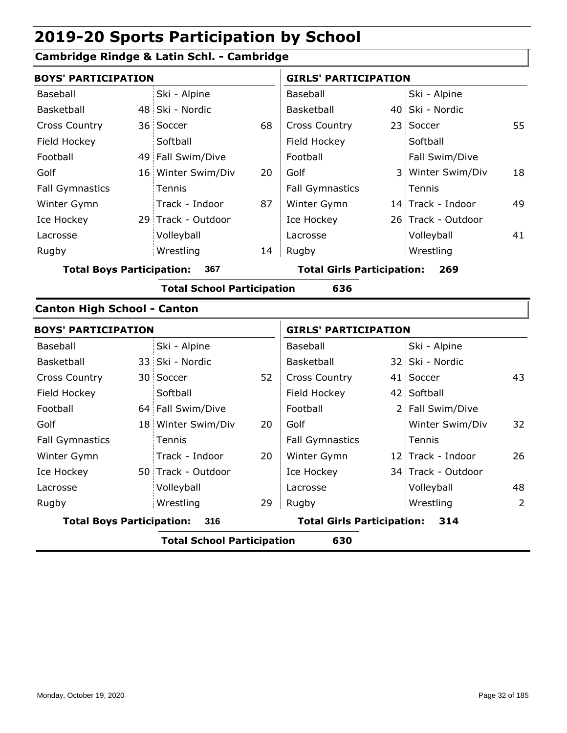### **Cambridge Rindge & Latin Schl. - Cambridge**

| <b>BOYS' PARTICIPATION</b>         |  |                                   |    | <b>GIRLS' PARTICIPATION</b>       |  |                    |                |
|------------------------------------|--|-----------------------------------|----|-----------------------------------|--|--------------------|----------------|
| Baseball                           |  | Ski - Alpine                      |    | Baseball                          |  | Ski - Alpine       |                |
| Basketball                         |  | 48 Ski - Nordic                   |    | Basketball                        |  | 40 Ski - Nordic    |                |
| <b>Cross Country</b>               |  | 36 Soccer                         | 68 | <b>Cross Country</b>              |  | 23 Soccer          | 55             |
| Field Hockey                       |  | Softball                          |    | Field Hockey                      |  | Softball           |                |
| Football                           |  | 49 Fall Swim/Dive                 |    | Football                          |  | Fall Swim/Dive     |                |
| Golf                               |  | 16 Winter Swim/Div                | 20 | Golf                              |  | 3 Winter Swim/Div  | 18             |
| <b>Fall Gymnastics</b>             |  | Tennis                            |    | <b>Fall Gymnastics</b>            |  | Tennis             |                |
| Winter Gymn                        |  | Track - Indoor                    | 87 | Winter Gymn                       |  | 14 Track - Indoor  | 49             |
| Ice Hockey                         |  | 29 Track - Outdoor                |    | Ice Hockey                        |  | 26 Track - Outdoor |                |
| Lacrosse                           |  | Volleyball                        |    | Lacrosse                          |  | Volleyball         | 41             |
| Rugby                              |  | Wrestling                         | 14 | Rugby                             |  | Wrestling          |                |
| <b>Total Boys Participation:</b>   |  | 367                               |    | <b>Total Girls Participation:</b> |  | 269                |                |
|                                    |  | <b>Total School Participation</b> |    | 636                               |  |                    |                |
| <b>Canton High School - Canton</b> |  |                                   |    |                                   |  |                    |                |
| <b>BOYS' PARTICIPATION</b>         |  |                                   |    | <b>GIRLS' PARTICIPATION</b>       |  |                    |                |
| <b>Baseball</b>                    |  | Ski - Alpine                      |    | Baseball                          |  | Ski - Alpine       |                |
| Basketball                         |  | 33 Ski - Nordic                   |    | Basketball                        |  | 32 Ski - Nordic    |                |
| <b>Cross Country</b>               |  | 30 Soccer                         | 52 | <b>Cross Country</b>              |  | 41 Soccer          | 43             |
| Field Hockey                       |  | Softball                          |    | Field Hockey                      |  | 42 Softball        |                |
| Football                           |  | 64 Fall Swim/Dive                 |    | Football                          |  | 2 Fall Swim/Dive   |                |
| Golf                               |  | 18 Winter Swim/Div                | 20 | Golf                              |  | Winter Swim/Div    | 32             |
| <b>Fall Gymnastics</b>             |  | Tennis                            |    | <b>Fall Gymnastics</b>            |  | Tennis             |                |
| Winter Gymn                        |  | Track - Indoor                    | 20 | Winter Gymn                       |  | 12 Track - Indoor  | 26             |
| Ice Hockey                         |  | 50 Track - Outdoor                |    | Ice Hockey                        |  | 34 Track - Outdoor |                |
| Lacrosse                           |  | Volleyball                        |    | Lacrosse                          |  | Volleyball         | 48             |
| Rugby                              |  | Wrestling                         | 29 | Rugby                             |  | Wrestling          | $\overline{2}$ |
| <b>Total Boys Participation:</b>   |  | 316                               |    | <b>Total Girls Participation:</b> |  | 314                |                |
|                                    |  | <b>Total School Participation</b> |    | 630                               |  |                    |                |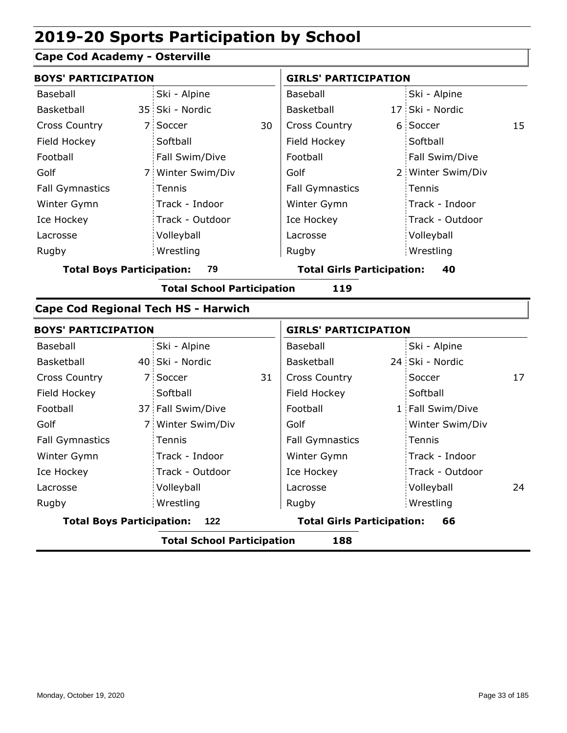#### **Cape Cod Academy - Osterville**

| <b>BOYS' PARTICIPATION</b>       |                                   |    | <b>GIRLS' PARTICIPATION</b>       |  |                   |    |
|----------------------------------|-----------------------------------|----|-----------------------------------|--|-------------------|----|
| Baseball                         | Ski - Alpine                      |    | Baseball                          |  | Ski - Alpine      |    |
| Basketball                       | 35 Ski - Nordic                   |    | Basketball                        |  | 17 Ski - Nordic   |    |
| <b>Cross Country</b>             | 7 Soccer                          | 30 | <b>Cross Country</b>              |  | 6 Soccer          | 15 |
| Field Hockey                     | Softball                          |    | Field Hockey                      |  | Softball          |    |
| Football                         | Fall Swim/Dive                    |    | Football                          |  | Fall Swim/Dive    |    |
| Golf                             | 7 Winter Swim/Div                 |    | Golf                              |  | 2 Winter Swim/Div |    |
| <b>Fall Gymnastics</b>           | Tennis                            |    | <b>Fall Gymnastics</b>            |  | Tennis            |    |
| Winter Gymn                      | Track - Indoor                    |    | Winter Gymn                       |  | Track - Indoor    |    |
| Ice Hockey                       | Track - Outdoor                   |    | Ice Hockey                        |  | Track - Outdoor   |    |
| Lacrosse                         | Volleyball                        |    | Lacrosse                          |  | Volleyball        |    |
| Rugby                            | Wrestling                         |    | Rugby                             |  | Wrestling         |    |
| <b>Total Boys Participation:</b> | 79                                |    | <b>Total Girls Participation:</b> |  | 40                |    |
|                                  | <b>Total School Participation</b> |    | 119                               |  |                   |    |

#### **Cape Cod Regional Tech HS - Harwich**

|                                         | <b>BOYS' PARTICIPATION</b> |                                         |    |                        | <b>GIRLS' PARTICIPATION</b> |                  |    |  |
|-----------------------------------------|----------------------------|-----------------------------------------|----|------------------------|-----------------------------|------------------|----|--|
| Baseball                                |                            | Ski - Alpine                            |    | Baseball               |                             | Ski - Alpine     |    |  |
| Basketball                              |                            | 40 Ski - Nordic                         |    | Basketball             |                             | 24 Ski - Nordic  |    |  |
| <b>Cross Country</b>                    |                            | 7 Soccer                                | 31 | <b>Cross Country</b>   |                             | Soccer           | 17 |  |
| Field Hockey                            |                            | Softball                                |    | Field Hockey           |                             | Softball         |    |  |
| Football                                |                            | 37 Fall Swim/Dive                       |    | Football               |                             | 1 Fall Swim/Dive |    |  |
| Golf                                    |                            | 7 Winter Swim/Div                       |    | Golf                   |                             | Winter Swim/Div  |    |  |
| <b>Fall Gymnastics</b>                  |                            | Tennis                                  |    | <b>Fall Gymnastics</b> |                             | Tennis           |    |  |
| Winter Gymn                             |                            | Track - Indoor                          |    | Winter Gymn            |                             | Track - Indoor   |    |  |
| Ice Hockey                              |                            | Track - Outdoor                         |    | Ice Hockey             |                             | Track - Outdoor  |    |  |
| Lacrosse                                |                            | Volleyball                              |    | Lacrosse               |                             | Volleyball       | 24 |  |
| Rugby                                   |                            | Wrestling                               |    | Rugby                  |                             | Wrestling        |    |  |
| <b>Total Boys Participation:</b><br>122 |                            | <b>Total Girls Participation:</b><br>66 |    |                        |                             |                  |    |  |
|                                         |                            | Tatal Adia al Magdiais ativo. Il co     |    | .                      |                             |                  |    |  |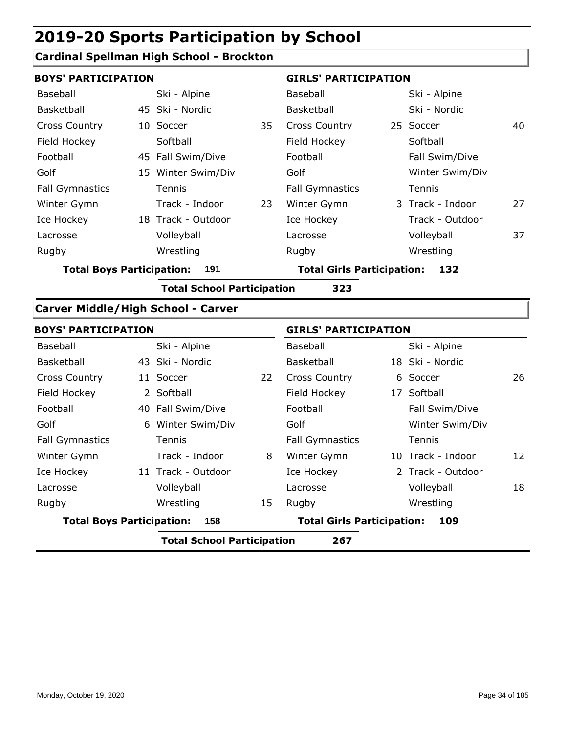### **Cardinal Spellman High School - Brockton**

| <b>BOYS' PARTICIPATION</b>                |  |                                   | <b>GIRLS' PARTICIPATION</b> |                                   |  |                   |    |
|-------------------------------------------|--|-----------------------------------|-----------------------------|-----------------------------------|--|-------------------|----|
| <b>Baseball</b>                           |  | Ski - Alpine                      |                             | Baseball                          |  | Ski - Alpine      |    |
| Basketball                                |  | 45 Ski - Nordic                   |                             | Basketball                        |  | Ski - Nordic      |    |
| <b>Cross Country</b>                      |  | 10 Soccer                         | 35                          | <b>Cross Country</b>              |  | 25 Soccer         | 40 |
| Field Hockey                              |  | Softball                          |                             | Field Hockey                      |  | Softball          |    |
| Football                                  |  | 45 Fall Swim/Dive                 |                             | Football                          |  | Fall Swim/Dive    |    |
| Golf                                      |  | 15 Winter Swim/Div                |                             | Golf                              |  | Winter Swim/Div   |    |
| <b>Fall Gymnastics</b>                    |  | Tennis                            |                             | <b>Fall Gymnastics</b>            |  | Tennis            |    |
| Winter Gymn                               |  | Track - Indoor                    | 23                          | Winter Gymn                       |  | 3 Track - Indoor  | 27 |
| Ice Hockey                                |  | 18 Track - Outdoor                |                             | Ice Hockey                        |  | Track - Outdoor   |    |
| Lacrosse                                  |  | Volleyball                        |                             | Lacrosse                          |  | Volleyball        | 37 |
| Rugby                                     |  | Wrestling                         |                             | Rugby                             |  | Wrestling         |    |
| <b>Total Boys Participation:</b>          |  | 191                               |                             | <b>Total Girls Participation:</b> |  | 132               |    |
|                                           |  | <b>Total School Participation</b> |                             | 323                               |  |                   |    |
| <b>Carver Middle/High School - Carver</b> |  |                                   |                             |                                   |  |                   |    |
| <b>BOYS' PARTICIPATION</b>                |  |                                   |                             | <b>GIRLS' PARTICIPATION</b>       |  |                   |    |
| Baseball                                  |  | Ski - Alpine                      |                             | Baseball                          |  | Ski - Alpine      |    |
| Basketball                                |  | 43 Ski - Nordic                   |                             | Basketball                        |  | 18 Ski - Nordic   |    |
| <b>Cross Country</b>                      |  | 11 Soccer                         | 22                          | <b>Cross Country</b>              |  | 6 Soccer          | 26 |
| Field Hockey                              |  | 2 Softball                        |                             | Field Hockey                      |  | 17 Softball       |    |
| Football                                  |  | 40 Fall Swim/Dive                 |                             | Football                          |  | Fall Swim/Dive    |    |
| Golf                                      |  | 6 Winter Swim/Div                 |                             | Golf                              |  | Winter Swim/Div   |    |
| <b>Fall Gymnastics</b>                    |  | Tennis                            |                             | <b>Fall Gymnastics</b>            |  | Tennis            |    |
| Winter Gymn                               |  | Track - Indoor                    | 8                           | Winter Gymn                       |  | 10 Track - Indoor | 12 |
| Ice Hockey                                |  | 11 Track - Outdoor                |                             | Ice Hockey                        |  | 2 Track - Outdoor |    |
| Lacrosse                                  |  | Volleyball                        |                             | Lacrosse                          |  | Volleyball        | 18 |
| Rugby                                     |  | Wrestling                         | 15                          | Rugby                             |  | Wrestling         |    |
| <b>Total Boys Participation:</b>          |  | 158                               |                             | <b>Total Girls Participation:</b> |  | 109               |    |
|                                           |  | <b>Total School Participation</b> |                             | 267                               |  |                   |    |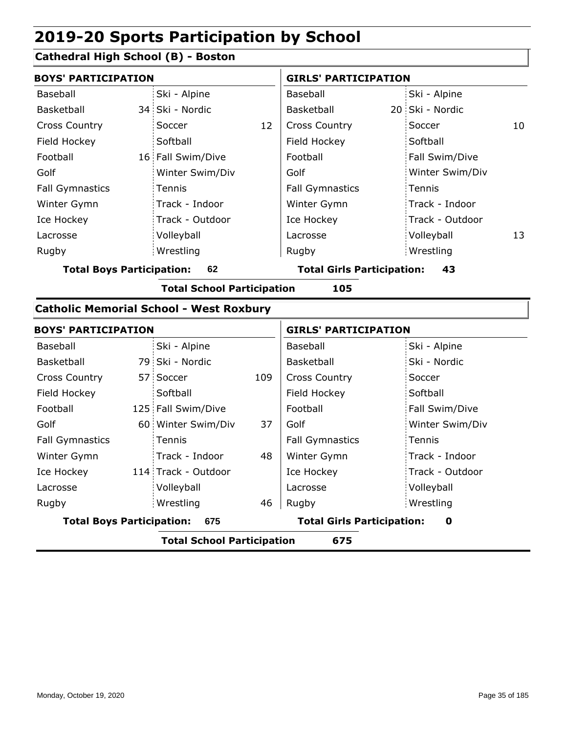#### **Cathedral High School (B) - Boston**

| <b>BOYS' PARTICIPATION</b>                                      |  |                                                                                                                                                                                                                                                                                                | <b>GIRLS' PARTICIPATION</b> |                                   |  |                 |    |
|-----------------------------------------------------------------|--|------------------------------------------------------------------------------------------------------------------------------------------------------------------------------------------------------------------------------------------------------------------------------------------------|-----------------------------|-----------------------------------|--|-----------------|----|
| Baseball                                                        |  | Ski - Alpine                                                                                                                                                                                                                                                                                   |                             | Baseball                          |  | Ski - Alpine    |    |
| Basketball                                                      |  | 34 Ski - Nordic                                                                                                                                                                                                                                                                                |                             | Basketball                        |  | 20 Ski - Nordic |    |
| <b>Cross Country</b>                                            |  | Soccer                                                                                                                                                                                                                                                                                         | 12                          | <b>Cross Country</b>              |  | Soccer          | 10 |
| Field Hockey                                                    |  | Softball                                                                                                                                                                                                                                                                                       |                             | Field Hockey                      |  | Softball        |    |
| Football                                                        |  | 16 Fall Swim/Dive                                                                                                                                                                                                                                                                              |                             | Football                          |  | Fall Swim/Dive  |    |
| Golf                                                            |  | Winter Swim/Div                                                                                                                                                                                                                                                                                |                             | Golf                              |  | Winter Swim/Div |    |
| <b>Fall Gymnastics</b>                                          |  | Tennis                                                                                                                                                                                                                                                                                         |                             | <b>Fall Gymnastics</b>            |  | Tennis          |    |
| Winter Gymn                                                     |  | Track - Indoor                                                                                                                                                                                                                                                                                 |                             | Winter Gymn                       |  | Track - Indoor  |    |
| Ice Hockey                                                      |  | Track - Outdoor                                                                                                                                                                                                                                                                                |                             | Ice Hockey                        |  | Track - Outdoor |    |
| Lacrosse                                                        |  | Volleyball                                                                                                                                                                                                                                                                                     |                             | Lacrosse                          |  | Volleyball      | 13 |
| Rugby                                                           |  | Wrestling                                                                                                                                                                                                                                                                                      |                             | Rugby                             |  | Wrestling       |    |
| <b>Total Boys Participation:</b>                                |  | 62                                                                                                                                                                                                                                                                                             |                             | <b>Total Girls Participation:</b> |  | 43              |    |
|                                                                 |  | <b>Total School Participation</b>                                                                                                                                                                                                                                                              |                             | 105                               |  |                 |    |
| $\mathbf{A}$ . The set of the following the set of $\mathbf{A}$ |  | $\mathbf{1}$ . A shown in the set of $\mathbf{1}$ and $\mathbf{1}$ and $\mathbf{1}$ and $\mathbf{1}$ and $\mathbf{1}$ and $\mathbf{1}$ and $\mathbf{1}$ and $\mathbf{1}$ and $\mathbf{1}$ and $\mathbf{1}$ and $\mathbf{1}$ and $\mathbf{1}$ and $\mathbf{1}$ and $\mathbf{1}$ and $\mathbf{1$ |                             |                                   |  |                 |    |

#### **Catholic Memorial School - West Roxbury** 79 Ski - Nordic 57 Soccer 125 Fall Swim/Dive 60 Winter Swim/Div 37 114 Track - Outdoor 109 48 46 Baseball Basketball Cross Country Field Hockey Football Golf Fall Gymnastics Ice Hockey Lacrosse Ski - Alpine **Softball** Tennis Track - Indoor Volleyball Wrestling Rugby Rugby **BOYS' PARTICIPATION GIRLS' PARTICIPATION** Baseball Basketball Cross Country Field Hockey Football Golf Fall Gymnastics Winter Gymn Ice Hockey Lacrosse Ski - Alpine Ski - Nordic Soccer **Softball** Fall Swim/Dive Winter Swim/Div Tennis Track - Indoor Track - Outdoor Winter Gymn Volleyball Wrestling **Total Boys Participation: 675 Total Girls Participation: 0 Total School Participation 675**

Monday, October 19, 2020 **Page 35 of 185** Page 35 of 185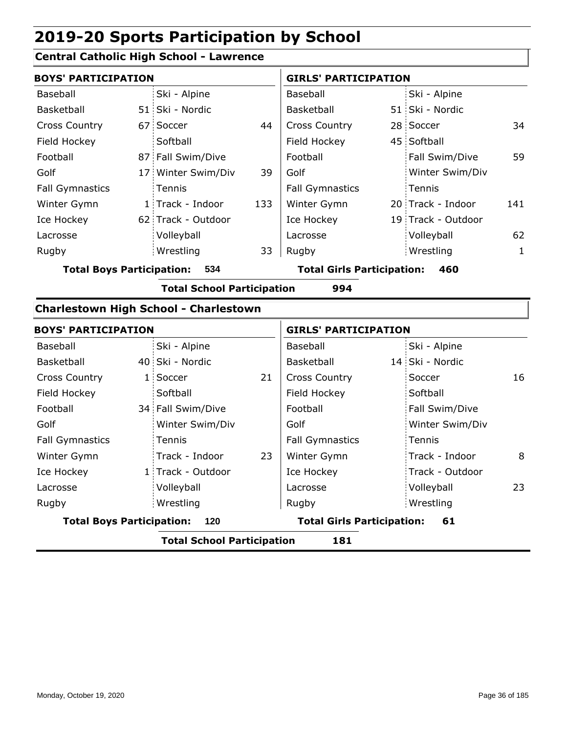### **Central Catholic High School - Lawrence**

|                                         | <b>BOYS' PARTICIPATION</b> |                    |     | <b>GIRLS' PARTICIPATION</b>       |  |                    |     |
|-----------------------------------------|----------------------------|--------------------|-----|-----------------------------------|--|--------------------|-----|
| Baseball                                |                            | Ski - Alpine       |     | Baseball                          |  | Ski - Alpine       |     |
| Basketball                              |                            | 51 Ski - Nordic    |     | Basketball                        |  | 51 Ski - Nordic    |     |
| <b>Cross Country</b>                    |                            | 67 Soccer          | 44  | <b>Cross Country</b>              |  | 28 Soccer          | 34  |
| Field Hockey                            |                            | Softball           |     | Field Hockey                      |  | 45 Softball        |     |
| Football                                |                            | 87 Fall Swim/Dive  |     | Football                          |  | Fall Swim/Dive     | 59  |
| Golf                                    |                            | 17 Winter Swim/Div | 39  | Golf                              |  | Winter Swim/Div    |     |
| <b>Fall Gymnastics</b>                  |                            | <b>Tennis</b>      |     | <b>Fall Gymnastics</b>            |  | Tennis             |     |
| Winter Gymn                             |                            | 1 Track - Indoor   | 133 | Winter Gymn                       |  | 20 Track - Indoor  | 141 |
| Ice Hockey                              |                            | 62 Track - Outdoor |     | Ice Hockey                        |  | 19 Track - Outdoor |     |
| Lacrosse                                |                            | Volleyball         |     | Lacrosse                          |  | Volleyball         | 62  |
| Rugby                                   |                            | Wrestling          | 33  | Rugby                             |  | Wrestling          | 1   |
| <b>Total Boys Participation:</b><br>534 |                            |                    |     | <b>Total Girls Participation:</b> |  | 460                |     |

**Total School Participation 994**

### **Charlestown High School - Charlestown**

|                                         | <b>BOYS' PARTICIPATION</b> |                                   |                                         | <b>GIRLS' PARTICIPATION</b> |  |                 |    |
|-----------------------------------------|----------------------------|-----------------------------------|-----------------------------------------|-----------------------------|--|-----------------|----|
| Baseball                                |                            | Ski - Alpine                      |                                         | Baseball                    |  | Ski - Alpine    |    |
| <b>Basketball</b>                       |                            | 40 Ski - Nordic                   |                                         | Basketball                  |  | 14 Ski - Nordic |    |
| <b>Cross Country</b>                    |                            | 1 Soccer                          | 21                                      | <b>Cross Country</b>        |  | Soccer          | 16 |
| Field Hockey                            |                            | Softball                          |                                         | Field Hockey                |  | Softball        |    |
| Football                                |                            | 34 Fall Swim/Dive                 |                                         | Football                    |  | Fall Swim/Dive  |    |
| Golf                                    |                            | Winter Swim/Div                   |                                         | Golf                        |  | Winter Swim/Div |    |
| <b>Fall Gymnastics</b>                  |                            | Tennis                            |                                         | <b>Fall Gymnastics</b>      |  | Tennis          |    |
| Winter Gymn                             |                            | Track - Indoor                    | 23                                      | Winter Gymn                 |  | Track - Indoor  | 8  |
| Ice Hockey                              |                            | 1 Track - Outdoor                 |                                         | Ice Hockey                  |  | Track - Outdoor |    |
| Lacrosse                                |                            | Volleyball                        |                                         | Lacrosse                    |  | Volleyball      | 23 |
| Rugby                                   |                            | Wrestling                         |                                         | Rugby                       |  | Wrestling       |    |
| <b>Total Boys Participation:</b><br>120 |                            |                                   | <b>Total Girls Participation:</b><br>61 |                             |  |                 |    |
|                                         |                            | <b>Total School Participation</b> |                                         | 181                         |  |                 |    |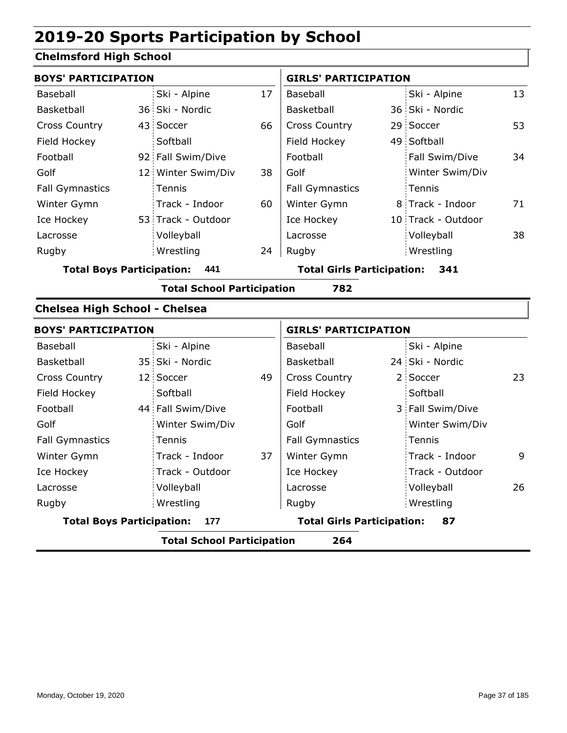## **Chelmsford High School**

| <b>BOYS' PARTICIPATION</b>           |                                   |    | <b>GIRLS' PARTICIPATION</b>       |  |                    |    |
|--------------------------------------|-----------------------------------|----|-----------------------------------|--|--------------------|----|
| Baseball                             | Ski - Alpine                      | 17 | Baseball                          |  | Ski - Alpine       | 13 |
| Basketball                           | 36 Ski - Nordic                   |    | Basketball                        |  | 36 Ski - Nordic    |    |
| <b>Cross Country</b>                 | 43 Soccer                         | 66 | Cross Country                     |  | 29 Soccer          | 53 |
| Field Hockey                         | Softball                          |    | Field Hockey                      |  | 49 Softball        |    |
| Football                             | 92 Fall Swim/Dive                 |    | Football                          |  | Fall Swim/Dive     | 34 |
| Golf                                 | 12 Winter Swim/Div                | 38 | Golf                              |  | Winter Swim/Div    |    |
| <b>Fall Gymnastics</b>               | Tennis                            |    | <b>Fall Gymnastics</b>            |  | Tennis             |    |
| Winter Gymn                          | Track - Indoor                    | 60 | Winter Gymn                       |  | 8 Track - Indoor   | 71 |
| Ice Hockey                           | 53 Track - Outdoor                |    | Ice Hockey                        |  | 10 Track - Outdoor |    |
| Lacrosse                             | Volleyball                        |    | Lacrosse                          |  | Volleyball         | 38 |
| Rugby                                | Wrestling                         | 24 | Rugby                             |  | Wrestling          |    |
| <b>Total Boys Participation:</b>     | 441                               |    | <b>Total Girls Participation:</b> |  | 341                |    |
|                                      | <b>Total School Participation</b> |    | 782                               |  |                    |    |
| <b>Chelsea High School - Chelsea</b> |                                   |    |                                   |  |                    |    |
| <b>BOYS' PARTICIPATION</b>           |                                   |    | <b>GIRLS' PARTICIPATION</b>       |  |                    |    |
| Baseball                             | Ski - Alpine                      |    | Baseball                          |  | Ski - Alpine       |    |
| Basketball                           | 35 Ski - Nordic                   |    | Basketball                        |  | 24 Ski - Nordic    |    |
| <b>Cross Country</b>                 | 12 Soccer                         | 49 | Cross Country                     |  | 2 Soccer           | 23 |
| Field Hockey                         | Softball                          |    | Field Hockey                      |  | Softball           |    |
| Football                             | 44 Fall Swim/Dive                 |    | Football                          |  | 3 Fall Swim/Dive   |    |
| Golf                                 | Winter Swim/Div                   |    | Golf                              |  | Winter Swim/Div    |    |
| <b>Fall Gymnastics</b>               | Tennis                            |    | <b>Fall Gymnastics</b>            |  | Tennis             |    |
| Winter Gymn                          | Track - Indoor                    | 37 | Winter Gymn                       |  | Track - Indoor     | 9  |
| Ice Hockey                           | Track - Outdoor                   |    | Ice Hockey                        |  | Track - Outdoor    |    |
| Lacrosse                             | Volleyball                        |    | Lacrosse                          |  | Volleyball         | 26 |
| Rugby                                | Wrestling                         |    | Rugby                             |  | Wrestling          |    |
| <b>Total Boys Participation:</b>     | 177                               |    | <b>Total Girls Participation:</b> |  | 87                 |    |
|                                      | <b>Total School Participation</b> |    | 264                               |  |                    |    |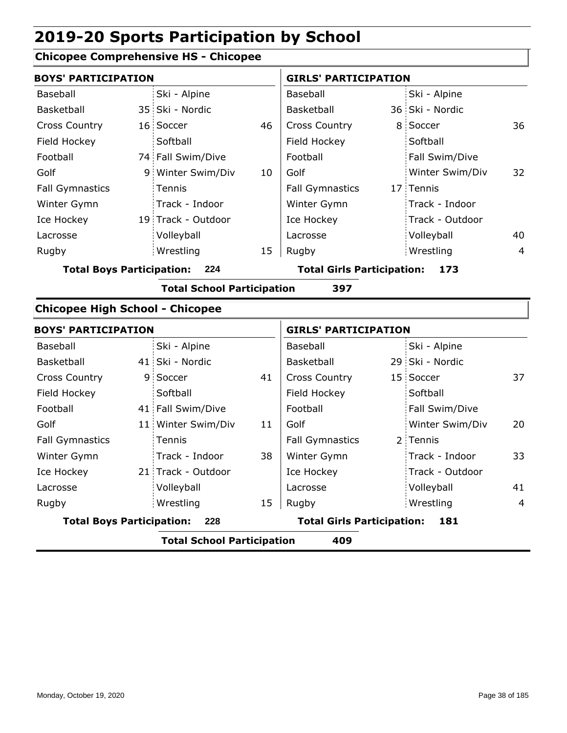## **Chicopee Comprehensive HS - Chicopee**

| <b>BOYS' PARTICIPATION</b>             |    |                                   |    | <b>GIRLS' PARTICIPATION</b>       |  |                 |                |
|----------------------------------------|----|-----------------------------------|----|-----------------------------------|--|-----------------|----------------|
| Baseball                               |    | Ski - Alpine                      |    | Baseball                          |  | Ski - Alpine    |                |
| Basketball                             |    | 35 Ski - Nordic                   |    | Basketball                        |  | 36 Ski - Nordic |                |
| <b>Cross Country</b>                   |    | 16 Soccer                         | 46 | Cross Country                     |  | 8 Soccer        | 36             |
| Field Hockey                           |    | Softball                          |    | Field Hockey                      |  | Softball        |                |
| Football                               |    | 74 Fall Swim/Dive                 |    | Football                          |  | Fall Swim/Dive  |                |
| Golf                                   | 9. | Winter Swim/Div                   | 10 | Golf                              |  | Winter Swim/Div | 32             |
| <b>Fall Gymnastics</b>                 |    | Tennis                            |    | <b>Fall Gymnastics</b>            |  | 17 Tennis       |                |
| Winter Gymn                            |    | Track - Indoor                    |    | Winter Gymn                       |  | Track - Indoor  |                |
| Ice Hockey                             |    | 19 Track - Outdoor                |    | Ice Hockey                        |  | Track - Outdoor |                |
| Lacrosse                               |    | Volleyball                        |    | Lacrosse                          |  | Volleyball      | 40             |
| Rugby                                  |    | Wrestling                         | 15 | Rugby                             |  | Wrestling       | $\overline{4}$ |
| <b>Total Boys Participation:</b>       |    | 224                               |    | <b>Total Girls Participation:</b> |  | 173             |                |
|                                        |    | <b>Total School Participation</b> |    | 397                               |  |                 |                |
| <b>Chicopee High School - Chicopee</b> |    |                                   |    |                                   |  |                 |                |
| <b>BOYS' PARTICIPATION</b>             |    |                                   |    | <b>GIRLS' PARTICIPATION</b>       |  |                 |                |
| Baseball                               |    | Ski - Alpine                      |    | Baseball                          |  | Ski - Alpine    |                |
| Basketball                             |    | 41 Ski - Nordic                   |    | Basketball                        |  | 29 Ski - Nordic |                |
| <b>Cross Country</b>                   |    | 9 Soccer                          | 41 | <b>Cross Country</b>              |  | 15 Soccer       | 37             |
| Field Hockey                           |    | Softball                          |    | Field Hockey                      |  | Softball        |                |
| Football                               |    | 41 Fall Swim/Dive                 |    | Football                          |  | Fall Swim/Dive  |                |
| Golf                                   |    | 11 Winter Swim/Div                | 11 | Golf                              |  | Winter Swim/Div | 20             |
| <b>Fall Gymnastics</b>                 |    | Tennis                            |    | <b>Fall Gymnastics</b>            |  | 2 Tennis        |                |
| Winter Gymn                            |    | Track - Indoor                    | 38 | Winter Gymn                       |  | Track - Indoor  | 33             |
| Ice Hockey                             |    | 21 Track - Outdoor                |    | Ice Hockey                        |  | Track - Outdoor |                |
| Lacrosse                               |    | Volleyball                        |    | Lacrosse                          |  | Volleyball      | 41             |
| Rugby                                  |    | Wrestling                         | 15 | Rugby                             |  | Wrestling       | $\overline{4}$ |
| <b>Total Boys Participation:</b>       |    | 228                               |    | <b>Total Girls Participation:</b> |  | 181             |                |
|                                        |    | <b>Total School Participation</b> |    | 409                               |  |                 |                |
|                                        |    |                                   |    |                                   |  |                 |                |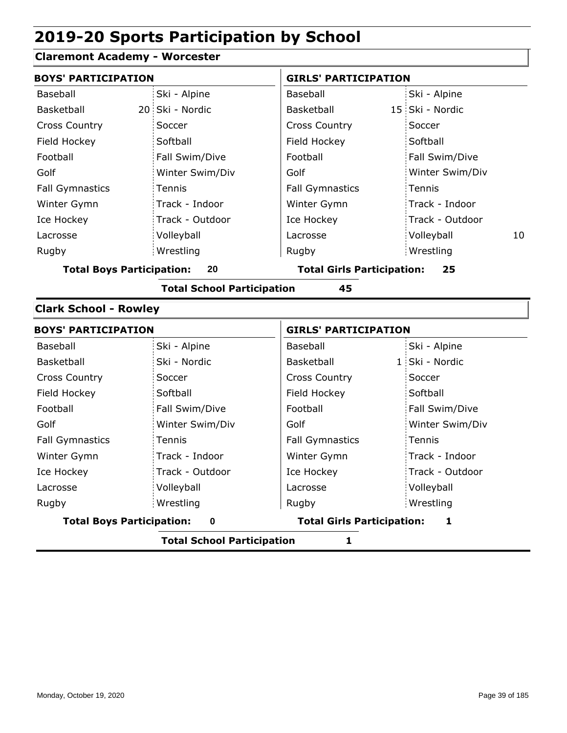#### **Claremont Academy - Worcester**

| <b>BOYS' PARTICIPATION</b>       |                 | <b>GIRLS' PARTICIPATION</b>       |                  |  |  |
|----------------------------------|-----------------|-----------------------------------|------------------|--|--|
| Baseball                         | Ski - Alpine    | Baseball                          | Ski - Alpine     |  |  |
| Basketball                       | 20 Ski - Nordic | Basketball                        | 15 Ski - Nordic  |  |  |
| <b>Cross Country</b>             | Soccer          | <b>Cross Country</b>              | Soccer           |  |  |
| Field Hockey                     | Softball        | Field Hockey                      | Softball         |  |  |
| Football                         | Fall Swim/Dive  | Football                          | Fall Swim/Dive   |  |  |
| Golf                             | Winter Swim/Div | Golf                              | Winter Swim/Div  |  |  |
| <b>Fall Gymnastics</b>           | Tennis          | <b>Fall Gymnastics</b>            | Tennis           |  |  |
| Winter Gymn                      | Track - Indoor  | Winter Gymn                       | Track - Indoor   |  |  |
| Ice Hockey                       | Track - Outdoor | Ice Hockey                        | Track - Outdoor  |  |  |
| Lacrosse                         | Volleyball      | Lacrosse                          | Volleyball<br>10 |  |  |
| Rugby                            | Wrestling       | Rugby                             | Wrestling        |  |  |
| <b>Total Boys Participation:</b> | 20              | <b>Total Girls Participation:</b> | 25               |  |  |

**Total School Participation 45**

#### **Clark School - Rowley**

| <b>BOYS' PARTICIPATION</b>       |                 | <b>GIRLS' PARTICIPATION</b>       |                 |  |
|----------------------------------|-----------------|-----------------------------------|-----------------|--|
| Baseball                         | Ski - Alpine    | Baseball                          | Ski - Alpine    |  |
| Basketball                       | Ski - Nordic    | Basketball                        | 1 Ski - Nordic  |  |
| <b>Cross Country</b>             | Soccer          | <b>Cross Country</b>              | Soccer          |  |
| Field Hockey                     | Softball        | Field Hockey                      | Softball        |  |
| Football                         | Fall Swim/Dive  | Football                          | Fall Swim/Dive  |  |
| Golf                             | Winter Swim/Div | Golf                              | Winter Swim/Div |  |
| <b>Fall Gymnastics</b>           | Tennis          | <b>Fall Gymnastics</b>            | <b>Tennis</b>   |  |
| Winter Gymn                      | Track - Indoor  | Winter Gymn                       | Track - Indoor  |  |
| Ice Hockey                       | Track - Outdoor | Ice Hockey                        | Track - Outdoor |  |
| Lacrosse                         | Volleyball      | Lacrosse                          | Volleyball      |  |
| Rugby                            | Wrestling       | Rugby                             | Wrestling       |  |
| <b>Total Boys Participation:</b> | $\bf{0}$        | <b>Total Girls Participation:</b> | 1               |  |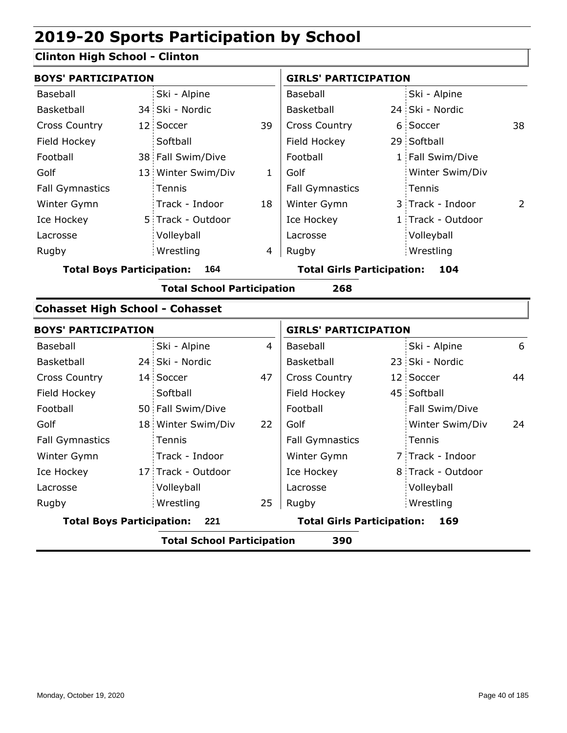## **Clinton High School - Clinton**

| <b>BOYS' PARTICIPATION</b>              |  |                                   |                | <b>GIRLS' PARTICIPATION</b>       |  |                   |    |
|-----------------------------------------|--|-----------------------------------|----------------|-----------------------------------|--|-------------------|----|
| Baseball                                |  | Ski - Alpine                      |                | Baseball                          |  | Ski - Alpine      |    |
| Basketball                              |  | 34 Ski - Nordic                   |                | Basketball                        |  | 24 Ski - Nordic   |    |
| <b>Cross Country</b>                    |  | 12 Soccer                         | 39             | Cross Country                     |  | 6 Soccer          | 38 |
| Field Hockey                            |  | Softball                          |                | Field Hockey                      |  | 29 Softball       |    |
| Football                                |  | 38 Fall Swim/Dive                 |                | Football                          |  | 1 Fall Swim/Dive  |    |
| Golf                                    |  | 13 Winter Swim/Div                | $\mathbf{1}$   | Golf                              |  | Winter Swim/Div   |    |
| <b>Fall Gymnastics</b>                  |  | Tennis                            |                | <b>Fall Gymnastics</b>            |  | Tennis            |    |
| Winter Gymn                             |  | Track - Indoor                    | 18             | Winter Gymn                       |  | 3 Track - Indoor  | 2  |
| Ice Hockey                              |  | 5 Track - Outdoor                 |                | Ice Hockey                        |  | 1 Track - Outdoor |    |
| Lacrosse                                |  | Volleyball                        |                | Lacrosse                          |  | Volleyball        |    |
| Rugby                                   |  | Wrestling                         | 4              | Rugby                             |  | Wrestling         |    |
| <b>Total Boys Participation:</b><br>164 |  |                                   |                | <b>Total Girls Participation:</b> |  | 104               |    |
|                                         |  | <b>Total School Participation</b> |                | 268                               |  |                   |    |
| <b>Cohasset High School - Cohasset</b>  |  |                                   |                |                                   |  |                   |    |
| <b>BOYS' PARTICIPATION</b>              |  |                                   |                | <b>GIRLS' PARTICIPATION</b>       |  |                   |    |
| Baseball                                |  | Ski - Alpine                      | $\overline{4}$ | Baseball                          |  | Ski - Alpine      | 6  |
| Basketball                              |  | 24 Ski - Nordic                   |                | Basketball                        |  | 23 Ski - Nordic   |    |
| <b>Cross Country</b>                    |  | 14 Soccer                         | 47             | Cross Country                     |  | 12 Soccer         | 44 |
| Field Hockey                            |  | Softball                          |                | Field Hockey                      |  | 45 Softball       |    |
| Football                                |  | 50 Fall Swim/Dive                 |                | Football                          |  | Fall Swim/Dive    |    |
| Golf                                    |  | 18 Winter Swim/Div                | 22             | Golf                              |  | Winter Swim/Div   | 24 |
| <b>Fall Gymnastics</b>                  |  | Tennis                            |                | <b>Fall Gymnastics</b>            |  | Tennis            |    |
| Winter Gymn                             |  | Track - Indoor                    |                | Winter Gymn                       |  | 7 Track - Indoor  |    |
| Ice Hockey                              |  | 17 Track - Outdoor                |                | Ice Hockey                        |  | 8 Track - Outdoor |    |

 $25$  Rugby

**Total Boys Participation: 221 Total Girls Participation: 169**

**Total School Participation 390**

Lacrosse

Volleyball Wrestling Rugby Rugby

Lacrosse

Volleyball Wrestling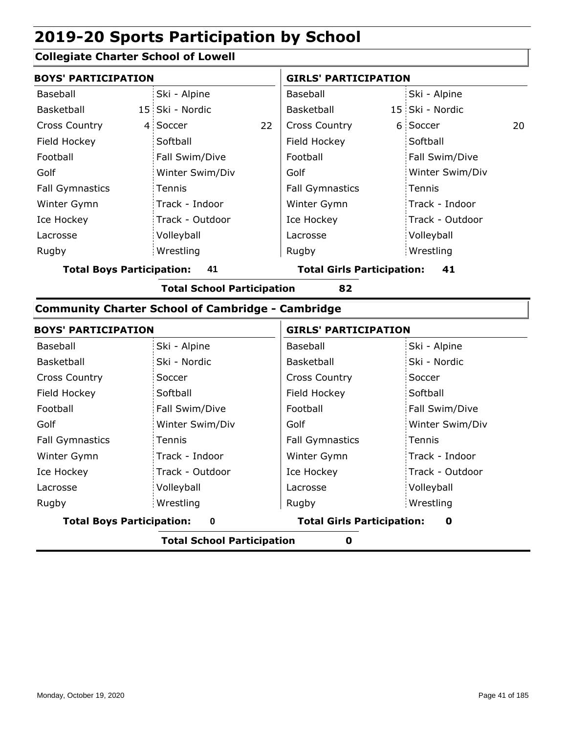### **Collegiate Charter School of Lowell**

| <b>BOYS' PARTICIPATION</b> |  |                 |    | <b>GIRLS' PARTICIPATION</b> |  |                 |    |
|----------------------------|--|-----------------|----|-----------------------------|--|-----------------|----|
| Baseball                   |  | Ski - Alpine    |    | Baseball                    |  | Ski - Alpine    |    |
| Basketball                 |  | 15 Ski - Nordic |    | Basketball                  |  | 15 Ski - Nordic |    |
| <b>Cross Country</b>       |  | 4 Soccer        | 22 | <b>Cross Country</b>        |  | 6 Soccer        | 20 |
| Field Hockey               |  | Softball        |    | Field Hockey                |  | Softball        |    |
| Football                   |  | Fall Swim/Dive  |    | Football                    |  | Fall Swim/Dive  |    |
| Golf                       |  | Winter Swim/Div |    | Golf                        |  | Winter Swim/Div |    |
| <b>Fall Gymnastics</b>     |  | Tennis          |    | <b>Fall Gymnastics</b>      |  | Tennis          |    |
| Winter Gymn                |  | Track - Indoor  |    | Winter Gymn                 |  | Track - Indoor  |    |
| Ice Hockey                 |  | Track - Outdoor |    | Ice Hockey                  |  | Track - Outdoor |    |
| Lacrosse                   |  | Volleyball      |    | Lacrosse                    |  | Volleyball      |    |
| Rugby                      |  | Wrestling       |    | Rugby                       |  | Wrestling       |    |
|                            |  |                 |    |                             |  |                 |    |

**Total Boys Participation: 41 Total Girls Participation: 41**

**Total School Participation 82**

#### **Community Charter School of Cambridge - Cambridge**

| <b>BOYS' PARTICIPATION</b>       |                 | <b>GIRLS' PARTICIPATION</b>       |                   |  |  |
|----------------------------------|-----------------|-----------------------------------|-------------------|--|--|
| Baseball                         | Ski - Alpine    | Baseball                          | Ski - Alpine      |  |  |
| Basketball                       | Ski - Nordic    | Basketball                        | Ski - Nordic      |  |  |
| <b>Cross Country</b>             | Soccer          | <b>Cross Country</b>              | Soccer            |  |  |
| Field Hockey                     | Softball        | Field Hockey                      | Softball          |  |  |
| Football                         | Fall Swim/Dive  | Football                          | Fall Swim/Dive    |  |  |
| Golf                             | Winter Swim/Div | Golf                              | Winter Swim/Div   |  |  |
| <b>Fall Gymnastics</b>           | Tennis          | <b>Fall Gymnastics</b>            | Tennis            |  |  |
| Winter Gymn                      | Track - Indoor  | Winter Gymn                       | Track - Indoor    |  |  |
| Ice Hockey                       | Track - Outdoor | Ice Hockey                        | : Track - Outdoor |  |  |
| Lacrosse                         | Volleyball      | Lacrosse                          | Volleyball        |  |  |
| Rugby                            | Wrestling       | Rugby                             | Wrestling         |  |  |
| <b>Total Boys Participation:</b> | 0               | <b>Total Girls Participation:</b> | 0                 |  |  |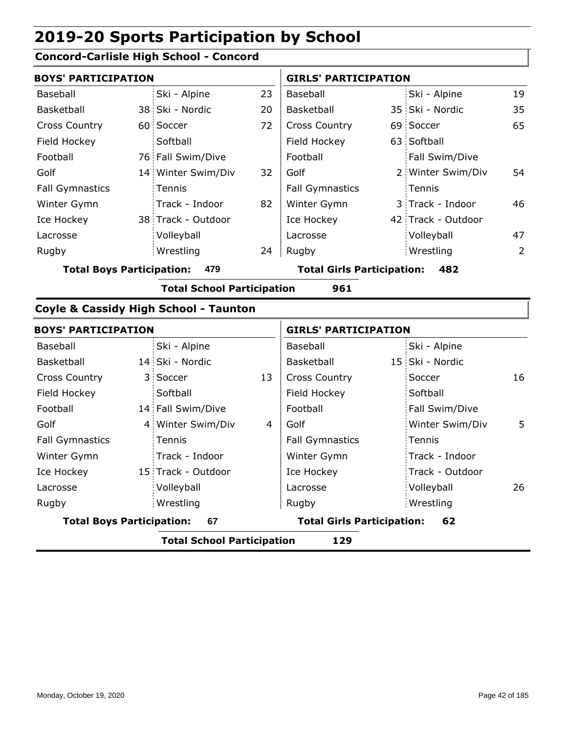## **Concord-Carlisle High School - Concord**

|                                  | <b>BOYS' PARTICIPATION</b> |                                                  |                             |                                          | <b>GIRLS' PARTICIPATION</b> |                    |    |  |
|----------------------------------|----------------------------|--------------------------------------------------|-----------------------------|------------------------------------------|-----------------------------|--------------------|----|--|
| Baseball                         |                            | Ski - Alpine                                     | 23                          | Baseball                                 |                             | Ski - Alpine       | 19 |  |
| Basketball                       |                            | 38 Ski - Nordic                                  | 20                          | Basketball                               |                             | 35 Ski - Nordic    | 35 |  |
| <b>Cross Country</b>             |                            | 60 Soccer                                        | 72                          | <b>Cross Country</b>                     |                             | 69 Soccer          | 65 |  |
| Field Hockey                     |                            | Softball                                         |                             | Field Hockey                             |                             | 63 Softball        |    |  |
| Football                         |                            | 76 Fall Swim/Dive                                |                             | Football                                 |                             | Fall Swim/Dive     |    |  |
| Golf                             |                            | 14 Winter Swim/Div                               | 32                          | Golf                                     |                             | 2 Winter Swim/Div  | 54 |  |
| <b>Fall Gymnastics</b>           |                            | Tennis                                           |                             | <b>Fall Gymnastics</b>                   |                             | Tennis             |    |  |
| Winter Gymn                      |                            | Track - Indoor                                   | 82                          | Winter Gymn                              |                             | 3 Track - Indoor   | 46 |  |
| Ice Hockey                       |                            | 38 Track - Outdoor                               |                             | Ice Hockey                               |                             | 42 Track - Outdoor |    |  |
| Lacrosse                         |                            | Volleyball                                       |                             | Lacrosse                                 |                             | Volleyball         | 47 |  |
| Rugby                            |                            | Wrestling                                        | 24                          | Rugby                                    |                             | Wrestling          | 2  |  |
| <b>Total Boys Participation:</b> |                            | 479                                              |                             | <b>Total Girls Participation:</b><br>482 |                             |                    |    |  |
|                                  |                            | <b>Total School Participation</b>                |                             | 961                                      |                             |                    |    |  |
|                                  |                            | <b>Coyle &amp; Cassidy High School - Taunton</b> |                             |                                          |                             |                    |    |  |
| <b>BOYS' PARTICIPATION</b>       |                            |                                                  | <b>GIRLS' PARTICIPATION</b> |                                          |                             |                    |    |  |
| Baseball                         |                            | Ski - Alpine                                     |                             | Baseball                                 |                             | Ski - Alpine       |    |  |
| <b>Baskethall</b>                |                            | 14 Ski - Nordic                                  |                             | <b>Baskethall</b>                        |                             | 15 Ski - Nordic    |    |  |

|                                        |  | <b>Total School Participation</b> |    | 129                                     |  |                 |    |
|----------------------------------------|--|-----------------------------------|----|-----------------------------------------|--|-----------------|----|
| <b>Total Boys Participation:</b><br>67 |  |                                   |    | <b>Total Girls Participation:</b><br>62 |  |                 |    |
| Rugby                                  |  | Wrestling                         |    | Rugby                                   |  | Wrestling       |    |
| Lacrosse                               |  | Volleyball                        |    | Lacrosse                                |  | Volleyball      | 26 |
| Ice Hockey                             |  | 15 Track - Outdoor                |    | Ice Hockey                              |  | Track - Outdoor |    |
| Winter Gymn                            |  | Track - Indoor                    |    | Winter Gymn                             |  | Track - Indoor  |    |
| <b>Fall Gymnastics</b>                 |  | Tennis                            |    | <b>Fall Gymnastics</b>                  |  | Tennis          |    |
| Golf                                   |  | 4 Winter Swim/Div                 | 4  | Golf                                    |  | Winter Swim/Div | 5. |
| Football                               |  | 14 Fall Swim/Dive                 |    | Football                                |  | Fall Swim/Dive  |    |
| Field Hockey                           |  | Softball                          |    | Field Hockey                            |  | Softball        |    |
| <b>Cross Country</b>                   |  | 3 Soccer                          | 13 | <b>Cross Country</b>                    |  | Soccer          | 16 |
| <b>Basketball</b>                      |  | 14 Ski - Nordic                   |    | Basketball                              |  | 15 Ski - Nordic |    |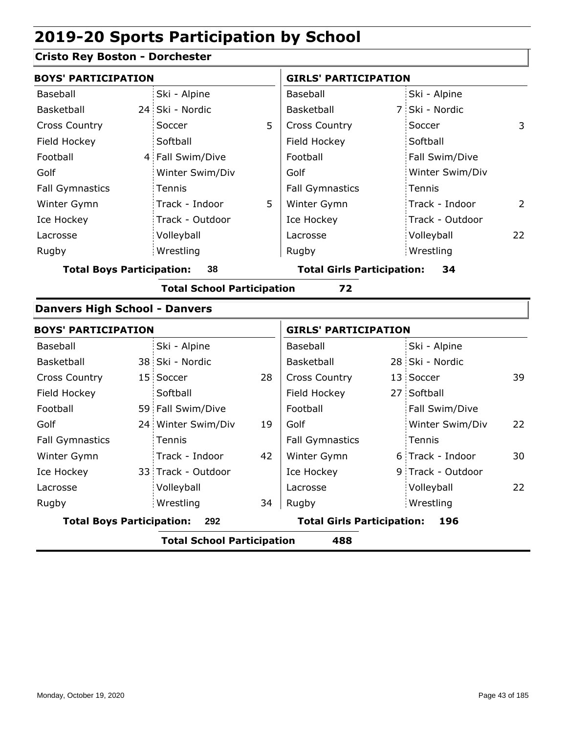## **Cristo Rey Boston - Dorchester**

| <b>BOYS' PARTICIPATION</b>           |                |                                   |    | <b>GIRLS' PARTICIPATION</b>       |  |                   |                |
|--------------------------------------|----------------|-----------------------------------|----|-----------------------------------|--|-------------------|----------------|
| Baseball                             |                | Ski - Alpine                      |    | Baseball                          |  | Ski - Alpine      |                |
| Basketball                           |                | 24 Ski - Nordic                   |    | Basketball                        |  | 7 Ski - Nordic    |                |
| <b>Cross Country</b>                 |                | Soccer                            | 5  | <b>Cross Country</b>              |  | Soccer            | 3              |
| Field Hockey                         |                | Softball                          |    | Field Hockey                      |  | Softball          |                |
| Football                             | $\overline{4}$ | Fall Swim/Dive                    |    | Football                          |  | Fall Swim/Dive    |                |
| Golf                                 |                | Winter Swim/Div                   |    | Golf                              |  | Winter Swim/Div   |                |
| <b>Fall Gymnastics</b>               |                | Tennis                            |    | <b>Fall Gymnastics</b>            |  | Tennis            |                |
| Winter Gymn                          |                | Track - Indoor                    | 5  | Winter Gymn                       |  | Track - Indoor    | $\overline{2}$ |
| Ice Hockey                           |                | Track - Outdoor                   |    | Ice Hockey                        |  | Track - Outdoor   |                |
| Lacrosse                             |                | Volleyball                        |    | Lacrosse                          |  | Volleyball        | 22             |
| Rugby                                |                | Wrestling                         |    | Rugby                             |  | Wrestling         |                |
| <b>Total Boys Participation:</b>     |                | 38                                |    | <b>Total Girls Participation:</b> |  | 34                |                |
|                                      |                | <b>Total School Participation</b> |    | 72                                |  |                   |                |
| <b>Danvers High School - Danvers</b> |                |                                   |    |                                   |  |                   |                |
| <b>BOYS' PARTICIPATION</b>           |                |                                   |    | <b>GIRLS' PARTICIPATION</b>       |  |                   |                |
| Baseball                             |                | Ski - Alpine                      |    | Baseball                          |  | Ski - Alpine      |                |
| Basketball                           |                | 38 Ski - Nordic                   |    | Basketball                        |  | 28 Ski - Nordic   |                |
| <b>Cross Country</b>                 |                | 15 Soccer                         | 28 | Cross Country                     |  | 13 Soccer         | 39             |
| Field Hockey                         |                | Softball                          |    | Field Hockey                      |  | 27 Softball       |                |
| Football                             |                | 59 Fall Swim/Dive                 |    | Football                          |  | Fall Swim/Dive    |                |
| Golf                                 |                | 24 Winter Swim/Div                | 19 | Golf                              |  | Winter Swim/Div   | 22             |
| <b>Fall Gymnastics</b>               |                | Tennis                            |    | <b>Fall Gymnastics</b>            |  | Tennis            |                |
| Winter Gymn                          |                | Track - Indoor                    | 42 | Winter Gymn                       |  | 6 Track - Indoor  | 30             |
| Ice Hockey                           |                | 33 Track - Outdoor                |    | Ice Hockey                        |  | 9 Track - Outdoor |                |
| Lacrosse                             |                | Volleyball                        |    | Lacrosse                          |  | Volleyball        | 22             |
| Rugby                                |                | Wrestling                         | 34 | Rugby                             |  | Wrestling         |                |
| <b>Total Boys Participation:</b>     |                | 292                               |    | <b>Total Girls Participation:</b> |  | 196               |                |
|                                      |                | <b>Total School Participation</b> |    | 488                               |  |                   |                |
|                                      |                |                                   |    |                                   |  |                   |                |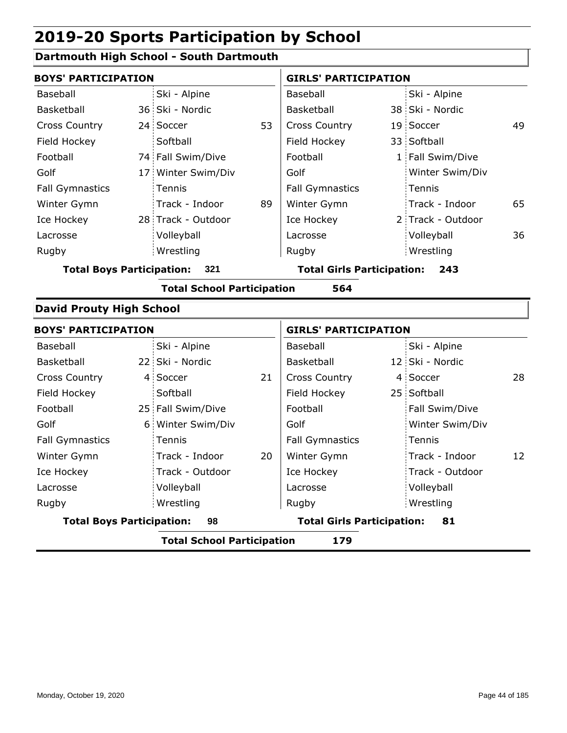## **Dartmouth High School - South Dartmouth**

| <b>BOYS' PARTICIPATION</b>       |                                   |    | <b>GIRLS' PARTICIPATION</b>       |  |                   |    |
|----------------------------------|-----------------------------------|----|-----------------------------------|--|-------------------|----|
| Baseball                         | Ski - Alpine                      |    | Baseball                          |  | Ski - Alpine      |    |
| <b>Basketball</b>                | 36 Ski - Nordic                   |    | Basketball                        |  | 38 Ski - Nordic   |    |
| <b>Cross Country</b>             | 24 Soccer                         | 53 | <b>Cross Country</b>              |  | 19 Soccer         | 49 |
| Field Hockey                     | Softball                          |    | Field Hockey                      |  | 33 Softball       |    |
| Football                         | 74 Fall Swim/Dive                 |    | Football                          |  | 1 Fall Swim/Dive  |    |
| Golf                             | 17 Winter Swim/Div                |    | Golf                              |  | Winter Swim/Div   |    |
| <b>Fall Gymnastics</b>           | Tennis                            |    | <b>Fall Gymnastics</b>            |  | Tennis            |    |
| Winter Gymn                      | Track - Indoor                    | 89 | Winter Gymn                       |  | Track - Indoor    | 65 |
| Ice Hockey                       | 28 Track - Outdoor                |    | Ice Hockey                        |  | 2 Track - Outdoor |    |
| Lacrosse                         | Volleyball                        |    | Lacrosse                          |  | Volleyball        | 36 |
| Rugby                            | Wrestling                         |    | Rugby                             |  | Wrestling         |    |
| <b>Total Boys Participation:</b> | 321                               |    | <b>Total Girls Participation:</b> |  | 243               |    |
|                                  | <b>Total School Participation</b> |    | 564                               |  |                   |    |
| <b>David Prouty High School</b>  |                                   |    |                                   |  |                   |    |
| <b>BOYS' PARTICIPATION</b>       |                                   |    | <b>GIRLS' PARTICIPATION</b>       |  |                   |    |
| Baseball                         | Ski - Alpine                      |    | Baseball                          |  | Ski - Alpine      |    |
| Basketball                       | 22 Ski - Nordic                   |    | Basketball                        |  | 12 Ski - Nordic   |    |
| <b>Cross Country</b>             | 4 Soccer                          | 21 | <b>Cross Country</b>              |  | 4 Soccer          | 28 |
| Field Hockey                     | Softball                          |    | Field Hockey                      |  | 25 Softball       |    |
| Football                         | 25 Fall Swim/Dive                 |    | Football                          |  | Fall Swim/Dive    |    |
| Golf                             | 6 Winter Swim/Div                 |    | Golf                              |  | Winter Swim/Div   |    |
| <b>Fall Gymnastics</b>           | Tennis                            |    | <b>Fall Gymnastics</b>            |  | Tennis            |    |
| Winter Gymn                      | Track - Indoor                    | 20 | Winter Gymn                       |  | Track - Indoor    | 12 |
| Ice Hockey                       | Track - Outdoor                   |    | Ice Hockey                        |  | Track - Outdoor   |    |
| Lacrosse                         | Volleyball                        |    | Lacrosse                          |  | Volleyball        |    |
| Rugby                            | Wrestling                         |    | Rugby                             |  | Wrestling         |    |
| <b>Total Boys Participation:</b> |                                   |    |                                   |  |                   |    |

**Total School Participation 179**

Monday, October 19, 2020 **Page 44 of 185**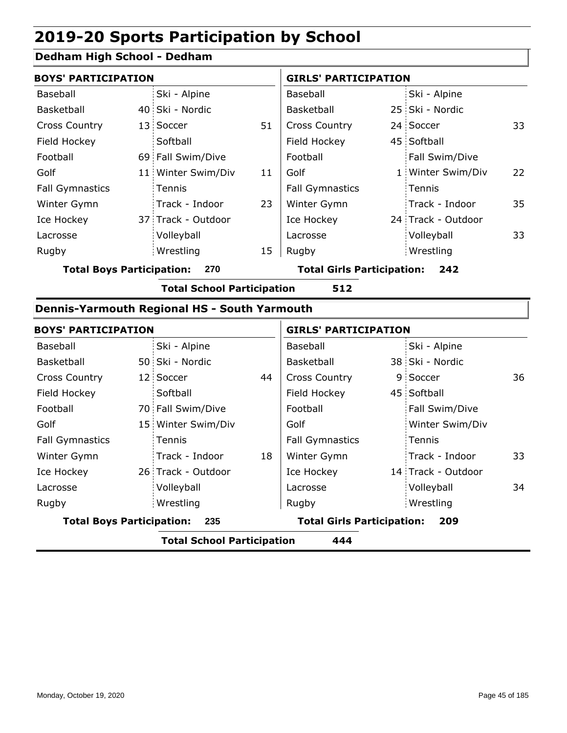## **Dedham High School - Dedham**

| <b>BOYS' PARTICIPATION</b> |  |                    | <b>GIRLS' PARTICIPATION</b> |                        |  |                    |    |
|----------------------------|--|--------------------|-----------------------------|------------------------|--|--------------------|----|
| Baseball                   |  | Ski - Alpine       |                             | Baseball               |  | Ski - Alpine       |    |
| Basketball                 |  | 40 Ski - Nordic    |                             | <b>Basketball</b>      |  | 25 Ski - Nordic    |    |
| <b>Cross Country</b>       |  | 13 Soccer          | 51                          | <b>Cross Country</b>   |  | 24 Soccer          | 33 |
| Field Hockey               |  | Softball           |                             | Field Hockey           |  | 45 Softball        |    |
| Football                   |  | 69 Fall Swim/Dive  |                             | Football               |  | Fall Swim/Dive     |    |
| Golf                       |  | 11 Winter Swim/Div | 11                          | Golf                   |  | 1 Winter Swim/Div  | 22 |
| <b>Fall Gymnastics</b>     |  | <b>Tennis</b>      |                             | <b>Fall Gymnastics</b> |  | Tennis             |    |
| Winter Gymn                |  | Track - Indoor     | 23                          | Winter Gymn            |  | Track - Indoor     | 35 |
| Ice Hockey                 |  | 37 Track - Outdoor |                             | Ice Hockey             |  | 24 Track - Outdoor |    |
| Lacrosse                   |  | Volleyball         |                             | Lacrosse               |  | Volleyball         | 33 |
| Rugby                      |  | Wrestling          | 15                          | Rugby                  |  | Wrestling          |    |

**Total Boys Participation: 270 Total Girls Participation: 242**

**Total School Participation 512**

#### **Dennis-Yarmouth Regional HS - South Yarmouth**

| <b>BOYS' PARTICIPATION</b>       |                                   |    | <b>GIRLS' PARTICIPATION</b>       |  |                    |    |
|----------------------------------|-----------------------------------|----|-----------------------------------|--|--------------------|----|
| Baseball                         | Ski - Alpine                      |    | Baseball                          |  | Ski - Alpine       |    |
| Basketball                       | 50 Ski - Nordic                   |    | Basketball                        |  | 38 Ski - Nordic    |    |
| <b>Cross Country</b>             | 12 Soccer                         | 44 | <b>Cross Country</b>              |  | 9 Soccer           | 36 |
| Field Hockey                     | Softball                          |    | Field Hockey                      |  | 45 Softball        |    |
| Football                         | 70 Fall Swim/Dive                 |    | Football                          |  | Fall Swim/Dive     |    |
| Golf                             | 15 Winter Swim/Div                |    | Golf                              |  | Winter Swim/Div    |    |
| <b>Fall Gymnastics</b>           | Tennis                            |    | <b>Fall Gymnastics</b>            |  | Tennis             |    |
| Winter Gymn                      | Track - Indoor                    | 18 | Winter Gymn                       |  | Track - Indoor     | 33 |
| Ice Hockey                       | 26 Track - Outdoor                |    | Ice Hockey                        |  | 14 Track - Outdoor |    |
| Lacrosse                         | Volleyball                        |    | Lacrosse                          |  | Volleyball         | 34 |
| Rugby                            | Wrestling                         |    | Rugby                             |  | Wrestling          |    |
| <b>Total Boys Participation:</b> | 235                               |    | <b>Total Girls Participation:</b> |  | 209                |    |
|                                  | <b>Total School Participation</b> |    | 444                               |  |                    |    |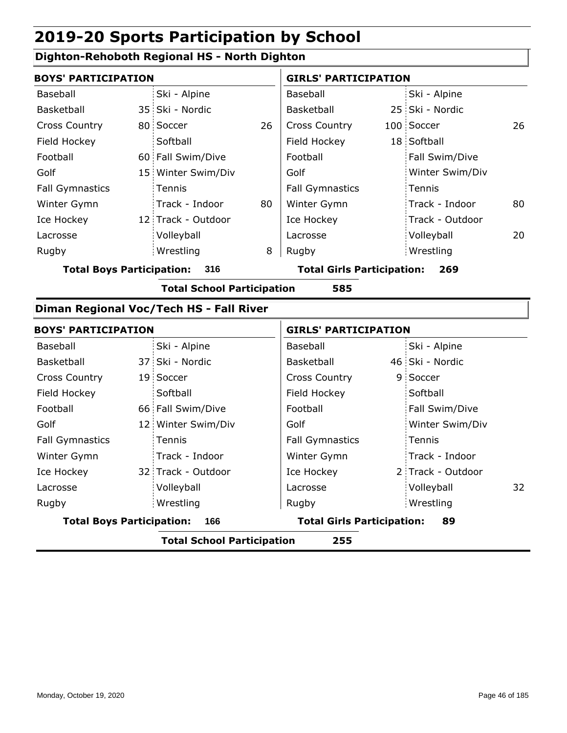#### **Dighton-Rehoboth Regional HS - North Dighton**

| <b>BOYS' PARTICIPATION</b>              |  | <b>GIRLS' PARTICIPATION</b> |                                   |                        |     |                 |    |
|-----------------------------------------|--|-----------------------------|-----------------------------------|------------------------|-----|-----------------|----|
| Baseball                                |  | Ski - Alpine                |                                   | Baseball               |     | Ski - Alpine    |    |
| Basketball                              |  | 35 Ski - Nordic             |                                   | Basketball             |     | 25 Ski - Nordic |    |
| <b>Cross Country</b>                    |  | 80 Soccer                   | 26                                | <b>Cross Country</b>   |     | 100 Soccer      | 26 |
| Field Hockey                            |  | Softball                    |                                   | Field Hockey           |     | 18 Softball     |    |
| Football                                |  | 60 Fall Swim/Dive           |                                   | Football               |     | Fall Swim/Dive  |    |
| Golf                                    |  | 15 Winter Swim/Div          |                                   | Golf                   |     | Winter Swim/Div |    |
| <b>Fall Gymnastics</b>                  |  | Tennis                      |                                   | <b>Fall Gymnastics</b> |     | Tennis          |    |
| Winter Gymn                             |  | Track - Indoor              | 80                                | Winter Gymn            |     | Track - Indoor  | 80 |
| Ice Hockey                              |  | 12 Track - Outdoor          |                                   | Ice Hockey             |     | Track - Outdoor |    |
| Lacrosse                                |  | Volleyball                  |                                   | Lacrosse               |     | Volleyball      | 20 |
| Rugby                                   |  | Wrestling                   | 8                                 | Rugby                  |     | Wrestling       |    |
| 316<br><b>Total Boys Participation:</b> |  |                             | <b>Total Girls Participation:</b> |                        | 269 |                 |    |

**Total School Participation 585**

#### **Diman Regional Voc/Tech HS - Fall River**

| <b>BOYS' PARTICIPATION</b>       |                                   |                                   | <b>GIRLS' PARTICIPATION</b> |                   |    |
|----------------------------------|-----------------------------------|-----------------------------------|-----------------------------|-------------------|----|
| Baseball                         | Ski - Alpine                      | Baseball                          |                             | Ski - Alpine      |    |
| <b>Basketball</b>                | 37 Ski - Nordic                   | Basketball                        |                             | 46 Ski - Nordic   |    |
| <b>Cross Country</b>             | 19 Soccer                         | <b>Cross Country</b>              |                             | 9 Soccer          |    |
| Field Hockey                     | Softball                          | Field Hockey                      |                             | Softball          |    |
| Football                         | 66 Fall Swim/Dive                 | Football                          |                             | Fall Swim/Dive    |    |
| Golf                             | 12 Winter Swim/Div                | Golf                              |                             | Winter Swim/Div   |    |
| <b>Fall Gymnastics</b>           | <b>Tennis</b>                     | <b>Fall Gymnastics</b>            |                             | Tennis            |    |
| Winter Gymn                      | Track - Indoor                    | Winter Gymn                       |                             | Track - Indoor    |    |
| Ice Hockey                       | 32 Track - Outdoor                | Ice Hockey                        |                             | 2 Track - Outdoor |    |
| Lacrosse                         | Volleyball                        | Lacrosse                          |                             | Volleyball        | 32 |
| Rugby                            | Wrestling                         | Rugby                             |                             | Wrestling         |    |
| <b>Total Boys Participation:</b> | 166                               | <b>Total Girls Participation:</b> |                             | 89                |    |
|                                  | <b>Total School Participation</b> | 255                               |                             |                   |    |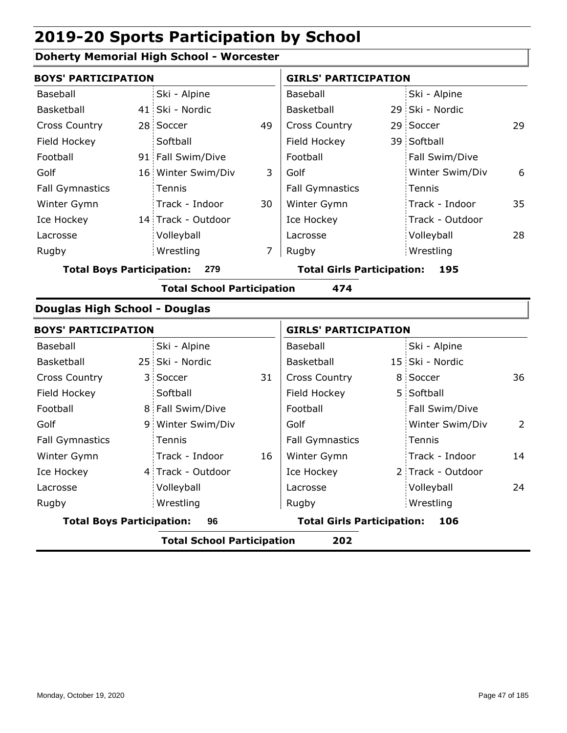## **Doherty Memorial High School - Worcester**

| <b>BOYS' PARTICIPATION</b>           |              |                                   |    | <b>GIRLS' PARTICIPATION</b>       |                   |    |
|--------------------------------------|--------------|-----------------------------------|----|-----------------------------------|-------------------|----|
| Baseball                             |              | Ski - Alpine                      |    | Baseball                          | Ski - Alpine      |    |
| Basketball                           |              | 41 Ski - Nordic                   |    | Basketball                        | 29 Ski - Nordic   |    |
| <b>Cross Country</b>                 |              | 28 Soccer                         | 49 | <b>Cross Country</b>              | 29 Soccer         | 29 |
| Field Hockey                         |              | Softball                          |    | Field Hockey                      | 39 Softball       |    |
| Football                             |              | 91 Fall Swim/Dive                 |    | Football                          | Fall Swim/Dive    |    |
| Golf                                 |              | 16 Winter Swim/Div                | 3  | Golf                              | Winter Swim/Div   | 6  |
| <b>Fall Gymnastics</b>               |              | Tennis                            |    | <b>Fall Gymnastics</b>            | Tennis            |    |
| Winter Gymn                          |              | Track - Indoor                    | 30 | Winter Gymn                       | Track - Indoor    | 35 |
| Ice Hockey                           |              | 14 Track - Outdoor                |    | Ice Hockey                        | Track - Outdoor   |    |
| Lacrosse                             |              | Volleyball                        |    | Lacrosse                          | Volleyball        | 28 |
| Rugby                                |              | Wrestling                         | 7  | Rugby                             | Wrestling         |    |
| <b>Total Boys Participation:</b>     |              | 279                               |    | <b>Total Girls Participation:</b> | 195               |    |
|                                      |              | <b>Total School Participation</b> |    | 474                               |                   |    |
| <b>Douglas High School - Douglas</b> |              |                                   |    |                                   |                   |    |
| <b>BOYS' PARTICIPATION</b>           |              |                                   |    | <b>GIRLS' PARTICIPATION</b>       |                   |    |
| Baseball                             |              | Ski - Alpine                      |    | Baseball                          | Ski - Alpine      |    |
| Basketball                           |              | 25 Ski - Nordic                   |    | Basketball                        | 15 Ski - Nordic   |    |
| <b>Cross Country</b>                 | $\mathbf{3}$ | Soccer                            | 31 | <b>Cross Country</b>              | 8 Soccer          | 36 |
| Field Hockey                         |              | Softball                          |    | Field Hockey                      | 5 Softball        |    |
| Football                             |              | 8 Fall Swim/Dive                  |    | Football                          | Fall Swim/Dive    |    |
| Golf                                 |              | 9 Winter Swim/Div                 |    | Golf                              | Winter Swim/Div   | 2  |
| <b>Fall Gymnastics</b>               |              | Tennis                            |    | <b>Fall Gymnastics</b>            | Tennis            |    |
| Winter Gymn                          |              | Track - Indoor                    | 16 | Winter Gymn                       | Track - Indoor    | 14 |
| Ice Hockey                           |              | 4 Track - Outdoor                 |    | Ice Hockey                        | 2 Track - Outdoor |    |
| Lacrosse                             |              | Volleyball                        |    | Lacrosse                          | Volleyball        | 24 |
| Rugby                                |              | Wrestling                         |    | Rugby                             | Wrestling         |    |
| <b>Total Boys Participation:</b>     |              | 96                                |    | <b>Total Girls Participation:</b> | 106               |    |
|                                      |              | <b>Total School Participation</b> |    | 202                               |                   |    |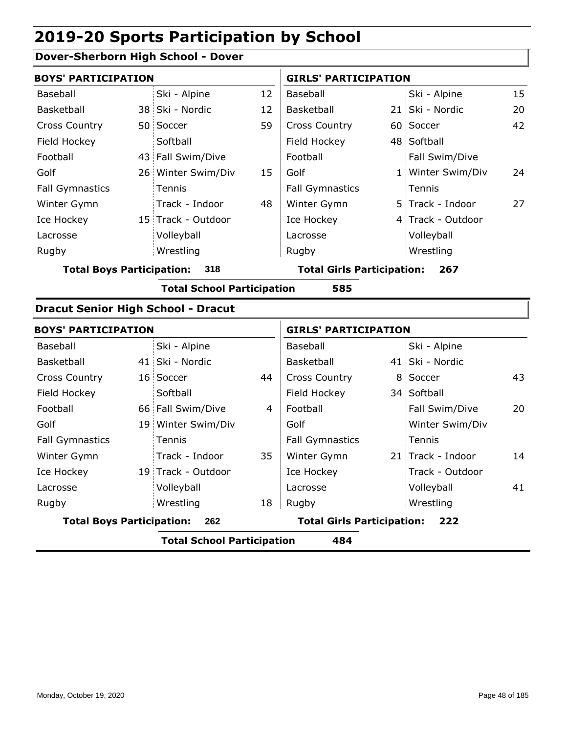## **Dover-Sherborn High School - Dover**

| <b>BOYS' PARTICIPATION</b>       |                    |    | <b>GIRLS' PARTICIPATION</b>       |  |                   |    |  |
|----------------------------------|--------------------|----|-----------------------------------|--|-------------------|----|--|
| Baseball                         | Ski - Alpine       | 12 | Baseball                          |  | Ski - Alpine      | 15 |  |
| Basketball                       | 38 Ski - Nordic    | 12 | Basketball                        |  | 21 Ski - Nordic   | 20 |  |
| <b>Cross Country</b>             | 50 Soccer          | 59 | <b>Cross Country</b>              |  | 60 Soccer         | 42 |  |
| Field Hockey                     | Softball           |    | Field Hockey                      |  | 48 Softball       |    |  |
| Football                         | 43 Fall Swim/Dive  |    | Football                          |  | Fall Swim/Dive    |    |  |
| Golf                             | 26 Winter Swim/Div | 15 | Golf                              |  | 1 Winter Swim/Div | 24 |  |
| <b>Fall Gymnastics</b>           | <b>Tennis</b>      |    | <b>Fall Gymnastics</b>            |  | Tennis            |    |  |
| Winter Gymn                      | Track - Indoor     | 48 | Winter Gymn                       |  | 5 Track - Indoor  | 27 |  |
| Ice Hockey                       | 15 Track - Outdoor |    | Ice Hockey                        |  | 4 Track - Outdoor |    |  |
| Lacrosse                         | Volleyball         |    | Lacrosse                          |  | Volleyball        |    |  |
| Rugby                            | Wrestling          |    | Rugby                             |  | Wrestling         |    |  |
| <b>Total Boys Participation:</b> | 318                |    | <b>Total Girls Participation:</b> |  | 267               |    |  |

**Total School Participation 585**

#### **Dracut Senior High School - Dracut**

| <b>BOYS' PARTICIPATION</b>       |                                   |    |                                   | <b>GIRLS' PARTICIPATION</b> |                   |    |  |
|----------------------------------|-----------------------------------|----|-----------------------------------|-----------------------------|-------------------|----|--|
| Baseball                         | Ski - Alpine                      |    | Baseball                          |                             | Ski - Alpine      |    |  |
| <b>Basketball</b>                | 41 Ski - Nordic                   |    | Basketball                        |                             | 41 Ski - Nordic   |    |  |
| <b>Cross Country</b>             | 16 Soccer                         | 44 | <b>Cross Country</b>              |                             | 8 Soccer          | 43 |  |
| Field Hockey                     | Softball                          |    | Field Hockey                      |                             | 34 Softball       |    |  |
| Football                         | 66 Fall Swim/Dive                 | 4  | Football                          |                             | Fall Swim/Dive    | 20 |  |
| Golf                             | 19 Winter Swim/Div                |    | Golf                              |                             | Winter Swim/Div   |    |  |
| <b>Fall Gymnastics</b>           | Tennis                            |    | <b>Fall Gymnastics</b>            |                             | Tennis            |    |  |
| Winter Gymn                      | Track - Indoor                    | 35 | Winter Gymn                       |                             | 21 Track - Indoor | 14 |  |
| Ice Hockey                       | 19 Track - Outdoor                |    | Ice Hockey                        |                             | Track - Outdoor   |    |  |
| Lacrosse                         | Volleyball                        |    | Lacrosse                          |                             | Volleyball        | 41 |  |
| Rugby                            | Wrestling                         | 18 | Rugby                             |                             | Wrestling         |    |  |
| <b>Total Boys Participation:</b> | 262                               |    | <b>Total Girls Participation:</b> |                             | 222               |    |  |
|                                  | <b>Total School Participation</b> |    | 484                               |                             |                   |    |  |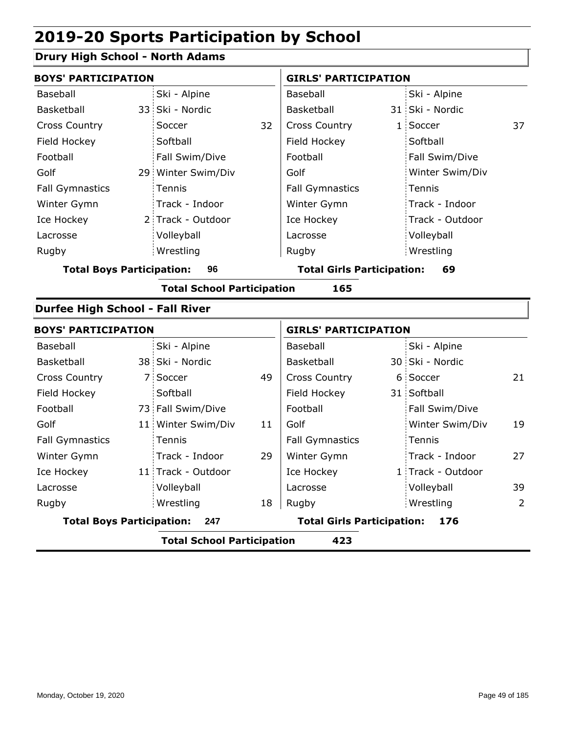## **Drury High School - North Adams**

| <b>BOYS' PARTICIPATION</b>             |    |                                   |                                         | <b>GIRLS' PARTICIPATION</b>       |  |                   |    |  |
|----------------------------------------|----|-----------------------------------|-----------------------------------------|-----------------------------------|--|-------------------|----|--|
| Baseball                               |    | Ski - Alpine                      |                                         | Baseball                          |  | Ski - Alpine      |    |  |
| Basketball                             |    | 33 Ski - Nordic                   |                                         | Basketball                        |  | 31 Ski - Nordic   |    |  |
| <b>Cross Country</b>                   |    | Soccer                            | 32                                      | <b>Cross Country</b>              |  | 1 Soccer          | 37 |  |
| Field Hockey                           |    | Softball                          |                                         | Field Hockey                      |  | Softball          |    |  |
| Football                               |    | Fall Swim/Dive                    |                                         | Football                          |  | Fall Swim/Dive    |    |  |
| Golf                                   |    | 29 Winter Swim/Div                |                                         | Golf                              |  | Winter Swim/Div   |    |  |
| <b>Fall Gymnastics</b>                 |    | Tennis                            |                                         | <b>Fall Gymnastics</b>            |  | Tennis            |    |  |
| Winter Gymn                            |    | Track - Indoor                    |                                         | Winter Gymn                       |  | Track - Indoor    |    |  |
| Ice Hockey                             |    | 2 Track - Outdoor                 |                                         | Ice Hockey                        |  | Track - Outdoor   |    |  |
| Lacrosse                               |    | Volleyball                        |                                         | Lacrosse                          |  | Volleyball        |    |  |
| Rugby                                  |    | Wrestling                         |                                         | Rugby                             |  | Wrestling         |    |  |
| <b>Total Boys Participation:</b>       | 96 |                                   | <b>Total Girls Participation:</b><br>69 |                                   |  |                   |    |  |
|                                        |    | <b>Total School Participation</b> |                                         | 165                               |  |                   |    |  |
| <b>Durfee High School - Fall River</b> |    |                                   |                                         |                                   |  |                   |    |  |
| <b>BOYS' PARTICIPATION</b>             |    |                                   |                                         | <b>GIRLS' PARTICIPATION</b>       |  |                   |    |  |
| Baseball                               |    | Ski - Alpine                      |                                         | Baseball                          |  | Ski - Alpine      |    |  |
| Basketball                             |    | 38 Ski - Nordic                   |                                         | Basketball                        |  | 30 Ski - Nordic   |    |  |
| <b>Cross Country</b>                   |    | 7 Soccer                          | 49                                      | <b>Cross Country</b>              |  | 6 Soccer          | 21 |  |
| Field Hockey                           |    | Softball                          |                                         | Field Hockey                      |  | 31 Softball       |    |  |
| Football                               |    | 73 Fall Swim/Dive                 |                                         | Football                          |  | Fall Swim/Dive    |    |  |
| Golf                                   |    | 11 Winter Swim/Div                | 11                                      | Golf                              |  | Winter Swim/Div   | 19 |  |
| <b>Fall Gymnastics</b>                 |    | Tennis                            |                                         | <b>Fall Gymnastics</b>            |  | Tennis            |    |  |
| Winter Gymn                            |    | Track - Indoor                    | 29                                      | Winter Gymn                       |  | Track - Indoor    | 27 |  |
| Ice Hockey                             |    | 11 Track - Outdoor                |                                         | Ice Hockey                        |  | 1 Track - Outdoor |    |  |
| Lacrosse                               |    | Volleyball                        |                                         | Lacrosse                          |  | Volleyball        | 39 |  |
| Rugby                                  |    | Wrestling                         | 18                                      | Rugby                             |  | Wrestling         | 2  |  |
| <b>Total Boys Participation:</b>       |    | 247                               |                                         | <b>Total Girls Participation:</b> |  | 176               |    |  |
|                                        |    | <b>Total School Participation</b> |                                         | 423                               |  |                   |    |  |
|                                        |    |                                   |                                         |                                   |  |                   |    |  |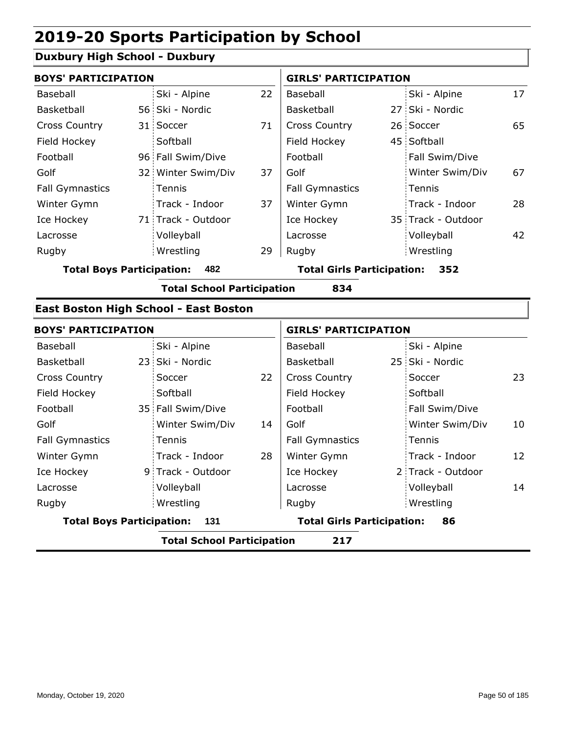## **Duxbury High School - Duxbury**

| <b>BOYS' PARTICIPATION</b>              |  |                    |                                   | <b>GIRLS' PARTICIPATION</b> |     |                    |    |  |
|-----------------------------------------|--|--------------------|-----------------------------------|-----------------------------|-----|--------------------|----|--|
| Baseball                                |  | Ski - Alpine       | 22                                | Baseball                    |     | Ski - Alpine       | 17 |  |
| Basketball                              |  | 56 Ski - Nordic    |                                   | Basketball                  |     | 27 Ski - Nordic    |    |  |
| <b>Cross Country</b>                    |  | 31 Soccer          | 71                                | <b>Cross Country</b>        |     | 26 Soccer          | 65 |  |
| Field Hockey                            |  | Softball           |                                   | Field Hockey                |     | 45 Softball        |    |  |
| Football                                |  | 96 Fall Swim/Dive  |                                   | Football                    |     | Fall Swim/Dive     |    |  |
| Golf                                    |  | 32 Winter Swim/Div | 37                                | Golf                        |     | Winter Swim/Div    | 67 |  |
| <b>Fall Gymnastics</b>                  |  | Tennis             |                                   | <b>Fall Gymnastics</b>      |     | Tennis             |    |  |
| Winter Gymn                             |  | Track - Indoor     | 37                                | Winter Gymn                 |     | Track - Indoor     | 28 |  |
| Ice Hockey                              |  | 71 Track - Outdoor |                                   | Ice Hockey                  |     | 35 Track - Outdoor |    |  |
| Lacrosse                                |  | Volleyball         |                                   | Lacrosse                    |     | Volleyball         | 42 |  |
| Rugby                                   |  | Wrestling          | 29                                | Rugby                       |     | Wrestling          |    |  |
| 482<br><b>Total Boys Participation:</b> |  |                    | <b>Total Girls Participation:</b> |                             | 352 |                    |    |  |

**Total School Participation 834**

#### **East Boston High School - East Boston**

|                                  | <b>BOYS' PARTICIPATION</b> |                                   |    |                                   | <b>GIRLS' PARTICIPATION</b> |                   |    |  |
|----------------------------------|----------------------------|-----------------------------------|----|-----------------------------------|-----------------------------|-------------------|----|--|
| Baseball                         |                            | Ski - Alpine                      |    | Baseball                          |                             | Ski - Alpine      |    |  |
| Basketball                       |                            | 23 Ski - Nordic                   |    | Basketball                        |                             | 25 Ski - Nordic   |    |  |
| <b>Cross Country</b>             |                            | Soccer                            | 22 | <b>Cross Country</b>              |                             | Soccer            | 23 |  |
| Field Hockey                     |                            | Softball                          |    | Field Hockey                      |                             | Softball          |    |  |
| Football                         |                            | 35 Fall Swim/Dive                 |    | Football                          |                             | Fall Swim/Dive    |    |  |
| Golf                             |                            | Winter Swim/Div                   | 14 | Golf                              |                             | Winter Swim/Div   | 10 |  |
| <b>Fall Gymnastics</b>           |                            | <b>Tennis</b>                     |    | <b>Fall Gymnastics</b>            |                             | : Tennis          |    |  |
| Winter Gymn                      |                            | Track - Indoor                    | 28 | Winter Gymn                       |                             | Track - Indoor    | 12 |  |
| Ice Hockey                       |                            | 9 Track - Outdoor                 |    | Ice Hockey                        |                             | 2 Track - Outdoor |    |  |
| Lacrosse                         |                            | Volleyball                        |    | Lacrosse                          |                             | Volleyball        | 14 |  |
| Rugby                            |                            | Wrestling                         |    | Rugby                             |                             | Wrestling         |    |  |
| <b>Total Boys Participation:</b> |                            | 131                               |    | <b>Total Girls Participation:</b> |                             | 86                |    |  |
|                                  |                            | <b>Total School Participation</b> |    | 217                               |                             |                   |    |  |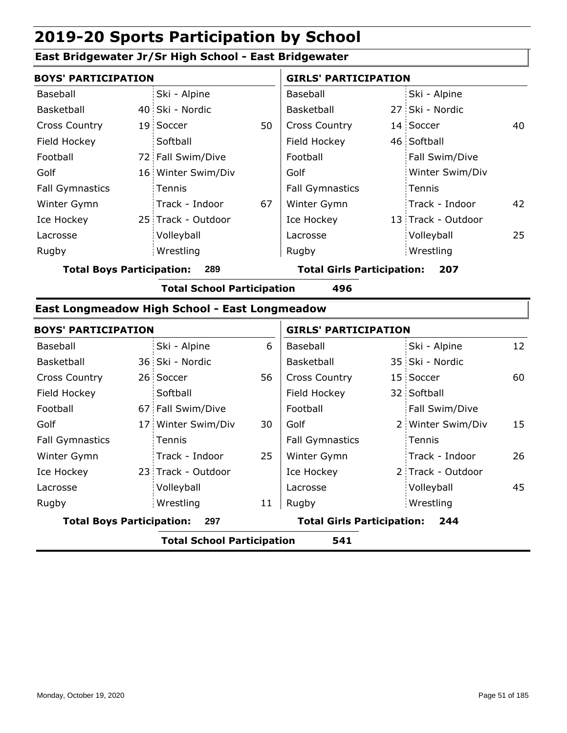#### **East Bridgewater Jr/Sr High School - East Bridgewater**

| <b>BOYS' PARTICIPATION</b> |  |                    |    | <b>GIRLS' PARTICIPATION</b> |  |                    |    |
|----------------------------|--|--------------------|----|-----------------------------|--|--------------------|----|
| Baseball                   |  | Ski - Alpine       |    | Baseball                    |  | Ski - Alpine       |    |
| Basketball                 |  | 40 Ski - Nordic    |    | <b>Basketball</b>           |  | 27 Ski - Nordic    |    |
| <b>Cross Country</b>       |  | 19 Soccer          | 50 | <b>Cross Country</b>        |  | 14 Soccer          | 40 |
| Field Hockey               |  | Softball           |    | Field Hockey                |  | 46 Softball        |    |
| Football                   |  | 72 Fall Swim/Dive  |    | Football                    |  | Fall Swim/Dive     |    |
| Golf                       |  | 16 Winter Swim/Div |    | Golf                        |  | Winter Swim/Div    |    |
| <b>Fall Gymnastics</b>     |  | Tennis             |    | <b>Fall Gymnastics</b>      |  | Tennis             |    |
| Winter Gymn                |  | Track - Indoor     | 67 | Winter Gymn                 |  | Track - Indoor     | 42 |
| Ice Hockey                 |  | 25 Track - Outdoor |    | Ice Hockey                  |  | 13 Track - Outdoor |    |
| Lacrosse                   |  | Volleyball         |    | Lacrosse                    |  | Volleyball         | 25 |
| Rugby                      |  | Wrestling          |    | Rugby                       |  | Wrestling          |    |
|                            |  |                    |    |                             |  |                    |    |

**Total Boys Participation: 289 Total Girls Participation: 207**

**Total School Participation 496**

#### **East Longmeadow High School - East Longmeadow**

|                                  | <b>BOYS' PARTICIPATION</b> |                                   |    |                                   | <b>GIRLS' PARTICIPATION</b> |                   |    |  |
|----------------------------------|----------------------------|-----------------------------------|----|-----------------------------------|-----------------------------|-------------------|----|--|
| Baseball                         |                            | Ski - Alpine                      | 6  | Baseball                          |                             | Ski - Alpine      | 12 |  |
| Basketball                       |                            | 36 Ski - Nordic                   |    | Basketball                        |                             | 35 Ski - Nordic   |    |  |
| <b>Cross Country</b>             |                            | 26 Soccer                         | 56 | <b>Cross Country</b>              |                             | 15 Soccer         | 60 |  |
| Field Hockey                     |                            | Softball                          |    | Field Hockey                      |                             | 32 Softball       |    |  |
| Football                         |                            | 67 Fall Swim/Dive                 |    | Football                          |                             | Fall Swim/Dive    |    |  |
| Golf                             |                            | 17 Winter Swim/Div                | 30 | Golf                              |                             | 2 Winter Swim/Div | 15 |  |
| <b>Fall Gymnastics</b>           |                            | Tennis                            |    | <b>Fall Gymnastics</b>            |                             | Tennis            |    |  |
| Winter Gymn                      |                            | Track - Indoor                    | 25 | Winter Gymn                       |                             | Track - Indoor    | 26 |  |
| Ice Hockey                       |                            | 23 Track - Outdoor                |    | Ice Hockey                        |                             | 2 Track - Outdoor |    |  |
| Lacrosse                         |                            | Volleyball                        |    | Lacrosse                          |                             | Volleyball        | 45 |  |
| Rugby                            |                            | Wrestling                         | 11 | Rugby                             |                             | Wrestling         |    |  |
| <b>Total Boys Participation:</b> |                            | 297                               |    | <b>Total Girls Participation:</b> |                             | 244               |    |  |
|                                  |                            | <b>Total School Participation</b> |    | 541                               |                             |                   |    |  |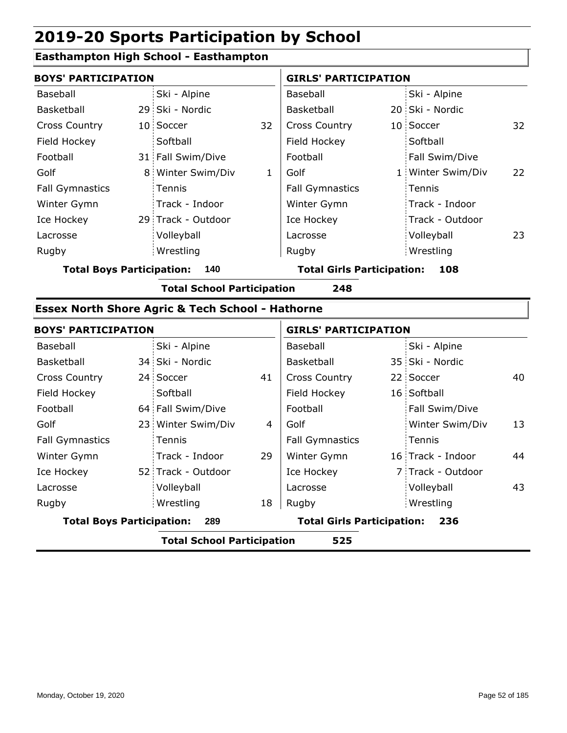## **Easthampton High School - Easthampton**

|                        | <b>BOYS' PARTICIPATION</b> |                    |    | <b>GIRLS' PARTICIPATION</b> |  |                   |    |
|------------------------|----------------------------|--------------------|----|-----------------------------|--|-------------------|----|
| Baseball               |                            | Ski - Alpine       |    | Baseball                    |  | Ski - Alpine      |    |
| Basketball             |                            | 29 Ski - Nordic    |    | Basketball                  |  | 20 Ski - Nordic   |    |
| <b>Cross Country</b>   |                            | 10 Soccer          | 32 | <b>Cross Country</b>        |  | 10 Soccer         | 32 |
| Field Hockey           |                            | Softball           |    | Field Hockey                |  | Softball          |    |
| Football               |                            | 31 Fall Swim/Dive  |    | Football                    |  | Fall Swim/Dive    |    |
| Golf                   |                            | 8 Winter Swim/Div  | 1  | Golf                        |  | 1 Winter Swim/Div | 22 |
| <b>Fall Gymnastics</b> |                            | <b>Tennis</b>      |    | <b>Fall Gymnastics</b>      |  | Tennis            |    |
| Winter Gymn            |                            | Track - Indoor     |    | Winter Gymn                 |  | Track - Indoor    |    |
| Ice Hockey             |                            | 29 Track - Outdoor |    | Ice Hockey                  |  | Track - Outdoor   |    |
| Lacrosse               |                            | Volleyball         |    | Lacrosse                    |  | Volleyball        | 23 |
| Rugby                  |                            | Wrestling          |    | Rugby                       |  | Wrestling         |    |
|                        |                            |                    |    |                             |  |                   |    |

**Total Boys Participation: 140 Total Girls Participation: 108**

**Total School Participation 248**

### **Essex North Shore Agric & Tech School - Hathorne**

|                                         | <b>BOYS' PARTICIPATION</b> |                                                          |    | <b>GIRLS' PARTICIPATION</b> |  |                   |    |
|-----------------------------------------|----------------------------|----------------------------------------------------------|----|-----------------------------|--|-------------------|----|
| Baseball                                |                            | Ski - Alpine                                             |    | Baseball                    |  | Ski - Alpine      |    |
| Basketball                              |                            | 34 Ski - Nordic                                          |    | Basketball                  |  | 35 Ski - Nordic   |    |
| <b>Cross Country</b>                    |                            | 24 Soccer                                                | 41 | <b>Cross Country</b>        |  | 22 Soccer         | 40 |
| Field Hockey                            |                            | Softball                                                 |    | Field Hockey                |  | 16 Softball       |    |
| Football                                |                            | 64 Fall Swim/Dive                                        |    | Football                    |  | Fall Swim/Dive    |    |
| Golf                                    |                            | 23 Winter Swim/Div                                       | 4  | Golf                        |  | Winter Swim/Div   | 13 |
| <b>Fall Gymnastics</b>                  |                            | Tennis                                                   |    | <b>Fall Gymnastics</b>      |  | Tennis            |    |
| Winter Gymn                             |                            | Track - Indoor                                           | 29 | Winter Gymn                 |  | 16 Track - Indoor | 44 |
| Ice Hockey                              |                            | 52 Track - Outdoor                                       |    | Ice Hockey                  |  | 7 Track - Outdoor |    |
| Lacrosse                                |                            | Volleyball                                               |    | Lacrosse                    |  | Volleyball        | 43 |
| Rugby                                   |                            | Wrestling                                                | 18 | Rugby                       |  | Wrestling         |    |
| <b>Total Boys Participation:</b><br>289 |                            | <b>Total Girls Participation:</b><br>236                 |    |                             |  |                   |    |
|                                         |                            | 로 - L - L - C - L - - - L IN - - A ! - ! - - A ! - - - - |    |                             |  |                   |    |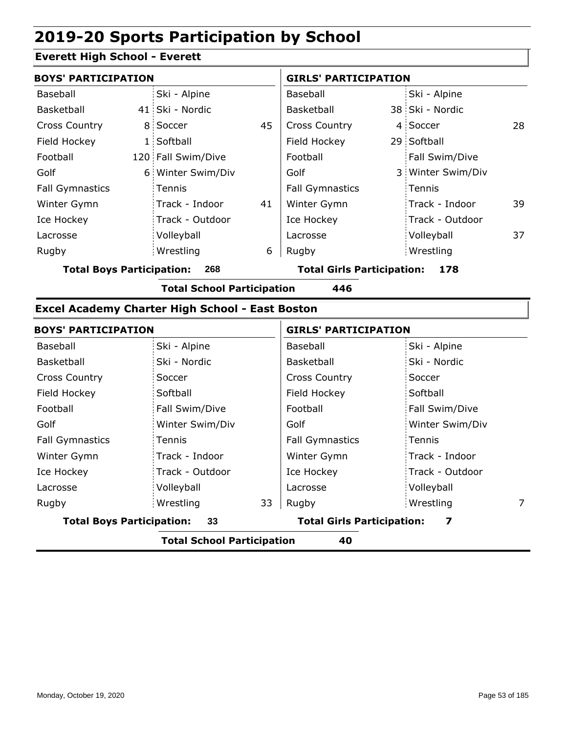### **Everett High School - Everett**

| <b>BOYS' PARTICIPATION</b> |                    |    | <b>GIRLS' PARTICIPATION</b> |  |                   |    |
|----------------------------|--------------------|----|-----------------------------|--|-------------------|----|
| Baseball                   | Ski - Alpine       |    | Baseball                    |  | Ski - Alpine      |    |
| Basketball                 | 41 Ski - Nordic    |    | <b>Basketball</b>           |  | 38 Ski - Nordic   |    |
| <b>Cross Country</b>       | 8 Soccer           | 45 | <b>Cross Country</b>        |  | 4 Soccer          | 28 |
| Field Hockey               | 1 Softball         |    | Field Hockey                |  | 29 Softball       |    |
| Football                   | 120 Fall Swim/Dive |    | Football                    |  | Fall Swim/Dive    |    |
| Golf                       | 6 Winter Swim/Div  |    | Golf                        |  | 3 Winter Swim/Div |    |
| <b>Fall Gymnastics</b>     | <b>Tennis</b>      |    | <b>Fall Gymnastics</b>      |  | Tennis            |    |
| Winter Gymn                | Track - Indoor     | 41 | Winter Gymn                 |  | Track - Indoor    | 39 |
| Ice Hockey                 | Track - Outdoor    |    | Ice Hockey                  |  | Track - Outdoor   |    |
| Lacrosse                   | Volleyball         |    | Lacrosse                    |  | Volleyball        | 37 |
| Rugby                      | Wrestling          | 6  | Rugby                       |  | Wrestling         |    |

**Total Boys Participation: 268 Total Girls Participation: 178**

**Total School Participation 446**

#### **Excel Academy Charter High School - East Boston**

| <b>BOYS' PARTICIPATION</b>             |                 | <b>GIRLS' PARTICIPATION</b>            |                 |   |  |
|----------------------------------------|-----------------|----------------------------------------|-----------------|---|--|
| Baseball                               | Ski - Alpine    | Baseball                               | Ski - Alpine    |   |  |
| Basketball                             | Ski - Nordic    | <b>Basketball</b>                      | Ski - Nordic    |   |  |
| <b>Cross Country</b>                   | Soccer          | <b>Cross Country</b>                   | Soccer          |   |  |
| Field Hockey                           | Softball        | Field Hockey                           | Softball        |   |  |
| Football                               | Fall Swim/Dive  | Football                               | Fall Swim/Dive  |   |  |
| Golf                                   | Winter Swim/Div | Golf                                   | Winter Swim/Div |   |  |
| <b>Fall Gymnastics</b>                 | Tennis          | <b>Fall Gymnastics</b>                 | Tennis          |   |  |
| Winter Gymn                            | Track - Indoor  | Winter Gymn                            | Track - Indoor  |   |  |
| Ice Hockey                             | Track - Outdoor | Ice Hockey                             | Track - Outdoor |   |  |
| Lacrosse                               | Volleyball      | Lacrosse                               | Volleyball      |   |  |
| Rugby                                  | 33<br>Wrestling | Rugby                                  | Wrestling       | 7 |  |
| <b>Total Boys Participation:</b><br>33 |                 | <b>Total Girls Participation:</b><br>7 |                 |   |  |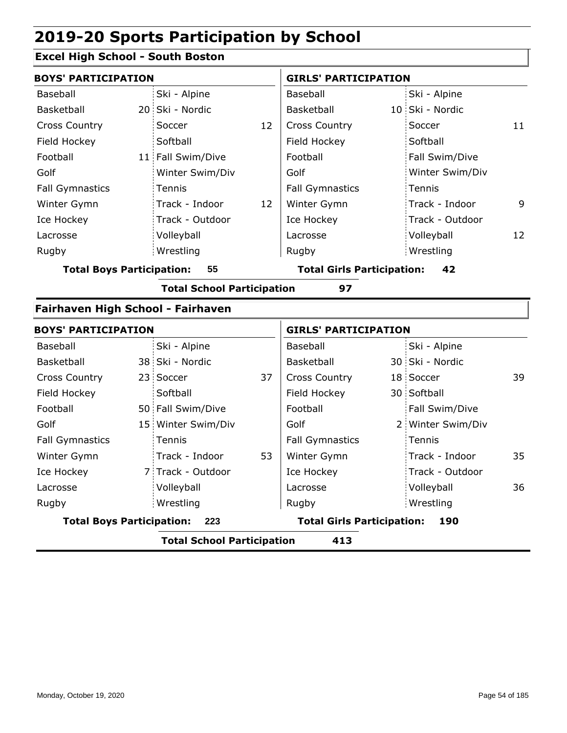## **Excel High School - South Boston**

| <b>BOYS' PARTICIPATION</b>        |                                          |                                   |    | <b>GIRLS' PARTICIPATION</b>       |  |                   |    |  |  |
|-----------------------------------|------------------------------------------|-----------------------------------|----|-----------------------------------|--|-------------------|----|--|--|
| <b>Baseball</b>                   |                                          | Ski - Alpine                      |    | Baseball                          |  | Ski - Alpine      |    |  |  |
| Basketball                        |                                          | 20 Ski - Nordic                   |    | Basketball                        |  | 10 Ski - Nordic   |    |  |  |
| <b>Cross Country</b>              |                                          | Soccer                            | 12 | <b>Cross Country</b>              |  | Soccer            | 11 |  |  |
| Field Hockey                      |                                          | Softball                          |    | Field Hockey                      |  | Softball          |    |  |  |
| Football                          |                                          | 11 Fall Swim/Dive                 |    | Football                          |  | Fall Swim/Dive    |    |  |  |
| Golf                              |                                          | Winter Swim/Div                   |    | Golf                              |  | Winter Swim/Div   |    |  |  |
| <b>Fall Gymnastics</b>            |                                          | Tennis                            |    | <b>Fall Gymnastics</b>            |  | Tennis            |    |  |  |
| Winter Gymn                       |                                          | Track - Indoor                    | 12 | Winter Gymn                       |  | Track - Indoor    | 9  |  |  |
| Ice Hockey                        |                                          | Track - Outdoor                   |    | Ice Hockey                        |  | Track - Outdoor   |    |  |  |
| Lacrosse                          |                                          | Volleyball                        |    | Lacrosse                          |  | Volleyball        | 12 |  |  |
| Rugby                             |                                          | Wrestling                         |    | Rugby                             |  | Wrestling         |    |  |  |
| <b>Total Boys Participation:</b>  |                                          | 55                                |    | <b>Total Girls Participation:</b> |  | 42                |    |  |  |
|                                   |                                          | <b>Total School Participation</b> |    | 97                                |  |                   |    |  |  |
| Fairhaven High School - Fairhaven |                                          |                                   |    |                                   |  |                   |    |  |  |
| <b>BOYS' PARTICIPATION</b>        |                                          |                                   |    | <b>GIRLS' PARTICIPATION</b>       |  |                   |    |  |  |
| Baseball                          |                                          | Ski - Alpine                      |    | Baseball                          |  | Ski - Alpine      |    |  |  |
| Basketball                        |                                          | 38 Ski - Nordic                   |    | <b>Basketball</b>                 |  | 30 Ski - Nordic   |    |  |  |
| <b>Cross Country</b>              |                                          | 23 Soccer                         | 37 | <b>Cross Country</b>              |  | 18 Soccer         | 39 |  |  |
| Field Hockey                      |                                          | Softball                          |    | Field Hockey                      |  | 30 Softball       |    |  |  |
| Football                          |                                          | 50 Fall Swim/Dive                 |    | Football                          |  | Fall Swim/Dive    |    |  |  |
| Golf                              |                                          | 15 Winter Swim/Div                |    | Golf                              |  | 2 Winter Swim/Div |    |  |  |
| <b>Fall Gymnastics</b>            |                                          | Tennis                            |    | <b>Fall Gymnastics</b>            |  | Tennis            |    |  |  |
| Winter Gymn                       |                                          | Track - Indoor                    | 53 | Winter Gymn                       |  | Track - Indoor    | 35 |  |  |
| Ice Hockey                        |                                          | 7 Track - Outdoor                 |    | Ice Hockey                        |  | Track - Outdoor   |    |  |  |
| Lacrosse                          |                                          | Volleyball                        |    | Lacrosse                          |  | Volleyball        | 36 |  |  |
| Rugby                             |                                          | Wrestling                         |    | Rugby                             |  | Wrestling         |    |  |  |
| <b>Total Boys Participation:</b>  |                                          | 223                               |    | <b>Total Girls Participation:</b> |  | 190               |    |  |  |
|                                   | <b>Total School Participation</b><br>413 |                                   |    |                                   |  |                   |    |  |  |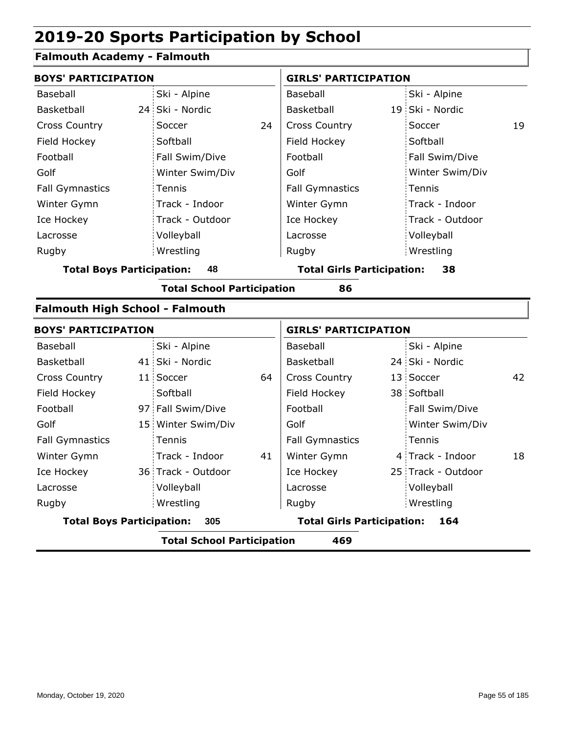## **Falmouth Academy - Falmouth**

| <b>BOYS' PARTICIPATION</b>             |                                          |    | <b>GIRLS' PARTICIPATION</b>       |  |                    |    |  |  |  |  |
|----------------------------------------|------------------------------------------|----|-----------------------------------|--|--------------------|----|--|--|--|--|
| Baseball                               | Ski - Alpine                             |    | Baseball                          |  | Ski - Alpine       |    |  |  |  |  |
| Basketball                             | 24 Ski - Nordic                          |    | Basketball                        |  | 19 Ski - Nordic    |    |  |  |  |  |
| <b>Cross Country</b>                   | Soccer                                   | 24 | <b>Cross Country</b>              |  | Soccer             | 19 |  |  |  |  |
| Field Hockey                           | Softball                                 |    | Field Hockey                      |  | Softball           |    |  |  |  |  |
| Football                               | Fall Swim/Dive                           |    | Football                          |  | Fall Swim/Dive     |    |  |  |  |  |
| Golf                                   | Winter Swim/Div                          |    | Golf                              |  | Winter Swim/Div    |    |  |  |  |  |
| <b>Fall Gymnastics</b>                 | Tennis                                   |    | <b>Fall Gymnastics</b>            |  | Tennis             |    |  |  |  |  |
| Winter Gymn                            | Track - Indoor                           |    | Winter Gymn                       |  | Track - Indoor     |    |  |  |  |  |
| Ice Hockey                             | Track - Outdoor                          |    | Ice Hockey                        |  | Track - Outdoor    |    |  |  |  |  |
| Lacrosse                               | Volleyball                               |    | Lacrosse                          |  | Volleyball         |    |  |  |  |  |
| Rugby                                  | Wrestling                                |    | Rugby                             |  | Wrestling          |    |  |  |  |  |
| <b>Total Boys Participation:</b>       | 48                                       |    | <b>Total Girls Participation:</b> |  | 38                 |    |  |  |  |  |
|                                        | <b>Total School Participation</b>        |    | 86                                |  |                    |    |  |  |  |  |
| <b>Falmouth High School - Falmouth</b> |                                          |    |                                   |  |                    |    |  |  |  |  |
| <b>BOYS' PARTICIPATION</b>             |                                          |    | <b>GIRLS' PARTICIPATION</b>       |  |                    |    |  |  |  |  |
| Baseball                               | Ski - Alpine                             |    | Baseball                          |  | Ski - Alpine       |    |  |  |  |  |
| Basketball                             | 41 Ski - Nordic                          |    | Basketball                        |  | 24 Ski - Nordic    |    |  |  |  |  |
| <b>Cross Country</b>                   | 11 Soccer                                | 64 | <b>Cross Country</b>              |  | 13 Soccer          | 42 |  |  |  |  |
| Field Hockey                           | Softball                                 |    | Field Hockey                      |  | 38 Softball        |    |  |  |  |  |
| Football                               | 97 Fall Swim/Dive                        |    | Football                          |  | Fall Swim/Dive     |    |  |  |  |  |
| Golf                                   | 15 Winter Swim/Div                       |    | Golf                              |  | Winter Swim/Div    |    |  |  |  |  |
| <b>Fall Gymnastics</b>                 | Tennis                                   |    | <b>Fall Gymnastics</b>            |  | Tennis             |    |  |  |  |  |
| Winter Gymn                            | Track - Indoor                           | 41 | Winter Gymn                       |  | 4 Track - Indoor   | 18 |  |  |  |  |
| Ice Hockey                             | 36 Track - Outdoor                       |    | Ice Hockey                        |  | 25 Track - Outdoor |    |  |  |  |  |
| Lacrosse                               | Volleyball                               |    | Lacrosse                          |  | Volleyball         |    |  |  |  |  |
| Rugby                                  | Wrestling                                |    | Rugby                             |  | Wrestling          |    |  |  |  |  |
| <b>Total Boys Participation:</b>       | 305                                      |    | <b>Total Girls Participation:</b> |  | 164                |    |  |  |  |  |
|                                        | <b>Total School Participation</b><br>469 |    |                                   |  |                    |    |  |  |  |  |
|                                        |                                          |    |                                   |  |                    |    |  |  |  |  |

ı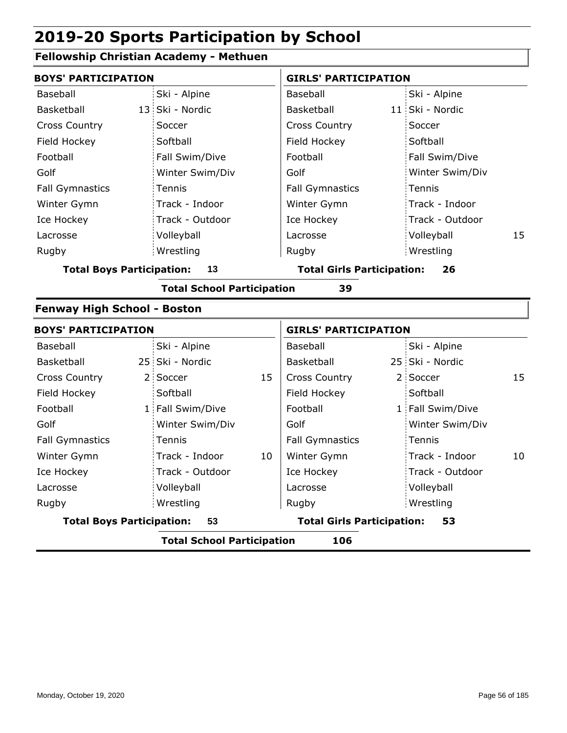## **Fellowship Christian Academy - Methuen**

| <b>BOYS' PARTICIPATION</b>       |                                          |    | <b>GIRLS' PARTICIPATION</b>       |                |                  |    |  |  |
|----------------------------------|------------------------------------------|----|-----------------------------------|----------------|------------------|----|--|--|
| Baseball                         | Ski - Alpine                             |    | Baseball                          |                | Ski - Alpine     |    |  |  |
| Basketball                       | 13 Ski - Nordic                          |    | Basketball                        |                | 11 Ski - Nordic  |    |  |  |
| <b>Cross Country</b>             | Soccer                                   |    | <b>Cross Country</b>              |                | Soccer           |    |  |  |
| Field Hockey                     | Softball                                 |    | Field Hockey                      |                | Softball         |    |  |  |
| Football                         | Fall Swim/Dive                           |    | Football                          |                | Fall Swim/Dive   |    |  |  |
| Golf                             | Winter Swim/Div                          |    | Golf                              |                | Winter Swim/Div  |    |  |  |
| <b>Fall Gymnastics</b>           | Tennis                                   |    | <b>Fall Gymnastics</b>            |                | Tennis           |    |  |  |
| Winter Gymn                      | Track - Indoor                           |    | Winter Gymn                       |                | Track - Indoor   |    |  |  |
| Ice Hockey                       | Track - Outdoor                          |    | Ice Hockey                        |                | Track - Outdoor  |    |  |  |
| Lacrosse                         | Volleyball                               |    | Lacrosse                          |                | Volleyball       | 15 |  |  |
| Rugby                            | Wrestling                                |    | Rugby                             |                | Wrestling        |    |  |  |
| <b>Total Boys Participation:</b> | 13                                       |    | <b>Total Girls Participation:</b> |                | 26               |    |  |  |
|                                  | <b>Total School Participation</b>        |    | 39                                |                |                  |    |  |  |
|                                  | <b>Fenway High School - Boston</b>       |    |                                   |                |                  |    |  |  |
| <b>BOYS' PARTICIPATION</b>       |                                          |    | <b>GIRLS' PARTICIPATION</b>       |                |                  |    |  |  |
| Baseball                         | Ski - Alpine                             |    | Baseball                          |                | Ski - Alpine     |    |  |  |
| Basketball                       | 25 Ski - Nordic                          |    | Basketball                        |                | 25 Ski - Nordic  |    |  |  |
| <b>Cross Country</b><br>2:       | Soccer                                   | 15 | <b>Cross Country</b>              | 2 <sup>1</sup> | Soccer           | 15 |  |  |
| Field Hockey                     | Softball                                 |    | Field Hockey                      |                | Softball         |    |  |  |
| Football                         | 1 Fall Swim/Dive                         |    | Football                          |                | 1 Fall Swim/Dive |    |  |  |
| Golf                             | Winter Swim/Div                          |    | Golf                              |                | Winter Swim/Div  |    |  |  |
| <b>Fall Gymnastics</b>           | Tennis                                   |    | <b>Fall Gymnastics</b>            |                | Tennis           |    |  |  |
| Winter Gymn                      | Track - Indoor                           | 10 | Winter Gymn                       |                | Track - Indoor   | 10 |  |  |
| Ice Hockey                       | Track - Outdoor                          |    | Ice Hockey                        |                | Track - Outdoor  |    |  |  |
| Lacrosse                         | Volleyball                               |    | Lacrosse                          |                | Volleyball       |    |  |  |
| Rugby                            | Wrestling                                |    | Rugby                             |                | Wrestling        |    |  |  |
| <b>Total Boys Participation:</b> | 53                                       |    | <b>Total Girls Participation:</b> |                | 53               |    |  |  |
|                                  | <b>Total School Participation</b><br>106 |    |                                   |                |                  |    |  |  |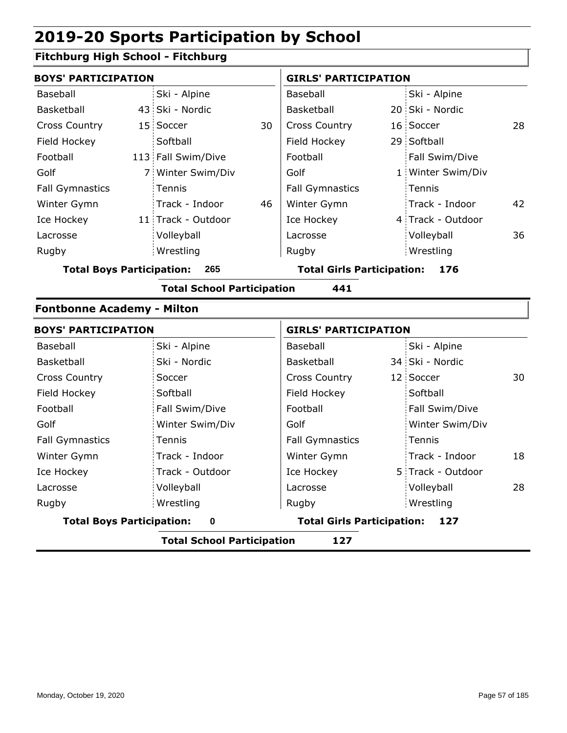## **Fitchburg High School - Fitchburg**

| <b>BOYS' PARTICIPATION</b>              |  |                    |                                   | <b>GIRLS' PARTICIPATION</b> |     |                   |    |
|-----------------------------------------|--|--------------------|-----------------------------------|-----------------------------|-----|-------------------|----|
| Baseball                                |  | Ski - Alpine       |                                   | Baseball                    |     | Ski - Alpine      |    |
| Basketball                              |  | 43 Ski - Nordic    |                                   | Basketball                  |     | 20 Ski - Nordic   |    |
| <b>Cross Country</b>                    |  | 15 Soccer          | 30                                | <b>Cross Country</b>        |     | 16 Soccer         | 28 |
| Field Hockey                            |  | Softball           |                                   | Field Hockey                |     | 29 Softball       |    |
| Football                                |  | 113 Fall Swim/Dive |                                   | Football                    |     | Fall Swim/Dive    |    |
| Golf                                    |  | 7 Winter Swim/Div  |                                   | Golf                        |     | 1 Winter Swim/Div |    |
| <b>Fall Gymnastics</b>                  |  | Tennis             |                                   | <b>Fall Gymnastics</b>      |     | Tennis            |    |
| Winter Gymn                             |  | Track - Indoor     | 46                                | Winter Gymn                 |     | Track - Indoor    | 42 |
| Ice Hockey                              |  | 11 Track - Outdoor |                                   | Ice Hockey                  |     | 4 Track - Outdoor |    |
| Lacrosse                                |  | Volleyball         |                                   | Lacrosse                    |     | Volleyball        | 36 |
| Rugby                                   |  | Wrestling          |                                   | Rugby                       |     | Wrestling         |    |
| <b>Total Boys Participation:</b><br>265 |  |                    | <b>Total Girls Participation:</b> |                             | 176 |                   |    |

**Total School Participation 441**

#### **Fontbonne Academy - Milton**

| <b>BOYS' PARTICIPATION</b>       |                                          | <b>GIRLS' PARTICIPATION</b> |  |                   |     |
|----------------------------------|------------------------------------------|-----------------------------|--|-------------------|-----|
| Baseball                         | Ski - Alpine                             | Baseball                    |  | Ski - Alpine      |     |
| Basketball                       | Ski - Nordic                             | Basketball                  |  | 34 Ski - Nordic   |     |
| <b>Cross Country</b>             | Soccer                                   | <b>Cross Country</b>        |  | 12 Soccer         | 30. |
| Field Hockey                     | Softball                                 | Field Hockey                |  | Softball          |     |
| Football                         | Fall Swim/Dive                           | Football                    |  | Fall Swim/Dive    |     |
| Golf                             | Winter Swim/Div                          | Golf                        |  | Winter Swim/Div   |     |
| <b>Fall Gymnastics</b>           | Tennis                                   | <b>Fall Gymnastics</b>      |  | Tennis            |     |
| Winter Gymn                      | Track - Indoor                           | Winter Gymn                 |  | Track - Indoor    | 18  |
| Ice Hockey                       | Track - Outdoor                          | Ice Hockey                  |  | 5 Track - Outdoor |     |
| Lacrosse                         | Volleyball                               | Lacrosse                    |  | Volleyball        | 28  |
| Rugby                            | Wrestling                                | Rugby                       |  | Wrestling         |     |
| <b>Total Boys Participation:</b> | <b>Total Girls Participation:</b><br>127 |                             |  |                   |     |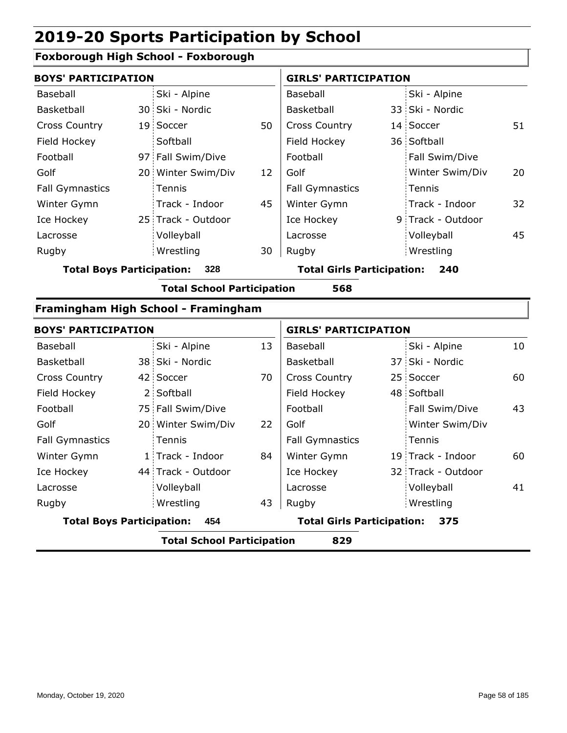## **Foxborough High School - Foxborough**

| <b>BOYS' PARTICIPATION</b> |                    |    | <b>GIRLS' PARTICIPATION</b> |  |                   |    |
|----------------------------|--------------------|----|-----------------------------|--|-------------------|----|
| Baseball                   | Ski - Alpine       |    | Baseball                    |  | Ski - Alpine      |    |
| Basketball                 | 30 Ski - Nordic    |    | <b>Basketball</b>           |  | 33 Ski - Nordic   |    |
| <b>Cross Country</b>       | 19 Soccer          | 50 | <b>Cross Country</b>        |  | 14 Soccer         | 51 |
| Field Hockey               | Softball           |    | Field Hockey                |  | 36 Softball       |    |
| Football                   | 97 Fall Swim/Dive  |    | Football                    |  | Fall Swim/Dive    |    |
| Golf                       | 20 Winter Swim/Div | 12 | Golf                        |  | Winter Swim/Div   | 20 |
| <b>Fall Gymnastics</b>     | Tennis             |    | <b>Fall Gymnastics</b>      |  | Tennis            |    |
| Winter Gymn                | Track - Indoor     | 45 | Winter Gymn                 |  | Track - Indoor    | 32 |
| Ice Hockey                 | 25 Track - Outdoor |    | Ice Hockey                  |  | 9 Track - Outdoor |    |
| Lacrosse                   | Volleyball         |    | Lacrosse                    |  | Volleyball        | 45 |
| Rugby                      | Wrestling          | 30 | Rugby                       |  | Wrestling         |    |
|                            |                    |    |                             |  |                   |    |

**Total Boys Participation: 328 Total Girls Participation: 240**

**Total School Participation 568**

#### **Framingham High School - Framingham**

| <b>BOYS' PARTICIPATION</b>              |                                          |                                          |    | <b>GIRLS' PARTICIPATION</b> |  |                    |    |  |
|-----------------------------------------|------------------------------------------|------------------------------------------|----|-----------------------------|--|--------------------|----|--|
| Baseball                                |                                          | Ski - Alpine                             | 13 | Baseball                    |  | Ski - Alpine       | 10 |  |
| <b>Basketball</b>                       |                                          | 38 Ski - Nordic                          |    | Basketball                  |  | 37 Ski - Nordic    |    |  |
| <b>Cross Country</b>                    |                                          | 42 Soccer                                | 70 | <b>Cross Country</b>        |  | 25 Soccer          | 60 |  |
| Field Hockey                            |                                          | 2 Softball                               |    | Field Hockey                |  | 48 Softball        |    |  |
| Football                                |                                          | 75 Fall Swim/Dive                        |    | Football                    |  | Fall Swim/Dive     | 43 |  |
| Golf                                    |                                          | 20 Winter Swim/Div                       | 22 | Golf                        |  | Winter Swim/Div    |    |  |
| <b>Fall Gymnastics</b>                  |                                          | Tennis                                   |    | <b>Fall Gymnastics</b>      |  | Tennis             |    |  |
| Winter Gymn                             |                                          | 1 Track - Indoor                         | 84 | Winter Gymn                 |  | 19 Track - Indoor  | 60 |  |
| Ice Hockey                              |                                          | 44 Track - Outdoor                       |    | Ice Hockey                  |  | 32 Track - Outdoor |    |  |
| Lacrosse                                |                                          | Volleyball                               |    | Lacrosse                    |  | Volleyball         | 41 |  |
| Rugby                                   |                                          | Wrestling                                | 43 | Rugby                       |  | Wrestling          |    |  |
| <b>Total Boys Participation:</b><br>454 |                                          | <b>Total Girls Participation:</b><br>375 |    |                             |  |                    |    |  |
|                                         | <b>Total School Participation</b><br>829 |                                          |    |                             |  |                    |    |  |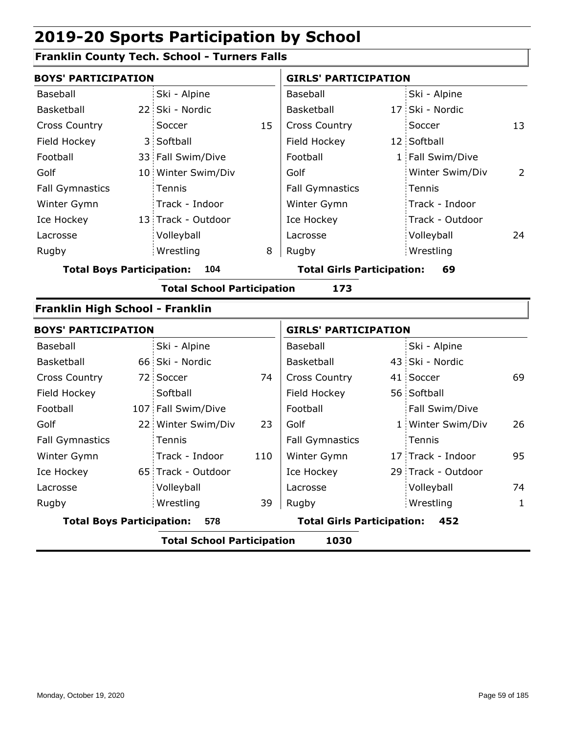## **Franklin County Tech. School - Turners Falls**

| <b>BOYS' PARTICIPATION</b>       |                                           |                                   |     | <b>GIRLS' PARTICIPATION</b>       |  |                    |                |  |  |  |
|----------------------------------|-------------------------------------------|-----------------------------------|-----|-----------------------------------|--|--------------------|----------------|--|--|--|
| <b>Baseball</b>                  |                                           | Ski - Alpine                      |     | Baseball                          |  | Ski - Alpine       |                |  |  |  |
| Basketball                       |                                           | 22 Ski - Nordic                   |     | Basketball                        |  | 17 Ski - Nordic    |                |  |  |  |
| <b>Cross Country</b>             |                                           | Soccer                            | 15  | <b>Cross Country</b>              |  | Soccer             | 13             |  |  |  |
| Field Hockey                     |                                           | 3 Softball                        |     | Field Hockey                      |  | 12 Softball        |                |  |  |  |
| Football                         |                                           | 33 Fall Swim/Dive                 |     | Football                          |  | 1 Fall Swim/Dive   |                |  |  |  |
| Golf                             |                                           | 10 Winter Swim/Div                |     | Golf                              |  | Winter Swim/Div    | $\overline{2}$ |  |  |  |
| <b>Fall Gymnastics</b>           |                                           | Tennis                            |     | <b>Fall Gymnastics</b>            |  | Tennis             |                |  |  |  |
| Winter Gymn                      |                                           | Track - Indoor                    |     | Winter Gymn                       |  | Track - Indoor     |                |  |  |  |
| Ice Hockey                       |                                           | 13 Track - Outdoor                |     | Ice Hockey                        |  | Track - Outdoor    |                |  |  |  |
| Lacrosse                         |                                           | Volleyball                        |     | Lacrosse                          |  | Volleyball         | 24             |  |  |  |
| Rugby                            |                                           | Wrestling                         | 8   | Rugby                             |  | Wrestling          |                |  |  |  |
| <b>Total Boys Participation:</b> |                                           | 104                               |     | <b>Total Girls Participation:</b> |  | 69                 |                |  |  |  |
|                                  |                                           | <b>Total School Participation</b> |     | 173                               |  |                    |                |  |  |  |
| Franklin High School - Franklin  |                                           |                                   |     |                                   |  |                    |                |  |  |  |
| <b>BOYS' PARTICIPATION</b>       |                                           |                                   |     | <b>GIRLS' PARTICIPATION</b>       |  |                    |                |  |  |  |
| Baseball                         |                                           | Ski - Alpine                      |     | Baseball                          |  | Ski - Alpine       |                |  |  |  |
| Basketball                       |                                           | 66 Ski - Nordic                   |     | Basketball                        |  | 43 Ski - Nordic    |                |  |  |  |
| <b>Cross Country</b>             |                                           | 72 Soccer                         | 74  | <b>Cross Country</b>              |  | 41 Soccer          | 69             |  |  |  |
| Field Hockey                     |                                           | Softball                          |     | Field Hockey                      |  | 56 Softball        |                |  |  |  |
| Football                         |                                           | 107 Fall Swim/Dive                |     | Football                          |  | Fall Swim/Dive     |                |  |  |  |
| Golf                             |                                           | 22 Winter Swim/Div                | 23  | Golf                              |  | 1 Winter Swim/Div  | 26             |  |  |  |
| <b>Fall Gymnastics</b>           |                                           | Tennis                            |     | <b>Fall Gymnastics</b>            |  | Tennis             |                |  |  |  |
| Winter Gymn                      |                                           | Track - Indoor                    | 110 | Winter Gymn                       |  | 17 Track - Indoor  | 95             |  |  |  |
| Ice Hockey                       |                                           | 65 Track - Outdoor                |     | Ice Hockey                        |  | 29 Track - Outdoor |                |  |  |  |
| Lacrosse                         |                                           | Volleyball                        |     | Lacrosse                          |  | Volleyball         | 74             |  |  |  |
| Rugby                            |                                           | Wrestling                         | 39  | Rugby                             |  | Wrestling          | 1              |  |  |  |
| <b>Total Boys Participation:</b> |                                           | 578                               |     | <b>Total Girls Participation:</b> |  | 452                |                |  |  |  |
|                                  | <b>Total School Participation</b><br>1030 |                                   |     |                                   |  |                    |                |  |  |  |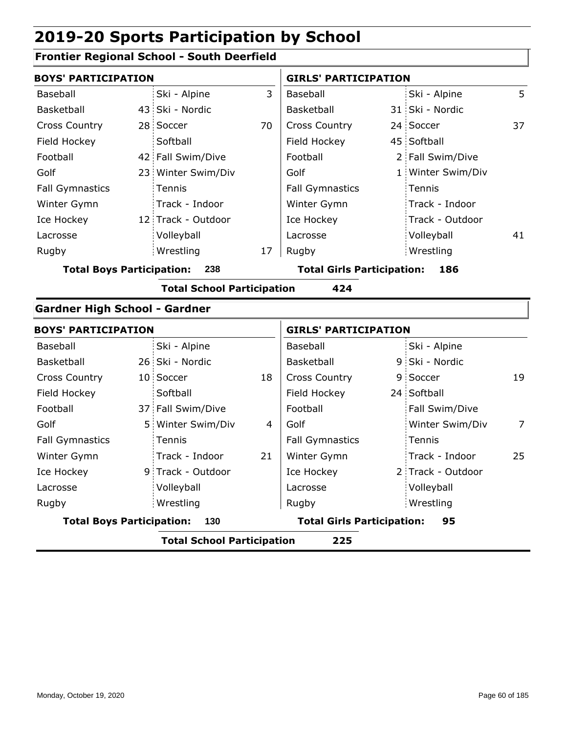## **Frontier Regional School - South Deerfield**

| <b>BOYS' PARTICIPATION</b>           |                                          |                    |    | <b>GIRLS' PARTICIPATION</b>       |  |                   |                |  |  |  |
|--------------------------------------|------------------------------------------|--------------------|----|-----------------------------------|--|-------------------|----------------|--|--|--|
| <b>Baseball</b>                      |                                          | Ski - Alpine       | 3  | Baseball                          |  | Ski - Alpine      | 5              |  |  |  |
| Basketball                           |                                          | 43 Ski - Nordic    |    | Basketball                        |  | 31 Ski - Nordic   |                |  |  |  |
| <b>Cross Country</b>                 |                                          | 28 Soccer          | 70 | <b>Cross Country</b>              |  | 24 Soccer         | 37             |  |  |  |
| Field Hockey                         |                                          | Softball           |    | Field Hockey                      |  | 45 Softball       |                |  |  |  |
| Football                             |                                          | 42 Fall Swim/Dive  |    | Football                          |  | 2 Fall Swim/Dive  |                |  |  |  |
| Golf                                 |                                          | 23 Winter Swim/Div |    | Golf                              |  | 1 Winter Swim/Div |                |  |  |  |
| <b>Fall Gymnastics</b>               |                                          | Tennis             |    | <b>Fall Gymnastics</b>            |  | Tennis            |                |  |  |  |
| Winter Gymn                          |                                          | Track - Indoor     |    | Winter Gymn                       |  | Track - Indoor    |                |  |  |  |
| Ice Hockey                           |                                          | 12 Track - Outdoor |    | Ice Hockey                        |  | Track - Outdoor   |                |  |  |  |
| Lacrosse                             |                                          | Volleyball         |    | Lacrosse                          |  | Volleyball        | 41             |  |  |  |
| Rugby                                |                                          | Wrestling          | 17 | Rugby                             |  | Wrestling         |                |  |  |  |
| <b>Total Boys Participation:</b>     |                                          | 238                |    | <b>Total Girls Participation:</b> |  | 186               |                |  |  |  |
|                                      | <b>Total School Participation</b><br>424 |                    |    |                                   |  |                   |                |  |  |  |
| <b>Gardner High School - Gardner</b> |                                          |                    |    |                                   |  |                   |                |  |  |  |
| <b>BOYS' PARTICIPATION</b>           |                                          |                    |    | <b>GIRLS' PARTICIPATION</b>       |  |                   |                |  |  |  |
| <b>Baseball</b>                      |                                          | Ski - Alpine       |    | Baseball                          |  | Ski - Alpine      |                |  |  |  |
| Basketball                           |                                          | 26 Ski - Nordic    |    | Basketball                        |  | 9 Ski - Nordic    |                |  |  |  |
| <b>Cross Country</b>                 |                                          | 10 Soccer          | 18 | <b>Cross Country</b>              |  | 9 Soccer          | 19             |  |  |  |
| Field Hockey                         |                                          | Softball           |    | Field Hockey                      |  | 24 Softball       |                |  |  |  |
| Football                             |                                          | 37 Fall Swim/Dive  |    | Football                          |  | Fall Swim/Dive    |                |  |  |  |
| Golf                                 |                                          | 5 Winter Swim/Div  | 4  | Golf                              |  | Winter Swim/Div   | $\overline{7}$ |  |  |  |
| <b>Fall Gymnastics</b>               |                                          | Tennis             |    | <b>Fall Gymnastics</b>            |  | Tennis            |                |  |  |  |
| Winter Gymn                          |                                          | Track - Indoor     | 21 | Winter Gymn                       |  | Track - Indoor    | 25             |  |  |  |
| Ice Hockey                           |                                          | 9 Track - Outdoor  |    | Ice Hockey                        |  | 2 Track - Outdoor |                |  |  |  |
| Lacrosse                             |                                          | Volleyball         |    | Lacrosse                          |  | Volleyball        |                |  |  |  |
| Rugby                                |                                          | Wrestling          |    | Rugby                             |  | Wrestling         |                |  |  |  |
| <b>Total Boys Participation:</b>     |                                          | 130                |    | <b>Total Girls Participation:</b> |  | 95                |                |  |  |  |
|                                      | <b>Total School Participation</b><br>225 |                    |    |                                   |  |                   |                |  |  |  |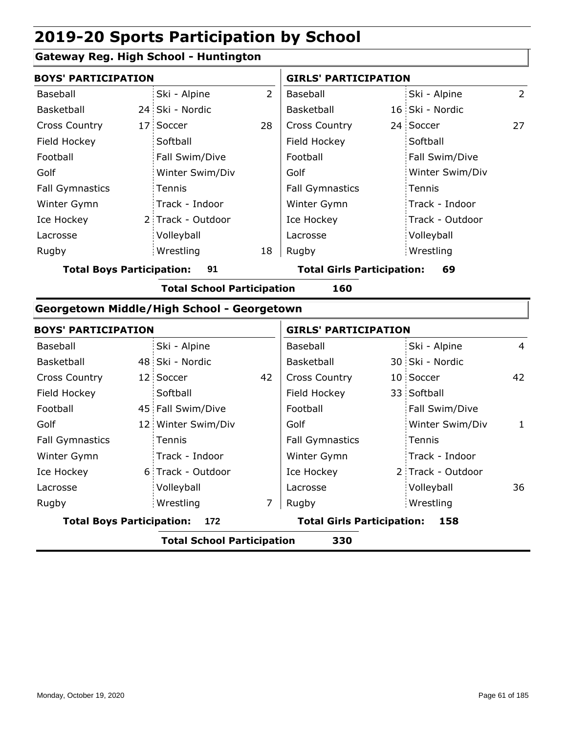## **Gateway Reg. High School - Huntington**

| <b>BOYS' PARTICIPATION</b>                        |  |                                   |                | <b>GIRLS' PARTICIPATION</b>       |  |                 |    |
|---------------------------------------------------|--|-----------------------------------|----------------|-----------------------------------|--|-----------------|----|
| Baseball                                          |  | Ski - Alpine                      | $\overline{2}$ | Baseball                          |  | Ski - Alpine    | 2  |
| Basketball                                        |  | 24 Ski - Nordic                   |                | Basketball                        |  | 16 Ski - Nordic |    |
| <b>Cross Country</b>                              |  | 17 Soccer                         | 28             | <b>Cross Country</b>              |  | 24 Soccer       | 27 |
| Field Hockey                                      |  | Softball                          |                | Field Hockey                      |  | Softball        |    |
| Football                                          |  | Fall Swim/Dive                    |                | Football                          |  | Fall Swim/Dive  |    |
| Golf                                              |  | Winter Swim/Div                   |                | Golf                              |  | Winter Swim/Div |    |
| <b>Fall Gymnastics</b>                            |  | Tennis                            |                | <b>Fall Gymnastics</b>            |  | Tennis          |    |
| Winter Gymn                                       |  | Track - Indoor                    |                | Winter Gymn                       |  | Track - Indoor  |    |
| Ice Hockey                                        |  | 2 Track - Outdoor                 |                | Ice Hockey                        |  | Track - Outdoor |    |
| Lacrosse                                          |  | Volleyball                        |                | Lacrosse                          |  | Volleyball      |    |
| Rugby                                             |  | Wrestling                         | 18             | Rugby                             |  | Wrestling       |    |
| <b>Total Boys Participation:</b>                  |  | 91                                |                | <b>Total Girls Participation:</b> |  | 69              |    |
|                                                   |  | <b>Total School Participation</b> |                | 160                               |  |                 |    |
| <b>Georgetown Middle/High School - Georgetown</b> |  |                                   |                |                                   |  |                 |    |

| <b>BOYS' PARTICIPATION</b>              |  |                                          | <b>GIRLS' PARTICIPATION</b> |                        |  |                   |                |
|-----------------------------------------|--|------------------------------------------|-----------------------------|------------------------|--|-------------------|----------------|
| Baseball                                |  | Ski - Alpine                             |                             | Baseball               |  | Ski - Alpine      | $\overline{4}$ |
| Basketball                              |  | 48 Ski - Nordic                          |                             | Basketball             |  | 30 Ski - Nordic   |                |
| <b>Cross Country</b>                    |  | 12 Soccer                                | 42                          | <b>Cross Country</b>   |  | 10 Soccer         | 42             |
| Field Hockey                            |  | Softball                                 |                             | Field Hockey           |  | 33 Softball       |                |
| Football                                |  | 45 Fall Swim/Dive                        |                             | Football               |  | Fall Swim/Dive    |                |
| Golf                                    |  | 12 Winter Swim/Div                       |                             | Golf                   |  | Winter Swim/Div   | 1              |
| <b>Fall Gymnastics</b>                  |  | Tennis                                   |                             | <b>Fall Gymnastics</b> |  | Tennis            |                |
| Winter Gymn                             |  | Track - Indoor                           |                             | Winter Gymn            |  | Track - Indoor    |                |
| Ice Hockey                              |  | 6 Track - Outdoor                        |                             | Ice Hockey             |  | 2 Track - Outdoor |                |
| Lacrosse                                |  | Volleyball                               |                             | Lacrosse               |  | Volleyball        | 36             |
| Rugby                                   |  | Wrestling                                | 7                           | Rugby                  |  | Wrestling         |                |
| <b>Total Boys Participation:</b><br>172 |  | <b>Total Girls Participation:</b><br>158 |                             |                        |  |                   |                |
|                                         |  | .                                        |                             |                        |  |                   |                |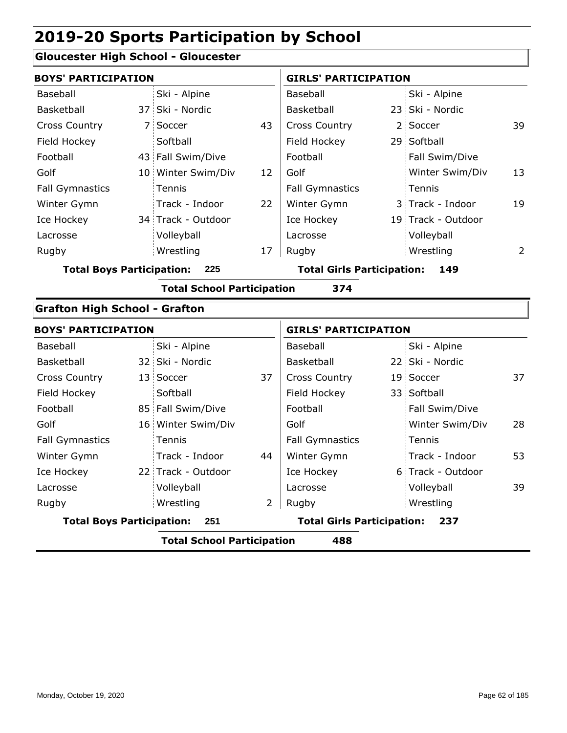## **Gloucester High School - Gloucester**

| <b>BOYS' PARTICIPATION</b>           |                                          |                    |    |                                   | <b>GIRLS' PARTICIPATION</b>       |                    |    |  |
|--------------------------------------|------------------------------------------|--------------------|----|-----------------------------------|-----------------------------------|--------------------|----|--|
| Baseball                             |                                          | Ski - Alpine       |    | Baseball                          |                                   | Ski - Alpine       |    |  |
| Basketball                           |                                          | 37 Ski - Nordic    |    | Basketball                        |                                   | 23 Ski - Nordic    |    |  |
| <b>Cross Country</b>                 |                                          | 7 Soccer           | 43 | Cross Country                     |                                   | 2 Soccer           | 39 |  |
| Field Hockey                         |                                          | Softball           |    | Field Hockey                      |                                   | 29 Softball        |    |  |
| Football                             |                                          | 43 Fall Swim/Dive  |    | Football                          |                                   | Fall Swim/Dive     |    |  |
| Golf                                 |                                          | 10 Winter Swim/Div | 12 | Golf                              |                                   | Winter Swim/Div    | 13 |  |
| <b>Fall Gymnastics</b>               |                                          | Tennis             |    | <b>Fall Gymnastics</b>            |                                   | Tennis             |    |  |
| Winter Gymn                          |                                          | Track - Indoor     | 22 | Winter Gymn                       |                                   | 3 Track - Indoor   | 19 |  |
| Ice Hockey                           |                                          | 34 Track - Outdoor |    | Ice Hockey                        |                                   | 19 Track - Outdoor |    |  |
| Lacrosse                             |                                          | Volleyball         |    | Lacrosse                          |                                   | Volleyball         |    |  |
| Rugby                                |                                          | Wrestling          | 17 | Rugby                             |                                   | Wrestling          | 2  |  |
| <b>Total Boys Participation:</b>     |                                          | 225                |    | <b>Total Girls Participation:</b> |                                   | 149                |    |  |
|                                      | <b>Total School Participation</b><br>374 |                    |    |                                   |                                   |                    |    |  |
| <b>Grafton High School - Grafton</b> |                                          |                    |    |                                   |                                   |                    |    |  |
| <b>BOYS' PARTICIPATION</b>           |                                          |                    |    | <b>GIRLS' PARTICIPATION</b>       |                                   |                    |    |  |
| Baseball                             |                                          | Ski - Alpine       |    | Baseball                          |                                   | Ski - Alpine       |    |  |
| Basketball                           |                                          | 32 Ski - Nordic    |    | Basketball                        |                                   | 22 Ski - Nordic    |    |  |
| <b>Cross Country</b>                 |                                          | 13 Soccer          | 37 | Cross Country                     |                                   | 19 Soccer          | 37 |  |
| Field Hockey                         |                                          | Softball           |    | Field Hockey                      |                                   | 33 Softball        |    |  |
| Football                             |                                          | 85 Fall Swim/Dive  |    | Football                          |                                   | Fall Swim/Dive     |    |  |
| Golf                                 |                                          | 16 Winter Swim/Div |    | Golf                              |                                   | Winter Swim/Div    | 28 |  |
| <b>Fall Gymnastics</b>               |                                          | Tennis             |    | <b>Fall Gymnastics</b>            |                                   | Tennis             |    |  |
| Winter Gymn                          |                                          | Track - Indoor     | 44 | Winter Gymn                       |                                   | Track - Indoor     | 53 |  |
| Ice Hockey                           |                                          | 22 Track - Outdoor |    | Ice Hockey                        |                                   | 6 Track - Outdoor  |    |  |
| Lacrosse                             |                                          | Volleyball         |    | Lacrosse                          |                                   | Volleyball         | 39 |  |
| Rugby                                |                                          | Wrestling          | 2  | Rugby                             |                                   | Wrestling          |    |  |
|                                      | <b>Total Boys Participation:</b><br>251  |                    |    |                                   | <b>Total Girls Participation:</b> | 237                |    |  |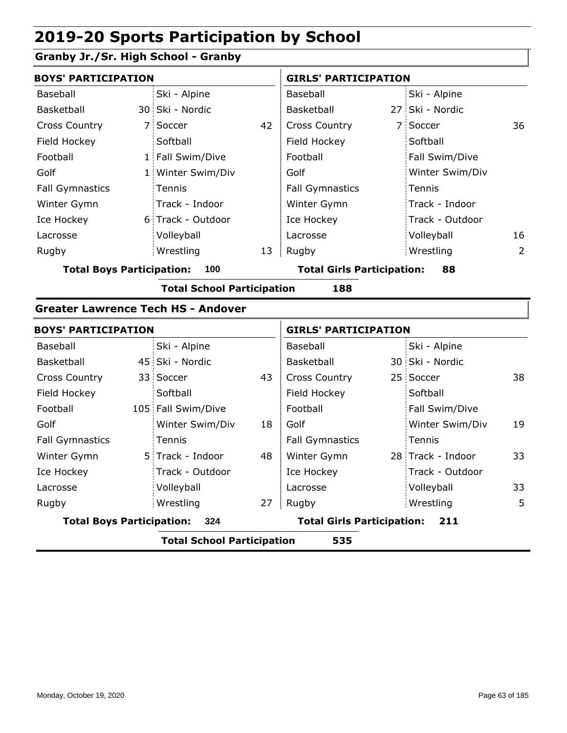## **Granby Jr./Sr. High School - Granby**

| <b>BOYS' PARTICIPATION</b>       |                                                    |    | <b>GIRLS' PARTICIPATION</b>       |  |                   |                |
|----------------------------------|----------------------------------------------------|----|-----------------------------------|--|-------------------|----------------|
| <b>Baseball</b>                  | Ski - Alpine                                       |    | Baseball                          |  | Ski - Alpine      |                |
| Basketball                       | 30 Ski - Nordic                                    |    | Basketball                        |  | 27 Ski - Nordic   |                |
| <b>Cross Country</b>             | 7 Soccer                                           | 42 | <b>Cross Country</b>              |  | 7 Soccer          | 36             |
| Field Hockey                     | Softball                                           |    | Field Hockey                      |  | Softball          |                |
| Football                         | 1 Fall Swim/Dive                                   |    | Football                          |  | Fall Swim/Dive    |                |
| Golf                             | 1 Winter Swim/Div                                  |    | Golf                              |  | Winter Swim/Div   |                |
| <b>Fall Gymnastics</b>           | Tennis                                             |    | <b>Fall Gymnastics</b>            |  | Tennis            |                |
| Winter Gymn                      | Track - Indoor                                     |    | Winter Gymn                       |  | Track - Indoor    |                |
| Ice Hockey                       | 6 Track - Outdoor                                  |    | Ice Hockey                        |  | Track - Outdoor   |                |
| Lacrosse                         | Volleyball                                         |    | Lacrosse                          |  | Volleyball        | 16             |
| Rugby                            | Wrestling                                          | 13 | Rugby                             |  | Wrestling         | $\overline{2}$ |
| <b>Total Boys Participation:</b> | 100                                                |    | <b>Total Girls Participation:</b> |  | 88                |                |
|                                  | <b>Total School Participation</b>                  |    | 188                               |  |                   |                |
|                                  | <b>Greater Lawrence Tech HS - Andover</b>          |    |                                   |  |                   |                |
| <b>BOYS' PARTICIPATION</b>       |                                                    |    | <b>GIRLS' PARTICIPATION</b>       |  |                   |                |
| Baseball                         | Ski - Alpine                                       |    | Baseball                          |  | Ski - Alpine      |                |
| Basketball                       | 45 Ski - Nordic                                    |    | Basketball                        |  | 30 Ski - Nordic   |                |
| Cross Country                    | 33 Soccer                                          | 43 | Cross Country                     |  | 25 Soccer         | 38             |
| Field Hockey                     | Softball                                           |    | Field Hockey                      |  | Softball          |                |
| Football                         | 105 Fall Swim/Dive                                 |    | Football                          |  | Fall Swim/Dive    |                |
| Golf                             | Winter Swim/Div                                    | 18 | Golf                              |  | Winter Swim/Div   | 19             |
| <b>Fall Gymnastics</b>           | Tennis                                             |    | <b>Fall Gymnastics</b>            |  | Tennis            |                |
| Winter Gymn                      | 5 Track - Indoor                                   | 48 | Winter Gymn                       |  | 28 Track - Indoor | 33             |
| Ice Hockey                       | Track - Outdoor                                    |    | Ice Hockey                        |  | Track - Outdoor   |                |
| Lacrosse                         | Volleyball                                         |    | Lacrosse                          |  | Volleyball        | 33             |
| Rugby                            | Wrestling                                          | 27 | Rugby                             |  | Wrestling         | 5              |
| <b>Total Boys Participation:</b> | 324                                                |    | <b>Total Girls Participation:</b> |  | 211               |                |
|                                  | $\overline{1}$ called $\overline{1}$<br>77 J. A. J |    |                                   |  |                   |                |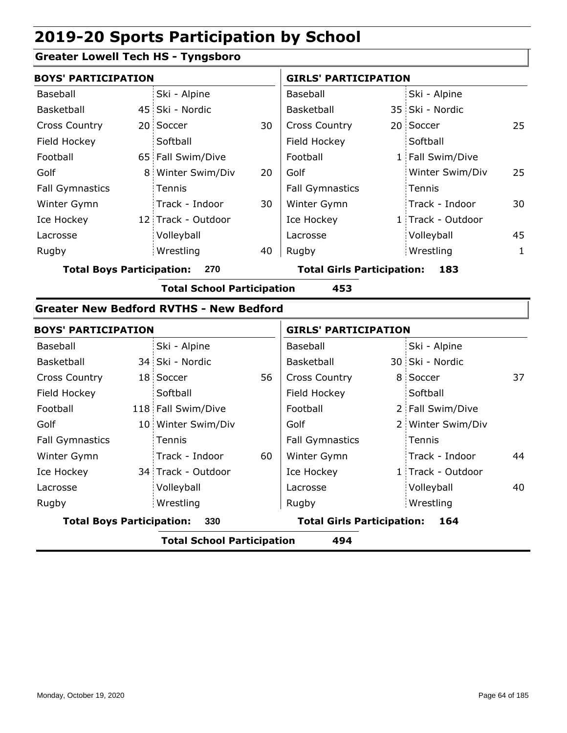## **Greater Lowell Tech HS - Tyngsboro**

| 25 |
|----|
|    |
|    |
| 25 |
|    |
| 30 |
|    |
| 45 |
| 1  |
|    |

**Total Boys Participation: 270 Total Girls Participation: 183**

**Total School Participation 453**

#### **Greater New Bedford RVTHS - New Bedford**

| <b>BOYS' PARTICIPATION</b> |                                          |                    | <b>GIRLS' PARTICIPATION</b> |                                          |  |                   |    |  |  |
|----------------------------|------------------------------------------|--------------------|-----------------------------|------------------------------------------|--|-------------------|----|--|--|
| Baseball                   |                                          | Ski - Alpine       |                             | Baseball                                 |  | Ski - Alpine      |    |  |  |
| Basketball                 |                                          | 34 Ski - Nordic    |                             | Basketball                               |  | 30 Ski - Nordic   |    |  |  |
| <b>Cross Country</b>       |                                          | 18 Soccer          | 56                          | <b>Cross Country</b>                     |  | 8 Soccer          | 37 |  |  |
| Field Hockey               |                                          | Softball           |                             | Field Hockey                             |  | Softball          |    |  |  |
| Football                   |                                          | 118 Fall Swim/Dive |                             | Football                                 |  | 2 Fall Swim/Dive  |    |  |  |
| Golf                       |                                          | 10 Winter Swim/Div |                             | Golf                                     |  | 2 Winter Swim/Div |    |  |  |
| <b>Fall Gymnastics</b>     |                                          | <b>Tennis</b>      |                             | <b>Fall Gymnastics</b>                   |  | Tennis            |    |  |  |
| Winter Gymn                |                                          | Track - Indoor     | 60                          | Winter Gymn                              |  | Track - Indoor    | 44 |  |  |
| Ice Hockey                 |                                          | 34 Track - Outdoor |                             | Ice Hockey                               |  | 1 Track - Outdoor |    |  |  |
| Lacrosse                   |                                          | Volleyball         |                             | Lacrosse                                 |  | Volleyball        | 40 |  |  |
| Rugby                      |                                          | Wrestling          |                             | Rugby                                    |  | Wrestling         |    |  |  |
|                            | <b>Total Boys Participation:</b><br>330  |                    |                             | <b>Total Girls Participation:</b><br>164 |  |                   |    |  |  |
|                            | <b>Total School Participation</b><br>494 |                    |                             |                                          |  |                   |    |  |  |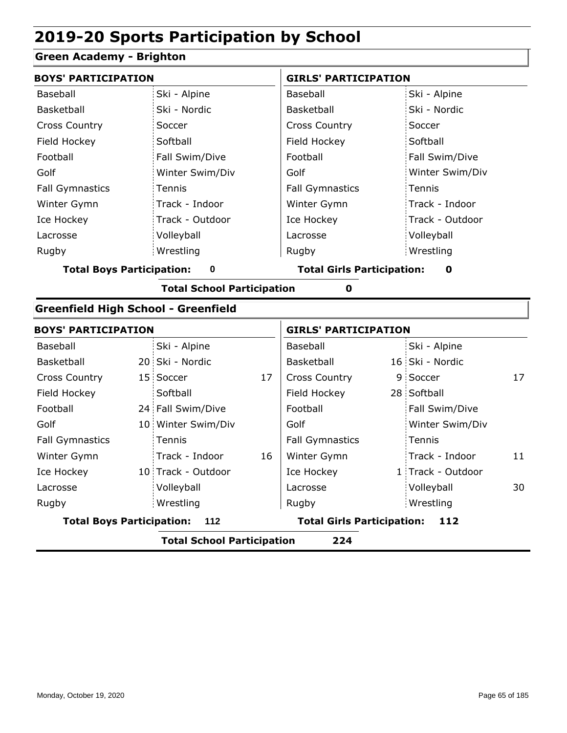## **Green Academy - Brighton**

| <b>BOYS' PARTICIPATION</b>                       |                                          |                    |    | <b>GIRLS' PARTICIPATION</b>       |  |                   |    |  |
|--------------------------------------------------|------------------------------------------|--------------------|----|-----------------------------------|--|-------------------|----|--|
| Baseball                                         |                                          | Ski - Alpine       |    | Baseball                          |  | Ski - Alpine      |    |  |
| Basketball                                       |                                          | Ski - Nordic       |    | Basketball                        |  | Ski - Nordic      |    |  |
| <b>Cross Country</b>                             |                                          | Soccer             |    | <b>Cross Country</b>              |  | Soccer            |    |  |
| Field Hockey                                     |                                          | Softball           |    | Field Hockey                      |  | Softball          |    |  |
| Football                                         |                                          | Fall Swim/Dive     |    | Football                          |  | Fall Swim/Dive    |    |  |
| Golf                                             |                                          | Winter Swim/Div    |    | Golf                              |  | Winter Swim/Div   |    |  |
| <b>Fall Gymnastics</b>                           |                                          | Tennis             |    | <b>Fall Gymnastics</b>            |  | Tennis            |    |  |
| Winter Gymn                                      |                                          | Track - Indoor     |    | Winter Gymn                       |  | Track - Indoor    |    |  |
| Ice Hockey                                       |                                          | Track - Outdoor    |    | Ice Hockey                        |  | Track - Outdoor   |    |  |
| Lacrosse                                         |                                          | Volleyball         |    | Lacrosse                          |  | Volleyball        |    |  |
| Rugby                                            |                                          | Wrestling          |    | Rugby                             |  | Wrestling         |    |  |
| <b>Total Boys Participation:</b>                 |                                          | $\mathbf 0$        |    | <b>Total Girls Participation:</b> |  | 0                 |    |  |
| <b>Total School Participation</b><br>$\mathbf 0$ |                                          |                    |    |                                   |  |                   |    |  |
| <b>Greenfield High School - Greenfield</b>       |                                          |                    |    |                                   |  |                   |    |  |
| <b>BOYS' PARTICIPATION</b>                       |                                          |                    |    | <b>GIRLS' PARTICIPATION</b>       |  |                   |    |  |
| Baseball                                         |                                          | Ski - Alpine       |    | Baseball                          |  | Ski - Alpine      |    |  |
| Basketball                                       |                                          | 20 Ski - Nordic    |    | Basketball                        |  | 16 Ski - Nordic   |    |  |
| <b>Cross Country</b>                             |                                          | 15 Soccer          | 17 | Cross Country                     |  | 9 Soccer          | 17 |  |
| Field Hockey                                     |                                          | Softball           |    | Field Hockey                      |  | 28 Softball       |    |  |
| Football                                         |                                          | 24 Fall Swim/Dive  |    | Football                          |  | Fall Swim/Dive    |    |  |
| Golf                                             |                                          | 10 Winter Swim/Div |    | Golf                              |  | Winter Swim/Div   |    |  |
| <b>Fall Gymnastics</b>                           |                                          | Tennis             |    | <b>Fall Gymnastics</b>            |  | Tennis            |    |  |
| Winter Gymn                                      |                                          | Track - Indoor     | 16 | Winter Gymn                       |  | Track - Indoor    | 11 |  |
| Ice Hockey                                       |                                          | 10 Track - Outdoor |    | Ice Hockey                        |  | 1 Track - Outdoor |    |  |
| Lacrosse                                         |                                          | Volleyball         |    | Lacrosse                          |  | Volleyball        | 30 |  |
| Rugby                                            |                                          | Wrestling          |    | Rugby                             |  | Wrestling         |    |  |
| <b>Total Boys Participation:</b>                 |                                          | 112                |    | <b>Total Girls Participation:</b> |  | 112               |    |  |
|                                                  | 224<br><b>Total School Participation</b> |                    |    |                                   |  |                   |    |  |
|                                                  |                                          |                    |    |                                   |  |                   |    |  |

I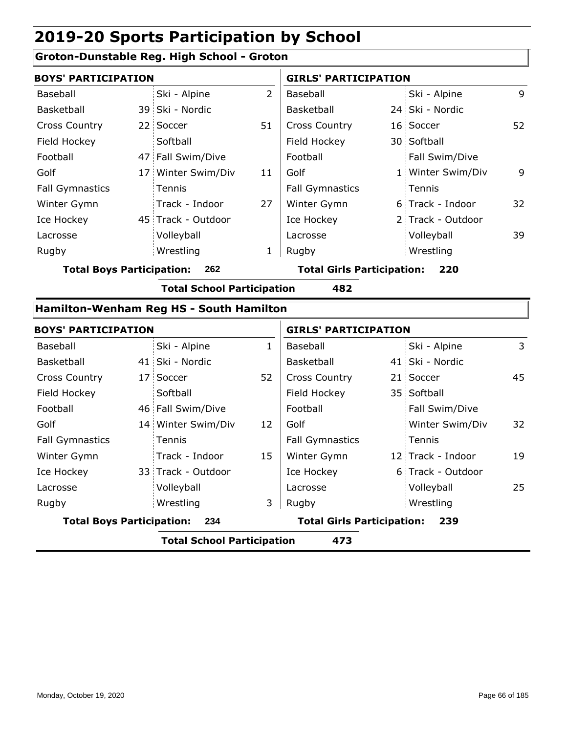## **Groton-Dunstable Reg. High School - Groton**

| <b>BOYS' PARTICIPATION</b> |  |                    | <b>GIRLS' PARTICIPATION</b> |                        |  |                   |    |
|----------------------------|--|--------------------|-----------------------------|------------------------|--|-------------------|----|
| Baseball                   |  | Ski - Alpine       | 2                           | Baseball               |  | Ski - Alpine      | 9  |
| Basketball                 |  | 39 Ski - Nordic    |                             | Basketball             |  | 24 Ski - Nordic   |    |
| <b>Cross Country</b>       |  | 22 Soccer          | 51                          | <b>Cross Country</b>   |  | 16 Soccer         | 52 |
| Field Hockey               |  | Softball           |                             | Field Hockey           |  | 30 Softball       |    |
| Football                   |  | 47 Fall Swim/Dive  |                             | Football               |  | Fall Swim/Dive    |    |
| Golf                       |  | 17 Winter Swim/Div | 11                          | Golf                   |  | 1 Winter Swim/Div | 9  |
| <b>Fall Gymnastics</b>     |  | Tennis             |                             | <b>Fall Gymnastics</b> |  | : Tennis          |    |
| Winter Gymn                |  | Track - Indoor     | 27                          | Winter Gymn            |  | 6 Track - Indoor  | 32 |
| Ice Hockey                 |  | 45 Track - Outdoor |                             | Ice Hockey             |  | 2 Track - Outdoor |    |
| Lacrosse                   |  | Volleyball         |                             | Lacrosse               |  | Volleyball        | 39 |
| Rugby                      |  | Wrestling          |                             | Rugby                  |  | Wrestling         |    |
|                            |  |                    |                             |                        |  |                   |    |

**Total Boys Participation: 262 Total Girls Participation: 220**

**Total School Participation 482**

#### **Hamilton-Wenham Reg HS - South Hamilton**

| <b>BOYS' PARTICIPATION</b>               |  |                                   | <b>GIRLS' PARTICIPATION</b> |                        |  |                   |    |
|------------------------------------------|--|-----------------------------------|-----------------------------|------------------------|--|-------------------|----|
| Baseball                                 |  | Ski - Alpine                      | $\mathbf{1}$                | Baseball               |  | Ski - Alpine      | 3  |
| <b>Basketball</b>                        |  | 41 Ski - Nordic                   |                             | Basketball             |  | 41 Ski - Nordic   |    |
| <b>Cross Country</b>                     |  | 17 Soccer                         | 52                          | <b>Cross Country</b>   |  | 21 Soccer         | 45 |
| Field Hockey                             |  | Softball                          |                             | Field Hockey           |  | 35 Softball       |    |
| Football                                 |  | 46 Fall Swim/Dive                 |                             | Football               |  | Fall Swim/Dive    |    |
| Golf                                     |  | 14 Winter Swim/Div                | 12                          | Golf                   |  | Winter Swim/Div   | 32 |
| <b>Fall Gymnastics</b>                   |  | Tennis                            |                             | <b>Fall Gymnastics</b> |  | Tennis            |    |
| Winter Gymn                              |  | Track - Indoor                    | 15                          | Winter Gymn            |  | 12 Track - Indoor | 19 |
| Ice Hockey                               |  | 33 Track - Outdoor                |                             | Ice Hockey             |  | 6 Track - Outdoor |    |
| Lacrosse                                 |  | Volleyball                        |                             | Lacrosse               |  | Volleyball        | 25 |
| Rugby                                    |  | Wrestling                         | 3                           | Rugby                  |  | Wrestling         |    |
| <b>Total Boys Participation:</b><br>234  |  | <b>Total Girls Participation:</b> |                             | 239                    |  |                   |    |
| <b>Total School Participation</b><br>473 |  |                                   |                             |                        |  |                   |    |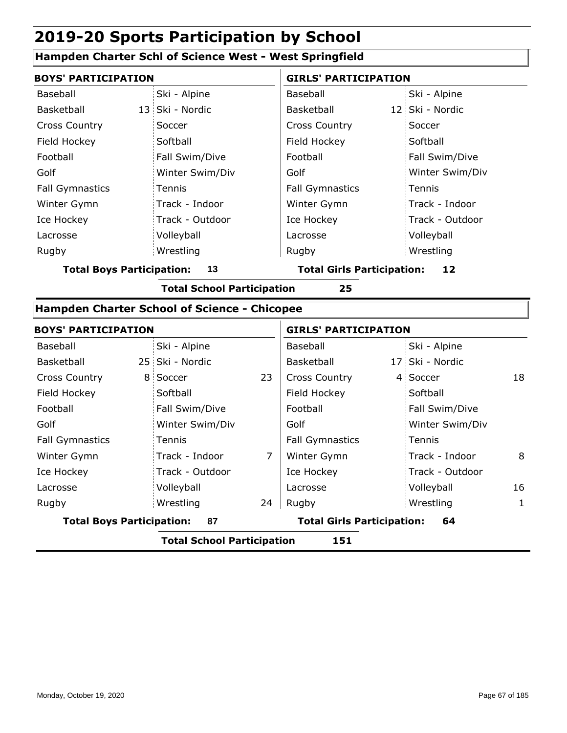#### **Hampden Charter Schl of Science West - West Springfield**

| <b>BOYS' PARTICIPATION</b> |                 | <b>GIRLS' PARTICIPATION</b> |                 |  |  |
|----------------------------|-----------------|-----------------------------|-----------------|--|--|
| Baseball                   | Ski - Alpine    | Baseball                    | Ski - Alpine    |  |  |
| Basketball                 | 13 Ski - Nordic | Basketball                  | 12 Ski - Nordic |  |  |
| <b>Cross Country</b>       | Soccer          | <b>Cross Country</b>        | Soccer          |  |  |
| Field Hockey               | Softball        | Field Hockey                | Softball        |  |  |
| Football                   | Fall Swim/Dive  | Football                    | Fall Swim/Dive  |  |  |
| Golf                       | Winter Swim/Div | Golf                        | Winter Swim/Div |  |  |
| <b>Fall Gymnastics</b>     | Tennis          | <b>Fall Gymnastics</b>      | Tennis          |  |  |
| Winter Gymn                | Track - Indoor  | Winter Gymn                 | Track - Indoor  |  |  |
| Ice Hockey                 | Track - Outdoor | Ice Hockey                  | Track - Outdoor |  |  |
| Lacrosse                   | Volleyball      | Lacrosse                    | Volleyball      |  |  |
| Rugby                      | Wrestling       | Rugby                       | Wrestling       |  |  |

**Total Boys Participation: 13 Total Girls Participation: 12**

**Total School Participation 25**

## **Hampden Charter School of Science - Chicopee**

| <b>BOYS' PARTICIPATION</b>               |                 |                                   | <b>GIRLS' PARTICIPATION</b> |    |                 |    |  |  |
|------------------------------------------|-----------------|-----------------------------------|-----------------------------|----|-----------------|----|--|--|
| Baseball                                 | Ski - Alpine    |                                   | Baseball                    |    | Ski - Alpine    |    |  |  |
| <b>Basketball</b>                        | 25 Ski - Nordic |                                   | Basketball                  |    | 17 Ski - Nordic |    |  |  |
| <b>Cross Country</b>                     | 8 Soccer        | 23                                | <b>Cross Country</b>        |    | 4 Soccer        | 18 |  |  |
| Field Hockey                             | Softball        |                                   | Field Hockey                |    | Softball        |    |  |  |
| Football                                 | Fall Swim/Dive  |                                   | Football                    |    | Fall Swim/Dive  |    |  |  |
| Golf                                     | Winter Swim/Div |                                   | Golf                        |    | Winter Swim/Div |    |  |  |
| <b>Fall Gymnastics</b>                   | Tennis          |                                   | <b>Fall Gymnastics</b>      |    | Tennis          |    |  |  |
| Winter Gymn                              | Track - Indoor  | $\overline{7}$                    | Winter Gymn                 |    | Track - Indoor  | 8  |  |  |
| Ice Hockey                               | Track - Outdoor |                                   | Ice Hockey                  |    | Track - Outdoor |    |  |  |
| Lacrosse                                 | Volleyball      |                                   | Lacrosse                    |    | Volleyball      | 16 |  |  |
| Rugby                                    | Wrestling       | 24                                | Rugby                       |    | Wrestling       | 1  |  |  |
| <b>Total Boys Participation:</b><br>87   |                 | <b>Total Girls Participation:</b> |                             | 64 |                 |    |  |  |
| <b>Total School Participation</b><br>151 |                 |                                   |                             |    |                 |    |  |  |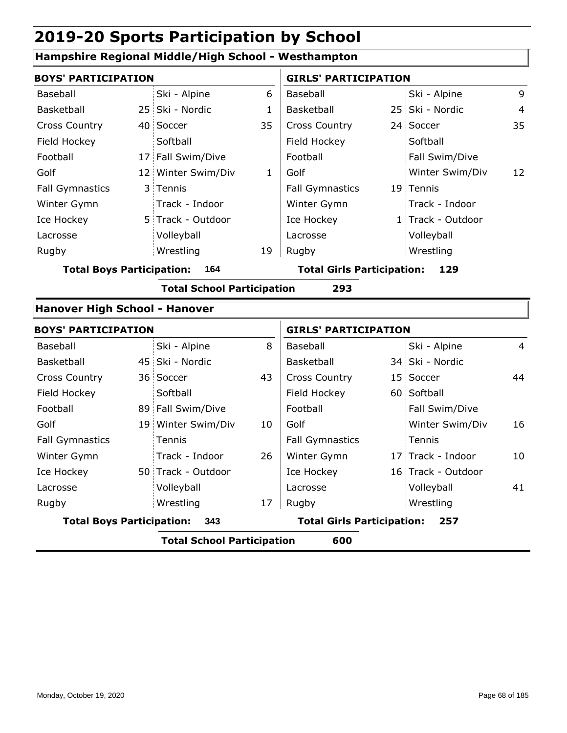## **Hampshire Regional Middle/High School - Westhampton**

| <b>BOYS' PARTICIPATION</b>           |                                   |              | <b>GIRLS' PARTICIPATION</b>       |                                          |                    |                |  |
|--------------------------------------|-----------------------------------|--------------|-----------------------------------|------------------------------------------|--------------------|----------------|--|
| Baseball                             | Ski - Alpine                      | 6            | Baseball                          |                                          | Ski - Alpine       | 9              |  |
| <b>Basketball</b>                    | 25 Ski - Nordic                   | $\mathbf{1}$ | Basketball                        |                                          | 25 Ski - Nordic    | $\overline{4}$ |  |
| <b>Cross Country</b>                 | 40 Soccer                         | 35           | <b>Cross Country</b>              |                                          | 24 Soccer          | 35             |  |
| Field Hockey                         | Softball                          |              | Field Hockey                      |                                          | Softball           |                |  |
| Football                             | 17 Fall Swim/Dive                 |              | Football                          |                                          | Fall Swim/Dive     |                |  |
| Golf                                 | 12 Winter Swim/Div                | $\mathbf{1}$ | Golf                              |                                          | Winter Swim/Div    | 12             |  |
| <b>Fall Gymnastics</b>               | 3 Tennis                          |              | <b>Fall Gymnastics</b>            |                                          | 19 Tennis          |                |  |
| Winter Gymn                          | Track - Indoor                    |              | Winter Gymn                       |                                          | Track - Indoor     |                |  |
| Ice Hockey                           | 5 Track - Outdoor                 |              | Ice Hockey                        |                                          | 1 Track - Outdoor  |                |  |
| Lacrosse                             | Volleyball                        |              | Lacrosse                          |                                          | Volleyball         |                |  |
| Rugby                                | Wrestling                         | 19           | Rugby                             |                                          | Wrestling          |                |  |
| <b>Total Boys Participation:</b>     | 164                               |              | <b>Total Girls Participation:</b> |                                          | 129                |                |  |
|                                      | <b>Total School Participation</b> |              | 293                               |                                          |                    |                |  |
| <b>Hanover High School - Hanover</b> |                                   |              |                                   |                                          |                    |                |  |
| <b>BOYS' PARTICIPATION</b>           |                                   |              | <b>GIRLS' PARTICIPATION</b>       |                                          |                    |                |  |
| Baseball                             | Ski - Alpine                      | 8            | Baseball                          |                                          | Ski - Alpine       | $\overline{4}$ |  |
| Basketball                           | 45 Ski - Nordic                   |              | Basketball                        |                                          | 34 Ski - Nordic    |                |  |
| <b>Cross Country</b>                 | 36 Soccer                         | 43           | <b>Cross Country</b>              |                                          | 15 Soccer          | 44             |  |
| Field Hockey                         | Softball                          |              | Field Hockey                      |                                          | 60 Softball        |                |  |
| Football                             | 89 Fall Swim/Dive                 |              | Football                          |                                          | Fall Swim/Dive     |                |  |
| Golf                                 | 19 Winter Swim/Div                | 10           | Golf                              |                                          | Winter Swim/Div    | 16             |  |
| <b>Fall Gymnastics</b>               | Tennis                            |              | <b>Fall Gymnastics</b>            |                                          | Tennis             |                |  |
| Winter Gymn                          | Track - Indoor                    | 26           | Winter Gymn                       |                                          | 17 Track - Indoor  | 10             |  |
| Ice Hockey                           | 50 Track - Outdoor                |              | Ice Hockey                        |                                          | 16 Track - Outdoor |                |  |
| Lacrosse                             | Volleyball                        |              | Lacrosse                          |                                          | Volleyball         | 41             |  |
| Rugby                                | Wrestling                         | 17           | Rugby                             |                                          | Wrestling          |                |  |
| <b>Total Boys Participation:</b>     | 343                               |              |                                   | <b>Total Girls Participation:</b><br>257 |                    |                |  |
|                                      | <b>Total School Participation</b> |              | 600                               |                                          |                    |                |  |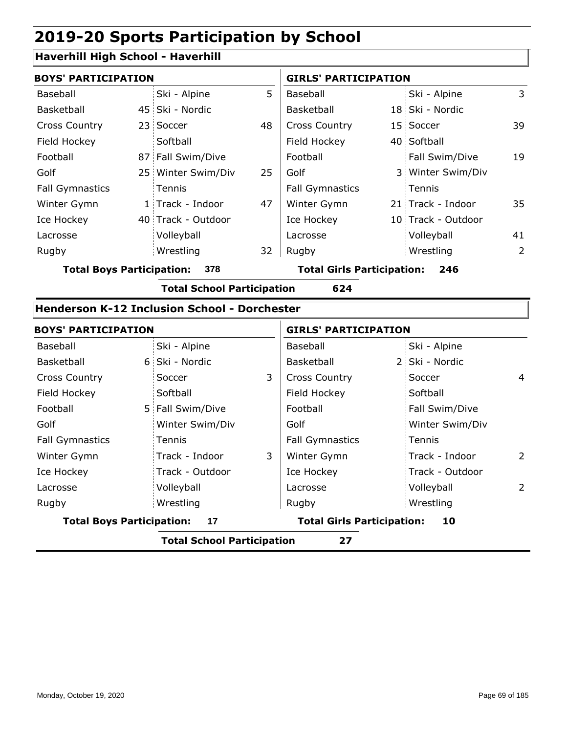### **Haverhill High School - Haverhill**

| <b>BOYS' PARTICIPATION</b> |  |                    |    | <b>GIRLS' PARTICIPATION</b> |  |                    |    |
|----------------------------|--|--------------------|----|-----------------------------|--|--------------------|----|
| Baseball                   |  | Ski - Alpine       | 5  | Baseball                    |  | Ski - Alpine       | 3  |
| Basketball                 |  | 45 Ski - Nordic    |    | <b>Basketball</b>           |  | 18 Ski - Nordic    |    |
| <b>Cross Country</b>       |  | 23 Soccer          | 48 | <b>Cross Country</b>        |  | 15 Soccer          | 39 |
| Field Hockey               |  | Softball           |    | Field Hockey                |  | 40 Softball        |    |
| Football                   |  | 87 Fall Swim/Dive  |    | Football                    |  | Fall Swim/Dive     | 19 |
| Golf                       |  | 25 Winter Swim/Div | 25 | Golf                        |  | 3 Winter Swim/Div  |    |
| <b>Fall Gymnastics</b>     |  | Tennis             |    | <b>Fall Gymnastics</b>      |  | Tennis             |    |
| Winter Gymn                |  | 1 Track - Indoor   | 47 | Winter Gymn                 |  | 21 Track - Indoor  | 35 |
| Ice Hockey                 |  | 40 Track - Outdoor |    | Ice Hockey                  |  | 10 Track - Outdoor |    |
| Lacrosse                   |  | Volleyball         |    | Lacrosse                    |  | Volleyball         | 41 |
| Rugby                      |  | Wrestling          | 32 | Rugby                       |  | Wrestling          | 2  |

**Total Boys Participation: 378 Total Girls Participation: 246**

**Total School Participation 624**

#### **Henderson K-12 Inclusion School - Dorchester**

| <b>BOYS' PARTICIPATION</b>             |                                   |                                   | <b>GIRLS' PARTICIPATION</b> |                 |                |  |
|----------------------------------------|-----------------------------------|-----------------------------------|-----------------------------|-----------------|----------------|--|
| Baseball                               | Ski - Alpine                      |                                   | Baseball                    | Ski - Alpine    |                |  |
| <b>Basketball</b>                      | 6 Ski - Nordic                    |                                   | Basketball                  | 2 Ski - Nordic  |                |  |
| <b>Cross Country</b>                   | Soccer                            | 3                                 | <b>Cross Country</b>        | Soccer          | 4              |  |
| Field Hockey                           | Softball                          |                                   | Field Hockey                | Softball        |                |  |
| Football                               | 5 Fall Swim/Dive                  |                                   | Football                    | Fall Swim/Dive  |                |  |
| Golf                                   | Winter Swim/Div                   |                                   | Golf                        | Winter Swim/Div |                |  |
| <b>Fall Gymnastics</b>                 | Tennis                            |                                   | <b>Fall Gymnastics</b>      | Tennis          |                |  |
| Winter Gymn                            | Track - Indoor                    | 3                                 | Winter Gymn                 | Track - Indoor  | $\overline{2}$ |  |
| Ice Hockey                             | Track - Outdoor                   |                                   | Ice Hockey                  | Track - Outdoor |                |  |
| Lacrosse                               | Volleyball                        |                                   | Lacrosse                    | Volleyball      | $\mathbf{2}$   |  |
| Rugby                                  | Wrestling                         |                                   | Rugby                       | Wrestling       |                |  |
| <b>Total Boys Participation:</b><br>17 |                                   | <b>Total Girls Participation:</b> | 10                          |                 |                |  |
|                                        | <b>Total School Participation</b> |                                   | 27                          |                 |                |  |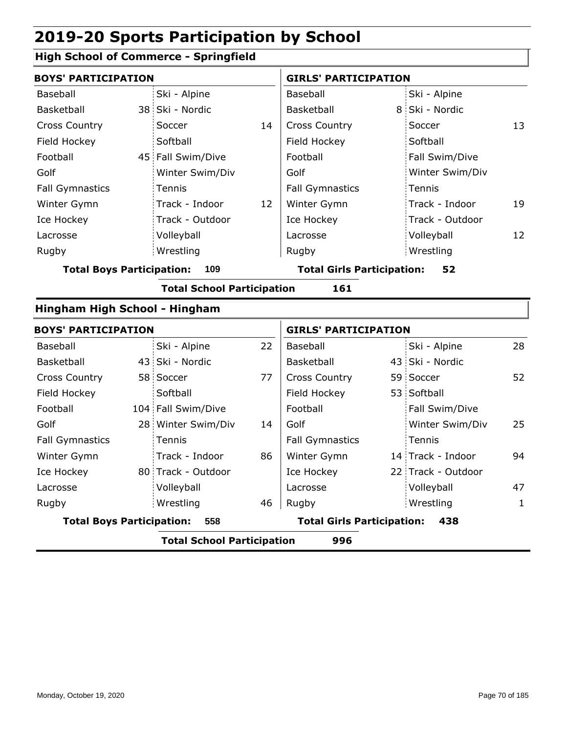## **High School of Commerce - Springfield**

| <b>BOYS' PARTICIPATION</b>       |  |                                   |    | <b>GIRLS' PARTICIPATION</b>       |  |                    |    |
|----------------------------------|--|-----------------------------------|----|-----------------------------------|--|--------------------|----|
| Baseball                         |  | Ski - Alpine                      |    | Baseball                          |  | Ski - Alpine       |    |
| Basketball                       |  | 38 Ski - Nordic                   |    | Basketball                        |  | 8 Ski - Nordic     |    |
| <b>Cross Country</b>             |  | Soccer                            | 14 | <b>Cross Country</b>              |  | Soccer             | 13 |
| Field Hockey                     |  | Softball                          |    | Field Hockey                      |  | Softball           |    |
| Football                         |  | 45 Fall Swim/Dive                 |    | Football                          |  | Fall Swim/Dive     |    |
| Golf                             |  | Winter Swim/Div                   |    | Golf                              |  | Winter Swim/Div    |    |
| <b>Fall Gymnastics</b>           |  | Tennis                            |    | <b>Fall Gymnastics</b>            |  | Tennis             |    |
| Winter Gymn                      |  | Track - Indoor                    | 12 | Winter Gymn                       |  | Track - Indoor     | 19 |
| Ice Hockey                       |  | Track - Outdoor                   |    | Ice Hockey                        |  | Track - Outdoor    |    |
| Lacrosse                         |  | Volleyball                        |    | Lacrosse                          |  | Volleyball         | 12 |
| Rugby                            |  | Wrestling                         |    | Rugby                             |  | Wrestling          |    |
| <b>Total Boys Participation:</b> |  | 109                               |    | <b>Total Girls Participation:</b> |  | 52                 |    |
|                                  |  | <b>Total School Participation</b> |    | 161                               |  |                    |    |
| Hingham High School - Hingham    |  |                                   |    |                                   |  |                    |    |
| <b>BOYS' PARTICIPATION</b>       |  |                                   |    | <b>GIRLS' PARTICIPATION</b>       |  |                    |    |
| Baseball                         |  | Ski - Alpine                      | 22 | Baseball                          |  | Ski - Alpine       | 28 |
| Basketball                       |  | 43 Ski - Nordic                   |    | Basketball                        |  | 43 Ski - Nordic    |    |
| <b>Cross Country</b>             |  | 58 Soccer                         | 77 | <b>Cross Country</b>              |  | 59 Soccer          | 52 |
| Field Hockey                     |  | Softball                          |    | Field Hockey                      |  | 53 Softball        |    |
| Football                         |  | 104 Fall Swim/Dive                |    | Football                          |  | Fall Swim/Dive     |    |
| Golf                             |  | 28 Winter Swim/Div                | 14 | Golf                              |  | Winter Swim/Div    | 25 |
| <b>Fall Gymnastics</b>           |  | Tennis                            |    | <b>Fall Gymnastics</b>            |  | Tennis             |    |
| Winter Gymn                      |  | Track - Indoor                    | 86 | Winter Gymn                       |  | 14 Track - Indoor  | 94 |
| Ice Hockey                       |  | 80 Track - Outdoor                |    | Ice Hockey                        |  | 22 Track - Outdoor |    |
| Lacrosse                         |  | Volleyball                        |    | Lacrosse                          |  | Volleyball         | 47 |
| Rugby                            |  | Wrestling                         | 46 | Rugby                             |  | Wrestling          | 1  |
| <b>Total Boys Participation:</b> |  | 558                               |    | <b>Total Girls Participation:</b> |  | 438                |    |
|                                  |  | <b>Total School Participation</b> |    | 996                               |  |                    |    |
|                                  |  |                                   |    |                                   |  |                    |    |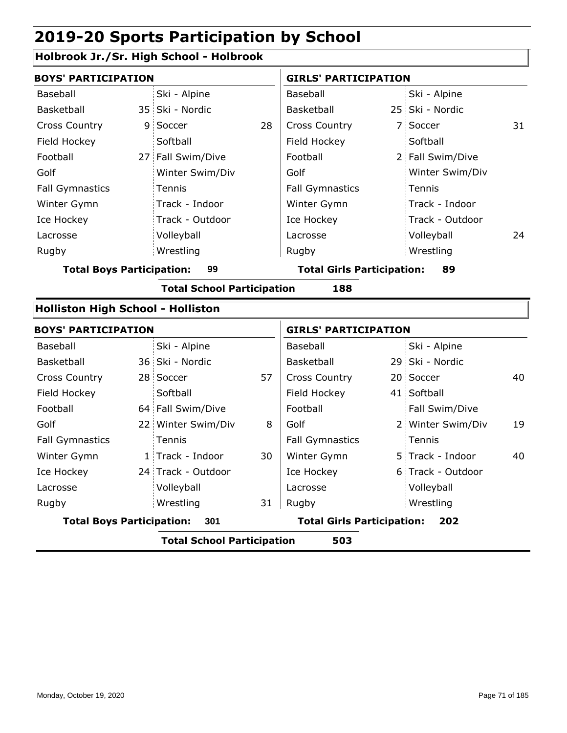## **Holbrook Jr./Sr. High School - Holbrook**

| <b>BOYS' PARTICIPATION</b>               |                                          |                                         |    | <b>GIRLS' PARTICIPATION</b>       |  |                   |    |  |  |
|------------------------------------------|------------------------------------------|-----------------------------------------|----|-----------------------------------|--|-------------------|----|--|--|
| Baseball                                 |                                          | Ski - Alpine                            |    | Baseball                          |  | Ski - Alpine      |    |  |  |
| Basketball                               |                                          | 35 Ski - Nordic                         |    | Basketball                        |  | 25 Ski - Nordic   |    |  |  |
| <b>Cross Country</b>                     |                                          | 9 Soccer                                | 28 | <b>Cross Country</b>              |  | 7 Soccer          | 31 |  |  |
| Field Hockey                             |                                          | Softball                                |    | Field Hockey                      |  | Softball          |    |  |  |
| Football                                 |                                          | 27 Fall Swim/Dive                       |    | Football                          |  | 2 Fall Swim/Dive  |    |  |  |
| Golf                                     |                                          | Winter Swim/Div                         |    | Golf                              |  | Winter Swim/Div   |    |  |  |
| <b>Fall Gymnastics</b>                   |                                          | Tennis                                  |    | <b>Fall Gymnastics</b>            |  | Tennis            |    |  |  |
| Winter Gymn                              |                                          | Track - Indoor                          |    | Winter Gymn                       |  | Track - Indoor    |    |  |  |
| Ice Hockey                               |                                          | Track - Outdoor                         |    | Ice Hockey                        |  | Track - Outdoor   |    |  |  |
| Lacrosse                                 |                                          | Volleyball                              |    | Lacrosse                          |  | Volleyball        | 24 |  |  |
| Rugby                                    |                                          | Wrestling                               |    | Rugby                             |  | Wrestling         |    |  |  |
| <b>Total Boys Participation:</b>         | 99                                       | <b>Total Girls Participation:</b><br>89 |    |                                   |  |                   |    |  |  |
|                                          | <b>Total School Participation</b><br>188 |                                         |    |                                   |  |                   |    |  |  |
| <b>Holliston High School - Holliston</b> |                                          |                                         |    |                                   |  |                   |    |  |  |
| <b>BOYS' PARTICIPATION</b>               |                                          |                                         |    | <b>GIRLS' PARTICIPATION</b>       |  |                   |    |  |  |
| Baseball                                 |                                          | Ski - Alpine                            |    | Baseball                          |  | Ski - Alpine      |    |  |  |
| Basketball                               |                                          | 36 Ski - Nordic                         |    | Basketball                        |  | 29 Ski - Nordic   |    |  |  |
| <b>Cross Country</b>                     |                                          | 28 Soccer                               | 57 | <b>Cross Country</b>              |  | 20 Soccer         | 40 |  |  |
| Field Hockey                             |                                          | Softball                                |    | Field Hockey                      |  | 41 Softball       |    |  |  |
| Football                                 |                                          | 64 Fall Swim/Dive                       |    | Football                          |  | Fall Swim/Dive    |    |  |  |
| Golf                                     |                                          | 22 Winter Swim/Div                      | 8  | Golf                              |  | 2 Winter Swim/Div | 19 |  |  |
| <b>Fall Gymnastics</b>                   |                                          | Tennis                                  |    | <b>Fall Gymnastics</b>            |  | Tennis            |    |  |  |
| Winter Gymn                              |                                          | 1 Track - Indoor                        | 30 | Winter Gymn                       |  | 5 Track - Indoor  | 40 |  |  |
| Ice Hockey                               |                                          | 24 Track - Outdoor                      |    | Ice Hockey                        |  | 6 Track - Outdoor |    |  |  |
| Lacrosse                                 |                                          | Volleyball                              |    | Lacrosse                          |  | Volleyball        |    |  |  |
| Rugby                                    |                                          | Wrestling                               | 31 | Rugby                             |  | Wrestling         |    |  |  |
| <b>Total Boys Participation:</b><br>301  |                                          |                                         |    | <b>Total Girls Participation:</b> |  | 202               |    |  |  |
|                                          |                                          | <b>Total School Participation</b>       |    | 503                               |  |                   |    |  |  |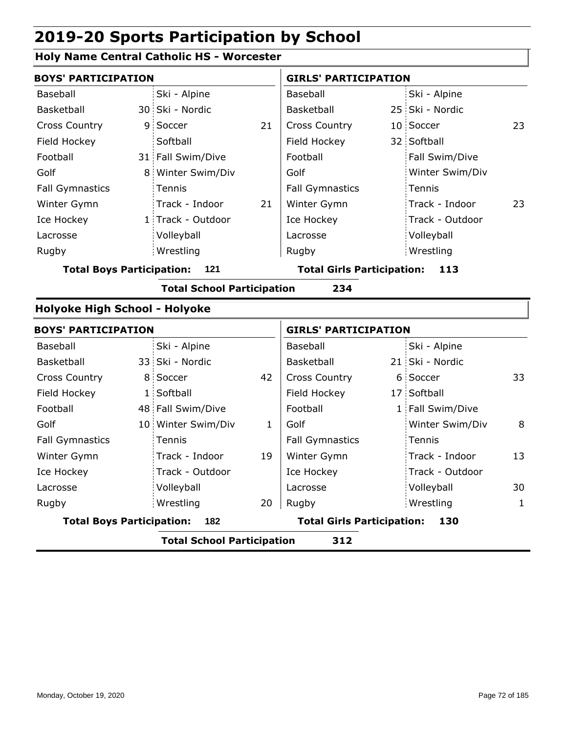## **Holy Name Central Catholic HS - Worcester**

| <b>BOYS' PARTICIPATION</b>              |                 |                                                                                                                                                                                                                                                                                       |                        | <b>GIRLS' PARTICIPATION</b>                                            |                 |                                                                                                                                                                                                                        |  |  |
|-----------------------------------------|-----------------|---------------------------------------------------------------------------------------------------------------------------------------------------------------------------------------------------------------------------------------------------------------------------------------|------------------------|------------------------------------------------------------------------|-----------------|------------------------------------------------------------------------------------------------------------------------------------------------------------------------------------------------------------------------|--|--|
|                                         | Ski - Alpine    |                                                                                                                                                                                                                                                                                       | Baseball               |                                                                        | Ski - Alpine    |                                                                                                                                                                                                                        |  |  |
|                                         |                 |                                                                                                                                                                                                                                                                                       | Basketball             |                                                                        |                 |                                                                                                                                                                                                                        |  |  |
|                                         |                 | 21                                                                                                                                                                                                                                                                                    | <b>Cross Country</b>   |                                                                        |                 | 23                                                                                                                                                                                                                     |  |  |
|                                         | Softball        |                                                                                                                                                                                                                                                                                       | Field Hockey           |                                                                        |                 |                                                                                                                                                                                                                        |  |  |
|                                         |                 |                                                                                                                                                                                                                                                                                       | Football               |                                                                        | Fall Swim/Dive  |                                                                                                                                                                                                                        |  |  |
|                                         |                 |                                                                                                                                                                                                                                                                                       | Golf                   |                                                                        | Winter Swim/Div |                                                                                                                                                                                                                        |  |  |
|                                         | Tennis          |                                                                                                                                                                                                                                                                                       | <b>Fall Gymnastics</b> |                                                                        | Tennis          |                                                                                                                                                                                                                        |  |  |
|                                         | Track - Indoor  | 21                                                                                                                                                                                                                                                                                    | Winter Gymn            |                                                                        | Track - Indoor  | 23                                                                                                                                                                                                                     |  |  |
|                                         |                 |                                                                                                                                                                                                                                                                                       | Ice Hockey             |                                                                        | Track - Outdoor |                                                                                                                                                                                                                        |  |  |
|                                         | Volleyball      |                                                                                                                                                                                                                                                                                       | Lacrosse               |                                                                        | Volleyball      |                                                                                                                                                                                                                        |  |  |
|                                         | Wrestling       |                                                                                                                                                                                                                                                                                       | Rugby                  |                                                                        | Wrestling       |                                                                                                                                                                                                                        |  |  |
|                                         | 121             |                                                                                                                                                                                                                                                                                       |                        |                                                                        | 113             |                                                                                                                                                                                                                        |  |  |
|                                         |                 |                                                                                                                                                                                                                                                                                       | 234                    |                                                                        |                 |                                                                                                                                                                                                                        |  |  |
|                                         |                 |                                                                                                                                                                                                                                                                                       |                        |                                                                        |                 |                                                                                                                                                                                                                        |  |  |
|                                         |                 |                                                                                                                                                                                                                                                                                       |                        |                                                                        |                 |                                                                                                                                                                                                                        |  |  |
|                                         | Ski - Alpine    |                                                                                                                                                                                                                                                                                       | Baseball               |                                                                        | Ski - Alpine    |                                                                                                                                                                                                                        |  |  |
|                                         |                 |                                                                                                                                                                                                                                                                                       | Basketball             |                                                                        |                 |                                                                                                                                                                                                                        |  |  |
|                                         |                 | 42                                                                                                                                                                                                                                                                                    | <b>Cross Country</b>   |                                                                        |                 | 33                                                                                                                                                                                                                     |  |  |
|                                         |                 |                                                                                                                                                                                                                                                                                       | Field Hockey           |                                                                        |                 |                                                                                                                                                                                                                        |  |  |
|                                         |                 |                                                                                                                                                                                                                                                                                       | Football               |                                                                        |                 |                                                                                                                                                                                                                        |  |  |
|                                         |                 | 1                                                                                                                                                                                                                                                                                     | Golf                   |                                                                        | Winter Swim/Div | 8                                                                                                                                                                                                                      |  |  |
|                                         | Tennis          |                                                                                                                                                                                                                                                                                       | <b>Fall Gymnastics</b> |                                                                        | Tennis          |                                                                                                                                                                                                                        |  |  |
|                                         | Track - Indoor  | 19                                                                                                                                                                                                                                                                                    | Winter Gymn            |                                                                        | Track - Indoor  | 13                                                                                                                                                                                                                     |  |  |
|                                         | Track - Outdoor |                                                                                                                                                                                                                                                                                       | Ice Hockey             |                                                                        | Track - Outdoor |                                                                                                                                                                                                                        |  |  |
|                                         | Volleyball      |                                                                                                                                                                                                                                                                                       | Lacrosse               |                                                                        | Volleyball      | 30                                                                                                                                                                                                                     |  |  |
|                                         | Wrestling       | 20                                                                                                                                                                                                                                                                                    | Rugby                  |                                                                        | Wrestling       | 1                                                                                                                                                                                                                      |  |  |
| <b>Total Boys Participation:</b><br>182 |                 |                                                                                                                                                                                                                                                                                       |                        |                                                                        | 130             |                                                                                                                                                                                                                        |  |  |
|                                         |                 |                                                                                                                                                                                                                                                                                       | 312                    |                                                                        |                 |                                                                                                                                                                                                                        |  |  |
|                                         |                 | 30 Ski - Nordic<br>9 Soccer<br>31 Fall Swim/Dive<br>8 Winter Swim/Div<br>1 Track - Outdoor<br><b>Total Boys Participation:</b><br>Holyoke High School - Holyoke<br><b>BOYS' PARTICIPATION</b><br>33 Ski - Nordic<br>8 Soccer<br>1 Softball<br>48 Fall Swim/Dive<br>10 Winter Swim/Div |                        | <b>Total School Participation</b><br><b>Total School Participation</b> |                 | 25 Ski - Nordic<br>10 Soccer<br>32 Softball<br><b>Total Girls Participation:</b><br><b>GIRLS' PARTICIPATION</b><br>21 Ski - Nordic<br>6 Soccer<br>17 Softball<br>1 Fall Swim/Dive<br><b>Total Girls Participation:</b> |  |  |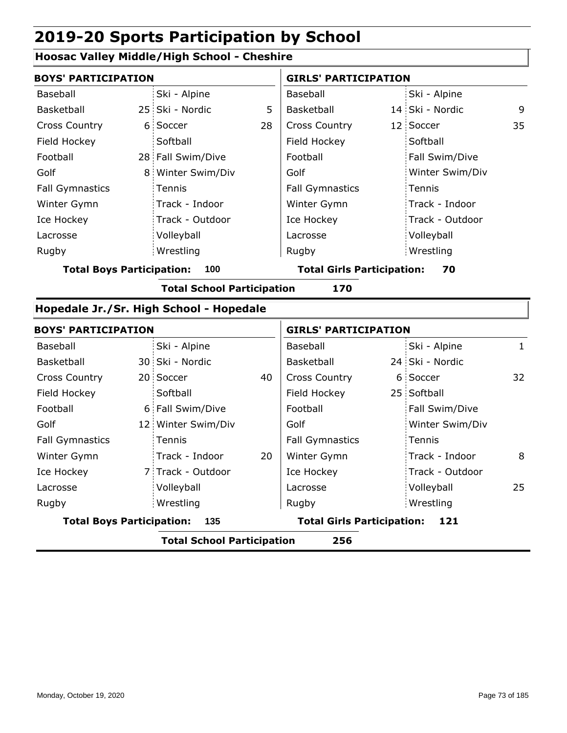### **Hoosac Valley Middle/High School - Cheshire**

| <b>BOYS' PARTICIPATION</b>       |                                         |    | <b>GIRLS' PARTICIPATION</b>       |  |                 |              |
|----------------------------------|-----------------------------------------|----|-----------------------------------|--|-----------------|--------------|
| <b>Baseball</b>                  | Ski - Alpine                            |    | <b>Baseball</b>                   |  | Ski - Alpine    |              |
| Basketball                       | 25 Ski - Nordic                         | 5  | Basketball                        |  | 14 Ski - Nordic | 9            |
| <b>Cross Country</b>             | 6 Soccer                                | 28 | <b>Cross Country</b>              |  | 12 Soccer       | 35           |
| Field Hockey                     | Softball                                |    | Field Hockey                      |  | Softball        |              |
| Football                         | 28 Fall Swim/Dive                       |    | Football                          |  | Fall Swim/Dive  |              |
| Golf                             | 8 Winter Swim/Div                       |    | Golf                              |  | Winter Swim/Div |              |
| <b>Fall Gymnastics</b>           | Tennis                                  |    | <b>Fall Gymnastics</b>            |  | Tennis          |              |
| Winter Gymn                      | Track - Indoor                          |    | Winter Gymn                       |  | Track - Indoor  |              |
| Ice Hockey                       | Track - Outdoor                         |    | Ice Hockey                        |  | Track - Outdoor |              |
| Lacrosse                         | Volleyball                              |    | Lacrosse                          |  | Volleyball      |              |
| Rugby                            | Wrestling                               |    | Rugby                             |  | Wrestling       |              |
| <b>Total Boys Participation:</b> | 100                                     |    | <b>Total Girls Participation:</b> |  | 70              |              |
|                                  | <b>Total School Participation</b>       |    | 170                               |  |                 |              |
|                                  | Hopedale Jr./Sr. High School - Hopedale |    |                                   |  |                 |              |
| <b>BOYS' PARTICIPATION</b>       |                                         |    | <b>GIRLS' PARTICIPATION</b>       |  |                 |              |
| <b>Baseball</b>                  | Ski - Alpine                            |    | <b>Baseball</b>                   |  | Ski - Alpine    | $\mathbf{1}$ |
| Basketball                       | 30 Ski - Nordic                         |    | Basketball                        |  | 24 Ski - Nordic |              |
| <b>Cross Country</b>             | 20 Soccer                               | 40 | <b>Cross Country</b>              |  | 6 Soccer        | 32           |
| Field Hockey                     | Softball                                |    | Field Hockey                      |  | 25 Softball     |              |
| Football                         | 6 Fall Swim/Dive                        |    | Football                          |  | Fall Swim/Dive  |              |
| Golf                             | 12 Winter Swim/Div                      |    | Golf                              |  | Winter Swim/Div |              |
| <b>Fall Gymnastics</b>           | Tennis                                  |    | <b>Fall Gymnastics</b>            |  | Tennis          |              |
| Winter Gymn                      | Track - Indoor                          | 20 | Winter Gymn                       |  | Track - Indoor  | 8            |
| Ice Hockey                       | 7 Track - Outdoor                       |    | Ice Hockey                        |  | Track - Outdoor |              |
| Lacrosse                         | Volleyball                              |    | Lacrosse                          |  | Volleyball      | 25           |
| Rugby                            | Wrestling                               |    | Rugby                             |  | Wrestling       |              |
| <b>Total Boys Participation:</b> | 135                                     |    | <b>Total Girls Participation:</b> |  | 121             |              |
|                                  | <b>Total School Participation</b>       |    | 256                               |  |                 |              |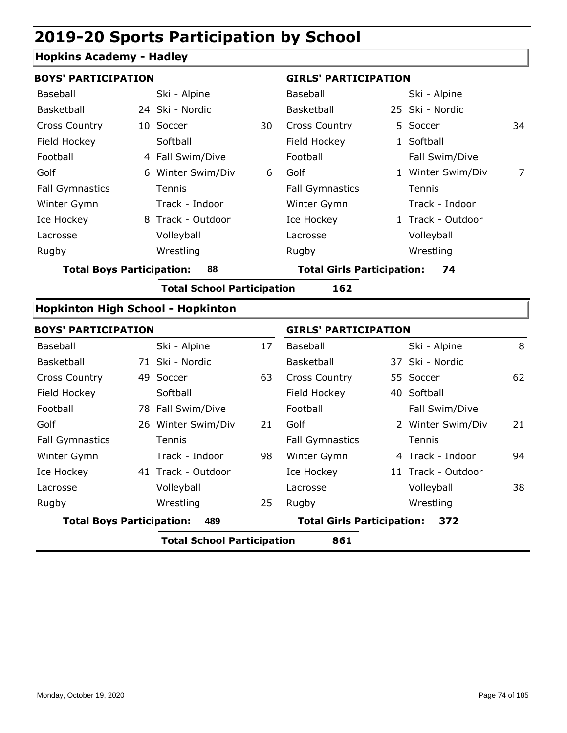### **Hopkins Academy - Hadley**

| <b>BOYS' PARTICIPATION</b>               |                                   |    | <b>GIRLS' PARTICIPATION</b>       |  |                    |                |
|------------------------------------------|-----------------------------------|----|-----------------------------------|--|--------------------|----------------|
| Baseball                                 | Ski - Alpine                      |    | Baseball                          |  | Ski - Alpine       |                |
| Basketball                               | 24 Ski - Nordic                   |    | Basketball                        |  | 25 Ski - Nordic    |                |
| <b>Cross Country</b>                     | 10 Soccer                         | 30 | <b>Cross Country</b>              |  | 5 Soccer           | 34             |
| Field Hockey                             | Softball                          |    | Field Hockey                      |  | 1 Softball         |                |
| Football                                 | 4 Fall Swim/Dive                  |    | Football                          |  | Fall Swim/Dive     |                |
| Golf                                     | 6 Winter Swim/Div                 | 6  | Golf                              |  | 1 Winter Swim/Div  | $\overline{7}$ |
| <b>Fall Gymnastics</b>                   | Tennis                            |    | <b>Fall Gymnastics</b>            |  | Tennis             |                |
| Winter Gymn                              | Track - Indoor                    |    | Winter Gymn                       |  | Track - Indoor     |                |
| Ice Hockey                               | 8 Track - Outdoor                 |    | Ice Hockey                        |  | 1 Track - Outdoor  |                |
| Lacrosse                                 | Volleyball                        |    | Lacrosse                          |  | Volleyball         |                |
| Rugby                                    | Wrestling                         |    | Rugby                             |  | Wrestling          |                |
| <b>Total Boys Participation:</b>         | 88                                |    | <b>Total Girls Participation:</b> |  | 74                 |                |
|                                          | <b>Total School Participation</b> |    | 162                               |  |                    |                |
| <b>Hopkinton High School - Hopkinton</b> |                                   |    |                                   |  |                    |                |
| <b>BOYS' PARTICIPATION</b>               |                                   |    | <b>GIRLS' PARTICIPATION</b>       |  |                    |                |
| Baseball                                 | Ski - Alpine                      | 17 | Baseball                          |  | Ski - Alpine       | 8              |
| Basketball                               | 71 Ski - Nordic                   |    | Basketball                        |  | 37 Ski - Nordic    |                |
| <b>Cross Country</b>                     | 49 Soccer                         | 63 | Cross Country                     |  | 55 Soccer          | 62             |
| Field Hockey                             | Softball                          |    | Field Hockey                      |  | 40 Softball        |                |
| Football                                 | 78 Fall Swim/Dive                 |    | Football                          |  | Fall Swim/Dive     |                |
| Golf                                     | 26 Winter Swim/Div                | 21 | Golf                              |  | 2 Winter Swim/Div  | 21             |
| <b>Fall Gymnastics</b>                   | Tennis                            |    | <b>Fall Gymnastics</b>            |  | Tennis             |                |
| Winter Gymn                              | Track - Indoor                    | 98 | Winter Gymn                       |  | 4 Track - Indoor   | 94             |
| Ice Hockey                               | 41 Track - Outdoor                |    | Ice Hockey                        |  | 11 Track - Outdoor |                |
| Lacrosse                                 | Volleyball                        |    | Lacrosse                          |  | Volleyball         | 38             |
| Rugby                                    | Wrestling                         | 25 | Rugby                             |  | Wrestling          |                |

**Total Boys Participation: 489 Total Girls Participation: 372**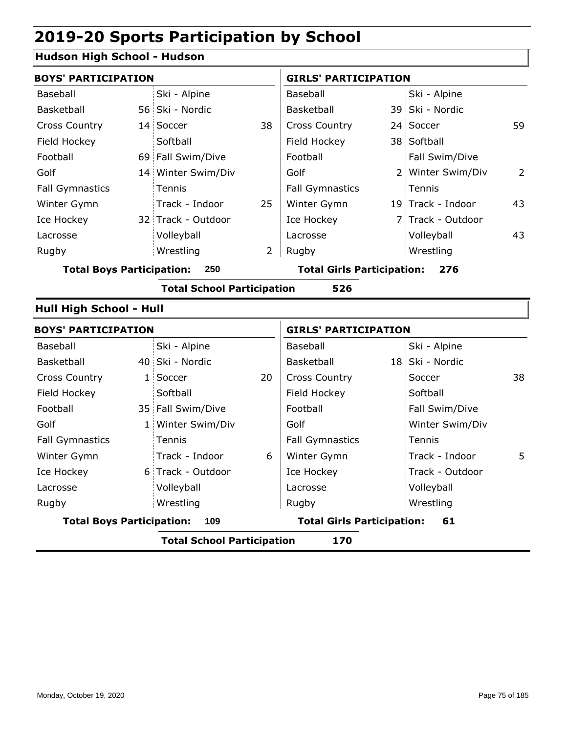### **Hudson High School - Hudson**

| <b>BOYS' PARTICIPATION</b>               |  |                    |                                          | <b>GIRLS' PARTICIPATION</b> |  |                   |    |
|------------------------------------------|--|--------------------|------------------------------------------|-----------------------------|--|-------------------|----|
| Baseball                                 |  | Ski - Alpine       |                                          | Baseball                    |  | Ski - Alpine      |    |
| Basketball                               |  | 56 Ski - Nordic    |                                          | Basketball                  |  | 39 Ski - Nordic   |    |
| <b>Cross Country</b>                     |  | 14 Soccer          | 38                                       | <b>Cross Country</b>        |  | 24 Soccer         | 59 |
| Field Hockey                             |  | Softball           |                                          | Field Hockey                |  | 38 Softball       |    |
| Football                                 |  | 69 Fall Swim/Dive  |                                          | Football                    |  | Fall Swim/Dive    |    |
| Golf                                     |  | 14 Winter Swim/Div |                                          | Golf                        |  | 2 Winter Swim/Div | 2  |
| <b>Fall Gymnastics</b>                   |  | Tennis             |                                          | <b>Fall Gymnastics</b>      |  | Tennis            |    |
| Winter Gymn                              |  | Track - Indoor     | 25                                       | Winter Gymn                 |  | 19 Track - Indoor | 43 |
| Ice Hockey                               |  | 32 Track - Outdoor |                                          | Ice Hockey                  |  | 7 Track - Outdoor |    |
| Lacrosse                                 |  | Volleyball         |                                          | Lacrosse                    |  | Volleyball        | 43 |
| Rugby                                    |  | Wrestling          | 2                                        | Rugby                       |  | Wrestling         |    |
| <b>Total Boys Participation:</b><br>250  |  |                    | <b>Total Girls Participation:</b><br>276 |                             |  |                   |    |
| 526<br><b>Total School Participation</b> |  |                    |                                          |                             |  |                   |    |

#### **Hull High School - Hull**

| <b>BOYS' PARTICIPATION</b>              |                                          |                   |                                         | <b>GIRLS' PARTICIPATION</b> |  |                 |    |  |  |  |
|-----------------------------------------|------------------------------------------|-------------------|-----------------------------------------|-----------------------------|--|-----------------|----|--|--|--|
| Baseball                                |                                          | Ski - Alpine      |                                         | Baseball                    |  | Ski - Alpine    |    |  |  |  |
| Basketball                              |                                          | 40 Ski - Nordic   |                                         | Basketball                  |  | 18 Ski - Nordic |    |  |  |  |
| <b>Cross Country</b>                    |                                          | 1 Soccer          | 20                                      | <b>Cross Country</b>        |  | Soccer          | 38 |  |  |  |
| Field Hockey                            |                                          | Softball          |                                         | Field Hockey                |  | Softball        |    |  |  |  |
| Football                                |                                          | 35 Fall Swim/Dive |                                         | Football                    |  | Fall Swim/Dive  |    |  |  |  |
| Golf                                    |                                          | 1 Winter Swim/Div |                                         | Golf                        |  | Winter Swim/Div |    |  |  |  |
| <b>Fall Gymnastics</b>                  |                                          | <b>Tennis</b>     |                                         | <b>Fall Gymnastics</b>      |  | Tennis          |    |  |  |  |
| Winter Gymn                             |                                          | Track - Indoor    | 6                                       | Winter Gymn                 |  | Track - Indoor  | 5. |  |  |  |
| Ice Hockey                              |                                          | 6 Track - Outdoor |                                         | Ice Hockey                  |  | Track - Outdoor |    |  |  |  |
| Lacrosse                                |                                          | Volleyball        |                                         | Lacrosse                    |  | Volleyball      |    |  |  |  |
| Rugby                                   |                                          | Wrestling         |                                         | Rugby                       |  | Wrestling       |    |  |  |  |
| <b>Total Boys Participation:</b><br>109 |                                          |                   | <b>Total Girls Participation:</b><br>61 |                             |  |                 |    |  |  |  |
|                                         | 170<br><b>Total School Participation</b> |                   |                                         |                             |  |                 |    |  |  |  |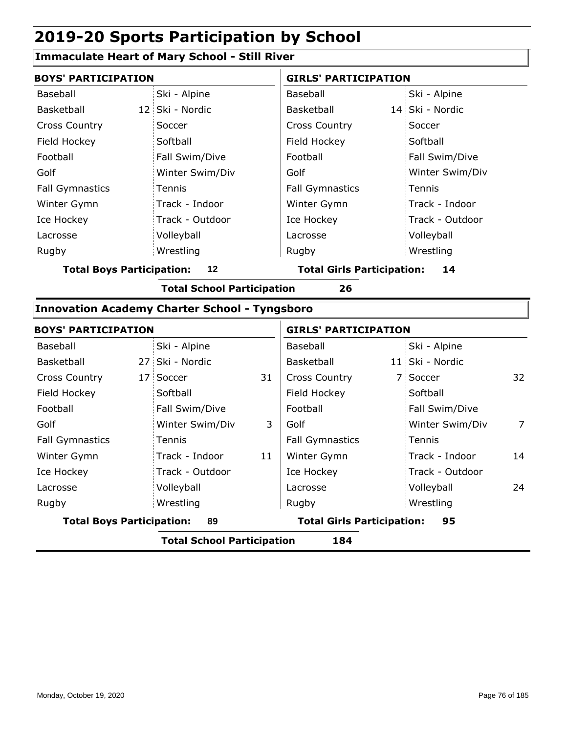#### **Immaculate Heart of Mary School - Still River**

| <b>BOYS' PARTICIPATION</b> |                 | <b>GIRLS' PARTICIPATION</b> |                 |  |  |
|----------------------------|-----------------|-----------------------------|-----------------|--|--|
| Baseball                   | Ski - Alpine    | Baseball                    | Ski - Alpine    |  |  |
| Basketball                 | 12 Ski - Nordic | Basketball                  | 14 Ski - Nordic |  |  |
| <b>Cross Country</b>       | Soccer          | <b>Cross Country</b>        | Soccer          |  |  |
| Field Hockey               | Softball        | Field Hockey                | Softball        |  |  |
| Football                   | Fall Swim/Dive  | Football                    | Fall Swim/Dive  |  |  |
| Golf                       | Winter Swim/Div | Golf                        | Winter Swim/Div |  |  |
| <b>Fall Gymnastics</b>     | Tennis          | <b>Fall Gymnastics</b>      | Tennis          |  |  |
| Winter Gymn                | Track - Indoor  | Winter Gymn                 | Track - Indoor  |  |  |
| Ice Hockey                 | Track - Outdoor | Ice Hockey                  | Track - Outdoor |  |  |
| Lacrosse                   | Volleyball      | Lacrosse                    | Volleyball      |  |  |
| Rugby                      | Wrestling       | Rugby                       | Wrestling       |  |  |

**Total Boys Participation: 12 Total Girls Participation: 14**

**Total School Participation 26**

#### **Innovation Academy Charter School - Tyngsboro**

|                                        | <b>BOYS' PARTICIPATION</b> |                                         |    | <b>GIRLS' PARTICIPATION</b> |  |                 |                |
|----------------------------------------|----------------------------|-----------------------------------------|----|-----------------------------|--|-----------------|----------------|
| Baseball                               |                            | Ski - Alpine                            |    | Baseball                    |  | Ski - Alpine    |                |
| <b>Basketball</b>                      |                            | 27 Ski - Nordic                         |    | Basketball                  |  | 11 Ski - Nordic |                |
| <b>Cross Country</b>                   |                            | 17 Soccer                               | 31 | <b>Cross Country</b>        |  | 7 Soccer        | 32             |
| Field Hockey                           |                            | Softball                                |    | Field Hockey                |  | Softball        |                |
| Football                               |                            | Fall Swim/Dive                          |    | Football                    |  | Fall Swim/Dive  |                |
| Golf                                   |                            | Winter Swim/Div                         | 3  | Golf                        |  | Winter Swim/Div | $\overline{7}$ |
| <b>Fall Gymnastics</b>                 |                            | Tennis                                  |    | <b>Fall Gymnastics</b>      |  | Tennis          |                |
| Winter Gymn                            |                            | Track - Indoor                          | 11 | Winter Gymn                 |  | Track - Indoor  | 14             |
| Ice Hockey                             |                            | Track - Outdoor                         |    | Ice Hockey                  |  | Track - Outdoor |                |
| Lacrosse                               |                            | Volleyball                              |    | Lacrosse                    |  | Volleyball      | 24             |
| Rugby                                  |                            | Wrestling                               |    | Rugby                       |  | Wrestling       |                |
| <b>Total Boys Participation:</b><br>89 |                            | <b>Total Girls Participation:</b><br>95 |    |                             |  |                 |                |
|                                        |                            | .                                       |    |                             |  |                 |                |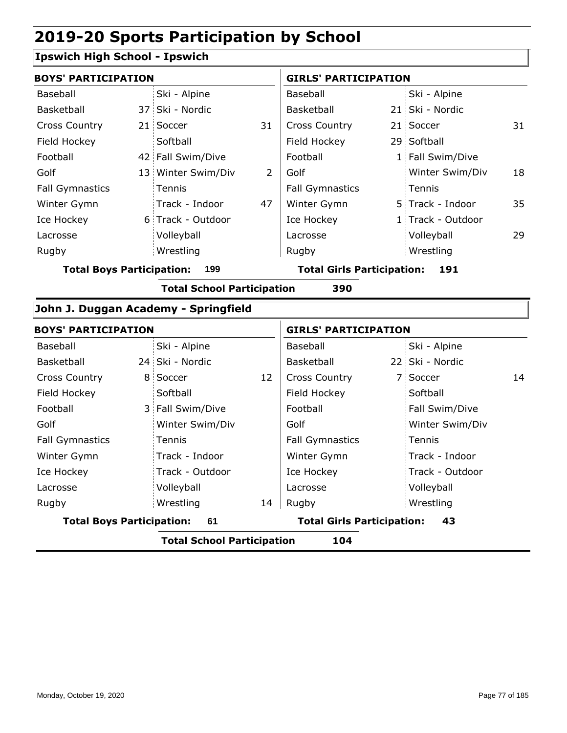### **Ipswich High School - Ipswich**

|                        | <b>BOYS' PARTICIPATION</b> |                    |    | <b>GIRLS' PARTICIPATION</b> |  |                   |    |
|------------------------|----------------------------|--------------------|----|-----------------------------|--|-------------------|----|
| Baseball               |                            | Ski - Alpine       |    | Baseball                    |  | Ski - Alpine      |    |
| Basketball             |                            | 37 Ski - Nordic    |    | Basketball                  |  | 21 Ski - Nordic   |    |
| <b>Cross Country</b>   |                            | 21 Soccer          | 31 | <b>Cross Country</b>        |  | 21 Soccer         | 31 |
| Field Hockey           |                            | Softball           |    | Field Hockey                |  | 29 Softball       |    |
| Football               |                            | 42 Fall Swim/Dive  |    | Football                    |  | 1 Fall Swim/Dive  |    |
| Golf                   |                            | 13 Winter Swim/Div | 2  | Golf                        |  | Winter Swim/Div   | 18 |
| <b>Fall Gymnastics</b> |                            | Tennis             |    | <b>Fall Gymnastics</b>      |  | Tennis            |    |
| Winter Gymn            |                            | Track - Indoor     | 47 | Winter Gymn                 |  | 5 Track - Indoor  | 35 |
| Ice Hockey             |                            | 6 Track - Outdoor  |    | Ice Hockey                  |  | 1 Track - Outdoor |    |
| Lacrosse               |                            | Volleyball         |    | Lacrosse                    |  | Volleyball        | 29 |
| Rugby                  |                            | Wrestling          |    | Rugby                       |  | Wrestling         |    |
|                        |                            |                    |    |                             |  |                   |    |

**Total Boys Participation: 199 Total Girls Participation: 191**

**Total School Participation 390**

#### **John J. Duggan Academy - Springfield**

| <b>BOYS' PARTICIPATION</b>             |  |                                         |    | <b>GIRLS' PARTICIPATION</b> |  |                 |    |
|----------------------------------------|--|-----------------------------------------|----|-----------------------------|--|-----------------|----|
| Baseball                               |  | Ski - Alpine                            |    | Baseball                    |  | Ski - Alpine    |    |
| Basketball                             |  | 24 Ski - Nordic                         |    | Basketball                  |  | 22 Ski - Nordic |    |
| <b>Cross Country</b>                   |  | 8 Soccer                                | 12 | <b>Cross Country</b>        |  | 7 Soccer        | 14 |
| Field Hockey                           |  | Softball                                |    | Field Hockey                |  | Softball        |    |
| Football                               |  | 3 Fall Swim/Dive                        |    | Football                    |  | Fall Swim/Dive  |    |
| Golf                                   |  | Winter Swim/Div                         |    | Golf                        |  | Winter Swim/Div |    |
| <b>Fall Gymnastics</b>                 |  | Tennis                                  |    | <b>Fall Gymnastics</b>      |  | Tennis          |    |
| Winter Gymn                            |  | Track - Indoor                          |    | Winter Gymn                 |  | Track - Indoor  |    |
| Ice Hockey                             |  | Track - Outdoor                         |    | Ice Hockey                  |  | Track - Outdoor |    |
| Lacrosse                               |  | Volleyball                              |    | Lacrosse                    |  | Volleyball      |    |
| Rugby                                  |  | Wrestling                               | 14 | Rugby                       |  | Wrestling       |    |
| <b>Total Boys Participation:</b><br>61 |  | <b>Total Girls Participation:</b><br>43 |    |                             |  |                 |    |
|                                        |  |                                         |    |                             |  |                 |    |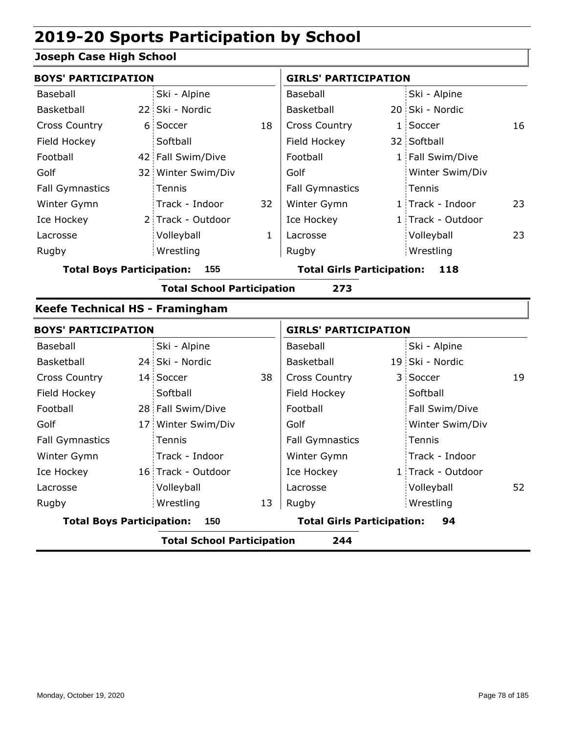#### **Joseph Case High School**

| <b>BOYS' PARTICIPATION</b>       |                                         |                                   |              | <b>GIRLS' PARTICIPATION</b>       |                                   |                   |    |
|----------------------------------|-----------------------------------------|-----------------------------------|--------------|-----------------------------------|-----------------------------------|-------------------|----|
| <b>Baseball</b>                  |                                         | Ski - Alpine                      |              | Baseball                          |                                   | Ski - Alpine      |    |
| Basketball                       |                                         | 22 Ski - Nordic                   |              | Basketball                        |                                   | 20 Ski - Nordic   |    |
| <b>Cross Country</b>             |                                         | 6 Soccer                          | 18           | Cross Country                     |                                   | 1 Soccer          | 16 |
| Field Hockey                     |                                         | Softball                          |              | Field Hockey                      |                                   | 32 Softball       |    |
| Football                         |                                         | 42 Fall Swim/Dive                 |              | Football                          |                                   | 1 Fall Swim/Dive  |    |
| Golf                             |                                         | 32 Winter Swim/Div                |              | Golf                              |                                   | Winter Swim/Div   |    |
| <b>Fall Gymnastics</b>           |                                         | Tennis                            |              | <b>Fall Gymnastics</b>            |                                   | Tennis            |    |
| Winter Gymn                      |                                         | Track - Indoor                    | 32           | Winter Gymn                       |                                   | 1 Track - Indoor  | 23 |
| Ice Hockey                       |                                         | 2 Track - Outdoor                 |              | Ice Hockey                        |                                   | 1 Track - Outdoor |    |
| Lacrosse                         |                                         | Volleyball                        | $\mathbf{1}$ | Lacrosse                          |                                   | Volleyball        | 23 |
| Rugby                            |                                         | Wrestling                         |              | Rugby                             |                                   | Wrestling         |    |
| <b>Total Boys Participation:</b> |                                         | 155                               |              | <b>Total Girls Participation:</b> |                                   | 118               |    |
|                                  |                                         | <b>Total School Participation</b> |              | 273                               |                                   |                   |    |
| Keefe Technical HS - Framingham  |                                         |                                   |              |                                   |                                   |                   |    |
| <b>BOYS' PARTICIPATION</b>       |                                         |                                   |              | <b>GIRLS' PARTICIPATION</b>       |                                   |                   |    |
| Baseball                         |                                         | Ski - Alpine                      |              | Baseball                          |                                   | Ski - Alpine      |    |
| Basketball                       |                                         | 24 Ski - Nordic                   |              | Basketball                        |                                   | 19 Ski - Nordic   |    |
| <b>Cross Country</b>             |                                         | 14 Soccer                         | 38           | <b>Cross Country</b>              |                                   | 3 Soccer          | 19 |
| Field Hockey                     |                                         | Softball                          |              | Field Hockey                      |                                   | Softball          |    |
| Football                         |                                         | 28 Fall Swim/Dive                 |              | Football                          |                                   | Fall Swim/Dive    |    |
| Golf                             |                                         | 17 Winter Swim/Div                |              | Golf                              |                                   | Winter Swim/Div   |    |
| <b>Fall Gymnastics</b>           |                                         | Tennis                            |              | <b>Fall Gymnastics</b>            |                                   | Tennis            |    |
| Winter Gymn                      |                                         | Track - Indoor                    |              | Winter Gymn                       |                                   | Track - Indoor    |    |
| Ice Hockey                       |                                         | 16 Track - Outdoor                |              | Ice Hockey                        |                                   | 1 Track - Outdoor |    |
| Lacrosse                         |                                         | Volleyball                        |              | Lacrosse                          |                                   | Volleyball        | 52 |
| Rugby                            |                                         | Wrestling                         | 13           | Rugby                             |                                   | Wrestling         |    |
|                                  | <b>Total Boys Participation:</b><br>150 |                                   |              |                                   | <b>Total Girls Participation:</b> | 94                |    |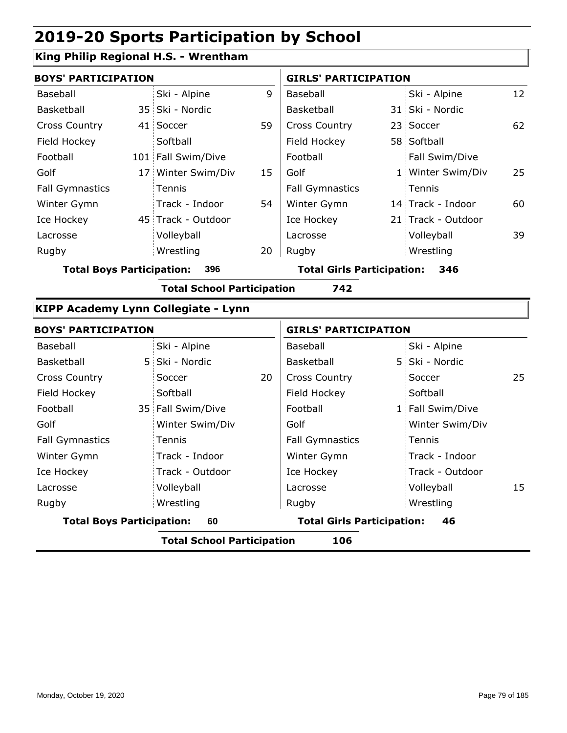### **King Philip Regional H.S. - Wrentham**

|                                          | <b>BOYS' PARTICIPATION</b> |                    |    |                                          | <b>GIRLS' PARTICIPATION</b> |                    |     |  |
|------------------------------------------|----------------------------|--------------------|----|------------------------------------------|-----------------------------|--------------------|-----|--|
| Baseball                                 |                            | Ski - Alpine       | 9  | Baseball                                 |                             | Ski - Alpine       | 12  |  |
| Basketball                               |                            | 35 Ski - Nordic    |    | Basketball                               |                             | 31 Ski - Nordic    |     |  |
| <b>Cross Country</b>                     |                            | 41 Soccer          | 59 | <b>Cross Country</b>                     |                             | 23 Soccer          | 62  |  |
| Field Hockey                             |                            | Softball           |    | Field Hockey                             |                             | 58 Softball        |     |  |
| Football                                 |                            | 101 Fall Swim/Dive |    | Football                                 |                             | Fall Swim/Dive     |     |  |
| Golf                                     |                            | 17 Winter Swim/Div | 15 | Golf                                     |                             | 1 Winter Swim/Div  | 25  |  |
| <b>Fall Gymnastics</b>                   |                            | <b>Tennis</b>      |    | <b>Fall Gymnastics</b>                   |                             | Tennis             |     |  |
| Winter Gymn                              |                            | Track - Indoor     | 54 | Winter Gymn                              |                             | 14 Track - Indoor  | 60  |  |
| Ice Hockey                               |                            | 45 Track - Outdoor |    | Ice Hockey                               |                             | 21 Track - Outdoor |     |  |
| Lacrosse                                 |                            | Volleyball         |    | Lacrosse                                 |                             | Volleyball         | 39. |  |
| Rugby                                    |                            | Wrestling          | 20 | Rugby                                    |                             | Wrestling          |     |  |
| <b>Total Boys Participation:</b><br>396  |                            |                    |    | <b>Total Girls Participation:</b><br>346 |                             |                    |     |  |
| <b>Total School Participation</b><br>742 |                            |                    |    |                                          |                             |                    |     |  |

#### **KIPP Academy Lynn Collegiate - Lynn**

|                                  | <b>BOYS' PARTICIPATION</b>               |    |                                         | <b>GIRLS' PARTICIPATION</b> |                  |    |  |  |  |
|----------------------------------|------------------------------------------|----|-----------------------------------------|-----------------------------|------------------|----|--|--|--|
| Baseball                         | Ski - Alpine                             |    | Baseball                                |                             | Ski - Alpine     |    |  |  |  |
| Basketball                       | 5 Ski - Nordic                           |    | Basketball                              |                             | 5 Ski - Nordic   |    |  |  |  |
| <b>Cross Country</b>             | Soccer                                   | 20 | <b>Cross Country</b>                    |                             | Soccer           | 25 |  |  |  |
| Field Hockey                     | Softball                                 |    | Field Hockey                            |                             | Softball         |    |  |  |  |
| Football                         | 35 Fall Swim/Dive                        |    | Football                                |                             | 1 Fall Swim/Dive |    |  |  |  |
| Golf                             | Winter Swim/Div                          |    | Golf                                    |                             | Winter Swim/Div  |    |  |  |  |
| <b>Fall Gymnastics</b>           | Tennis                                   |    | <b>Fall Gymnastics</b>                  |                             | Tennis           |    |  |  |  |
| Winter Gymn                      | Track - Indoor                           |    | Winter Gymn                             |                             | Track - Indoor   |    |  |  |  |
| Ice Hockey                       | Track - Outdoor                          |    | Ice Hockey                              |                             | Track - Outdoor  |    |  |  |  |
| Lacrosse                         | Volleyball                               |    | Lacrosse                                |                             | Volleyball       | 15 |  |  |  |
| Rugby                            | Wrestling                                |    | Rugby                                   |                             | Wrestling        |    |  |  |  |
| <b>Total Boys Participation:</b> | 60                                       |    | <b>Total Girls Participation:</b><br>46 |                             |                  |    |  |  |  |
|                                  | <b>Total School Participation</b><br>106 |    |                                         |                             |                  |    |  |  |  |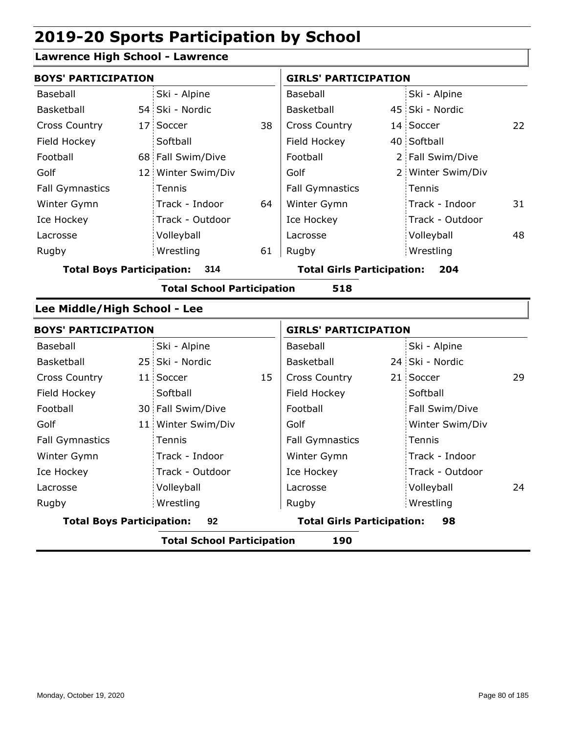#### **Lawrence High School - Lawrence**

| <b>BOYS' PARTICIPATION</b> |                    |    | <b>GIRLS' PARTICIPATION</b> |  |                   |    |
|----------------------------|--------------------|----|-----------------------------|--|-------------------|----|
| Baseball                   | Ski - Alpine       |    | Baseball                    |  | Ski - Alpine      |    |
| Basketball                 | 54 Ski - Nordic    |    | <b>Basketball</b>           |  | 45 Ski - Nordic   |    |
| <b>Cross Country</b>       | 17 Soccer          | 38 | <b>Cross Country</b>        |  | 14 Soccer         | 22 |
| Field Hockey               | Softball           |    | Field Hockey                |  | 40 Softball       |    |
| Football                   | 68 Fall Swim/Dive  |    | Football                    |  | 2 Fall Swim/Dive  |    |
| Golf                       | 12 Winter Swim/Div |    | Golf                        |  | 2 Winter Swim/Div |    |
| <b>Fall Gymnastics</b>     | Tennis             |    | <b>Fall Gymnastics</b>      |  | Tennis            |    |
| Winter Gymn                | Track - Indoor     | 64 | Winter Gymn                 |  | Track - Indoor    | 31 |
| Ice Hockey                 | Track - Outdoor    |    | Ice Hockey                  |  | Track - Outdoor   |    |
| Lacrosse                   | Volleyball         |    | Lacrosse                    |  | Volleyball        | 48 |
| Rugby                      | Wrestling          | 61 | Rugby                       |  | Wrestling         |    |

**Total Boys Participation: 314 Total Girls Participation: 204**

**Total School Participation 518**

#### **Lee Middle/High School - Lee**

| <b>BOYS' PARTICIPATION</b>             |  |                    |                                         | <b>GIRLS' PARTICIPATION</b> |  |                 |    |
|----------------------------------------|--|--------------------|-----------------------------------------|-----------------------------|--|-----------------|----|
| Baseball                               |  | Ski - Alpine       |                                         | Baseball                    |  | Ski - Alpine    |    |
| Basketball                             |  | 25 Ski - Nordic    |                                         | Basketball                  |  | 24 Ski - Nordic |    |
| <b>Cross Country</b>                   |  | 11 Soccer          | 15                                      | <b>Cross Country</b>        |  | 21 Soccer       | 29 |
| Field Hockey                           |  | Softball           |                                         | Field Hockey                |  | Softball        |    |
| Football                               |  | 30 Fall Swim/Dive  |                                         | Football                    |  | Fall Swim/Dive  |    |
| Golf                                   |  | 11 Winter Swim/Div |                                         | Golf                        |  | Winter Swim/Div |    |
| <b>Fall Gymnastics</b>                 |  | Tennis             |                                         | <b>Fall Gymnastics</b>      |  | Tennis          |    |
| Winter Gymn                            |  | Track - Indoor     |                                         | Winter Gymn                 |  | Track - Indoor  |    |
| Ice Hockey                             |  | Track - Outdoor    |                                         | Ice Hockey                  |  | Track - Outdoor |    |
| Lacrosse                               |  | Volleyball         |                                         | Lacrosse                    |  | Volleyball      | 24 |
| Rugby                                  |  | Wrestling          |                                         | Rugby                       |  | Wrestling       |    |
| <b>Total Boys Participation:</b><br>92 |  |                    | <b>Total Girls Participation:</b><br>98 |                             |  |                 |    |
|                                        |  |                    |                                         |                             |  |                 |    |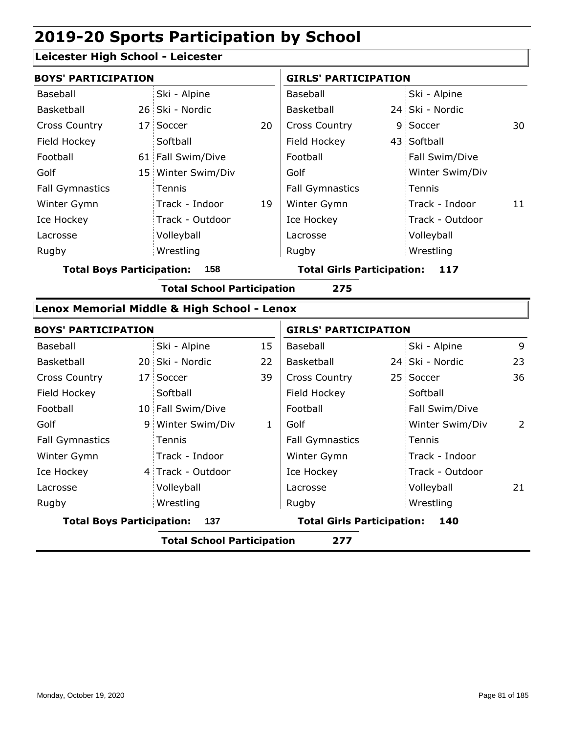#### **Leicester High School - Leicester**

| <b>BOYS' PARTICIPATION</b> |  |                    |    | <b>GIRLS' PARTICIPATION</b> |  |                 |    |
|----------------------------|--|--------------------|----|-----------------------------|--|-----------------|----|
| Baseball                   |  | Ski - Alpine       |    | Baseball                    |  | Ski - Alpine    |    |
| Basketball                 |  | 26 Ski - Nordic    |    | <b>Basketball</b>           |  | 24 Ski - Nordic |    |
| <b>Cross Country</b>       |  | 17 Soccer          | 20 | <b>Cross Country</b>        |  | 9 Soccer        | 30 |
| Field Hockey               |  | Softball           |    | Field Hockey                |  | 43 Softball     |    |
| Football                   |  | 61 Fall Swim/Dive  |    | Football                    |  | Fall Swim/Dive  |    |
| Golf                       |  | 15 Winter Swim/Div |    | Golf                        |  | Winter Swim/Div |    |
| <b>Fall Gymnastics</b>     |  | Tennis             |    | <b>Fall Gymnastics</b>      |  | Tennis          |    |
| Winter Gymn                |  | Track - Indoor     | 19 | Winter Gymn                 |  | Track - Indoor  | 11 |
| Ice Hockey                 |  | Track - Outdoor    |    | Ice Hockey                  |  | Track - Outdoor |    |
| Lacrosse                   |  | Volleyball         |    | Lacrosse                    |  | Volleyball      |    |
| Rugby                      |  | Wrestling          |    | Rugby                       |  | Wrestling       |    |
|                            |  |                    |    |                             |  |                 |    |

**Total Boys Participation: 158 Total Girls Participation: 117**

**Total School Participation 275**

#### **Lenox Memorial Middle & High School - Lenox**

| <b>BOYS' PARTICIPATION</b>              |  |                   |                                   | <b>GIRLS' PARTICIPATION</b> |     |                 |    |
|-----------------------------------------|--|-------------------|-----------------------------------|-----------------------------|-----|-----------------|----|
| Baseball                                |  | Ski - Alpine      | 15                                | Baseball                    |     | Ski - Alpine    | 9  |
| Basketball                              |  | 20 Ski - Nordic   | 22                                | Basketball                  |     | 24 Ski - Nordic | 23 |
| <b>Cross Country</b>                    |  | 17 Soccer         | 39                                | <b>Cross Country</b>        |     | 25 Soccer       | 36 |
| Field Hockey                            |  | Softball          |                                   | Field Hockey                |     | Softball        |    |
| Football                                |  | 10 Fall Swim/Dive |                                   | Football                    |     | Fall Swim/Dive  |    |
| Golf                                    |  | 9 Winter Swim/Div | 1                                 | Golf                        |     | Winter Swim/Div | 2  |
| <b>Fall Gymnastics</b>                  |  | <b>Tennis</b>     |                                   | <b>Fall Gymnastics</b>      |     | Tennis          |    |
| Winter Gymn                             |  | Track - Indoor    |                                   | Winter Gymn                 |     | Track - Indoor  |    |
| Ice Hockey                              |  | 4 Track - Outdoor |                                   | Ice Hockey                  |     | Track - Outdoor |    |
| Lacrosse                                |  | Volleyball        |                                   | Lacrosse                    |     | Volleyball      | 21 |
| Rugby                                   |  | Wrestling         |                                   | Rugby                       |     | Wrestling       |    |
| <b>Total Boys Participation:</b><br>137 |  |                   | <b>Total Girls Participation:</b> |                             | 140 |                 |    |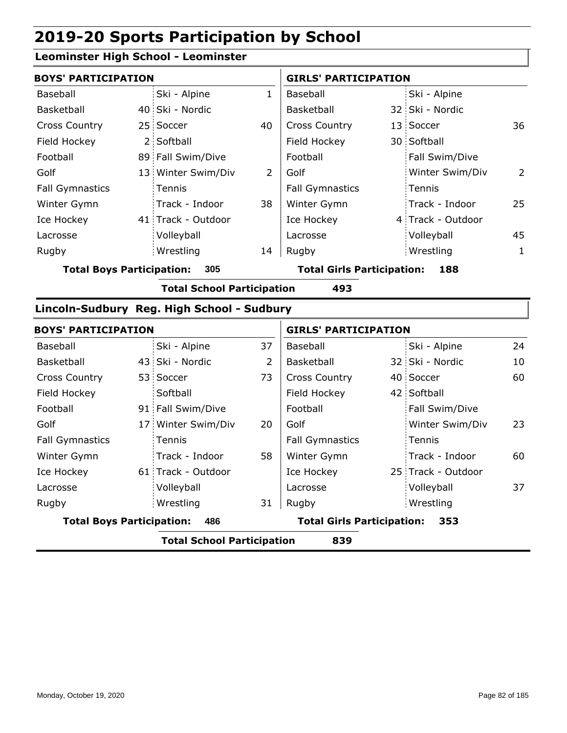#### **Leominster High School - Leominster**

| <b>BOYS' PARTICIPATION</b>              |  |                    |                                   | <b>GIRLS' PARTICIPATION</b> |     |                   |              |
|-----------------------------------------|--|--------------------|-----------------------------------|-----------------------------|-----|-------------------|--------------|
| Baseball                                |  | Ski - Alpine       |                                   | Baseball                    |     | Ski - Alpine      |              |
| Basketball                              |  | 40 Ski - Nordic    |                                   | Basketball                  |     | 32 Ski - Nordic   |              |
| <b>Cross Country</b>                    |  | 25 Soccer          | 40                                | <b>Cross Country</b>        |     | 13 Soccer         | 36           |
| Field Hockey                            |  | 2 Softball         |                                   | Field Hockey                |     | 30 Softball       |              |
| Football                                |  | 89 Fall Swim/Dive  |                                   | Football                    |     | Fall Swim/Dive    |              |
| Golf                                    |  | 13 Winter Swim/Div | 2                                 | Golf                        |     | Winter Swim/Div   | 2            |
| <b>Fall Gymnastics</b>                  |  | Tennis             |                                   | <b>Fall Gymnastics</b>      |     | Tennis            |              |
| Winter Gymn                             |  | Track - Indoor     | 38                                | Winter Gymn                 |     | Track - Indoor    | 25           |
| Ice Hockey                              |  | 41 Track - Outdoor |                                   | Ice Hockey                  |     | 4 Track - Outdoor |              |
| Lacrosse                                |  | Volleyball         |                                   | Lacrosse                    |     | Volleyball        | 45           |
| Rugby                                   |  | Wrestling          | 14                                | Rugby                       |     | Wrestling         | $\mathbf{1}$ |
| 305<br><b>Total Boys Participation:</b> |  |                    | <b>Total Girls Participation:</b> |                             | 188 |                   |              |

**Total School Participation 493**

#### **Lincoln-Sudbury Reg. High School - Sudbury**

| <b>BOYS' PARTICIPATION</b>              |                                          |                    | <b>GIRLS' PARTICIPATION</b> |                                          |  |                    |    |  |
|-----------------------------------------|------------------------------------------|--------------------|-----------------------------|------------------------------------------|--|--------------------|----|--|
| Baseball                                |                                          | Ski - Alpine       | 37                          | Baseball                                 |  | Ski - Alpine       | 24 |  |
| Basketball                              |                                          | 43 Ski - Nordic    | 2                           | Basketball                               |  | 32 Ski - Nordic    | 10 |  |
| <b>Cross Country</b>                    |                                          | 53 Soccer          | 73                          | <b>Cross Country</b>                     |  | 40 Soccer          | 60 |  |
| Field Hockey                            |                                          | Softball           |                             | Field Hockey                             |  | 42 Softball        |    |  |
| Football                                |                                          | 91 Fall Swim/Dive  |                             | Football                                 |  | Fall Swim/Dive     |    |  |
| Golf                                    |                                          | 17 Winter Swim/Div | 20                          | Golf                                     |  | Winter Swim/Div    | 23 |  |
| <b>Fall Gymnastics</b>                  |                                          | Tennis             |                             | <b>Fall Gymnastics</b>                   |  | Tennis             |    |  |
| Winter Gymn                             |                                          | Track - Indoor     | 58                          | Winter Gymn                              |  | Track - Indoor     | 60 |  |
| Ice Hockey                              |                                          | 61 Track - Outdoor |                             | Ice Hockey                               |  | 25 Track - Outdoor |    |  |
| Lacrosse                                |                                          | Volleyball         |                             | Lacrosse                                 |  | Volleyball         | 37 |  |
| Rugby                                   |                                          | Wrestling          | 31                          | Rugby                                    |  | Wrestling          |    |  |
| <b>Total Boys Participation:</b><br>486 |                                          |                    |                             | <b>Total Girls Participation:</b><br>353 |  |                    |    |  |
|                                         | <b>Total School Participation</b><br>839 |                    |                             |                                          |  |                    |    |  |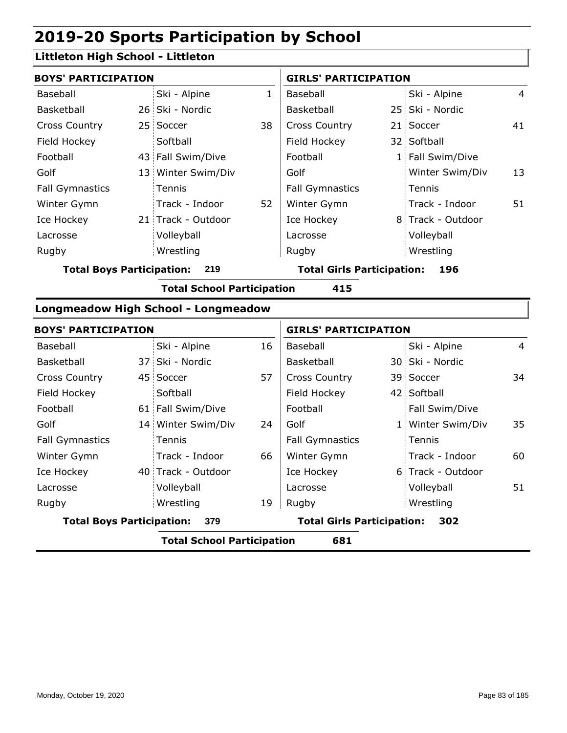#### **Littleton High School - Littleton**

| <b>BOYS' PARTICIPATION</b> |  |                    |    | <b>GIRLS' PARTICIPATION</b> |  |                   |    |
|----------------------------|--|--------------------|----|-----------------------------|--|-------------------|----|
| Baseball                   |  | Ski - Alpine       | 1  | Baseball                    |  | Ski - Alpine      | 4  |
| Basketball                 |  | 26 Ski - Nordic    |    | Basketball                  |  | 25 Ski - Nordic   |    |
| <b>Cross Country</b>       |  | 25 Soccer          | 38 | <b>Cross Country</b>        |  | 21 Soccer         | 41 |
| Field Hockey               |  | Softball           |    | Field Hockey                |  | 32 Softball       |    |
| Football                   |  | 43 Fall Swim/Dive  |    | Football                    |  | 1 Fall Swim/Dive  |    |
| Golf                       |  | 13 Winter Swim/Div |    | Golf                        |  | Winter Swim/Div   | 13 |
| <b>Fall Gymnastics</b>     |  | Tennis             |    | <b>Fall Gymnastics</b>      |  | Tennis            |    |
| Winter Gymn                |  | Track - Indoor     | 52 | Winter Gymn                 |  | Track - Indoor    | 51 |
| Ice Hockey                 |  | 21 Track - Outdoor |    | Ice Hockey                  |  | 8 Track - Outdoor |    |
| Lacrosse                   |  | Volleyball         |    | Lacrosse                    |  | Volleyball        |    |
| Rugby                      |  | Wrestling          |    | Rugby                       |  | Wrestling         |    |

**Total Boys Participation: 219 Total Girls Participation: 196**

**Total School Participation 415**

#### **Longmeadow High School - Longmeadow**

|                                  | <b>BOYS' PARTICIPATION</b> |                                   |    |                                   | <b>GIRLS' PARTICIPATION</b> |                   |                |  |
|----------------------------------|----------------------------|-----------------------------------|----|-----------------------------------|-----------------------------|-------------------|----------------|--|
| Baseball                         |                            | Ski - Alpine                      | 16 | Baseball                          |                             | Ski - Alpine      | $\overline{4}$ |  |
| <b>Basketball</b>                |                            | 37 Ski - Nordic                   |    | Basketball                        |                             | 30 Ski - Nordic   |                |  |
| <b>Cross Country</b>             |                            | 45 Soccer                         | 57 | <b>Cross Country</b>              |                             | 39 Soccer         | 34             |  |
| Field Hockey                     |                            | Softball                          |    | Field Hockey                      |                             | 42 Softball       |                |  |
| Football                         |                            | 61 Fall Swim/Dive                 |    | Football                          |                             | Fall Swim/Dive    |                |  |
| Golf                             |                            | 14 Winter Swim/Div                | 24 | Golf                              |                             | 1 Winter Swim/Div | 35             |  |
| <b>Fall Gymnastics</b>           |                            | Tennis                            |    | <b>Fall Gymnastics</b>            |                             | Tennis            |                |  |
| Winter Gymn                      |                            | Track - Indoor                    | 66 | Winter Gymn                       |                             | Track - Indoor    | 60             |  |
| Ice Hockey                       |                            | 40 Track - Outdoor                |    | Ice Hockey                        |                             | 6 Track - Outdoor |                |  |
| Lacrosse                         |                            | Volleyball                        |    | Lacrosse                          |                             | Volleyball        | 51             |  |
| Rugby                            |                            | Wrestling                         | 19 | Rugby                             |                             | Wrestling         |                |  |
| <b>Total Boys Participation:</b> |                            | 379                               |    | <b>Total Girls Participation:</b> |                             | 302               |                |  |
|                                  |                            | <b>Total School Participation</b> |    | 681                               |                             |                   |                |  |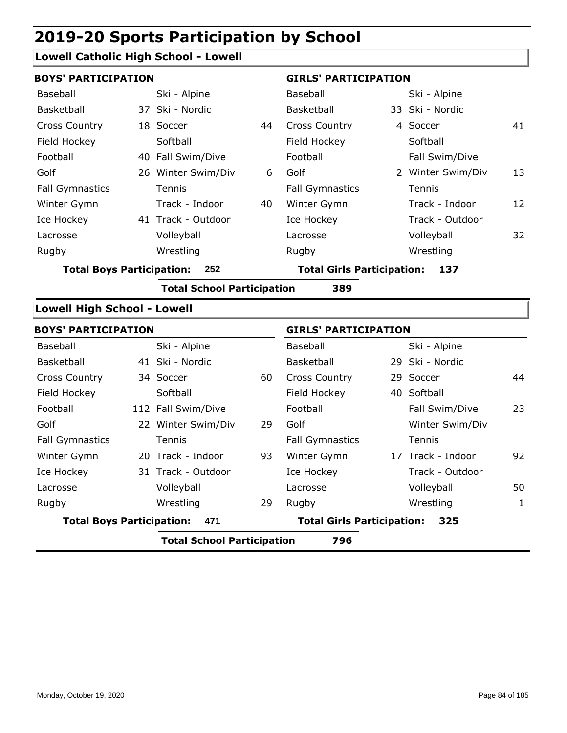### **Lowell Catholic High School - Lowell**

| <b>BOYS' PARTICIPATION</b>         |  |                                   |    | <b>GIRLS' PARTICIPATION</b>       |  |                   |    |  |
|------------------------------------|--|-----------------------------------|----|-----------------------------------|--|-------------------|----|--|
| Baseball                           |  | Ski - Alpine                      |    | Baseball                          |  | Ski - Alpine      |    |  |
| Basketball                         |  | 37 Ski - Nordic                   |    | Basketball                        |  | 33 Ski - Nordic   |    |  |
| <b>Cross Country</b>               |  | 18 Soccer                         | 44 | <b>Cross Country</b>              |  | 4 Soccer          | 41 |  |
| Field Hockey                       |  | Softball                          |    | Field Hockey                      |  | Softball          |    |  |
| Football                           |  | 40 Fall Swim/Dive                 |    | Football                          |  | Fall Swim/Dive    |    |  |
| Golf                               |  | 26 Winter Swim/Div                | 6  | Golf                              |  | 2 Winter Swim/Div | 13 |  |
| <b>Fall Gymnastics</b>             |  | Tennis                            |    | <b>Fall Gymnastics</b>            |  | Tennis            |    |  |
| Winter Gymn                        |  | Track - Indoor                    | 40 | Winter Gymn                       |  | Track - Indoor    | 12 |  |
| Ice Hockey                         |  | 41 Track - Outdoor                |    | Ice Hockey                        |  | Track - Outdoor   |    |  |
| Lacrosse                           |  | Volleyball                        |    | Lacrosse                          |  | Volleyball        | 32 |  |
| Rugby                              |  | Wrestling                         |    | Rugby                             |  | Wrestling         |    |  |
| <b>Total Boys Participation:</b>   |  | 252                               |    | <b>Total Girls Participation:</b> |  | 137               |    |  |
|                                    |  | <b>Total School Participation</b> |    | 389                               |  |                   |    |  |
| <b>Lowell High School - Lowell</b> |  |                                   |    |                                   |  |                   |    |  |
| <b>BOYS' PARTICIPATION</b>         |  |                                   |    | <b>GIRLS' PARTICIPATION</b>       |  |                   |    |  |
| Baseball                           |  | Ski - Alpine                      |    | Baseball                          |  | Ski - Alpine      |    |  |
| <b>Basketball</b>                  |  | 41 Ski - Nordic                   |    | Basketball                        |  | 29 Ski - Nordic   |    |  |
| <b>Cross Country</b>               |  | 34 Soccer                         | 60 | Cross Country                     |  | 29 Soccer         | 44 |  |
| Field Hockey                       |  | Softball                          |    | Field Hockey                      |  | 40 Softball       |    |  |
| Football                           |  | 112 Fall Swim/Dive                |    | Football                          |  | Fall Swim/Dive    | 23 |  |

| <b>Total Boys Participation:</b> | 471                |    | <b>Total Girls Participation:</b> | 325               |    |
|----------------------------------|--------------------|----|-----------------------------------|-------------------|----|
| Rugby                            | Wrestling          | 29 | Rugby                             | Wrestling         |    |
| Lacrosse                         | Volleyball         |    | Lacrosse                          | Volleyball        | 50 |
| Ice Hockey                       | 31 Track - Outdoor |    | Ice Hockey                        | Track - Outdoor   |    |
| Winter Gymn                      | 20 Track - Indoor  | 93 | Winter Gymn                       | 17 Track - Indoor | 92 |
| <b>Fall Gymnastics</b>           | Tennis             |    | <b>Fall Gymnastics</b>            | Tennis            |    |
| Golf                             | 22 Winter Swim/Div | 29 | Golf                              | Winter Swim/Div   |    |
| Football                         | 112 Fall Swim/Dive |    | Football                          | Fall Swim/Dive    | 23 |
|                                  |                    |    |                                   |                   |    |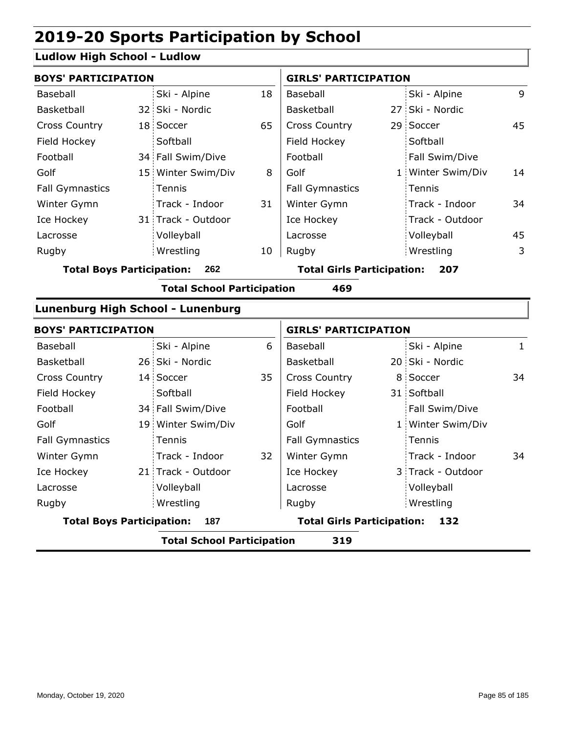### **Ludlow High School - Ludlow**

| <b>BOYS' PARTICIPATION</b>        |                                   |    | <b>GIRLS' PARTICIPATION</b>       |  |                   |    |
|-----------------------------------|-----------------------------------|----|-----------------------------------|--|-------------------|----|
| Baseball                          | Ski - Alpine                      | 18 | Baseball                          |  | Ski - Alpine      | 9  |
| Basketball                        | 32 Ski - Nordic                   |    | Basketball                        |  | 27 Ski - Nordic   |    |
| <b>Cross Country</b>              | 18 Soccer                         | 65 | <b>Cross Country</b>              |  | 29 Soccer         | 45 |
| Field Hockey                      | Softball                          |    | Field Hockey                      |  | Softball          |    |
| Football                          | 34 Fall Swim/Dive                 |    | Football                          |  | Fall Swim/Dive    |    |
| Golf                              | 15 Winter Swim/Div                | 8  | Golf                              |  | 1 Winter Swim/Div | 14 |
| <b>Fall Gymnastics</b>            | Tennis                            |    | <b>Fall Gymnastics</b>            |  | Tennis            |    |
| Winter Gymn                       | Track - Indoor                    | 31 | Winter Gymn                       |  | Track - Indoor    | 34 |
| Ice Hockey                        | 31 Track - Outdoor                |    | Ice Hockey                        |  | Track - Outdoor   |    |
| Lacrosse                          | Volleyball                        |    | Lacrosse                          |  | Volleyball        | 45 |
| Rugby                             | Wrestling                         | 10 | Rugby                             |  | Wrestling         | 3  |
| <b>Total Boys Participation:</b>  | 262                               |    | <b>Total Girls Participation:</b> |  | 207               |    |
|                                   | <b>Total School Participation</b> |    | 469                               |  |                   |    |
| Lunenburg High School - Lunenburg |                                   |    |                                   |  |                   |    |

|                                  | <b>BOYS' PARTICIPATION</b> |                                   |    |                                   | <b>GIRLS' PARTICIPATION</b> |                   |    |  |
|----------------------------------|----------------------------|-----------------------------------|----|-----------------------------------|-----------------------------|-------------------|----|--|
| Baseball                         |                            | Ski - Alpine                      | 6  | Baseball                          |                             | Ski - Alpine      | 1  |  |
| Basketball                       |                            | 26 Ski - Nordic                   |    | Basketball                        |                             | 20 Ski - Nordic   |    |  |
| <b>Cross Country</b>             |                            | 14 Soccer                         | 35 | <b>Cross Country</b>              |                             | 8 Soccer          | 34 |  |
| Field Hockey                     |                            | Softball                          |    | Field Hockey                      |                             | 31 Softball       |    |  |
| Football                         |                            | 34 Fall Swim/Dive                 |    | Football                          |                             | Fall Swim/Dive    |    |  |
| Golf                             |                            | 19 Winter Swim/Div                |    | Golf                              |                             | 1 Winter Swim/Div |    |  |
| <b>Fall Gymnastics</b>           |                            | Tennis                            |    | <b>Fall Gymnastics</b>            |                             | Tennis            |    |  |
| Winter Gymn                      |                            | Track - Indoor                    | 32 | Winter Gymn                       |                             | Track - Indoor    | 34 |  |
| Ice Hockey                       |                            | 21 Track - Outdoor                |    | Ice Hockey                        |                             | 3 Track - Outdoor |    |  |
| Lacrosse                         |                            | Volleyball                        |    | Lacrosse                          |                             | Volleyball        |    |  |
| Rugby                            |                            | Wrestling                         |    | Rugby                             |                             | Wrestling         |    |  |
| <b>Total Boys Participation:</b> |                            | 187                               |    | <b>Total Girls Participation:</b> |                             | 132               |    |  |
|                                  |                            | <b>Total School Participation</b> |    | 319                               |                             |                   |    |  |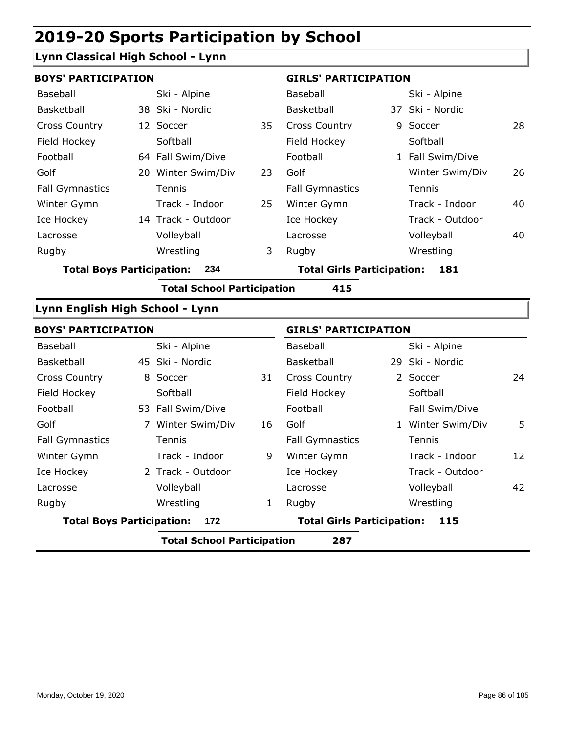Volleyball Wrestling Rugby Rugby

### **Lynn Classical High School - Lynn**

| <b>BOYS' PARTICIPATION</b>       |     |                                   |                                   | <b>GIRLS' PARTICIPATION</b> |     |                   |    |  |
|----------------------------------|-----|-----------------------------------|-----------------------------------|-----------------------------|-----|-------------------|----|--|
| Baseball                         |     | Ski - Alpine                      |                                   | Baseball                    |     | Ski - Alpine      |    |  |
| Basketball                       |     | 38 Ski - Nordic                   |                                   | Basketball                  |     | 37 Ski - Nordic   |    |  |
| Cross Country                    |     | 12 Soccer                         | 35                                | Cross Country               |     | 9 Soccer          | 28 |  |
| Field Hockey                     |     | Softball                          |                                   | Field Hockey                |     | Softball          |    |  |
| Football                         |     | 64 Fall Swim/Dive                 |                                   | Football                    |     | 1 Fall Swim/Dive  |    |  |
| Golf                             |     | 20 Winter Swim/Div                | 23                                | Golf                        |     | Winter Swim/Div   | 26 |  |
| <b>Fall Gymnastics</b>           |     | Tennis                            |                                   | <b>Fall Gymnastics</b>      |     | Tennis            |    |  |
| Winter Gymn                      |     | Track - Indoor                    | 25                                | Winter Gymn                 |     | Track - Indoor    | 40 |  |
| Ice Hockey                       |     | 14 Track - Outdoor                |                                   | Ice Hockey                  |     | Track - Outdoor   |    |  |
| Lacrosse                         |     | Volleyball                        |                                   | Lacrosse                    |     | Volleyball        | 40 |  |
| Rugby                            |     | Wrestling                         | 3                                 | Rugby                       |     | Wrestling         |    |  |
| <b>Total Boys Participation:</b> | 234 |                                   | <b>Total Girls Participation:</b> |                             | 181 |                   |    |  |
|                                  |     | <b>Total School Participation</b> |                                   | 415                         |     |                   |    |  |
| Lynn English High School - Lynn  |     |                                   |                                   |                             |     |                   |    |  |
| <b>BOYS' PARTICIPATION</b>       |     |                                   |                                   | <b>GIRLS' PARTICIPATION</b> |     |                   |    |  |
| Baseball                         |     | Ski - Alpine                      |                                   | Baseball                    |     | Ski - Alpine      |    |  |
| Basketball                       |     | 45 Ski - Nordic                   |                                   | Basketball                  |     | 29 Ski - Nordic   |    |  |
| Cross Country                    |     | 8 Soccer                          | 31                                | Cross Country               |     | 2 Soccer          | 24 |  |
| Field Hockey                     |     | Softball                          |                                   | Field Hockey                |     | Softball          |    |  |
| Football                         |     | 53 Fall Swim/Dive                 |                                   | Football                    |     | Fall Swim/Dive    |    |  |
| Golf                             | 7:  | Winter Swim/Div                   | 16                                | Golf                        |     | 1 Winter Swim/Div | 5  |  |
| <b>Fall Gymnastics</b>           |     | Tennis                            |                                   | Fall Gymnastics             |     | Tennis            |    |  |
| Winter Gymn                      |     | Track - Indoor                    | 9                                 | Winter Gymn                 |     | Track - Indoor    | 12 |  |
| Ice Hockey                       |     | 2 Track - Outdoor                 |                                   | Ice Hockey                  |     | Track - Outdoor   |    |  |

1 Rugby

**Total Boys Participation: 172 Total Girls Participation: 115**

**Total School Participation 287**

Lacrosse

Lacrosse

| Page 86 of 185 |  |  |
|----------------|--|--|
|                |  |  |

Volleyball 42

Wrestling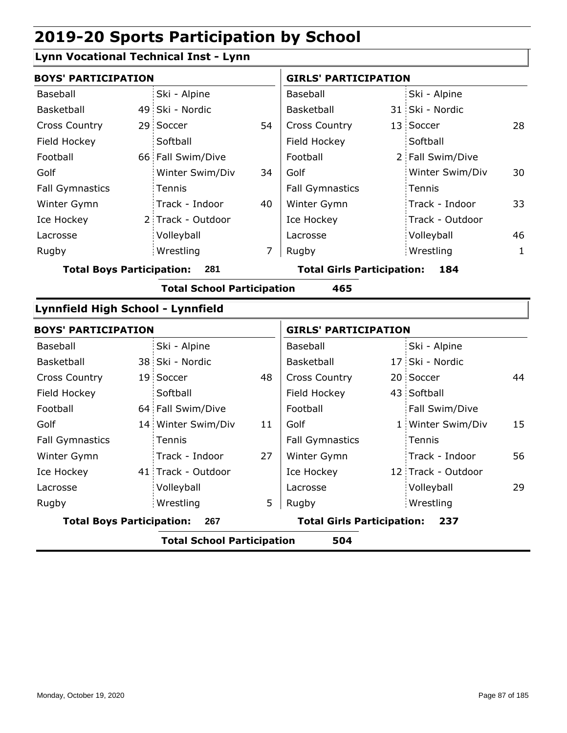### **Lynn Vocational Technical Inst - Lynn**

| <b>BOYS' PARTICIPATION</b>        |     |                                   |                                   | <b>GIRLS' PARTICIPATION</b> |     |                   |              |
|-----------------------------------|-----|-----------------------------------|-----------------------------------|-----------------------------|-----|-------------------|--------------|
| Baseball                          |     | Ski - Alpine                      |                                   | Baseball                    |     | Ski - Alpine      |              |
| Basketball                        |     | 49 Ski - Nordic                   |                                   | Basketball                  |     | 31 Ski - Nordic   |              |
| <b>Cross Country</b>              |     | 29 Soccer                         | 54                                | <b>Cross Country</b>        |     | 13 Soccer         | 28           |
| Field Hockey                      |     | Softball                          |                                   | Field Hockey                |     | Softball          |              |
| Football                          |     | 66 Fall Swim/Dive                 |                                   | Football                    |     | 2 Fall Swim/Dive  |              |
| Golf                              |     | Winter Swim/Div                   | 34                                | Golf                        |     | Winter Swim/Div   | 30           |
| <b>Fall Gymnastics</b>            |     | Tennis                            |                                   | <b>Fall Gymnastics</b>      |     | Tennis            |              |
| Winter Gymn                       |     | Track - Indoor                    | 40                                | Winter Gymn                 |     | Track - Indoor    | 33           |
| Ice Hockey                        |     | 2 Track - Outdoor                 |                                   | Ice Hockey                  |     | Track - Outdoor   |              |
| Lacrosse                          |     | Volleyball                        |                                   | Lacrosse                    |     | Volleyball        | 46           |
| Rugby                             |     | Wrestling                         | $\overline{7}$                    | Rugby                       |     | Wrestling         | $\mathbf{1}$ |
| <b>Total Boys Participation:</b>  | 281 |                                   | <b>Total Girls Participation:</b> |                             | 184 |                   |              |
|                                   |     | <b>Total School Participation</b> |                                   | 465                         |     |                   |              |
| Lynnfield High School - Lynnfield |     |                                   |                                   |                             |     |                   |              |
| <b>BOYS' PARTICIPATION</b>        |     |                                   |                                   | <b>GIRLS' PARTICIPATION</b> |     |                   |              |
| Baseball                          |     | Ski - Alpine                      |                                   | Baseball                    |     | Ski - Alpine      |              |
| Basketball                        |     | 38 Ski - Nordic                   |                                   | Basketball                  |     | 17 Ski - Nordic   |              |
| <b>Cross Country</b>              |     | 19 Soccer                         | 48                                | <b>Cross Country</b>        |     | 20 Soccer         | 44           |
| Field Hockey                      |     | Softball                          |                                   | Field Hockey                |     | 43 Softball       |              |
| Football                          |     | 64 Fall Swim/Dive                 |                                   | Football                    |     | Fall Swim/Dive    |              |
| Golf                              |     | 14 Winter Swim/Div                | 11                                | Golf                        |     | 1 Winter Swim/Div | 15           |
| <b>Fall Gymnastics</b>            |     | Tennis                            |                                   | <b>Fall Gymnastics</b>      |     | Tennis            |              |
| Winter Gymn                       |     | Track - Indoor                    | 27                                | Winter Gymn                 |     | Track - Indoor    | 56           |

41 Track - Outdoor  $\vert$  Ice Hockey  $\vert$  12

Ice Hockey Lacrosse

Volleyball Wrestling Rugby Rugby

5

**Total Boys Participation: 267 Total Girls Participation: 237**

**Total School Participation 504**

Ice Hockey Lacrosse

12 Track - Outdoor

Wrestling

Volleyball 29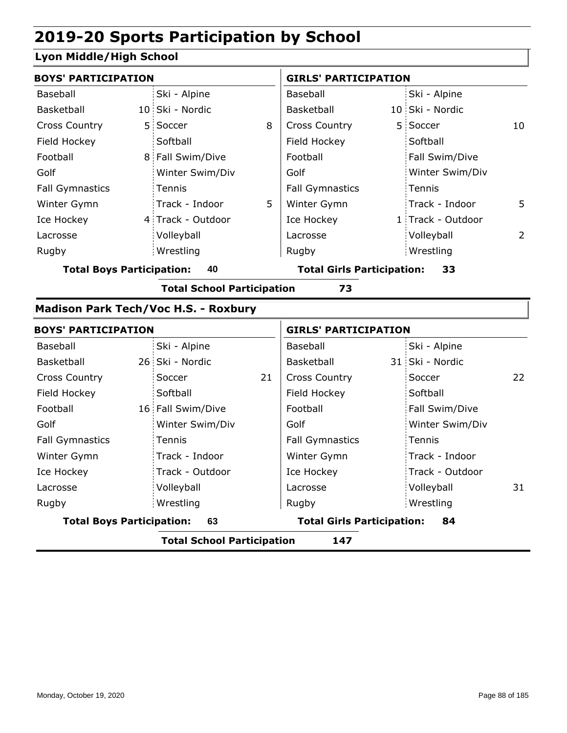#### **Lyon Middle/High School**

| <b>BOYS' PARTICIPATION</b>       |    |                                      |    | <b>GIRLS' PARTICIPATION</b>       |   |                   |    |
|----------------------------------|----|--------------------------------------|----|-----------------------------------|---|-------------------|----|
| Baseball                         |    | Ski - Alpine                         |    | Baseball                          |   | Ski - Alpine      |    |
| Basketball                       |    | 10 Ski - Nordic                      |    | Basketball                        |   | 10 Ski - Nordic   |    |
| <b>Cross Country</b>             | 5. | Soccer                               | 8  | <b>Cross Country</b>              | 5 | Soccer            | 10 |
| Field Hockey                     |    | Softball                             |    | Field Hockey                      |   | Softball          |    |
| Football                         |    | 8 Fall Swim/Dive                     |    | Football                          |   | Fall Swim/Dive    |    |
| Golf                             |    | Winter Swim/Div                      |    | Golf                              |   | Winter Swim/Div   |    |
| <b>Fall Gymnastics</b>           |    | Tennis                               |    | <b>Fall Gymnastics</b>            |   | Tennis            |    |
| Winter Gymn                      |    | Track - Indoor                       | 5  | Winter Gymn                       |   | Track - Indoor    | 5  |
| Ice Hockey                       |    | 4 Track - Outdoor                    |    | Ice Hockey                        |   | 1 Track - Outdoor |    |
| Lacrosse                         |    | Volleyball                           |    | Lacrosse                          |   | Volleyball        | 2  |
| Rugby                            |    | Wrestling                            |    | Rugby                             |   | Wrestling         |    |
| <b>Total Boys Participation:</b> |    | 40                                   |    | <b>Total Girls Participation:</b> |   | 33                |    |
|                                  |    | <b>Total School Participation</b>    |    | 73                                |   |                   |    |
|                                  |    | Madison Park Tech/Voc H.S. - Roxbury |    |                                   |   |                   |    |
| <b>BOYS' PARTICIPATION</b>       |    |                                      |    | <b>GIRLS' PARTICIPATION</b>       |   |                   |    |
| Baseball                         |    | Ski - Alpine                         |    | Baseball                          |   | Ski - Alpine      |    |
| Basketball                       |    | 26 Ski - Nordic                      |    | Basketball                        |   | 31 Ski - Nordic   |    |
| <b>Cross Country</b>             |    | Soccer                               | 21 | <b>Cross Country</b>              |   | Soccer            | 22 |
| Field Hockey                     |    | Softball                             |    | Field Hockey                      |   | Softball          |    |
| Football                         |    | 16 Fall Swim/Dive                    |    | Football                          |   | Fall Swim/Dive    |    |
| Golf                             |    | Winter Swim/Div                      |    | Golf                              |   | Winter Swim/Div   |    |
| <b>Fall Gymnastics</b>           |    | Tennis                               |    | <b>Fall Gymnastics</b>            |   | Tennis            |    |
| Winter Gymn                      |    | Track - Indoor                       |    | Winter Gymn                       |   | Track - Indoor    |    |
| Ice Hockey                       |    | Track - Outdoor                      |    | Ice Hockey                        |   | Track - Outdoor   |    |
| Lacrosse                         |    | Volleyball                           |    | Lacrosse                          |   | Volleyball        | 31 |
| Rugby                            |    | Wrestling                            |    | Rugby                             |   | Wrestling         |    |

**Total Boys Participation: 63 Total Girls Participation: 84**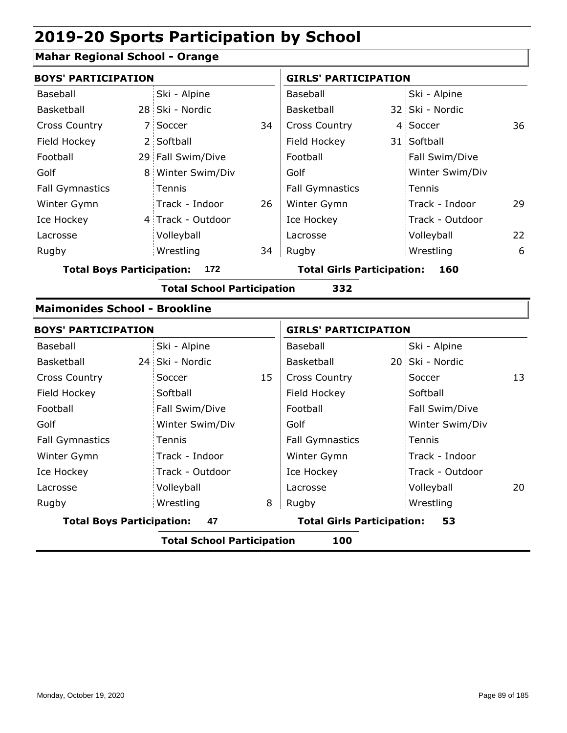### **Mahar Regional School - Orange**

|                                  | <b>BOYS' PARTICIPATION</b>           |                                   |    |                                   | <b>GIRLS' PARTICIPATION</b> |                 |    |  |
|----------------------------------|--------------------------------------|-----------------------------------|----|-----------------------------------|-----------------------------|-----------------|----|--|
| Baseball                         |                                      | Ski - Alpine                      |    | Baseball                          |                             | Ski - Alpine    |    |  |
| Basketball                       |                                      | 28 Ski - Nordic                   |    | Basketball                        |                             | 32 Ski - Nordic |    |  |
| <b>Cross Country</b>             |                                      | 7 Soccer                          | 34 | <b>Cross Country</b>              |                             | 4 Soccer        | 36 |  |
| Field Hockey                     |                                      | 2 Softball                        |    | Field Hockey                      |                             | 31 Softball     |    |  |
| Football                         |                                      | 29 Fall Swim/Dive                 |    | Football                          |                             | Fall Swim/Dive  |    |  |
| Golf                             |                                      | 8 Winter Swim/Div                 |    | Golf                              |                             | Winter Swim/Div |    |  |
| <b>Fall Gymnastics</b>           |                                      | Tennis                            |    | <b>Fall Gymnastics</b>            |                             | Tennis          |    |  |
| Winter Gymn                      |                                      | Track - Indoor                    | 26 | Winter Gymn                       |                             | Track - Indoor  | 29 |  |
| Ice Hockey                       |                                      | 4 Track - Outdoor                 |    | Ice Hockey                        |                             | Track - Outdoor |    |  |
| Lacrosse                         |                                      | Volleyball                        |    | Lacrosse                          |                             | Volleyball      | 22 |  |
| Rugby                            |                                      | Wrestling                         | 34 | Rugby                             |                             | Wrestling       | 6  |  |
| <b>Total Boys Participation:</b> |                                      | 172                               |    | <b>Total Girls Participation:</b> |                             | 160             |    |  |
|                                  |                                      | <b>Total School Participation</b> |    | 332                               |                             |                 |    |  |
|                                  | <b>Maimonides School - Brookline</b> |                                   |    |                                   |                             |                 |    |  |

| <b>BOYS' PARTICIPATION</b>               |                 |    |                                         | <b>GIRLS' PARTICIPATION</b> |                 |    |  |  |
|------------------------------------------|-----------------|----|-----------------------------------------|-----------------------------|-----------------|----|--|--|
| Baseball                                 | Ski - Alpine    |    | Baseball                                |                             | Ski - Alpine    |    |  |  |
| <b>Basketball</b>                        | 24 Ski - Nordic |    | Basketball                              |                             | 20 Ski - Nordic |    |  |  |
| <b>Cross Country</b>                     | Soccer          | 15 | <b>Cross Country</b>                    |                             | Soccer          | 13 |  |  |
| Field Hockey                             | Softball        |    | Field Hockey                            |                             | Softball        |    |  |  |
| Football                                 | Fall Swim/Dive  |    | Football                                |                             | Fall Swim/Dive  |    |  |  |
| Golf                                     | Winter Swim/Div |    | Golf                                    |                             | Winter Swim/Div |    |  |  |
| <b>Fall Gymnastics</b>                   | Tennis          |    | <b>Fall Gymnastics</b>                  |                             | Tennis          |    |  |  |
| Winter Gymn                              | Track - Indoor  |    | Winter Gymn                             |                             | Track - Indoor  |    |  |  |
| Ice Hockey                               | Track - Outdoor |    | Ice Hockey                              |                             | Track - Outdoor |    |  |  |
| Lacrosse                                 | Volleyball      |    | Lacrosse                                |                             | Volleyball      | 20 |  |  |
| Rugby                                    | Wrestling       | 8  | Rugby                                   |                             | Wrestling       |    |  |  |
| <b>Total Boys Participation:</b>         | 47              |    | <b>Total Girls Participation:</b><br>53 |                             |                 |    |  |  |
| <b>Total School Participation</b><br>100 |                 |    |                                         |                             |                 |    |  |  |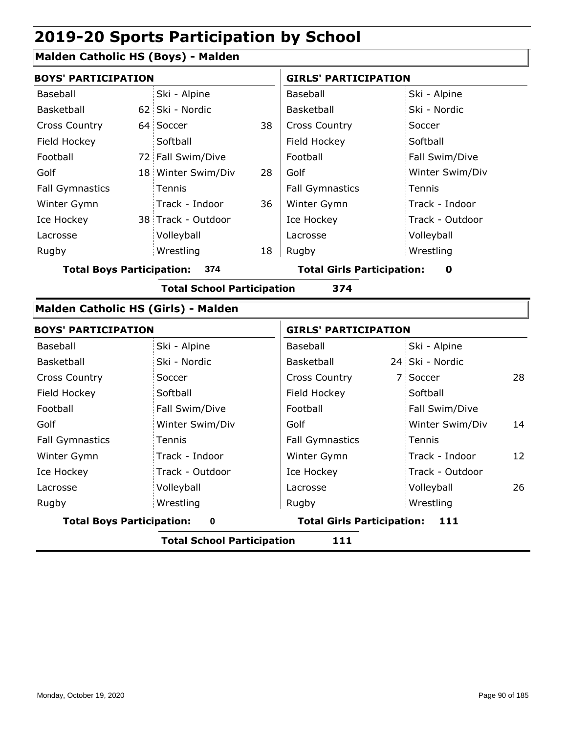### **Malden Catholic HS (Boys) - Malden**

|                        | <b>BOYS' PARTICIPATION</b> |                    |    | <b>GIRLS' PARTICIPATION</b> |                 |  |
|------------------------|----------------------------|--------------------|----|-----------------------------|-----------------|--|
| Baseball               |                            | Ski - Alpine       |    | Baseball                    | Ski - Alpine    |  |
| Basketball             |                            | 62 Ski - Nordic    |    | <b>Basketball</b>           | Ski - Nordic    |  |
| <b>Cross Country</b>   |                            | 64 Soccer          | 38 | <b>Cross Country</b>        | Soccer          |  |
| Field Hockey           |                            | Softball           |    | Field Hockey                | Softball        |  |
| Football               |                            | 72 Fall Swim/Dive  |    | Football                    | Fall Swim/Dive  |  |
| Golf                   |                            | 18 Winter Swim/Div | 28 | Golf                        | Winter Swim/Div |  |
| <b>Fall Gymnastics</b> |                            | Tennis             |    | <b>Fall Gymnastics</b>      | Tennis          |  |
| Winter Gymn            |                            | Track - Indoor     | 36 | Winter Gymn                 | Track - Indoor  |  |
| Ice Hockey             |                            | 38 Track - Outdoor |    | Ice Hockey                  | Track - Outdoor |  |
| Lacrosse               |                            | Volleyball         |    | Lacrosse                    | Volleyball      |  |
| Rugby                  |                            | Wrestling          | 18 | Rugby                       | Wrestling       |  |

#### **Total Boys Participation: 374 Total Girls Participation: 0**

**Total School Participation 374**

#### **Malden Catholic HS (Girls) - Malden**

| <b>BOYS' PARTICIPATION</b>       |                 | <b>GIRLS' PARTICIPATION</b>               |                       |  |  |
|----------------------------------|-----------------|-------------------------------------------|-----------------------|--|--|
| Baseball                         | Ski - Alpine    | Baseball                                  | Ski - Alpine          |  |  |
| Basketball                       | Ski - Nordic    | Basketball                                | 24 Ski - Nordic       |  |  |
| <b>Cross Country</b>             | Soccer          | <b>Cross Country</b>                      | 28<br>7 Soccer        |  |  |
| Field Hockey                     | Softball        | Field Hockey                              | Softball              |  |  |
| Football                         | Fall Swim/Dive  | Football                                  | Fall Swim/Dive        |  |  |
| Golf                             | Winter Swim/Div | Golf                                      | Winter Swim/Div<br>14 |  |  |
| <b>Fall Gymnastics</b>           | Tennis          | <b>Fall Gymnastics</b>                    | Tennis                |  |  |
| Winter Gymn                      | Track - Indoor  | Winter Gymn                               | Track - Indoor<br>12  |  |  |
| Ice Hockey                       | Track - Outdoor | Ice Hockey                                | Track - Outdoor       |  |  |
| Lacrosse                         | Volleyball      | Lacrosse                                  | Volleyball<br>26      |  |  |
| Rugby                            | Wrestling       | Rugby                                     | Wrestling             |  |  |
| <b>Total Boys Participation:</b> | $\bf{0}$        | <b>Total Girls Participation:</b><br>-111 |                       |  |  |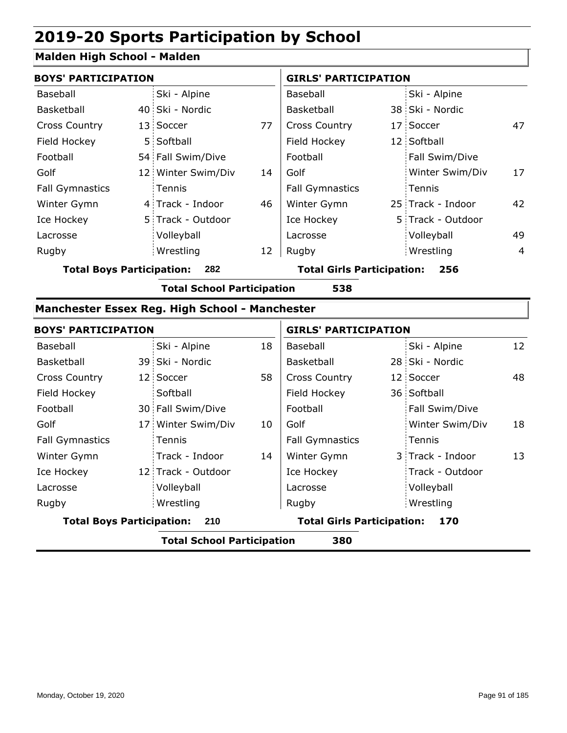#### **Malden High School - Malden**

| <b>BOYS' PARTICIPATION</b> |  |                    |    | <b>GIRLS' PARTICIPATION</b> |  |                   |                |
|----------------------------|--|--------------------|----|-----------------------------|--|-------------------|----------------|
| Baseball                   |  | Ski - Alpine       |    | Baseball                    |  | Ski - Alpine      |                |
| Basketball                 |  | 40 Ski - Nordic    |    | <b>Basketball</b>           |  | 38 Ski - Nordic   |                |
| <b>Cross Country</b>       |  | 13 Soccer          | 77 | <b>Cross Country</b>        |  | 17 Soccer         | 47             |
| Field Hockey               |  | 5 Softball         |    | Field Hockey                |  | 12 Softball       |                |
| Football                   |  | 54 Fall Swim/Dive  |    | Football                    |  | Fall Swim/Dive    |                |
| Golf                       |  | 12 Winter Swim/Div | 14 | Golf                        |  | Winter Swim/Div   | 17             |
| <b>Fall Gymnastics</b>     |  | Tennis             |    | <b>Fall Gymnastics</b>      |  | Tennis            |                |
| Winter Gymn                |  | 4 Track - Indoor   | 46 | Winter Gymn                 |  | 25 Track - Indoor | 42             |
| Ice Hockey                 |  | 5 Track - Outdoor  |    | Ice Hockey                  |  | 5 Track - Outdoor |                |
| Lacrosse                   |  | Volleyball         |    | Lacrosse                    |  | Volleyball        | 49             |
| Rugby                      |  | Wrestling          | 12 | Rugby                       |  | Wrestling         | $\overline{4}$ |

**Total Boys Participation: 282 Total Girls Participation: 256**

**Total School Participation 538**

#### **Manchester Essex Reg. High School - Manchester**

|                                          | <b>BOYS' PARTICIPATION</b> |                    |                                          | <b>GIRLS' PARTICIPATION</b> |  |                  |    |
|------------------------------------------|----------------------------|--------------------|------------------------------------------|-----------------------------|--|------------------|----|
| Baseball                                 |                            | Ski - Alpine       | 18                                       | Baseball                    |  | Ski - Alpine     | 12 |
| Basketball                               |                            | 39 Ski - Nordic    |                                          | Basketball                  |  | 28 Ski - Nordic  |    |
| <b>Cross Country</b>                     |                            | 12 Soccer          | 58                                       | <b>Cross Country</b>        |  | 12 Soccer        | 48 |
| Field Hockey                             |                            | Softball           |                                          | Field Hockey                |  | 36 Softball      |    |
| Football                                 |                            | 30 Fall Swim/Dive  |                                          | Football                    |  | Fall Swim/Dive   |    |
| Golf                                     |                            | 17 Winter Swim/Div | 10                                       | Golf                        |  | Winter Swim/Div  | 18 |
| <b>Fall Gymnastics</b>                   |                            | <b>Tennis</b>      |                                          | <b>Fall Gymnastics</b>      |  | Tennis           |    |
| Winter Gymn                              |                            | Track - Indoor     | 14                                       | Winter Gymn                 |  | 3 Track - Indoor | 13 |
| Ice Hockey                               |                            | 12 Track - Outdoor |                                          | Ice Hockey                  |  | Track - Outdoor  |    |
| Lacrosse                                 |                            | Volleyball         |                                          | Lacrosse                    |  | Volleyball       |    |
| Rugby                                    |                            | Wrestling          |                                          | Rugby                       |  | Wrestling        |    |
| <b>Total Boys Participation:</b><br>210  |                            |                    | <b>Total Girls Participation:</b><br>170 |                             |  |                  |    |
| <b>Total School Participation</b><br>380 |                            |                    |                                          |                             |  |                  |    |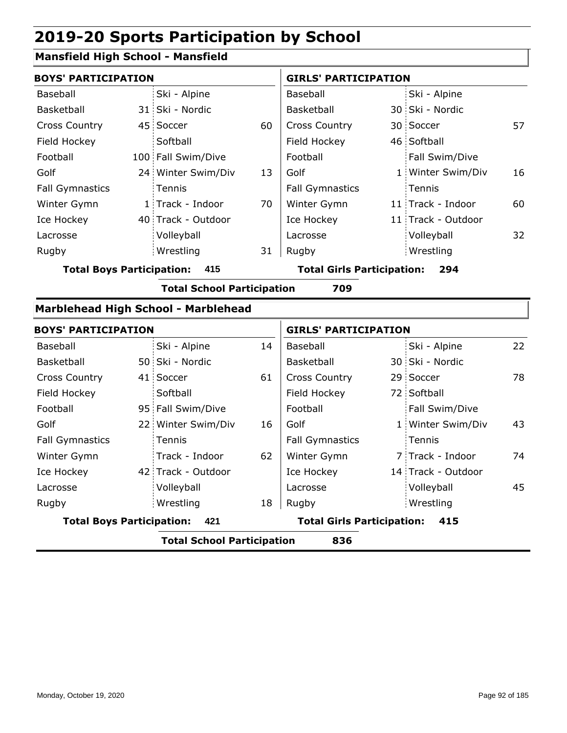#### **Mansfield High School - Mansfield**

|                        | <b>BOYS' PARTICIPATION</b> |                    |    |                        | <b>GIRLS' PARTICIPATION</b> |                    |    |  |
|------------------------|----------------------------|--------------------|----|------------------------|-----------------------------|--------------------|----|--|
| Baseball               |                            | Ski - Alpine       |    | Baseball               |                             | Ski - Alpine       |    |  |
| Basketball             |                            | 31 Ski - Nordic    |    | <b>Basketball</b>      |                             | 30 Ski - Nordic    |    |  |
| <b>Cross Country</b>   |                            | 45 Soccer          | 60 | <b>Cross Country</b>   |                             | 30 Soccer          | 57 |  |
| Field Hockey           |                            | Softball           |    | Field Hockey           |                             | 46 Softball        |    |  |
| Football               |                            | 100 Fall Swim/Dive |    | Football               |                             | Fall Swim/Dive     |    |  |
| Golf                   |                            | 24 Winter Swim/Div | 13 | Golf                   |                             | 1 Winter Swim/Div  | 16 |  |
| <b>Fall Gymnastics</b> |                            | <b>Tennis</b>      |    | <b>Fall Gymnastics</b> |                             | Tennis             |    |  |
| Winter Gymn            |                            | 1 Track - Indoor   | 70 | Winter Gymn            |                             | 11 Track - Indoor  | 60 |  |
| Ice Hockey             |                            | 40 Track - Outdoor |    | Ice Hockey             |                             | 11 Track - Outdoor |    |  |
| Lacrosse               |                            | Volleyball         |    | Lacrosse               |                             | Volleyball         | 32 |  |
| Rugby                  |                            | Wrestling          | 31 | Rugby                  |                             | Wrestling          |    |  |
|                        |                            |                    |    |                        |                             |                    |    |  |

**Total Boys Participation: 415 Total Girls Participation: 294**

**Total School Participation 709**

#### **Marblehead High School - Marblehead**

|                                          | <b>BOYS' PARTICIPATION</b>              |                    |    | <b>GIRLS' PARTICIPATION</b>              |  |                    |    |
|------------------------------------------|-----------------------------------------|--------------------|----|------------------------------------------|--|--------------------|----|
| Baseball                                 |                                         | Ski - Alpine       | 14 | Baseball                                 |  | Ski - Alpine       | 22 |
| Basketball                               |                                         | 50 Ski - Nordic    |    | Basketball                               |  | 30 Ski - Nordic    |    |
| <b>Cross Country</b>                     |                                         | 41 Soccer          | 61 | <b>Cross Country</b>                     |  | 29 Soccer          | 78 |
| Field Hockey                             |                                         | Softball           |    | Field Hockey                             |  | 72 Softball        |    |
| Football                                 |                                         | 95 Fall Swim/Dive  |    | Football                                 |  | Fall Swim/Dive     |    |
| Golf                                     |                                         | 22 Winter Swim/Div | 16 | Golf                                     |  | 1 Winter Swim/Div  | 43 |
| <b>Fall Gymnastics</b>                   |                                         | Tennis             |    | <b>Fall Gymnastics</b>                   |  | Tennis             |    |
| Winter Gymn                              |                                         | Track - Indoor     | 62 | Winter Gymn                              |  | 7 Track - Indoor   | 74 |
| Ice Hockey                               |                                         | 42 Track - Outdoor |    | Ice Hockey                               |  | 14 Track - Outdoor |    |
| Lacrosse                                 |                                         | Volleyball         |    | Lacrosse                                 |  | Volleyball         | 45 |
| Rugby                                    |                                         | Wrestling          | 18 | Rugby                                    |  | Wrestling          |    |
|                                          | <b>Total Boys Participation:</b><br>421 |                    |    | <b>Total Girls Participation:</b><br>415 |  |                    |    |
| <b>Total School Participation</b><br>836 |                                         |                    |    |                                          |  |                    |    |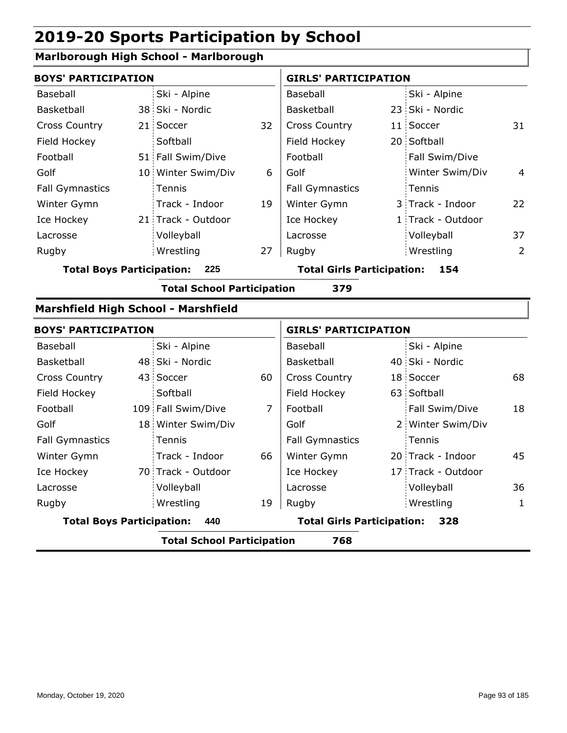### **Marlborough High School - Marlborough**

| <b>BOYS' PARTICIPATION</b>                 |  |                                   |                | <b>GIRLS' PARTICIPATION</b>       |  |                    |                |
|--------------------------------------------|--|-----------------------------------|----------------|-----------------------------------|--|--------------------|----------------|
| Baseball                                   |  | Ski - Alpine                      |                | Baseball                          |  | Ski - Alpine       |                |
| Basketball                                 |  | 38 Ski - Nordic                   |                | Basketball                        |  | 23 Ski - Nordic    |                |
| <b>Cross Country</b>                       |  | 21 Soccer                         | 32             | <b>Cross Country</b>              |  | 11 Soccer          | 31             |
| Field Hockey                               |  | Softball                          |                | Field Hockey                      |  | 20 Softball        |                |
| Football                                   |  | 51 Fall Swim/Dive                 |                | Football                          |  | Fall Swim/Dive     |                |
| Golf                                       |  | 10 Winter Swim/Div                | 6              | Golf                              |  | Winter Swim/Div    | $\overline{4}$ |
| <b>Fall Gymnastics</b>                     |  | Tennis                            |                | <b>Fall Gymnastics</b>            |  | Tennis             |                |
| Winter Gymn                                |  | Track - Indoor                    | 19             | Winter Gymn                       |  | 3 Track - Indoor   | 22             |
| Ice Hockey                                 |  | 21 Track - Outdoor                |                | Ice Hockey                        |  | 1 Track - Outdoor  |                |
| Lacrosse                                   |  | Volleyball                        |                | Lacrosse                          |  | Volleyball         | 37             |
| Rugby                                      |  | Wrestling                         | 27             | Rugby                             |  | Wrestling          | $\overline{2}$ |
| <b>Total Boys Participation:</b><br>225    |  |                                   |                | <b>Total Girls Participation:</b> |  | 154                |                |
|                                            |  | <b>Total School Participation</b> |                | 379                               |  |                    |                |
| <b>Marshfield High School - Marshfield</b> |  |                                   |                |                                   |  |                    |                |
| <b>BOYS' PARTICIPATION</b>                 |  |                                   |                | <b>GIRLS' PARTICIPATION</b>       |  |                    |                |
| Baseball                                   |  | Ski - Alpine                      |                | Baseball                          |  | Ski - Alpine       |                |
| Basketball                                 |  | 48 Ski - Nordic                   |                | Basketball                        |  | 40 Ski - Nordic    |                |
| <b>Cross Country</b>                       |  | 43 Soccer                         | 60             | <b>Cross Country</b>              |  | 18 Soccer          | 68             |
| Field Hockey                               |  | Softball                          |                | Field Hockey                      |  | 63 Softball        |                |
| Football                                   |  | 109 Fall Swim/Dive                | $\overline{7}$ | Football                          |  | Fall Swim/Dive     | 18             |
| Golf                                       |  | 18 Winter Swim/Div                |                | Golf                              |  | 2 Winter Swim/Div  |                |
| <b>Fall Gymnastics</b>                     |  | Tennis                            |                | <b>Fall Gymnastics</b>            |  | Tennis             |                |
| Winter Gymn                                |  | Track - Indoor                    | 66             | Winter Gymn                       |  | 20 Track - Indoor  | 45             |
| Ice Hockey                                 |  | 70 Track - Outdoor                |                | Ice Hockey                        |  | 17 Track - Outdoor |                |

Wrestling Rugby Rugby **Total Boys Participation: 440 Total Girls Participation: 328**

Volleyball

**Total School Participation 768**

19

Lacrosse

Lacrosse

Volleyball 36 Wrestling 1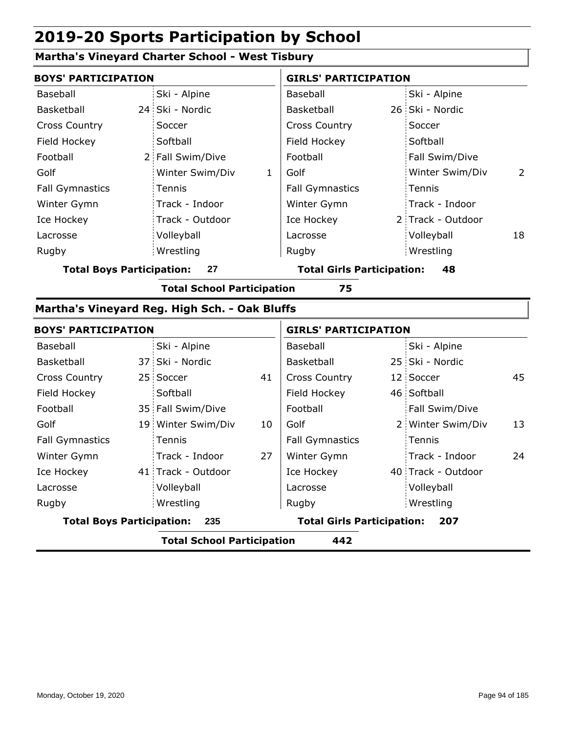#### **Martha's Vineyard Charter School - West Tisbury**

| <b>BOYS' PARTICIPATION</b>       |                      | <b>GIRLS' PARTICIPATION</b>       |                      |  |  |
|----------------------------------|----------------------|-----------------------------------|----------------------|--|--|
| Baseball                         | Ski - Alpine         | Baseball                          | Ski - Alpine         |  |  |
| Basketball                       | 24 Ski - Nordic      | Basketball                        | 26 Ski - Nordic      |  |  |
| <b>Cross Country</b>             | Soccer               | <b>Cross Country</b>              | Soccer               |  |  |
| Field Hockey                     | Softball             | Field Hockey                      | Softball             |  |  |
| Football                         | 2 Fall Swim/Dive     | Football                          | Fall Swim/Dive       |  |  |
| Golf                             | Winter Swim/Div<br>1 | Golf                              | Winter Swim/Div<br>2 |  |  |
| <b>Fall Gymnastics</b>           | Tennis               | <b>Fall Gymnastics</b>            | Tennis               |  |  |
| Winter Gymn                      | Track - Indoor       | Winter Gymn                       | Track - Indoor       |  |  |
| Ice Hockey                       | Track - Outdoor      | Ice Hockey                        | 2 Track - Outdoor    |  |  |
| Lacrosse                         | Volleyball           | Lacrosse                          | Volleyball<br>18     |  |  |
| Rugby                            | Wrestling            | Rugby                             | Wrestling            |  |  |
| <b>Total Boys Participation:</b> | 27                   | <b>Total Girls Participation:</b> | 48                   |  |  |

**Total School Participation 75**

#### **Martha's Vineyard Reg. High Sch. - Oak Bluffs**

| <b>BOYS' PARTICIPATION</b>       |                                   |    | <b>GIRLS' PARTICIPATION</b>       |                    |    |
|----------------------------------|-----------------------------------|----|-----------------------------------|--------------------|----|
| Baseball                         | Ski - Alpine                      |    | Baseball                          | Ski - Alpine       |    |
| Basketball                       | 37 Ski - Nordic                   |    | Basketball                        | 25 Ski - Nordic    |    |
| <b>Cross Country</b>             | 25 Soccer                         | 41 | <b>Cross Country</b>              | 12 Soccer          | 45 |
| Field Hockey                     | Softball                          |    | Field Hockey                      | 46 Softball        |    |
| Football                         | 35 Fall Swim/Dive                 |    | Football                          | Fall Swim/Dive     |    |
| Golf                             | 19 Winter Swim/Div                | 10 | Golf                              | 2 Winter Swim/Div  | 13 |
| <b>Fall Gymnastics</b>           | <b>Tennis</b>                     |    | <b>Fall Gymnastics</b>            | Tennis             |    |
| Winter Gymn                      | Track - Indoor                    | 27 | Winter Gymn                       | Track - Indoor     | 24 |
| Ice Hockey                       | 41 Track - Outdoor                |    | Ice Hockey                        | 40 Track - Outdoor |    |
| Lacrosse                         | Volleyball                        |    | Lacrosse                          | Volleyball         |    |
| Rugby                            | Wrestling                         |    | Rugby                             | Wrestling          |    |
| <b>Total Boys Participation:</b> | 235                               |    | <b>Total Girls Participation:</b> | 207                |    |
|                                  | <b>Total School Participation</b> |    | 442                               |                    |    |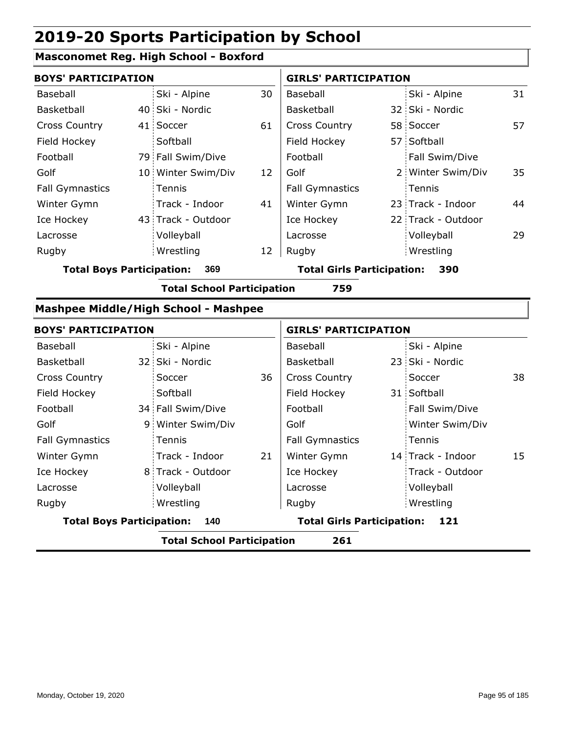#### **Masconomet Reg. High School - Boxford**

| <b>BOYS' PARTICIPATION</b>       |  |                    |    | <b>GIRLS' PARTICIPATION</b>       |  |                    |    |
|----------------------------------|--|--------------------|----|-----------------------------------|--|--------------------|----|
| Baseball                         |  | Ski - Alpine       | 30 | Baseball                          |  | Ski - Alpine       | 31 |
| Basketball                       |  | 40 Ski - Nordic    |    | Basketball                        |  | 32 Ski - Nordic    |    |
| <b>Cross Country</b>             |  | 41 Soccer          | 61 | <b>Cross Country</b>              |  | 58 Soccer          | 57 |
| Field Hockey                     |  | Softball           |    | Field Hockey                      |  | 57 Softball        |    |
| Football                         |  | 79 Fall Swim/Dive  |    | Football                          |  | Fall Swim/Dive     |    |
| Golf                             |  | 10 Winter Swim/Div | 12 | Golf                              |  | 2 Winter Swim/Div  | 35 |
| <b>Fall Gymnastics</b>           |  | Tennis             |    | <b>Fall Gymnastics</b>            |  | Tennis             |    |
| Winter Gymn                      |  | Track - Indoor     | 41 | Winter Gymn                       |  | 23 Track - Indoor  | 44 |
| Ice Hockey                       |  | 43 Track - Outdoor |    | Ice Hockey                        |  | 22 Track - Outdoor |    |
| Lacrosse                         |  | Volleyball         |    | Lacrosse                          |  | Volleyball         | 29 |
| Rugby                            |  | Wrestling          | 12 | Rugby                             |  | Wrestling          |    |
| <b>Total Boys Participation:</b> |  | 369                |    | <b>Total Girls Participation:</b> |  | 390                |    |

**Total School Participation 759**

### **Mashpee Middle/High School - Mashpee**

| <b>BOYS' PARTICIPATION</b>       |                                   |    | <b>GIRLS' PARTICIPATION</b>       |  |                   |    |
|----------------------------------|-----------------------------------|----|-----------------------------------|--|-------------------|----|
| Baseball                         | Ski - Alpine                      |    | Baseball                          |  | Ski - Alpine      |    |
| Basketball                       | 32 Ski - Nordic                   |    | Basketball                        |  | 23 Ski - Nordic   |    |
| <b>Cross Country</b>             | Soccer                            | 36 | <b>Cross Country</b>              |  | Soccer            | 38 |
| Field Hockey                     | Softball                          |    | Field Hockey                      |  | 31 Softball       |    |
| Football                         | 34 Fall Swim/Dive                 |    | Football                          |  | Fall Swim/Dive    |    |
| Golf                             | 9 Winter Swim/Div                 |    | Golf                              |  | Winter Swim/Div   |    |
| <b>Fall Gymnastics</b>           | Tennis                            |    | <b>Fall Gymnastics</b>            |  | Tennis            |    |
| Winter Gymn                      | Track - Indoor                    | 21 | Winter Gymn                       |  | 14 Track - Indoor | 15 |
| Ice Hockey                       | 8 Track - Outdoor                 |    | Ice Hockey                        |  | Track - Outdoor   |    |
| Lacrosse                         | Volleyball                        |    | Lacrosse                          |  | Volleyball        |    |
| Rugby                            | Wrestling                         |    | Rugby                             |  | Wrestling         |    |
| <b>Total Boys Participation:</b> | 140                               |    | <b>Total Girls Participation:</b> |  | 121               |    |
|                                  | <b>Total School Participation</b> |    | 261                               |  |                   |    |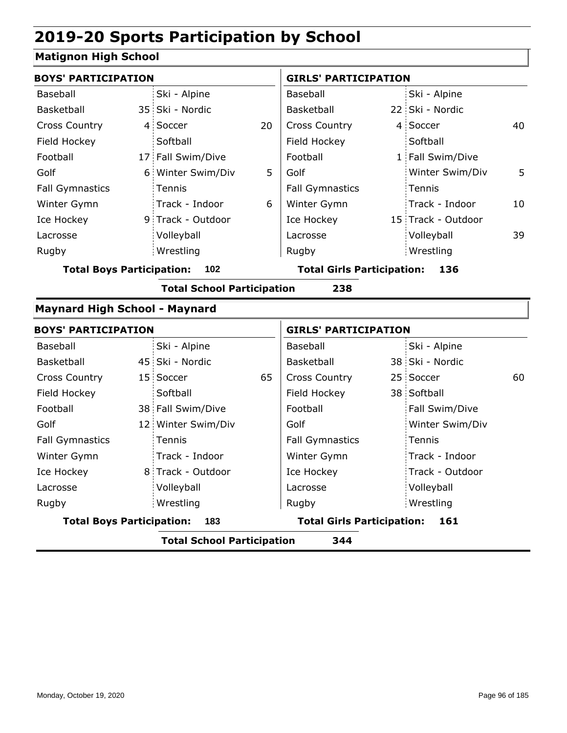### **Matignon High School**

| <b>BOYS' PARTICIPATION</b>           |                                   |    | <b>GIRLS' PARTICIPATION</b>       |  |                    |    |  |
|--------------------------------------|-----------------------------------|----|-----------------------------------|--|--------------------|----|--|
| Baseball                             | Ski - Alpine                      |    | Baseball                          |  | Ski - Alpine       |    |  |
| Basketball                           | 35 Ski - Nordic                   |    | Basketball                        |  | 22 Ski - Nordic    |    |  |
| <b>Cross Country</b>                 | 4 Soccer                          | 20 | Cross Country                     |  | 4 Soccer           | 40 |  |
| Field Hockey                         | Softball                          |    | Field Hockey                      |  | Softball           |    |  |
| Football                             | 17 Fall Swim/Dive                 |    | Football                          |  | 1 Fall Swim/Dive   |    |  |
| Golf                                 | 6 Winter Swim/Div                 | 5  | Golf                              |  | Winter Swim/Div    | 5  |  |
| <b>Fall Gymnastics</b>               | Tennis                            |    | <b>Fall Gymnastics</b>            |  | Tennis             |    |  |
| Winter Gymn                          | Track - Indoor                    | 6  | Winter Gymn                       |  | Track - Indoor     | 10 |  |
| Ice Hockey                           | 9 Track - Outdoor                 |    | Ice Hockey                        |  | 15 Track - Outdoor |    |  |
| Lacrosse                             | Volleyball                        |    | Lacrosse                          |  | Volleyball         | 39 |  |
| Rugby                                | Wrestling                         |    | Rugby                             |  | Wrestling          |    |  |
| <b>Total Boys Participation:</b>     | 102                               |    | <b>Total Girls Participation:</b> |  | 136                |    |  |
|                                      | <b>Total School Participation</b> |    | 238                               |  |                    |    |  |
| <b>Maynard High School - Maynard</b> |                                   |    |                                   |  |                    |    |  |
| <b>BOYS' PARTICIPATION</b>           |                                   |    | <b>GIRLS' PARTICIPATION</b>       |  |                    |    |  |
| Baseball                             | Ski - Alpine                      |    | Baseball                          |  | Ski - Alpine       |    |  |
| Basketball                           | 45 Ski - Nordic                   |    | Basketball                        |  | 38 Ski - Nordic    |    |  |
| <b>Cross Country</b>                 | 15 Soccer                         | 65 | Cross Country                     |  | 25 Soccer          | 60 |  |
| Field Hockey                         | Softball                          |    | Field Hockey                      |  | 38 Softball        |    |  |
| Football                             | 38 Fall Swim/Dive                 |    | Football                          |  | Fall Swim/Dive     |    |  |
| Golf                                 | 12 Winter Swim/Div                |    | Golf                              |  | Winter Swim/Div    |    |  |
| <b>Fall Gymnastics</b>               | Tennis                            |    | <b>Fall Gymnastics</b>            |  | Tennis             |    |  |
| Winter Gymn                          | Track - Indoor                    |    | Winter Gymn                       |  | Track - Indoor     |    |  |
| Ice Hockey                           | 8 Track - Outdoor                 |    | Ice Hockey                        |  | Track - Outdoor    |    |  |
| Lacrosse                             | Volleyball                        |    | Lacrosse                          |  | Volleyball         |    |  |
| Rugby                                | Wrestling                         |    | Rugby                             |  | Wrestling          |    |  |
| <b>Total Boys Participation:</b>     | 183                               |    | <b>Total Girls Participation:</b> |  | 161                |    |  |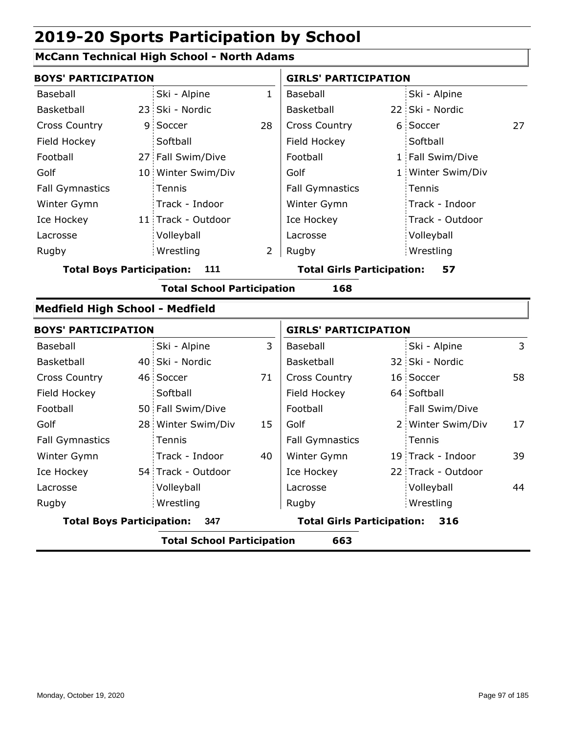### **McCann Technical High School - North Adams**

| <b>BOYS' PARTICIPATION</b>              |                                          |                                   |              | <b>GIRLS' PARTICIPATION</b>             |  |                    |    |  |  |  |
|-----------------------------------------|------------------------------------------|-----------------------------------|--------------|-----------------------------------------|--|--------------------|----|--|--|--|
| <b>Baseball</b>                         |                                          | Ski - Alpine                      | $\mathbf{1}$ | Baseball                                |  | Ski - Alpine       |    |  |  |  |
| Basketball                              |                                          | 23 Ski - Nordic                   |              | Basketball                              |  | 22 Ski - Nordic    |    |  |  |  |
| <b>Cross Country</b>                    | 9.                                       | Soccer                            | 28           | <b>Cross Country</b>                    |  | 6 Soccer           | 27 |  |  |  |
| Field Hockey                            |                                          | Softball                          |              | Field Hockey                            |  | Softball           |    |  |  |  |
| Football                                |                                          | 27 Fall Swim/Dive                 |              | Football                                |  | 1 Fall Swim/Dive   |    |  |  |  |
| Golf                                    |                                          | 10 Winter Swim/Div                |              | Golf                                    |  | 1 Winter Swim/Div  |    |  |  |  |
| <b>Fall Gymnastics</b>                  |                                          | Tennis                            |              | <b>Fall Gymnastics</b>                  |  | Tennis             |    |  |  |  |
| Winter Gymn                             |                                          | Track - Indoor                    |              | Winter Gymn                             |  | Track - Indoor     |    |  |  |  |
| Ice Hockey                              |                                          | 11 Track - Outdoor                |              | Ice Hockey                              |  | Track - Outdoor    |    |  |  |  |
| Lacrosse                                |                                          | Volleyball                        |              | Lacrosse                                |  | Volleyball         |    |  |  |  |
| Rugby                                   |                                          | Wrestling                         | 2            | Rugby                                   |  | Wrestling          |    |  |  |  |
| <b>Total Boys Participation:</b><br>111 |                                          |                                   |              | <b>Total Girls Participation:</b><br>57 |  |                    |    |  |  |  |
|                                         |                                          | <b>Total School Participation</b> |              | 168                                     |  |                    |    |  |  |  |
| <b>Medfield High School - Medfield</b>  |                                          |                                   |              |                                         |  |                    |    |  |  |  |
| <b>BOYS' PARTICIPATION</b>              |                                          |                                   |              | <b>GIRLS' PARTICIPATION</b>             |  |                    |    |  |  |  |
| Baseball                                |                                          | Ski - Alpine                      | 3            | Baseball                                |  | Ski - Alpine       | 3  |  |  |  |
| Basketball                              |                                          | 40 Ski - Nordic                   |              | Basketball                              |  | 32 Ski - Nordic    |    |  |  |  |
| <b>Cross Country</b>                    |                                          | 46 Soccer                         | 71           | <b>Cross Country</b>                    |  | 16 Soccer          | 58 |  |  |  |
| Field Hockey                            |                                          | Softball                          |              | Field Hockey                            |  | 64 Softball        |    |  |  |  |
| Football                                |                                          | 50 Fall Swim/Dive                 |              | Football                                |  | Fall Swim/Dive     |    |  |  |  |
| Golf                                    |                                          | 28 Winter Swim/Div                | 15           | Golf                                    |  | 2 Winter Swim/Div  | 17 |  |  |  |
| <b>Fall Gymnastics</b>                  |                                          | Tennis                            |              | <b>Fall Gymnastics</b>                  |  | Tennis             |    |  |  |  |
| Winter Gymn                             |                                          | Track - Indoor                    | 40           | Winter Gymn                             |  | 19 Track - Indoor  | 39 |  |  |  |
| Ice Hockey                              |                                          | 54 Track - Outdoor                |              | Ice Hockey                              |  | 22 Track - Outdoor |    |  |  |  |
| Lacrosse                                |                                          | Volleyball                        |              | Lacrosse                                |  | Volleyball         | 44 |  |  |  |
| Rugby                                   |                                          | Wrestling                         |              | Rugby                                   |  | Wrestling          |    |  |  |  |
| <b>Total Boys Participation:</b>        |                                          | 347                               |              | <b>Total Girls Participation:</b>       |  | 316                |    |  |  |  |
|                                         | <b>Total School Participation</b><br>663 |                                   |              |                                         |  |                    |    |  |  |  |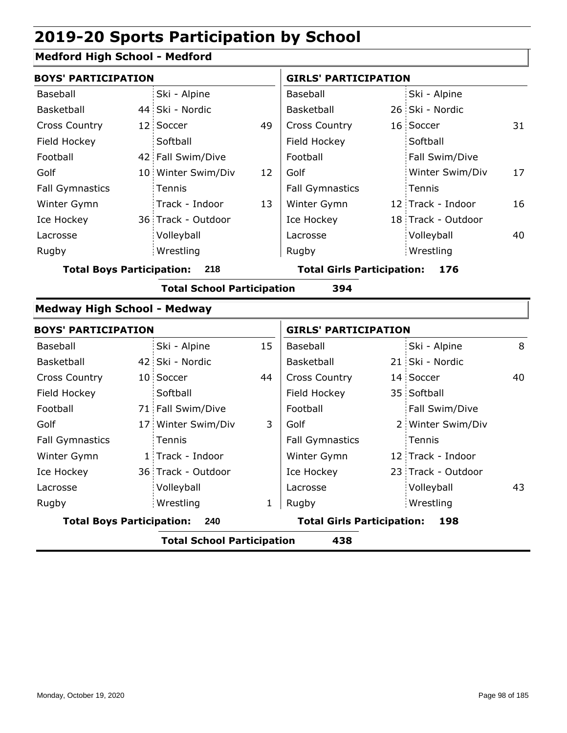#### **Medford High School - Medford**

| <b>BOYS' PARTICIPATION</b>       |                                          |                    |    | <b>GIRLS' PARTICIPATION</b>       |  |                    |    |  |  |
|----------------------------------|------------------------------------------|--------------------|----|-----------------------------------|--|--------------------|----|--|--|
| Baseball                         |                                          | Ski - Alpine       |    | Baseball                          |  | Ski - Alpine       |    |  |  |
| Basketball                       |                                          | 44 Ski - Nordic    |    | <b>Basketball</b>                 |  | 26 Ski - Nordic    |    |  |  |
| <b>Cross Country</b>             |                                          | 12 Soccer          | 49 | <b>Cross Country</b>              |  | 16 Soccer          | 31 |  |  |
| Field Hockey                     |                                          | Softball           |    | Field Hockey                      |  | Softball           |    |  |  |
| Football                         |                                          | 42 Fall Swim/Dive  |    | Football                          |  | Fall Swim/Dive     |    |  |  |
| Golf                             |                                          | 10 Winter Swim/Div | 12 | Golf                              |  | Winter Swim/Div    | 17 |  |  |
| <b>Fall Gymnastics</b>           |                                          | <b>Tennis</b>      |    | <b>Fall Gymnastics</b>            |  | Tennis             |    |  |  |
| Winter Gymn                      |                                          | Track - Indoor     | 13 | Winter Gymn                       |  | 12 Track - Indoor  | 16 |  |  |
| Ice Hockey                       |                                          | 36 Track - Outdoor |    | Ice Hockey                        |  | 18 Track - Outdoor |    |  |  |
| Lacrosse                         |                                          | Volleyball         |    | Lacrosse                          |  | Volleyball         | 40 |  |  |
| Rugby                            |                                          | Wrestling          |    | Rugby                             |  | Wrestling          |    |  |  |
| <b>Total Boys Participation:</b> |                                          | 218                |    | <b>Total Girls Participation:</b> |  | 176                |    |  |  |
|                                  | 394<br><b>Total School Participation</b> |                    |    |                                   |  |                    |    |  |  |

#### **Medway High School - Medway**

| <b>BOYS' PARTICIPATION</b>       |                                          |                    |    | <b>GIRLS' PARTICIPATION</b>       |  |                    |    |  |  |
|----------------------------------|------------------------------------------|--------------------|----|-----------------------------------|--|--------------------|----|--|--|
| Baseball                         |                                          | Ski - Alpine       | 15 | Baseball                          |  | Ski - Alpine       | 8  |  |  |
| <b>Basketball</b>                |                                          | 42 Ski - Nordic    |    | <b>Basketball</b>                 |  | 21 Ski - Nordic    |    |  |  |
| <b>Cross Country</b>             |                                          | 10 Soccer          | 44 | <b>Cross Country</b>              |  | 14 Soccer          | 40 |  |  |
| Field Hockey                     |                                          | Softball           |    | Field Hockey                      |  | 35 Softball        |    |  |  |
| Football                         |                                          | 71 Fall Swim/Dive  |    | Football                          |  | Fall Swim/Dive     |    |  |  |
| Golf                             |                                          | 17 Winter Swim/Div | 3  | Golf                              |  | 2 Winter Swim/Div  |    |  |  |
| <b>Fall Gymnastics</b>           |                                          | <b>Tennis</b>      |    | <b>Fall Gymnastics</b>            |  | Tennis             |    |  |  |
| Winter Gymn                      |                                          | 1 Track - Indoor   |    | Winter Gymn                       |  | 12 Track - Indoor  |    |  |  |
| Ice Hockey                       |                                          | 36 Track - Outdoor |    | Ice Hockey                        |  | 23 Track - Outdoor |    |  |  |
| Lacrosse                         |                                          | Volleyball         |    | Lacrosse                          |  | Volleyball         | 43 |  |  |
| Rugby                            |                                          | Wrestling          | 1  | Rugby                             |  | Wrestling          |    |  |  |
| <b>Total Boys Participation:</b> |                                          | 240                |    | <b>Total Girls Participation:</b> |  | 198                |    |  |  |
|                                  | <b>Total School Participation</b><br>438 |                    |    |                                   |  |                    |    |  |  |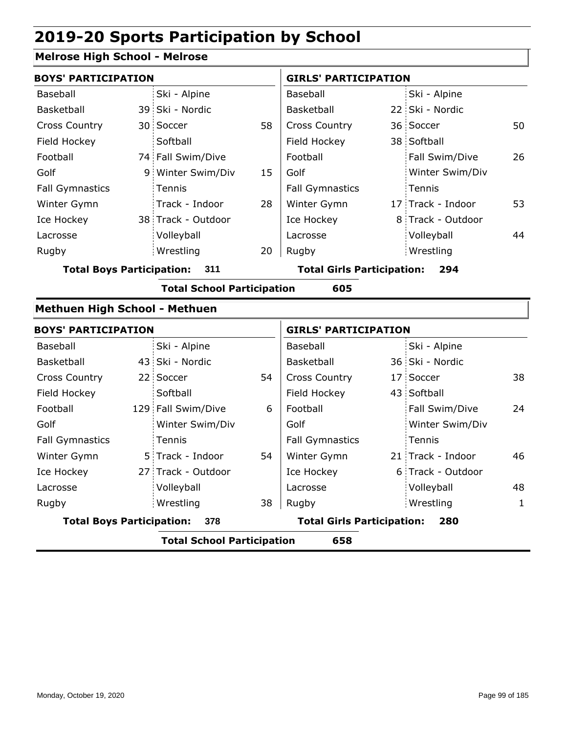### **Melrose High School - Melrose**

| <b>BOYS' PARTICIPATION</b>       |                                   |    | <b>GIRLS' PARTICIPATION</b>       |                   |    |
|----------------------------------|-----------------------------------|----|-----------------------------------|-------------------|----|
| Baseball                         | Ski - Alpine                      |    | Baseball                          | Ski - Alpine      |    |
| Basketball                       | 39 Ski - Nordic                   |    | Basketball                        | 22 Ski - Nordic   |    |
| <b>Cross Country</b>             | 30 Soccer                         | 58 | <b>Cross Country</b>              | 36 Soccer         | 50 |
| Field Hockey                     | Softball                          |    | Field Hockey                      | 38 Softball       |    |
| Football                         | 74 Fall Swim/Dive                 |    | Football                          | Fall Swim/Dive    | 26 |
| Golf                             | 9 Winter Swim/Div                 | 15 | Golf                              | Winter Swim/Div   |    |
| <b>Fall Gymnastics</b>           | Tennis                            |    | <b>Fall Gymnastics</b>            | Tennis            |    |
| Winter Gymn                      | Track - Indoor                    | 28 | Winter Gymn                       | 17 Track - Indoor | 53 |
| Ice Hockey                       | 38 Track - Outdoor                |    | Ice Hockey                        | 8 Track - Outdoor |    |
| Lacrosse                         | Volleyball                        |    | Lacrosse                          | Volleyball        | 44 |
| Rugby                            | Wrestling                         | 20 | Rugby                             | Wrestling         |    |
| <b>Total Boys Participation:</b> | 311                               |    | <b>Total Girls Participation:</b> | 294               |    |
|                                  | <b>Total School Participation</b> |    | 605                               |                   |    |
| Methuen High School - Methuen    |                                   |    |                                   |                   |    |
| <b>BOYS' PARTICIPATION</b>       |                                   |    | <b>GIRLS' PARTICIPATION</b>       |                   |    |
| Baseball                         | Ski - Alpine                      |    | Baseball                          | Ski - Alpine      |    |
| Basketball                       | 43 Ski - Nordic                   |    | Basketball                        | 36 Ski - Nordic   |    |
| <b>Cross Country</b>             | 22 Soccer                         | 54 | <b>Cross Country</b>              | 17 Soccer         | 38 |
| Field Hockey                     | Softball                          |    | Field Hockey                      | 43 Softball       |    |
| Football                         | 129 Fall Swim/Dive                | 6  | Football                          | Fall Swim/Dive    | 24 |
| Golf                             | Winter Swim/Div                   |    | Golf                              | Winter Swim/Div   |    |
| <b>Fall Gymnastics</b>           | Tennis                            |    | <b>Fall Gymnastics</b>            | Tennis            |    |
| Winter Gymn                      | 5 Track - Indoor                  | 54 | Winter Gymn                       | 21 Track - Indoor | 46 |
| Ice Hockey                       | 27 Track - Outdoor                |    | Ice Hockey                        | 6 Track - Outdoor |    |

Volleyball Wrestling Rugby Rugby

**Total Boys Participation: 378 Total Girls Participation: 280**

**Total School Participation 658**

38

Lacrosse

Lacrosse

Volleyball 48 Wrestling 1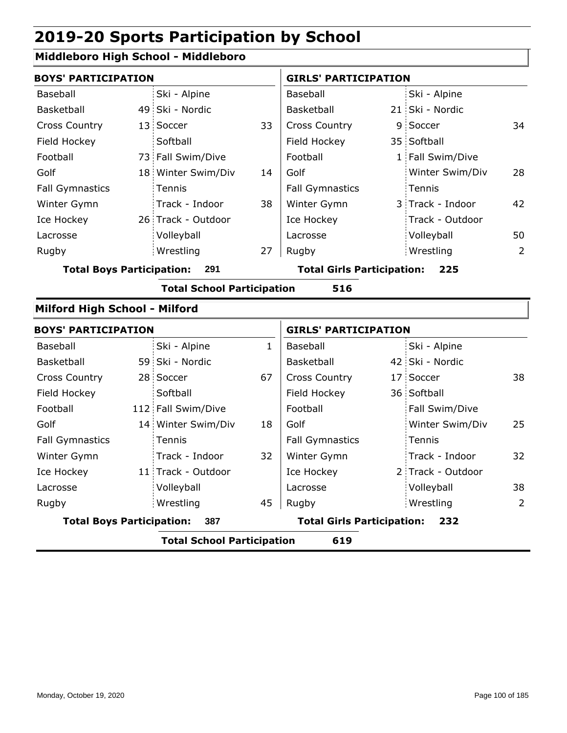### **Middleboro High School - Middleboro**

| <b>BOYS' PARTICIPATION</b>       |                                   |              | <b>GIRLS' PARTICIPATION</b>       |  |                   |                |
|----------------------------------|-----------------------------------|--------------|-----------------------------------|--|-------------------|----------------|
| <b>Baseball</b>                  | Ski - Alpine                      |              | Baseball                          |  | Ski - Alpine      |                |
| Basketball                       | 49 Ski - Nordic                   |              | Basketball                        |  | 21 Ski - Nordic   |                |
| <b>Cross Country</b>             | 13 Soccer                         | 33           | Cross Country                     |  | 9 Soccer          | 34             |
| Field Hockey                     | Softball                          |              | Field Hockey                      |  | 35 Softball       |                |
| Football                         | 73 Fall Swim/Dive                 |              | Football                          |  | 1 Fall Swim/Dive  |                |
| Golf                             | 18 Winter Swim/Div                | 14           | Golf                              |  | Winter Swim/Div   | 28             |
| <b>Fall Gymnastics</b>           | Tennis                            |              | <b>Fall Gymnastics</b>            |  | Tennis            |                |
| Winter Gymn                      | Track - Indoor                    | 38           | Winter Gymn                       |  | 3 Track - Indoor  | 42             |
| Ice Hockey                       | 26 Track - Outdoor                |              | Ice Hockey                        |  | Track - Outdoor   |                |
| Lacrosse                         | Volleyball                        |              | Lacrosse                          |  | Volleyball        | 50             |
| Rugby                            | Wrestling                         | 27           | Rugby                             |  | Wrestling         | $\overline{2}$ |
| <b>Total Boys Participation:</b> | 291                               |              | <b>Total Girls Participation:</b> |  | 225               |                |
|                                  | <b>Total School Participation</b> |              | 516                               |  |                   |                |
| Milford High School - Milford    |                                   |              |                                   |  |                   |                |
| <b>BOYS' PARTICIPATION</b>       |                                   |              | <b>GIRLS' PARTICIPATION</b>       |  |                   |                |
| Baseball                         | Ski - Alpine                      | $\mathbf{1}$ | Baseball                          |  | Ski - Alpine      |                |
| Basketball                       |                                   |              |                                   |  |                   |                |
|                                  | 59 Ski - Nordic                   |              | Basketball                        |  | 42 Ski - Nordic   |                |
| <b>Cross Country</b>             | 28 Soccer                         | 67           | Cross Country                     |  | 17 Soccer         | 38             |
| Field Hockey                     | Softball                          |              | Field Hockey                      |  | 36 Softball       |                |
| Football                         | 112 Fall Swim/Dive                |              | Football                          |  | Fall Swim/Dive    |                |
| Golf                             | 14 Winter Swim/Div                | 18           | Golf                              |  | Winter Swim/Div   | 25             |
| <b>Fall Gymnastics</b>           | Tennis                            |              | <b>Fall Gymnastics</b>            |  | Tennis            |                |
| Winter Gymn                      | Track - Indoor                    | 32           | Winter Gymn                       |  | Track - Indoor    | 32             |
| Ice Hockey                       | 11 Track - Outdoor                |              | Ice Hockey                        |  | 2 Track - Outdoor |                |
| Lacrosse                         | Volleyball                        |              | Lacrosse                          |  | Volleyball        | 38             |
| Rugby                            | Wrestling                         | 45           | Rugby                             |  | Wrestling         | $\overline{2}$ |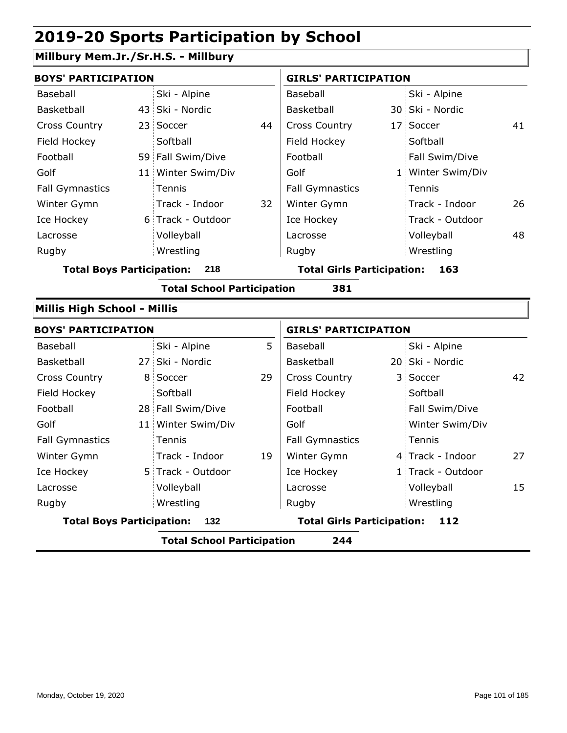### **Millbury Mem.Jr./Sr.H.S. - Millbury**

| <b>BOYS' PARTICIPATION</b>       |                    |    | <b>GIRLS' PARTICIPATION</b>       |  |                   |    |  |
|----------------------------------|--------------------|----|-----------------------------------|--|-------------------|----|--|
| Baseball                         | Ski - Alpine       |    | Baseball                          |  | Ski - Alpine      |    |  |
| Basketball                       | 43 Ski - Nordic    |    | Basketball                        |  | 30 Ski - Nordic   |    |  |
| <b>Cross Country</b>             | 23 Soccer          | 44 | <b>Cross Country</b>              |  | 17 Soccer         | 41 |  |
| Field Hockey                     | Softball           |    | Field Hockey                      |  | Softball          |    |  |
| Football                         | 59 Fall Swim/Dive  |    | Football                          |  | Fall Swim/Dive    |    |  |
| Golf                             | 11 Winter Swim/Div |    | Golf                              |  | 1 Winter Swim/Div |    |  |
| <b>Fall Gymnastics</b>           | Tennis             |    | <b>Fall Gymnastics</b>            |  | Tennis            |    |  |
| Winter Gymn                      | Track - Indoor     | 32 | Winter Gymn                       |  | Track - Indoor    | 26 |  |
| Ice Hockey                       | 6 Track - Outdoor  |    | Ice Hockey                        |  | Track - Outdoor   |    |  |
| Lacrosse                         | Volleyball         |    | Lacrosse                          |  | Volleyball        | 48 |  |
| Rugby                            | Wrestling          |    | Rugby                             |  | Wrestling         |    |  |
| <b>Total Boys Participation:</b> | 218                |    | <b>Total Girls Participation:</b> |  | 163               |    |  |

**Total School Participation 381**

#### **Millis High School - Millis**

| <b>BOYS' PARTICIPATION</b>       |                                          |                    |    |                                   | <b>GIRLS' PARTICIPATION</b> |                   |    |  |  |
|----------------------------------|------------------------------------------|--------------------|----|-----------------------------------|-----------------------------|-------------------|----|--|--|
| Baseball                         |                                          | Ski - Alpine       | 5  | Baseball                          |                             | Ski - Alpine      |    |  |  |
| Basketball                       |                                          | 27 Ski - Nordic    |    | Basketball                        |                             | 20 Ski - Nordic   |    |  |  |
| <b>Cross Country</b>             |                                          | 8 Soccer           | 29 | <b>Cross Country</b>              |                             | 3 Soccer          | 42 |  |  |
| Field Hockey                     |                                          | Softball           |    | Field Hockey                      |                             | Softball          |    |  |  |
| Football                         |                                          | 28 Fall Swim/Dive  |    | Football                          |                             | Fall Swim/Dive    |    |  |  |
| Golf                             |                                          | 11 Winter Swim/Div |    | Golf                              |                             | Winter Swim/Div   |    |  |  |
| <b>Fall Gymnastics</b>           |                                          | <b>Tennis</b>      |    | <b>Fall Gymnastics</b>            |                             | Tennis            |    |  |  |
| Winter Gymn                      |                                          | Track - Indoor     | 19 | Winter Gymn                       |                             | 4 Track - Indoor  | 27 |  |  |
| Ice Hockey                       |                                          | 5 Track - Outdoor  |    | Ice Hockey                        |                             | 1 Track - Outdoor |    |  |  |
| Lacrosse                         |                                          | Volleyball         |    | Lacrosse                          |                             | Volleyball        | 15 |  |  |
| Rugby                            |                                          | Wrestling          |    | Rugby                             |                             | Wrestling         |    |  |  |
| <b>Total Boys Participation:</b> |                                          | 132                |    | <b>Total Girls Participation:</b> |                             | 112               |    |  |  |
|                                  | 244<br><b>Total School Participation</b> |                    |    |                                   |                             |                   |    |  |  |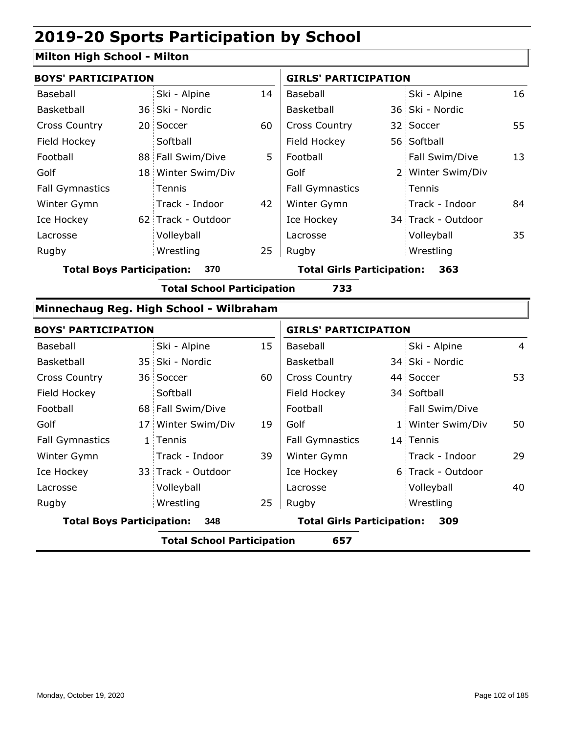#### **Milton High School - Milton**

|                            | <b>BOYS' PARTICIPATION</b> |                    |    | <b>GIRLS' PARTICIPATION</b> |  |                    |    |
|----------------------------|----------------------------|--------------------|----|-----------------------------|--|--------------------|----|
| Baseball                   |                            | Ski - Alpine       | 14 | Baseball                    |  | Ski - Alpine       | 16 |
| Basketball                 |                            | 36 Ski - Nordic    |    | <b>Basketball</b>           |  | 36 Ski - Nordic    |    |
| <b>Cross Country</b>       |                            | 20 Soccer          | 60 | <b>Cross Country</b>        |  | 32 Soccer          | 55 |
| Field Hockey               |                            | Softball           |    | Field Hockey                |  | 56 Softball        |    |
| Football                   |                            | 88 Fall Swim/Dive  | 5  | Football                    |  | Fall Swim/Dive     | 13 |
| Golf                       |                            | 18 Winter Swim/Div |    | Golf                        |  | 2 Winter Swim/Div  |    |
| <b>Fall Gymnastics</b>     |                            | Tennis             |    | <b>Fall Gymnastics</b>      |  | Tennis             |    |
| Winter Gymn                |                            | Track - Indoor     | 42 | Winter Gymn                 |  | Track - Indoor     | 84 |
| Ice Hockey                 |                            | 62 Track - Outdoor |    | Ice Hockey                  |  | 34 Track - Outdoor |    |
| Lacrosse                   |                            | Volleyball         |    | Lacrosse                    |  | Volleyball         | 35 |
| Rugby                      |                            | Wrestling          | 25 | Rugby                       |  | Wrestling          |    |
| Tatal Davis Davtisination: |                            | הדפ                |    | Tatal Cirle Bartisination:  |  | , , ,              |    |

**Total Boys Participation: 370 Total Girls Participation: 363**

**Total School Participation 733**

#### **Minnechaug Reg. High School - Wilbraham**

|                                         | <b>BOYS' PARTICIPATION</b> |                                   |    | <b>GIRLS' PARTICIPATION</b> |  |                   |                |
|-----------------------------------------|----------------------------|-----------------------------------|----|-----------------------------|--|-------------------|----------------|
| Baseball                                |                            | Ski - Alpine                      | 15 | Baseball                    |  | Ski - Alpine      | $\overline{4}$ |
| <b>Basketball</b>                       |                            | 35 Ski - Nordic                   |    | Basketball                  |  | 34 Ski - Nordic   |                |
| <b>Cross Country</b>                    |                            | 36 Soccer                         | 60 | <b>Cross Country</b>        |  | 44 Soccer         | 53             |
| Field Hockey                            |                            | Softball                          |    | Field Hockey                |  | 34 Softball       |                |
| Football                                |                            | 68 Fall Swim/Dive                 |    | Football                    |  | Fall Swim/Dive    |                |
| Golf                                    |                            | 17 Winter Swim/Div                | 19 | Golf                        |  | 1 Winter Swim/Div | 50             |
| <b>Fall Gymnastics</b>                  |                            | 1 Tennis                          |    | <b>Fall Gymnastics</b>      |  | 14 Tennis         |                |
| Winter Gymn                             |                            | Track - Indoor                    | 39 | Winter Gymn                 |  | Track - Indoor    | 29             |
| Ice Hockey                              |                            | 33 Track - Outdoor                |    | Ice Hockey                  |  | 6 Track - Outdoor |                |
| Lacrosse                                |                            | Volleyball                        |    | Lacrosse                    |  | Volleyball        | 40             |
| Rugby                                   |                            | Wrestling                         | 25 | Rugby                       |  | Wrestling         |                |
| <b>Total Boys Participation:</b><br>348 |                            | <b>Total Girls Participation:</b> |    | 309                         |  |                   |                |
|                                         |                            | <b>Total School Participation</b> |    | 657                         |  |                   |                |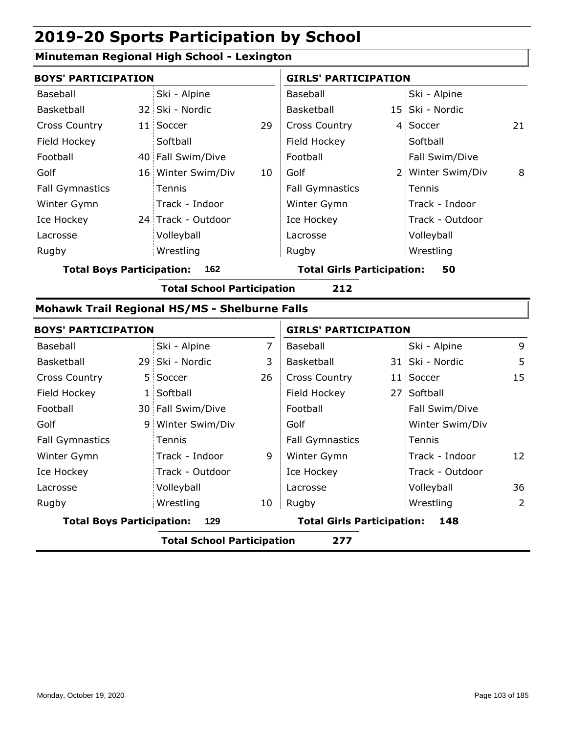### **Minuteman Regional High School - Lexington**

| <b>BOYS' PARTICIPATION</b>       |                                                      |                | <b>GIRLS' PARTICIPATION</b>             |  |                   |    |  |
|----------------------------------|------------------------------------------------------|----------------|-----------------------------------------|--|-------------------|----|--|
| Baseball                         | Ski - Alpine                                         |                | Baseball                                |  | Ski - Alpine      |    |  |
| Basketball                       | 32 Ski - Nordic                                      |                | Basketball                              |  | 15 Ski - Nordic   |    |  |
| Cross Country                    | 11 Soccer                                            | 29             | Cross Country                           |  | 4 Soccer          | 21 |  |
| Field Hockey                     | Softball                                             |                | Field Hockey                            |  | Softball          |    |  |
| Football                         | 40 Fall Swim/Dive                                    |                | Football                                |  | Fall Swim/Dive    |    |  |
| Golf                             | 16 Winter Swim/Div                                   | 10             | Golf                                    |  | 2 Winter Swim/Div | 8  |  |
| <b>Fall Gymnastics</b>           | Tennis                                               |                | <b>Fall Gymnastics</b>                  |  | Tennis            |    |  |
| Winter Gymn                      | Track - Indoor                                       |                | Winter Gymn                             |  | Track - Indoor    |    |  |
| Ice Hockey                       | 24 Track - Outdoor                                   |                | Ice Hockey                              |  | Track - Outdoor   |    |  |
| Lacrosse                         | Volleyball                                           |                | Lacrosse                                |  | Volleyball        |    |  |
| Rugby                            | Wrestling                                            |                | Rugby                                   |  | Wrestling         |    |  |
| <b>Total Boys Participation:</b> | 162                                                  |                | <b>Total Girls Participation:</b><br>50 |  |                   |    |  |
|                                  | <b>Total School Participation</b>                    |                | 212                                     |  |                   |    |  |
|                                  | <b>Mohawk Trail Regional HS/MS - Shelburne Falls</b> |                |                                         |  |                   |    |  |
| <b>BOYS' PARTICIPATION</b>       |                                                      |                | <b>GIRLS' PARTICIPATION</b>             |  |                   |    |  |
| Baseball                         | Ski - Alpine                                         | $\overline{7}$ | Baseball                                |  | Ski - Alpine      | 9  |  |
| Basketball                       | 29 Ski - Nordic                                      | 3              | Basketball                              |  | 31 Ski - Nordic   | 5  |  |
| Cross Country                    | 5 Soccer                                             | 26             | <b>Cross Country</b>                    |  | 11 Soccer         | 15 |  |
| Field Hockey                     | 1 Softball                                           |                | Field Hockey                            |  | 27 Softball       |    |  |
|                                  |                                                      |                |                                         |  |                   |    |  |

| <b>Total Boys Participation:</b><br>129 |  |                   | <b>Total Girls Participation:</b> | 148                    |                 |    |
|-----------------------------------------|--|-------------------|-----------------------------------|------------------------|-----------------|----|
| Rugby                                   |  | Wrestling         | 10                                | Rugby                  | Wrestling       | 2  |
| Lacrosse                                |  | Volleyball        |                                   | Lacrosse               | Volleyball      | 36 |
| Ice Hockey                              |  | Track - Outdoor   |                                   | Ice Hockey             | Track - Outdoor |    |
| Winter Gymn                             |  | Track - Indoor    | 9                                 | Winter Gymn            | Track - Indoor  | 12 |
| <b>Fall Gymnastics</b>                  |  | Tennis            |                                   | <b>Fall Gymnastics</b> | Tennis          |    |
| Golf                                    |  | 9 Winter Swim/Div |                                   | Golf                   | Winter Swim/Div |    |
| Football                                |  | 30 Fall Swim/Dive |                                   | Football               | Fall Swim/Dive  |    |
| Field Hockey                            |  | 1 Softball        |                                   | Field Hockey           | 27 Softball     |    |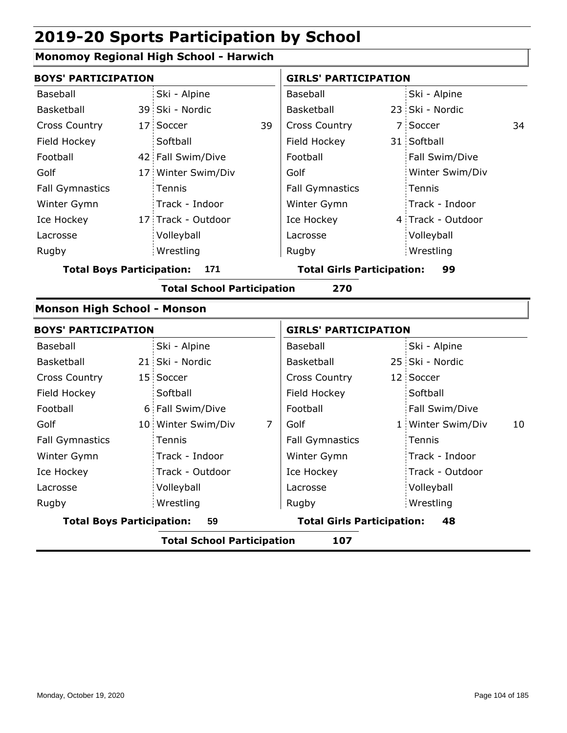### **Monomoy Regional High School - Harwich**

|                                    | <b>BOYS' PARTICIPATION</b>               |                                   |                | <b>GIRLS' PARTICIPATION</b>       |  |                   |    |  |
|------------------------------------|------------------------------------------|-----------------------------------|----------------|-----------------------------------|--|-------------------|----|--|
| <b>Baseball</b>                    |                                          | Ski - Alpine                      |                | <b>Baseball</b>                   |  | Ski - Alpine      |    |  |
| Basketball                         |                                          | 39 Ski - Nordic                   |                | Basketball                        |  | 23 Ski - Nordic   |    |  |
| <b>Cross Country</b>               |                                          | 17 Soccer                         | 39             | <b>Cross Country</b>              |  | 7 Soccer          | 34 |  |
| Field Hockey                       |                                          | Softball                          |                | Field Hockey                      |  | 31 Softball       |    |  |
| Football                           |                                          | 42 Fall Swim/Dive                 |                | Football                          |  | Fall Swim/Dive    |    |  |
| Golf                               |                                          | 17 Winter Swim/Div                |                | Golf                              |  | Winter Swim/Div   |    |  |
| <b>Fall Gymnastics</b>             |                                          | Tennis                            |                | <b>Fall Gymnastics</b>            |  | Tennis            |    |  |
| Winter Gymn                        |                                          | Track - Indoor                    |                | Winter Gymn                       |  | Track - Indoor    |    |  |
| Ice Hockey                         |                                          | 17 Track - Outdoor                |                | Ice Hockey                        |  | 4 Track - Outdoor |    |  |
| Lacrosse                           |                                          | Volleyball                        |                | Lacrosse                          |  | Volleyball        |    |  |
| Rugby                              |                                          | Wrestling                         |                | Rugby                             |  | Wrestling         |    |  |
| <b>Total Boys Participation:</b>   |                                          | 171                               |                | <b>Total Girls Participation:</b> |  | 99                |    |  |
|                                    | <b>Total School Participation</b><br>270 |                                   |                |                                   |  |                   |    |  |
| <b>Monson High School - Monson</b> |                                          |                                   |                |                                   |  |                   |    |  |
| <b>BOYS' PARTICIPATION</b>         |                                          |                                   |                | <b>GIRLS' PARTICIPATION</b>       |  |                   |    |  |
| Baseball                           |                                          | Ski - Alpine                      |                | Baseball                          |  | Ski - Alpine      |    |  |
| Basketball                         |                                          | 21 Ski - Nordic                   |                | <b>Basketball</b>                 |  | 25 Ski - Nordic   |    |  |
| <b>Cross Country</b>               |                                          | 15 Soccer                         |                | <b>Cross Country</b>              |  | 12 Soccer         |    |  |
| Field Hockey                       |                                          | Softball                          |                | Field Hockey                      |  | Softball          |    |  |
| Football                           |                                          | 6 Fall Swim/Dive                  |                | Football                          |  | Fall Swim/Dive    |    |  |
| Golf                               |                                          | 10 Winter Swim/Div                | $\overline{7}$ | Golf                              |  | 1 Winter Swim/Div | 10 |  |
| <b>Fall Gymnastics</b>             |                                          | Tennis                            |                | <b>Fall Gymnastics</b>            |  | Tennis            |    |  |
| Winter Gymn                        |                                          | Track - Indoor                    |                | Winter Gymn                       |  | Track - Indoor    |    |  |
| Ice Hockey                         |                                          | Track - Outdoor                   |                | Ice Hockey                        |  | Track - Outdoor   |    |  |
| Lacrosse                           |                                          | Volleyball                        |                | Lacrosse                          |  | Volleyball        |    |  |
| Rugby                              |                                          | Wrestling                         |                | Rugby                             |  | Wrestling         |    |  |
| <b>Total Boys Participation:</b>   |                                          | 59                                |                | <b>Total Girls Participation:</b> |  | 48                |    |  |
|                                    |                                          | <b>Total School Participation</b> |                | 107                               |  |                   |    |  |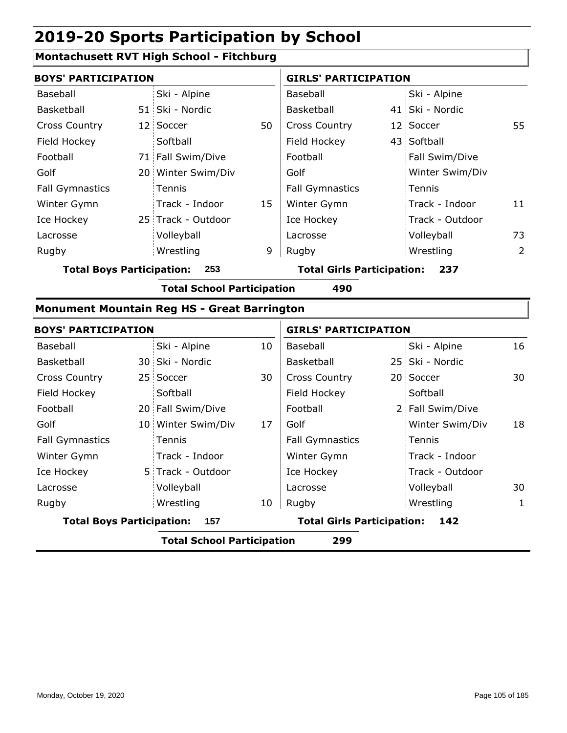#### **Montachusett RVT High School - Fitchburg**

| <b>BOYS' PARTICIPATION</b> |                    |    | <b>GIRLS' PARTICIPATION</b> |  |                 |    |
|----------------------------|--------------------|----|-----------------------------|--|-----------------|----|
| Baseball                   | Ski - Alpine       |    | Baseball                    |  | Ski - Alpine    |    |
| Basketball                 | 51 Ski - Nordic    |    | <b>Basketball</b>           |  | 41 Ski - Nordic |    |
| <b>Cross Country</b>       | 12 Soccer          | 50 | <b>Cross Country</b>        |  | 12 Soccer       | 55 |
| Field Hockey               | Softball           |    | Field Hockey                |  | 43 Softball     |    |
| Football                   | 71 Fall Swim/Dive  |    | Football                    |  | Fall Swim/Dive  |    |
| Golf                       | 20 Winter Swim/Div |    | Golf                        |  | Winter Swim/Div |    |
| <b>Fall Gymnastics</b>     | Tennis             |    | <b>Fall Gymnastics</b>      |  | Tennis          |    |
| Winter Gymn                | Track - Indoor     | 15 | Winter Gymn                 |  | Track - Indoor  | 11 |
| Ice Hockey                 | 25 Track - Outdoor |    | Ice Hockey                  |  | Track - Outdoor |    |
| Lacrosse                   | Volleyball         |    | Lacrosse                    |  | Volleyball      | 73 |
| Rugby                      | Wrestling          | 9  | Rugby                       |  | Wrestling       | 2  |

**Total Boys Participation: 253 Total Girls Participation: 237**

**Total School Participation 490**

#### **Monument Mountain Reg HS - Great Barrington**

|                                         | <b>BOYS' PARTICIPATION</b>               |                                          |    | <b>GIRLS' PARTICIPATION</b> |  |                  |    |  |
|-----------------------------------------|------------------------------------------|------------------------------------------|----|-----------------------------|--|------------------|----|--|
| Baseball                                |                                          | Ski - Alpine                             | 10 | Baseball                    |  | Ski - Alpine     | 16 |  |
| Basketball                              |                                          | 30 Ski - Nordic                          |    | Basketball                  |  | 25 Ski - Nordic  |    |  |
| <b>Cross Country</b>                    |                                          | 25 Soccer                                | 30 | <b>Cross Country</b>        |  | 20 Soccer        | 30 |  |
| Field Hockey                            |                                          | Softball                                 |    | Field Hockey                |  | Softball         |    |  |
| Football                                |                                          | 20 Fall Swim/Dive                        |    | Football                    |  | 2 Fall Swim/Dive |    |  |
| Golf                                    |                                          | 10 Winter Swim/Div                       | 17 | Golf                        |  | Winter Swim/Div  | 18 |  |
| <b>Fall Gymnastics</b>                  |                                          | <b>Tennis</b>                            |    | <b>Fall Gymnastics</b>      |  | : Tennis         |    |  |
| Winter Gymn                             |                                          | Track - Indoor                           |    | Winter Gymn                 |  | Track - Indoor   |    |  |
| Ice Hockey                              |                                          | 5 Track - Outdoor                        |    | Ice Hockey                  |  | Track - Outdoor  |    |  |
| Lacrosse                                |                                          | Volleyball                               |    | Lacrosse                    |  | Volleyball       | 30 |  |
| Rugby                                   |                                          | Wrestling                                | 10 | Rugby                       |  | Wrestling        | 1  |  |
| <b>Total Boys Participation:</b><br>157 |                                          | <b>Total Girls Participation:</b><br>142 |    |                             |  |                  |    |  |
|                                         | <b>Total School Participation</b><br>299 |                                          |    |                             |  |                  |    |  |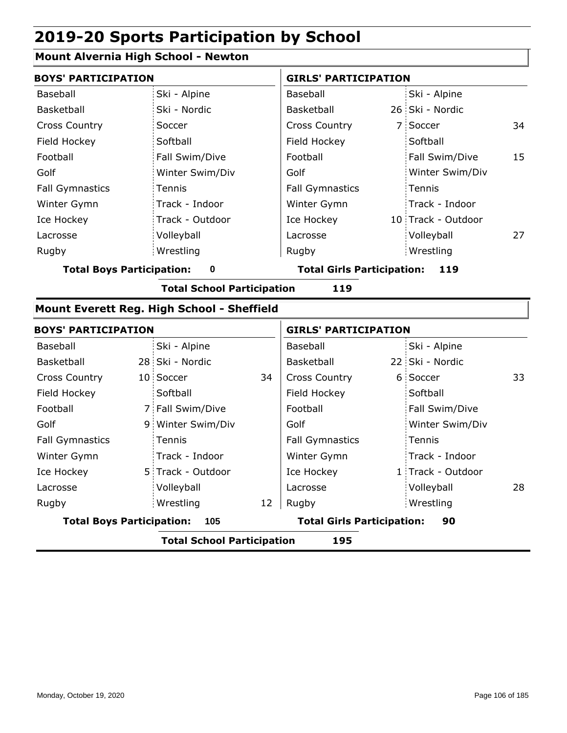#### **Mount Alvernia High School - Newton**

| <b>BOYS' PARTICIPATION</b>            |                 | <b>GIRLS' PARTICIPATION</b>       |                    |    |  |
|---------------------------------------|-----------------|-----------------------------------|--------------------|----|--|
| Baseball                              | Ski - Alpine    | Baseball                          | Ski - Alpine       |    |  |
| Basketball                            | Ski - Nordic    | Basketball                        | 26 Ski - Nordic    |    |  |
| <b>Cross Country</b>                  | Soccer          | <b>Cross Country</b>              | 7 Soccer           | 34 |  |
| Field Hockey                          | Softball        | Field Hockey                      | Softball           |    |  |
| Football                              | Fall Swim/Dive  | Football                          | Fall Swim/Dive     | 15 |  |
| Golf                                  | Winter Swim/Div | Golf                              | Winter Swim/Div    |    |  |
| <b>Fall Gymnastics</b>                | Tennis          | <b>Fall Gymnastics</b>            | Tennis             |    |  |
| Winter Gymn                           | Track - Indoor  | Winter Gymn                       | Track - Indoor     |    |  |
| Ice Hockey                            | Track - Outdoor | Ice Hockey                        | 10 Track - Outdoor |    |  |
| Lacrosse                              | Volleyball      | Lacrosse                          | Volleyball         | 27 |  |
| Rugby                                 | Wrestling       | Rugby                             | Wrestling          |    |  |
| <b>Total Boys Participation:</b><br>0 |                 | <b>Total Girls Participation:</b> | 119                |    |  |

**Total School Participation 119**

#### **Mount Everett Reg. High School - Sheffield**

| <b>BOYS' PARTICIPATION</b>              |                                          |                                         |    | <b>GIRLS' PARTICIPATION</b> |  |                   |    |  |
|-----------------------------------------|------------------------------------------|-----------------------------------------|----|-----------------------------|--|-------------------|----|--|
| Baseball                                |                                          | Ski - Alpine                            |    | Baseball                    |  | Ski - Alpine      |    |  |
| <b>Basketball</b>                       |                                          | 28 Ski - Nordic                         |    | <b>Basketball</b>           |  | 22 Ski - Nordic   |    |  |
| <b>Cross Country</b>                    |                                          | 10 Soccer                               | 34 | <b>Cross Country</b>        |  | 6 Soccer          | 33 |  |
| Field Hockey                            |                                          | Softball                                |    | Field Hockey                |  | Softball          |    |  |
| Football                                |                                          | 7 Fall Swim/Dive                        |    | Football                    |  | Fall Swim/Dive    |    |  |
| Golf                                    |                                          | 9 Winter Swim/Div                       |    | Golf                        |  | Winter Swim/Div   |    |  |
| <b>Fall Gymnastics</b>                  |                                          | Tennis                                  |    | <b>Fall Gymnastics</b>      |  | Tennis            |    |  |
| Winter Gymn                             |                                          | Track - Indoor                          |    | Winter Gymn                 |  | Track - Indoor    |    |  |
| Ice Hockey                              |                                          | 5 Track - Outdoor                       |    | Ice Hockey                  |  | 1 Track - Outdoor |    |  |
| Lacrosse                                |                                          | Volleyball                              |    | Lacrosse                    |  | Volleyball        | 28 |  |
| Rugby                                   |                                          | Wrestling                               | 12 | Rugby                       |  | Wrestling         |    |  |
| <b>Total Boys Participation:</b><br>105 |                                          | <b>Total Girls Participation:</b><br>90 |    |                             |  |                   |    |  |
|                                         | <b>Total School Participation</b><br>195 |                                         |    |                             |  |                   |    |  |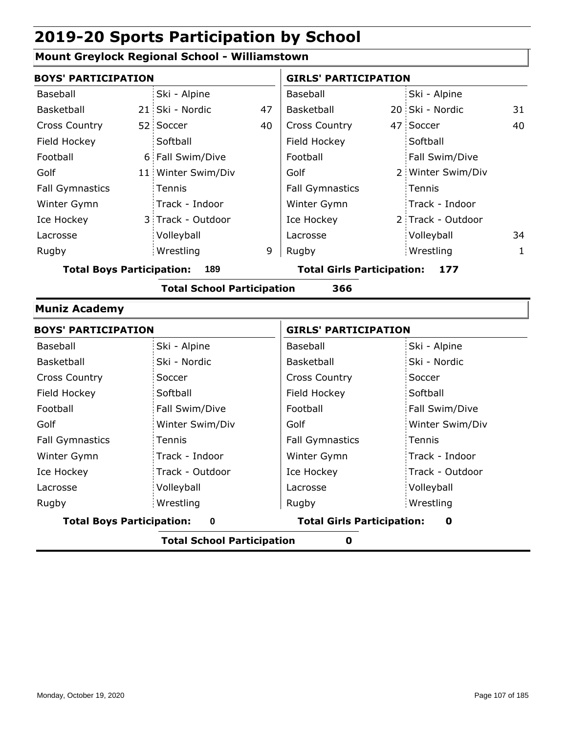#### **Mount Greylock Regional School - Williamstown**

| <b>BOYS' PARTICIPATION</b>              |  |                    |                                          | <b>GIRLS' PARTICIPATION</b> |  |                   |    |
|-----------------------------------------|--|--------------------|------------------------------------------|-----------------------------|--|-------------------|----|
| Baseball                                |  | Ski - Alpine       |                                          | Baseball                    |  | Ski - Alpine      |    |
| Basketball                              |  | 21 Ski - Nordic    | 47                                       | Basketball                  |  | 20 Ski - Nordic   | 31 |
| <b>Cross Country</b>                    |  | 52 Soccer          | 40                                       | <b>Cross Country</b>        |  | 47 Soccer         | 40 |
| Field Hockey                            |  | Softball           |                                          | Field Hockey                |  | Softball          |    |
| Football                                |  | 6 Fall Swim/Dive   |                                          | Football                    |  | Fall Swim/Dive    |    |
| Golf                                    |  | 11 Winter Swim/Div |                                          | Golf                        |  | 2 Winter Swim/Div |    |
| <b>Fall Gymnastics</b>                  |  | Tennis             |                                          | <b>Fall Gymnastics</b>      |  | Tennis            |    |
| Winter Gymn                             |  | Track - Indoor     |                                          | Winter Gymn                 |  | Track - Indoor    |    |
| Ice Hockey                              |  | 3 Track - Outdoor  |                                          | Ice Hockey                  |  | 2 Track - Outdoor |    |
| Lacrosse                                |  | Volleyball         |                                          | Lacrosse                    |  | Volleyball        | 34 |
| Rugby                                   |  | Wrestling          | 9                                        | Rugby                       |  | Wrestling         | 1  |
| <b>Total Boys Participation:</b><br>189 |  |                    | <b>Total Girls Participation:</b><br>177 |                             |  |                   |    |

#### **Total School Participation 366**

#### **Muniz Academy**

| <b>BOYS' PARTICIPATION</b>       |                 | <b>GIRLS' PARTICIPATION</b>            |                 |  |  |
|----------------------------------|-----------------|----------------------------------------|-----------------|--|--|
| Baseball                         | Ski - Alpine    | Baseball                               | Ski - Alpine    |  |  |
| Basketball                       | Ski - Nordic    | Basketball                             | Ski - Nordic    |  |  |
| <b>Cross Country</b>             | Soccer          | <b>Cross Country</b>                   | Soccer          |  |  |
| Field Hockey                     | Softball        | Field Hockey                           | Softball        |  |  |
| Football                         | Fall Swim/Dive  | Football                               | Fall Swim/Dive  |  |  |
| Golf                             | Winter Swim/Div | Golf                                   | Winter Swim/Div |  |  |
| <b>Fall Gymnastics</b>           | Tennis          | <b>Fall Gymnastics</b>                 | Tennis          |  |  |
| Winter Gymn                      | Track - Indoor  | Winter Gymn                            | Track - Indoor  |  |  |
| Ice Hockey                       | Track - Outdoor | Ice Hockey                             | Track - Outdoor |  |  |
| Lacrosse                         | Volleyball      | Lacrosse                               | Volleyball      |  |  |
| Rugby                            | Wrestling       | Rugby                                  | Wrestling       |  |  |
| <b>Total Boys Participation:</b> | $\bf{0}$        | <b>Total Girls Participation:</b><br>0 |                 |  |  |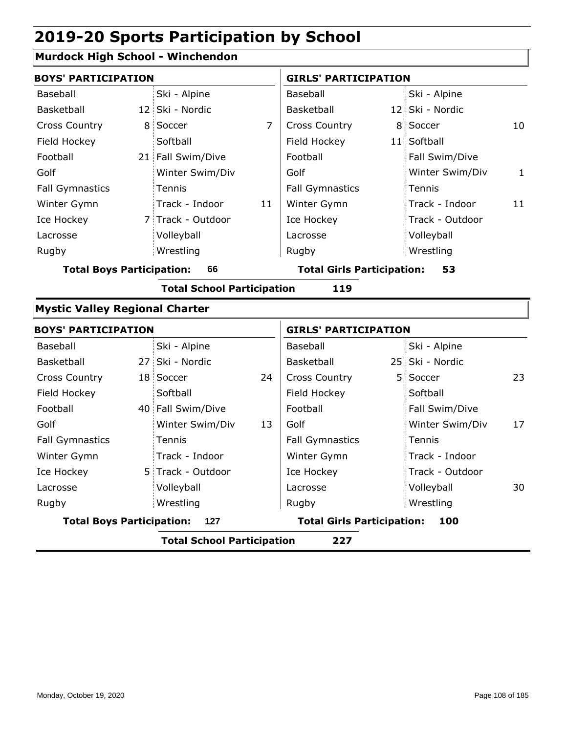### **Murdock High School - Winchendon**

| Ski - Alpine    |                                                                                                                                                                                                                                                                                                                              | Baseball               |                                                                        | Ski - Alpine    |                                                                                                                                                                                                                   |
|-----------------|------------------------------------------------------------------------------------------------------------------------------------------------------------------------------------------------------------------------------------------------------------------------------------------------------------------------------|------------------------|------------------------------------------------------------------------|-----------------|-------------------------------------------------------------------------------------------------------------------------------------------------------------------------------------------------------------------|
|                 |                                                                                                                                                                                                                                                                                                                              | Basketball             |                                                                        |                 |                                                                                                                                                                                                                   |
|                 | 7                                                                                                                                                                                                                                                                                                                            | <b>Cross Country</b>   |                                                                        |                 | 10                                                                                                                                                                                                                |
| Softball        |                                                                                                                                                                                                                                                                                                                              | Field Hockey           |                                                                        |                 |                                                                                                                                                                                                                   |
|                 |                                                                                                                                                                                                                                                                                                                              | Football               |                                                                        | Fall Swim/Dive  |                                                                                                                                                                                                                   |
| Winter Swim/Div |                                                                                                                                                                                                                                                                                                                              | Golf                   |                                                                        | Winter Swim/Div | $\mathbf{1}$                                                                                                                                                                                                      |
| Tennis          |                                                                                                                                                                                                                                                                                                                              | <b>Fall Gymnastics</b> |                                                                        | Tennis          |                                                                                                                                                                                                                   |
| Track - Indoor  | 11                                                                                                                                                                                                                                                                                                                           | Winter Gymn            |                                                                        | Track - Indoor  | 11                                                                                                                                                                                                                |
|                 |                                                                                                                                                                                                                                                                                                                              | Ice Hockey             |                                                                        | Track - Outdoor |                                                                                                                                                                                                                   |
| Volleyball      |                                                                                                                                                                                                                                                                                                                              | Lacrosse               |                                                                        | Volleyball      |                                                                                                                                                                                                                   |
| Wrestling       |                                                                                                                                                                                                                                                                                                                              | Rugby                  |                                                                        | Wrestling       |                                                                                                                                                                                                                   |
| 66              |                                                                                                                                                                                                                                                                                                                              |                        |                                                                        | 53              |                                                                                                                                                                                                                   |
|                 |                                                                                                                                                                                                                                                                                                                              | 119                    |                                                                        |                 |                                                                                                                                                                                                                   |
|                 |                                                                                                                                                                                                                                                                                                                              |                        |                                                                        |                 |                                                                                                                                                                                                                   |
|                 |                                                                                                                                                                                                                                                                                                                              |                        |                                                                        |                 |                                                                                                                                                                                                                   |
| Ski - Alpine    |                                                                                                                                                                                                                                                                                                                              | Baseball               |                                                                        | Ski - Alpine    |                                                                                                                                                                                                                   |
|                 |                                                                                                                                                                                                                                                                                                                              | Basketball             |                                                                        |                 |                                                                                                                                                                                                                   |
|                 | 24                                                                                                                                                                                                                                                                                                                           | <b>Cross Country</b>   |                                                                        |                 | 23                                                                                                                                                                                                                |
| Softball        |                                                                                                                                                                                                                                                                                                                              | Field Hockey           |                                                                        | Softball        |                                                                                                                                                                                                                   |
|                 |                                                                                                                                                                                                                                                                                                                              | Football               |                                                                        | Fall Swim/Dive  |                                                                                                                                                                                                                   |
| Winter Swim/Div | 13                                                                                                                                                                                                                                                                                                                           | Golf                   |                                                                        | Winter Swim/Div | 17                                                                                                                                                                                                                |
| Tennis          |                                                                                                                                                                                                                                                                                                                              | <b>Fall Gymnastics</b> |                                                                        | Tennis          |                                                                                                                                                                                                                   |
| Track - Indoor  |                                                                                                                                                                                                                                                                                                                              | Winter Gymn            |                                                                        | Track - Indoor  |                                                                                                                                                                                                                   |
|                 |                                                                                                                                                                                                                                                                                                                              | Ice Hockey             |                                                                        | Track - Outdoor |                                                                                                                                                                                                                   |
| Volleyball      |                                                                                                                                                                                                                                                                                                                              | Lacrosse               |                                                                        | Volleyball      | 30                                                                                                                                                                                                                |
| Wrestling       |                                                                                                                                                                                                                                                                                                                              | Rugby                  |                                                                        | Wrestling       |                                                                                                                                                                                                                   |
| 127             |                                                                                                                                                                                                                                                                                                                              |                        |                                                                        | 100             |                                                                                                                                                                                                                   |
|                 |                                                                                                                                                                                                                                                                                                                              | 227                    |                                                                        |                 |                                                                                                                                                                                                                   |
|                 | <b>BOYS' PARTICIPATION</b><br>12 Ski - Nordic<br>8 Soccer<br>21 Fall Swim/Dive<br>7 Track - Outdoor<br><b>Total Boys Participation:</b><br><b>Mystic Valley Regional Charter</b><br><b>BOYS' PARTICIPATION</b><br>27 Ski - Nordic<br>18 Soccer<br>40 Fall Swim/Dive<br>5 Track - Outdoor<br><b>Total Boys Participation:</b> |                        | <b>Total School Participation</b><br><b>Total School Participation</b> |                 | <b>GIRLS' PARTICIPATION</b><br>12 Ski - Nordic<br>8 Soccer<br>11 Softball<br><b>Total Girls Participation:</b><br><b>GIRLS' PARTICIPATION</b><br>25 Ski - Nordic<br>5 Soccer<br><b>Total Girls Participation:</b> |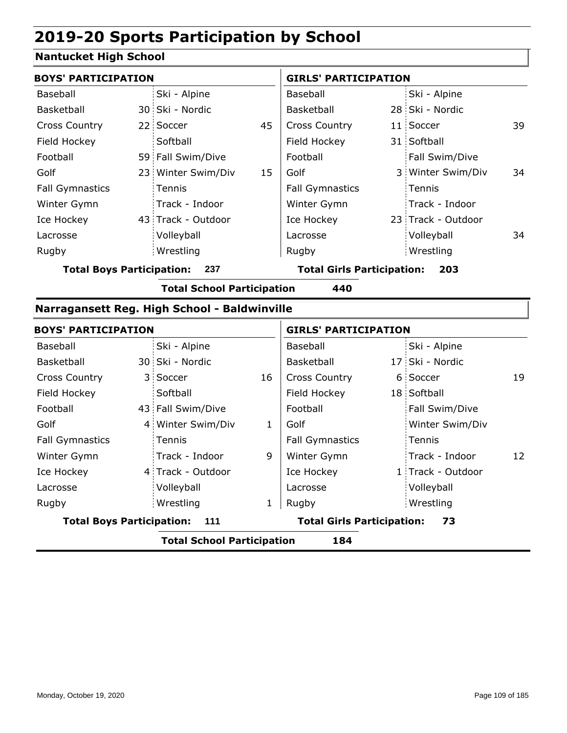### **Nantucket High School**

| <b>BOYS' PARTICIPATION</b>       |    |                                              |    | <b>GIRLS' PARTICIPATION</b>       |  |                    |    |
|----------------------------------|----|----------------------------------------------|----|-----------------------------------|--|--------------------|----|
| Baseball                         |    | Ski - Alpine                                 |    | Baseball                          |  | Ski - Alpine       |    |
| Basketball                       |    | 30 Ski - Nordic                              |    | Basketball                        |  | 28 Ski - Nordic    |    |
| <b>Cross Country</b>             |    | 22 Soccer                                    | 45 | Cross Country                     |  | 11 Soccer          | 39 |
| Field Hockey                     |    | Softball                                     |    | Field Hockey                      |  | 31 Softball        |    |
| Football                         |    | 59 Fall Swim/Dive                            |    | Football                          |  | Fall Swim/Dive     |    |
| Golf                             |    | 23 Winter Swim/Div                           | 15 | Golf                              |  | 3 Winter Swim/Div  | 34 |
| <b>Fall Gymnastics</b>           |    | Tennis                                       |    | <b>Fall Gymnastics</b>            |  | Tennis             |    |
| Winter Gymn                      |    | Track - Indoor                               |    | Winter Gymn                       |  | Track - Indoor     |    |
| Ice Hockey                       |    | 43 Track - Outdoor                           |    | Ice Hockey                        |  | 23 Track - Outdoor |    |
| Lacrosse                         |    | Volleyball                                   |    | Lacrosse                          |  | Volleyball         | 34 |
| Rugby                            |    | Wrestling                                    |    | Rugby                             |  | Wrestling          |    |
| <b>Total Boys Participation:</b> |    | 237                                          |    | <b>Total Girls Participation:</b> |  | 203                |    |
|                                  |    | <b>Total School Participation</b>            |    | 440                               |  |                    |    |
|                                  |    | Narragansett Reg. High School - Baldwinville |    |                                   |  |                    |    |
| <b>BOYS' PARTICIPATION</b>       |    |                                              |    | <b>GIRLS' PARTICIPATION</b>       |  |                    |    |
| Baseball                         |    | Ski - Alpine                                 |    | Baseball                          |  | Ski - Alpine       |    |
| Basketball                       |    | 30 Ski - Nordic                              |    | Basketball                        |  | 17 Ski - Nordic    |    |
| <b>Cross Country</b>             | 3. | Soccer                                       | 16 | <b>Cross Country</b>              |  | 6 Soccer           | 19 |
| Field Hockey                     |    | Softball                                     |    | Field Hockey                      |  | 18 Softball        |    |

|                                  | <b>Total School Participation</b> |   | 184                               |                   |    |
|----------------------------------|-----------------------------------|---|-----------------------------------|-------------------|----|
| <b>Total Boys Participation:</b> | 111                               |   | <b>Total Girls Participation:</b> | 73                |    |
| Rugby                            | Wrestling                         |   | Rugby                             | Wrestling         |    |
| Lacrosse                         | Volleyball                        |   | Lacrosse                          | Volleyball        |    |
| Ice Hockey                       | 4 Track - Outdoor                 |   | Ice Hockey                        | 1 Track - Outdoor |    |
| Winter Gymn                      | Track - Indoor                    | 9 | Winter Gymn                       | Track - Indoor    | 12 |
| Fall Gymnastics                  | Tennis                            |   | <b>Fall Gymnastics</b>            | Tennis            |    |
| Golf                             | 4 Winter Swim/Div                 |   | Golf                              | Winter Swim/Div   |    |
| Football                         | 43 Fall Swim/Dive                 |   | Football                          | Fall Swim/Dive    |    |
| , , , , , , , , , , , , , , , ,  | <u>Juliu</u>                      |   |                                   | TO OUINDAIL       |    |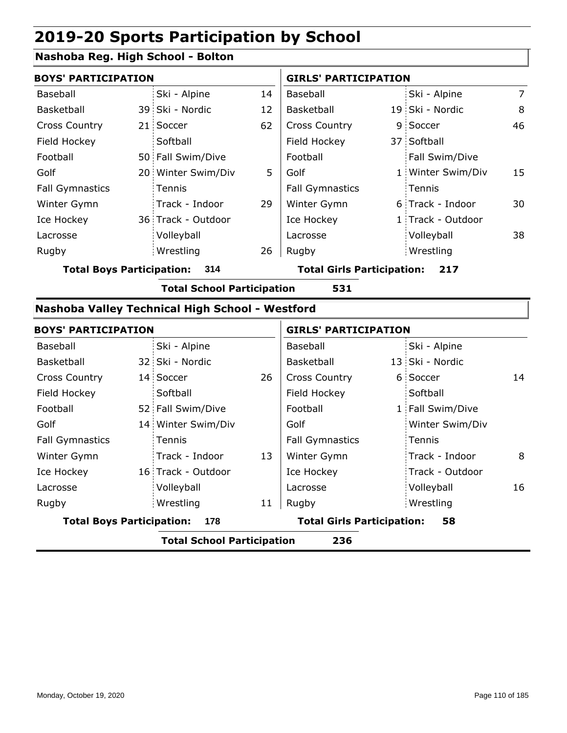### **Nashoba Reg. High School - Bolton**

| <b>BOYS' PARTICIPATION</b> |  |                    |    | <b>GIRLS' PARTICIPATION</b> |  |                   |                |
|----------------------------|--|--------------------|----|-----------------------------|--|-------------------|----------------|
| Baseball                   |  | Ski - Alpine       | 14 | Baseball                    |  | Ski - Alpine      | $\overline{7}$ |
| <b>Basketball</b>          |  | 39 Ski - Nordic    | 12 | Basketball                  |  | 19 Ski - Nordic   | 8              |
| <b>Cross Country</b>       |  | 21 Soccer          | 62 | <b>Cross Country</b>        |  | 9 Soccer          | 46             |
| Field Hockey               |  | Softball           |    | Field Hockey                |  | 37 Softball       |                |
| Football                   |  | 50 Fall Swim/Dive  |    | Football                    |  | Fall Swim/Dive    |                |
| Golf                       |  | 20 Winter Swim/Div | 5  | Golf                        |  | 1 Winter Swim/Div | 15             |
| <b>Fall Gymnastics</b>     |  | <b>Tennis</b>      |    | <b>Fall Gymnastics</b>      |  | Tennis            |                |
| Winter Gymn                |  | Track - Indoor     | 29 | Winter Gymn                 |  | 6 Track - Indoor  | 30             |
| Ice Hockey                 |  | 36 Track - Outdoor |    | Ice Hockey                  |  | 1 Track - Outdoor |                |
| Lacrosse                   |  | Volleyball         |    | Lacrosse                    |  | Volleyball        | 38             |
| Rugby                      |  | Wrestling          | 26 | Rugby                       |  | Wrestling         |                |

**Total Boys Participation: 314 Total Girls Participation: 217**

**Total School Participation 531**

#### **Nashoba Valley Technical High School - Westford**

|                                  | <b>BOYS' PARTICIPATION</b> |                                   |    | <b>GIRLS' PARTICIPATION</b>       |  |                  |    |
|----------------------------------|----------------------------|-----------------------------------|----|-----------------------------------|--|------------------|----|
| Baseball                         |                            | Ski - Alpine                      |    | Baseball                          |  | Ski - Alpine     |    |
| Basketball                       |                            | 32 Ski - Nordic                   |    | Basketball                        |  | 13 Ski - Nordic  |    |
| <b>Cross Country</b>             |                            | 14 Soccer                         | 26 | <b>Cross Country</b>              |  | 6 Soccer         | 14 |
| Field Hockey                     |                            | Softball                          |    | Field Hockey                      |  | Softball         |    |
| Football                         |                            | 52 Fall Swim/Dive                 |    | Football                          |  | 1 Fall Swim/Dive |    |
| Golf                             |                            | 14 Winter Swim/Div                |    | Golf                              |  | Winter Swim/Div  |    |
| <b>Fall Gymnastics</b>           |                            | Tennis                            |    | <b>Fall Gymnastics</b>            |  | Tennis           |    |
| Winter Gymn                      |                            | Track - Indoor                    | 13 | Winter Gymn                       |  | Track - Indoor   | 8  |
| Ice Hockey                       |                            | 16 Track - Outdoor                |    | Ice Hockey                        |  | Track - Outdoor  |    |
| Lacrosse                         |                            | Volleyball                        |    | Lacrosse                          |  | Volleyball       | 16 |
| Rugby                            |                            | Wrestling                         | 11 | Rugby                             |  | Wrestling        |    |
| <b>Total Boys Participation:</b> |                            | 178                               |    | <b>Total Girls Participation:</b> |  | 58               |    |
|                                  |                            | <b>Total School Participation</b> |    | 236                               |  |                  |    |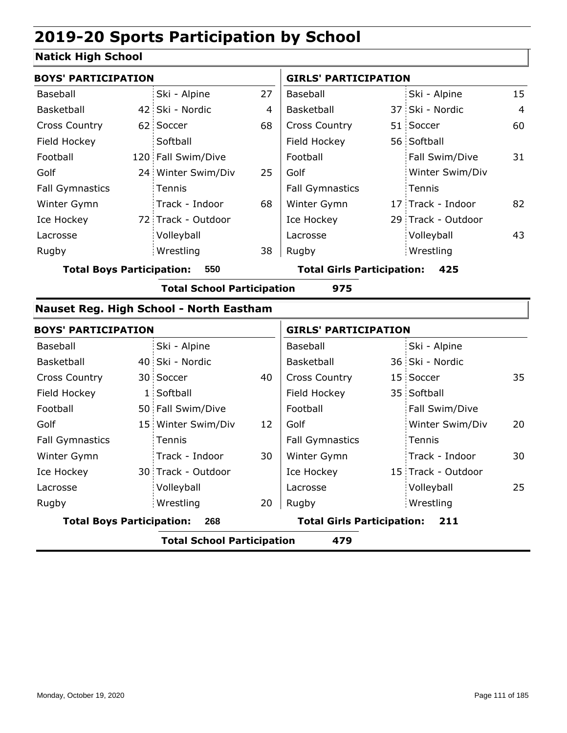### **Natick High School**

| <b>BOYS' PARTICIPATION</b>       |    |                                         |    | <b>GIRLS' PARTICIPATION</b>       |                    |                |
|----------------------------------|----|-----------------------------------------|----|-----------------------------------|--------------------|----------------|
| Baseball                         |    | Ski - Alpine                            | 27 | Baseball                          | Ski - Alpine       | 15             |
| Basketball                       |    | 42 Ski - Nordic                         | 4  | Basketball                        | 37 Ski - Nordic    | $\overline{4}$ |
| <b>Cross Country</b>             |    | 62 Soccer                               | 68 | Cross Country                     | 51 Soccer          | 60             |
| Field Hockey                     |    | Softball                                |    | Field Hockey                      | 56 Softball        |                |
| Football                         |    | 120 Fall Swim/Dive                      |    | Football                          | Fall Swim/Dive     | 31             |
| Golf                             |    | 24 Winter Swim/Div                      | 25 | Golf                              | Winter Swim/Div    |                |
| <b>Fall Gymnastics</b>           |    | Tennis                                  |    | <b>Fall Gymnastics</b>            | Tennis             |                |
| Winter Gymn                      |    | Track - Indoor                          | 68 | Winter Gymn                       | 17 Track - Indoor  | 82             |
| Ice Hockey                       |    | 72 Track - Outdoor                      |    | Ice Hockey                        | 29 Track - Outdoor |                |
| Lacrosse                         |    | Volleyball                              |    | Lacrosse                          | Volleyball         | 43             |
| Rugby                            |    | Wrestling                               | 38 | Rugby                             | Wrestling          |                |
| <b>Total Boys Participation:</b> |    | 550                                     |    | <b>Total Girls Participation:</b> | 425                |                |
|                                  |    | <b>Total School Participation</b>       |    | 975                               |                    |                |
|                                  |    | Nauset Reg. High School - North Eastham |    |                                   |                    |                |
| <b>BOYS' PARTICIPATION</b>       |    |                                         |    | <b>GIRLS' PARTICIPATION</b>       |                    |                |
| Baseball                         |    | Ski - Alpine                            |    | Baseball                          | Ski - Alpine       |                |
| Basketball                       |    | 40 Ski - Nordic                         |    | Basketball                        | 36 Ski - Nordic    |                |
| <b>Cross Country</b>             |    | 30 Soccer                               | 40 | <b>Cross Country</b>              | 15 Soccer          | 35             |
| Field Hockey                     | 1: | Softball                                |    | Field Hockey                      | 35 Softball        |                |
| Football                         |    | 50 Fall Swim/Dive                       |    | Football                          | Fall Swim/Dive     |                |
| Golf                             |    | 15 Winter Swim/Div                      | 12 | Golf                              | Winter Swim/Div    | 20             |
| <b>Fall Gymnastics</b>           |    | Tennis                                  |    | <b>Fall Gymnastics</b>            | Tennis             |                |
| Winter Gymn                      |    | Track - Indoor                          | 30 | Winter Gymn                       | Track - Indoor     | 30             |
| Ice Hockey                       |    | 30 Track - Outdoor                      |    | Ice Hockey                        | 15 Track - Outdoor |                |
| Lacrosse                         |    | Volleyball                              |    | Lacrosse                          | Volleyball         | 25             |
| Rugby                            |    | Wrestling                               | 20 | Rugby                             | Wrestling          |                |
| <b>Total Boys Participation:</b> |    | 268                                     |    | <b>Total Girls Participation:</b> | 211                |                |
|                                  |    | <b>Total School Participation</b>       |    | 479                               |                    |                |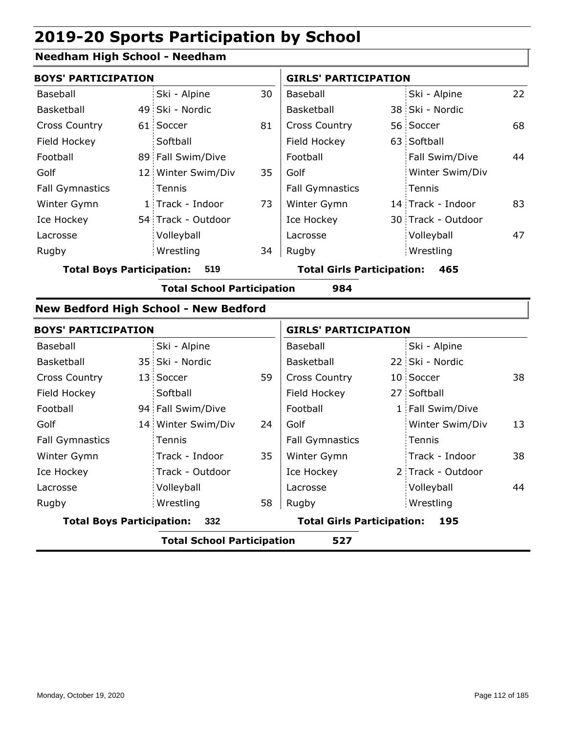#### **Needham High School - Needham**

| <b>BOYS' PARTICIPATION</b> |  |                    |    | <b>GIRLS' PARTICIPATION</b> |  |                    |    |
|----------------------------|--|--------------------|----|-----------------------------|--|--------------------|----|
| Baseball                   |  | Ski - Alpine       | 30 | Baseball                    |  | Ski - Alpine       | 22 |
| Basketball                 |  | 49 Ski - Nordic    |    | Basketball                  |  | 38 Ski - Nordic    |    |
| <b>Cross Country</b>       |  | 61 Soccer          | 81 | <b>Cross Country</b>        |  | 56 Soccer          | 68 |
| Field Hockey               |  | Softball           |    | Field Hockey                |  | 63 Softball        |    |
| Football                   |  | 89 Fall Swim/Dive  |    | Football                    |  | Fall Swim/Dive     | 44 |
| Golf                       |  | 12 Winter Swim/Div | 35 | Golf                        |  | Winter Swim/Div    |    |
| <b>Fall Gymnastics</b>     |  | Tennis             |    | <b>Fall Gymnastics</b>      |  | Tennis             |    |
| Winter Gymn                |  | 1 Track - Indoor   | 73 | Winter Gymn                 |  | 14 Track - Indoor  | 83 |
| Ice Hockey                 |  | 54 Track - Outdoor |    | Ice Hockey                  |  | 30 Track - Outdoor |    |
| Lacrosse                   |  | Volleyball         |    | Lacrosse                    |  | Volleyball         | 47 |
| Rugby                      |  | Wrestling          | 34 | Rugby                       |  | Wrestling          |    |
|                            |  |                    |    |                             |  |                    |    |

**Total Boys Participation: 519 Total Girls Participation: 465**

**Total School Participation 984**

#### **New Bedford High School - New Bedford**

|                                  | <b>BOYS' PARTICIPATION</b> |                    |    | <b>GIRLS' PARTICIPATION</b>              |  |                   |    |  |
|----------------------------------|----------------------------|--------------------|----|------------------------------------------|--|-------------------|----|--|
| Baseball                         |                            | Ski - Alpine       |    | Baseball                                 |  | Ski - Alpine      |    |  |
| Basketball                       |                            | 35 Ski - Nordic    |    | Basketball                               |  | 22 Ski - Nordic   |    |  |
| <b>Cross Country</b>             |                            | 13 Soccer          | 59 | <b>Cross Country</b>                     |  | 10 Soccer         | 38 |  |
| Field Hockey                     |                            | Softball           |    | Field Hockey                             |  | 27 Softball       |    |  |
| Football                         |                            | 94 Fall Swim/Dive  |    | Football                                 |  | 1 Fall Swim/Dive  |    |  |
| Golf                             |                            | 14 Winter Swim/Div | 24 | Golf                                     |  | Winter Swim/Div   | 13 |  |
| <b>Fall Gymnastics</b>           |                            | Tennis             |    | <b>Fall Gymnastics</b>                   |  | : Tennis          |    |  |
| Winter Gymn                      |                            | Track - Indoor     | 35 | Winter Gymn                              |  | Track - Indoor    | 38 |  |
| Ice Hockey                       |                            | Track - Outdoor    |    | Ice Hockey                               |  | 2 Track - Outdoor |    |  |
| Lacrosse                         |                            | Volleyball         |    | Lacrosse                                 |  | Volleyball        | 44 |  |
| Rugby                            |                            | Wrestling          | 58 | Rugby                                    |  | Wrestling         |    |  |
| <b>Total Boys Participation:</b> |                            | 332                |    | <b>Total Girls Participation:</b><br>195 |  |                   |    |  |
|                                  |                            |                    |    |                                          |  |                   |    |  |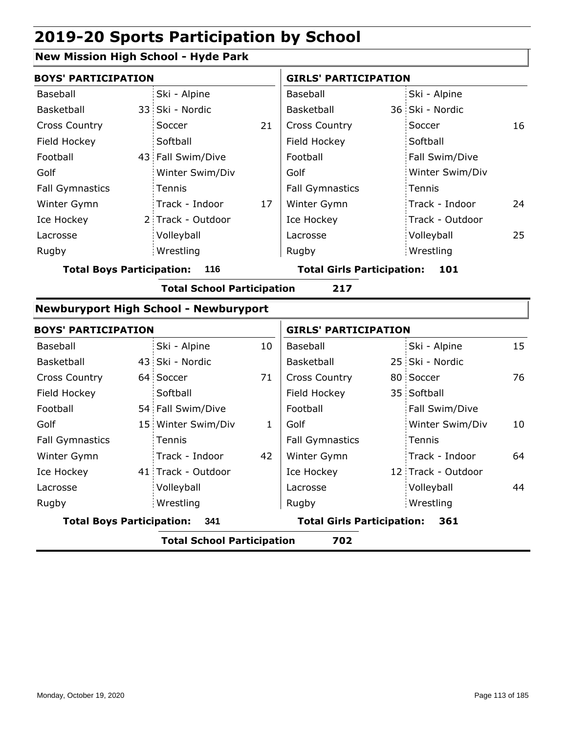### **New Mission High School - Hyde Park**

| <b>BOYS' PARTICIPATION</b>       |                                              |    | <b>GIRLS' PARTICIPATION</b>       |  |                 |    |
|----------------------------------|----------------------------------------------|----|-----------------------------------|--|-----------------|----|
| Baseball                         | Ski - Alpine                                 |    | Baseball                          |  | Ski - Alpine    |    |
| <b>Basketball</b>                | 33 Ski - Nordic                              |    | Basketball                        |  | 36 Ski - Nordic |    |
| <b>Cross Country</b>             | Soccer                                       | 21 | <b>Cross Country</b>              |  | Soccer          | 16 |
| Field Hockey                     | Softball                                     |    | Field Hockey                      |  | Softball        |    |
| Football                         | 43 Fall Swim/Dive                            |    | Football                          |  | Fall Swim/Dive  |    |
| Golf                             | Winter Swim/Div                              |    | Golf                              |  | Winter Swim/Div |    |
| <b>Fall Gymnastics</b>           | Tennis                                       |    | <b>Fall Gymnastics</b>            |  | Tennis          |    |
| Winter Gymn                      | Track - Indoor                               | 17 | Winter Gymn                       |  | Track - Indoor  | 24 |
| Ice Hockey                       | 2 Track - Outdoor                            |    | Ice Hockey                        |  | Track - Outdoor |    |
| Lacrosse                         | Volleyball                                   |    | Lacrosse                          |  | Volleyball      | 25 |
| Rugby                            | Wrestling                                    |    | Rugby                             |  | Wrestling       |    |
| <b>Total Boys Participation:</b> | 116                                          |    | <b>Total Girls Participation:</b> |  | 101             |    |
|                                  | <b>Total School Participation</b>            |    | 217                               |  |                 |    |
|                                  | <b>Newburyport High School - Newburyport</b> |    |                                   |  |                 |    |

|                                  | <b>BOYS' PARTICIPATION</b> |                                   |    |                                   | <b>GIRLS' PARTICIPATION</b> |                    |    |  |
|----------------------------------|----------------------------|-----------------------------------|----|-----------------------------------|-----------------------------|--------------------|----|--|
| Baseball                         |                            | Ski - Alpine                      | 10 | Baseball                          |                             | Ski - Alpine       | 15 |  |
| Basketball                       |                            | 43 Ski - Nordic                   |    | Basketball                        |                             | 25 Ski - Nordic    |    |  |
| <b>Cross Country</b>             |                            | 64 Soccer                         | 71 | <b>Cross Country</b>              |                             | 80 Soccer          | 76 |  |
| Field Hockey                     |                            | Softball                          |    | Field Hockey                      |                             | 35 Softball        |    |  |
| Football                         |                            | 54 Fall Swim/Dive                 |    | Football                          |                             | Fall Swim/Dive     |    |  |
| Golf                             |                            | 15 Winter Swim/Div                | 1  | Golf                              |                             | Winter Swim/Div    | 10 |  |
| <b>Fall Gymnastics</b>           |                            | <b>Tennis</b>                     |    | <b>Fall Gymnastics</b>            |                             | Tennis             |    |  |
| Winter Gymn                      |                            | Track - Indoor                    | 42 | Winter Gymn                       |                             | Track - Indoor     | 64 |  |
| Ice Hockey                       |                            | 41 Track - Outdoor                |    | Ice Hockey                        |                             | 12 Track - Outdoor |    |  |
| Lacrosse                         |                            | Volleyball                        |    | Lacrosse                          |                             | Volleyball         | 44 |  |
| Rugby                            |                            | Wrestling                         |    | Rugby                             |                             | Wrestling          |    |  |
| <b>Total Boys Participation:</b> |                            | 341                               |    | <b>Total Girls Participation:</b> |                             | 361                |    |  |
|                                  |                            | <b>Total School Participation</b> |    | 702                               |                             |                    |    |  |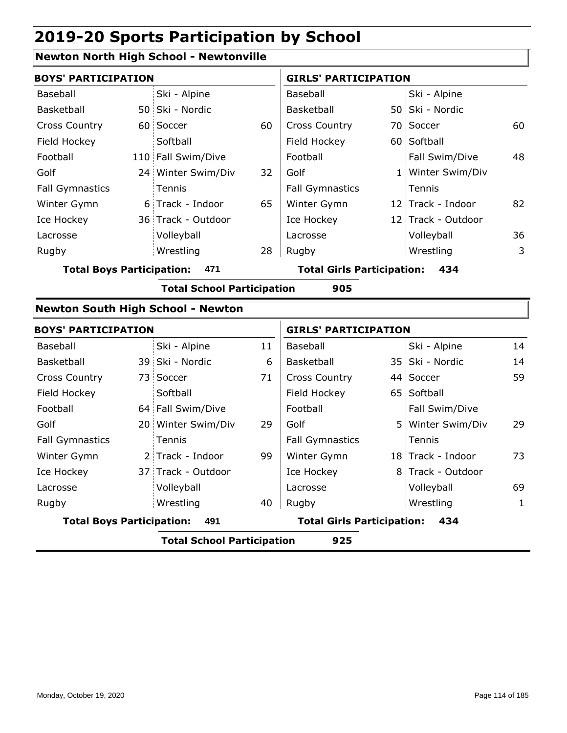### **Newton North High School - Newtonville**

| <b>BOYS' PARTICIPATION</b>       |                                          |    | <b>GIRLS' PARTICIPATION</b>       |  |                    |    |
|----------------------------------|------------------------------------------|----|-----------------------------------|--|--------------------|----|
| Baseball                         | Ski - Alpine                             |    | Baseball                          |  | Ski - Alpine       |    |
| Basketball                       | 50 Ski - Nordic                          |    | Basketball                        |  | 50 Ski - Nordic    |    |
| <b>Cross Country</b>             | 60 Soccer                                | 60 | <b>Cross Country</b>              |  | 70 Soccer          | 60 |
| Field Hockey                     | Softball                                 |    | Field Hockey                      |  | 60 Softball        |    |
| Football                         | 110 Fall Swim/Dive                       |    | Football                          |  | Fall Swim/Dive     | 48 |
| Golf                             | 24 Winter Swim/Div                       | 32 | Golf                              |  | 1 Winter Swim/Div  |    |
| <b>Fall Gymnastics</b>           | Tennis                                   |    | Fall Gymnastics                   |  | Tennis             |    |
| Winter Gymn                      | 6 Track - Indoor                         | 65 | Winter Gymn                       |  | 12 Track - Indoor  | 82 |
| Ice Hockey                       | 36 Track - Outdoor                       |    | Ice Hockey                        |  | 12 Track - Outdoor |    |
| Lacrosse                         | Volleyball                               |    | Lacrosse                          |  | Volleyball         | 36 |
| Rugby                            | Wrestling                                | 28 | Rugby                             |  | Wrestling          | 3  |
| <b>Total Boys Participation:</b> | 471                                      |    | <b>Total Girls Participation:</b> |  | 434                |    |
|                                  | <b>Total School Participation</b>        |    | 905                               |  |                    |    |
|                                  | <b>Newton South High School - Newton</b> |    |                                   |  |                    |    |
| <b>BOYS' PARTICIPATION</b>       |                                          |    | <b>GIRLS' PARTICIPATION</b>       |  |                    |    |
| Baseball                         | Ski - Alpine                             | 11 | Baseball                          |  | Ski - Alpine       | 14 |
| Basketball                       | 39 Ski - Nordic                          | 6  | Basketball                        |  | 35 Ski - Nordic    | 14 |
| <b>Cross Country</b>             | 73 Soccer                                | 71 | <b>Cross Country</b>              |  | 44 Soccer          | 59 |
| Field Hockey                     | Softball                                 |    | Field Hockey                      |  | 65 Softball        |    |
| Football                         | 64 Fall Swim/Dive                        |    | Football                          |  | Fall Swim/Dive     |    |
| Golf                             | 20 Winter Swim/Div                       | 29 | Golf                              |  | 5 Winter Swim/Div  | 29 |
| <b>Fall Gymnastics</b>           | Tennis                                   |    | <b>Fall Gymnastics</b>            |  | Tennis             |    |
| Winter Gymn                      | 2 Track - Indoor                         | 99 | Winter Gymn                       |  | 18 Track - Indoor  | 73 |
| Ice Hockey                       | 37 Track - Outdoor                       |    | Ice Hockey                        |  | 8 Track - Outdoor  |    |
| Lacrosse                         | Volleyball                               |    | Lacrosse                          |  | Volleyball         | 69 |

**Total Boys Participation: 491 Total Girls Participation: 434**

40 Rugby Rugby

Wrestling

**Total School Participation 925**

Wrestling 1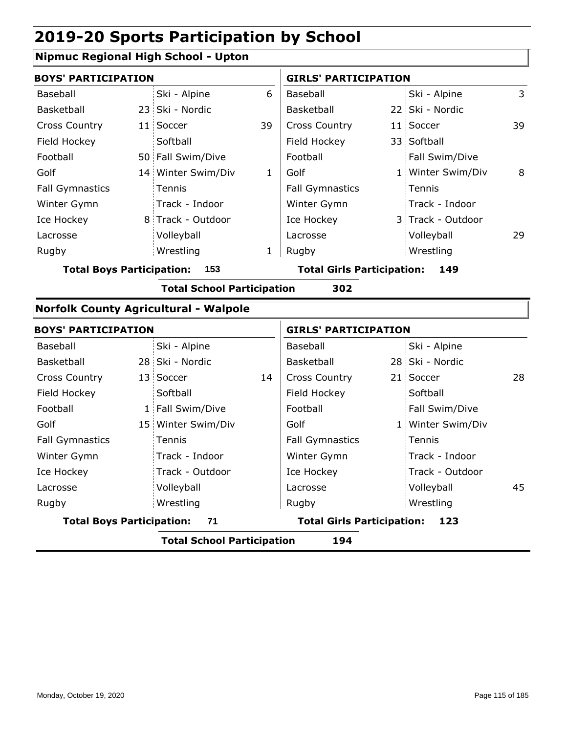### **Nipmuc Regional High School - Upton**

| <b>BOYS' PARTICIPATION</b> |  |                    |    | <b>GIRLS' PARTICIPATION</b> |  |                   |    |
|----------------------------|--|--------------------|----|-----------------------------|--|-------------------|----|
| Baseball                   |  | Ski - Alpine       | 6  | Baseball                    |  | Ski - Alpine      | 3  |
| Basketball                 |  | 23 Ski - Nordic    |    | Basketball                  |  | 22 Ski - Nordic   |    |
| <b>Cross Country</b>       |  | 11 Soccer          | 39 | <b>Cross Country</b>        |  | 11 Soccer         | 39 |
| Field Hockey               |  | Softball           |    | Field Hockey                |  | 33 Softball       |    |
| Football                   |  | 50 Fall Swim/Dive  |    | Football                    |  | Fall Swim/Dive    |    |
| Golf                       |  | 14 Winter Swim/Div | 1  | Golf                        |  | 1 Winter Swim/Div | 8  |
| <b>Fall Gymnastics</b>     |  | Tennis             |    | <b>Fall Gymnastics</b>      |  | : Tennis          |    |
| Winter Gymn                |  | Track - Indoor     |    | Winter Gymn                 |  | Track - Indoor    |    |
| Ice Hockey                 |  | 8 Track - Outdoor  |    | Ice Hockey                  |  | 3 Track - Outdoor |    |
| Lacrosse                   |  | Volleyball         |    | Lacrosse                    |  | Volleyball        | 29 |
| Rugby                      |  | Wrestling          | 1  | Rugby                       |  | Wrestling         |    |
|                            |  |                    |    |                             |  |                   |    |

**Total Boys Participation: 153 Total Girls Participation: 149**

**Total School Participation 302**

#### **Norfolk County Agricultural - Walpole**

| <b>BOYS' PARTICIPATION</b>             |  |                    |                                   | <b>GIRLS' PARTICIPATION</b> |     |                   |    |
|----------------------------------------|--|--------------------|-----------------------------------|-----------------------------|-----|-------------------|----|
| Baseball                               |  | Ski - Alpine       |                                   | Baseball                    |     | Ski - Alpine      |    |
| Basketball                             |  | 28 Ski - Nordic    |                                   | Basketball                  |     | 28 Ski - Nordic   |    |
| <b>Cross Country</b>                   |  | 13 Soccer          | 14                                | <b>Cross Country</b>        |     | 21 Soccer         | 28 |
| Field Hockey                           |  | Softball           |                                   | Field Hockey                |     | Softball          |    |
| Football                               |  | 1 Fall Swim/Dive   |                                   | Football                    |     | Fall Swim/Dive    |    |
| Golf                                   |  | 15 Winter Swim/Div |                                   | Golf                        |     | 1 Winter Swim/Div |    |
| <b>Fall Gymnastics</b>                 |  | Tennis             |                                   | <b>Fall Gymnastics</b>      |     | Tennis            |    |
| Winter Gymn                            |  | Track - Indoor     |                                   | Winter Gymn                 |     | Track - Indoor    |    |
| Ice Hockey                             |  | Track - Outdoor    |                                   | Ice Hockey                  |     | : Track - Outdoor |    |
| Lacrosse                               |  | Volleyball         |                                   | Lacrosse                    |     | Volleyball        | 45 |
| Rugby                                  |  | Wrestling          |                                   | Rugby                       |     | Wrestling         |    |
| <b>Total Boys Participation:</b><br>71 |  |                    | <b>Total Girls Participation:</b> |                             | 123 |                   |    |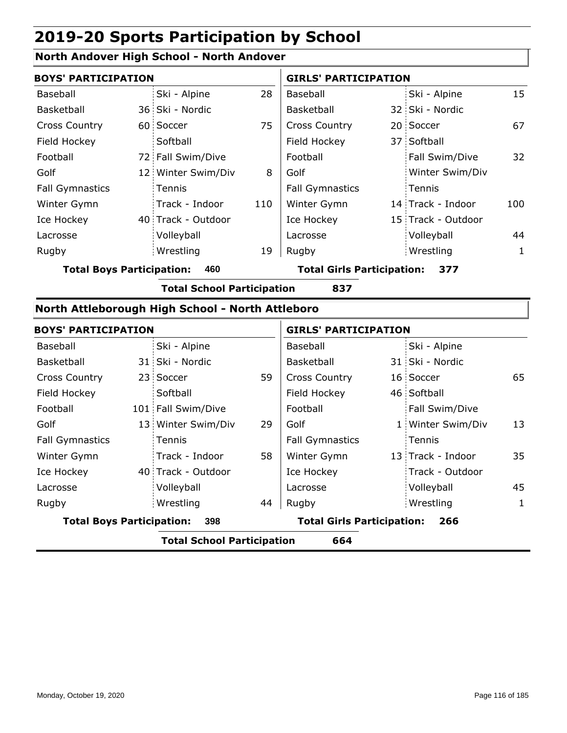#### **North Andover High School - North Andover**

|                        | <b>BOYS' PARTICIPATION</b> |                    |     | <b>GIRLS' PARTICIPATION</b> |  |                    |     |
|------------------------|----------------------------|--------------------|-----|-----------------------------|--|--------------------|-----|
| Baseball               |                            | Ski - Alpine       | 28  | Baseball                    |  | Ski - Alpine       | 15  |
| Basketball             |                            | 36 Ski - Nordic    |     | <b>Basketball</b>           |  | 32 Ski - Nordic    |     |
| <b>Cross Country</b>   |                            | 60 Soccer          | 75  | <b>Cross Country</b>        |  | 20 Soccer          | 67  |
| Field Hockey           |                            | Softball           |     | Field Hockey                |  | 37 Softball        |     |
| Football               |                            | 72 Fall Swim/Dive  |     | Football                    |  | Fall Swim/Dive     | 32  |
| Golf                   |                            | 12 Winter Swim/Div | 8   | Golf                        |  | Winter Swim/Div    |     |
| <b>Fall Gymnastics</b> |                            | Tennis             |     | <b>Fall Gymnastics</b>      |  | Tennis             |     |
| Winter Gymn            |                            | Track - Indoor     | 110 | Winter Gymn                 |  | 14 Track - Indoor  | 100 |
| Ice Hockey             |                            | 40 Track - Outdoor |     | Ice Hockey                  |  | 15 Track - Outdoor |     |
| Lacrosse               |                            | Volleyball         |     | Lacrosse                    |  | Volleyball         | 44  |
| Rugby                  |                            | Wrestling          | 19  | Rugby                       |  | Wrestling          | 1   |

**Total Boys Participation: 460 Total Girls Participation: 377**

**Total School Participation 837**

#### **North Attleborough High School - North Attleboro**

| <b>BOYS' PARTICIPATION</b> |                                          |                    |    |                                          | <b>GIRLS' PARTICIPATION</b> |                   |    |  |  |
|----------------------------|------------------------------------------|--------------------|----|------------------------------------------|-----------------------------|-------------------|----|--|--|
| Baseball                   |                                          | Ski - Alpine       |    | Baseball                                 |                             | Ski - Alpine      |    |  |  |
| Basketball                 |                                          | 31 Ski - Nordic    |    | Basketball                               |                             | 31 Ski - Nordic   |    |  |  |
| <b>Cross Country</b>       |                                          | 23 Soccer          | 59 | <b>Cross Country</b>                     |                             | 16 Soccer         | 65 |  |  |
| Field Hockey               |                                          | Softball           |    | Field Hockey                             |                             | 46 Softball       |    |  |  |
| Football                   |                                          | 101 Fall Swim/Dive |    | Football                                 |                             | Fall Swim/Dive    |    |  |  |
| Golf                       |                                          | 13 Winter Swim/Div | 29 | Golf                                     |                             | 1 Winter Swim/Div | 13 |  |  |
| <b>Fall Gymnastics</b>     |                                          | Tennis             |    | <b>Fall Gymnastics</b>                   |                             | Tennis            |    |  |  |
| Winter Gymn                |                                          | Track - Indoor     | 58 | Winter Gymn                              |                             | 13 Track - Indoor | 35 |  |  |
| Ice Hockey                 |                                          | 40 Track - Outdoor |    | Ice Hockey                               |                             | : Track - Outdoor |    |  |  |
| Lacrosse                   |                                          | Volleyball         |    | Lacrosse                                 |                             | Volleyball        | 45 |  |  |
| Rugby                      |                                          | Wrestling          | 44 | Rugby                                    |                             | Wrestling         | 1  |  |  |
|                            | <b>Total Boys Participation:</b><br>398  |                    |    | <b>Total Girls Participation:</b><br>266 |                             |                   |    |  |  |
|                            | 664<br><b>Total School Participation</b> |                    |    |                                          |                             |                   |    |  |  |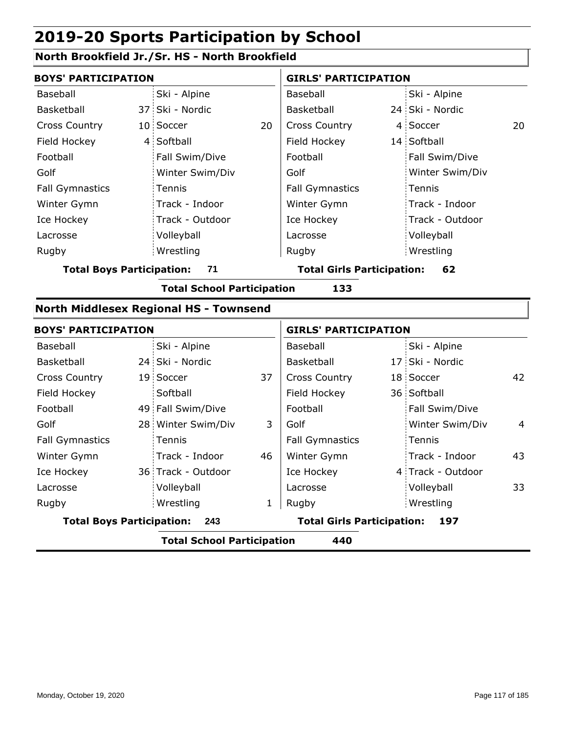### **North Brookfield Jr./Sr. HS - North Brookfield**

| <b>BOYS' PARTICIPATION</b>                    |                                          |                    |    | <b>GIRLS' PARTICIPATION</b>       |                                   |                   |    |  |
|-----------------------------------------------|------------------------------------------|--------------------|----|-----------------------------------|-----------------------------------|-------------------|----|--|
| Baseball                                      |                                          | Ski - Alpine       |    | Baseball                          |                                   | Ski - Alpine      |    |  |
| Basketball                                    |                                          | 37 Ski - Nordic    |    | Basketball                        |                                   | 24 Ski - Nordic   |    |  |
| <b>Cross Country</b>                          |                                          | 10 Soccer          | 20 | <b>Cross Country</b>              |                                   | 4 Soccer          | 20 |  |
| Field Hockey                                  |                                          | 4 Softball         |    | Field Hockey                      |                                   | 14 Softball       |    |  |
| Football                                      |                                          | Fall Swim/Dive     |    | Football                          |                                   | Fall Swim/Dive    |    |  |
| Golf                                          |                                          | Winter Swim/Div    |    | Golf                              |                                   | Winter Swim/Div   |    |  |
| <b>Fall Gymnastics</b>                        |                                          | Tennis             |    | <b>Fall Gymnastics</b>            |                                   | Tennis            |    |  |
| Winter Gymn                                   |                                          | Track - Indoor     |    | Winter Gymn                       |                                   | Track - Indoor    |    |  |
| Ice Hockey                                    |                                          | Track - Outdoor    |    | Ice Hockey                        |                                   | Track - Outdoor   |    |  |
| Lacrosse                                      |                                          | Volleyball         |    | Lacrosse                          |                                   | Volleyball        |    |  |
| Rugby                                         |                                          | Wrestling          |    | Rugby                             |                                   | Wrestling         |    |  |
| <b>Total Boys Participation:</b>              |                                          | 71                 |    | <b>Total Girls Participation:</b> |                                   | 62                |    |  |
|                                               | <b>Total School Participation</b><br>133 |                    |    |                                   |                                   |                   |    |  |
| <b>North Middlesex Regional HS - Townsend</b> |                                          |                    |    |                                   |                                   |                   |    |  |
| <b>BOYS' PARTICIPATION</b>                    |                                          |                    |    | <b>GIRLS' PARTICIPATION</b>       |                                   |                   |    |  |
| Baseball                                      |                                          | Ski - Alpine       |    | Baseball                          |                                   | Ski - Alpine      |    |  |
| Basketball                                    |                                          | 24 Ski - Nordic    |    | Basketball                        |                                   | 17 Ski - Nordic   |    |  |
| <b>Cross Country</b>                          |                                          | 19 Soccer          | 37 | <b>Cross Country</b>              |                                   | 18 Soccer         | 42 |  |
| Field Hockey                                  |                                          | Softball           |    | Field Hockey                      |                                   | 36 Softball       |    |  |
| Football                                      |                                          | 49 Fall Swim/Dive  |    | Football                          |                                   | Fall Swim/Dive    |    |  |
| Golf                                          |                                          | 28 Winter Swim/Div | 3  | Golf                              |                                   | Winter Swim/Div   | 4  |  |
| <b>Fall Gymnastics</b>                        |                                          | Tennis             |    | <b>Fall Gymnastics</b>            |                                   | Tennis            |    |  |
| Winter Gymn                                   |                                          | Track - Indoor     | 46 | Winter Gymn                       |                                   | Track - Indoor    | 43 |  |
| Ice Hockey                                    |                                          | 36 Track - Outdoor |    | Ice Hockey                        |                                   | 4 Track - Outdoor |    |  |
| Lacrosse                                      |                                          | Volleyball         |    | Lacrosse                          |                                   | Volleyball        | 33 |  |
| Rugby                                         |                                          | Wrestling          | 1  | Rugby                             |                                   | Wrestling         |    |  |
|                                               | <b>Total Boys Participation:</b><br>243  |                    |    |                                   | <b>Total Girls Participation:</b> | 197               |    |  |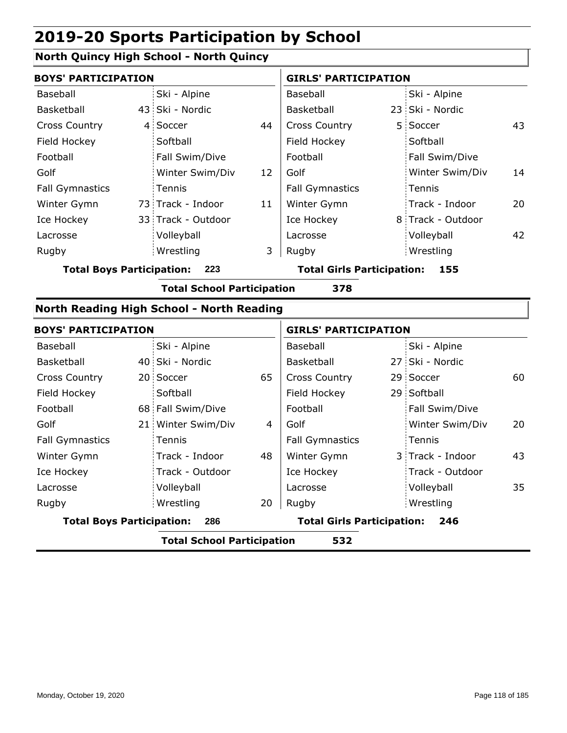### **North Quincy High School - North Quincy**

|                        | <b>BOYS' PARTICIPATION</b> |                    |    | <b>GIRLS' PARTICIPATION</b> |  |                   |    |
|------------------------|----------------------------|--------------------|----|-----------------------------|--|-------------------|----|
| Baseball               |                            | Ski - Alpine       |    | Baseball                    |  | Ski - Alpine      |    |
| Basketball             |                            | 43 Ski - Nordic    |    | <b>Basketball</b>           |  | 23 Ski - Nordic   |    |
| <b>Cross Country</b>   |                            | 4 Soccer           | 44 | <b>Cross Country</b>        |  | 5 Soccer          | 43 |
| Field Hockey           |                            | Softball           |    | Field Hockey                |  | Softball          |    |
| Football               |                            | Fall Swim/Dive     |    | Football                    |  | Fall Swim/Dive    |    |
| Golf                   |                            | Winter Swim/Div    | 12 | Golf                        |  | Winter Swim/Div   | 14 |
| <b>Fall Gymnastics</b> |                            | Tennis             |    | <b>Fall Gymnastics</b>      |  | Tennis            |    |
| Winter Gymn            |                            | 73 Track - Indoor  | 11 | Winter Gymn                 |  | Track - Indoor    | 20 |
| Ice Hockey             |                            | 33 Track - Outdoor |    | Ice Hockey                  |  | 8 Track - Outdoor |    |
| Lacrosse               |                            | Volleyball         |    | Lacrosse                    |  | Volleyball        | 42 |
| Rugby                  |                            | Wrestling          | 3  | Rugby                       |  | Wrestling         |    |

**Total Boys Participation: 223 Total Girls Participation: 155**

**Total School Participation 378**

#### **North Reading High School - North Reading**

| <b>BOYS' PARTICIPATION</b>              |  |                    | <b>GIRLS' PARTICIPATION</b>              |                        |  |                  |    |
|-----------------------------------------|--|--------------------|------------------------------------------|------------------------|--|------------------|----|
| Baseball                                |  | Ski - Alpine       |                                          | Baseball               |  | Ski - Alpine     |    |
| <b>Basketball</b>                       |  | 40 Ski - Nordic    |                                          | Basketball             |  | 27 Ski - Nordic  |    |
| <b>Cross Country</b>                    |  | 20 Soccer          | 65                                       | <b>Cross Country</b>   |  | 29 Soccer        | 60 |
| Field Hockey                            |  | Softball           |                                          | Field Hockey           |  | 29 Softball      |    |
| Football                                |  | 68 Fall Swim/Dive  |                                          | Football               |  | Fall Swim/Dive   |    |
| Golf                                    |  | 21 Winter Swim/Div | 4                                        | Golf                   |  | Winter Swim/Div  | 20 |
| <b>Fall Gymnastics</b>                  |  | Tennis             |                                          | <b>Fall Gymnastics</b> |  | Tennis           |    |
| Winter Gymn                             |  | Track - Indoor     | 48                                       | Winter Gymn            |  | 3 Track - Indoor | 43 |
| Ice Hockey                              |  | Track - Outdoor    |                                          | Ice Hockey             |  | Track - Outdoor  |    |
| Lacrosse                                |  | Volleyball         |                                          | Lacrosse               |  | Volleyball       | 35 |
| Rugby                                   |  | Wrestling          | 20                                       | Rugby                  |  | Wrestling        |    |
| <b>Total Boys Participation:</b><br>286 |  |                    | <b>Total Girls Participation:</b><br>246 |                        |  |                  |    |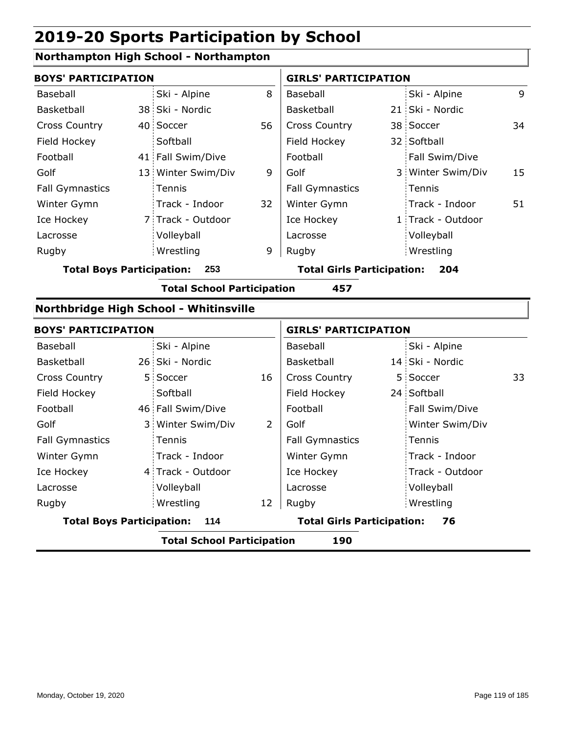### **Northampton High School - Northampton**

| <b>BOYS' PARTICIPATION</b>              |                                          |                                        |    | <b>GIRLS' PARTICIPATION</b>       |                                   |                   |    |  |  |
|-----------------------------------------|------------------------------------------|----------------------------------------|----|-----------------------------------|-----------------------------------|-------------------|----|--|--|
| Baseball                                |                                          | Ski - Alpine                           | 8  | Baseball                          |                                   | Ski - Alpine      | 9  |  |  |
| Basketball                              |                                          | 38 Ski - Nordic                        |    | Basketball                        |                                   | 21 Ski - Nordic   |    |  |  |
| <b>Cross Country</b>                    |                                          | 40 Soccer                              | 56 | Cross Country                     |                                   | 38 Soccer         | 34 |  |  |
| Field Hockey                            |                                          | Softball                               |    | Field Hockey                      |                                   | 32 Softball       |    |  |  |
| Football                                |                                          | 41 Fall Swim/Dive                      |    | Football                          |                                   | Fall Swim/Dive    |    |  |  |
| Golf                                    |                                          | 13 Winter Swim/Div                     | 9  | Golf                              |                                   | 3 Winter Swim/Div | 15 |  |  |
| <b>Fall Gymnastics</b>                  |                                          | Tennis                                 |    | <b>Fall Gymnastics</b>            |                                   | Tennis            |    |  |  |
| Winter Gymn                             |                                          | Track - Indoor                         | 32 | Winter Gymn                       |                                   | Track - Indoor    | 51 |  |  |
| Ice Hockey                              |                                          | 7 Track - Outdoor                      |    | Ice Hockey                        |                                   | 1 Track - Outdoor |    |  |  |
| Lacrosse                                |                                          | Volleyball                             |    | Lacrosse                          |                                   | Volleyball        |    |  |  |
| Rugby                                   |                                          | Wrestling                              | 9  | Rugby                             |                                   | Wrestling         |    |  |  |
| <b>Total Boys Participation:</b><br>253 |                                          |                                        |    | <b>Total Girls Participation:</b> |                                   | 204               |    |  |  |
|                                         | <b>Total School Participation</b><br>457 |                                        |    |                                   |                                   |                   |    |  |  |
|                                         |                                          | Northbridge High School - Whitinsville |    |                                   |                                   |                   |    |  |  |
| <b>BOYS' PARTICIPATION</b>              |                                          |                                        |    | <b>GIRLS' PARTICIPATION</b>       |                                   |                   |    |  |  |
| Baseball                                |                                          | Ski - Alpine                           |    | Baseball                          |                                   | Ski - Alpine      |    |  |  |
| Basketball                              |                                          | 26 Ski - Nordic                        |    | Basketball                        |                                   | 14 Ski - Nordic   |    |  |  |
| <b>Cross Country</b>                    | 5 <sup>1</sup>                           | Soccer                                 | 16 | Cross Country                     | 5                                 | Soccer            | 33 |  |  |
| Field Hockey                            |                                          | Softball                               |    | Field Hockey                      |                                   | 24 Softball       |    |  |  |
| Football                                |                                          | 46 Fall Swim/Dive                      |    | Football                          |                                   | Fall Swim/Dive    |    |  |  |
| Golf                                    | 3 <sup>1</sup>                           | Winter Swim/Div                        | 2  | Golf                              |                                   | Winter Swim/Div   |    |  |  |
| <b>Fall Gymnastics</b>                  |                                          | Tennis                                 |    | <b>Fall Gymnastics</b>            |                                   | Tennis            |    |  |  |
| Winter Gymn                             |                                          | Track - Indoor                         |    | Winter Gymn                       |                                   | Track - Indoor    |    |  |  |
| Ice Hockey                              |                                          | 4 Track - Outdoor                      |    | Ice Hockey                        |                                   | Track - Outdoor   |    |  |  |
| Lacrosse                                |                                          | Volleyball                             |    | Lacrosse                          |                                   | Volleyball        |    |  |  |
| Rugby                                   |                                          | Wrestling                              | 12 | Rugby                             |                                   | Wrestling         |    |  |  |
|                                         | <b>Total Boys Participation:</b><br>114  |                                        |    |                                   | <b>Total Girls Participation:</b> | 76                |    |  |  |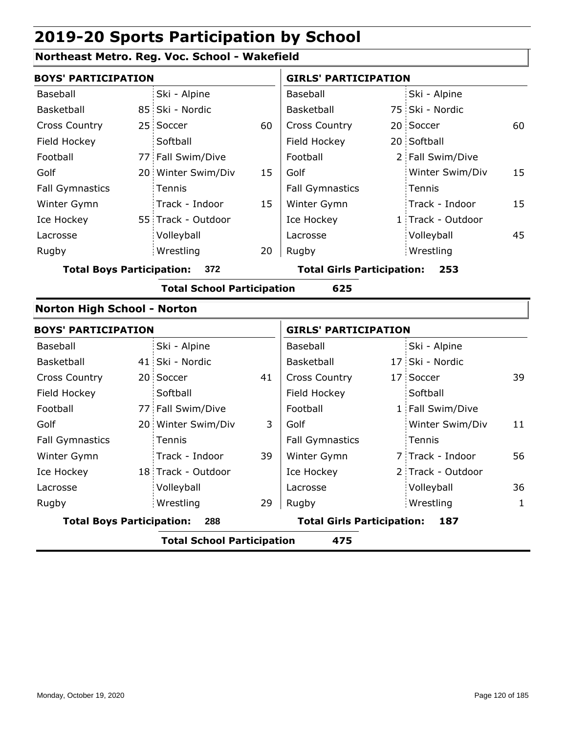### **Northeast Metro. Reg. Voc. School - Wakefield**

| <b>BOYS' PARTICIPATION</b>         |                      |                                      |    | <b>GIRLS' PARTICIPATION</b>              |       |                   |    |  |
|------------------------------------|----------------------|--------------------------------------|----|------------------------------------------|-------|-------------------|----|--|
| Baseball                           |                      | Ski - Alpine                         |    | Baseball                                 |       | Ski - Alpine      |    |  |
| Basketball                         |                      | 85 Ski - Nordic                      |    | Basketball                               |       | 75 Ski - Nordic   |    |  |
| Cross Country                      |                      | 25 Soccer                            | 60 | Cross Country                            |       | 20 Soccer         | 60 |  |
| Field Hockey                       |                      | Softball                             |    | Field Hockey                             |       | 20 Softball       |    |  |
| Football                           |                      | 77 Fall Swim/Dive                    |    | Football                                 |       | 2 Fall Swim/Dive  |    |  |
| Golf                               |                      | 20 Winter Swim/Div                   | 15 | Golf                                     |       | Winter Swim/Div   | 15 |  |
| <b>Fall Gymnastics</b>             |                      | <b>Tennis</b>                        |    | <b>Fall Gymnastics</b>                   |       | Tennis            |    |  |
| Winter Gymn                        |                      | Track - Indoor                       | 15 | Winter Gymn                              |       | Track - Indoor    | 15 |  |
| Ice Hockey                         |                      | 55 Track - Outdoor                   |    | Ice Hockey                               |       | 1 Track - Outdoor |    |  |
| Lacrosse                           |                      | Volleyball                           |    | Lacrosse                                 |       | Volleyball        | 45 |  |
| Rugby                              |                      | Wrestling                            | 20 | Rugby                                    |       | Wrestling         |    |  |
|                                    |                      | <b>Total Boys Participation: 372</b> |    | <b>Total Girls Participation:</b><br>253 |       |                   |    |  |
|                                    |                      | <b>Total School Participation</b>    |    | 625                                      |       |                   |    |  |
| <b>Norton High School - Norton</b> |                      |                                      |    |                                          |       |                   |    |  |
| <b>BOYS' PARTICIPATION</b>         |                      |                                      |    | <b>GIRLS' PARTICIPATION</b>              |       |                   |    |  |
| Baseball                           |                      | Ski - Alpine                         |    | Baseball                                 |       | Ski - Alpine      |    |  |
| Basketball                         |                      | 41 Ski - Nordic                      |    | Basketball                               |       | 17 Ski - Nordic   |    |  |
|                                    | $\sim$ $\sim$ $\sim$ |                                      |    |                                          | . – ' |                   |    |  |

| <b>Total Boys Participation:</b><br>288 |  |                    |    | <b>Total Girls Participation:</b><br>187 |  |                   |    |
|-----------------------------------------|--|--------------------|----|------------------------------------------|--|-------------------|----|
| Rugby                                   |  | Wrestling          | 29 | Rugby                                    |  | Wrestling         | 1  |
| Lacrosse                                |  | Volleyball         |    | Lacrosse                                 |  | Volleyball        | 36 |
| Ice Hockey                              |  | 18 Track - Outdoor |    | Ice Hockey                               |  | 2 Track - Outdoor |    |
| Winter Gymn                             |  | Track - Indoor     | 39 | Winter Gymn                              |  | 7 Track - Indoor  | 56 |
| <b>Fall Gymnastics</b>                  |  | <b>Tennis</b>      |    | <b>Fall Gymnastics</b>                   |  | Tennis            |    |
| Golf                                    |  | 20 Winter Swim/Div | 3  | Golf                                     |  | Winter Swim/Div   | 11 |
| Football                                |  | 77 Fall Swim/Dive  |    | Football                                 |  | 1 Fall Swim/Dive  |    |
| Field Hockey                            |  | Softball           |    | Field Hockey                             |  | Softball          |    |
| <b>Cross Country</b>                    |  | 20 Soccer          | 41 | <b>Cross Country</b>                     |  | 17 Soccer         | 39 |
| Basketball                              |  | 41 SKI - NORGIC    |    | Basketball                               |  | 17 SKI - NORGIC   |    |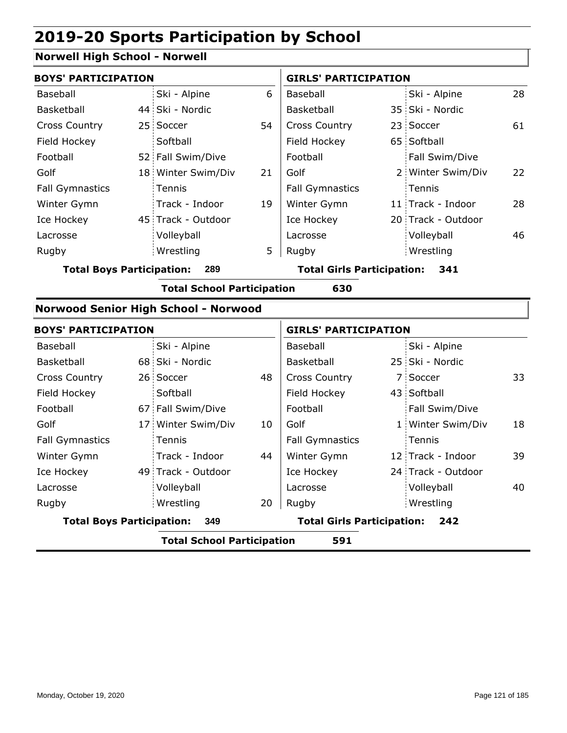### **Norwell High School - Norwell**

|                                  | <b>BOYS' PARTICIPATION</b>           |                                   |    | <b>GIRLS' PARTICIPATION</b>       |  |                    |    |
|----------------------------------|--------------------------------------|-----------------------------------|----|-----------------------------------|--|--------------------|----|
| Baseball                         |                                      | Ski - Alpine                      | 6  | Baseball                          |  | Ski - Alpine       | 28 |
| Basketball                       |                                      | 44 Ski - Nordic                   |    | Basketball                        |  | 35 Ski - Nordic    |    |
| <b>Cross Country</b>             |                                      | 25 Soccer                         | 54 | <b>Cross Country</b>              |  | 23 Soccer          | 61 |
| Field Hockey                     |                                      | Softball                          |    | Field Hockey                      |  | 65 Softball        |    |
| Football                         |                                      | 52 Fall Swim/Dive                 |    | Football                          |  | Fall Swim/Dive     |    |
| Golf                             |                                      | 18 Winter Swim/Div                | 21 | Golf                              |  | 2 Winter Swim/Div  | 22 |
| <b>Fall Gymnastics</b>           |                                      | <b>Tennis</b>                     |    | <b>Fall Gymnastics</b>            |  | Tennis             |    |
| Winter Gymn                      |                                      | Track - Indoor                    | 19 | Winter Gymn                       |  | 11 Track - Indoor  | 28 |
| Ice Hockey                       |                                      | 45 Track - Outdoor                |    | Ice Hockey                        |  | 20 Track - Outdoor |    |
| Lacrosse                         |                                      | Volleyball                        |    | Lacrosse                          |  | Volleyball         | 46 |
| Rugby                            |                                      | Wrestling                         | 5  | Rugby                             |  | Wrestling          |    |
| <b>Total Boys Participation:</b> |                                      | 289                               |    | <b>Total Girls Participation:</b> |  | 341                |    |
|                                  |                                      | <b>Total School Participation</b> |    | 630                               |  |                    |    |
|                                  | Norwood Senior High School - Norwood |                                   |    |                                   |  |                    |    |

|                        | <b>BOYS' PARTICIPATION</b>               |                    |    | <b>GIRLS' PARTICIPATION</b>       |  |                    |    |  |  |
|------------------------|------------------------------------------|--------------------|----|-----------------------------------|--|--------------------|----|--|--|
| Baseball               |                                          | Ski - Alpine       |    | Baseball                          |  | Ski - Alpine       |    |  |  |
| Basketball             |                                          | 68 Ski - Nordic    |    | Basketball                        |  | 25 Ski - Nordic    |    |  |  |
| <b>Cross Country</b>   |                                          | 26 Soccer          | 48 | <b>Cross Country</b>              |  | 7 Soccer           | 33 |  |  |
| Field Hockey           |                                          | Softball           |    | Field Hockey                      |  | 43 Softball        |    |  |  |
| Football               |                                          | 67 Fall Swim/Dive  |    | Football                          |  | Fall Swim/Dive     |    |  |  |
| Golf                   |                                          | 17 Winter Swim/Div | 10 | Golf                              |  | 1 Winter Swim/Div  | 18 |  |  |
| <b>Fall Gymnastics</b> |                                          | Tennis             |    | <b>Fall Gymnastics</b>            |  | Tennis             |    |  |  |
| Winter Gymn            |                                          | Track - Indoor     | 44 | Winter Gymn                       |  | 12 Track - Indoor  | 39 |  |  |
| Ice Hockey             |                                          | 49 Track - Outdoor |    | Ice Hockey                        |  | 24 Track - Outdoor |    |  |  |
| Lacrosse               |                                          | Volleyball         |    | Lacrosse                          |  | Volleyball         | 40 |  |  |
| Rugby                  |                                          | Wrestling          | 20 | Rugby                             |  | Wrestling          |    |  |  |
|                        | <b>Total Boys Participation:</b><br>349  |                    |    | <b>Total Girls Participation:</b> |  | 242                |    |  |  |
|                        | 591<br><b>Total School Participation</b> |                    |    |                                   |  |                    |    |  |  |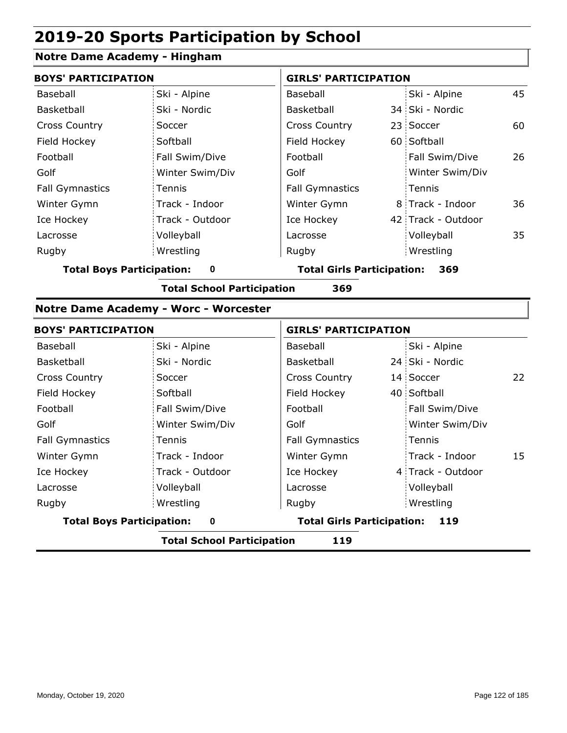### **Notre Dame Academy - Hingham**

| <b>BOYS' PARTICIPATION</b> |                 | <b>GIRLS' PARTICIPATION</b> |  |                    |    |  |
|----------------------------|-----------------|-----------------------------|--|--------------------|----|--|
| Baseball                   | Ski - Alpine    | Baseball                    |  | Ski - Alpine       | 45 |  |
| Basketball                 | Ski - Nordic    | <b>Basketball</b>           |  | 34 Ski - Nordic    |    |  |
| <b>Cross Country</b>       | Soccer          | <b>Cross Country</b>        |  | 23 Soccer          | 60 |  |
| Field Hockey               | Softball        | Field Hockey                |  | 60 Softball        |    |  |
| Football                   | Fall Swim/Dive  | Football                    |  | Fall Swim/Dive     | 26 |  |
| Golf                       | Winter Swim/Div | Golf                        |  | Winter Swim/Div    |    |  |
| <b>Fall Gymnastics</b>     | Tennis          | <b>Fall Gymnastics</b>      |  | Tennis             |    |  |
| Winter Gymn                | Track - Indoor  | Winter Gymn                 |  | 8 Track - Indoor   | 36 |  |
| Ice Hockey                 | Track - Outdoor | Ice Hockey                  |  | 42 Track - Outdoor |    |  |
| Lacrosse                   | Volleyball      | Lacrosse                    |  | Volleyball         | 35 |  |
| Rugby                      | Wrestling       | Rugby                       |  | Wrestling          |    |  |
|                            |                 |                             |  |                    |    |  |

**Total Boys Participation: 0 Total Girls Participation: 369**

**Total School Participation 369**

#### **Notre Dame Academy - Worc - Worcester**

| <b>BOYS' PARTICIPATION</b>            |                 | <b>GIRLS' PARTICIPATION</b>              |  |                   |    |  |
|---------------------------------------|-----------------|------------------------------------------|--|-------------------|----|--|
| Baseball                              | Ski - Alpine    | Baseball                                 |  | Ski - Alpine      |    |  |
| Basketball                            | Ski - Nordic    | Basketball                               |  | 24 Ski - Nordic   |    |  |
| <b>Cross Country</b>                  | Soccer          | <b>Cross Country</b>                     |  | 14 Soccer         | 22 |  |
| Field Hockey                          | Softball        | Field Hockey                             |  | 40 Softball       |    |  |
| Football                              | Fall Swim/Dive  | Football                                 |  | Fall Swim/Dive    |    |  |
| Golf                                  | Winter Swim/Div | Golf                                     |  | Winter Swim/Div   |    |  |
| <b>Fall Gymnastics</b>                | Tennis          | <b>Fall Gymnastics</b>                   |  | Tennis            |    |  |
| Winter Gymn                           | Track - Indoor  | Winter Gymn                              |  | Track - Indoor    | 15 |  |
| Ice Hockey                            | Track - Outdoor | Ice Hockey                               |  | 4 Track - Outdoor |    |  |
| Lacrosse                              | Volleyball      | Lacrosse                                 |  | Volleyball        |    |  |
| Rugby                                 | Wrestling       | Rugby                                    |  | Wrestling         |    |  |
| <b>Total Boys Participation:</b><br>0 |                 | <b>Total Girls Participation:</b><br>119 |  |                   |    |  |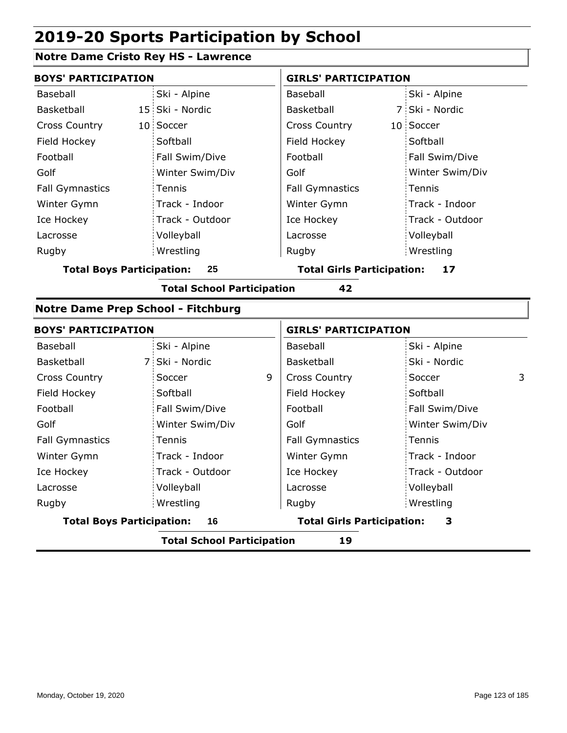### **Notre Dame Cristo Rey HS - Lawrence**

| <b>BOYS' PARTICIPATION</b>             |                 | <b>GIRLS' PARTICIPATION</b>             |                 |  |
|----------------------------------------|-----------------|-----------------------------------------|-----------------|--|
| Baseball                               | Ski - Alpine    | Baseball                                | Ski - Alpine    |  |
| Basketball                             | 15 Ski - Nordic | Basketball                              | 7 Ski - Nordic  |  |
| <b>Cross Country</b>                   | 10 Soccer       | <b>Cross Country</b>                    | 10 Soccer       |  |
| Field Hockey                           | Softball        | Field Hockey                            | Softball        |  |
| Football                               | Fall Swim/Dive  | Football                                | Fall Swim/Dive  |  |
| Golf                                   | Winter Swim/Div | Golf                                    | Winter Swim/Div |  |
| <b>Fall Gymnastics</b>                 | Tennis          | <b>Fall Gymnastics</b>                  | Tennis          |  |
| Winter Gymn                            | Track - Indoor  | Winter Gymn                             | Track - Indoor  |  |
| Ice Hockey                             | Track - Outdoor | Ice Hockey                              | Track - Outdoor |  |
| Lacrosse                               | Volleyball      | Lacrosse                                | Volleyball      |  |
| Rugby                                  | Wrestling       | Rugby                                   | Wrestling       |  |
| <b>Total Boys Participation:</b><br>25 |                 | <b>Total Girls Participation:</b><br>17 |                 |  |

**Total School Participation 42**

#### **Notre Dame Prep School - Fitchburg**

| <b>BOYS' PARTICIPATION</b>              |                 | <b>GIRLS' PARTICIPATION</b> |                                        |                 |   |  |  |
|-----------------------------------------|-----------------|-----------------------------|----------------------------------------|-----------------|---|--|--|
| Baseball                                | Ski - Alpine    |                             | Baseball                               | Ski - Alpine    |   |  |  |
| Basketball                              | 7 Ski - Nordic  |                             | <b>Basketball</b>                      | Ski - Nordic    |   |  |  |
| <b>Cross Country</b>                    | Soccer          | 9                           | <b>Cross Country</b>                   | Soccer          | 3 |  |  |
| Field Hockey                            | Softball        |                             | Field Hockey                           | Softball        |   |  |  |
| Football                                | Fall Swim/Dive  |                             | Football                               | Fall Swim/Dive  |   |  |  |
| Golf                                    | Winter Swim/Div |                             | Golf                                   | Winter Swim/Div |   |  |  |
| <b>Fall Gymnastics</b>                  | Tennis          |                             | <b>Fall Gymnastics</b>                 | Tennis          |   |  |  |
| Winter Gymn                             | Track - Indoor  |                             | Winter Gymn                            | Track - Indoor  |   |  |  |
| Ice Hockey                              | Track - Outdoor |                             | Ice Hockey                             | Track - Outdoor |   |  |  |
| Lacrosse                                | Volleyball      |                             | Lacrosse                               | Volleyball      |   |  |  |
| Rugby                                   | Wrestling       |                             | Rugby                                  | Wrestling       |   |  |  |
| <b>Total Boys Participation:</b>        | 16              |                             | <b>Total Girls Participation:</b><br>3 |                 |   |  |  |
| <b>Total School Participation</b><br>19 |                 |                             |                                        |                 |   |  |  |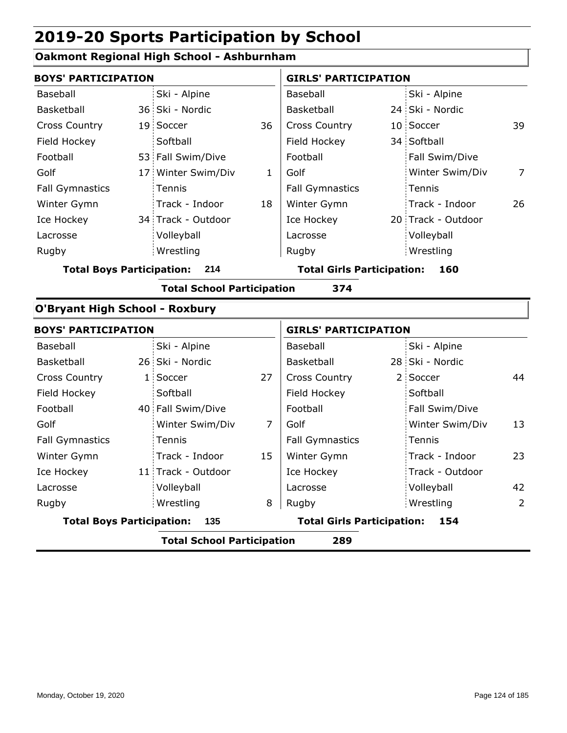### **Oakmont Regional High School - Ashburnham**

| <b>BOYS' PARTICIPATION</b>            |    |                                   |              | <b>GIRLS' PARTICIPATION</b>       |                             |                    |                |  |
|---------------------------------------|----|-----------------------------------|--------------|-----------------------------------|-----------------------------|--------------------|----------------|--|
| Baseball                              |    | Ski - Alpine                      |              | Baseball                          |                             | Ski - Alpine       |                |  |
| Basketball                            |    | 36 Ski - Nordic                   |              | Basketball                        |                             | 24 Ski - Nordic    |                |  |
| <b>Cross Country</b>                  |    | 19 Soccer                         | 36           | <b>Cross Country</b>              |                             | 10 Soccer          | 39             |  |
| Field Hockey                          |    | Softball                          |              | Field Hockey                      |                             | 34 Softball        |                |  |
| Football                              |    | 53 Fall Swim/Dive                 |              | Football                          |                             | Fall Swim/Dive     |                |  |
| Golf                                  |    | 17 Winter Swim/Div                | $\mathbf{1}$ | Golf                              |                             | Winter Swim/Div    | 7              |  |
| <b>Fall Gymnastics</b>                |    | Tennis                            |              | <b>Fall Gymnastics</b>            |                             | Tennis             |                |  |
| Winter Gymn                           |    | Track - Indoor                    | 18           | Winter Gymn                       |                             | Track - Indoor     | 26             |  |
| Ice Hockey                            |    | 34 Track - Outdoor                |              | Ice Hockey                        |                             | 20 Track - Outdoor |                |  |
| Lacrosse                              |    | Volleyball                        |              | Lacrosse                          |                             | Volleyball         |                |  |
| Rugby                                 |    | Wrestling                         |              | Rugby                             |                             | Wrestling          |                |  |
| <b>Total Boys Participation:</b>      |    | 214                               |              | <b>Total Girls Participation:</b> |                             | 160                |                |  |
|                                       |    | <b>Total School Participation</b> |              | 374                               |                             |                    |                |  |
| <b>O'Bryant High School - Roxbury</b> |    |                                   |              |                                   |                             |                    |                |  |
| <b>BOYS' PARTICIPATION</b>            |    |                                   |              |                                   | <b>GIRLS' PARTICIPATION</b> |                    |                |  |
| <b>Baseball</b>                       |    | Ski - Alpine                      |              | Baseball                          |                             | Ski - Alpine       |                |  |
| Basketball                            |    | 26 Ski - Nordic                   |              | Basketball                        |                             | 28 Ski - Nordic    |                |  |
| <b>Cross Country</b>                  | 1: | Soccer                            | 27           | <b>Cross Country</b>              |                             | 2 Soccer           | 44             |  |
| Field Hockey                          |    | Softball                          |              | Field Hockey                      |                             | Softball           |                |  |
| Football                              |    | 40 Fall Swim/Dive                 |              | Football                          |                             | Fall Swim/Dive     |                |  |
| Golf                                  |    | Winter Swim/Div                   | 7            | Golf                              |                             | Winter Swim/Div    | 13             |  |
| <b>Fall Gymnastics</b>                |    | <b>Tennis</b>                     |              | <b>Fall Gymnastics</b>            |                             | Tennis             |                |  |
| Winter Gymn                           |    | Track - Indoor                    | 15           | Winter Gymn                       |                             | Track - Indoor     | 23             |  |
| Ice Hockey                            |    | 11 Track - Outdoor                |              | Ice Hockey                        |                             | Track - Outdoor    |                |  |
| Lacrosse                              |    | Volleyball                        |              | Lacrosse                          |                             | Volleyball         | 42             |  |
| Rugby                                 |    | Wrestling                         | 8            | Rugby                             |                             | Wrestling          | $\overline{2}$ |  |
| <b>Total Boys Participation:</b>      |    | 135                               |              | <b>Total Girls Participation:</b> |                             | 154                |                |  |
|                                       |    | <b>Total School Participation</b> |              | 289                               |                             |                    |                |  |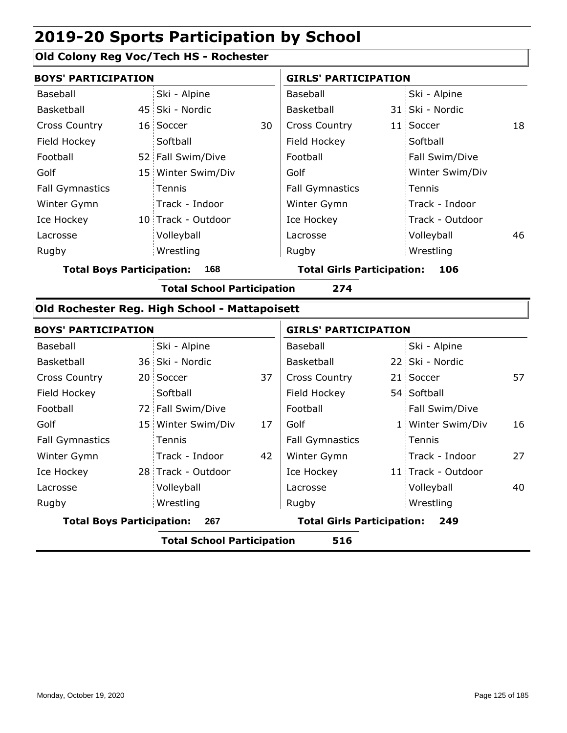### **Old Colony Reg Voc/Tech HS - Rochester**

|                                  | <b>BOYS' PARTICIPATION</b>               |                    |    | <b>GIRLS' PARTICIPATION</b>       |  |                 |     |
|----------------------------------|------------------------------------------|--------------------|----|-----------------------------------|--|-----------------|-----|
| Baseball                         |                                          | Ski - Alpine       |    | Baseball                          |  | Ski - Alpine    |     |
| Basketball                       |                                          | 45 Ski - Nordic    |    | Basketball                        |  | 31 Ski - Nordic |     |
| <b>Cross Country</b>             |                                          | 16 Soccer          | 30 | <b>Cross Country</b>              |  | 11 Soccer       | 18  |
| Field Hockey                     |                                          | Softball           |    | Field Hockey                      |  | Softball        |     |
| Football                         |                                          | 52 Fall Swim/Dive  |    | Football                          |  | Fall Swim/Dive  |     |
| Golf                             |                                          | 15 Winter Swim/Div |    | Golf                              |  | Winter Swim/Div |     |
| <b>Fall Gymnastics</b>           |                                          | Tennis             |    | <b>Fall Gymnastics</b>            |  | Tennis          |     |
| Winter Gymn                      |                                          | Track - Indoor     |    | Winter Gymn                       |  | Track - Indoor  |     |
| Ice Hockey                       |                                          | 10 Track - Outdoor |    | Ice Hockey                        |  | Track - Outdoor |     |
| Lacrosse                         |                                          | Volleyball         |    | Lacrosse                          |  | Volleyball      | 46. |
| Rugby                            |                                          | Wrestling          |    | Rugby                             |  | Wrestling       |     |
| <b>Total Boys Participation:</b> |                                          | 168                |    | <b>Total Girls Participation:</b> |  | 106             |     |
|                                  | 274<br><b>Total School Participation</b> |                    |    |                                   |  |                 |     |

#### **Old Rochester Reg. High School - Mattapoisett**

|                                         | <b>BOYS' PARTICIPATION</b>               |                                   |    | <b>GIRLS' PARTICIPATION</b> |  |                    |    |  |
|-----------------------------------------|------------------------------------------|-----------------------------------|----|-----------------------------|--|--------------------|----|--|
| Baseball                                |                                          | Ski - Alpine                      |    | Baseball                    |  | Ski - Alpine       |    |  |
| <b>Basketball</b>                       |                                          | 36 Ski - Nordic                   |    | Basketball                  |  | 22 Ski - Nordic    |    |  |
| <b>Cross Country</b>                    |                                          | 20 Soccer                         | 37 | <b>Cross Country</b>        |  | 21 Soccer          | 57 |  |
| Field Hockey                            |                                          | Softball                          |    | Field Hockey                |  | 54 Softball        |    |  |
| Football                                |                                          | 72 Fall Swim/Dive                 |    | Football                    |  | Fall Swim/Dive     |    |  |
| Golf                                    |                                          | 15 Winter Swim/Div                | 17 | Golf                        |  | 1 Winter Swim/Div  | 16 |  |
| <b>Fall Gymnastics</b>                  |                                          | Tennis                            |    | <b>Fall Gymnastics</b>      |  | Tennis             |    |  |
| Winter Gymn                             |                                          | Track - Indoor                    | 42 | Winter Gymn                 |  | Track - Indoor     | 27 |  |
| Ice Hockey                              |                                          | 28 Track - Outdoor                |    | Ice Hockey                  |  | 11 Track - Outdoor |    |  |
| Lacrosse                                |                                          | Volleyball                        |    | Lacrosse                    |  | Volleyball         | 40 |  |
| Rugby                                   |                                          | Wrestling                         |    | Rugby                       |  | Wrestling          |    |  |
| <b>Total Boys Participation:</b><br>267 |                                          | <b>Total Girls Participation:</b> |    | 249                         |  |                    |    |  |
|                                         | <b>Total School Participation</b><br>516 |                                   |    |                             |  |                    |    |  |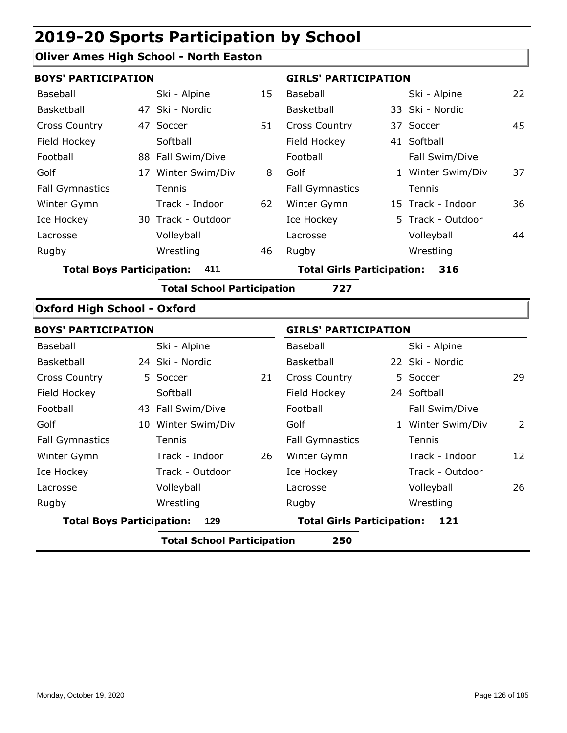#### **Oliver Ames High School - North Easton**

|                                    | <b>BOYS' PARTICIPATION</b> |                                   |    |                                   | <b>GIRLS' PARTICIPATION</b> |                   |                |  |
|------------------------------------|----------------------------|-----------------------------------|----|-----------------------------------|-----------------------------|-------------------|----------------|--|
| Baseball                           |                            | Ski - Alpine                      | 15 | Baseball                          |                             | Ski - Alpine      | 22             |  |
| Basketball                         |                            | 47 Ski - Nordic                   |    | Basketball                        |                             | 33 Ski - Nordic   |                |  |
| <b>Cross Country</b>               |                            | 47 Soccer                         | 51 | <b>Cross Country</b>              |                             | 37 Soccer         | 45             |  |
| Field Hockey                       |                            | Softball                          |    | Field Hockey                      |                             | 41 Softball       |                |  |
| Football                           |                            | 88 Fall Swim/Dive                 |    | Football                          |                             | Fall Swim/Dive    |                |  |
| Golf                               |                            | 17 Winter Swim/Div                | 8  | Golf                              |                             | 1 Winter Swim/Div | 37             |  |
| <b>Fall Gymnastics</b>             |                            | Tennis                            |    | <b>Fall Gymnastics</b>            |                             | Tennis            |                |  |
| Winter Gymn                        |                            | Track - Indoor                    | 62 | Winter Gymn                       |                             | 15 Track - Indoor | 36             |  |
| Ice Hockey                         |                            | 30 Track - Outdoor                |    | Ice Hockey                        |                             | 5 Track - Outdoor |                |  |
| Lacrosse                           |                            | Volleyball                        |    | Lacrosse                          |                             | Volleyball        | 44             |  |
| Rugby                              |                            | Wrestling                         | 46 | Rugby                             |                             | Wrestling         |                |  |
| <b>Total Boys Participation:</b>   |                            | 411                               |    | <b>Total Girls Participation:</b> |                             | 316               |                |  |
|                                    |                            | <b>Total School Participation</b> |    | 727                               |                             |                   |                |  |
| <b>Oxford High School - Oxford</b> |                            |                                   |    |                                   |                             |                   |                |  |
| <b>BOYS' PARTICIPATION</b>         |                            |                                   |    | <b>GIRLS' PARTICIPATION</b>       |                             |                   |                |  |
| Baseball                           |                            | Ski - Alpine                      |    | Baseball                          |                             | Ski - Alpine      |                |  |
| Basketball                         |                            | 24 Ski - Nordic                   |    | Basketball                        |                             | 22 Ski - Nordic   |                |  |
| <b>Cross Country</b>               |                            | 5 Soccer                          | 21 | Cross Country                     |                             | 5 Soccer          | 29             |  |
| Field Hockey                       |                            | Softball                          |    | Field Hockey                      |                             | 24 Softball       |                |  |
| Football                           |                            | 43 Fall Swim/Dive                 |    | Football                          |                             | Fall Swim/Dive    |                |  |
| Golf                               |                            | 10 Winter Swim/Div                |    | Golf                              |                             | 1 Winter Swim/Div | $\overline{2}$ |  |
|                                    |                            |                                   |    |                                   |                             |                   |                |  |

26

**Total Boys Participation: 129 Total Girls Participation: 121**

**Total School Participation 250**

Fall Gymnastics Winter Gymn Ice Hockey Lacrosse

**Tennis** 

Wrestling

Track - Indoor Track - Outdoor

Volleyball 26

Fall Gymnastics

Tennis

Volleyball Wrestling Rugby Rugby

Track - Indoor Track - Outdoor

Ice Hockey Lacrosse

Winter Gymn

12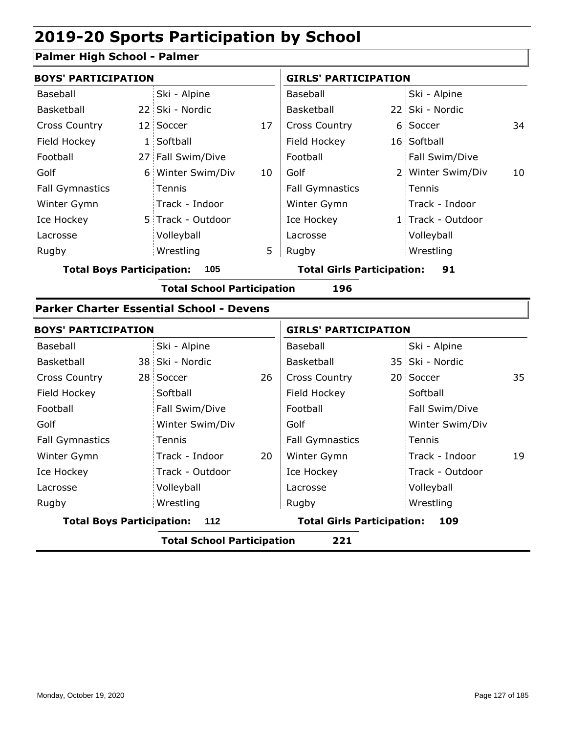#### **Palmer High School - Palmer**

| <b>BOYS' PARTICIPATION</b>              |                |                                                                                                           |                        | <b>GIRLS' PARTICIPATION</b> |                |                                                                                                                               |  |
|-----------------------------------------|----------------|-----------------------------------------------------------------------------------------------------------|------------------------|-----------------------------|----------------|-------------------------------------------------------------------------------------------------------------------------------|--|
|                                         | Ski - Alpine   |                                                                                                           | Baseball               |                             | Ski - Alpine   |                                                                                                                               |  |
|                                         |                |                                                                                                           | Basketball             |                             |                |                                                                                                                               |  |
|                                         |                | 17                                                                                                        | <b>Cross Country</b>   |                             |                | 34                                                                                                                            |  |
|                                         |                |                                                                                                           | Field Hockey           |                             |                |                                                                                                                               |  |
|                                         |                |                                                                                                           | Football               |                             | Fall Swim/Dive |                                                                                                                               |  |
|                                         |                | 10                                                                                                        | Golf                   |                             |                | 10                                                                                                                            |  |
|                                         | Tennis         |                                                                                                           | <b>Fall Gymnastics</b> |                             |                |                                                                                                                               |  |
|                                         | Track - Indoor |                                                                                                           | Winter Gymn            |                             |                |                                                                                                                               |  |
|                                         |                |                                                                                                           | Ice Hockey             |                             |                |                                                                                                                               |  |
|                                         | Volleyball     |                                                                                                           | Lacrosse               |                             | Volleyball     |                                                                                                                               |  |
|                                         | Wrestling      | 5                                                                                                         | Rugby                  |                             |                |                                                                                                                               |  |
| <b>Total Boys Participation:</b><br>105 |                | <b>Total Girls Participation:</b><br>91                                                                   |                        |                             |                |                                                                                                                               |  |
|                                         |                | 22 Ski - Nordic<br>12 Soccer<br>1 Softball<br>27 Fall Swim/Dive<br>6 Winter Swim/Div<br>5 Track - Outdoor |                        |                             |                | 22 Ski - Nordic<br>6 Soccer<br>16 Softball<br>2 Winter Swim/Div<br>Tennis<br>Track - Indoor<br>1 Track - Outdoor<br>Wrestling |  |

**Total School Participation 196**

#### **Parker Charter Essential School - Devens**

|                                         | <b>BOYS' PARTICIPATION</b> |                                          |    | <b>GIRLS' PARTICIPATION</b> |  |                 |    |
|-----------------------------------------|----------------------------|------------------------------------------|----|-----------------------------|--|-----------------|----|
| Baseball                                |                            | Ski - Alpine                             |    | Baseball                    |  | Ski - Alpine    |    |
| Basketball                              |                            | 38 Ski - Nordic                          |    | Basketball                  |  | 35 Ski - Nordic |    |
| <b>Cross Country</b>                    |                            | 28 Soccer                                | 26 | <b>Cross Country</b>        |  | 20 Soccer       | 35 |
| Field Hockey                            |                            | Softball                                 |    | Field Hockey                |  | Softball        |    |
| Football                                |                            | Fall Swim/Dive                           |    | Football                    |  | Fall Swim/Dive  |    |
| Golf                                    |                            | Winter Swim/Div                          |    | Golf                        |  | Winter Swim/Div |    |
| <b>Fall Gymnastics</b>                  |                            | Tennis                                   |    | <b>Fall Gymnastics</b>      |  | Tennis          |    |
| Winter Gymn                             |                            | Track - Indoor                           | 20 | Winter Gymn                 |  | Track - Indoor  | 19 |
| Ice Hockey                              |                            | Track - Outdoor                          |    | Ice Hockey                  |  | Track - Outdoor |    |
| Lacrosse                                |                            | Volleyball                               |    | Lacrosse                    |  | Volleyball      |    |
| Rugby                                   |                            | Wrestling                                |    | Rugby                       |  | Wrestling       |    |
| <b>Total Boys Participation:</b><br>112 |                            | <b>Total Girls Participation:</b><br>109 |    |                             |  |                 |    |
|                                         |                            | _ _                                      |    |                             |  |                 |    |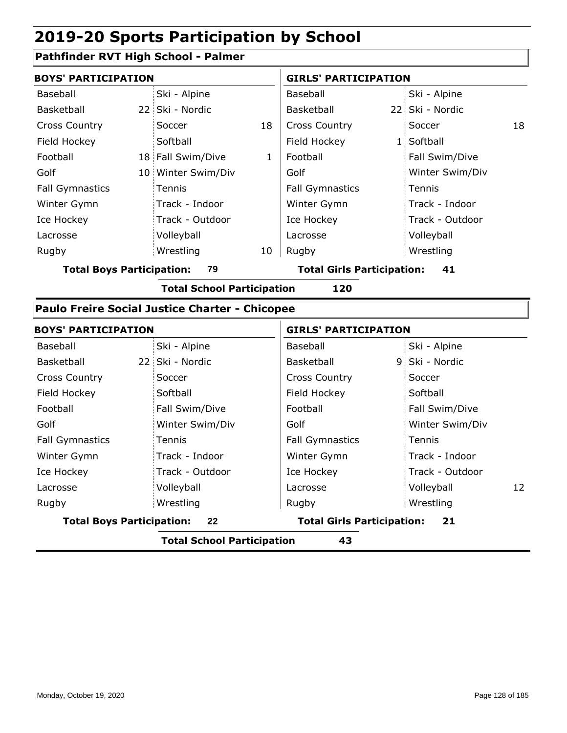### **Pathfinder RVT High School - Palmer**

| <b>BOYS' PARTICIPATION</b> |  |                    | <b>GIRLS' PARTICIPATION</b> |                        |  |                 |    |
|----------------------------|--|--------------------|-----------------------------|------------------------|--|-----------------|----|
| Baseball                   |  | Ski - Alpine       |                             | Baseball               |  | Ski - Alpine    |    |
| Basketball                 |  | 22 Ski - Nordic    |                             | Basketball             |  | 22 Ski - Nordic |    |
| <b>Cross Country</b>       |  | Soccer             | 18                          | <b>Cross Country</b>   |  | Soccer          | 18 |
| Field Hockey               |  | Softball           |                             | Field Hockey           |  | 1 Softball      |    |
| Football                   |  | 18 Fall Swim/Dive  | 1                           | Football               |  | Fall Swim/Dive  |    |
| Golf                       |  | 10 Winter Swim/Div |                             | Golf                   |  | Winter Swim/Div |    |
| <b>Fall Gymnastics</b>     |  | Tennis             |                             | <b>Fall Gymnastics</b> |  | Tennis          |    |
| Winter Gymn                |  | Track - Indoor     |                             | Winter Gymn            |  | Track - Indoor  |    |
| Ice Hockey                 |  | Track - Outdoor    |                             | Ice Hockey             |  | Track - Outdoor |    |
| Lacrosse                   |  | Volleyball         |                             | Lacrosse               |  | Volleyball      |    |
| Rugby                      |  | Wrestling          | 10                          | Rugby                  |  | Wrestling       |    |

**Total Boys Participation: 79 Total Girls Participation: 41**

**Total School Participation 120**

#### **Paulo Freire Social Justice Charter - Chicopee**

| <b>BOYS' PARTICIPATION</b>       |                 | <b>GIRLS' PARTICIPATION</b>             |                  |  |
|----------------------------------|-----------------|-----------------------------------------|------------------|--|
| Baseball                         | Ski - Alpine    | Baseball                                | Ski - Alpine     |  |
| Basketball                       | 22 Ski - Nordic | Basketball                              | 9 Ski - Nordic   |  |
| <b>Cross Country</b>             | Soccer          | <b>Cross Country</b>                    | Soccer           |  |
| Field Hockey                     | Softball        | Field Hockey                            | Softball         |  |
| Football                         | Fall Swim/Dive  | Football                                | Fall Swim/Dive   |  |
| Golf                             | Winter Swim/Div | Golf                                    | Winter Swim/Div  |  |
| <b>Fall Gymnastics</b>           | Tennis          | <b>Fall Gymnastics</b>                  | Tennis           |  |
| Winter Gymn                      | Track - Indoor  | Winter Gymn                             | Track - Indoor   |  |
| Ice Hockey                       | Track - Outdoor | Ice Hockey                              | Track - Outdoor  |  |
| Lacrosse                         | Volleyball      | Lacrosse                                | Volleyball<br>12 |  |
| Rugby                            | Wrestling       | Rugby                                   | Wrestling        |  |
| <b>Total Boys Participation:</b> | 22              | <b>Total Girls Participation:</b><br>21 |                  |  |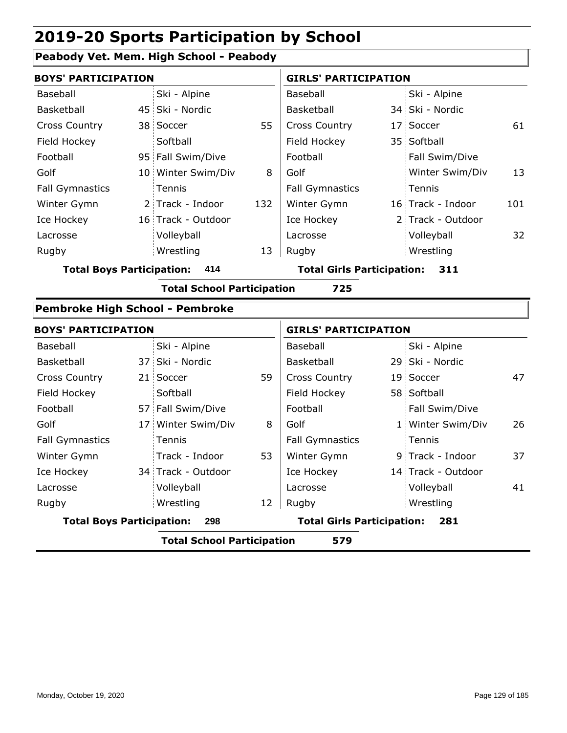### **Peabody Vet. Mem. High School - Peabody**

|                                        | <b>BOYS' PARTICIPATION</b> |                                   |     |                                          | <b>GIRLS' PARTICIPATION</b> |                   |     |  |
|----------------------------------------|----------------------------|-----------------------------------|-----|------------------------------------------|-----------------------------|-------------------|-----|--|
| Baseball                               |                            | Ski - Alpine                      |     | Baseball                                 |                             | Ski - Alpine      |     |  |
| Basketball                             |                            | 45 Ski - Nordic                   |     | Basketball                               |                             | 34 Ski - Nordic   |     |  |
| Cross Country                          |                            | 38 Soccer                         | 55  | <b>Cross Country</b>                     |                             | 17 Soccer         | 61  |  |
| Field Hockey                           |                            | Softball                          |     | Field Hockey                             |                             | 35 Softball       |     |  |
| Football                               |                            | 95 Fall Swim/Dive                 |     | Football                                 |                             | Fall Swim/Dive    |     |  |
| Golf                                   |                            | 10 Winter Swim/Div                | 8   | Golf                                     |                             | Winter Swim/Div   | 13  |  |
| <b>Fall Gymnastics</b>                 |                            | Tennis                            |     | <b>Fall Gymnastics</b>                   |                             | Tennis            |     |  |
| Winter Gymn                            |                            | 2 Track - Indoor                  | 132 | Winter Gymn                              |                             | 16 Track - Indoor | 101 |  |
| Ice Hockey                             |                            | 16 Track - Outdoor                |     | Ice Hockey                               |                             | 2 Track - Outdoor |     |  |
| Lacrosse                               |                            | Volleyball                        |     | Lacrosse                                 |                             | Volleyball        | 32  |  |
| Rugby                                  |                            | Wrestling                         | 13  | Rugby                                    |                             | Wrestling         |     |  |
| <b>Total Boys Participation:</b>       |                            | 414                               |     | <b>Total Girls Participation:</b><br>311 |                             |                   |     |  |
|                                        |                            | <b>Total School Participation</b> |     | 725                                      |                             |                   |     |  |
| <b>Pembroke High School - Pembroke</b> |                            |                                   |     |                                          |                             |                   |     |  |
| <b>BOYS' PARTICIPATION</b>             |                            |                                   |     | <b>GIRLS' PARTICIPATION</b>              |                             |                   |     |  |
| Baseball                               |                            | Ski - Alpine                      |     | Baseball                                 |                             | Ski - Alpine      |     |  |
| Basketball                             |                            | 37 Ski - Nordic                   |     | Basketball                               |                             | 29 Ski - Nordic   |     |  |
| Cross Country                          |                            | 21 Soccer                         | 59  | <b>Cross Country</b>                     |                             | 19 Soccer         | 47  |  |
| Field Hockey                           |                            | Softball                          |     | Field Hockey                             |                             | 58 Softball       |     |  |
|                                        |                            |                                   |     |                                          |                             |                   |     |  |

| Field Hockey                            |  | Softball           |                                   | Field Hockey           | 58 Softball        |    |
|-----------------------------------------|--|--------------------|-----------------------------------|------------------------|--------------------|----|
| Football                                |  | 57 Fall Swim/Dive  |                                   | Football               | Fall Swim/Dive     |    |
| Golf                                    |  | 17 Winter Swim/Div | 8                                 | Golf                   | 1 Winter Swim/Div  | 26 |
| <b>Fall Gymnastics</b>                  |  | Tennis             |                                   | <b>Fall Gymnastics</b> | Tennis             |    |
| Winter Gymn                             |  | Track - Indoor     | 53                                | Winter Gymn            | 9 Track - Indoor   | 37 |
| Ice Hockey                              |  | 34 Track - Outdoor |                                   | Ice Hockey             | 14 Track - Outdoor |    |
| Lacrosse                                |  | Volleyball         |                                   | Lacrosse               | Volleyball         | 41 |
| Rugby                                   |  | Wrestling          | 12                                | Rugby                  | Wrestling          |    |
| <b>Total Boys Participation:</b><br>298 |  |                    | <b>Total Girls Participation:</b> | 281                    |                    |    |
|                                         |  |                    |                                   |                        |                    |    |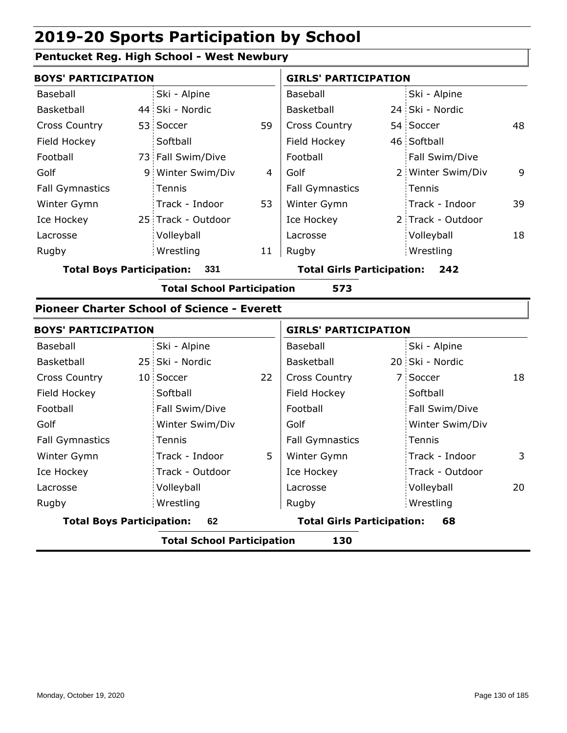#### **Pentucket Reg. High School - West Newbury**

| <b>BOYS' PARTICIPATION</b> |  |                    |    | <b>GIRLS' PARTICIPATION</b> |  |                   |    |
|----------------------------|--|--------------------|----|-----------------------------|--|-------------------|----|
| Baseball                   |  | Ski - Alpine       |    | Baseball                    |  | Ski - Alpine      |    |
| Basketball                 |  | 44 Ski - Nordic    |    | <b>Basketball</b>           |  | 24 Ski - Nordic   |    |
| <b>Cross Country</b>       |  | 53 Soccer          | 59 | <b>Cross Country</b>        |  | 54 Soccer         | 48 |
| Field Hockey               |  | Softball           |    | Field Hockey                |  | 46 Softball       |    |
| Football                   |  | 73 Fall Swim/Dive  |    | Football                    |  | Fall Swim/Dive    |    |
| Golf                       |  | 9 Winter Swim/Div  | 4  | Golf                        |  | 2 Winter Swim/Div | 9  |
| <b>Fall Gymnastics</b>     |  | Tennis             |    | <b>Fall Gymnastics</b>      |  | Tennis            |    |
| Winter Gymn                |  | Track - Indoor     | 53 | Winter Gymn                 |  | Track - Indoor    | 39 |
| Ice Hockey                 |  | 25 Track - Outdoor |    | Ice Hockey                  |  | 2 Track - Outdoor |    |
| Lacrosse                   |  | Volleyball         |    | Lacrosse                    |  | Volleyball        | 18 |
| Rugby                      |  | Wrestling          | 11 | Rugby                       |  | Wrestling         |    |

**Total Boys Participation: 331 Total Girls Participation: 242**

**Total School Participation 573**

#### **Pioneer Charter School of Science - Everett**

| <b>BOYS' PARTICIPATION</b>             |  |                                         | <b>GIRLS' PARTICIPATION</b> |                        |  |                 |    |
|----------------------------------------|--|-----------------------------------------|-----------------------------|------------------------|--|-----------------|----|
| Baseball                               |  | Ski - Alpine                            |                             | Baseball               |  | Ski - Alpine    |    |
| Basketball                             |  | 25 Ski - Nordic                         |                             | Basketball             |  | 20 Ski - Nordic |    |
| <b>Cross Country</b>                   |  | 10 Soccer                               | 22                          | <b>Cross Country</b>   |  | 7 Soccer        | 18 |
| Field Hockey                           |  | Softball                                |                             | Field Hockey           |  | Softball        |    |
| Football                               |  | Fall Swim/Dive                          |                             | Football               |  | Fall Swim/Dive  |    |
| Golf                                   |  | Winter Swim/Div                         |                             | Golf                   |  | Winter Swim/Div |    |
| <b>Fall Gymnastics</b>                 |  | Tennis                                  |                             | <b>Fall Gymnastics</b> |  | Tennis          |    |
| Winter Gymn                            |  | Track - Indoor                          | 5                           | Winter Gymn            |  | Track - Indoor  | 3  |
| Ice Hockey                             |  | Track - Outdoor                         |                             | Ice Hockey             |  | Track - Outdoor |    |
| Lacrosse                               |  | Volleyball                              |                             | Lacrosse               |  | Volleyball      | 20 |
| Rugby                                  |  | Wrestling                               |                             | Rugby                  |  | Wrestling       |    |
| <b>Total Boys Participation:</b><br>62 |  | <b>Total Girls Participation:</b><br>68 |                             |                        |  |                 |    |
|                                        |  | Tatal Cabaal Dautisination.             |                             | 1 D.A.                 |  |                 |    |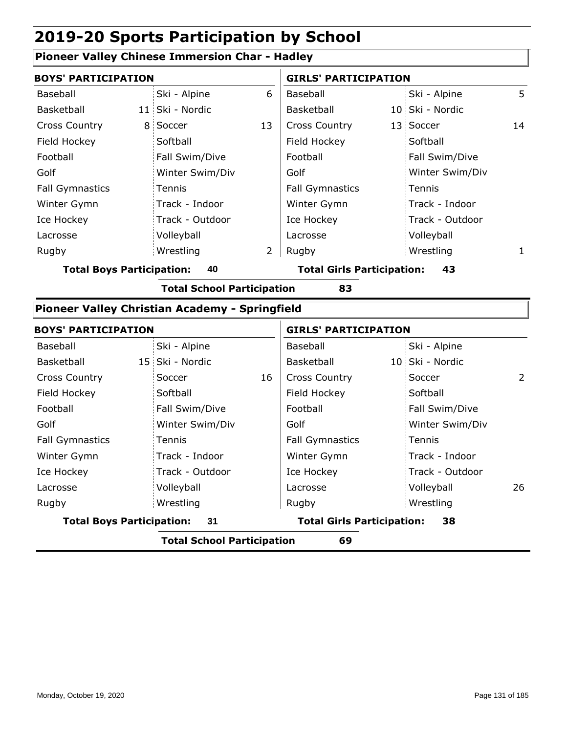#### **Pioneer Valley Chinese Immersion Char - Hadley**

| <b>BOYS' PARTICIPATION</b> |                 | <b>GIRLS' PARTICIPATION</b> |                        |  |                 |    |
|----------------------------|-----------------|-----------------------------|------------------------|--|-----------------|----|
| Baseball                   | Ski - Alpine    | 6                           | Baseball               |  | Ski - Alpine    | 5. |
| Basketball                 | 11 Ski - Nordic |                             | <b>Basketball</b>      |  | 10 Ski - Nordic |    |
| <b>Cross Country</b>       | 8 Soccer        | 13                          | <b>Cross Country</b>   |  | 13 Soccer       | 14 |
| Field Hockey               | Softball        |                             | Field Hockey           |  | Softball        |    |
| Football                   | Fall Swim/Dive  |                             | Football               |  | Fall Swim/Dive  |    |
| Golf                       | Winter Swim/Div |                             | Golf                   |  | Winter Swim/Div |    |
| <b>Fall Gymnastics</b>     | Tennis          |                             | <b>Fall Gymnastics</b> |  | Tennis          |    |
| Winter Gymn                | Track - Indoor  |                             | Winter Gymn            |  | Track - Indoor  |    |
| Ice Hockey                 | Track - Outdoor |                             | Ice Hockey             |  | Track - Outdoor |    |
| Lacrosse                   | Volleyball      |                             | Lacrosse               |  | Volleyball      |    |
| Rugby                      | Wrestling       | $\overline{2}$              | Rugby                  |  | Wrestling       | 1. |

**Total Boys Participation: 40 Total Girls Participation: 43**

**Total School Participation 83**

#### **Pioneer Valley Christian Academy - Springfield**

| <b>BOYS' PARTICIPATION</b>             | <b>GIRLS' PARTICIPATION</b> |    |                                         |  |                 |     |
|----------------------------------------|-----------------------------|----|-----------------------------------------|--|-----------------|-----|
| Baseball                               | Ski - Alpine                |    | Baseball                                |  | Ski - Alpine    |     |
| Basketball                             | 15 Ski - Nordic             |    | Basketball                              |  | 10 Ski - Nordic |     |
| <b>Cross Country</b>                   | Soccer                      | 16 | <b>Cross Country</b>                    |  | Soccer          | 2   |
| Field Hockey                           | Softball                    |    | Field Hockey                            |  | Softball        |     |
| Football                               | Fall Swim/Dive              |    | Football                                |  | Fall Swim/Dive  |     |
| Golf                                   | Winter Swim/Div             |    | Golf                                    |  | Winter Swim/Div |     |
| <b>Fall Gymnastics</b>                 | Tennis                      |    | <b>Fall Gymnastics</b>                  |  | Tennis          |     |
| Winter Gymn                            | Track - Indoor              |    | Winter Gymn                             |  | Track - Indoor  |     |
| Ice Hockey                             | Track - Outdoor             |    | Ice Hockey                              |  | Track - Outdoor |     |
| Lacrosse                               | Volleyball                  |    | Lacrosse                                |  | Volleyball      | 26. |
| Rugby                                  | Wrestling                   |    | Rugby                                   |  | Wrestling       |     |
| <b>Total Boys Participation:</b><br>31 |                             |    | <b>Total Girls Participation:</b><br>38 |  |                 |     |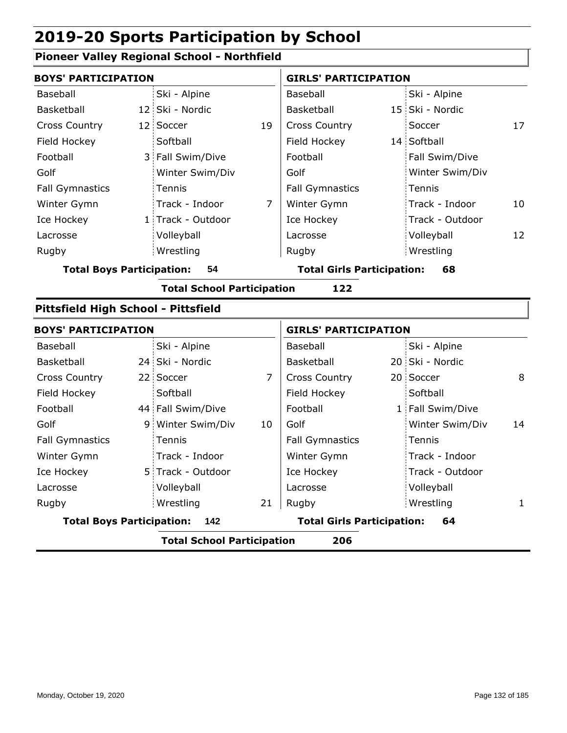### **Pioneer Valley Regional School - Northfield**

|                                          |                 |                                                                                                                                                                                                                                                                         |                        | <b>GIRLS' PARTICIPATION</b>             |                 |                                                                                                                                                                                  |  |  |  |
|------------------------------------------|-----------------|-------------------------------------------------------------------------------------------------------------------------------------------------------------------------------------------------------------------------------------------------------------------------|------------------------|-----------------------------------------|-----------------|----------------------------------------------------------------------------------------------------------------------------------------------------------------------------------|--|--|--|
|                                          | Ski - Alpine    |                                                                                                                                                                                                                                                                         | Baseball               |                                         | Ski - Alpine    |                                                                                                                                                                                  |  |  |  |
|                                          |                 |                                                                                                                                                                                                                                                                         | Basketball             |                                         |                 |                                                                                                                                                                                  |  |  |  |
|                                          |                 | 19                                                                                                                                                                                                                                                                      | <b>Cross Country</b>   |                                         | Soccer          | 17                                                                                                                                                                               |  |  |  |
|                                          | Softball        |                                                                                                                                                                                                                                                                         | Field Hockey           |                                         |                 |                                                                                                                                                                                  |  |  |  |
|                                          |                 |                                                                                                                                                                                                                                                                         | Football               |                                         | Fall Swim/Dive  |                                                                                                                                                                                  |  |  |  |
|                                          | Winter Swim/Div |                                                                                                                                                                                                                                                                         | Golf                   |                                         | Winter Swim/Div |                                                                                                                                                                                  |  |  |  |
|                                          | Tennis          |                                                                                                                                                                                                                                                                         | <b>Fall Gymnastics</b> |                                         | Tennis          |                                                                                                                                                                                  |  |  |  |
|                                          | Track - Indoor  | 7                                                                                                                                                                                                                                                                       | Winter Gymn            |                                         | Track - Indoor  | 10                                                                                                                                                                               |  |  |  |
|                                          |                 |                                                                                                                                                                                                                                                                         | Ice Hockey             |                                         | Track - Outdoor |                                                                                                                                                                                  |  |  |  |
|                                          | Volleyball      |                                                                                                                                                                                                                                                                         | Lacrosse               |                                         | Volleyball      | 12                                                                                                                                                                               |  |  |  |
|                                          | Wrestling       |                                                                                                                                                                                                                                                                         | Rugby                  |                                         |                 |                                                                                                                                                                                  |  |  |  |
| <b>Total Boys Participation:</b><br>54   |                 |                                                                                                                                                                                                                                                                         |                        | <b>Total Girls Participation:</b><br>68 |                 |                                                                                                                                                                                  |  |  |  |
|                                          |                 |                                                                                                                                                                                                                                                                         | 122                    |                                         |                 |                                                                                                                                                                                  |  |  |  |
|                                          |                 |                                                                                                                                                                                                                                                                         |                        |                                         |                 |                                                                                                                                                                                  |  |  |  |
|                                          |                 |                                                                                                                                                                                                                                                                         |                        |                                         |                 |                                                                                                                                                                                  |  |  |  |
|                                          | Ski - Alpine    |                                                                                                                                                                                                                                                                         | Baseball               |                                         | Ski - Alpine    |                                                                                                                                                                                  |  |  |  |
|                                          |                 |                                                                                                                                                                                                                                                                         | Basketball             |                                         |                 |                                                                                                                                                                                  |  |  |  |
|                                          |                 | 7                                                                                                                                                                                                                                                                       | <b>Cross Country</b>   |                                         |                 | 8                                                                                                                                                                                |  |  |  |
|                                          | Softball        |                                                                                                                                                                                                                                                                         | Field Hockey           |                                         | Softball        |                                                                                                                                                                                  |  |  |  |
|                                          |                 |                                                                                                                                                                                                                                                                         | Football               |                                         |                 |                                                                                                                                                                                  |  |  |  |
|                                          |                 | 10                                                                                                                                                                                                                                                                      | Golf                   |                                         | Winter Swim/Div | 14                                                                                                                                                                               |  |  |  |
|                                          | Tennis          |                                                                                                                                                                                                                                                                         | <b>Fall Gymnastics</b> |                                         | Tennis          |                                                                                                                                                                                  |  |  |  |
|                                          | Track - Indoor  |                                                                                                                                                                                                                                                                         | Winter Gymn            |                                         | Track - Indoor  |                                                                                                                                                                                  |  |  |  |
|                                          |                 |                                                                                                                                                                                                                                                                         | Ice Hockey             |                                         | Track - Outdoor |                                                                                                                                                                                  |  |  |  |
|                                          | Volleyball      |                                                                                                                                                                                                                                                                         | Lacrosse               |                                         | Volleyball      |                                                                                                                                                                                  |  |  |  |
|                                          | Wrestling       | 21                                                                                                                                                                                                                                                                      | Rugby                  |                                         |                 | $\mathbf{1}$                                                                                                                                                                     |  |  |  |
| <b>Total Boys Participation:</b><br>142  |                 |                                                                                                                                                                                                                                                                         |                        | 64                                      |                 |                                                                                                                                                                                  |  |  |  |
| <b>Total School Participation</b><br>206 |                 |                                                                                                                                                                                                                                                                         |                        |                                         |                 |                                                                                                                                                                                  |  |  |  |
|                                          |                 | <b>BOYS' PARTICIPATION</b><br>12 Ski - Nordic<br>12 Soccer<br>3 Fall Swim/Dive<br>1 Track - Outdoor<br>Pittsfield High School - Pittsfield<br><b>BOYS' PARTICIPATION</b><br>24 Ski - Nordic<br>22 Soccer<br>44 Fall Swim/Dive<br>9 Winter Swim/Div<br>5 Track - Outdoor |                        | <b>Total School Participation</b>       |                 | 15 Ski - Nordic<br>14 Softball<br>Wrestling<br><b>GIRLS' PARTICIPATION</b><br>20 Ski - Nordic<br>20 Soccer<br>1 Fall Swim/Dive<br>Wrestling<br><b>Total Girls Participation:</b> |  |  |  |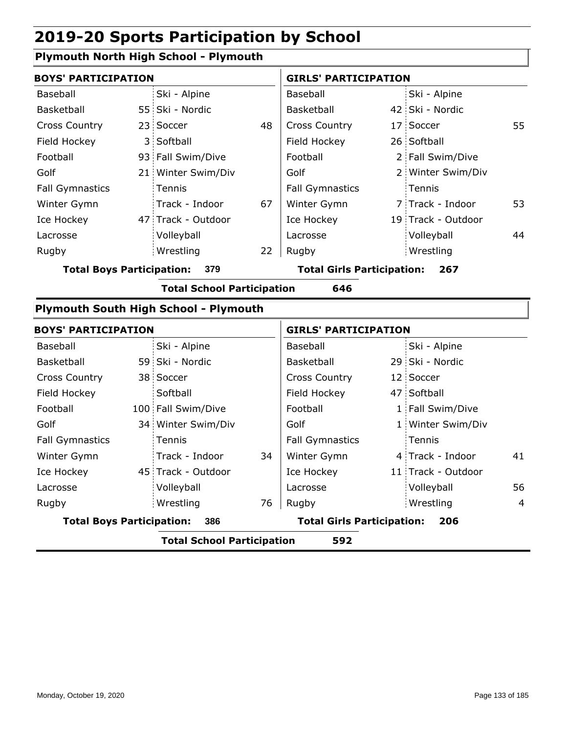### **Plymouth North High School - Plymouth**

| <b>BOYS' PARTICIPATION</b>              |  |                                   | <b>GIRLS' PARTICIPATION</b> |                        |  |                    |    |
|-----------------------------------------|--|-----------------------------------|-----------------------------|------------------------|--|--------------------|----|
| Baseball                                |  | Ski - Alpine                      |                             | Baseball               |  | Ski - Alpine       |    |
| Basketball                              |  | 55 Ski - Nordic                   |                             | Basketball             |  | 42 Ski - Nordic    |    |
| <b>Cross Country</b>                    |  | 23 Soccer                         | 48                          | <b>Cross Country</b>   |  | 17 Soccer          | 55 |
| Field Hockey                            |  | 3 Softball                        |                             | Field Hockey           |  | 26 Softball        |    |
| Football                                |  | 93 Fall Swim/Dive                 |                             | Football               |  | 2 Fall Swim/Dive   |    |
| Golf                                    |  | 21 Winter Swim/Div                |                             | Golf                   |  | 2 Winter Swim/Div  |    |
| <b>Fall Gymnastics</b>                  |  | <b>Tennis</b>                     |                             | <b>Fall Gymnastics</b> |  | Tennis             |    |
| Winter Gymn                             |  | Track - Indoor                    | 67                          | Winter Gymn            |  | 7 Track - Indoor   | 53 |
| Ice Hockey                              |  | 47 Track - Outdoor                |                             | Ice Hockey             |  | 19 Track - Outdoor |    |
| Lacrosse                                |  | Volleyball                        |                             | Lacrosse               |  | Volleyball         | 44 |
| Rugby                                   |  | Wrestling                         | 22                          | Rugby                  |  | Wrestling          |    |
| <b>Total Boys Participation:</b><br>379 |  | <b>Total Girls Participation:</b> |                             | 267                    |  |                    |    |
|                                         |  | <b>Total School Participation</b> |                             | 646                    |  |                    |    |

#### **Plymouth South High School - Plymouth**

| <b>BOYS' PARTICIPATION</b>              |  |                                          | <b>GIRLS' PARTICIPATION</b> |                        |  |                    |                |
|-----------------------------------------|--|------------------------------------------|-----------------------------|------------------------|--|--------------------|----------------|
| Baseball                                |  | Ski - Alpine                             |                             | Baseball               |  | Ski - Alpine       |                |
| Basketball                              |  | 59 Ski - Nordic                          |                             | Basketball             |  | 29 Ski - Nordic    |                |
| <b>Cross Country</b>                    |  | 38 Soccer                                |                             | <b>Cross Country</b>   |  | 12 Soccer          |                |
| Field Hockey                            |  | Softball                                 |                             | Field Hockey           |  | 47 Softball        |                |
| Football                                |  | 100 Fall Swim/Dive                       |                             | Football               |  | 1 Fall Swim/Dive   |                |
| Golf                                    |  | 34 Winter Swim/Div                       |                             | Golf                   |  | 1 Winter Swim/Div  |                |
| <b>Fall Gymnastics</b>                  |  | Tennis                                   |                             | <b>Fall Gymnastics</b> |  | Tennis             |                |
| Winter Gymn                             |  | Track - Indoor                           | 34                          | Winter Gymn            |  | 4 Track - Indoor   | 41             |
| Ice Hockey                              |  | 45 Track - Outdoor                       |                             | Ice Hockey             |  | 11 Track - Outdoor |                |
| Lacrosse                                |  | Volleyball                               |                             | Lacrosse               |  | Volleyball         | 56             |
| Rugby                                   |  | Wrestling                                | 76                          | Rugby                  |  | Wrestling          | $\overline{4}$ |
| <b>Total Boys Participation:</b><br>386 |  | <b>Total Girls Participation:</b><br>206 |                             |                        |  |                    |                |
|                                         |  | <b>Total School Participation</b>        |                             | 592                    |  |                    |                |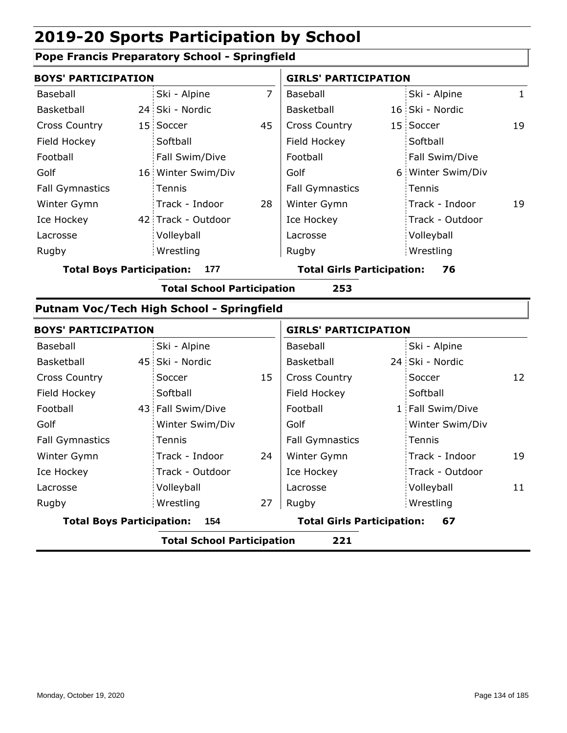#### **Pope Francis Preparatory School - Springfield**

| <b>BOYS' PARTICIPATION</b>       |                                           |                | <b>GIRLS' PARTICIPATION</b>       |  |                   |              |
|----------------------------------|-------------------------------------------|----------------|-----------------------------------|--|-------------------|--------------|
| Baseball                         | Ski - Alpine                              | $\overline{7}$ | Baseball                          |  | Ski - Alpine      | $\mathbf{1}$ |
| Basketball                       | 24 Ski - Nordic                           |                | Basketball                        |  | 16 Ski - Nordic   |              |
| <b>Cross Country</b>             | 15 Soccer                                 | 45             | <b>Cross Country</b>              |  | 15 Soccer         | 19           |
| Field Hockey                     | Softball                                  |                | Field Hockey                      |  | Softball          |              |
| Football                         | Fall Swim/Dive                            |                | Football                          |  | Fall Swim/Dive    |              |
| Golf                             | 16 Winter Swim/Div                        |                | Golf                              |  | 6 Winter Swim/Div |              |
| <b>Fall Gymnastics</b>           | Tennis                                    |                | <b>Fall Gymnastics</b>            |  | Tennis            |              |
| Winter Gymn                      | Track - Indoor                            | 28             | Winter Gymn                       |  | Track - Indoor    | 19           |
| Ice Hockey                       | 42 Track - Outdoor                        |                | Ice Hockey                        |  | Track - Outdoor   |              |
| Lacrosse                         | Volleyball                                |                | Lacrosse                          |  | Volleyball        |              |
| Rugby                            | Wrestling                                 |                | Rugby                             |  | Wrestling         |              |
| <b>Total Boys Participation:</b> | 177                                       |                | <b>Total Girls Participation:</b> |  | 76                |              |
|                                  | <b>Total School Participation</b>         |                | 253                               |  |                   |              |
|                                  | Putnam Voc/Tech High School - Springfield |                |                                   |  |                   |              |
| <b>BOYS' PARTICIPATION</b>       |                                           |                | <b>GIRLS' PARTICIPATION</b>       |  |                   |              |
| Baseball                         | Ski - Alpine                              |                | Baseball                          |  | Ski - Alpine      |              |
| Basketball                       | 45 Ski - Nordic                           |                | Basketball                        |  | 24 Ski - Nordic   |              |
| <b>Cross Country</b>             | Soccer                                    | 15             | <b>Cross Country</b>              |  | Soccer            | 12           |
| Field Hockey                     | Softball                                  |                | Field Hockey                      |  | Softball          |              |
| Football                         | 43 Fall Swim/Dive                         |                | Football                          |  | 1 Fall Swim/Dive  |              |
| Golf                             | Winter Swim/Div                           |                | Golf                              |  | Winter Swim/Div   |              |
| <b>Fall Gymnastics</b>           | Tennis                                    |                | <b>Fall Gymnastics</b>            |  | Tennis            |              |
| Winter Gymn                      | Track - Indoor                            | 24             | Winter Gymn                       |  | Track - Indoor    | 19           |
| Ice Hockey                       | Track - Outdoor                           |                | Ice Hockey                        |  | Track - Outdoor   |              |
| Lacrosse                         | Volleyball                                |                | Lacrosse                          |  | Volleyball        | 11           |

Wrestling Rugby Rugby

**Total Boys Participation: 154 Total Girls Participation: 67**

Wrestling

**Total School Participation 221**

27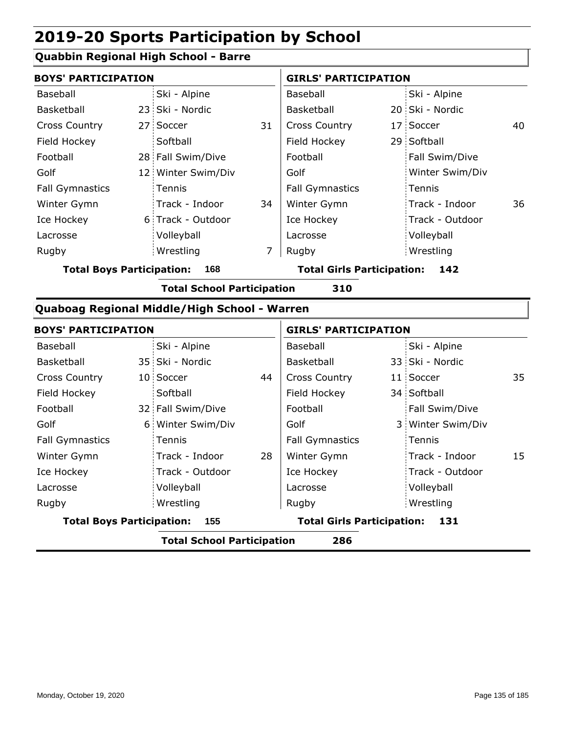### **Quabbin Regional High School - Barre**

| <b>BOYS' PARTICIPATION</b> |  |                    | <b>GIRLS' PARTICIPATION</b> |                        |  |                 |    |
|----------------------------|--|--------------------|-----------------------------|------------------------|--|-----------------|----|
| Baseball                   |  | Ski - Alpine       |                             | Baseball               |  | Ski - Alpine    |    |
| Basketball                 |  | 23 Ski - Nordic    |                             | Basketball             |  | 20 Ski - Nordic |    |
| <b>Cross Country</b>       |  | 27 Soccer          | 31                          | <b>Cross Country</b>   |  | 17 Soccer       | 40 |
| Field Hockey               |  | Softball           |                             | Field Hockey           |  | 29 Softball     |    |
| Football                   |  | 28 Fall Swim/Dive  |                             | Football               |  | Fall Swim/Dive  |    |
| Golf                       |  | 12 Winter Swim/Div |                             | Golf                   |  | Winter Swim/Div |    |
| <b>Fall Gymnastics</b>     |  | Tennis             |                             | <b>Fall Gymnastics</b> |  | : Tennis        |    |
| Winter Gymn                |  | Track - Indoor     | 34                          | Winter Gymn            |  | Track - Indoor  | 36 |
| Ice Hockey                 |  | 6 Track - Outdoor  |                             | Ice Hockey             |  | Track - Outdoor |    |
| Lacrosse                   |  | Volleyball         |                             | Lacrosse               |  | Volleyball      |    |
| Rugby                      |  | Wrestling          | 7                           | Rugby                  |  | Wrestling       |    |

**Total Boys Participation: 168 Total Girls Participation: 142**

**Total School Participation 310**

### **Quaboag Regional Middle/High School - Warren**

| <b>BOYS' PARTICIPATION</b>              |  |                   | <b>GIRLS' PARTICIPATION</b>              |                        |  |                   |    |
|-----------------------------------------|--|-------------------|------------------------------------------|------------------------|--|-------------------|----|
| Baseball                                |  | Ski - Alpine      |                                          | Baseball               |  | Ski - Alpine      |    |
| Basketball                              |  | 35 Ski - Nordic   |                                          | Basketball             |  | 33 Ski - Nordic   |    |
| <b>Cross Country</b>                    |  | 10 Soccer         | 44                                       | <b>Cross Country</b>   |  | 11 Soccer         | 35 |
| Field Hockey                            |  | Softball          |                                          | Field Hockey           |  | 34 Softball       |    |
| Football                                |  | 32 Fall Swim/Dive |                                          | Football               |  | Fall Swim/Dive    |    |
| Golf                                    |  | 6 Winter Swim/Div |                                          | Golf                   |  | 3 Winter Swim/Div |    |
| <b>Fall Gymnastics</b>                  |  | Tennis            |                                          | <b>Fall Gymnastics</b> |  | Tennis            |    |
| Winter Gymn                             |  | Track - Indoor    | 28                                       | Winter Gymn            |  | Track - Indoor    | 15 |
| Ice Hockey                              |  | Track - Outdoor   |                                          | Ice Hockey             |  | Track - Outdoor   |    |
| Lacrosse                                |  | Volleyball        |                                          | Lacrosse               |  | Volleyball        |    |
| Rugby                                   |  | Wrestling         |                                          | Rugby                  |  | Wrestling         |    |
| <b>Total Boys Participation:</b><br>155 |  |                   | <b>Total Girls Participation:</b><br>131 |                        |  |                   |    |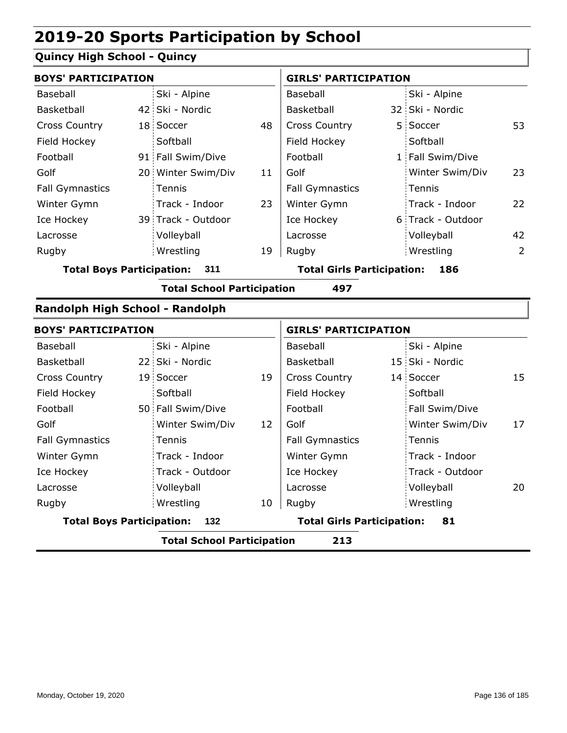### **Quincy High School - Quincy**

| <b>BOYS' PARTICIPATION</b>       |  |                                   |    | <b>GIRLS' PARTICIPATION</b>              |  |                   |                |  |
|----------------------------------|--|-----------------------------------|----|------------------------------------------|--|-------------------|----------------|--|
| Baseball                         |  | Ski - Alpine                      |    | Baseball                                 |  | Ski - Alpine      |                |  |
| Basketball                       |  | 42 Ski - Nordic                   |    | Basketball                               |  | 32 Ski - Nordic   |                |  |
| <b>Cross Country</b>             |  | 18 Soccer                         | 48 | Cross Country                            |  | 5 Soccer          | 53             |  |
| Field Hockey                     |  | Softball                          |    | Field Hockey                             |  | Softball          |                |  |
| Football                         |  | 91 Fall Swim/Dive                 |    | Football                                 |  | 1 Fall Swim/Dive  |                |  |
| Golf                             |  | 20 Winter Swim/Div                | 11 | Golf                                     |  | Winter Swim/Div   | 23             |  |
| <b>Fall Gymnastics</b>           |  | Tennis                            |    | <b>Fall Gymnastics</b>                   |  | Tennis            |                |  |
| Winter Gymn                      |  | Track - Indoor                    | 23 | Winter Gymn                              |  | Track - Indoor    | 22             |  |
| Ice Hockey                       |  | 39 Track - Outdoor                |    | Ice Hockey                               |  | 6 Track - Outdoor |                |  |
| Lacrosse                         |  | Volleyball                        |    | Lacrosse                                 |  | Volleyball        | 42             |  |
| Rugby                            |  | Wrestling                         | 19 | Rugby                                    |  | Wrestling         | $\overline{2}$ |  |
| <b>Total Boys Participation:</b> |  | 311                               |    | <b>Total Girls Participation:</b><br>186 |  |                   |                |  |
|                                  |  | <b>Total School Participation</b> |    | 497                                      |  |                   |                |  |
| Randolph High School - Randolph  |  |                                   |    |                                          |  |                   |                |  |
| <b>BOYS' PARTICIPATION</b>       |  |                                   |    | <b>GIRLS' PARTICIPATION</b>              |  |                   |                |  |
| Baseball                         |  | Ski - Alpine                      |    | Baseball                                 |  | Ski - Alpine      |                |  |
| Basketball                       |  | 22 Ski - Nordic                   |    | Basketball                               |  | 15 Ski - Nordic   |                |  |
| <b>Cross Country</b>             |  | 19 Soccer                         | 19 | Cross Country                            |  | 14 Soccer         | 15             |  |
| Field Hockey                     |  | Softball                          |    | Field Hockey                             |  | Softball          |                |  |
| Football                         |  | 50 Fall Swim/Dive                 |    | Football                                 |  | Fall Swim/Dive    |                |  |

| <b>Total Boys Participation:</b><br>132 |  |                   |    | <b>Total Girls Participation:</b><br>81 |  |                 |  |
|-----------------------------------------|--|-------------------|----|-----------------------------------------|--|-----------------|--|
| Rugby                                   |  | Wrestling         | 10 | Rugby                                   |  | Wrestling       |  |
| Lacrosse                                |  | Volleyball        |    | Lacrosse                                |  | Volleyball      |  |
| Ice Hockey                              |  | Track - Outdoor   |    | Ice Hockey                              |  | Track - Outdoor |  |
| Winter Gymn                             |  | Track - Indoor    |    | Winter Gymn                             |  | Track - Indoor  |  |
| <b>Fall Gymnastics</b>                  |  | Tennis            |    | <b>Fall Gymnastics</b>                  |  | Tennis          |  |
| Golf                                    |  | Winter Swim/Div   | 12 | Golf                                    |  | Winter Swim/Div |  |
| Football                                |  | 50 Fall Swim/Dive |    | Football                                |  | Fall Swim/Dive  |  |
| Field Hockey                            |  | Softball          |    | Field Hockey                            |  | Softball        |  |
| <b>Cross Country</b>                    |  | 19 Soccer         | 19 | <b>Cross Country</b>                    |  | 14 Soccer       |  |
| <b>Basketball</b>                       |  | 22 Ski - Nordic   |    | Basketball                              |  | 15 Ski - Nordic |  |
|                                         |  |                   |    |                                         |  |                 |  |

**Total School Participation 213**

17

20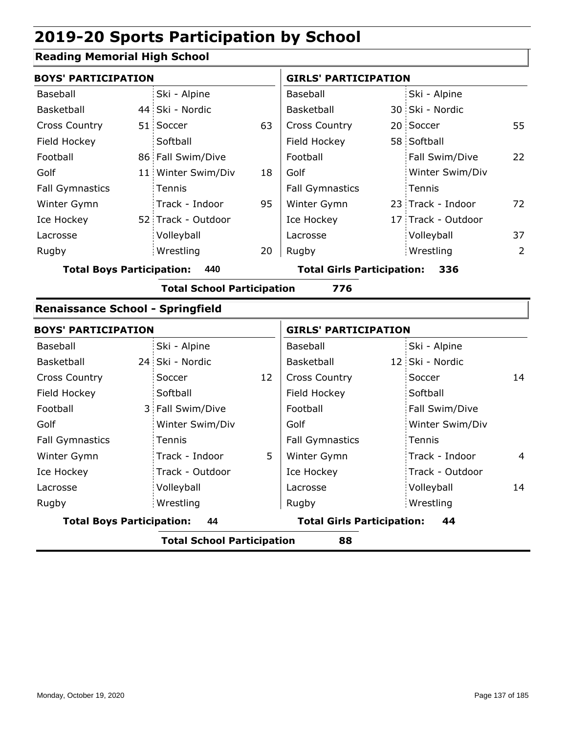### **Reading Memorial High School**

| <b>BOYS' PARTICIPATION</b>              |  |                                   |    | <b>GIRLS' PARTICIPATION</b> |  |                    |    |
|-----------------------------------------|--|-----------------------------------|----|-----------------------------|--|--------------------|----|
| <b>Baseball</b>                         |  | Ski - Alpine                      |    | Baseball                    |  | Ski - Alpine       |    |
| Basketball                              |  | 44 Ski - Nordic                   |    | Basketball                  |  | 30 Ski - Nordic    |    |
| <b>Cross Country</b>                    |  | 51 Soccer                         | 63 | <b>Cross Country</b>        |  | 20 Soccer          | 55 |
| Field Hockey                            |  | Softball                          |    | Field Hockey                |  | 58 Softball        |    |
| Football                                |  | 86 Fall Swim/Dive                 |    | Football                    |  | Fall Swim/Dive     | 22 |
| Golf                                    |  | 11 Winter Swim/Div                | 18 | Golf                        |  | Winter Swim/Div    |    |
| <b>Fall Gymnastics</b>                  |  | <b>Tennis</b>                     |    | <b>Fall Gymnastics</b>      |  | Tennis             |    |
| Winter Gymn                             |  | Track - Indoor                    | 95 | Winter Gymn                 |  | 23 Track - Indoor  | 72 |
| Ice Hockey                              |  | 52 Track - Outdoor                |    | Ice Hockey                  |  | 17 Track - Outdoor |    |
| Lacrosse                                |  | Volleyball                        |    | Lacrosse                    |  | Volleyball         | 37 |
| Rugby                                   |  | Wrestling                         | 20 | Rugby                       |  | Wrestling          | 2  |
| <b>Total Boys Participation:</b><br>440 |  | <b>Total Girls Participation:</b> |    | 336                         |  |                    |    |
|                                         |  | _                                 |    |                             |  |                    |    |

#### **Total School Participation 776**

#### **Renaissance School - Springfield**

| <b>BOYS' PARTICIPATION</b>       |                                   |    | <b>GIRLS' PARTICIPATION</b>       |                     |  |
|----------------------------------|-----------------------------------|----|-----------------------------------|---------------------|--|
| Baseball                         | Ski - Alpine                      |    | Baseball                          | Ski - Alpine        |  |
| Basketball                       | 24 Ski - Nordic                   |    | Basketball                        | 12 Ski - Nordic     |  |
| <b>Cross Country</b>             | Soccer                            | 12 | <b>Cross Country</b>              | 14<br>Soccer        |  |
| Field Hockey                     | Softball                          |    | Field Hockey                      | Softball            |  |
| Football                         | 3 Fall Swim/Dive                  |    | Football                          | Fall Swim/Dive      |  |
| Golf                             | Winter Swim/Div                   |    | Golf                              | Winter Swim/Div     |  |
| <b>Fall Gymnastics</b>           | Tennis                            |    | <b>Fall Gymnastics</b>            | Tennis              |  |
| Winter Gymn                      | Track - Indoor                    | 5  | Winter Gymn                       | Track - Indoor<br>4 |  |
| Ice Hockey                       | Track - Outdoor                   |    | Ice Hockey                        | Track - Outdoor     |  |
| Lacrosse                         | Volleyball                        |    | Lacrosse                          | Volleyball<br>14    |  |
| Rugby                            | Wrestling                         |    | Rugby                             | Wrestling           |  |
| <b>Total Boys Participation:</b> | 44                                |    | <b>Total Girls Participation:</b> | 44                  |  |
|                                  | <b>Total School Participation</b> |    | 88                                |                     |  |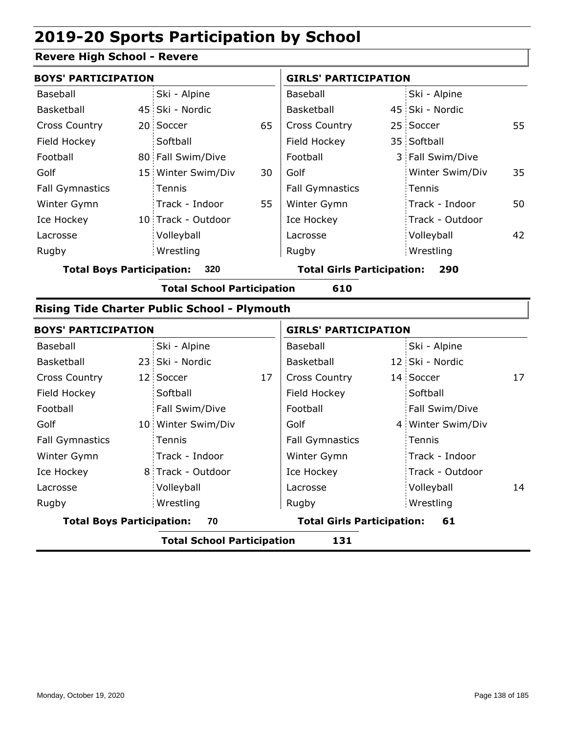#### **Revere High School - Revere**

| <b>BOYS' PARTICIPATION</b> |  |                    | <b>GIRLS' PARTICIPATION</b> |                        |                  |    |  |
|----------------------------|--|--------------------|-----------------------------|------------------------|------------------|----|--|
| Baseball                   |  | Ski - Alpine       |                             | Baseball               | Ski - Alpine     |    |  |
| Basketball                 |  | 45 Ski - Nordic    |                             | <b>Basketball</b>      | 45 Ski - Nordic  |    |  |
| <b>Cross Country</b>       |  | 20 Soccer          | 65                          | <b>Cross Country</b>   | 25 Soccer        | 55 |  |
| Field Hockey               |  | Softball           |                             | Field Hockey           | 35 Softball      |    |  |
| Football                   |  | 80 Fall Swim/Dive  |                             | Football               | 3 Fall Swim/Dive |    |  |
| Golf                       |  | 15 Winter Swim/Div | 30                          | Golf                   | Winter Swim/Div  | 35 |  |
| <b>Fall Gymnastics</b>     |  | Tennis             |                             | <b>Fall Gymnastics</b> | : Tennis         |    |  |
| Winter Gymn                |  | Track - Indoor     | 55                          | Winter Gymn            | Track - Indoor   | 50 |  |
| Ice Hockey                 |  | 10 Track - Outdoor |                             | Ice Hockey             | Track - Outdoor  |    |  |
| Lacrosse                   |  | Volleyball         |                             | Lacrosse               | Volleyball       | 42 |  |
| Rugby                      |  | Wrestling          |                             | Rugby                  | Wrestling        |    |  |

**Total Boys Participation: 320 Total Girls Participation: 290**

**Total School Participation 610**

#### **Rising Tide Charter Public School - Plymouth**

| <b>BOYS' PARTICIPATION</b>             |  |                                         | <b>GIRLS' PARTICIPATION</b> |                        |  |                   |    |
|----------------------------------------|--|-----------------------------------------|-----------------------------|------------------------|--|-------------------|----|
| Baseball                               |  | Ski - Alpine                            |                             | Baseball               |  | Ski - Alpine      |    |
| Basketball                             |  | 23 Ski - Nordic                         |                             | <b>Basketball</b>      |  | 12 Ski - Nordic   |    |
| <b>Cross Country</b>                   |  | 12 Soccer                               | 17                          | <b>Cross Country</b>   |  | 14 Soccer         | 17 |
| Field Hockey                           |  | Softball                                |                             | Field Hockey           |  | Softball          |    |
| Football                               |  | Fall Swim/Dive                          |                             | Football               |  | Fall Swim/Dive    |    |
| Golf                                   |  | 10 Winter Swim/Div                      |                             | Golf                   |  | 4 Winter Swim/Div |    |
| <b>Fall Gymnastics</b>                 |  | Tennis                                  |                             | <b>Fall Gymnastics</b> |  | Tennis            |    |
| Winter Gymn                            |  | Track - Indoor                          |                             | Winter Gymn            |  | Track - Indoor    |    |
| Ice Hockey                             |  | 8 Track - Outdoor                       |                             | Ice Hockey             |  | : Track - Outdoor |    |
| Lacrosse                               |  | Volleyball                              |                             | Lacrosse               |  | Volleyball        | 14 |
| Rugby                                  |  | Wrestling                               |                             | Rugby                  |  | Wrestling         |    |
| <b>Total Boys Participation:</b><br>70 |  | <b>Total Girls Participation:</b><br>61 |                             |                        |  |                   |    |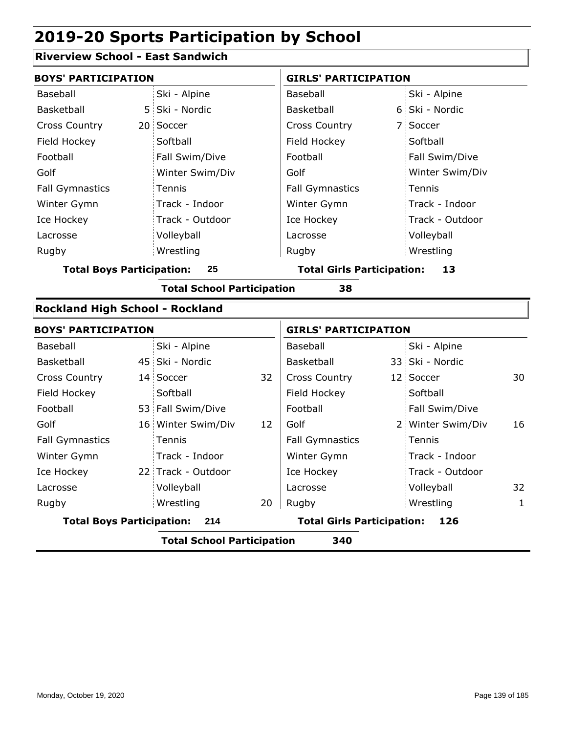### **Riverview School - East Sandwich**

| <b>BOYS' PARTICIPATION</b>              |  |                                   |    | <b>GIRLS' PARTICIPATION</b>             |  |                   |              |  |  |  |
|-----------------------------------------|--|-----------------------------------|----|-----------------------------------------|--|-------------------|--------------|--|--|--|
| Baseball                                |  | Ski - Alpine                      |    | Baseball                                |  | Ski - Alpine      |              |  |  |  |
| Basketball                              |  | 5 Ski - Nordic                    |    | Basketball                              |  | 6 Ski - Nordic    |              |  |  |  |
| <b>Cross Country</b>                    |  | 20 Soccer                         |    | <b>Cross Country</b>                    |  | 7 Soccer          |              |  |  |  |
| Field Hockey                            |  | Softball                          |    | Field Hockey                            |  | Softball          |              |  |  |  |
| Football                                |  | Fall Swim/Dive                    |    | Football                                |  | Fall Swim/Dive    |              |  |  |  |
| Golf                                    |  | Winter Swim/Div                   |    | Golf                                    |  | Winter Swim/Div   |              |  |  |  |
| <b>Fall Gymnastics</b>                  |  | Tennis                            |    | <b>Fall Gymnastics</b>                  |  | Tennis            |              |  |  |  |
| Winter Gymn                             |  | Track - Indoor                    |    | Winter Gymn                             |  | Track - Indoor    |              |  |  |  |
| Ice Hockey                              |  | Track - Outdoor                   |    | Ice Hockey                              |  | Track - Outdoor   |              |  |  |  |
| Lacrosse                                |  | Volleyball                        |    | Lacrosse                                |  | Volleyball        |              |  |  |  |
| Rugby                                   |  | Wrestling                         |    | Rugby                                   |  | Wrestling         |              |  |  |  |
| <b>Total Boys Participation:</b><br>25  |  |                                   |    | <b>Total Girls Participation:</b><br>13 |  |                   |              |  |  |  |
| <b>Total School Participation</b><br>38 |  |                                   |    |                                         |  |                   |              |  |  |  |
| Rockland High School - Rockland         |  |                                   |    |                                         |  |                   |              |  |  |  |
| <b>BOYS' PARTICIPATION</b>              |  |                                   |    | <b>GIRLS' PARTICIPATION</b>             |  |                   |              |  |  |  |
| Baseball                                |  | Ski - Alpine                      |    | Baseball                                |  | Ski - Alpine      |              |  |  |  |
| Basketball                              |  | 45 Ski - Nordic                   |    | Basketball                              |  | 33 Ski - Nordic   |              |  |  |  |
| <b>Cross Country</b>                    |  | 14 Soccer                         | 32 | <b>Cross Country</b>                    |  | 12 Soccer         | 30           |  |  |  |
| Field Hockey                            |  | Softball                          |    | Field Hockey                            |  | Softball          |              |  |  |  |
| Football                                |  | 53 Fall Swim/Dive                 |    | Football                                |  | Fall Swim/Dive    |              |  |  |  |
| Golf                                    |  | 16 Winter Swim/Div                | 12 | Golf                                    |  | 2 Winter Swim/Div | 16           |  |  |  |
| <b>Fall Gymnastics</b>                  |  | Tennis                            |    | <b>Fall Gymnastics</b>                  |  | Tennis            |              |  |  |  |
| Winter Gymn                             |  | Track - Indoor                    |    | Winter Gymn                             |  | Track - Indoor    |              |  |  |  |
| Ice Hockey                              |  | 22 Track - Outdoor                |    | Ice Hockey                              |  | Track - Outdoor   |              |  |  |  |
| Lacrosse                                |  | Volleyball                        |    | Lacrosse                                |  | Volleyball        | 32           |  |  |  |
| Rugby                                   |  | Wrestling                         | 20 | Rugby                                   |  | Wrestling         | $\mathbf{1}$ |  |  |  |
| <b>Total Boys Participation:</b>        |  | 214                               |    | <b>Total Girls Participation:</b>       |  | 126               |              |  |  |  |
|                                         |  | <b>Total School Participation</b> |    | 340                                     |  |                   |              |  |  |  |
|                                         |  |                                   |    |                                         |  |                   |              |  |  |  |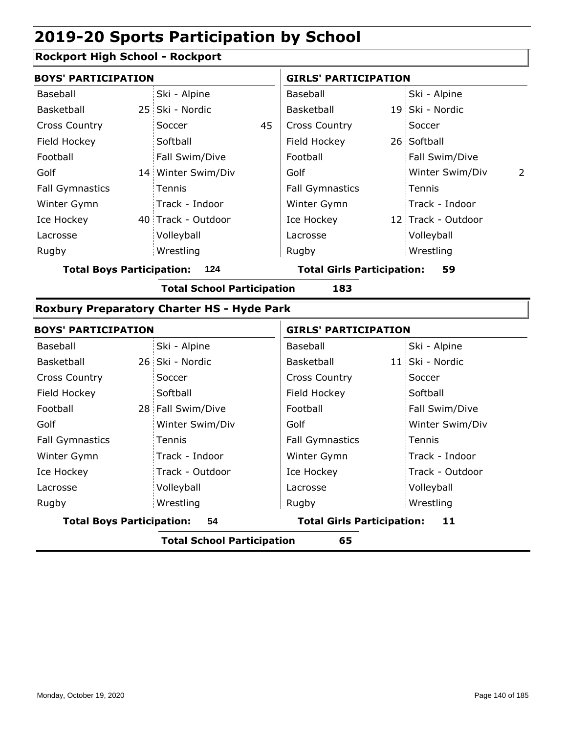### **Rockport High School - Rockport**

| <b>BOYS' PARTICIPATION</b> |  |                    | <b>GIRLS' PARTICIPATION</b> |                            |  |                    |                |
|----------------------------|--|--------------------|-----------------------------|----------------------------|--|--------------------|----------------|
| Baseball                   |  | Ski - Alpine       |                             | Baseball                   |  | Ski - Alpine       |                |
| Basketball                 |  | 25 Ski - Nordic    |                             | Basketball                 |  | 19 Ski - Nordic    |                |
| <b>Cross Country</b>       |  | Soccer             | 45                          | <b>Cross Country</b>       |  | Soccer             |                |
| Field Hockey               |  | Softball           |                             | Field Hockey               |  | 26 Softball        |                |
| Football                   |  | Fall Swim/Dive     |                             | Football                   |  | Fall Swim/Dive     |                |
| Golf                       |  | 14 Winter Swim/Div |                             | Golf                       |  | Winter Swim/Div    | $\overline{2}$ |
| <b>Fall Gymnastics</b>     |  | Tennis             |                             | <b>Fall Gymnastics</b>     |  | Tennis             |                |
| Winter Gymn                |  | Track - Indoor     |                             | Winter Gymn                |  | Track - Indoor     |                |
| Ice Hockey                 |  | 40 Track - Outdoor |                             | Ice Hockey                 |  | 12 Track - Outdoor |                |
| Lacrosse                   |  | Volleyball         |                             | Lacrosse                   |  | Volleyball         |                |
| Rugby                      |  | Wrestling          |                             | Rugby                      |  | Wrestling          |                |
| Tatal Dave Dartisination:  |  | <b>101</b>         |                             | Tatal Cirls Dartisination: |  | ЕΩ                 |                |

**Total Boys Participation: 124 Total Girls Participation: 59**

**Total School Participation 183**

#### **Roxbury Preparatory Charter HS - Hyde Park**

| <b>BOYS' PARTICIPATION</b>             |                   | <b>GIRLS' PARTICIPATION</b>             |                   |  |
|----------------------------------------|-------------------|-----------------------------------------|-------------------|--|
| Baseball                               | Ski - Alpine      | Baseball                                | Ski - Alpine      |  |
| Basketball                             | 26 Ski - Nordic   | Basketball                              | 11 Ski - Nordic   |  |
| <b>Cross Country</b>                   | Soccer            | <b>Cross Country</b>                    | Soccer            |  |
| Field Hockey                           | Softball          | Field Hockey                            | Softball          |  |
| Football                               | 28 Fall Swim/Dive | Football                                | Fall Swim/Dive    |  |
| Golf                                   | Winter Swim/Div   | Golf                                    | Winter Swim/Div   |  |
| <b>Fall Gymnastics</b>                 | Tennis            | <b>Fall Gymnastics</b>                  | Tennis            |  |
| Winter Gymn                            | Track - Indoor    | Winter Gymn                             | Track - Indoor    |  |
| Ice Hockey                             | Track - Outdoor   | Ice Hockey                              | : Track - Outdoor |  |
| Lacrosse                               | Volleyball        | Lacrosse                                | Volleyball        |  |
| Rugby                                  | Wrestling         | Rugby                                   | Wrestling         |  |
| <b>Total Boys Participation:</b><br>54 |                   | <b>Total Girls Participation:</b><br>11 |                   |  |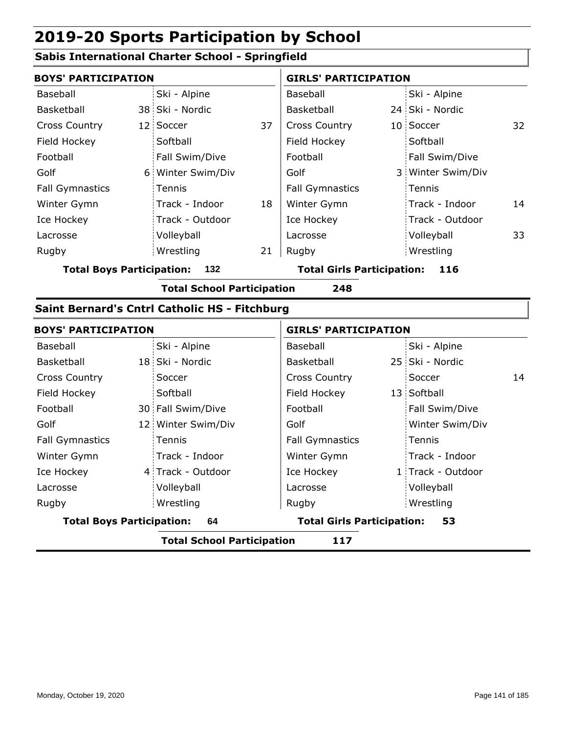#### **Sabis International Charter School - Springfield**

| <b>BOYS' PARTICIPATION</b> |                   |    | <b>GIRLS' PARTICIPATION</b> |                   |    |  |  |
|----------------------------|-------------------|----|-----------------------------|-------------------|----|--|--|
| Baseball                   | Ski - Alpine      |    | Baseball                    | Ski - Alpine      |    |  |  |
| Basketball                 | 38 Ski - Nordic   |    | <b>Basketball</b>           | 24 Ski - Nordic   |    |  |  |
| <b>Cross Country</b>       | 12 Soccer         | 37 | <b>Cross Country</b>        | 10 Soccer         | 32 |  |  |
| Field Hockey               | Softball          |    | Field Hockey                | Softball          |    |  |  |
| Football                   | Fall Swim/Dive    |    | Football                    | Fall Swim/Dive    |    |  |  |
| Golf                       | 6 Winter Swim/Div |    | Golf                        | 3 Winter Swim/Div |    |  |  |
| <b>Fall Gymnastics</b>     | Tennis            |    | <b>Fall Gymnastics</b>      | Tennis            |    |  |  |
| Winter Gymn                | Track - Indoor    | 18 | Winter Gymn                 | Track - Indoor    | 14 |  |  |
| Ice Hockey                 | Track - Outdoor   |    | Ice Hockey                  | Track - Outdoor   |    |  |  |
| Lacrosse                   | Volleyball        |    | Lacrosse                    | Volleyball        | 33 |  |  |
| Rugby                      | Wrestling         | 21 | Rugby                       | Wrestling         |    |  |  |

**Total Boys Participation: 132 Total Girls Participation: 116**

**Total School Participation 248**

#### **Saint Bernard's Cntrl Catholic HS - Fitchburg**

| <b>BOYS' PARTICIPATION</b>       |                    |                                   | <b>GIRLS' PARTICIPATION</b> |                   |    |  |
|----------------------------------|--------------------|-----------------------------------|-----------------------------|-------------------|----|--|
| Baseball                         | Ski - Alpine       | Baseball                          |                             | Ski - Alpine      |    |  |
| Basketball                       | 18 Ski - Nordic    | Basketball                        |                             | 25 Ski - Nordic   |    |  |
| <b>Cross Country</b>             | Soccer             | <b>Cross Country</b>              |                             | Soccer            | 14 |  |
| Field Hockey                     | Softball           | Field Hockey                      |                             | 13 Softball       |    |  |
| Football                         | 30 Fall Swim/Dive  | Football                          |                             | Fall Swim/Dive    |    |  |
| Golf                             | 12 Winter Swim/Div | Golf                              |                             | Winter Swim/Div   |    |  |
| <b>Fall Gymnastics</b>           | Tennis             | <b>Fall Gymnastics</b>            |                             | Tennis            |    |  |
| Winter Gymn                      | Track - Indoor     | Winter Gymn                       |                             | Track - Indoor    |    |  |
| Ice Hockey                       | 4 Track - Outdoor  | Ice Hockey                        |                             | 1 Track - Outdoor |    |  |
| Lacrosse                         | Volleyball         | Lacrosse                          |                             | Volleyball        |    |  |
| Rugby                            | Wrestling          | Rugby                             |                             | Wrestling         |    |  |
| <b>Total Boys Participation:</b> | 64                 | <b>Total Girls Participation:</b> |                             | 53                |    |  |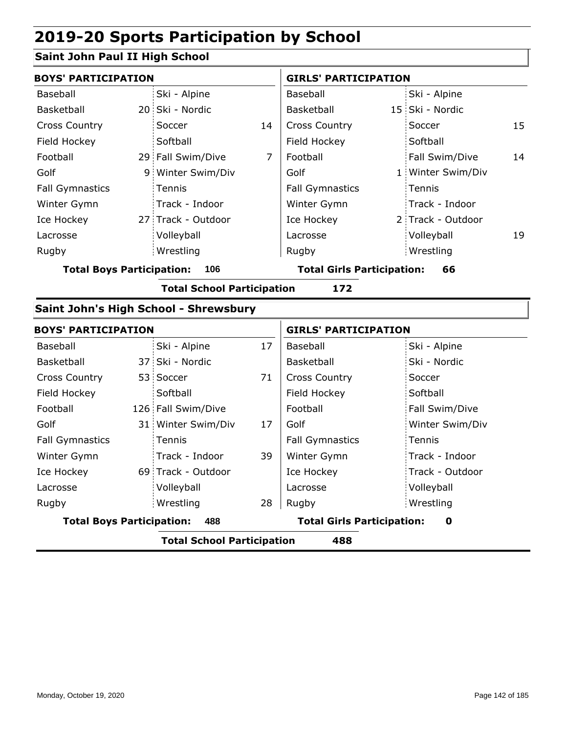### **Saint John Paul II High School**

| <b>BOYS' PARTICIPATION</b>              |                                   |                                       | <b>GIRLS' PARTICIPATION</b>       |                             |    | 15<br>14<br>19    |  |  |
|-----------------------------------------|-----------------------------------|---------------------------------------|-----------------------------------|-----------------------------|----|-------------------|--|--|
| Baseball                                |                                   | Ski - Alpine                          |                                   | Baseball                    |    | Ski - Alpine      |  |  |
| Basketball                              |                                   | 20 Ski - Nordic                       |                                   | Basketball                  |    | 15 Ski - Nordic   |  |  |
| <b>Cross Country</b>                    |                                   | Soccer                                | 14                                | <b>Cross Country</b>        |    | Soccer            |  |  |
| Field Hockey                            |                                   | Softball                              |                                   | Field Hockey                |    | Softball          |  |  |
| Football                                |                                   | 29 Fall Swim/Dive                     | $\overline{7}$                    | Football                    |    | Fall Swim/Dive    |  |  |
| Golf                                    |                                   | 9 Winter Swim/Div                     |                                   | Golf                        |    | 1 Winter Swim/Div |  |  |
| <b>Fall Gymnastics</b>                  |                                   | Tennis                                |                                   | <b>Fall Gymnastics</b>      |    | Tennis            |  |  |
| Winter Gymn                             |                                   | Track - Indoor                        |                                   | Winter Gymn                 |    | Track - Indoor    |  |  |
| Ice Hockey                              |                                   | 27 Track - Outdoor                    |                                   | Ice Hockey                  |    | 2 Track - Outdoor |  |  |
| Lacrosse                                |                                   | Volleyball                            |                                   | Lacrosse                    |    | Volleyball        |  |  |
| Rugby                                   |                                   | Wrestling                             |                                   | Rugby                       |    | Wrestling         |  |  |
| <b>Total Boys Participation:</b><br>106 |                                   |                                       | <b>Total Girls Participation:</b> |                             | 66 |                   |  |  |
|                                         | <b>Total School Participation</b> | 172                                   |                                   |                             |    |                   |  |  |
|                                         |                                   | Saint John's High School - Shrewsbury |                                   |                             |    |                   |  |  |
| <b>BOYS' PARTICIPATION</b>              |                                   |                                       |                                   | <b>GIRLS' PARTICIPATION</b> |    |                   |  |  |
| Baseball                                |                                   | Ski - Alpine                          | 17                                | Baseball                    |    | Ski - Alpine      |  |  |
| Basketball                              |                                   | 37 Ski - Nordic                       |                                   | Basketball                  |    | Ski - Nordic      |  |  |
| <b>Cross Country</b>                    |                                   | 53 Soccer                             | 71                                | <b>Cross Country</b>        |    | Soccer            |  |  |
| Field Hockey                            |                                   | Softball                              |                                   | Field Hockey                |    | Softball          |  |  |
| Football                                |                                   | 126 Fall Swim/Dive                    |                                   | Football                    |    | Fall Swim/Dive    |  |  |
| Golf                                    |                                   | 31 Winter Swim/Div                    | 17                                | Golf                        |    | Winter Swim/Div   |  |  |
| <b>Fall Gymnastics</b>                  |                                   | Tennis                                |                                   | <b>Fall Gymnastics</b>      |    | Tennis            |  |  |
| Winter Gymn                             |                                   | Track - Indoor                        | 39                                | Winter Gymn                 |    | Track - Indoor    |  |  |
| Ice Hockey                              |                                   | 69 Track - Outdoor                    |                                   | Ice Hockey                  |    | Track - Outdoor   |  |  |

|                                  | <b>Total School Participation</b> |    | 488      |                                        |
|----------------------------------|-----------------------------------|----|----------|----------------------------------------|
| <b>Total Boys Participation:</b> | 488                               |    |          | <b>Total Girls Participation:</b><br>O |
| Rugby                            | Wrestling                         | 28 | Rugby    | Wrestling                              |
| Lacrosse                         | Volleyball                        |    | Lacrosse | Volleyball                             |
| .                                | <u>UJ IIUCIN OULUOUI</u>          |    | $-0.000$ |                                        |

ı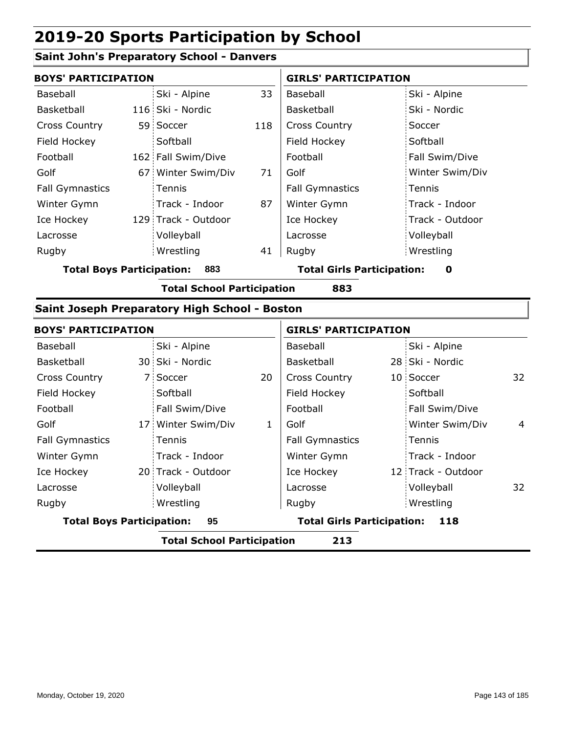#### **Saint John's Preparatory School - Danvers**

| <b>BOYS' PARTICIPATION</b> |  |                     | <b>GIRLS' PARTICIPATION</b> |                        |                 |
|----------------------------|--|---------------------|-----------------------------|------------------------|-----------------|
| Baseball                   |  | Ski - Alpine        | 33                          | Baseball               | Ski - Alpine    |
| Basketball                 |  | 116 Ski - Nordic    |                             | <b>Basketball</b>      | Ski - Nordic    |
| <b>Cross Country</b>       |  | 59 Soccer           | 118                         | <b>Cross Country</b>   | Soccer          |
| Field Hockey               |  | Softball            |                             | Field Hockey           | Softball        |
| Football                   |  | 162 Fall Swim/Dive  |                             | Football               | Fall Swim/Dive  |
| Golf                       |  | 67 Winter Swim/Div  | 71                          | Golf                   | Winter Swim/Div |
| <b>Fall Gymnastics</b>     |  | Tennis              |                             | <b>Fall Gymnastics</b> | Tennis          |
| Winter Gymn                |  | Track - Indoor      | 87                          | Winter Gymn            | Track - Indoor  |
| Ice Hockey                 |  | 129 Track - Outdoor |                             | Ice Hockey             | Track - Outdoor |
| Lacrosse                   |  | Volleyball          |                             | Lacrosse               | Volleyball      |
| Rugby                      |  | Wrestling           | 41                          | Rugby                  | Wrestling       |

**Total Boys Participation: 883 Total Girls Participation: 0**

**Total School Participation 883**

#### **Saint Joseph Preparatory High School - Boston**

| <b>BOYS' PARTICIPATION</b>               |                    |                                   | <b>GIRLS' PARTICIPATION</b> |     |                    |    |
|------------------------------------------|--------------------|-----------------------------------|-----------------------------|-----|--------------------|----|
| Baseball                                 | Ski - Alpine       |                                   | Baseball                    |     | Ski - Alpine       |    |
| Basketball                               | 30 Ski - Nordic    |                                   | Basketball                  |     | 28 Ski - Nordic    |    |
| <b>Cross Country</b>                     | 7 Soccer           | 20                                | <b>Cross Country</b>        |     | 10 Soccer          | 32 |
| Field Hockey                             | Softball           |                                   | Field Hockey                |     | Softball           |    |
| Football                                 | Fall Swim/Dive     |                                   | Football                    |     | Fall Swim/Dive     |    |
| Golf                                     | 17 Winter Swim/Div | 1                                 | Golf                        |     | Winter Swim/Div    | 4  |
| <b>Fall Gymnastics</b>                   | Tennis             |                                   | <b>Fall Gymnastics</b>      |     | Tennis             |    |
| Winter Gymn                              | Track - Indoor     |                                   | Winter Gymn                 |     | Track - Indoor     |    |
| Ice Hockey                               | 20 Track - Outdoor |                                   | Ice Hockey                  |     | 12 Track - Outdoor |    |
| Lacrosse                                 | Volleyball         |                                   | Lacrosse                    |     | Volleyball         | 32 |
| Rugby                                    | Wrestling          |                                   | Rugby                       |     | Wrestling          |    |
| <b>Total Boys Participation:</b><br>95   |                    | <b>Total Girls Participation:</b> |                             | 118 |                    |    |
| <b>Total School Participation</b><br>213 |                    |                                   |                             |     |                    |    |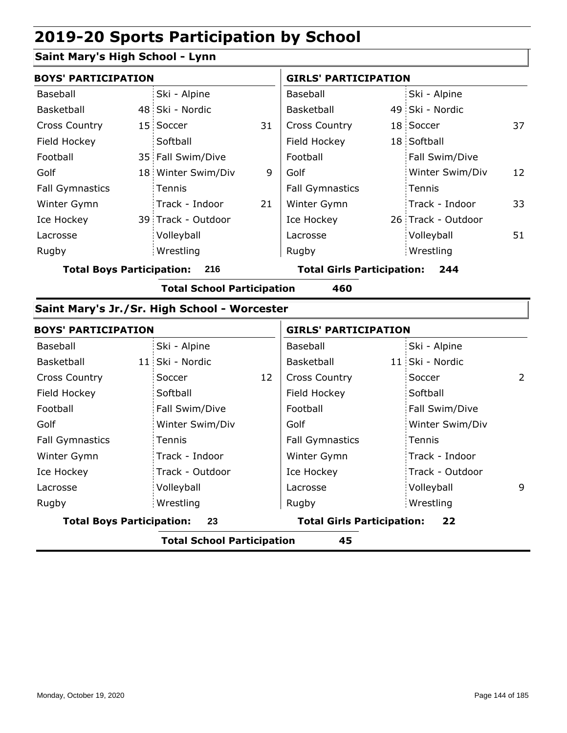### **Saint Mary's High School - Lynn**

| <b>BOYS' PARTICIPATION</b> |  |                    | <b>GIRLS' PARTICIPATION</b> |                        |  |                    |    |
|----------------------------|--|--------------------|-----------------------------|------------------------|--|--------------------|----|
| Baseball                   |  | Ski - Alpine       |                             | Baseball               |  | Ski - Alpine       |    |
| Basketball                 |  | 48 Ski - Nordic    |                             | <b>Basketball</b>      |  | 49 Ski - Nordic    |    |
| <b>Cross Country</b>       |  | 15 Soccer          | 31                          | <b>Cross Country</b>   |  | 18 Soccer          | 37 |
| Field Hockey               |  | Softball           |                             | Field Hockey           |  | 18 Softball        |    |
| Football                   |  | 35 Fall Swim/Dive  |                             | Football               |  | Fall Swim/Dive     |    |
| Golf                       |  | 18 Winter Swim/Div | 9                           | Golf                   |  | Winter Swim/Div    | 12 |
| <b>Fall Gymnastics</b>     |  | Tennis             |                             | <b>Fall Gymnastics</b> |  | Tennis             |    |
| Winter Gymn                |  | Track - Indoor     | 21                          | Winter Gymn            |  | Track - Indoor     | 33 |
| Ice Hockey                 |  | 39 Track - Outdoor |                             | Ice Hockey             |  | 26 Track - Outdoor |    |
| Lacrosse                   |  | Volleyball         |                             | Lacrosse               |  | Volleyball         | 51 |
| Rugby                      |  | Wrestling          |                             | Rugby                  |  | Wrestling          |    |

**Total Boys Participation: 216 Total Girls Participation: 244**

**Total School Participation 460**

#### **Saint Mary's Jr./Sr. High School - Worcester**

| <b>BOYS' PARTICIPATION</b>             |                 |    | <b>GIRLS' PARTICIPATION</b>             |  |                 |   |
|----------------------------------------|-----------------|----|-----------------------------------------|--|-----------------|---|
| Baseball                               | Ski - Alpine    |    | Baseball                                |  | Ski - Alpine    |   |
| Basketball                             | 11 Ski - Nordic |    | Basketball                              |  | 11 Ski - Nordic |   |
| <b>Cross Country</b>                   | Soccer          | 12 | <b>Cross Country</b>                    |  | Soccer          | 2 |
| Field Hockey                           | Softball        |    | Field Hockey                            |  | Softball        |   |
| Football                               | Fall Swim/Dive  |    | Football                                |  | Fall Swim/Dive  |   |
| Golf                                   | Winter Swim/Div |    | Golf                                    |  | Winter Swim/Div |   |
| <b>Fall Gymnastics</b>                 | Tennis          |    | <b>Fall Gymnastics</b>                  |  | Tennis          |   |
| Winter Gymn                            | Track - Indoor  |    | Winter Gymn                             |  | Track - Indoor  |   |
| Ice Hockey                             | Track - Outdoor |    | Ice Hockey                              |  | Track - Outdoor |   |
| Lacrosse                               | Volleyball      |    | Lacrosse                                |  | Volleyball      | 9 |
| Rugby                                  | Wrestling       |    | Rugby                                   |  | Wrestling       |   |
| <b>Total Boys Participation:</b><br>23 |                 |    | <b>Total Girls Participation:</b><br>22 |  |                 |   |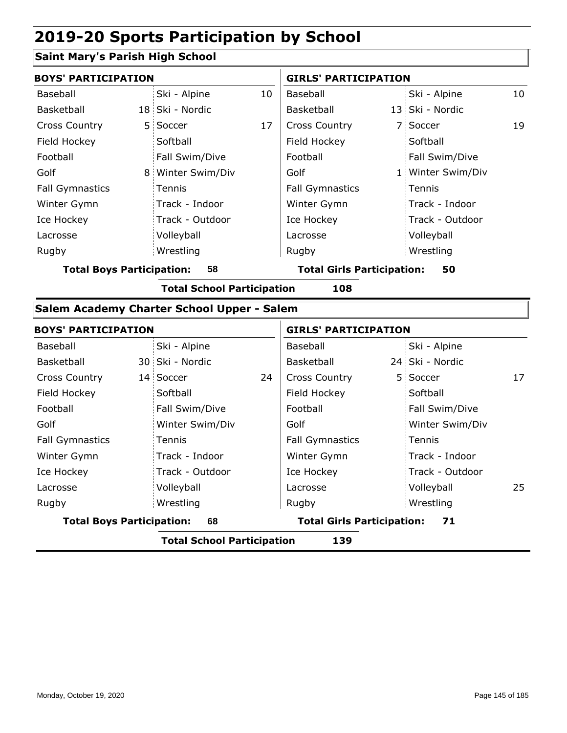#### **Saint Mary's Parish High School**

|                                        | <b>BOYS' PARTICIPATION</b> |                   |    |                                   | <b>GIRLS' PARTICIPATION</b> |                   |    |  |
|----------------------------------------|----------------------------|-------------------|----|-----------------------------------|-----------------------------|-------------------|----|--|
| Baseball                               |                            | Ski - Alpine      | 10 | Baseball                          |                             | Ski - Alpine      | 10 |  |
| Basketball                             |                            | 18 Ski - Nordic   |    | Basketball                        |                             | 13 Ski - Nordic   |    |  |
| <b>Cross Country</b>                   |                            | 5 Soccer          | 17 | <b>Cross Country</b>              |                             | 7 Soccer          | 19 |  |
| Field Hockey                           |                            | Softball          |    | Field Hockey                      |                             | Softball          |    |  |
| Football                               |                            | Fall Swim/Dive    |    | Football                          |                             | Fall Swim/Dive    |    |  |
| Golf                                   |                            | 8 Winter Swim/Div |    | Golf                              |                             | 1 Winter Swim/Div |    |  |
| <b>Fall Gymnastics</b>                 |                            | <b>Tennis</b>     |    | <b>Fall Gymnastics</b>            |                             | Tennis            |    |  |
| Winter Gymn                            |                            | Track - Indoor    |    | Winter Gymn                       |                             | Track - Indoor    |    |  |
| Ice Hockey                             |                            | Track - Outdoor   |    | Ice Hockey                        |                             | Track - Outdoor   |    |  |
| Lacrosse                               |                            | Volleyball        |    | Lacrosse                          |                             | Volleyball        |    |  |
| Rugby                                  |                            | Wrestling         |    | Rugby                             |                             | Wrestling         |    |  |
| 58<br><b>Total Boys Participation:</b> |                            |                   |    | <b>Total Girls Participation:</b> |                             | 50                |    |  |

**Total School Participation 108**

#### **Salem Academy Charter School Upper - Salem**

|                                        | <b>BOYS' PARTICIPATION</b> |                 |    |                                   | <b>GIRLS' PARTICIPATION</b> |                 |    |  |
|----------------------------------------|----------------------------|-----------------|----|-----------------------------------|-----------------------------|-----------------|----|--|
| Baseball                               |                            | Ski - Alpine    |    | Baseball                          |                             | Ski - Alpine    |    |  |
| Basketball                             |                            | 30 Ski - Nordic |    | Basketball                        |                             | 24 Ski - Nordic |    |  |
| <b>Cross Country</b>                   |                            | 14 Soccer       | 24 | <b>Cross Country</b>              |                             | 5 Soccer        | 17 |  |
| Field Hockey                           |                            | Softball        |    | Field Hockey                      |                             | Softball        |    |  |
| Football                               |                            | Fall Swim/Dive  |    | Football                          |                             | Fall Swim/Dive  |    |  |
| Golf                                   |                            | Winter Swim/Div |    | Golf                              |                             | Winter Swim/Div |    |  |
| <b>Fall Gymnastics</b>                 |                            | Tennis          |    | <b>Fall Gymnastics</b>            |                             | Tennis          |    |  |
| Winter Gymn                            |                            | Track - Indoor  |    | Winter Gymn                       |                             | Track - Indoor  |    |  |
| Ice Hockey                             |                            | Track - Outdoor |    | Ice Hockey                        |                             | Track - Outdoor |    |  |
| Lacrosse                               |                            | Volleyball      |    | Lacrosse                          |                             | Volleyball      | 25 |  |
| Rugby                                  |                            | Wrestling       |    | Rugby                             |                             | Wrestling       |    |  |
| <b>Total Boys Participation:</b><br>68 |                            |                 |    | <b>Total Girls Participation:</b> |                             | 71              |    |  |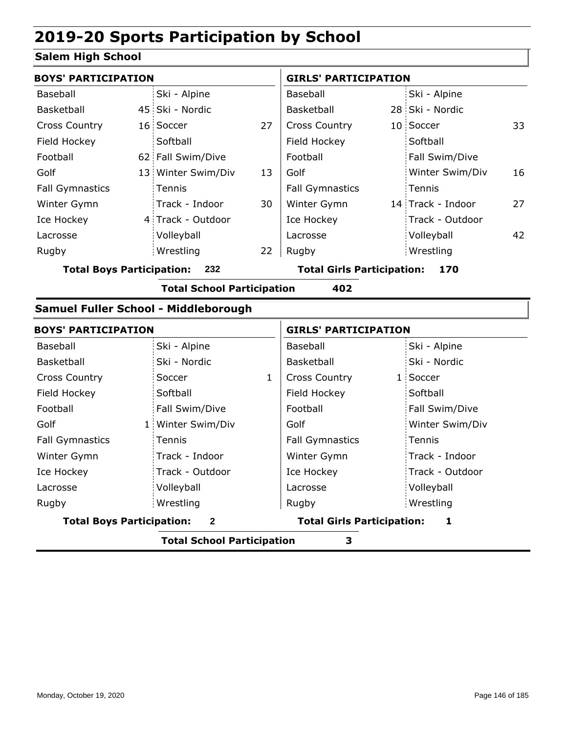#### **Salem High School**

|                                         | <b>BOYS' PARTICIPATION</b> |                    |                                   |                        | <b>GIRLS' PARTICIPATION</b> |                   |    |  |  |
|-----------------------------------------|----------------------------|--------------------|-----------------------------------|------------------------|-----------------------------|-------------------|----|--|--|
| Baseball                                |                            | Ski - Alpine       |                                   | Baseball               |                             | Ski - Alpine      |    |  |  |
| Basketball                              |                            | 45 Ski - Nordic    |                                   | Basketball             |                             | 28 Ski - Nordic   |    |  |  |
| <b>Cross Country</b>                    |                            | 16 Soccer          | 27                                | <b>Cross Country</b>   |                             | 10 Soccer         | 33 |  |  |
| Field Hockey                            |                            | Softball           |                                   | Field Hockey           |                             | Softball          |    |  |  |
| Football                                |                            | 62 Fall Swim/Dive  |                                   | Football               |                             | Fall Swim/Dive    |    |  |  |
| Golf                                    |                            | 13 Winter Swim/Div | 13                                | Golf                   |                             | Winter Swim/Div   | 16 |  |  |
| <b>Fall Gymnastics</b>                  |                            | Tennis             |                                   | <b>Fall Gymnastics</b> |                             | Tennis            |    |  |  |
| Winter Gymn                             |                            | Track - Indoor     | 30                                | Winter Gymn            |                             | 14 Track - Indoor | 27 |  |  |
| Ice Hockey                              |                            | 4 Track - Outdoor  |                                   | Ice Hockey             |                             | Track - Outdoor   |    |  |  |
| Lacrosse                                |                            | Volleyball         |                                   | Lacrosse               |                             | Volleyball        | 42 |  |  |
| Rugby                                   |                            | Wrestling          | 22                                | Rugby                  |                             | Wrestling         |    |  |  |
| <b>Total Boys Participation:</b><br>232 |                            |                    | <b>Total Girls Participation:</b> |                        | 170                         |                   |    |  |  |

**Total School Participation 402**

#### **Samuel Fuller School - Middleborough**

| <b>BOYS' PARTICIPATION</b>       |                 | <b>GIRLS' PARTICIPATION</b> |                                   |  |                 |
|----------------------------------|-----------------|-----------------------------|-----------------------------------|--|-----------------|
| Baseball                         | Ski - Alpine    |                             | Baseball                          |  | Ski - Alpine    |
| Basketball                       | Ski - Nordic    |                             | Basketball                        |  | Ski - Nordic    |
| <b>Cross Country</b>             | Soccer          | 1                           | <b>Cross Country</b>              |  | 1 Soccer        |
| Field Hockey                     | Softball        |                             | Field Hockey                      |  | Softball        |
| Football                         | Fall Swim/Dive  |                             | Football                          |  | Fall Swim/Dive  |
| Golf                             | Winter Swim/Div |                             | Golf                              |  | Winter Swim/Div |
| <b>Fall Gymnastics</b>           | Tennis          |                             | <b>Fall Gymnastics</b>            |  | Tennis          |
| Winter Gymn                      | Track - Indoor  |                             | Winter Gymn                       |  | Track - Indoor  |
| Ice Hockey                       | Track - Outdoor |                             | Ice Hockey                        |  | Track - Outdoor |
| Lacrosse                         | Volleyball      |                             | Lacrosse                          |  | Volleyball      |
| Rugby                            | Wrestling       |                             | Rugby                             |  | Wrestling       |
| <b>Total Boys Participation:</b> | $\mathbf{2}$    |                             | <b>Total Girls Participation:</b> |  | 1               |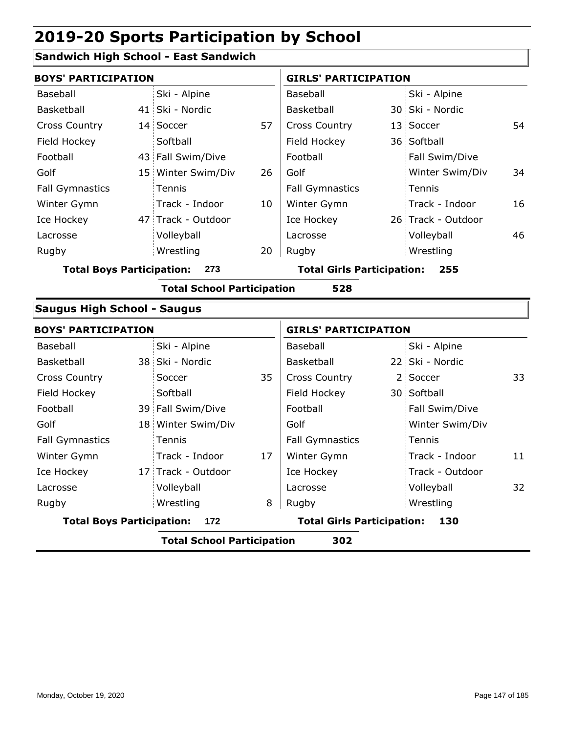#### **Sandwich High School - East Sandwich**

|                                    | <b>BOYS' PARTICIPATION</b> |                                   |    |                                   |  | <b>GIRLS' PARTICIPATION</b> |    |
|------------------------------------|----------------------------|-----------------------------------|----|-----------------------------------|--|-----------------------------|----|
| Baseball                           |                            | Ski - Alpine                      |    | Baseball                          |  | Ski - Alpine                |    |
| Basketball                         |                            | 41 Ski - Nordic                   |    | Basketball                        |  | 30 Ski - Nordic             |    |
| <b>Cross Country</b>               |                            | 14 Soccer                         | 57 | Cross Country                     |  | 13 Soccer                   | 54 |
| Field Hockey                       |                            | Softball                          |    | Field Hockey                      |  | 36 Softball                 |    |
| Football                           |                            | 43 Fall Swim/Dive                 |    | Football                          |  | Fall Swim/Dive              |    |
| Golf                               |                            | 15 Winter Swim/Div                | 26 | Golf                              |  | Winter Swim/Div             | 34 |
| <b>Fall Gymnastics</b>             |                            | Tennis                            |    | <b>Fall Gymnastics</b>            |  | Tennis                      |    |
| Winter Gymn                        |                            | Track - Indoor                    | 10 | Winter Gymn                       |  | Track - Indoor              | 16 |
| Ice Hockey                         |                            | 47 Track - Outdoor                |    | Ice Hockey                        |  | 26 Track - Outdoor          |    |
| Lacrosse                           |                            | Volleyball                        |    | Lacrosse                          |  | Volleyball                  | 46 |
| Rugby                              |                            | Wrestling                         | 20 | Rugby                             |  | Wrestling                   |    |
| <b>Total Boys Participation:</b>   |                            | 273                               |    | <b>Total Girls Participation:</b> |  | 255                         |    |
|                                    |                            | <b>Total School Participation</b> |    | 528                               |  |                             |    |
| <b>Saugus High School - Saugus</b> |                            |                                   |    |                                   |  |                             |    |
| <b>BOYS' PARTICIPATION</b>         |                            |                                   |    | <b>GIRLS' PARTICIPATION</b>       |  |                             |    |
| Baseball                           |                            | Ski - Alpine                      |    | Baseball                          |  | Ski - Alpine                |    |
| Basketball                         |                            | 38 Ski - Nordic                   |    | Basketball                        |  | 22 Ski - Nordic             |    |
| <b>Cross Country</b>               |                            | Soccer                            | 35 | <b>Cross Country</b>              |  | 2 Soccer                    | 33 |
| Field Hockey                       |                            | Softball                          |    | Field Hockey                      |  | 30 Softball                 |    |
| Football                           |                            | 39 Fall Swim/Dive                 |    | Football                          |  | Fall Swim/Dive              |    |
| Golf                               |                            | 18 Winter Swim/Div                |    | Golf                              |  | Winter Swim/Div             |    |
| <b>Fall Gymnastics</b>             |                            | Tennis                            |    | <b>Fall Gymnastics</b>            |  | Tennis                      |    |
| Winter Gymn                        |                            | Track - Indoor                    | 17 | Winter Gymn                       |  | Track - Indoor              | 11 |
| Ice Hockey                         |                            | 17 Track - Outdoor                |    | Ice Hockey                        |  | Track - Outdoor             |    |
| Lacrosse                           |                            | Volleyball                        |    | Lacrosse                          |  | Volleyball                  | 32 |
| Rugby                              |                            | Wrestling                         | 8  | Rugby                             |  | Wrestling                   |    |

**Total Boys Participation: 172 Total Girls Participation: 130**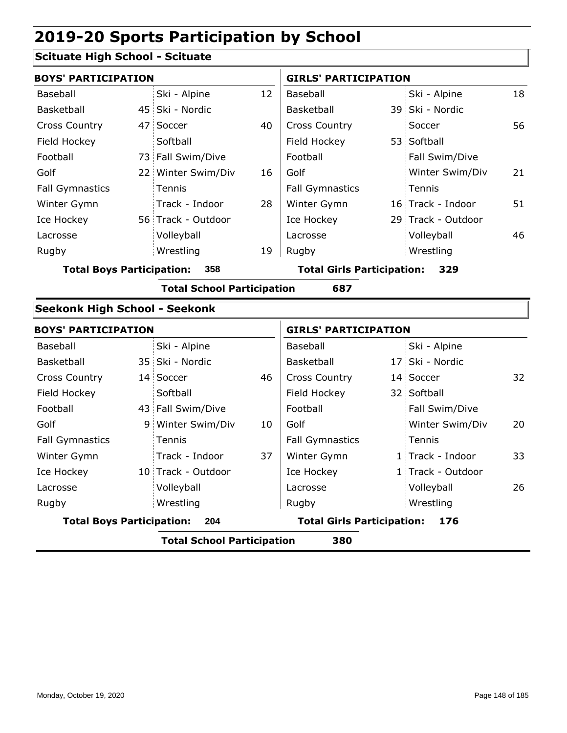#### **Scituate High School - Scituate**

| <b>BOYS' PARTICIPATION</b>           |    |                                   |    | <b>GIRLS' PARTICIPATION</b>       |                    |    |
|--------------------------------------|----|-----------------------------------|----|-----------------------------------|--------------------|----|
| Baseball                             |    | Ski - Alpine                      | 12 | Baseball                          | Ski - Alpine       | 18 |
| Basketball                           |    | 45 Ski - Nordic                   |    | Basketball                        | 39 Ski - Nordic    |    |
| <b>Cross Country</b>                 | 47 | Soccer                            | 40 | <b>Cross Country</b>              | Soccer             | 56 |
| Field Hockey                         |    | Softball                          |    | Field Hockey                      | 53 Softball        |    |
| Football                             |    | 73 Fall Swim/Dive                 |    | Football                          | Fall Swim/Dive     |    |
| Golf                                 |    | 22 Winter Swim/Div                | 16 | Golf                              | Winter Swim/Div    | 21 |
| <b>Fall Gymnastics</b>               |    | Tennis                            |    | <b>Fall Gymnastics</b>            | Tennis             |    |
| Winter Gymn                          |    | Track - Indoor                    | 28 | Winter Gymn                       | 16 Track - Indoor  | 51 |
| Ice Hockey                           |    | 56 Track - Outdoor                |    | Ice Hockey                        | 29 Track - Outdoor |    |
| Lacrosse                             |    | Volleyball                        |    | Lacrosse                          | Volleyball         | 46 |
| Rugby                                |    | Wrestling                         | 19 | Rugby                             | Wrestling          |    |
| <b>Total Boys Participation:</b>     |    | 358                               |    | <b>Total Girls Participation:</b> | 329                |    |
|                                      |    | <b>Total School Participation</b> |    | 687                               |                    |    |
| <b>Seekonk High School - Seekonk</b> |    |                                   |    |                                   |                    |    |
| <b>BOYS' PARTICIPATION</b>           |    |                                   |    | <b>GIRLS' PARTICIPATION</b>       |                    |    |
| Baseball                             |    | Ski - Alpine                      |    | Baseball                          | Ski - Alpine       |    |
| Basketball                           |    | 35 Ski - Nordic                   |    | Basketball                        | 17 Ski - Nordic    |    |
| <b>Cross Country</b>                 |    | 14 Soccer                         | 46 | <b>Cross Country</b>              | 14 Soccer          | 32 |
| Field Hockey                         |    | Softball                          |    | Field Hockey                      | 32 Softball        |    |
| Football                             |    | 43 Fall Swim/Dive                 |    | Football                          | Fall Swim/Dive     |    |
| Golf                                 | 9  | Winter Swim/Div                   | 10 | Golf                              | Winter Swim/Div    | 20 |
| <b>Fall Gymnastics</b>               |    | Tennis                            |    | <b>Fall Gymnastics</b>            | Tennis             |    |
| Winter Gymn                          |    | Track - Indoor                    | 37 | Winter Gymn                       | 1 Track - Indoor   | 33 |
| Ice Hockey                           |    | 10 Track - Outdoor                |    | Ice Hockey                        | 1 Track - Outdoor  |    |
| Lacrosse                             |    | Volleyball                        |    | Lacrosse                          | Volleyball         | 26 |
| Rugby                                |    | Wrestling                         |    | Rugby                             | Wrestling          |    |

**Total Boys Participation: 204 Total Girls Participation: 176**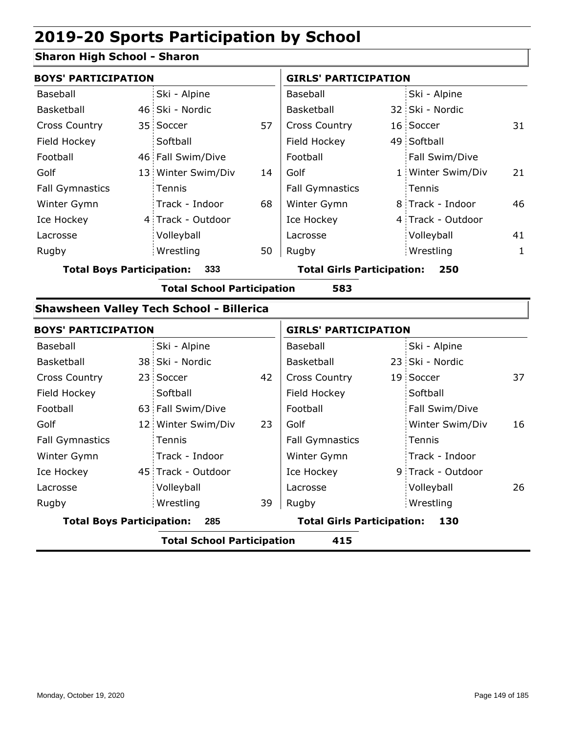#### **Sharon High School - Sharon**

| <b>BOYS' PARTICIPATION</b>       |                                                 |    | <b>GIRLS' PARTICIPATION</b>       |  |                   |    |  |
|----------------------------------|-------------------------------------------------|----|-----------------------------------|--|-------------------|----|--|
| Baseball                         | Ski - Alpine                                    |    | Baseball                          |  | Ski - Alpine      |    |  |
| Basketball                       | 46 Ski - Nordic                                 |    | Basketball                        |  | 32 Ski - Nordic   |    |  |
| <b>Cross Country</b>             | 35 Soccer                                       | 57 | <b>Cross Country</b>              |  | 16 Soccer         | 31 |  |
| Field Hockey                     | Softball                                        |    | Field Hockey                      |  | 49 Softball       |    |  |
| Football                         | 46 Fall Swim/Dive                               |    | Football                          |  | Fall Swim/Dive    |    |  |
| Golf                             | 13 Winter Swim/Div                              | 14 | Golf                              |  | 1 Winter Swim/Div | 21 |  |
| <b>Fall Gymnastics</b>           | Tennis                                          |    | <b>Fall Gymnastics</b>            |  | Tennis            |    |  |
| Winter Gymn                      | Track - Indoor                                  | 68 | Winter Gymn                       |  | 8 Track - Indoor  | 46 |  |
| Ice Hockey                       | 4 Track - Outdoor                               |    | Ice Hockey                        |  | 4 Track - Outdoor |    |  |
| Lacrosse                         | Volleyball                                      |    | Lacrosse                          |  | Volleyball        | 41 |  |
| Rugby                            | Wrestling                                       | 50 | Rugby                             |  | Wrestling         | 1  |  |
| <b>Total Boys Participation:</b> | 333                                             |    | <b>Total Girls Participation:</b> |  | 250               |    |  |
|                                  | <b>Total School Participation</b>               |    | 583                               |  |                   |    |  |
|                                  | <b>Shawsheen Valley Tech School - Billerica</b> |    |                                   |  |                   |    |  |
| <b>BOYS' PARTICIPATION</b>       |                                                 |    | <b>GIRLS' PARTICIPATION</b>       |  |                   |    |  |

| <b>BOYS PARTICIPATION</b>        |  |                            |    | GIRLS PARTICIPATION               |  |                   |    |
|----------------------------------|--|----------------------------|----|-----------------------------------|--|-------------------|----|
| Baseball                         |  | Ski - Alpine               |    | Baseball                          |  | Ski - Alpine      |    |
| Basketball                       |  | 38 Ski - Nordic            |    | Basketball                        |  | 23 Ski - Nordic   |    |
| <b>Cross Country</b>             |  | 23 Soccer                  | 42 | <b>Cross Country</b>              |  | 19 Soccer         | 37 |
| Field Hockey                     |  | Softball                   |    | Field Hockey                      |  | Softball          |    |
| Football                         |  | 63 Fall Swim/Dive          |    | Football                          |  | Fall Swim/Dive    |    |
| Golf                             |  | 12 Winter Swim/Div         | 23 | Golf                              |  | Winter Swim/Div   | 16 |
| <b>Fall Gymnastics</b>           |  | Tennis                     |    | <b>Fall Gymnastics</b>            |  | : Tennis          |    |
| Winter Gymn                      |  | Track - Indoor             |    | Winter Gymn                       |  | Track - Indoor    |    |
| Ice Hockey                       |  | 45 Track - Outdoor         |    | Ice Hockey                        |  | 9 Track - Outdoor |    |
| Lacrosse                         |  | Volleyball                 |    | Lacrosse                          |  | Volleyball        | 26 |
| Rugby                            |  | Wrestling                  | 39 | Rugby                             |  | Wrestling         |    |
| <b>Total Boys Participation:</b> |  | 285                        |    | <b>Total Girls Participation:</b> |  | 130               |    |
|                                  |  | Tatal School Darticination |    | 41 E                              |  |                   |    |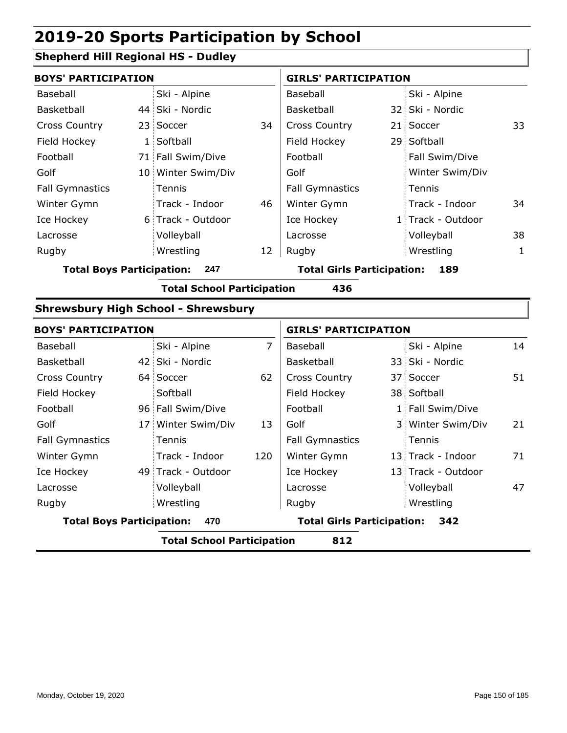### **Shepherd Hill Regional HS - Dudley**

|                                  | <b>BOYS' PARTICIPATION</b> |                                            |                |                                   | <b>GIRLS' PARTICIPATION</b> |                   |    |  |  |
|----------------------------------|----------------------------|--------------------------------------------|----------------|-----------------------------------|-----------------------------|-------------------|----|--|--|
| Baseball                         |                            | Ski - Alpine                               |                | Baseball                          |                             | Ski - Alpine      |    |  |  |
| <b>Basketball</b>                |                            | 44 Ski - Nordic                            |                | Basketball                        |                             | 32 Ski - Nordic   |    |  |  |
| <b>Cross Country</b>             |                            | 23 Soccer                                  | 34             | <b>Cross Country</b>              |                             | 21 Soccer         | 33 |  |  |
| Field Hockey                     |                            | 1 Softball                                 |                | Field Hockey                      |                             | 29 Softball       |    |  |  |
| Football                         |                            | 71 Fall Swim/Dive                          |                | Football                          |                             | Fall Swim/Dive    |    |  |  |
| Golf                             |                            | 10 Winter Swim/Div                         |                | Golf                              |                             | Winter Swim/Div   |    |  |  |
| <b>Fall Gymnastics</b>           |                            | Tennis                                     |                | <b>Fall Gymnastics</b>            |                             | Tennis            |    |  |  |
| Winter Gymn                      |                            | Track - Indoor                             | 46             | Winter Gymn                       |                             | Track - Indoor    | 34 |  |  |
| Ice Hockey                       |                            | 6 Track - Outdoor                          |                | Ice Hockey                        |                             | 1 Track - Outdoor |    |  |  |
| Lacrosse                         |                            | Volleyball                                 |                | Lacrosse                          |                             | Volleyball        | 38 |  |  |
| Rugby                            |                            | Wrestling                                  | 12             | Rugby                             |                             | Wrestling         | 1  |  |  |
| <b>Total Boys Participation:</b> |                            | 247                                        |                | <b>Total Girls Participation:</b> |                             | 189               |    |  |  |
|                                  |                            | <b>Total School Participation</b>          |                | 436                               |                             |                   |    |  |  |
|                                  |                            | <b>Shrewsbury High School - Shrewsbury</b> |                |                                   |                             |                   |    |  |  |
| <b>BOYS' PARTICIPATION</b>       |                            |                                            |                | <b>GIRLS' PARTICIPATION</b>       |                             |                   |    |  |  |
| Baseball                         |                            | Ski - Alpine                               | $\overline{7}$ | Baseball                          |                             | Ski - Alpine      | 14 |  |  |
| <b>Basketball</b>                |                            | 42 Ski - Nordic                            |                | Basketball                        |                             | 33 Ski - Nordic   |    |  |  |
| Cross Country                    |                            | 64 Soccer                                  | 62             | <b>Cross Country</b>              |                             | 37 Soccer         | 51 |  |  |
| Field Hockey                     |                            | Softball                                   |                | Field Hockey                      |                             | 38 Softball       |    |  |  |
| Football                         |                            | 96 Fall Swim/Dive                          |                | Football                          |                             | 1 Fall Swim/Dive  |    |  |  |
|                                  |                            |                                            |                |                                   |                             |                   |    |  |  |

| <b>Total Boys Participation:</b> | 470                |     | <b>Total Girls Participation:</b> | 342                |    |
|----------------------------------|--------------------|-----|-----------------------------------|--------------------|----|
| Rugby                            | Wrestling          |     | Rugby                             | Wrestling          |    |
| Lacrosse                         | Volleyball         |     | Lacrosse                          | Volleyball         | 47 |
| Ice Hockey                       | 49 Track - Outdoor |     | Ice Hockey                        | 13 Track - Outdoor |    |
| Winter Gymn                      | Track - Indoor     | 120 | Winter Gymn                       | 13 Track - Indoor  | 71 |
| <b>Fall Gymnastics</b>           | Tennis             |     | <b>Fall Gymnastics</b>            | Tennis             |    |
| Golf                             | 17 Winter Swim/Div | 13  | Golf                              | 3 Winter Swim/Div  | 21 |
| Football                         | 96 Fall Swim/Dive  |     | Football                          | 1 Fall Swim/Dive   |    |
|                                  |                    |     |                                   |                    |    |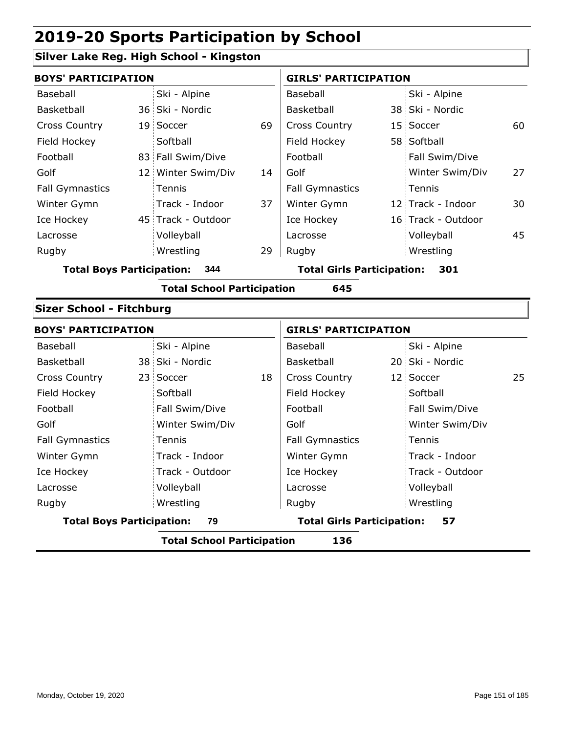#### **Silver Lake Reg. High School - Kingston**

|                                         | <b>BOYS' PARTICIPATION</b> |                    |                                   |                        | <b>GIRLS' PARTICIPATION</b> |                    |    |  |
|-----------------------------------------|----------------------------|--------------------|-----------------------------------|------------------------|-----------------------------|--------------------|----|--|
| Baseball                                |                            | Ski - Alpine       |                                   | Baseball               |                             | Ski - Alpine       |    |  |
| Basketball                              |                            | 36 Ski - Nordic    |                                   | <b>Basketball</b>      |                             | 38 Ski - Nordic    |    |  |
| <b>Cross Country</b>                    |                            | 19 Soccer          | 69                                | <b>Cross Country</b>   |                             | 15 Soccer          | 60 |  |
| Field Hockey                            |                            | Softball           |                                   | Field Hockey           |                             | 58 Softball        |    |  |
| Football                                |                            | 83 Fall Swim/Dive  |                                   | Football               |                             | Fall Swim/Dive     |    |  |
| Golf                                    |                            | 12 Winter Swim/Div | 14                                | Golf                   |                             | Winter Swim/Div    | 27 |  |
| <b>Fall Gymnastics</b>                  |                            | <b>Tennis</b>      |                                   | <b>Fall Gymnastics</b> |                             | Tennis             |    |  |
| Winter Gymn                             |                            | Track - Indoor     | 37                                | Winter Gymn            |                             | 12 Track - Indoor  | 30 |  |
| Ice Hockey                              |                            | 45 Track - Outdoor |                                   | Ice Hockey             |                             | 16 Track - Outdoor |    |  |
| Lacrosse                                |                            | Volleyball         |                                   | Lacrosse               |                             | Volleyball         | 45 |  |
| Rugby                                   |                            | Wrestling          | 29                                | Rugby                  |                             | Wrestling          |    |  |
| <b>Total Boys Participation:</b><br>344 |                            |                    | <b>Total Girls Participation:</b> |                        | 301                         |                    |    |  |

**Total School Participation 645**

#### **Sizer School - Fitchburg**

| <b>BOYS' PARTICIPATION</b>       |                                   |    | <b>GIRLS' PARTICIPATION</b>       |  |                 |    |
|----------------------------------|-----------------------------------|----|-----------------------------------|--|-----------------|----|
| Baseball                         | Ski - Alpine                      |    | Baseball                          |  | Ski - Alpine    |    |
| Basketball                       | 38 Ski - Nordic                   |    | Basketball                        |  | 20 Ski - Nordic |    |
| <b>Cross Country</b>             | 23 Soccer                         | 18 | <b>Cross Country</b>              |  | 12 Soccer       | 25 |
| Field Hockey                     | Softball                          |    | Field Hockey                      |  | Softball        |    |
| Football                         | Fall Swim/Dive                    |    | Football                          |  | Fall Swim/Dive  |    |
| Golf                             | Winter Swim/Div                   |    | Golf                              |  | Winter Swim/Div |    |
| <b>Fall Gymnastics</b>           | Tennis                            |    | <b>Fall Gymnastics</b>            |  | Tennis          |    |
| Winter Gymn                      | Track - Indoor                    |    | Winter Gymn                       |  | Track - Indoor  |    |
| Ice Hockey                       | Track - Outdoor                   |    | Ice Hockey                        |  | Track - Outdoor |    |
| Lacrosse                         | Volleyball                        |    | Lacrosse                          |  | Volleyball      |    |
| Rugby                            | Wrestling                         |    | Rugby                             |  | Wrestling       |    |
| <b>Total Boys Participation:</b> | 79                                |    | <b>Total Girls Participation:</b> |  | 57              |    |
|                                  | <b>Total School Participation</b> |    | 136                               |  |                 |    |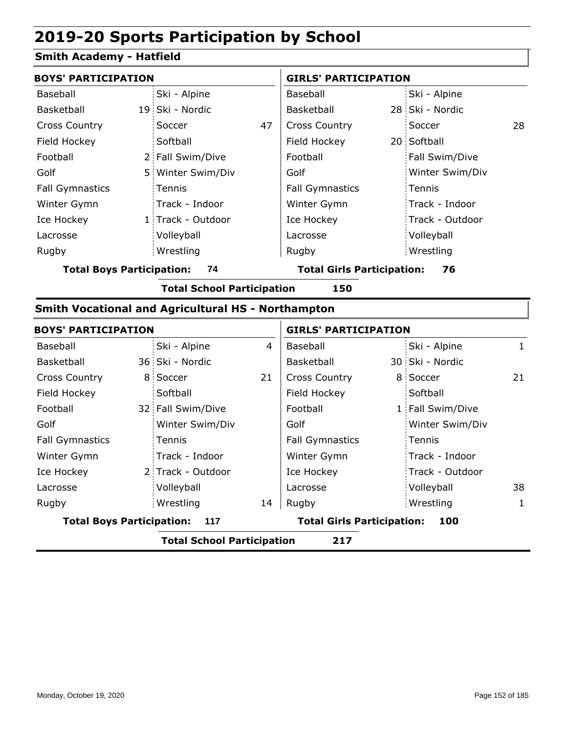#### **Smith Academy - Hatfield**

| <b>BOYS' PARTICIPATION</b>             |  |                   | <b>GIRLS' PARTICIPATION</b>             |                        |  |                 |    |
|----------------------------------------|--|-------------------|-----------------------------------------|------------------------|--|-----------------|----|
| Baseball                               |  | Ski - Alpine      |                                         | Baseball               |  | Ski - Alpine    |    |
| Basketball                             |  | 19 Ski - Nordic   |                                         | Basketball             |  | 28 Ski - Nordic |    |
| <b>Cross Country</b>                   |  | Soccer            | 47                                      | <b>Cross Country</b>   |  | Soccer          | 28 |
| Field Hockey                           |  | Softball          |                                         | Field Hockey           |  | 20 Softball     |    |
| Football                               |  | 2 Fall Swim/Dive  |                                         | Football               |  | Fall Swim/Dive  |    |
| Golf                                   |  | 5 Winter Swim/Div |                                         | Golf                   |  | Winter Swim/Div |    |
| <b>Fall Gymnastics</b>                 |  | Tennis            |                                         | <b>Fall Gymnastics</b> |  | Tennis          |    |
| Winter Gymn                            |  | Track - Indoor    |                                         | Winter Gymn            |  | Track - Indoor  |    |
| Ice Hockey                             |  | 1 Track - Outdoor |                                         | Ice Hockey             |  | Track - Outdoor |    |
| Lacrosse                               |  | Volleyball        |                                         | Lacrosse               |  | Volleyball      |    |
| Rugby                                  |  | Wrestling         |                                         | Rugby                  |  | Wrestling       |    |
| <b>Total Boys Participation:</b><br>74 |  |                   | <b>Total Girls Participation:</b><br>76 |                        |  |                 |    |

**Total School Participation 150**

#### **Smith Vocational and Agricultural HS - Northampton**

| <b>BOYS' PARTICIPATION</b>               |  |                                          |    | <b>GIRLS' PARTICIPATION</b> |  |                  |    |
|------------------------------------------|--|------------------------------------------|----|-----------------------------|--|------------------|----|
| Baseball                                 |  | Ski - Alpine                             | 4  | Baseball                    |  | Ski - Alpine     | 1  |
| Basketball                               |  | 36 Ski - Nordic                          |    | Basketball                  |  | 30 Ski - Nordic  |    |
| <b>Cross Country</b>                     |  | 8 Soccer                                 | 21 | <b>Cross Country</b>        |  | 8 Soccer         | 21 |
| Field Hockey                             |  | Softball                                 |    | Field Hockey                |  | Softball         |    |
| Football                                 |  | 32 Fall Swim/Dive                        |    | Football                    |  | 1 Fall Swim/Dive |    |
| Golf                                     |  | Winter Swim/Div                          |    | Golf                        |  | Winter Swim/Div  |    |
| <b>Fall Gymnastics</b>                   |  | <b>Tennis</b>                            |    | <b>Fall Gymnastics</b>      |  | Tennis           |    |
| Winter Gymn                              |  | Track - Indoor                           |    | Winter Gymn                 |  | Track - Indoor   |    |
| Ice Hockey                               |  | 2 Track - Outdoor                        |    | Ice Hockey                  |  | Track - Outdoor  |    |
| Lacrosse                                 |  | Volleyball                               |    | Lacrosse                    |  | Volleyball       | 38 |
| Rugby                                    |  | Wrestling                                | 14 | Rugby                       |  | Wrestling        | 1  |
| <b>Total Boys Participation:</b><br>117  |  | <b>Total Girls Participation:</b><br>100 |    |                             |  |                  |    |
| <b>Total School Participation</b><br>217 |  |                                          |    |                             |  |                  |    |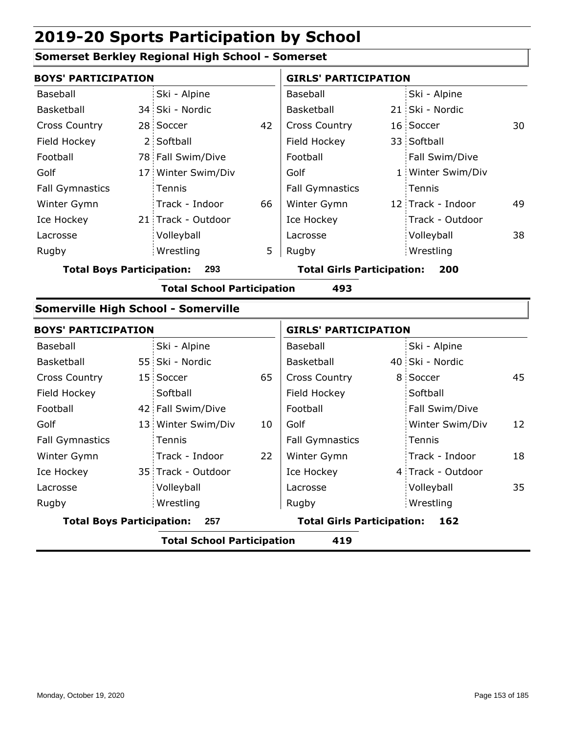#### **Somerset Berkley Regional High School - Somerset**

| <b>BOYS' PARTICIPATION</b> |                                         |                                            |    | <b>GIRLS' PARTICIPATION</b> |                                   |                   |    |  |
|----------------------------|-----------------------------------------|--------------------------------------------|----|-----------------------------|-----------------------------------|-------------------|----|--|
| Baseball                   |                                         | Ski - Alpine                               |    | Baseball                    |                                   | Ski - Alpine      |    |  |
| Basketball                 |                                         | 34 Ski - Nordic                            |    | Basketball                  |                                   | 21 Ski - Nordic   |    |  |
| <b>Cross Country</b>       |                                         | 28 Soccer                                  | 42 | <b>Cross Country</b>        |                                   | 16 Soccer         | 30 |  |
| Field Hockey               |                                         | 2 Softball                                 |    | Field Hockey                |                                   | 33 Softball       |    |  |
| Football                   |                                         | 78 Fall Swim/Dive                          |    | Football                    |                                   | Fall Swim/Dive    |    |  |
| Golf                       |                                         | 17 Winter Swim/Div                         |    | Golf                        |                                   | 1 Winter Swim/Div |    |  |
| <b>Fall Gymnastics</b>     |                                         | Tennis                                     |    | <b>Fall Gymnastics</b>      |                                   | Tennis            |    |  |
| Winter Gymn                |                                         | Track - Indoor                             | 66 | Winter Gymn                 |                                   | 12 Track - Indoor | 49 |  |
| Ice Hockey                 |                                         | 21 Track - Outdoor                         |    | Ice Hockey                  |                                   | Track - Outdoor   |    |  |
| Lacrosse                   |                                         | Volleyball                                 |    | Lacrosse                    |                                   | Volleyball        | 38 |  |
| Rugby                      |                                         | Wrestling                                  | 5  | Rugby                       |                                   | Wrestling         |    |  |
|                            | <b>Total Boys Participation:</b><br>293 |                                            |    |                             | <b>Total Girls Participation:</b> | 200               |    |  |
|                            |                                         | <b>Total School Participation</b>          |    | 493                         |                                   |                   |    |  |
|                            |                                         | <b>Somerville High School - Somerville</b> |    |                             |                                   |                   |    |  |
| <b>BOYS' PARTICIPATION</b> |                                         |                                            |    | <b>GIRLS' PARTICIPATION</b> |                                   |                   |    |  |
| Baseball                   |                                         | Ski - Alpine                               |    | Baseball                    |                                   | Ski - Alpine      |    |  |
| Basketball                 |                                         | 55 Ski - Nordic                            |    | Basketball                  |                                   | 40 Ski - Nordic   |    |  |
| <b>Cross Country</b>       |                                         | 15 Soccer                                  | 65 | <b>Cross Country</b>        |                                   | 8 Soccer          | 45 |  |
| Field Hockey               |                                         | Softball                                   |    | Field Hockey                |                                   | Softball          |    |  |
| Football                   |                                         | 42 Fall Swim/Dive                          |    | Football                    |                                   | Fall Swim/Dive    |    |  |
| Golf                       |                                         | 13 Winter Swim/Div                         | 10 | Golf                        |                                   | Winter Swim/Div   | 12 |  |
| <b>Fall Gymnastics</b>     |                                         | Tennis                                     |    | <b>Fall Gymnastics</b>      |                                   | Tennis            |    |  |

| <b>Total Boys Participation:</b><br>257 |  |                    | <b>Total Girls Participation:</b> | 162                    |                   |    |
|-----------------------------------------|--|--------------------|-----------------------------------|------------------------|-------------------|----|
| Rugby                                   |  | Wrestling          |                                   | Rugby                  | Wrestling         |    |
| Lacrosse                                |  | Volleyball         |                                   | Lacrosse               | Volleyball        | 35 |
| Ice Hockey                              |  | 35 Track - Outdoor |                                   | Ice Hockey             | 4 Track - Outdoor |    |
| Winter Gymn                             |  | Track - Indoor     | 22                                | Winter Gymn            | Track - Indoor    | 18 |
| <b>Fall Gymnastics</b>                  |  | Tennis             |                                   | <b>Fall Gymnastics</b> | Tennis            |    |
| Golf                                    |  | 13 Winter Swim/Div | 10                                | Golf                   | Winter Swim/Div   | 12 |
| Football                                |  | 42 Fall Swim/Dive  |                                   | Football               | Fall Swim/Dive    |    |
|                                         |  |                    |                                   |                        |                   |    |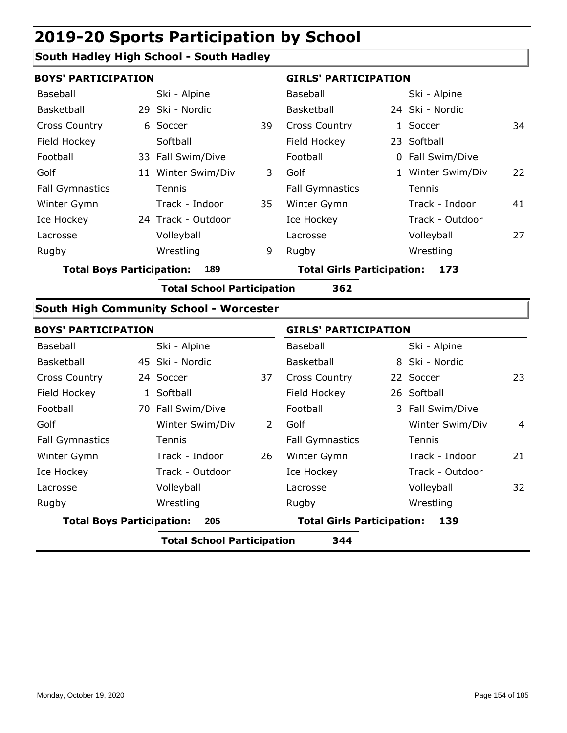#### **South Hadley High School - South Hadley**

| <b>BOYS' PARTICIPATION</b> |  |                    | <b>GIRLS' PARTICIPATION</b> |                          |  |                   |    |
|----------------------------|--|--------------------|-----------------------------|--------------------------|--|-------------------|----|
| Baseball                   |  | Ski - Alpine       |                             | Baseball                 |  | Ski - Alpine      |    |
| Basketball                 |  | 29 Ski - Nordic    |                             | Basketball               |  | 24 Ski - Nordic   |    |
| <b>Cross Country</b>       |  | 6 Soccer           | 39                          | <b>Cross Country</b>     |  | 1 Soccer          | 34 |
| Field Hockey               |  | Softball           |                             | Field Hockey             |  | 23 Softball       |    |
| Football                   |  | 33 Fall Swim/Dive  |                             | Football                 |  | 0 Fall Swim/Dive  |    |
| Golf                       |  | 11 Winter Swim/Div | 3                           | Golf                     |  | 1 Winter Swim/Div | 22 |
| <b>Fall Gymnastics</b>     |  | Tennis             |                             | <b>Fall Gymnastics</b>   |  | Tennis            |    |
| Winter Gymn                |  | Track - Indoor     | 35                          | Winter Gymn              |  | Track - Indoor    | 41 |
| Ice Hockey                 |  | 24 Track - Outdoor |                             | Ice Hockey               |  | Track - Outdoor   |    |
| Lacrosse                   |  | Volleyball         |                             | Lacrosse                 |  | Volleyball        | 27 |
| Rugby                      |  | Wrestling          | 9                           | Rugby                    |  | Wrestling         |    |
|                            |  | T.L.I B BL.IL 400  |                             | Talah Abda Badi daerikan |  |                   |    |

**Total Boys Participation: 189 Total Girls Participation: 173**

**Total School Participation 362**

#### **South High Community School - Worcester**

|                                         | <b>BOYS' PARTICIPATION</b> |                   |                                          | <b>GIRLS' PARTICIPATION</b> |  |                  |                |
|-----------------------------------------|----------------------------|-------------------|------------------------------------------|-----------------------------|--|------------------|----------------|
| Baseball                                |                            | Ski - Alpine      |                                          | Baseball                    |  | Ski - Alpine     |                |
| Basketball                              |                            | 45 Ski - Nordic   |                                          | Basketball                  |  | 8 Ski - Nordic   |                |
| <b>Cross Country</b>                    |                            | 24 Soccer         | 37                                       | <b>Cross Country</b>        |  | 22 Soccer        | 23             |
| Field Hockey                            |                            | 1 Softball        |                                          | Field Hockey                |  | 26 Softball      |                |
| Football                                |                            | 70 Fall Swim/Dive |                                          | Football                    |  | 3 Fall Swim/Dive |                |
| Golf                                    |                            | Winter Swim/Div   | 2                                        | Golf                        |  | Winter Swim/Div  | $\overline{4}$ |
| <b>Fall Gymnastics</b>                  |                            | <b>Tennis</b>     |                                          | <b>Fall Gymnastics</b>      |  | Tennis           |                |
| Winter Gymn                             |                            | Track - Indoor    | 26                                       | Winter Gymn                 |  | Track - Indoor   | 21             |
| Ice Hockey                              |                            | Track - Outdoor   |                                          | Ice Hockey                  |  | Track - Outdoor  |                |
| Lacrosse                                |                            | Volleyball        |                                          | Lacrosse                    |  | Volleyball       | 32             |
| Rugby                                   |                            | Wrestling         |                                          | Rugby                       |  | Wrestling        |                |
| <b>Total Boys Participation:</b><br>205 |                            |                   | <b>Total Girls Participation:</b><br>139 |                             |  |                  |                |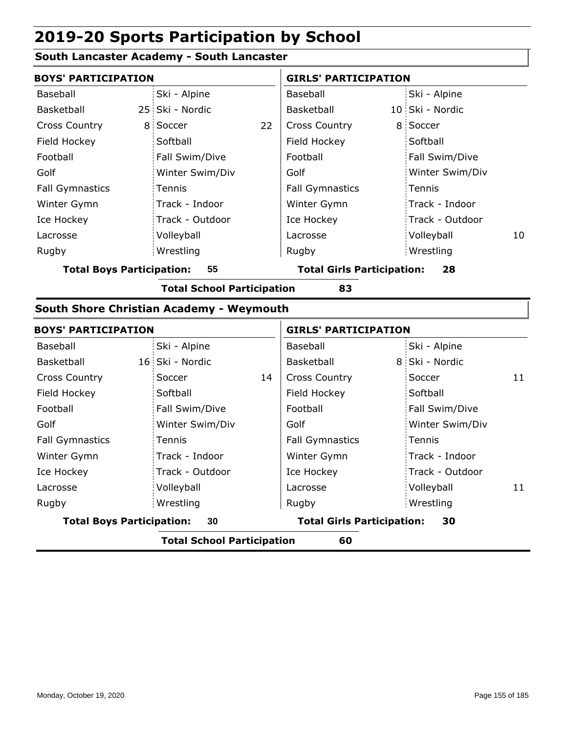#### **South Lancaster Academy - South Lancaster**

|                                        | <b>BOYS' PARTICIPATION</b> |    |                                         | <b>GIRLS' PARTICIPATION</b> |                 |    |  |  |
|----------------------------------------|----------------------------|----|-----------------------------------------|-----------------------------|-----------------|----|--|--|
| Baseball                               | Ski - Alpine               |    | Baseball                                |                             | Ski - Alpine    |    |  |  |
| Basketball                             | 25 Ski - Nordic            |    | <b>Basketball</b>                       |                             | 10 Ski - Nordic |    |  |  |
| <b>Cross Country</b>                   | 8 Soccer                   | 22 | <b>Cross Country</b>                    |                             | 8 Soccer        |    |  |  |
| Field Hockey                           | Softball                   |    | Field Hockey                            |                             | Softball        |    |  |  |
| Football                               | Fall Swim/Dive             |    | Football                                |                             | Fall Swim/Dive  |    |  |  |
| Golf                                   | Winter Swim/Div            |    | Golf                                    |                             | Winter Swim/Div |    |  |  |
| <b>Fall Gymnastics</b>                 | Tennis                     |    | <b>Fall Gymnastics</b>                  |                             | Tennis          |    |  |  |
| Winter Gymn                            | Track - Indoor             |    | Winter Gymn                             |                             | Track - Indoor  |    |  |  |
| Ice Hockey                             | Track - Outdoor            |    | Ice Hockey                              |                             | Track - Outdoor |    |  |  |
| Lacrosse                               | Volleyball                 |    | Lacrosse                                |                             | Volleyball      | 10 |  |  |
| Rugby                                  | Wrestling                  |    | Rugby                                   |                             | Wrestling       |    |  |  |
| <b>Total Boys Participation:</b><br>55 |                            |    | <b>Total Girls Participation:</b><br>28 |                             |                 |    |  |  |

**Total School Participation 83**

#### **South Shore Christian Academy - Weymouth**

| <b>BOYS' PARTICIPATION</b>             |                                         |                                         | <b>GIRLS' PARTICIPATION</b> |                 |    |  |  |  |
|----------------------------------------|-----------------------------------------|-----------------------------------------|-----------------------------|-----------------|----|--|--|--|
| Baseball                               | Ski - Alpine                            |                                         | Baseball                    | Ski - Alpine    |    |  |  |  |
| Basketball                             | 16 Ski - Nordic                         |                                         | Basketball                  | 8 Ski - Nordic  |    |  |  |  |
| <b>Cross Country</b>                   | Soccer                                  | 14                                      | <b>Cross Country</b>        | Soccer          | 11 |  |  |  |
| Field Hockey                           | Softball                                |                                         | Field Hockey                | Softball        |    |  |  |  |
| Football                               | Fall Swim/Dive                          |                                         | Football                    | Fall Swim/Dive  |    |  |  |  |
| Golf                                   | Winter Swim/Div                         |                                         | Golf                        | Winter Swim/Div |    |  |  |  |
| <b>Fall Gymnastics</b>                 | Tennis                                  |                                         | <b>Fall Gymnastics</b>      | Tennis          |    |  |  |  |
| Winter Gymn                            | Track - Indoor                          |                                         | Winter Gymn                 | Track - Indoor  |    |  |  |  |
| Ice Hockey                             | Track - Outdoor                         |                                         | Ice Hockey                  | Track - Outdoor |    |  |  |  |
| Lacrosse                               | Volleyball                              |                                         | Lacrosse                    | Volleyball      | 11 |  |  |  |
| Rugby                                  | Wrestling                               |                                         | Rugby                       | Wrestling       |    |  |  |  |
| <b>Total Boys Participation:</b><br>30 |                                         | <b>Total Girls Participation:</b><br>30 |                             |                 |    |  |  |  |
|                                        | 60<br><b>Total School Participation</b> |                                         |                             |                 |    |  |  |  |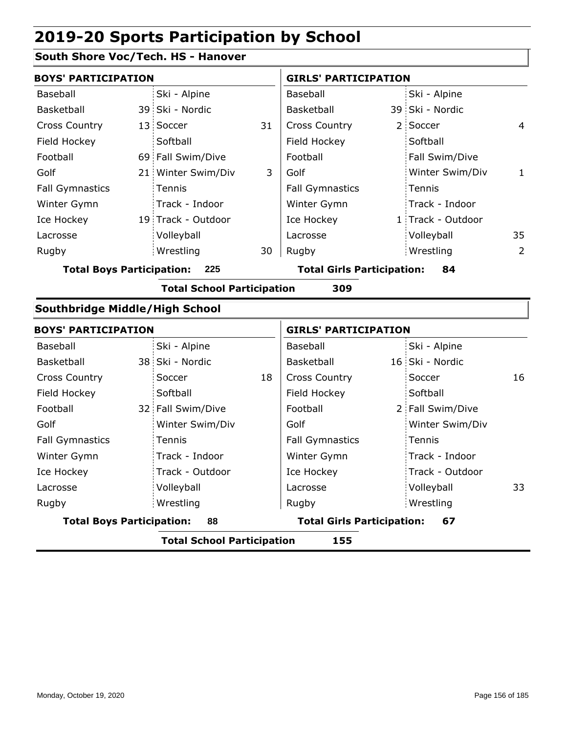### **South Shore Voc/Tech. HS - Hanover**

|                                         | <b>BOYS' PARTICIPATION</b>               |                    |    |                                         |  | <b>GIRLS' PARTICIPATION</b> |                |  |  |  |
|-----------------------------------------|------------------------------------------|--------------------|----|-----------------------------------------|--|-----------------------------|----------------|--|--|--|
| Baseball                                |                                          | Ski - Alpine       |    | Baseball                                |  | Ski - Alpine                |                |  |  |  |
| Basketball                              |                                          | 39 Ski - Nordic    |    | Basketball                              |  | 39 Ski - Nordic             |                |  |  |  |
| <b>Cross Country</b>                    | 13.                                      | Soccer             | 31 | <b>Cross Country</b>                    |  | 2 Soccer                    | 4              |  |  |  |
| Field Hockey                            |                                          | Softball           |    | Field Hockey                            |  | Softball                    |                |  |  |  |
| Football                                |                                          | 69 Fall Swim/Dive  |    | Football                                |  | Fall Swim/Dive              |                |  |  |  |
| Golf                                    |                                          | 21 Winter Swim/Div | 3  | Golf                                    |  | Winter Swim/Div             | $\mathbf{1}$   |  |  |  |
| <b>Fall Gymnastics</b>                  |                                          | Tennis             |    | <b>Fall Gymnastics</b>                  |  | Tennis                      |                |  |  |  |
| Winter Gymn                             |                                          | Track - Indoor     |    | Winter Gymn                             |  | Track - Indoor              |                |  |  |  |
| Ice Hockey                              |                                          | 19 Track - Outdoor |    | Ice Hockey                              |  | 1 Track - Outdoor           |                |  |  |  |
| Lacrosse                                |                                          | Volleyball         |    | Lacrosse                                |  | Volleyball                  | 35             |  |  |  |
| Rugby                                   |                                          | Wrestling          | 30 | Rugby                                   |  | Wrestling                   | $\overline{2}$ |  |  |  |
| <b>Total Boys Participation:</b><br>225 |                                          |                    |    | <b>Total Girls Participation:</b>       |  | 84                          |                |  |  |  |
|                                         | <b>Total School Participation</b><br>309 |                    |    |                                         |  |                             |                |  |  |  |
| Southbridge Middle/High School          |                                          |                    |    |                                         |  |                             |                |  |  |  |
| <b>BOYS' PARTICIPATION</b>              |                                          |                    |    | <b>GIRLS' PARTICIPATION</b>             |  |                             |                |  |  |  |
| Baseball                                |                                          | Ski - Alpine       |    | Baseball                                |  | Ski - Alpine                |                |  |  |  |
| Basketball                              |                                          | 38 Ski - Nordic    |    | Basketball                              |  | 16 Ski - Nordic             |                |  |  |  |
| <b>Cross Country</b>                    |                                          | Soccer             | 18 | <b>Cross Country</b>                    |  | Soccer                      | 16             |  |  |  |
| Field Hockey                            |                                          | Softball           |    | Field Hockey                            |  | Softball                    |                |  |  |  |
| Football                                |                                          | 32 Fall Swim/Dive  |    | Football                                |  | 2 Fall Swim/Dive            |                |  |  |  |
| Golf                                    |                                          | Winter Swim/Div    |    | Golf                                    |  | Winter Swim/Div             |                |  |  |  |
| <b>Fall Gymnastics</b>                  |                                          | Tennis             |    | <b>Fall Gymnastics</b>                  |  | Tennis                      |                |  |  |  |
| Winter Gymn                             |                                          | Track - Indoor     |    | Winter Gymn                             |  | Track - Indoor              |                |  |  |  |
| Ice Hockey                              |                                          | Track - Outdoor    |    | Ice Hockey                              |  | Track - Outdoor             |                |  |  |  |
| Lacrosse                                |                                          | Volleyball         |    | Lacrosse                                |  | Volleyball                  | 33             |  |  |  |
| Rugby                                   |                                          | Wrestling          |    | Rugby                                   |  | Wrestling                   |                |  |  |  |
| <b>Total Boys Participation:</b><br>88  |                                          |                    |    | <b>Total Girls Participation:</b><br>67 |  |                             |                |  |  |  |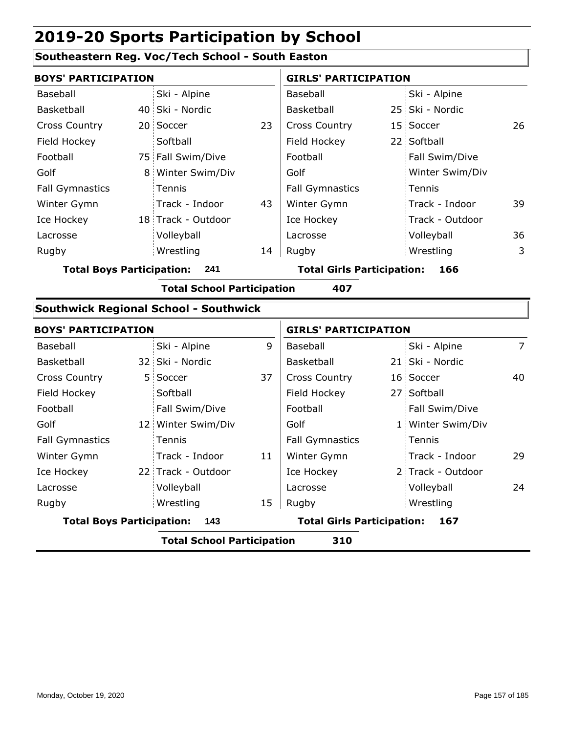#### **Southeastern Reg. Voc/Tech School - South Easton**

| <b>BOYS' PARTICIPATION</b>       |    |                                              |    | <b>GIRLS' PARTICIPATION</b>              |  |                 |    |  |
|----------------------------------|----|----------------------------------------------|----|------------------------------------------|--|-----------------|----|--|
| Baseball                         |    | Ski - Alpine                                 |    | Baseball                                 |  | Ski - Alpine    |    |  |
| Basketball                       |    | 40 Ski - Nordic                              |    | Basketball                               |  | 25 Ski - Nordic |    |  |
| <b>Cross Country</b>             |    | 20 Soccer                                    | 23 | <b>Cross Country</b>                     |  | 15 Soccer       | 26 |  |
| Field Hockey                     |    | Softball                                     |    | Field Hockey                             |  | 22 Softball     |    |  |
| Football                         |    | 75 Fall Swim/Dive                            |    | Football                                 |  | Fall Swim/Dive  |    |  |
| Golf                             | 8. | Winter Swim/Div                              |    | Golf                                     |  | Winter Swim/Div |    |  |
| <b>Fall Gymnastics</b>           |    | Tennis                                       |    | <b>Fall Gymnastics</b>                   |  | Tennis          |    |  |
| Winter Gymn                      |    | Track - Indoor                               | 43 | Winter Gymn                              |  | Track - Indoor  | 39 |  |
| Ice Hockey                       |    | 18 Track - Outdoor                           |    | Ice Hockey                               |  | Track - Outdoor |    |  |
| Lacrosse                         |    | Volleyball                                   |    | Lacrosse                                 |  | Volleyball      | 36 |  |
| Rugby                            |    | Wrestling                                    | 14 | Rugby                                    |  | Wrestling       | 3  |  |
| <b>Total Boys Participation:</b> |    | 241                                          |    | <b>Total Girls Participation:</b><br>166 |  |                 |    |  |
|                                  |    | <b>Total School Participation</b>            |    | 407                                      |  |                 |    |  |
|                                  |    | <b>Southwick Regional School - Southwick</b> |    |                                          |  |                 |    |  |
| <b>BOYS' PARTICIPATION</b>       |    |                                              |    | <b>GIRLS' PARTICIPATION</b>              |  |                 |    |  |
| <b>Baseball</b>                  |    | Ski - Alnine                                 | 9  | <b>Baseball</b>                          |  | Ski - Alnine    | 7  |  |

| <b>Total School Participation</b><br>310 |                                   |                        |     |                   |                |  |  |
|------------------------------------------|-----------------------------------|------------------------|-----|-------------------|----------------|--|--|
| <b>Total Boys Participation:</b>         | <b>Total Girls Participation:</b> |                        | 167 |                   |                |  |  |
| Rugby                                    | Wrestling<br>15                   | Rugby                  |     | Wrestling         |                |  |  |
| Lacrosse                                 | Volleyball                        | Lacrosse               |     | Volleyball        | 24             |  |  |
| Ice Hockey                               | 22 Track - Outdoor                | Ice Hockey             |     | 2 Track - Outdoor |                |  |  |
| Winter Gymn                              | Track - Indoor<br>11              | Winter Gymn            |     | Track - Indoor    | 29             |  |  |
| <b>Fall Gymnastics</b>                   | Tennis                            | <b>Fall Gymnastics</b> |     | Tennis            |                |  |  |
| Golf                                     | 12 Winter Swim/Div                | Golf                   |     | 1 Winter Swim/Div |                |  |  |
| Football                                 | Fall Swim/Dive                    | Football               |     | Fall Swim/Dive    |                |  |  |
| Field Hockey                             | Softball                          | Field Hockey           |     | 27 Softball       |                |  |  |
| <b>Cross Country</b>                     | 37<br>5 Soccer                    | <b>Cross Country</b>   |     | 16 Soccer         | 40             |  |  |
| Basketball                               | 32 Ski - Nordic                   | Basketball             |     | 21 Ski - Nordic   |                |  |  |
| Baseball                                 | 9<br>Ski - Alpine                 | Baseball               |     | Ski - Alpine      | $\overline{7}$ |  |  |
|                                          |                                   |                        |     |                   |                |  |  |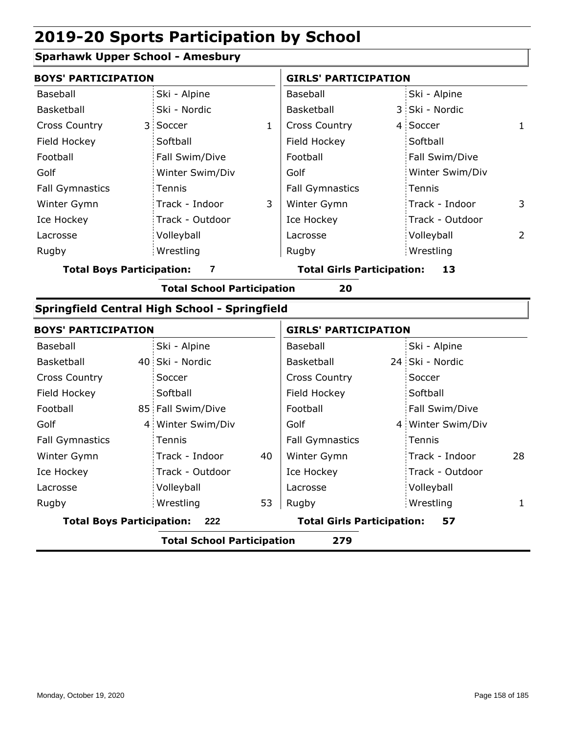#### **Sparhawk Upper School - Amesbury**

| <b>BOYS' PARTICIPATION</b>            |                 |                                         |                        | <b>GIRLS' PARTICIPATION</b> |                 |   |  |
|---------------------------------------|-----------------|-----------------------------------------|------------------------|-----------------------------|-----------------|---|--|
| Baseball                              | Ski - Alpine    |                                         | Baseball               |                             | Ski - Alpine    |   |  |
| Basketball                            | Ski - Nordic    |                                         | Basketball             |                             | 3 Ski - Nordic  |   |  |
| <b>Cross Country</b>                  | 3 Soccer        | 1                                       | <b>Cross Country</b>   |                             | 4 Soccer        | 1 |  |
| Field Hockey                          | Softball        |                                         | Field Hockey           |                             | Softball        |   |  |
| Football                              | Fall Swim/Dive  |                                         | Football               |                             | Fall Swim/Dive  |   |  |
| Golf                                  | Winter Swim/Div |                                         | Golf                   |                             | Winter Swim/Div |   |  |
| <b>Fall Gymnastics</b>                | Tennis          |                                         | <b>Fall Gymnastics</b> |                             | Tennis          |   |  |
| Winter Gymn                           | Track - Indoor  | 3                                       | Winter Gymn            |                             | Track - Indoor  | 3 |  |
| Ice Hockey                            | Track - Outdoor |                                         | Ice Hockey             |                             | Track - Outdoor |   |  |
| Lacrosse                              | Volleyball      |                                         | Lacrosse               |                             | Volleyball      | 2 |  |
| Rugby                                 | Wrestling       |                                         | Rugby                  |                             | Wrestling       |   |  |
| <b>Total Boys Participation:</b><br>7 |                 | <b>Total Girls Participation:</b><br>13 |                        |                             |                 |   |  |

**Total School Participation 20**

### **Springfield Central High School - Springfield**

| <b>BOYS' PARTICIPATION</b>              |  |                   | <b>GIRLS' PARTICIPATION</b>             |                        |  |                   |    |
|-----------------------------------------|--|-------------------|-----------------------------------------|------------------------|--|-------------------|----|
| Baseball                                |  | Ski - Alpine      |                                         | Baseball               |  | Ski - Alpine      |    |
| Basketball                              |  | 40 Ski - Nordic   |                                         | Basketball             |  | 24 Ski - Nordic   |    |
| <b>Cross Country</b>                    |  | Soccer            |                                         | <b>Cross Country</b>   |  | Soccer            |    |
| Field Hockey                            |  | Softball          |                                         | Field Hockey           |  | Softball          |    |
| Football                                |  | 85 Fall Swim/Dive |                                         | Football               |  | Fall Swim/Dive    |    |
| Golf                                    |  | 4 Winter Swim/Div |                                         | Golf                   |  | 4 Winter Swim/Div |    |
| <b>Fall Gymnastics</b>                  |  | Tennis            |                                         | <b>Fall Gymnastics</b> |  | : Tennis          |    |
| Winter Gymn                             |  | Track - Indoor    | 40                                      | Winter Gymn            |  | Track - Indoor    | 28 |
| Ice Hockey                              |  | Track - Outdoor   |                                         | Ice Hockey             |  | Track - Outdoor   |    |
| Lacrosse                                |  | Volleyball        |                                         | Lacrosse               |  | Volleyball        |    |
| Rugby                                   |  | Wrestling         | 53                                      | Rugby                  |  | Wrestling         |    |
| <b>Total Boys Participation:</b><br>222 |  |                   | <b>Total Girls Participation:</b><br>57 |                        |  |                   |    |
|                                         |  | _ _ _             |                                         |                        |  |                   |    |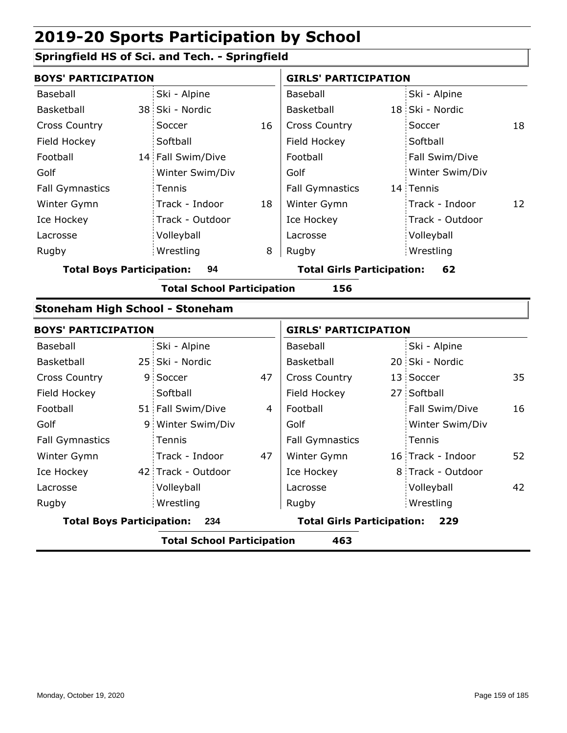### **Springfield HS of Sci. and Tech. - Springfield**

| <b>BOYS' PARTICIPATION</b>             |    |                                   |    | <b>GIRLS' PARTICIPATION</b>              |  |                   |    |  |
|----------------------------------------|----|-----------------------------------|----|------------------------------------------|--|-------------------|----|--|
| Baseball                               |    | Ski - Alpine                      |    | Baseball                                 |  | Ski - Alpine      |    |  |
| Basketball                             |    | 38 Ski - Nordic                   |    | Basketball                               |  | 18 Ski - Nordic   |    |  |
| <b>Cross Country</b>                   |    | Soccer                            | 16 | <b>Cross Country</b>                     |  | Soccer            | 18 |  |
| Field Hockey                           |    | Softball                          |    | Field Hockey                             |  | Softball          |    |  |
| Football                               |    | 14 Fall Swim/Dive                 |    | Football                                 |  | Fall Swim/Dive    |    |  |
| Golf                                   |    | Winter Swim/Div                   |    | Golf                                     |  | Winter Swim/Div   |    |  |
| <b>Fall Gymnastics</b>                 |    | Tennis                            |    | <b>Fall Gymnastics</b>                   |  | 14 Tennis         |    |  |
| Winter Gymn                            |    | Track - Indoor                    | 18 | Winter Gymn                              |  | Track - Indoor    | 12 |  |
| Ice Hockey                             |    | Track - Outdoor                   |    | Ice Hockey                               |  | Track - Outdoor   |    |  |
| Lacrosse                               |    | Volleyball                        |    | Lacrosse                                 |  | Volleyball        |    |  |
| Rugby                                  |    | Wrestling                         | 8  | Rugby                                    |  | Wrestling         |    |  |
| <b>Total Boys Participation:</b>       |    | 94                                |    | <b>Total Girls Participation:</b><br>62  |  |                   |    |  |
|                                        |    | <b>Total School Participation</b> |    | 156                                      |  |                   |    |  |
| <b>Stoneham High School - Stoneham</b> |    |                                   |    |                                          |  |                   |    |  |
| <b>BOYS' PARTICIPATION</b>             |    |                                   |    | <b>GIRLS' PARTICIPATION</b>              |  |                   |    |  |
| Baseball                               |    | Ski - Alpine                      |    | Baseball                                 |  | Ski - Alpine      |    |  |
| Basketball                             |    | 25 Ski - Nordic                   |    | Basketball                               |  | 20 Ski - Nordic   |    |  |
| <b>Cross Country</b>                   | 9. | Soccer                            | 47 | <b>Cross Country</b>                     |  | 13 Soccer         | 35 |  |
| Field Hockey                           |    | Softball                          |    | Field Hockey                             |  | 27 Softball       |    |  |
| Football                               |    | 51 Fall Swim/Dive                 | 4  | Football                                 |  | Fall Swim/Dive    | 16 |  |
| Golf                                   |    | 9 Winter Swim/Div                 |    | Golf                                     |  | Winter Swim/Div   |    |  |
| <b>Fall Gymnastics</b>                 |    | Tennis                            |    | <b>Fall Gymnastics</b>                   |  | Tennis            |    |  |
| Winter Gymn                            |    | Track - Indoor                    | 47 | Winter Gymn                              |  | 16 Track - Indoor | 52 |  |
| Ice Hockey                             |    | 42 Track - Outdoor                |    | Ice Hockey                               |  | 8 Track - Outdoor |    |  |
| Lacrosse                               |    | Volleyball                        |    | Lacrosse                                 |  | Volleyball        | 42 |  |
| Rugby                                  |    | Wrestling                         |    | Rugby                                    |  | Wrestling         |    |  |
| <b>Total Boys Participation:</b>       |    | 234                               |    | <b>Total Girls Participation:</b><br>229 |  |                   |    |  |
|                                        |    | <b>Total School Participation</b> |    | 463                                      |  |                   |    |  |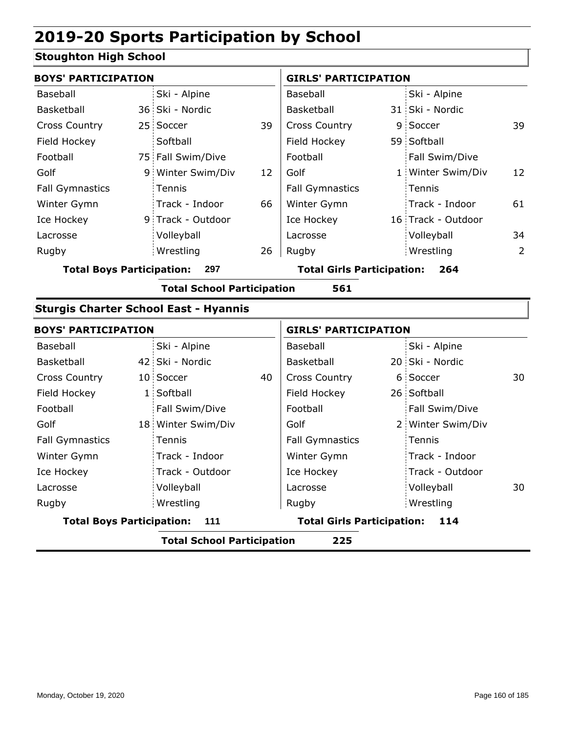#### **Stoughton High School**

| <b>BOYS' PARTICIPATION</b>              |  |                   |                                   | <b>GIRLS' PARTICIPATION</b> |     |                    |    |  |
|-----------------------------------------|--|-------------------|-----------------------------------|-----------------------------|-----|--------------------|----|--|
| Baseball                                |  | Ski - Alpine      |                                   | Baseball                    |     | Ski - Alpine       |    |  |
| Basketball                              |  | 36 Ski - Nordic   |                                   | Basketball                  |     | 31 Ski - Nordic    |    |  |
| <b>Cross Country</b>                    |  | 25 Soccer         | 39                                | <b>Cross Country</b>        |     | 9 Soccer           | 39 |  |
| Field Hockey                            |  | Softball          |                                   | Field Hockey                |     | 59 Softball        |    |  |
| Football                                |  | 75 Fall Swim/Dive |                                   | Football                    |     | Fall Swim/Dive     |    |  |
| Golf                                    |  | 9 Winter Swim/Div | 12                                | Golf                        |     | 1 Winter Swim/Div  | 12 |  |
| <b>Fall Gymnastics</b>                  |  | Tennis            |                                   | <b>Fall Gymnastics</b>      |     | Tennis             |    |  |
| Winter Gymn                             |  | Track - Indoor    | 66                                | Winter Gymn                 |     | Track - Indoor     | 61 |  |
| Ice Hockey                              |  | 9 Track - Outdoor |                                   | Ice Hockey                  |     | 16 Track - Outdoor |    |  |
| Lacrosse                                |  | Volleyball        |                                   | Lacrosse                    |     | Volleyball         | 34 |  |
| Rugby                                   |  | Wrestling         | 26                                | Rugby                       |     | Wrestling          | 2  |  |
| <b>Total Boys Participation:</b><br>297 |  |                   | <b>Total Girls Participation:</b> |                             | 264 |                    |    |  |

**Total School Participation 561**

#### **Sturgis Charter School East - Hyannis**

| <b>BOYS' PARTICIPATION</b>                |  |                                          |    | <b>GIRLS' PARTICIPATION</b> |  |                   |    |  |
|-------------------------------------------|--|------------------------------------------|----|-----------------------------|--|-------------------|----|--|
| Baseball                                  |  | Ski - Alpine                             |    | Baseball                    |  | Ski - Alpine      |    |  |
| Basketball                                |  | 42 Ski - Nordic                          |    | Basketball                  |  | 20 Ski - Nordic   |    |  |
| <b>Cross Country</b>                      |  | 10 Soccer                                | 40 | <b>Cross Country</b>        |  | 6 Soccer          | 30 |  |
| Field Hockey                              |  | 1 Softball                               |    | Field Hockey                |  | 26 Softball       |    |  |
| Football                                  |  | Fall Swim/Dive                           |    | Football                    |  | Fall Swim/Dive    |    |  |
| Golf                                      |  | 18 Winter Swim/Div                       |    | Golf                        |  | 2 Winter Swim/Div |    |  |
| <b>Fall Gymnastics</b>                    |  | Tennis                                   |    | <b>Fall Gymnastics</b>      |  | Tennis            |    |  |
| Winter Gymn                               |  | Track - Indoor                           |    | Winter Gymn                 |  | Track - Indoor    |    |  |
| Ice Hockey                                |  | Track - Outdoor                          |    | Ice Hockey                  |  | Track - Outdoor   |    |  |
| Lacrosse                                  |  | Volleyball                               |    | Lacrosse                    |  | Volleyball        | 30 |  |
| Rugby                                     |  | Wrestling                                |    | Rugby                       |  | Wrestling         |    |  |
| <b>Total Boys Participation:</b><br>- 111 |  | <b>Total Girls Participation:</b><br>114 |    |                             |  |                   |    |  |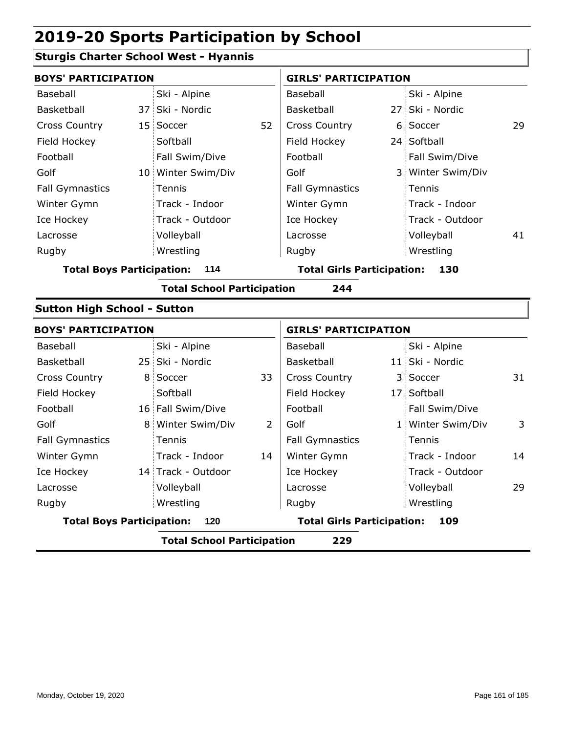#### **Sturgis Charter School West - Hyannis**

| <b>BOYS' PARTICIPATION</b>         |                                   |    | <b>GIRLS' PARTICIPATION</b>       |     |                   |    |  |
|------------------------------------|-----------------------------------|----|-----------------------------------|-----|-------------------|----|--|
| <b>Baseball</b>                    | Ski - Alpine                      |    | Baseball                          |     | Ski - Alpine      |    |  |
| <b>Basketball</b>                  | 37 Ski - Nordic                   |    | <b>Basketball</b>                 | 27: | Ski - Nordic      |    |  |
| <b>Cross Country</b>               | 15 Soccer                         | 52 | <b>Cross Country</b>              | 6   | Soccer            | 29 |  |
| Field Hockey                       | Softball                          |    | Field Hockey                      |     | 24 Softball       |    |  |
| Football                           | Fall Swim/Dive                    |    | Football                          |     | Fall Swim/Dive    |    |  |
| Golf                               | 10 Winter Swim/Div                |    | Golf                              |     | 3 Winter Swim/Div |    |  |
| <b>Fall Gymnastics</b>             | Tennis                            |    | <b>Fall Gymnastics</b>            |     | Tennis            |    |  |
| Winter Gymn                        | Track - Indoor                    |    | Winter Gymn                       |     | Track - Indoor    |    |  |
| Ice Hockey                         | Track - Outdoor                   |    | Ice Hockey                        |     | Track - Outdoor   |    |  |
| Lacrosse                           | Volleyball                        |    | Lacrosse                          |     | Volleyball        | 41 |  |
| Rugby                              | Wrestling                         |    | Rugby                             |     | Wrestling         |    |  |
| <b>Total Boys Participation:</b>   | 114                               |    | <b>Total Girls Participation:</b> |     | 130               |    |  |
|                                    | <b>Total School Participation</b> |    | 244                               |     |                   |    |  |
| <b>Sutton High School - Sutton</b> |                                   |    |                                   |     |                   |    |  |
| <b>BOYS' PARTICIPATION</b>         |                                   |    | <b>GIRLS' PARTICIPATION</b>       |     |                   |    |  |
| Baseball                           | Ski - Alpine                      |    | Baseball                          |     | Ski - Alpine      |    |  |
| Basketball                         | 25 Ski - Nordic                   |    | Basketball                        |     | 11 Ski - Nordic   |    |  |
| <b>Cross Country</b>               | 8 Soccer                          | 33 | <b>Cross Country</b>              |     | 3 Soccer          | 31 |  |
| Field Hockey                       | Softball                          |    | Field Hockey                      |     | 17 Softball       |    |  |
| Football                           | 16 Fall Swim/Dive                 |    | Football                          |     | Fall Swim/Dive    |    |  |
| Golf                               | 8 Winter Swim/Div                 | 2  | Golf                              |     | 1 Winter Swim/Div | 3  |  |
| <b>Fall Gymnastics</b>             | Tennis                            |    | <b>Fall Gymnastics</b>            |     | Tennis            |    |  |
| Winter Gymn                        | Track - Indoor                    | 14 | Winter Gymn                       |     | Track - Indoor    | 14 |  |
| Ice Hockey                         | 14 Track - Outdoor                |    | Ice Hockey                        |     | Track - Outdoor   |    |  |
| Lacrosse                           | Volleyball                        |    | Lacrosse                          |     | Volleyball        | 29 |  |
| Rugby                              | Wrestling                         |    | Rugby                             |     | Wrestling         |    |  |
| <b>Total Boys Participation:</b>   | 120                               |    | <b>Total Girls Participation:</b> |     | 109               |    |  |
|                                    | <b>Total School Participation</b> |    | 229                               |     |                   |    |  |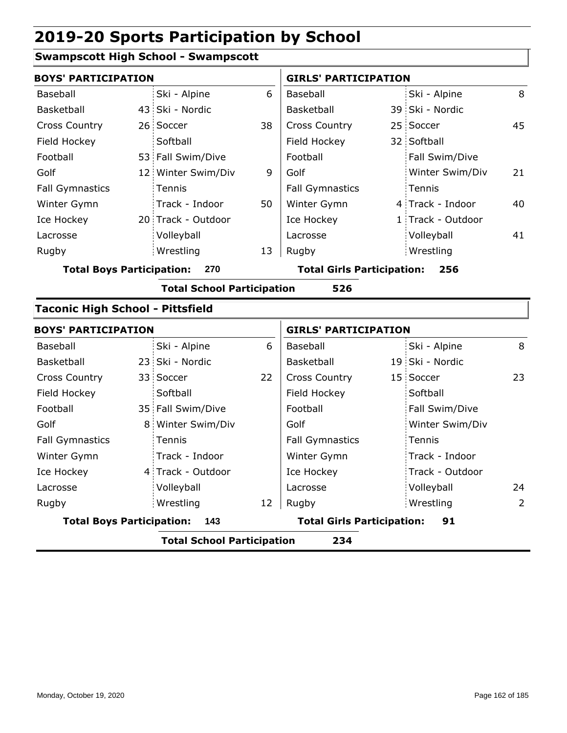#### **Swampscott High School - Swampscott**

| <b>BOYS' PARTICIPATION</b>              |    |                                   |    | <b>GIRLS' PARTICIPATION</b>       |                                          |                   |    |  |  |  |
|-----------------------------------------|----|-----------------------------------|----|-----------------------------------|------------------------------------------|-------------------|----|--|--|--|
| Baseball                                |    | Ski - Alpine                      | 6  | Baseball                          |                                          | Ski - Alpine      | 8  |  |  |  |
| Basketball                              |    | 43 Ski - Nordic                   |    | Basketball                        |                                          | 39 Ski - Nordic   |    |  |  |  |
| <b>Cross Country</b>                    |    | 26 Soccer                         | 38 | <b>Cross Country</b>              |                                          | 25 Soccer         | 45 |  |  |  |
| Field Hockey                            |    | Softball                          |    | Field Hockey                      |                                          | 32 Softball       |    |  |  |  |
| Football                                |    | 53 Fall Swim/Dive                 |    | Football                          |                                          | Fall Swim/Dive    |    |  |  |  |
| Golf                                    |    | 12 Winter Swim/Div                | 9  | Golf                              |                                          | Winter Swim/Div   | 21 |  |  |  |
| <b>Fall Gymnastics</b>                  |    | Tennis                            |    | <b>Fall Gymnastics</b>            |                                          | Tennis            |    |  |  |  |
| Winter Gymn                             |    | Track - Indoor                    | 50 | Winter Gymn                       |                                          | 4 Track - Indoor  | 40 |  |  |  |
| Ice Hockey                              |    | 20 Track - Outdoor                |    | Ice Hockey                        |                                          | 1 Track - Outdoor |    |  |  |  |
| Lacrosse                                |    | Volleyball                        |    | Lacrosse                          |                                          | Volleyball        | 41 |  |  |  |
| Rugby                                   |    | Wrestling                         | 13 | Rugby                             |                                          | Wrestling         |    |  |  |  |
| <b>Total Boys Participation:</b>        |    | 270                               |    |                                   | <b>Total Girls Participation:</b><br>256 |                   |    |  |  |  |
|                                         |    | <b>Total School Participation</b> |    | 526                               |                                          |                   |    |  |  |  |
| <b>Taconic High School - Pittsfield</b> |    |                                   |    |                                   |                                          |                   |    |  |  |  |
| <b>BOYS' PARTICIPATION</b>              |    |                                   |    | <b>GIRLS' PARTICIPATION</b>       |                                          |                   |    |  |  |  |
| Baseball                                |    | Ski - Alpine                      | 6  | Baseball                          |                                          | Ski - Alpine      | 8  |  |  |  |
| Basketball                              |    | 23 Ski - Nordic                   |    | Basketball                        |                                          | 19 Ski - Nordic   |    |  |  |  |
| <b>Cross Country</b>                    |    | 33 Soccer                         | 22 | <b>Cross Country</b>              |                                          | 15 Soccer         | 23 |  |  |  |
| Field Hockey                            |    | Softball                          |    | Field Hockey                      |                                          | Softball          |    |  |  |  |
| Football                                |    | 35 Fall Swim/Dive                 |    | Football                          |                                          | Fall Swim/Dive    |    |  |  |  |
| Golf                                    | 8. | Winter Swim/Div                   |    | Golf                              |                                          | Winter Swim/Div   |    |  |  |  |
| <b>Fall Gymnastics</b>                  |    | Tennis                            |    | <b>Fall Gymnastics</b>            |                                          | Tennis            |    |  |  |  |
| Winter Gymn                             |    | Track - Indoor                    |    | Winter Gymn                       |                                          | Track - Indoor    |    |  |  |  |
| Ice Hockey                              |    | 4 Track - Outdoor                 |    | Ice Hockey                        |                                          | Track - Outdoor   |    |  |  |  |
| Lacrosse                                |    | Volleyball                        |    | Lacrosse                          |                                          | Volleyball        | 24 |  |  |  |
| Rugby                                   |    | Wrestling                         | 12 | Rugby                             |                                          | Wrestling         | 2  |  |  |  |
| <b>Total Boys Participation:</b>        |    | 143                               |    | <b>Total Girls Participation:</b> |                                          | 91                |    |  |  |  |
|                                         |    | <b>Total School Participation</b> |    | 234                               |                                          |                   |    |  |  |  |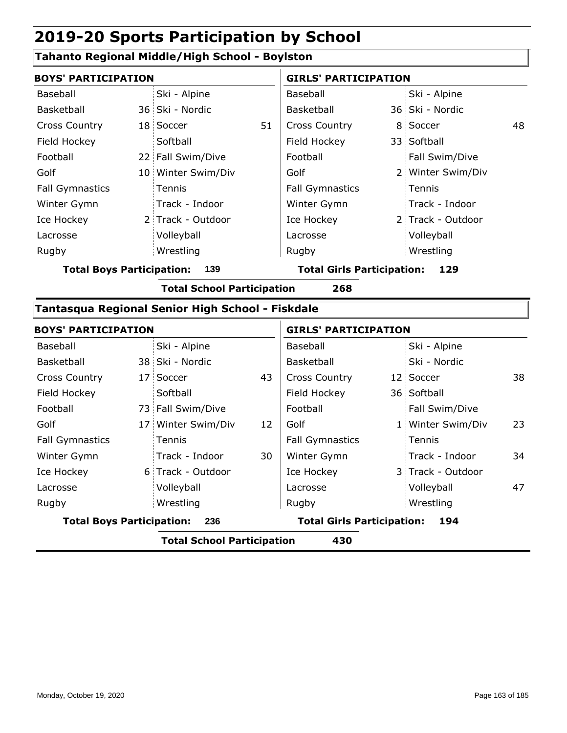#### **Tahanto Regional Middle/High School - Boylston**

|                                         | <b>BOYS' PARTICIPATION</b> |                    |                                   |                        | <b>GIRLS' PARTICIPATION</b> |                   |    |  |  |
|-----------------------------------------|----------------------------|--------------------|-----------------------------------|------------------------|-----------------------------|-------------------|----|--|--|
| Baseball                                |                            | Ski - Alpine       |                                   | Baseball               |                             | Ski - Alpine      |    |  |  |
| Basketball                              |                            | 36 Ski - Nordic    |                                   | Basketball             |                             | 36 Ski - Nordic   |    |  |  |
| <b>Cross Country</b>                    |                            | 18 Soccer          | 51                                | <b>Cross Country</b>   |                             | 8 Soccer          | 48 |  |  |
| Field Hockey                            |                            | Softball           |                                   | Field Hockey           |                             | 33 Softball       |    |  |  |
| Football                                |                            | 22 Fall Swim/Dive  |                                   | Football               |                             | Fall Swim/Dive    |    |  |  |
| Golf                                    |                            | 10 Winter Swim/Div |                                   | Golf                   |                             | 2 Winter Swim/Div |    |  |  |
| <b>Fall Gymnastics</b>                  |                            | Tennis             |                                   | <b>Fall Gymnastics</b> |                             | Tennis            |    |  |  |
| Winter Gymn                             |                            | Track - Indoor     |                                   | Winter Gymn            |                             | Track - Indoor    |    |  |  |
| Ice Hockey                              |                            | 2 Track - Outdoor  |                                   | Ice Hockey             |                             | 2 Track - Outdoor |    |  |  |
| Lacrosse                                |                            | Volleyball         |                                   | Lacrosse               |                             | Volleyball        |    |  |  |
| Rugby                                   |                            | Wrestling          |                                   | Rugby                  |                             | Wrestling         |    |  |  |
| 139<br><b>Total Boys Participation:</b> |                            |                    | <b>Total Girls Participation:</b> |                        | 129                         |                   |    |  |  |

**Total School Participation 268**

#### **Tantasqua Regional Senior High School - Fiskdale**

|                                  | <b>BOYS' PARTICIPATION</b> |                                   |    | <b>GIRLS' PARTICIPATION</b>       |  |                   |    |  |
|----------------------------------|----------------------------|-----------------------------------|----|-----------------------------------|--|-------------------|----|--|
| Baseball                         |                            | Ski - Alpine                      |    | Baseball                          |  | Ski - Alpine      |    |  |
| <b>Basketball</b>                |                            | 38 Ski - Nordic                   |    | Basketball                        |  | Ski - Nordic      |    |  |
| <b>Cross Country</b>             |                            | 17 Soccer                         | 43 | <b>Cross Country</b>              |  | 12 Soccer         | 38 |  |
| Field Hockey                     |                            | Softball                          |    | Field Hockey                      |  | 36 Softball       |    |  |
| Football                         |                            | 73 Fall Swim/Dive                 |    | Football                          |  | Fall Swim/Dive    |    |  |
| Golf                             |                            | 17 Winter Swim/Div                | 12 | Golf                              |  | 1 Winter Swim/Div | 23 |  |
| <b>Fall Gymnastics</b>           |                            | Tennis                            |    | <b>Fall Gymnastics</b>            |  | Tennis            |    |  |
| Winter Gymn                      |                            | Track - Indoor                    | 30 | Winter Gymn                       |  | Track - Indoor    | 34 |  |
| Ice Hockey                       |                            | 6 Track - Outdoor                 |    | Ice Hockey                        |  | 3 Track - Outdoor |    |  |
| Lacrosse                         |                            | Volleyball                        |    | Lacrosse                          |  | Volleyball        | 47 |  |
| Rugby                            |                            | Wrestling                         |    | Rugby                             |  | Wrestling         |    |  |
| <b>Total Boys Participation:</b> |                            | 236                               |    | <b>Total Girls Participation:</b> |  | 194               |    |  |
|                                  |                            | <b>Total School Participation</b> |    | 430                               |  |                   |    |  |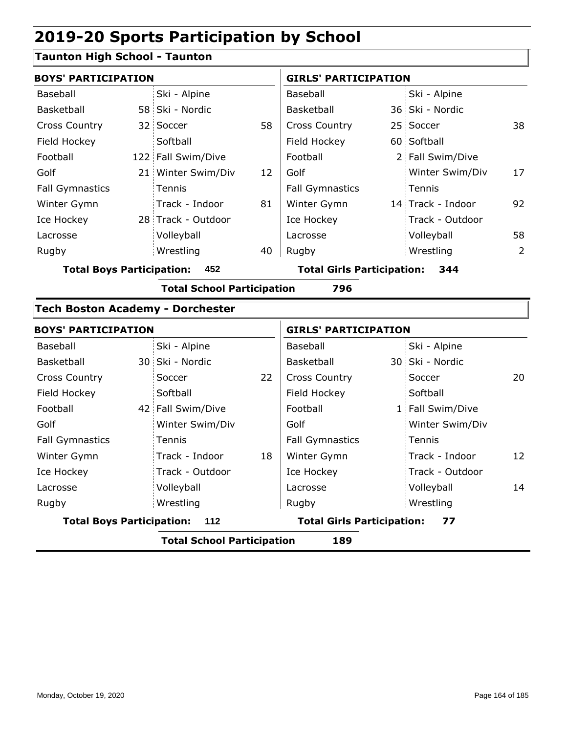#### **Taunton High School - Taunton**

| <b>BOYS' PARTICIPATION</b>              |  | <b>GIRLS' PARTICIPATION</b> |                                          |                        |  |                   |     |
|-----------------------------------------|--|-----------------------------|------------------------------------------|------------------------|--|-------------------|-----|
| Baseball                                |  | Ski - Alpine                |                                          | Baseball               |  | Ski - Alpine      |     |
| Basketball                              |  | 58 Ski - Nordic             |                                          | Basketball             |  | 36 Ski - Nordic   |     |
| <b>Cross Country</b>                    |  | 32 Soccer                   | 58                                       | <b>Cross Country</b>   |  | 25 Soccer         | 38. |
| Field Hockey                            |  | Softball                    |                                          | Field Hockey           |  | 60 Softball       |     |
| Football                                |  | 122 Fall Swim/Dive          |                                          | Football               |  | 2 Fall Swim/Dive  |     |
| Golf                                    |  | 21 Winter Swim/Div          | 12                                       | Golf                   |  | Winter Swim/Div   | 17  |
| <b>Fall Gymnastics</b>                  |  | Tennis                      |                                          | <b>Fall Gymnastics</b> |  | Tennis            |     |
| Winter Gymn                             |  | Track - Indoor              | 81                                       | Winter Gymn            |  | 14 Track - Indoor | 92  |
| Ice Hockey                              |  | 28 Track - Outdoor          |                                          | Ice Hockey             |  | Track - Outdoor   |     |
| Lacrosse                                |  | Volleyball                  |                                          | Lacrosse               |  | Volleyball        | 58  |
| Rugby                                   |  | Wrestling                   | 40                                       | Rugby                  |  | Wrestling         | 2   |
| <b>Total Boys Participation:</b><br>452 |  |                             | <b>Total Girls Participation:</b><br>344 |                        |  |                   |     |

**Total School Participation 796**

#### **Tech Boston Academy - Dorchester**

| <b>BOYS' PARTICIPATION</b>       |                                   |    | <b>GIRLS' PARTICIPATION</b>       |  |                  |    |  |
|----------------------------------|-----------------------------------|----|-----------------------------------|--|------------------|----|--|
| Baseball                         | Ski - Alpine                      |    | Baseball                          |  | Ski - Alpine     |    |  |
| Basketball                       | 30 Ski - Nordic                   |    | Basketball                        |  | 30 Ski - Nordic  |    |  |
| <b>Cross Country</b>             | Soccer                            | 22 | <b>Cross Country</b>              |  | Soccer           | 20 |  |
| Field Hockey                     | Softball                          |    | Field Hockey                      |  | Softball         |    |  |
| Football                         | 42 Fall Swim/Dive                 |    | Football                          |  | 1 Fall Swim/Dive |    |  |
| Golf                             | Winter Swim/Div                   |    | Golf                              |  | Winter Swim/Div  |    |  |
| <b>Fall Gymnastics</b>           | Tennis                            |    | <b>Fall Gymnastics</b>            |  | Tennis           |    |  |
| Winter Gymn                      | Track - Indoor                    | 18 | Winter Gymn                       |  | Track - Indoor   | 12 |  |
| Ice Hockey                       | Track - Outdoor                   |    | Ice Hockey                        |  | Track - Outdoor  |    |  |
| Lacrosse                         | Volleyball                        |    | Lacrosse                          |  | Volleyball       | 14 |  |
| Rugby                            | Wrestling                         |    | Rugby                             |  | Wrestling        |    |  |
| <b>Total Boys Participation:</b> | - 112                             |    | <b>Total Girls Participation:</b> |  | 77               |    |  |
|                                  | <b>Total School Participation</b> |    | 189                               |  |                  |    |  |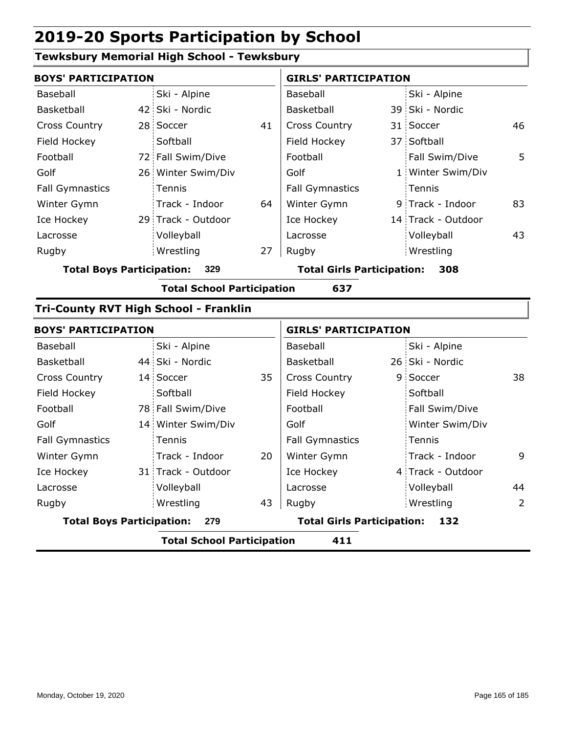#### **Tewksbury Memorial High School - Tewksbury**

| <b>BOYS' PARTICIPATION</b>       |                                              |    | <b>GIRLS' PARTICIPATION</b>              |  |                    |    |  |
|----------------------------------|----------------------------------------------|----|------------------------------------------|--|--------------------|----|--|
| Baseball                         | Ski - Alpine                                 |    | Baseball                                 |  | Ski - Alpine       |    |  |
| Basketball                       | 42 Ski - Nordic                              |    | Basketball                               |  | 39 Ski - Nordic    |    |  |
| Cross Country                    | 28 Soccer                                    | 41 | Cross Country                            |  | 31 Soccer          | 46 |  |
| Field Hockey                     | Softball                                     |    | Field Hockey                             |  | 37 Softball        |    |  |
| Football                         | 72 Fall Swim/Dive                            |    | Football                                 |  | Fall Swim/Dive     | 5  |  |
| Golf                             | 26 Winter Swim/Div                           |    | Golf                                     |  | 1 Winter Swim/Div  |    |  |
| <b>Fall Gymnastics</b>           | Tennis                                       |    | <b>Fall Gymnastics</b>                   |  | Tennis             |    |  |
| Winter Gymn                      | Track - Indoor                               | 64 | Winter Gymn                              |  | 9 Track - Indoor   | 83 |  |
| Ice Hockey                       | 29 Track - Outdoor                           |    | Ice Hockey                               |  | 14 Track - Outdoor |    |  |
| Lacrosse                         | Volleyball                                   |    | Lacrosse                                 |  | Volleyball         | 43 |  |
| Rugby                            | Wrestling                                    | 27 | Rugby                                    |  | Wrestling          |    |  |
| <b>Total Boys Participation:</b> | 329                                          |    | <b>Total Girls Participation:</b><br>308 |  |                    |    |  |
|                                  | <b>Total School Participation</b>            |    | 637                                      |  |                    |    |  |
|                                  | <b>Tri-County RVT High School - Franklin</b> |    |                                          |  |                    |    |  |
| <b>BOYS' PARTICIPATION</b>       |                                              |    | <b>GIRLS' PARTICIPATION</b>              |  |                    |    |  |
| Baseball                         | Ski - Alpine                                 |    | Baseball                                 |  | Ski - Alpine       |    |  |
| Basketball                       | 44 Ski - Nordic                              |    | Basketball                               |  | 26 Ski - Nordic    |    |  |
| <b>Cross Country</b>             | 14 Soccer                                    | 35 | <b>Cross Country</b>                     |  | 9 Soccer           | 38 |  |

|                                  | _                  |    |                                   |                   |    |
|----------------------------------|--------------------|----|-----------------------------------|-------------------|----|
| <b>Total Boys Participation:</b> | 279                |    | <b>Total Girls Participation:</b> | 132               |    |
| Rugby                            | Wrestling          | 43 | Rugby                             | Wrestling         | 2  |
| Lacrosse                         | Volleyball         |    | Lacrosse                          | Volleyball        | 44 |
| Ice Hockey                       | 31 Track - Outdoor |    | Ice Hockey                        | 4 Track - Outdoor |    |
| Winter Gymn                      | Track - Indoor     | 20 | Winter Gymn                       | Track - Indoor    | 9  |
| <b>Fall Gymnastics</b>           | <b>Tennis</b>      |    | <b>Fall Gymnastics</b>            | Tennis            |    |
| Golf                             | 14 Winter Swim/Div |    | Golf                              | Winter Swim/Div   |    |
| Football                         | 78 Fall Swim/Dive  |    | Football                          | Fall Swim/Dive    |    |
| Field Hockey                     | Softball           |    | Field Hockey                      | Softball          |    |
| <b>Cross Country</b>             | 14 Soccer          | 35 | <b>Cross Country</b>              | 9 Soccer          | 38 |
| Basketball                       | 44 Ski - Nordic    |    | Basketball                        | 26 Ski - Nordic   |    |
| Baseball                         | Ski - Alpine       |    | Baseball                          | Ski - Alpine      |    |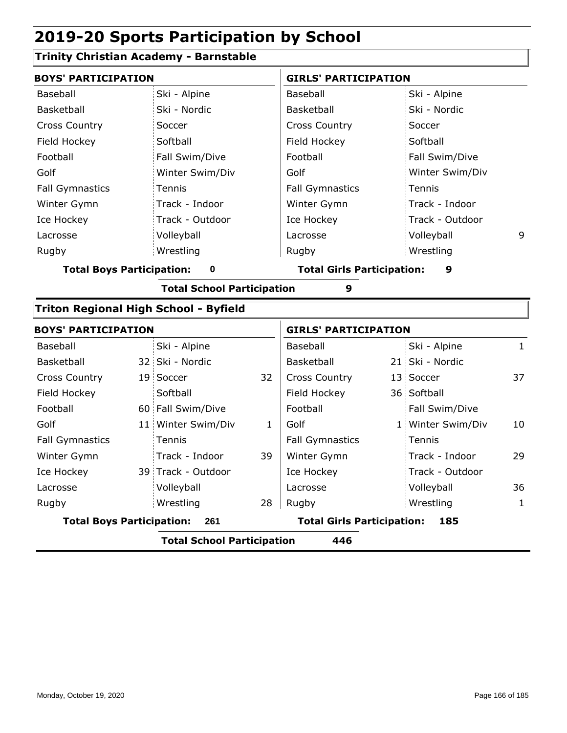#### **Trinity Christian Academy - Barnstable**

| <b>BOYS' PARTICIPATION</b>       |                                          |                                              |              | <b>GIRLS' PARTICIPATION</b>              |  |                   |              |  |  |
|----------------------------------|------------------------------------------|----------------------------------------------|--------------|------------------------------------------|--|-------------------|--------------|--|--|
| Baseball                         |                                          | Ski - Alpine                                 |              | Baseball                                 |  | Ski - Alpine      |              |  |  |
| <b>Basketball</b>                |                                          | Ski - Nordic                                 |              | Basketball                               |  | Ski - Nordic      |              |  |  |
| <b>Cross Country</b>             |                                          | Soccer                                       |              | <b>Cross Country</b>                     |  | Soccer            |              |  |  |
| Field Hockey                     |                                          | Softball                                     |              | Field Hockey                             |  | Softball          |              |  |  |
| Football                         |                                          | Fall Swim/Dive                               |              | Football                                 |  | Fall Swim/Dive    |              |  |  |
| Golf                             |                                          | Winter Swim/Div                              |              | Golf                                     |  | Winter Swim/Div   |              |  |  |
| <b>Fall Gymnastics</b>           |                                          | Tennis                                       |              | <b>Fall Gymnastics</b>                   |  | Tennis            |              |  |  |
| Winter Gymn                      |                                          | Track - Indoor                               |              | Winter Gymn                              |  | Track - Indoor    |              |  |  |
| Ice Hockey                       |                                          | Track - Outdoor                              |              | Ice Hockey                               |  | Track - Outdoor   |              |  |  |
| Lacrosse                         |                                          | Volleyball                                   |              | Lacrosse                                 |  | Volleyball        | 9            |  |  |
| Rugby                            |                                          | Wrestling                                    |              | Rugby                                    |  | Wrestling         |              |  |  |
| <b>Total Boys Participation:</b> |                                          | 0                                            |              | <b>Total Girls Participation:</b>        |  | 9                 |              |  |  |
|                                  |                                          | <b>Total School Participation</b>            |              | 9                                        |  |                   |              |  |  |
|                                  |                                          | <b>Triton Regional High School - Byfield</b> |              |                                          |  |                   |              |  |  |
| <b>BOYS' PARTICIPATION</b>       |                                          |                                              |              | <b>GIRLS' PARTICIPATION</b>              |  |                   |              |  |  |
| Baseball                         |                                          | Ski - Alpine                                 |              | Baseball                                 |  | Ski - Alpine      | $\mathbf{1}$ |  |  |
| Basketball                       |                                          | 32 Ski - Nordic                              |              | Basketball                               |  | 21 Ski - Nordic   |              |  |  |
| <b>Cross Country</b>             |                                          | 19 Soccer                                    | 32           | <b>Cross Country</b>                     |  | 13 Soccer         | 37           |  |  |
| Field Hockey                     |                                          | Softball                                     |              | Field Hockey                             |  | 36 Softball       |              |  |  |
| Football                         |                                          | 60 Fall Swim/Dive                            |              | Football                                 |  | Fall Swim/Dive    |              |  |  |
| Golf                             |                                          | 11 Winter Swim/Div                           | $\mathbf{1}$ | Golf                                     |  | 1 Winter Swim/Div | 10           |  |  |
| <b>Fall Gymnastics</b>           |                                          | Tennis                                       |              | <b>Fall Gymnastics</b>                   |  | Tennis            |              |  |  |
| Winter Gymn                      |                                          | Track - Indoor                               | 39           | Winter Gymn                              |  | Track - Indoor    | 29           |  |  |
| Ice Hockey                       |                                          | 39 Track - Outdoor                           |              | Ice Hockey                               |  | Track - Outdoor   |              |  |  |
| Lacrosse                         |                                          | Volleyball                                   |              | Lacrosse                                 |  | Volleyball        | 36           |  |  |
| Rugby                            |                                          | Wrestling                                    | 28           | Rugby                                    |  | Wrestling         | $\mathbf{1}$ |  |  |
| <b>Total Boys Participation:</b> |                                          | 261                                          |              | <b>Total Girls Participation:</b><br>185 |  |                   |              |  |  |
|                                  | <b>Total School Participation</b><br>446 |                                              |              |                                          |  |                   |              |  |  |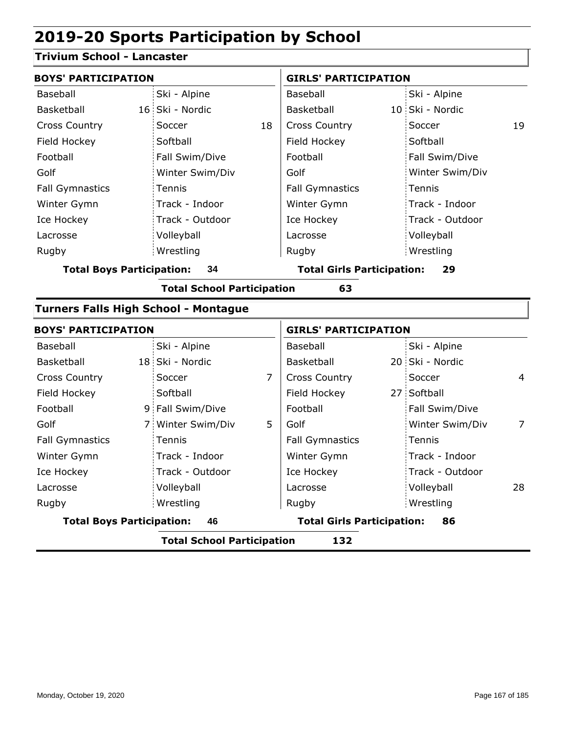#### **Trivium School - Lancaster**

| <b>BOYS' PARTICIPATION</b>              |                 |                                         | <b>GIRLS' PARTICIPATION</b> |  |                 |    |  |
|-----------------------------------------|-----------------|-----------------------------------------|-----------------------------|--|-----------------|----|--|
| Baseball                                | Ski - Alpine    |                                         | Baseball                    |  | Ski - Alpine    |    |  |
| Basketball                              | 16 Ski - Nordic |                                         | Basketball                  |  | 10 Ski - Nordic |    |  |
| <b>Cross Country</b>                    | Soccer          | 18                                      | <b>Cross Country</b>        |  | Soccer          | 19 |  |
| Field Hockey                            | Softball        |                                         | Field Hockey                |  | Softball        |    |  |
| Football                                | Fall Swim/Dive  |                                         | Football                    |  | Fall Swim/Dive  |    |  |
| Golf                                    | Winter Swim/Div |                                         | Golf                        |  | Winter Swim/Div |    |  |
| <b>Fall Gymnastics</b>                  | Tennis          |                                         | <b>Fall Gymnastics</b>      |  | Tennis          |    |  |
| Winter Gymn                             | Track - Indoor  |                                         | Winter Gymn                 |  | Track - Indoor  |    |  |
| Ice Hockey                              | Track - Outdoor |                                         | Ice Hockey                  |  | Track - Outdoor |    |  |
| Lacrosse                                | Volleyball      |                                         | Lacrosse                    |  | Volleyball      |    |  |
| Rugby                                   | Wrestling       |                                         | Rugby                       |  | Wrestling       |    |  |
| <b>Total Boys Participation:</b><br>34  |                 | <b>Total Girls Participation:</b><br>29 |                             |  |                 |    |  |
| <b>Total School Participation</b><br>63 |                 |                                         |                             |  |                 |    |  |

#### **Turners Falls High School - Montague**

| <b>BOYS' PARTICIPATION</b><br>Baseball |                                                          |                                         | <b>GIRLS' PARTICIPATION</b> |                 |                                                       |  |
|----------------------------------------|----------------------------------------------------------|-----------------------------------------|-----------------------------|-----------------|-------------------------------------------------------|--|
| Ski - Alpine                           |                                                          | Baseball                                |                             | Ski - Alpine    |                                                       |  |
|                                        |                                                          | Basketball                              |                             |                 |                                                       |  |
| Soccer                                 | 7                                                        | <b>Cross Country</b>                    |                             | Soccer          | 4                                                     |  |
| Softball                               |                                                          | Field Hockey                            |                             |                 |                                                       |  |
|                                        |                                                          | Football                                |                             | Fall Swim/Dive  |                                                       |  |
|                                        | 5                                                        | Golf                                    |                             | Winter Swim/Div | 7                                                     |  |
| Tennis                                 |                                                          | <b>Fall Gymnastics</b>                  |                             |                 |                                                       |  |
| Track - Indoor                         |                                                          | Winter Gymn                             |                             | Track - Indoor  |                                                       |  |
| Track - Outdoor                        |                                                          | Ice Hockey                              |                             | Track - Outdoor |                                                       |  |
| Volleyball                             |                                                          | Lacrosse                                |                             | Volleyball      | 28                                                    |  |
| Wrestling                              |                                                          | Rugby                                   |                             |                 |                                                       |  |
| <b>Total Boys Participation:</b><br>46 |                                                          | <b>Total Girls Participation:</b><br>86 |                             |                 |                                                       |  |
|                                        | 18 Ski - Nordic<br>9 Fall Swim/Dive<br>7 Winter Swim/Div |                                         |                             | .               | 20 Ski - Nordic<br>27 Softball<br>Tennis<br>Wrestling |  |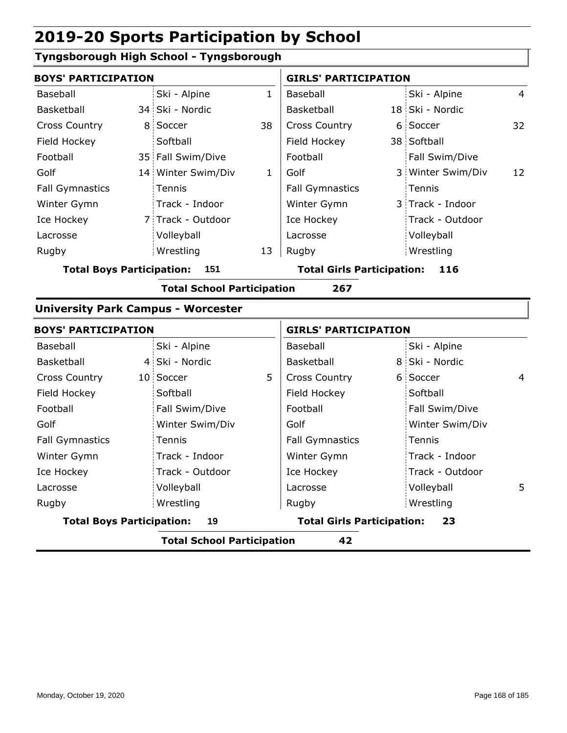#### **Tyngsborough High School - Tyngsborough**

|                                  | <b>BOYS' PARTICIPATION</b> |                    |    | <b>GIRLS' PARTICIPATION</b>       |  |                   |                |
|----------------------------------|----------------------------|--------------------|----|-----------------------------------|--|-------------------|----------------|
| Baseball                         |                            | Ski - Alpine       | 1  | Baseball                          |  | Ski - Alpine      | $\overline{4}$ |
| Basketball                       |                            | 34 Ski - Nordic    |    | Basketball                        |  | 18 Ski - Nordic   |                |
| <b>Cross Country</b>             |                            | 8 Soccer           | 38 | <b>Cross Country</b>              |  | 6 Soccer          | 32             |
| Field Hockey                     |                            | Softball           |    | Field Hockey                      |  | 38 Softball       |                |
| Football                         |                            | 35 Fall Swim/Dive  |    | Football                          |  | Fall Swim/Dive    |                |
| Golf                             |                            | 14 Winter Swim/Div | 1  | Golf                              |  | 3 Winter Swim/Div | 12             |
| <b>Fall Gymnastics</b>           |                            | <b>Tennis</b>      |    | <b>Fall Gymnastics</b>            |  | Tennis            |                |
| Winter Gymn                      |                            | Track - Indoor     |    | Winter Gymn                       |  | 3 Track - Indoor  |                |
| Ice Hockey                       |                            | 7 Track - Outdoor  |    | Ice Hockey                        |  | Track - Outdoor   |                |
| Lacrosse                         |                            | Volleyball         |    | Lacrosse                          |  | Volleyball        |                |
| Rugby                            |                            | Wrestling          | 13 | Rugby                             |  | Wrestling         |                |
| <b>Total Boys Participation:</b> |                            | 151                |    | <b>Total Girls Participation:</b> |  | 116               |                |

**Total School Participation 267**

#### **University Park Campus - Worcester**

| <b>BOYS' PARTICIPATION</b>       |                                   |   | <b>GIRLS' PARTICIPATION</b>             |  |                 |                |
|----------------------------------|-----------------------------------|---|-----------------------------------------|--|-----------------|----------------|
| Baseball                         | Ski - Alpine                      |   | Baseball                                |  | Ski - Alpine    |                |
| Basketball                       | 4 Ski - Nordic                    |   | Basketball                              |  | 8 Ski - Nordic  |                |
| <b>Cross Country</b>             | 10 Soccer                         | 5 | <b>Cross Country</b>                    |  | 6 Soccer        | $\overline{4}$ |
| Field Hockey                     | Softball                          |   | Field Hockey                            |  | Softball        |                |
| Football                         | Fall Swim/Dive                    |   | Football                                |  | Fall Swim/Dive  |                |
| Golf                             | Winter Swim/Div                   |   | Golf                                    |  | Winter Swim/Div |                |
| <b>Fall Gymnastics</b>           | Tennis                            |   | <b>Fall Gymnastics</b>                  |  | Tennis          |                |
| Winter Gymn                      | Track - Indoor                    |   | Winter Gymn                             |  | Track - Indoor  |                |
| Ice Hockey                       | Track - Outdoor                   |   | Ice Hockey                              |  | Track - Outdoor |                |
| Lacrosse                         | Volleyball                        |   | Lacrosse                                |  | Volleyball      | 5              |
| Rugby                            | Wrestling                         |   | Rugby                                   |  | Wrestling       |                |
| <b>Total Boys Participation:</b> | 19                                |   | <b>Total Girls Participation:</b><br>23 |  |                 |                |
|                                  | <b>Total School Participation</b> |   | 42                                      |  |                 |                |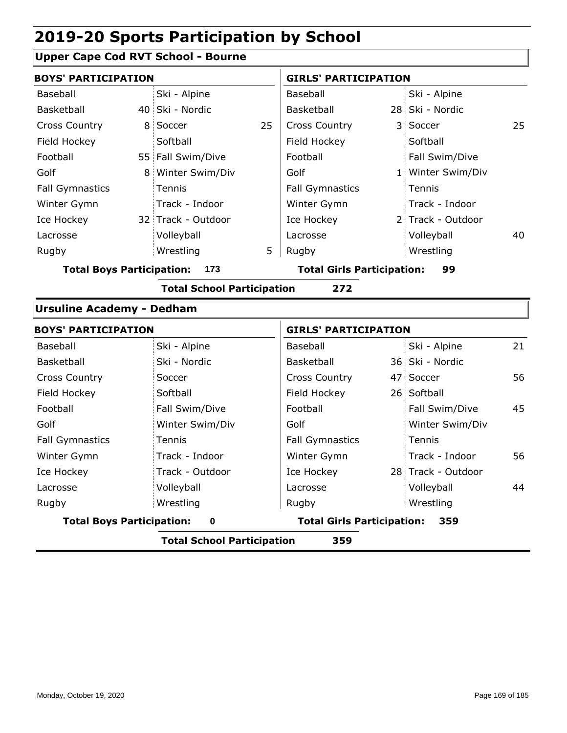#### **Upper Cape Cod RVT School - Bourne**

| <b>BOYS' PARTICIPATION</b>              |                                   |    | <b>GIRLS' PARTICIPATION</b>             |  |                   |    |
|-----------------------------------------|-----------------------------------|----|-----------------------------------------|--|-------------------|----|
| Baseball                                | Ski - Alpine                      |    | Baseball                                |  | Ski - Alpine      |    |
| Basketball                              | 40 Ski - Nordic                   |    | Basketball                              |  | 28 Ski - Nordic   |    |
| <b>Cross Country</b>                    | 8 Soccer                          | 25 | <b>Cross Country</b>                    |  | 3 Soccer          | 25 |
| Field Hockey                            | Softball                          |    | Field Hockey                            |  | Softball          |    |
| Football                                | 55 Fall Swim/Dive                 |    | Football                                |  | Fall Swim/Dive    |    |
| Golf                                    | 8 Winter Swim/Div                 |    | Golf                                    |  | 1 Winter Swim/Div |    |
| <b>Fall Gymnastics</b>                  | Tennis                            |    | <b>Fall Gymnastics</b>                  |  | Tennis            |    |
| Winter Gymn                             | Track - Indoor                    |    | Winter Gymn                             |  | Track - Indoor    |    |
| Ice Hockey                              | 32 Track - Outdoor                |    | Ice Hockey                              |  | 2 Track - Outdoor |    |
| Lacrosse                                | Volleyball                        |    | Lacrosse                                |  | Volleyball        | 40 |
| Rugby                                   | Wrestling                         | 5  | Rugby                                   |  | Wrestling         |    |
| <b>Total Boys Participation:</b><br>173 |                                   |    | <b>Total Girls Participation:</b><br>99 |  |                   |    |
|                                         | <b>Total School Participation</b> |    | 272                                     |  |                   |    |
| <b>Ursuline Academy - Dedham</b>        |                                   |    |                                         |  |                   |    |

| <b>BOYS' PARTICIPATION</b>       |                                          | <b>GIRLS' PARTICIPATION</b> |  |                    |    |
|----------------------------------|------------------------------------------|-----------------------------|--|--------------------|----|
| Baseball                         | Ski - Alpine                             | Baseball                    |  | Ski - Alpine       | 21 |
| Basketball                       | Ski - Nordic                             | Basketball                  |  | 36 Ski - Nordic    |    |
| <b>Cross Country</b>             | Soccer                                   | <b>Cross Country</b>        |  | 47 Soccer          | 56 |
| Field Hockey                     | Softball                                 | Field Hockey                |  | 26 Softball        |    |
| Football                         | Fall Swim/Dive                           | Football                    |  | Fall Swim/Dive     | 45 |
| Golf                             | Winter Swim/Div                          | Golf                        |  | Winter Swim/Div    |    |
| <b>Fall Gymnastics</b>           | Tennis                                   | <b>Fall Gymnastics</b>      |  | Tennis             |    |
| Winter Gymn                      | Track - Indoor                           | Winter Gymn                 |  | Track - Indoor     | 56 |
| Ice Hockey                       | Track - Outdoor                          | Ice Hockey                  |  | 28 Track - Outdoor |    |
| Lacrosse                         | Volleyball                               | Lacrosse                    |  | Volleyball         | 44 |
| Rugby                            | Wrestling                                | Rugby                       |  | Wrestling          |    |
| <b>Total Boys Participation:</b> | <b>Total Girls Participation:</b><br>359 |                             |  |                    |    |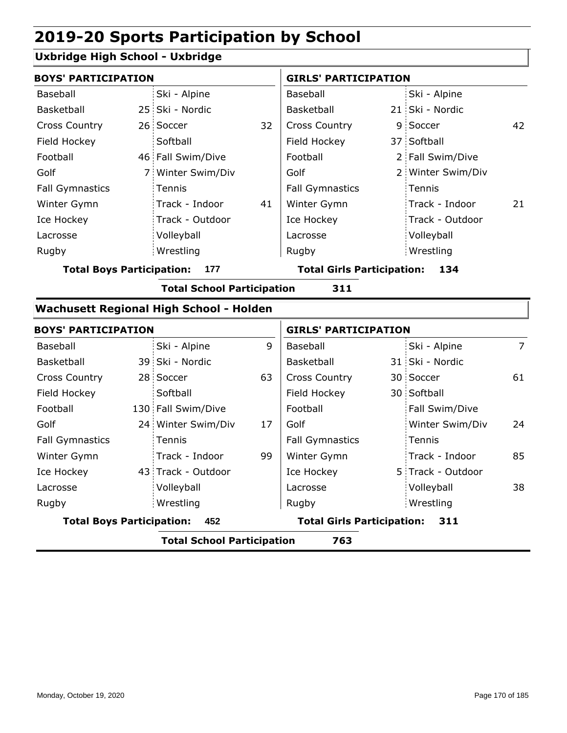#### **Uxbridge High School - Uxbridge**

| <b>BOYS' PARTICIPATION</b> |                   |    | <b>GIRLS' PARTICIPATION</b> |  |                   |    |
|----------------------------|-------------------|----|-----------------------------|--|-------------------|----|
| Baseball                   | Ski - Alpine      |    | Baseball                    |  | Ski - Alpine      |    |
| Basketball                 | 25 Ski - Nordic   |    | Basketball                  |  | 21 Ski - Nordic   |    |
| <b>Cross Country</b>       | 26 Soccer         | 32 | <b>Cross Country</b>        |  | 9 Soccer          | 42 |
| Field Hockey               | Softball          |    | Field Hockey                |  | 37 Softball       |    |
| Football                   | 46 Fall Swim/Dive |    | Football                    |  | 2 Fall Swim/Dive  |    |
| Golf                       | 7 Winter Swim/Div |    | Golf                        |  | 2 Winter Swim/Div |    |
| <b>Fall Gymnastics</b>     | Tennis            |    | <b>Fall Gymnastics</b>      |  | Tennis            |    |
| Winter Gymn                | Track - Indoor    | 41 | Winter Gymn                 |  | Track - Indoor    | 21 |
| Ice Hockey                 | Track - Outdoor   |    | Ice Hockey                  |  | Track - Outdoor   |    |
| Lacrosse                   | Volleyball        |    | Lacrosse                    |  | Volleyball        |    |
| Rugby                      | Wrestling         |    | Rugby                       |  | Wrestling         |    |
|                            |                   |    | _ _ . _                     |  |                   |    |

**Total Boys Participation: 177 Total Girls Participation: 134**

**Total School Participation 311**

#### **Wachusett Regional High School - Holden**

| <b>BOYS' PARTICIPATION</b>               |  |                                   |    | <b>GIRLS' PARTICIPATION</b> |  |                   |    |
|------------------------------------------|--|-----------------------------------|----|-----------------------------|--|-------------------|----|
| Baseball                                 |  | Ski - Alpine                      | 9  | Baseball                    |  | Ski - Alpine      | 7  |
| Basketball                               |  | 39 Ski - Nordic                   |    | Basketball                  |  | 31 Ski - Nordic   |    |
| <b>Cross Country</b>                     |  | 28 Soccer                         | 63 | <b>Cross Country</b>        |  | 30 Soccer         | 61 |
| Field Hockey                             |  | Softball                          |    | Field Hockey                |  | 30 Softball       |    |
| Football                                 |  | 130 Fall Swim/Dive                |    | Football                    |  | Fall Swim/Dive    |    |
| Golf                                     |  | 24 Winter Swim/Div                | 17 | Golf                        |  | Winter Swim/Div   | 24 |
| <b>Fall Gymnastics</b>                   |  | Tennis                            |    | <b>Fall Gymnastics</b>      |  | Tennis            |    |
| Winter Gymn                              |  | Track - Indoor                    | 99 | Winter Gymn                 |  | Track - Indoor    | 85 |
| Ice Hockey                               |  | 43 Track - Outdoor                |    | Ice Hockey                  |  | 5 Track - Outdoor |    |
| Lacrosse                                 |  | Volleyball                        |    | Lacrosse                    |  | Volleyball        | 38 |
| Rugby                                    |  | Wrestling                         |    | Rugby                       |  | Wrestling         |    |
| <b>Total Boys Participation:</b><br>452  |  | <b>Total Girls Participation:</b> |    | 311                         |  |                   |    |
| <b>Total School Participation</b><br>763 |  |                                   |    |                             |  |                   |    |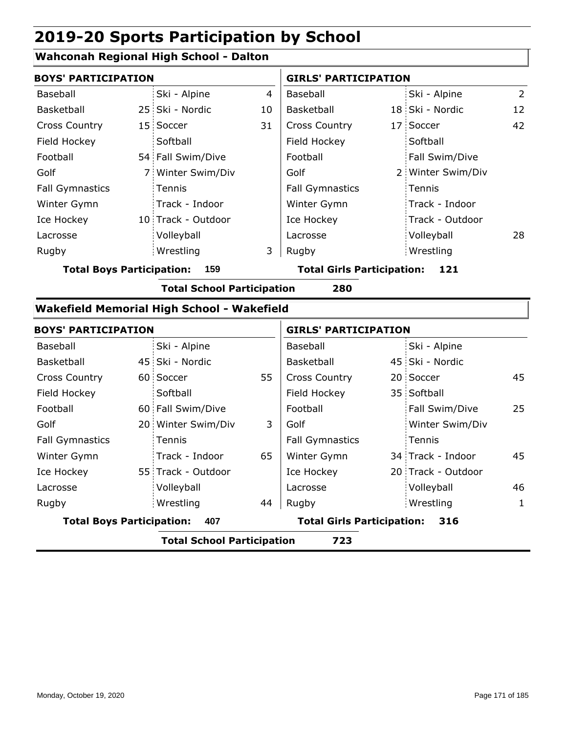#### **Wahconah Regional High School - Dalton**

| <b>BOYS' PARTICIPATION</b>       |                |                                            |    | <b>GIRLS' PARTICIPATION</b>              |  |                    |                 |
|----------------------------------|----------------|--------------------------------------------|----|------------------------------------------|--|--------------------|-----------------|
| Baseball                         |                | Ski - Alpine                               | 4  | Baseball                                 |  | Ski - Alpine       | $\overline{2}$  |
| Basketball                       |                | 25 Ski - Nordic                            | 10 | Basketball                               |  | 18 Ski - Nordic    | 12 <sup>2</sup> |
| <b>Cross Country</b>             |                | 15 Soccer                                  | 31 | <b>Cross Country</b>                     |  | 17 Soccer          | 42              |
| Field Hockey                     |                | Softball                                   |    | Field Hockey                             |  | Softball           |                 |
| Football                         |                | 54 Fall Swim/Dive                          |    | Football                                 |  | Fall Swim/Dive     |                 |
| Golf                             | 7 <sup>1</sup> | Winter Swim/Div                            |    | Golf                                     |  | 2 Winter Swim/Div  |                 |
| <b>Fall Gymnastics</b>           |                | Tennis                                     |    | <b>Fall Gymnastics</b>                   |  | Tennis             |                 |
| Winter Gymn                      |                | Track - Indoor                             |    | Winter Gymn                              |  | Track - Indoor     |                 |
| Ice Hockey                       |                | 10 Track - Outdoor                         |    | Ice Hockey                               |  | Track - Outdoor    |                 |
| Lacrosse                         |                | Volleyball                                 |    | Lacrosse                                 |  | Volleyball         | 28              |
| Rugby                            |                | Wrestling                                  | 3  | Rugby                                    |  | Wrestling          |                 |
| <b>Total Boys Participation:</b> |                | 159                                        |    | <b>Total Girls Participation:</b>        |  | 121                |                 |
|                                  |                | <b>Total School Participation</b>          |    | 280                                      |  |                    |                 |
|                                  |                | Wakefield Memorial High School - Wakefield |    |                                          |  |                    |                 |
| <b>BOYS' PARTICIPATION</b>       |                |                                            |    | <b>GIRLS' PARTICIPATION</b>              |  |                    |                 |
| <b>Baseball</b>                  |                | Ski - Alpine                               |    | Baseball                                 |  | Ski - Alpine       |                 |
| Basketball                       |                | 45 Ski - Nordic                            |    | Basketball                               |  | 45 Ski - Nordic    |                 |
| <b>Cross Country</b>             |                | 60 Soccer                                  | 55 | <b>Cross Country</b>                     |  | 20 Soccer          | 45              |
| Field Hockey                     |                | Softball                                   |    | Field Hockey                             |  | 35 Softball        |                 |
| Football                         |                | 60 Fall Swim/Dive                          |    | Football                                 |  | Fall Swim/Dive     | 25              |
| Golf                             |                | 20 Winter Swim/Div                         | 3  | Golf                                     |  | Winter Swim/Div    |                 |
| <b>Fall Gymnastics</b>           |                | Tennis                                     |    | <b>Fall Gymnastics</b>                   |  | Tennis             |                 |
| Winter Gymn                      |                | Track - Indoor                             | 65 | Winter Gymn                              |  | 34 Track - Indoor  | 45              |
| Ice Hockey                       |                | 55 Track - Outdoor                         |    | Ice Hockey                               |  | 20 Track - Outdoor |                 |
| Lacrosse                         |                | Volleyball                                 |    | Lacrosse                                 |  | Volleyball         | 46              |
| Rugby                            |                | Wrestling                                  | 44 | Rugby                                    |  | Wrestling          | $\mathbf{1}$    |
| <b>Total Boys Participation:</b> |                | 407                                        |    | <b>Total Girls Participation:</b><br>316 |  |                    |                 |
|                                  |                | <b>Total School Participation</b>          |    | 723                                      |  |                    |                 |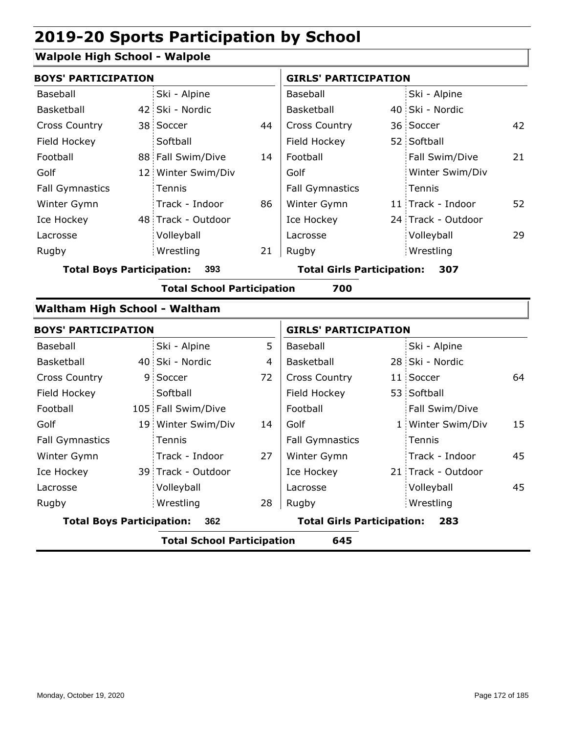#### **Walpole High School - Walpole**

| <b>BOYS' PARTICIPATION</b>       |    |                                   |    | <b>GIRLS' PARTICIPATION</b>       |                    |    |
|----------------------------------|----|-----------------------------------|----|-----------------------------------|--------------------|----|
| Baseball                         |    | Ski - Alpine                      |    | Baseball                          | Ski - Alpine       |    |
| Basketball                       |    | 42 Ski - Nordic                   |    | Basketball                        | 40 Ski - Nordic    |    |
| <b>Cross Country</b>             |    | 38 Soccer                         | 44 | <b>Cross Country</b>              | 36 Soccer          | 42 |
| Field Hockey                     |    | Softball                          |    | Field Hockey                      | 52 Softball        |    |
| Football                         |    | 88 Fall Swim/Dive                 | 14 | Football                          | Fall Swim/Dive     | 21 |
| Golf                             |    | 12 Winter Swim/Div                |    | Golf                              | Winter Swim/Div    |    |
| <b>Fall Gymnastics</b>           |    | Tennis                            |    | <b>Fall Gymnastics</b>            | Tennis             |    |
| Winter Gymn                      |    | Track - Indoor                    | 86 | Winter Gymn                       | 11 Track - Indoor  | 52 |
| Ice Hockey                       |    | 48 Track - Outdoor                |    | Ice Hockey                        | 24 Track - Outdoor |    |
| Lacrosse                         |    | Volleyball                        |    | Lacrosse                          | Volleyball         | 29 |
| Rugby                            |    | Wrestling                         | 21 | Rugby                             | Wrestling          |    |
| <b>Total Boys Participation:</b> |    | 393                               |    | <b>Total Girls Participation:</b> | 307                |    |
|                                  |    | <b>Total School Participation</b> |    | 700                               |                    |    |
| Waltham High School - Waltham    |    |                                   |    |                                   |                    |    |
| <b>BOYS' PARTICIPATION</b>       |    |                                   |    | <b>GIRLS' PARTICIPATION</b>       |                    |    |
| Baseball                         |    | Ski - Alpine                      | 5  | Baseball                          | Ski - Alpine       |    |
| Basketball                       |    | 40 Ski - Nordic                   | 4  | Basketball                        | 28 Ski - Nordic    |    |
| <b>Cross Country</b>             | 9. | Soccer                            | 72 | Cross Country                     | 11 Soccer          | 64 |
| Field Hockey                     |    | Softball                          |    | Field Hockey                      | 53 Softball        |    |
| Football                         |    | 105 Fall Swim/Dive                |    | Football                          | Fall Swim/Dive     |    |
| Golf                             |    | 19 Winter Swim/Div                | 14 | Golf                              | 1 Winter Swim/Div  | 15 |
| <b>Fall Gymnastics</b>           |    | Tennis                            |    | <b>Fall Gymnastics</b>            | Tennis             |    |
| Winter Gymn                      |    | Track - Indoor                    | 27 | Winter Gymn                       | Track - Indoor     | 45 |
| Ice Hockey                       |    | 39 Track - Outdoor                |    | Ice Hockey                        | 21 Track - Outdoor |    |
| Lacrosse                         |    | Volleyball                        |    | Lacrosse                          | Volleyball         | 45 |
| Rugby                            |    | Wrestling                         | 28 | Rugby                             | Wrestling          |    |
| <b>Total Boys Participation:</b> |    | 362                               |    | <b>Total Girls Participation:</b> | 283                |    |
|                                  |    | <b>Total School Participation</b> |    | 645                               |                    |    |
|                                  |    |                                   |    |                                   |                    |    |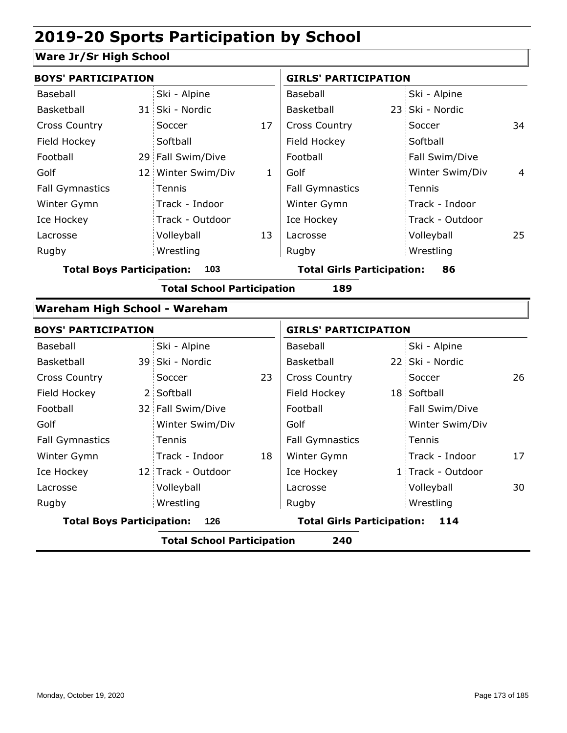#### **Ware Jr/Sr High School**

| <b>BOYS' PARTICIPATION</b>       |                                   |              | <b>GIRLS' PARTICIPATION</b>       |                   |    |
|----------------------------------|-----------------------------------|--------------|-----------------------------------|-------------------|----|
| Baseball                         | Ski - Alpine                      |              | Baseball                          | Ski - Alpine      |    |
| Basketball                       | 31 Ski - Nordic                   |              | Basketball                        | 23 Ski - Nordic   |    |
| <b>Cross Country</b>             | Soccer                            | 17           | <b>Cross Country</b>              | Soccer            | 34 |
| Field Hockey                     | Softball                          |              | Field Hockey                      | Softball          |    |
| Football                         | 29 Fall Swim/Dive                 |              | Football                          | Fall Swim/Dive    |    |
| Golf                             | 12 Winter Swim/Div                | $\mathbf{1}$ | Golf                              | Winter Swim/Div   | 4  |
| <b>Fall Gymnastics</b>           | Tennis                            |              | <b>Fall Gymnastics</b>            | Tennis            |    |
| Winter Gymn                      | Track - Indoor                    |              | Winter Gymn                       | Track - Indoor    |    |
| Ice Hockey                       | Track - Outdoor                   |              | Ice Hockey                        | Track - Outdoor   |    |
| Lacrosse                         | Volleyball                        | 13           | Lacrosse                          | Volleyball        | 25 |
| Rugby                            | Wrestling                         |              | Rugby                             | Wrestling         |    |
| <b>Total Boys Participation:</b> | 103                               |              | <b>Total Girls Participation:</b> | 86                |    |
|                                  | <b>Total School Participation</b> |              | 189                               |                   |    |
| Wareham High School - Wareham    |                                   |              |                                   |                   |    |
| <b>BOYS' PARTICIPATION</b>       |                                   |              | <b>GIRLS' PARTICIPATION</b>       |                   |    |
| Baseball                         | Ski - Alpine                      |              | Baseball                          | Ski - Alpine      |    |
| Basketball                       | 39 Ski - Nordic                   |              | Basketball                        | 22 Ski - Nordic   |    |
| <b>Cross Country</b>             | Soccer                            | 23           | <b>Cross Country</b>              | Soccer            | 26 |
| Field Hockey                     | 2 Softball                        |              | Field Hockey                      | 18 Softball       |    |
| Football                         | 32 Fall Swim/Dive                 |              | Football                          | Fall Swim/Dive    |    |
| Golf                             | Winter Swim/Div                   |              | Golf                              | Winter Swim/Div   |    |
| <b>Fall Gymnastics</b>           | Tennis                            |              | <b>Fall Gymnastics</b>            | Tennis            |    |
| Winter Gymn                      | Track - Indoor                    | 18           | Winter Gymn                       | Track - Indoor    | 17 |
| Ice Hockey                       | 12 Track - Outdoor                |              | Ice Hockey                        | 1 Track - Outdoor |    |
| Lacrosse                         | Volleyball                        |              | Lacrosse                          | Volleyball        | 30 |
| Rugby                            | Wrestling                         |              | Rugby                             | Wrestling         |    |
| <b>Total Boys Participation:</b> | 126                               |              | <b>Total Girls Participation:</b> | 114               |    |
|                                  | <b>Total School Participation</b> |              | 240                               |                   |    |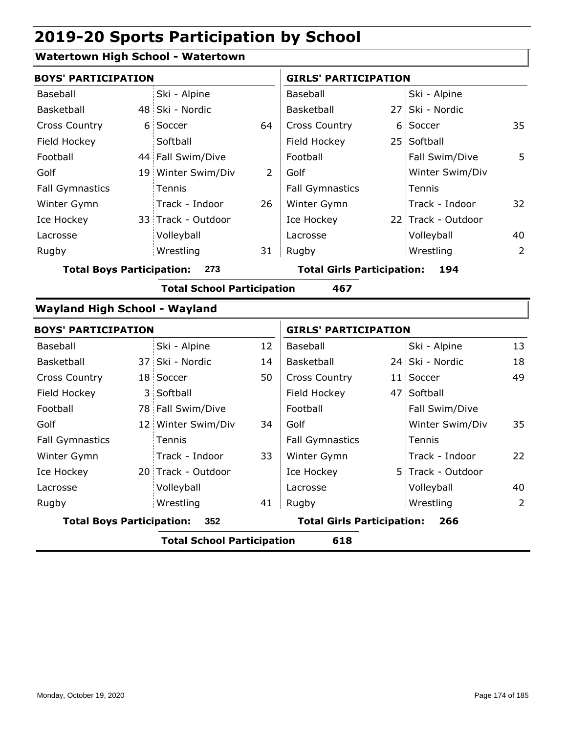#### **Watertown High School - Watertown**

| <b>BOYS' PARTICIPATION</b>           |                |                                   |    | <b>GIRLS' PARTICIPATION</b>       |  |                    |                |
|--------------------------------------|----------------|-----------------------------------|----|-----------------------------------|--|--------------------|----------------|
| Baseball                             |                | Ski - Alpine                      |    | Baseball                          |  | Ski - Alpine       |                |
| Basketball                           |                | 48 Ski - Nordic                   |    | Basketball                        |  | 27 Ski - Nordic    |                |
| <b>Cross Country</b>                 |                | 6 Soccer                          | 64 | Cross Country                     |  | 6 Soccer           | 35             |
| Field Hockey                         |                | Softball                          |    | Field Hockey                      |  | 25 Softball        |                |
| Football                             |                | 44 Fall Swim/Dive                 |    | Football                          |  | Fall Swim/Dive     | 5              |
| Golf                                 |                | 19 Winter Swim/Div                | 2  | Golf                              |  | Winter Swim/Div    |                |
| <b>Fall Gymnastics</b>               |                | Tennis                            |    | <b>Fall Gymnastics</b>            |  | Tennis             |                |
| Winter Gymn                          |                | Track - Indoor                    | 26 | Winter Gymn                       |  | Track - Indoor     | 32             |
| Ice Hockey                           |                | 33 Track - Outdoor                |    | Ice Hockey                        |  | 22 Track - Outdoor |                |
| Lacrosse                             |                | Volleyball                        |    | Lacrosse                          |  | Volleyball         | 40             |
| Rugby                                |                | Wrestling                         | 31 | Rugby                             |  | Wrestling          | $\overline{2}$ |
| <b>Total Boys Participation:</b>     |                | 273                               |    | <b>Total Girls Participation:</b> |  | 194                |                |
|                                      |                | <b>Total School Participation</b> |    | 467                               |  |                    |                |
| <b>Wayland High School - Wayland</b> |                |                                   |    |                                   |  |                    |                |
| <b>BOYS' PARTICIPATION</b>           |                |                                   |    | <b>GIRLS' PARTICIPATION</b>       |  |                    |                |
| Baseball                             |                | Ski - Alpine                      | 12 | Baseball                          |  | Ski - Alpine       | 13             |
| Basketball                           |                | 37 Ski - Nordic                   | 14 | Basketball                        |  | 24 Ski - Nordic    | 18             |
| <b>Cross Country</b>                 |                | 18 Soccer                         | 50 | Cross Country                     |  | 11 Soccer          | 49             |
| Field Hockey                         | 3 <sup>1</sup> | Softball                          |    | Field Hockey                      |  | 47 Softball        |                |
| Football                             |                | 78 Fall Swim/Dive                 |    | Football                          |  | Fall Swim/Dive     |                |
| Golf                                 |                | 12 Winter Swim/Div                | 34 | Golf                              |  | Winter Swim/Div    | 35             |
| <b>Fall Gymnastics</b>               |                | Tennis                            |    | <b>Fall Gymnastics</b>            |  | Tennis             |                |
| Winter Gymn                          |                | Track - Indoor                    | 33 | Winter Gymn                       |  | Track - Indoor     | 22             |
| Ice Hockey                           |                | 20 Track - Outdoor                |    | Ice Hockey                        |  | 5 Track - Outdoor  |                |
| Lacrosse                             |                | Volleyball                        |    | Lacrosse                          |  | Volleyball         | 40             |
| Rugby                                |                | Wrestling                         | 41 | Rugby                             |  | Wrestling          | $\overline{2}$ |
| <b>Total Boys Participation:</b>     |                | 352                               |    | <b>Total Girls Participation:</b> |  | 266                |                |
|                                      |                | <b>Total School Participation</b> |    | 618                               |  |                    |                |
|                                      |                |                                   |    |                                   |  |                    |                |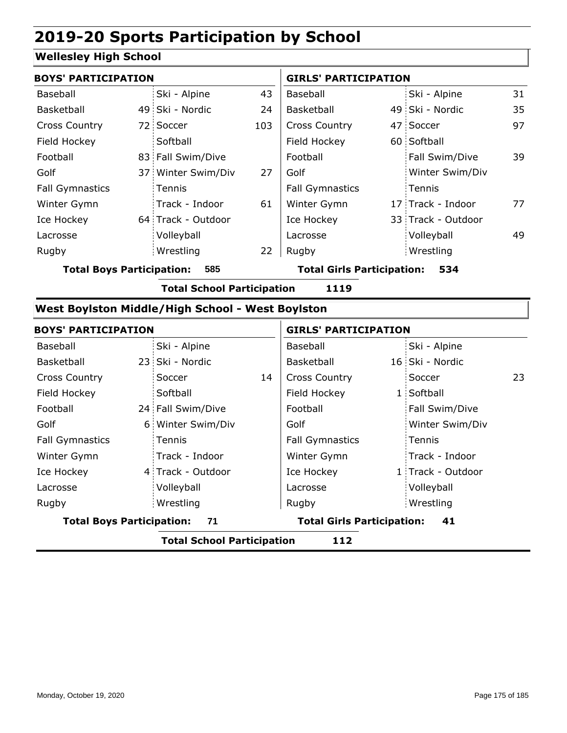#### **Wellesley High School**

| <b>BOYS' PARTICIPATION</b> |  |                    |     | <b>GIRLS' PARTICIPATION</b> |  |                    |    |
|----------------------------|--|--------------------|-----|-----------------------------|--|--------------------|----|
| Baseball                   |  | Ski - Alpine       | 43  | Baseball                    |  | Ski - Alpine       | 31 |
| Basketball                 |  | 49 Ski - Nordic    | 24  | <b>Basketball</b>           |  | 49 Ski - Nordic    | 35 |
| <b>Cross Country</b>       |  | 72 Soccer          | 103 | <b>Cross Country</b>        |  | 47 Soccer          | 97 |
| Field Hockey               |  | Softball           |     | Field Hockey                |  | 60 Softball        |    |
| Football                   |  | 83 Fall Swim/Dive  |     | Football                    |  | Fall Swim/Dive     | 39 |
| Golf                       |  | 37 Winter Swim/Div | 27  | Golf                        |  | Winter Swim/Div    |    |
| <b>Fall Gymnastics</b>     |  | <b>Tennis</b>      |     | <b>Fall Gymnastics</b>      |  | Tennis             |    |
| Winter Gymn                |  | Track - Indoor     | 61  | Winter Gymn                 |  | 17 Track - Indoor  | 77 |
| Ice Hockey                 |  | 64 Track - Outdoor |     | Ice Hockey                  |  | 33 Track - Outdoor |    |
| Lacrosse                   |  | Volleyball         |     | Lacrosse                    |  | Volleyball         | 49 |
| Rugby                      |  | Wrestling          | 22  | Rugby                       |  | Wrestling          |    |

**Total Boys Participation: 585 Total Girls Participation: 534**

**Total School Participation 1119**

#### **West Boylston Middle/High School - West Boylston**

| <b>BOYS' PARTICIPATION</b>       |                                   |    | <b>GIRLS' PARTICIPATION</b>       |  |                   |    |
|----------------------------------|-----------------------------------|----|-----------------------------------|--|-------------------|----|
| Baseball                         | Ski - Alpine                      |    | Baseball                          |  | Ski - Alpine      |    |
| Basketball                       | 23 Ski - Nordic                   |    | Basketball                        |  | 16 Ski - Nordic   |    |
| <b>Cross Country</b>             | Soccer                            | 14 | <b>Cross Country</b>              |  | Soccer            | 23 |
| Field Hockey                     | Softball                          |    | Field Hockey                      |  | 1 Softball        |    |
| Football                         | 24 Fall Swim/Dive                 |    | Football                          |  | Fall Swim/Dive    |    |
| Golf                             | 6 Winter Swim/Div                 |    | Golf                              |  | Winter Swim/Div   |    |
| <b>Fall Gymnastics</b>           | Tennis                            |    | <b>Fall Gymnastics</b>            |  | Tennis            |    |
| Winter Gymn                      | Track - Indoor                    |    | Winter Gymn                       |  | Track - Indoor    |    |
| Ice Hockey                       | 4 Track - Outdoor                 |    | Ice Hockey                        |  | 1 Track - Outdoor |    |
| Lacrosse                         | Volleyball                        |    | Lacrosse                          |  | Volleyball        |    |
| Rugby                            | Wrestling                         |    | Rugby                             |  | Wrestling         |    |
| <b>Total Boys Participation:</b> | 71                                |    | <b>Total Girls Participation:</b> |  | 41                |    |
|                                  | <b>Total School Participation</b> |    | 112                               |  |                   |    |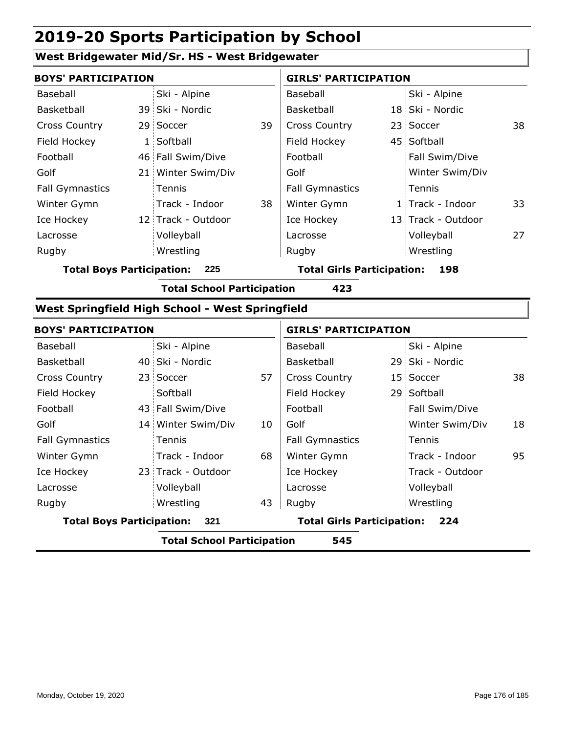#### **West Bridgewater Mid/Sr. HS - West Bridgewater**

| <b>BOYS' PARTICIPATION</b> |                                                                                                             |                        | <b>GIRLS' PARTICIPATION</b> |                 |                                                                                                                              |  |
|----------------------------|-------------------------------------------------------------------------------------------------------------|------------------------|-----------------------------|-----------------|------------------------------------------------------------------------------------------------------------------------------|--|
| Ski - Alpine               |                                                                                                             | Baseball               |                             |                 |                                                                                                                              |  |
|                            |                                                                                                             | <b>Basketball</b>      |                             |                 |                                                                                                                              |  |
|                            | 39                                                                                                          | <b>Cross Country</b>   |                             |                 | 38                                                                                                                           |  |
|                            |                                                                                                             | Field Hockey           |                             |                 |                                                                                                                              |  |
|                            |                                                                                                             | Football               |                             | Fall Swim/Dive  |                                                                                                                              |  |
|                            |                                                                                                             | Golf                   |                             | Winter Swim/Div |                                                                                                                              |  |
| <b>Tennis</b>              |                                                                                                             | <b>Fall Gymnastics</b> |                             |                 |                                                                                                                              |  |
| Track - Indoor             | 38                                                                                                          | Winter Gymn            |                             |                 | 33                                                                                                                           |  |
|                            |                                                                                                             | Ice Hockey             |                             |                 |                                                                                                                              |  |
| Volleyball                 |                                                                                                             | Lacrosse               |                             | Volleyball      | 27                                                                                                                           |  |
| Wrestling                  |                                                                                                             | Rugby                  |                             |                 |                                                                                                                              |  |
|                            | 39 Ski - Nordic<br>29 Soccer<br>1 Softball<br>46 Fall Swim/Dive<br>21 Winter Swim/Div<br>12 Track - Outdoor |                        |                             |                 | Ski - Alpine<br>18 Ski - Nordic<br>23 Soccer<br>45 Softball<br>Tennis<br>1 Track - Indoor<br>13 Track - Outdoor<br>Wrestling |  |

**Total Boys Participation: 225 Total Girls Participation: 198**

**Total School Participation 423**

#### **West Springfield High School - West Springfield**

| <b>BOYS' PARTICIPATION</b>       |  |                                   | <b>GIRLS' PARTICIPATION</b> |                                   |  |                 |    |
|----------------------------------|--|-----------------------------------|-----------------------------|-----------------------------------|--|-----------------|----|
| Baseball                         |  | Ski - Alpine                      |                             | Baseball                          |  | Ski - Alpine    |    |
| Basketball                       |  | 40 Ski - Nordic                   |                             | Basketball                        |  | 29 Ski - Nordic |    |
| <b>Cross Country</b>             |  | 23 Soccer                         | 57                          | <b>Cross Country</b>              |  | 15 Soccer       | 38 |
| Field Hockey                     |  | Softball                          |                             | Field Hockey                      |  | 29 Softball     |    |
| Football                         |  | 43 Fall Swim/Dive                 |                             | Football                          |  | Fall Swim/Dive  |    |
| Golf                             |  | 14 Winter Swim/Div                | 10                          | Golf                              |  | Winter Swim/Div | 18 |
| <b>Fall Gymnastics</b>           |  | Tennis                            |                             | <b>Fall Gymnastics</b>            |  | Tennis          |    |
| Winter Gymn                      |  | Track - Indoor                    | 68                          | Winter Gymn                       |  | Track - Indoor  | 95 |
| Ice Hockey                       |  | 23 Track - Outdoor                |                             | Ice Hockey                        |  | Track - Outdoor |    |
| Lacrosse                         |  | Volleyball                        |                             | Lacrosse                          |  | Volleyball      |    |
| Rugby                            |  | Wrestling                         | 43                          | Rugby                             |  | Wrestling       |    |
| <b>Total Boys Participation:</b> |  | 321                               |                             | <b>Total Girls Participation:</b> |  | 224             |    |
|                                  |  | <b>Total School Participation</b> |                             | 545                               |  |                 |    |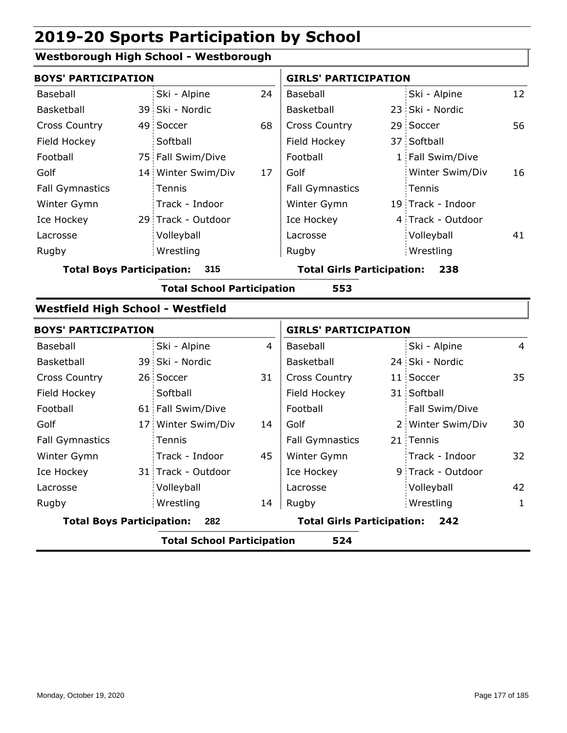#### **Westborough High School - Westborough**

| <b>BOYS' PARTICIPATION</b>               |                                   |                | <b>GIRLS' PARTICIPATION</b>       |  |                   |                |
|------------------------------------------|-----------------------------------|----------------|-----------------------------------|--|-------------------|----------------|
| Baseball                                 | Ski - Alpine                      | 24             | Baseball                          |  | Ski - Alpine      | 12             |
| Basketball                               | 39 Ski - Nordic                   |                | Basketball                        |  | 23 Ski - Nordic   |                |
| <b>Cross Country</b>                     | 49 Soccer                         | 68             | <b>Cross Country</b>              |  | 29 Soccer         | 56             |
| Field Hockey                             | Softball                          |                | Field Hockey                      |  | 37 Softball       |                |
| Football                                 | 75 Fall Swim/Dive                 |                | Football                          |  | 1 Fall Swim/Dive  |                |
| Golf                                     | 14 Winter Swim/Div                | 17             | Golf                              |  | Winter Swim/Div   | 16             |
| <b>Fall Gymnastics</b>                   | Tennis                            |                | <b>Fall Gymnastics</b>            |  | Tennis            |                |
| Winter Gymn                              | Track - Indoor                    |                | Winter Gymn                       |  | 19 Track - Indoor |                |
| Ice Hockey                               | 29 Track - Outdoor                |                | Ice Hockey                        |  | 4 Track - Outdoor |                |
| Lacrosse                                 | Volleyball                        |                | Lacrosse                          |  | Volleyball        | 41             |
| Rugby                                    | Wrestling                         |                | Rugby                             |  | Wrestling         |                |
| <b>Total Boys Participation:</b>         | 315                               |                | <b>Total Girls Participation:</b> |  | 238               |                |
|                                          | <b>Total School Participation</b> |                | 553                               |  |                   |                |
| <b>Westfield High School - Westfield</b> |                                   |                |                                   |  |                   |                |
| <b>BOYS' PARTICIPATION</b>               |                                   |                | <b>GIRLS' PARTICIPATION</b>       |  |                   |                |
| Baseball                                 | Ski - Alpine                      | $\overline{4}$ | Baseball                          |  | Ski - Alpine      | $\overline{4}$ |
| Basketball                               | 39 Ski - Nordic                   |                | Basketball                        |  | 24 Ski - Nordic   |                |
| <b>Cross Country</b>                     | 26 Soccer                         | 31             | Cross Country                     |  | 11 Soccer         | 35             |
| Field Hockey                             | Softball                          |                | Field Hockey                      |  | 31 Softball       |                |
| Football                                 | 61 Fall Swim/Dive                 |                | Football                          |  | Fall Swim/Dive    |                |
| Golf                                     | 17 Winter Swim/Div                | 14             | Golf                              |  | 2 Winter Swim/Div | 30             |
| <b>Fall Gymnastics</b>                   | Tennis                            |                | <b>Fall Gymnastics</b>            |  | 21 Tennis         |                |
| Winter Gymn                              | Track - Indoor                    | 45             | Winter Gymn                       |  | Track - Indoor    | 32             |
| Ice Hockey                               | 31 Track - Outdoor                |                | Ice Hockey                        |  | 9 Track - Outdoor |                |
| Lacrosse                                 | Volleyball                        |                | Lacrosse                          |  | Volleyball        | 42             |
| Rugby                                    | Wrestling                         | 14             | Rugby                             |  | Wrestling         | $\mathbf{1}$   |
|                                          |                                   |                |                                   |  |                   |                |

**Total Boys Participation: 282 Total Girls Participation: 242**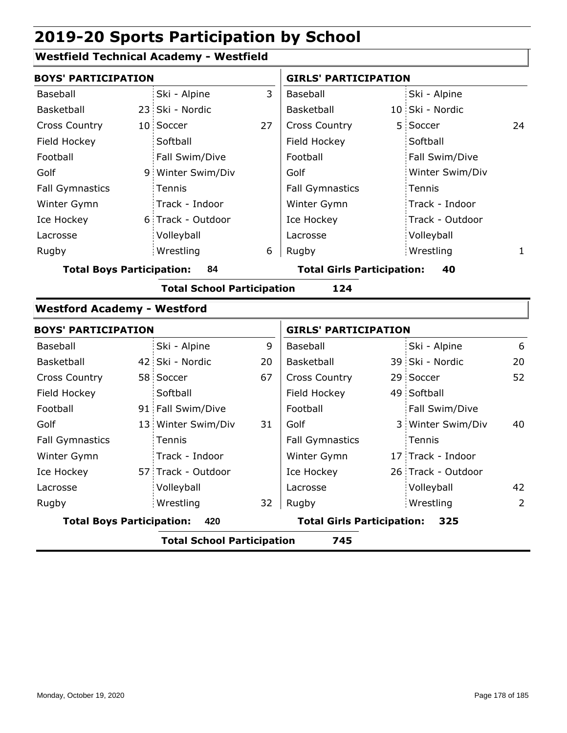#### **Westfield Technical Academy - Westfield**

|                                    | <b>BOYS' PARTICIPATION</b>               |                                   |    |                                         | <b>GIRLS' PARTICIPATION</b> |                    |                |  |
|------------------------------------|------------------------------------------|-----------------------------------|----|-----------------------------------------|-----------------------------|--------------------|----------------|--|
| Baseball                           |                                          | Ski - Alpine                      | 3  | Baseball                                |                             | Ski - Alpine       |                |  |
| Basketball                         |                                          | 23 Ski - Nordic                   |    | Basketball                              |                             | 10 Ski - Nordic    |                |  |
| <b>Cross Country</b>               |                                          | 10 Soccer                         | 27 | <b>Cross Country</b>                    |                             | 5 Soccer           | 24             |  |
| Field Hockey                       |                                          | Softball                          |    | Field Hockey                            |                             | Softball           |                |  |
| Football                           |                                          | Fall Swim/Dive                    |    | Football                                |                             | Fall Swim/Dive     |                |  |
| Golf                               |                                          | 9 Winter Swim/Div                 |    | Golf                                    |                             | Winter Swim/Div    |                |  |
| <b>Fall Gymnastics</b>             |                                          | Tennis                            |    | <b>Fall Gymnastics</b>                  |                             | Tennis             |                |  |
| Winter Gymn                        |                                          | Track - Indoor                    |    | Winter Gymn                             |                             | Track - Indoor     |                |  |
| Ice Hockey                         |                                          | 6 Track - Outdoor                 |    | Ice Hockey                              |                             | Track - Outdoor    |                |  |
| Lacrosse                           |                                          | Volleyball                        |    | Lacrosse                                |                             | Volleyball         |                |  |
| Rugby                              |                                          | Wrestling                         | 6  | Rugby                                   |                             | Wrestling          | 1              |  |
|                                    | <b>Total Boys Participation:</b><br>84   |                                   |    | <b>Total Girls Participation:</b><br>40 |                             |                    |                |  |
|                                    |                                          | <b>Total School Participation</b> |    | 124                                     |                             |                    |                |  |
| <b>Westford Academy - Westford</b> |                                          |                                   |    |                                         |                             |                    |                |  |
| <b>BOYS' PARTICIPATION</b>         |                                          |                                   |    | <b>GIRLS' PARTICIPATION</b>             |                             |                    |                |  |
| <b>Baseball</b>                    |                                          | Ski - Alpine                      | 9  | Baseball                                |                             | Ski - Alpine       | 6              |  |
| Basketball                         |                                          | 42 Ski - Nordic                   | 20 | Basketball                              |                             | 39 Ski - Nordic    | 20             |  |
| <b>Cross Country</b>               |                                          | 58 Soccer                         | 67 | <b>Cross Country</b>                    |                             | 29 Soccer          | 52             |  |
| Field Hockey                       |                                          | Softball                          |    | Field Hockey                            |                             | 49 Softball        |                |  |
| Football                           |                                          | 91 Fall Swim/Dive                 |    | Football                                |                             | Fall Swim/Dive     |                |  |
| Golf                               |                                          | 13 Winter Swim/Div                | 31 | Golf                                    |                             | 3 Winter Swim/Div  | 40             |  |
| <b>Fall Gymnastics</b>             |                                          | Tennis                            |    | <b>Fall Gymnastics</b>                  |                             | Tennis             |                |  |
| Winter Gymn                        |                                          | Track - Indoor                    |    | Winter Gymn                             |                             | 17 Track - Indoor  |                |  |
| Ice Hockey                         |                                          | 57 Track - Outdoor                |    | Ice Hockey                              |                             | 26 Track - Outdoor |                |  |
| Lacrosse                           |                                          | Volleyball                        |    | Lacrosse                                |                             | Volleyball         | 42             |  |
| Rugby                              |                                          | Wrestling                         | 32 | Rugby                                   |                             | Wrestling          | $\overline{2}$ |  |
| <b>Total Boys Participation:</b>   |                                          | 420                               |    | <b>Total Girls Participation:</b>       |                             | 325                |                |  |
|                                    | <b>Total School Participation</b><br>745 |                                   |    |                                         |                             |                    |                |  |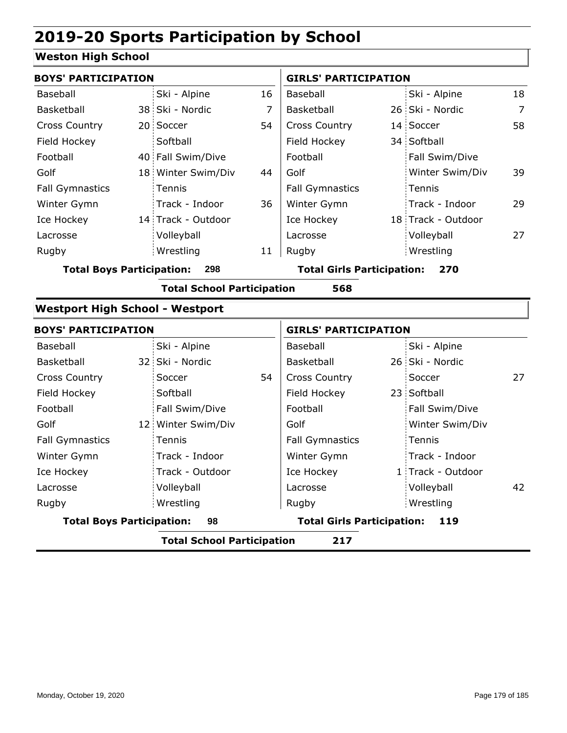### **Weston High School**

| <b>BOYS' PARTICIPATION</b>             |                                   |    | <b>GIRLS' PARTICIPATION</b>       |  |                    |                |
|----------------------------------------|-----------------------------------|----|-----------------------------------|--|--------------------|----------------|
| Baseball                               | Ski - Alpine                      | 16 | Baseball                          |  | Ski - Alpine       | 18             |
| Basketball                             | 38 Ski - Nordic                   | 7  | Basketball                        |  | 26 Ski - Nordic    | $\overline{7}$ |
| <b>Cross Country</b>                   | 20 Soccer                         | 54 | Cross Country                     |  | 14 Soccer          | 58             |
| Field Hockey                           | Softball                          |    | Field Hockey                      |  | 34 Softball        |                |
| Football                               | 40 Fall Swim/Dive                 |    | Football                          |  | Fall Swim/Dive     |                |
| Golf                                   | 18 Winter Swim/Div                | 44 | Golf                              |  | Winter Swim/Div    | 39             |
| <b>Fall Gymnastics</b>                 | Tennis                            |    | <b>Fall Gymnastics</b>            |  | Tennis             |                |
| Winter Gymn                            | Track - Indoor                    | 36 | Winter Gymn                       |  | Track - Indoor     | 29             |
| Ice Hockey                             | 14 Track - Outdoor                |    | Ice Hockey                        |  | 18 Track - Outdoor |                |
| Lacrosse                               | Volleyball                        |    | Lacrosse                          |  | Volleyball         | 27             |
| Rugby                                  | Wrestling                         | 11 | Rugby                             |  | Wrestling          |                |
| <b>Total Boys Participation:</b>       | 298                               |    | <b>Total Girls Participation:</b> |  | 270                |                |
|                                        | <b>Total School Participation</b> |    | 568                               |  |                    |                |
| <b>Westport High School - Westport</b> |                                   |    |                                   |  |                    |                |
| <b>BOYS' PARTICIPATION</b>             |                                   |    | <b>GIRLS' PARTICIPATION</b>       |  |                    |                |
| <b>Baseball</b>                        | Ski - Alpine                      |    | Baseball                          |  | Ski - Alpine       |                |
| Basketball                             | 32 Ski - Nordic                   |    | Basketball                        |  | 26 Ski - Nordic    |                |
| <b>Cross Country</b>                   | Soccer                            | 54 | <b>Cross Country</b>              |  | Soccer             | 27             |
| Field Hockey                           | Softball                          |    | Field Hockey                      |  | 23 Softball        |                |
| Football                               | Fall Swim/Dive                    |    | Football                          |  | Fall Swim/Dive     |                |
| Golf                                   | 12 Winter Swim/Div                |    | Golf                              |  | Winter Swim/Div    |                |
| <b>Fall Gymnastics</b>                 | Tennis                            |    | <b>Fall Gymnastics</b>            |  | Tennis             |                |
| Winter Gymn                            | Track - Indoor                    |    | Winter Gymn                       |  | Track - Indoor     |                |
| Ice Hockey                             | Track - Outdoor                   |    | Ice Hockey                        |  | 1 Track - Outdoor  |                |
| Lacrosse                               | Volleyball                        |    | Lacrosse                          |  | Volleyball         | 42             |
| Rugby                                  | Wrestling                         |    | Rugby                             |  | Wrestling          |                |
| <b>Total Boys Participation:</b>       | 98                                |    | <b>Total Girls Participation:</b> |  | 119                |                |
|                                        | <b>Total School Participation</b> |    | 217                               |  |                    |                |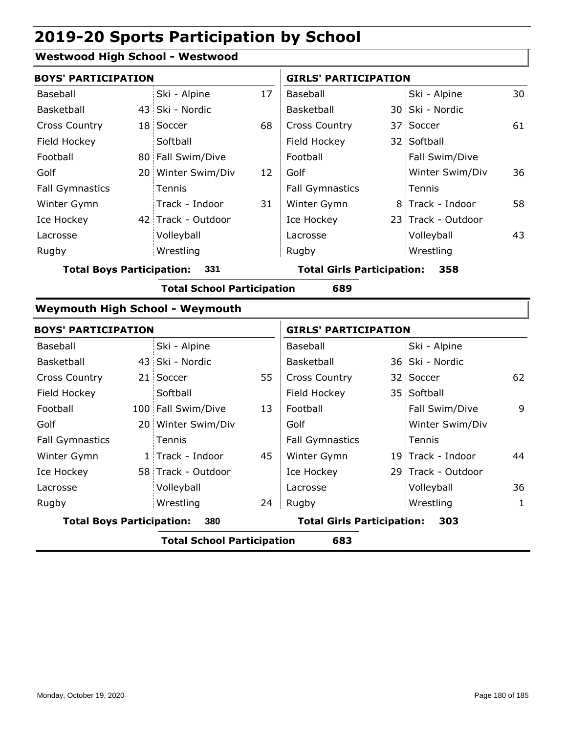#### **Westwood High School - Westwood**

|                                  | <b>BOYS' PARTICIPATION</b> |                                        |    |                                   | <b>GIRLS' PARTICIPATION</b> |                    |    |  |
|----------------------------------|----------------------------|----------------------------------------|----|-----------------------------------|-----------------------------|--------------------|----|--|
| Baseball                         |                            | Ski - Alpine                           | 17 | Baseball                          |                             | Ski - Alpine       | 30 |  |
| Basketball                       |                            | 43 Ski - Nordic                        |    | Basketball                        |                             | 30 Ski - Nordic    |    |  |
| <b>Cross Country</b>             |                            | 18 Soccer                              | 68 | <b>Cross Country</b>              |                             | 37 Soccer          | 61 |  |
| Field Hockey                     |                            | Softball                               |    | Field Hockey                      |                             | 32 Softball        |    |  |
| Football                         |                            | 80 Fall Swim/Dive                      |    | Football                          |                             | Fall Swim/Dive     |    |  |
| Golf                             |                            | 20 Winter Swim/Div                     | 12 | Golf                              |                             | Winter Swim/Div    | 36 |  |
| <b>Fall Gymnastics</b>           |                            | Tennis                                 |    | <b>Fall Gymnastics</b>            |                             | Tennis             |    |  |
| Winter Gymn                      |                            | Track - Indoor                         | 31 | Winter Gymn                       |                             | 8 Track - Indoor   | 58 |  |
| Ice Hockey                       |                            | 42 Track - Outdoor                     |    | Ice Hockey                        |                             | 23 Track - Outdoor |    |  |
| Lacrosse                         |                            | Volleyball                             |    | Lacrosse                          |                             | Volleyball         | 43 |  |
| Rugby                            |                            | Wrestling                              |    | Rugby                             |                             | Wrestling          |    |  |
| <b>Total Boys Participation:</b> |                            | 331                                    |    | <b>Total Girls Participation:</b> |                             | 358                |    |  |
|                                  |                            | <b>Total School Participation</b>      |    | 689                               |                             |                    |    |  |
|                                  |                            | <b>Weymouth High School - Weymouth</b> |    |                                   |                             |                    |    |  |
| ROVS' DARTICIDATION              |                            |                                        |    | GIRLS' DARTICIDATION              |                             |                    |    |  |

| <b>BOYS' PARTICIPATION</b>       |                                   |    | <b>GIRLS' PARTICIPATION</b>       |                    |    |
|----------------------------------|-----------------------------------|----|-----------------------------------|--------------------|----|
| Baseball                         | Ski - Alpine                      |    | Baseball                          | Ski - Alpine       |    |
| <b>Basketball</b>                | 43 Ski - Nordic                   |    | Basketball                        | 36 Ski - Nordic    |    |
| <b>Cross Country</b>             | 21 Soccer                         | 55 | <b>Cross Country</b>              | 32 Soccer          | 62 |
| Field Hockey                     | Softball                          |    | Field Hockey                      | 35 Softball        |    |
| Football                         | 100 Fall Swim/Dive                | 13 | Football                          | Fall Swim/Dive     | 9  |
| Golf                             | 20 Winter Swim/Div                |    | Golf                              | Winter Swim/Div    |    |
| <b>Fall Gymnastics</b>           | Tennis                            |    | <b>Fall Gymnastics</b>            | Tennis             |    |
| Winter Gymn                      | 1 Track - Indoor                  | 45 | Winter Gymn                       | 19 Track - Indoor  | 44 |
| Ice Hockey                       | 58 Track - Outdoor                |    | Ice Hockey                        | 29 Track - Outdoor |    |
| Lacrosse                         | Volleyball                        |    | Lacrosse                          | Volleyball         | 36 |
| Rugby                            | Wrestling                         | 24 | Rugby                             | Wrestling          | 1  |
| <b>Total Boys Participation:</b> | 380                               |    | <b>Total Girls Participation:</b> | 303                |    |
|                                  | <b>Total School Participation</b> |    | 683                               |                    |    |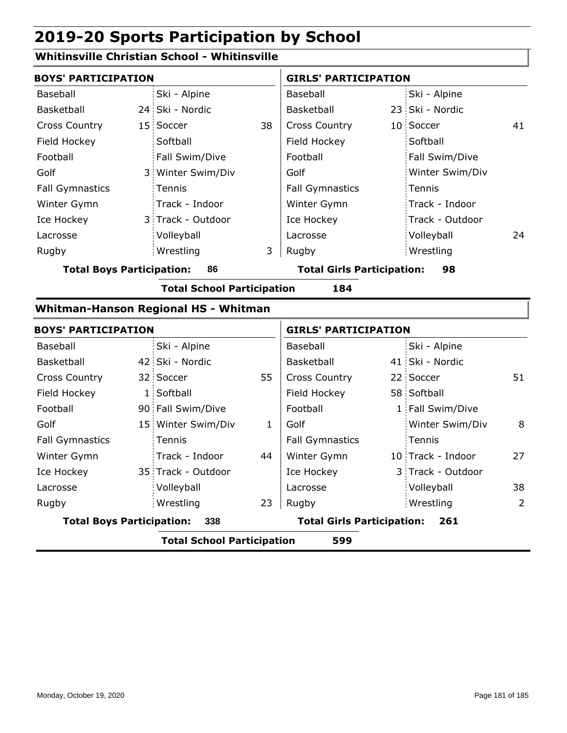## **Whitinsville Christian School - Whitinsville**

| <b>BOYS' PARTICIPATION</b>               |    |                                             |                                         | <b>GIRLS' PARTICIPATION</b>       |  |                   |    |
|------------------------------------------|----|---------------------------------------------|-----------------------------------------|-----------------------------------|--|-------------------|----|
| Baseball                                 |    | Ski - Alpine                                |                                         | Baseball                          |  | Ski - Alpine      |    |
| Basketball                               |    | 24 Ski - Nordic                             |                                         | Basketball                        |  | 23 Ski - Nordic   |    |
| <b>Cross Country</b>                     |    | 15 Soccer                                   | 38                                      | <b>Cross Country</b>              |  | 10 Soccer         | 41 |
| Field Hockey                             |    | Softball                                    |                                         | Field Hockey                      |  | Softball          |    |
| Football                                 |    | Fall Swim/Dive                              |                                         | Football                          |  | Fall Swim/Dive    |    |
| Golf                                     | 3. | Winter Swim/Div                             |                                         | Golf                              |  | Winter Swim/Div   |    |
| <b>Fall Gymnastics</b>                   |    | Tennis                                      |                                         | <b>Fall Gymnastics</b>            |  | Tennis            |    |
| Winter Gymn                              |    | Track - Indoor                              |                                         | Winter Gymn                       |  | Track - Indoor    |    |
| Ice Hockey                               |    | 3 Track - Outdoor                           |                                         | Ice Hockey                        |  | Track - Outdoor   |    |
| Lacrosse                                 |    | Volleyball                                  |                                         | Lacrosse                          |  | Volleyball        | 24 |
| Rugby                                    |    | Wrestling                                   | 3                                       | Rugby                             |  | Wrestling         |    |
| <b>Total Boys Participation:</b>         |    | 86                                          | <b>Total Girls Participation:</b><br>98 |                                   |  |                   |    |
|                                          |    | <b>Total School Participation</b>           |                                         | 184                               |  |                   |    |
|                                          |    | <b>Whitman-Hanson Regional HS - Whitman</b> |                                         |                                   |  |                   |    |
| <b>BOYS' PARTICIPATION</b>               |    |                                             |                                         | <b>GIRLS' PARTICIPATION</b>       |  |                   |    |
| Baseball                                 |    | Ski - Alpine                                |                                         | Baseball                          |  | Ski - Alpine      |    |
| Basketball                               |    | 42 Ski - Nordic                             |                                         | Basketball                        |  | 41 Ski - Nordic   |    |
| <b>Cross Country</b>                     |    | 32 Soccer                                   | 55                                      | <b>Cross Country</b>              |  | 22 Soccer         | 51 |
| Field Hockey                             |    | 1 Softball                                  |                                         | Field Hockey                      |  | 58 Softball       |    |
| Football                                 |    | 90 Fall Swim/Dive                           |                                         | Football                          |  | 1 Fall Swim/Dive  |    |
| Golf                                     |    | 15 Winter Swim/Div                          | 1                                       | Golf                              |  | Winter Swim/Div   | 8  |
| <b>Fall Gymnastics</b>                   |    | Tennis                                      |                                         | <b>Fall Gymnastics</b>            |  | Tennis            |    |
| Winter Gymn                              |    | Track - Indoor                              | 44                                      | Winter Gymn                       |  | 10 Track - Indoor | 27 |
| Ice Hockey                               |    | 35 Track - Outdoor                          |                                         | Ice Hockey                        |  | 3 Track - Outdoor |    |
| Lacrosse                                 |    | Volleyball                                  |                                         | Lacrosse                          |  | Volleyball        | 38 |
| Rugby                                    |    | Wrestling                                   | 23                                      | Rugby                             |  | Wrestling         | 2  |
| <b>Total Boys Participation:</b>         |    | 338                                         |                                         | <b>Total Girls Participation:</b> |  | 261               |    |
| <b>Total School Participation</b><br>599 |    |                                             |                                         |                                   |  |                   |    |
|                                          |    |                                             |                                         |                                   |  |                   |    |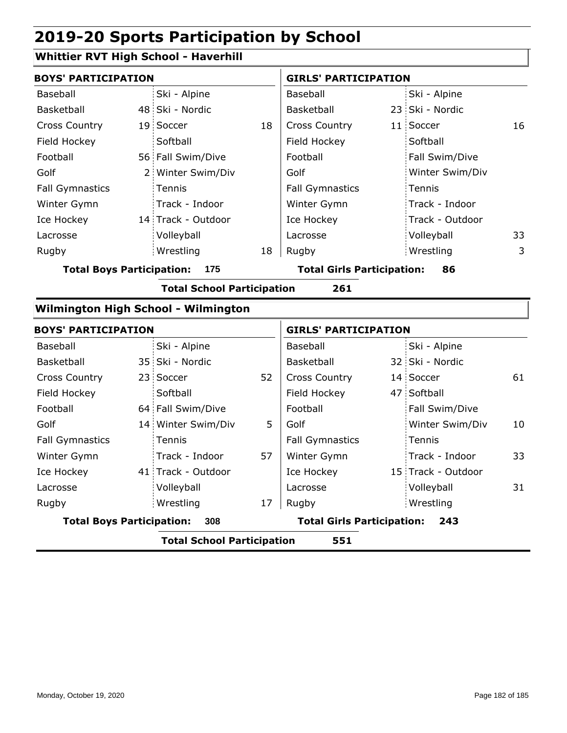## **Whittier RVT High School - Haverhill**

| <b>BOYS' PARTICIPATION</b>              |     |                                         |    | <b>GIRLS' PARTICIPATION</b>       |  |                    |    |  |
|-----------------------------------------|-----|-----------------------------------------|----|-----------------------------------|--|--------------------|----|--|
| Baseball                                |     | Ski - Alpine                            |    | Baseball                          |  | Ski - Alpine       |    |  |
| Basketball                              |     | 48 Ski - Nordic                         |    | Basketball                        |  | 23 Ski - Nordic    |    |  |
| <b>Cross Country</b>                    |     | 19 Soccer                               | 18 | <b>Cross Country</b>              |  | 11 Soccer          | 16 |  |
| Field Hockey                            |     | Softball                                |    | Field Hockey                      |  | Softball           |    |  |
| Football                                |     | 56 Fall Swim/Dive                       |    | Football                          |  | Fall Swim/Dive     |    |  |
| Golf                                    |     | 2 Winter Swim/Div                       |    | Golf                              |  | Winter Swim/Div    |    |  |
| <b>Fall Gymnastics</b>                  |     | Tennis                                  |    | <b>Fall Gymnastics</b>            |  | Tennis             |    |  |
| Winter Gymn                             |     | Track - Indoor                          |    | Winter Gymn                       |  | Track - Indoor     |    |  |
| Ice Hockey                              |     | 14 Track - Outdoor                      |    | Ice Hockey                        |  | Track - Outdoor    |    |  |
| Lacrosse                                |     | Volleyball                              |    | Lacrosse                          |  | Volleyball         | 33 |  |
| Rugby                                   |     | Wrestling                               | 18 | Rugby                             |  | Wrestling          | 3  |  |
| <b>Total Boys Participation:</b>        | 175 | <b>Total Girls Participation:</b><br>86 |    |                                   |  |                    |    |  |
|                                         |     | <b>Total School Participation</b>       |    | 261                               |  |                    |    |  |
|                                         |     | Wilmington High School - Wilmington     |    |                                   |  |                    |    |  |
| <b>BOYS' PARTICIPATION</b>              |     |                                         |    | <b>GIRLS' PARTICIPATION</b>       |  |                    |    |  |
| Baseball                                |     | Ski - Alpine                            |    | Baseball                          |  | Ski - Alpine       |    |  |
| Basketball                              |     | 35 Ski - Nordic                         |    | Basketball                        |  | 32 Ski - Nordic    |    |  |
| <b>Cross Country</b>                    |     | 23 Soccer                               | 52 | <b>Cross Country</b>              |  | 14 Soccer          | 61 |  |
| Field Hockey                            |     | Softball                                |    | Field Hockey                      |  | 47 Softball        |    |  |
| Football                                |     | 64 Fall Swim/Dive                       |    | Football                          |  | Fall Swim/Dive     |    |  |
| Golf                                    |     | 14 Winter Swim/Div                      | 5. | Golf                              |  | Winter Swim/Div    | 10 |  |
| <b>Fall Gymnastics</b>                  |     | Tennis                                  |    | <b>Fall Gymnastics</b>            |  | Tennis             |    |  |
| Winter Gymn                             |     | Track - Indoor                          | 57 | Winter Gymn                       |  | Track - Indoor     | 33 |  |
| Ice Hockey                              |     | 41 Track - Outdoor                      |    | Ice Hockey                        |  | 15 Track - Outdoor |    |  |
| Lacrosse                                |     | Volleyball                              |    | Lacrosse                          |  | Volleyball         | 31 |  |
| Rugby                                   |     | Wrestling                               | 17 | Rugby                             |  | Wrestling          |    |  |
| <b>Total Boys Participation:</b><br>308 |     |                                         |    | <b>Total Girls Participation:</b> |  | 243                |    |  |

**Total School Participation 551**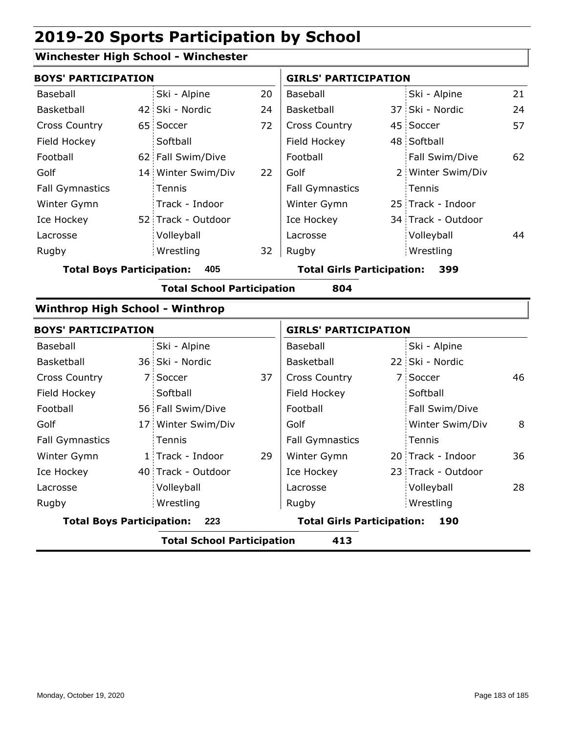## **Winchester High School - Winchester**

| <b>BOYS' PARTICIPATION</b><br>Ski - Alpine | 20              | <b>GIRLS' PARTICIPATION</b> |                                                                        |                 |                                                                                                                                                                                                                                                                             |
|--------------------------------------------|-----------------|-----------------------------|------------------------------------------------------------------------|-----------------|-----------------------------------------------------------------------------------------------------------------------------------------------------------------------------------------------------------------------------------------------------------------------------|
|                                            |                 |                             |                                                                        |                 |                                                                                                                                                                                                                                                                             |
|                                            |                 | Baseball                    |                                                                        | Ski - Alpine    | 21                                                                                                                                                                                                                                                                          |
|                                            | 24              | Basketball                  |                                                                        | 37 Ski - Nordic | 24                                                                                                                                                                                                                                                                          |
| 65 Soccer                                  | 72              | <b>Cross Country</b>        |                                                                        |                 | 57                                                                                                                                                                                                                                                                          |
| Softball                                   |                 | Field Hockey                |                                                                        |                 |                                                                                                                                                                                                                                                                             |
| 62 Fall Swim/Dive                          |                 | Football                    |                                                                        | Fall Swim/Dive  | 62                                                                                                                                                                                                                                                                          |
| 14 Winter Swim/Div                         | 22              | Golf                        |                                                                        |                 |                                                                                                                                                                                                                                                                             |
| Tennis                                     |                 | <b>Fall Gymnastics</b>      |                                                                        | Tennis          |                                                                                                                                                                                                                                                                             |
| Track - Indoor                             |                 | Winter Gymn                 |                                                                        |                 |                                                                                                                                                                                                                                                                             |
| 52 Track - Outdoor                         |                 | Ice Hockey                  |                                                                        |                 |                                                                                                                                                                                                                                                                             |
| Volleyball                                 |                 | Lacrosse                    |                                                                        | Volleyball      | 44                                                                                                                                                                                                                                                                          |
| Wrestling                                  | 32              | Rugby                       |                                                                        | Wrestling       |                                                                                                                                                                                                                                                                             |
| <b>Total Boys Participation:</b><br>405    |                 |                             |                                                                        | 399             |                                                                                                                                                                                                                                                                             |
|                                            |                 | 804                         |                                                                        |                 |                                                                                                                                                                                                                                                                             |
| <b>Winthrop High School - Winthrop</b>     |                 |                             |                                                                        |                 |                                                                                                                                                                                                                                                                             |
| <b>BOYS' PARTICIPATION</b>                 |                 |                             |                                                                        |                 |                                                                                                                                                                                                                                                                             |
| Ski - Alpine                               |                 | Baseball                    |                                                                        | Ski - Alpine    |                                                                                                                                                                                                                                                                             |
| 36 Ski - Nordic                            |                 | Basketball                  |                                                                        |                 |                                                                                                                                                                                                                                                                             |
| 7 Soccer                                   | 37              | <b>Cross Country</b>        |                                                                        |                 | 46                                                                                                                                                                                                                                                                          |
| Softball                                   |                 | Field Hockey                |                                                                        | Softball        |                                                                                                                                                                                                                                                                             |
| 56 Fall Swim/Dive                          |                 | Football                    |                                                                        | Fall Swim/Dive  |                                                                                                                                                                                                                                                                             |
| 17 Winter Swim/Div                         |                 | Golf                        |                                                                        | Winter Swim/Div | 8                                                                                                                                                                                                                                                                           |
| Tennis                                     |                 | <b>Fall Gymnastics</b>      |                                                                        | Tennis          |                                                                                                                                                                                                                                                                             |
| 1 Track - Indoor                           | 29              | Winter Gymn                 |                                                                        |                 | 36                                                                                                                                                                                                                                                                          |
| 40 Track - Outdoor                         |                 | Ice Hockey                  |                                                                        |                 |                                                                                                                                                                                                                                                                             |
| Volleyball                                 |                 | Lacrosse                    |                                                                        | Volleyball      | 28                                                                                                                                                                                                                                                                          |
| Wrestling                                  |                 | Rugby                       |                                                                        | Wrestling       |                                                                                                                                                                                                                                                                             |
| <b>Total Boys Participation:</b><br>223    |                 |                             |                                                                        | 190             |                                                                                                                                                                                                                                                                             |
|                                            |                 | 413                         |                                                                        |                 |                                                                                                                                                                                                                                                                             |
|                                            | 42 Ski - Nordic |                             | <b>Total School Participation</b><br><b>Total School Participation</b> |                 | 45 Soccer<br>48 Softball<br>2 Winter Swim/Div<br>25 Track - Indoor<br>34 Track - Outdoor<br><b>Total Girls Participation:</b><br><b>GIRLS' PARTICIPATION</b><br>22 Ski - Nordic<br>7 Soccer<br>20 Track - Indoor<br>23 Track - Outdoor<br><b>Total Girls Participation:</b> |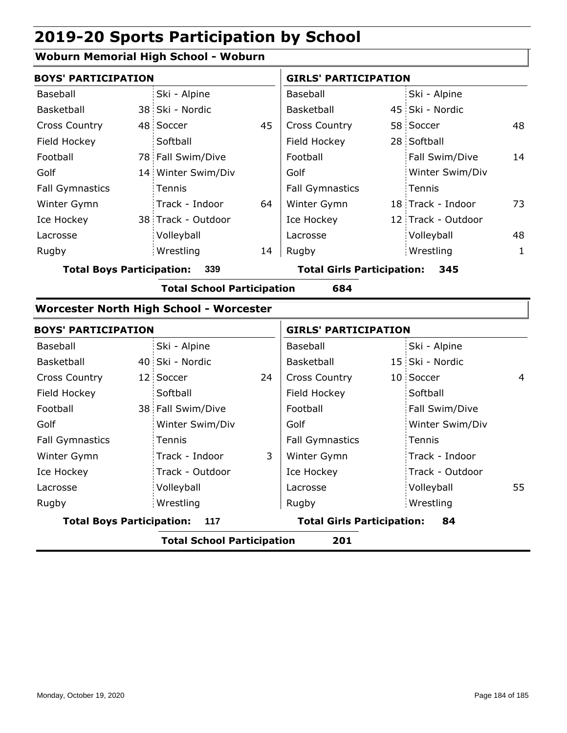### **Woburn Memorial High School - Woburn**

| <b>BOYS' PARTICIPATION</b>              |  |                    |    | <b>GIRLS' PARTICIPATION</b>       |  |                    |              |
|-----------------------------------------|--|--------------------|----|-----------------------------------|--|--------------------|--------------|
| Baseball                                |  | Ski - Alpine       |    | Baseball                          |  | Ski - Alpine       |              |
| Basketball                              |  | 38 Ski - Nordic    |    | Basketball                        |  | 45 Ski - Nordic    |              |
| <b>Cross Country</b>                    |  | 48 Soccer          | 45 | <b>Cross Country</b>              |  | 58 Soccer          | 48           |
| Field Hockey                            |  | Softball           |    | Field Hockey                      |  | 28 Softball        |              |
| Football                                |  | 78 Fall Swim/Dive  |    | Football                          |  | Fall Swim/Dive     | 14           |
| Golf                                    |  | 14 Winter Swim/Div |    | Golf                              |  | Winter Swim/Div    |              |
| <b>Fall Gymnastics</b>                  |  | Tennis             |    | <b>Fall Gymnastics</b>            |  | Tennis             |              |
| Winter Gymn                             |  | Track - Indoor     | 64 | Winter Gymn                       |  | 18 Track - Indoor  | 73           |
| Ice Hockey                              |  | 38 Track - Outdoor |    | Ice Hockey                        |  | 12 Track - Outdoor |              |
| Lacrosse                                |  | Volleyball         |    | Lacrosse                          |  | Volleyball         | 48           |
| Rugby                                   |  | Wrestling          | 14 | Rugby                             |  | Wrestling          | $\mathbf{1}$ |
| 339<br><b>Total Boys Participation:</b> |  |                    |    | <b>Total Girls Participation:</b> |  | 345                |              |

**Total School Participation 684**

## **Worcester North High School - Worcester**

| <b>BOYS' PARTICIPATION</b>              |  |                   |    | <b>GIRLS' PARTICIPATION</b>       |  |                   |    |
|-----------------------------------------|--|-------------------|----|-----------------------------------|--|-------------------|----|
| Baseball                                |  | Ski - Alpine      |    | Baseball                          |  | Ski - Alpine      |    |
| Basketball                              |  | 40 Ski - Nordic   |    | Basketball                        |  | 15 Ski - Nordic   |    |
| <b>Cross Country</b>                    |  | 12 Soccer         | 24 | <b>Cross Country</b>              |  | 10 Soccer         | 4  |
| Field Hockey                            |  | Softball          |    | Field Hockey                      |  | Softball          |    |
| Football                                |  | 38 Fall Swim/Dive |    | Football                          |  | Fall Swim/Dive    |    |
| Golf                                    |  | Winter Swim/Div   |    | Golf                              |  | Winter Swim/Div   |    |
| <b>Fall Gymnastics</b>                  |  | Tennis            |    | <b>Fall Gymnastics</b>            |  | Tennis            |    |
| Winter Gymn                             |  | Track - Indoor    | 3  | Winter Gymn                       |  | Track - Indoor    |    |
| Ice Hockey                              |  | Track - Outdoor   |    | Ice Hockey                        |  | : Track - Outdoor |    |
| Lacrosse                                |  | Volleyball        |    | Lacrosse                          |  | Volleyball        | 55 |
| Rugby                                   |  | Wrestling         |    | Rugby                             |  | Wrestling         |    |
| <b>Total Boys Participation:</b><br>117 |  |                   |    | <b>Total Girls Participation:</b> |  | 84                |    |
|                                         |  |                   | .  |                                   |  |                   |    |

**Total School Participation 201**